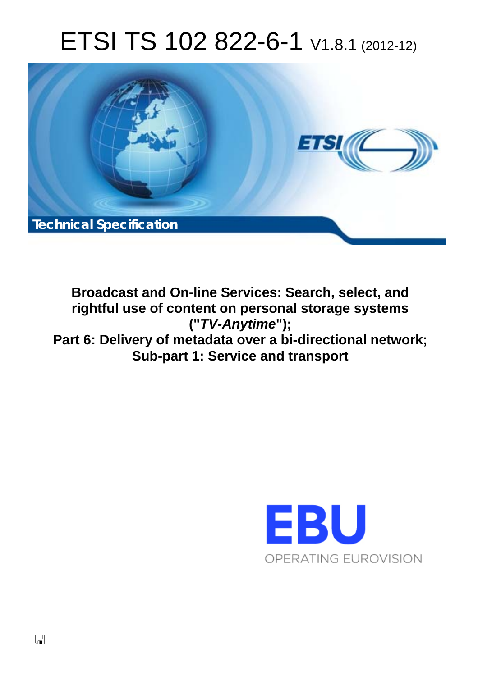# ETSI TS 102 822-6-1 V1.8.1 (2012-12)



**Broadcast and On-line Services: Search, select, and rightful use of content on personal storage systems ("***TV-Anytime***"); Part 6: Delivery of metadata over a bi-directional network; Sub-part 1: Service and transport** 

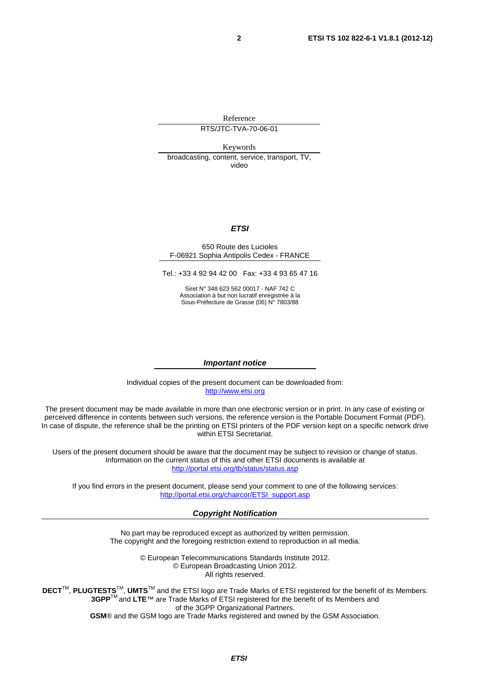Reference

### RTS/JTC-TVA-70-06-01

Keywords

broadcasting, content, service, transport, TV, video

### *ETSI*

#### 650 Route des Lucioles F-06921 Sophia Antipolis Cedex - FRANCE

Tel.: +33 4 92 94 42 00 Fax: +33 4 93 65 47 16

Siret N° 348 623 562 00017 - NAF 742 C Association à but non lucratif enregistrée à la Sous-Préfecture de Grasse (06) N° 7803/88

#### *Important notice*

Individual copies of the present document can be downloaded from: [http://www.etsi.org](http://www.etsi.org/)

The present document may be made available in more than one electronic version or in print. In any case of existing or perceived difference in contents between such versions, the reference version is the Portable Document Format (PDF). In case of dispute, the reference shall be the printing on ETSI printers of the PDF version kept on a specific network drive within ETSI Secretariat.

Users of the present document should be aware that the document may be subject to revision or change of status. Information on the current status of this and other ETSI documents is available at <http://portal.etsi.org/tb/status/status.asp>

If you find errors in the present document, please send your comment to one of the following services: [http://portal.etsi.org/chaircor/ETSI\\_support.asp](http://portal.etsi.org/chaircor/ETSI_support.asp)

### *Copyright Notification*

No part may be reproduced except as authorized by written permission. The copyright and the foregoing restriction extend to reproduction in all media.

> © European Telecommunications Standards Institute 2012. © European Broadcasting Union 2012. All rights reserved.

**DECT**TM, **PLUGTESTS**TM, **UMTS**TM and the ETSI logo are Trade Marks of ETSI registered for the benefit of its Members. **3GPP**TM and **LTE**™ are Trade Marks of ETSI registered for the benefit of its Members and of the 3GPP Organizational Partners. **GSM**® and the GSM logo are Trade Marks registered and owned by the GSM Association.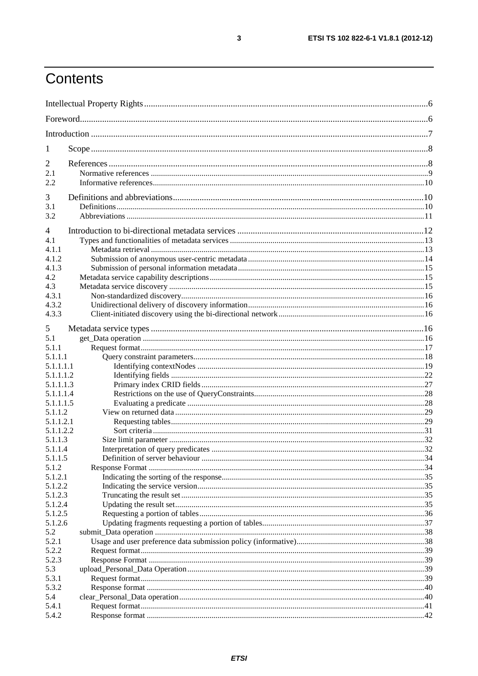# Contents

| 1                |  |  |
|------------------|--|--|
| 2                |  |  |
| 2.1              |  |  |
| 2.2              |  |  |
| 3                |  |  |
| 3.1              |  |  |
| 3.2              |  |  |
|                  |  |  |
| $\overline{4}$   |  |  |
| 4.1              |  |  |
| 4.1.1            |  |  |
| 4.1.2            |  |  |
| 4.1.3            |  |  |
| 4.2              |  |  |
| 4.3              |  |  |
| 4.3.1            |  |  |
| 4.3.2            |  |  |
| 4.3.3            |  |  |
| 5                |  |  |
| 5.1              |  |  |
| 5.1.1            |  |  |
| 5.1.1.1          |  |  |
| 5.1.1.1.1        |  |  |
| 5.1.1.1.2        |  |  |
| 5.1.1.1.3        |  |  |
| 5.1.1.1.4        |  |  |
| 5.1.1.1.5        |  |  |
| 5.1.1.2          |  |  |
| 5.1.1.2.1        |  |  |
| 5.1.1.2.2        |  |  |
| 5.1.1.3          |  |  |
| 5.1.1.4          |  |  |
| 5.1.1.5<br>5.1.2 |  |  |
| 5.1.2.1          |  |  |
| 5.1.2.2          |  |  |
| 5.1.2.3          |  |  |
| 5.1.2.4          |  |  |
| 5.1.2.5          |  |  |
| 5.1.2.6          |  |  |
| 5.2              |  |  |
| 5.2.1            |  |  |
| 5.2.2            |  |  |
| 5.2.3            |  |  |
| 5.3              |  |  |
| 5.3.1            |  |  |
| 5.3.2            |  |  |
| 5.4              |  |  |
| 5.4.1            |  |  |
| 5.4.2            |  |  |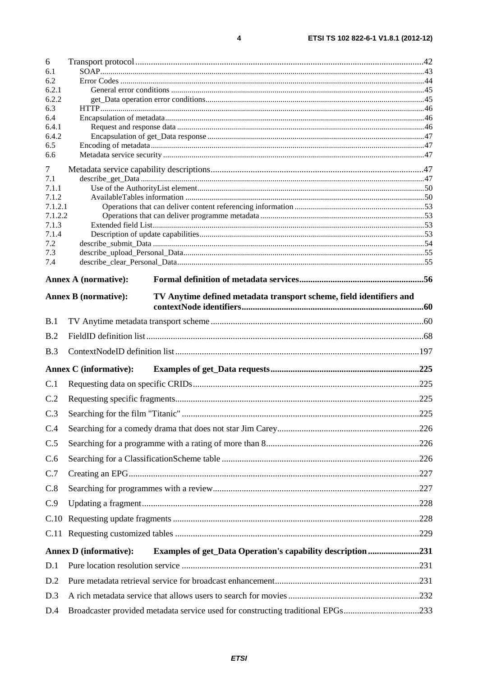| 6                |                                                                                                    |  |
|------------------|----------------------------------------------------------------------------------------------------|--|
| 6.1              |                                                                                                    |  |
| 6.2<br>6.2.1     |                                                                                                    |  |
| 6.2.2            |                                                                                                    |  |
| 6.3              |                                                                                                    |  |
| 6.4              |                                                                                                    |  |
| 6.4.1<br>6.4.2   |                                                                                                    |  |
| 6.5              |                                                                                                    |  |
| 6.6              |                                                                                                    |  |
| 7                |                                                                                                    |  |
| 7.1              |                                                                                                    |  |
| 7.1.1            |                                                                                                    |  |
| 7.1.2<br>7.1.2.1 |                                                                                                    |  |
| 7.1.2.2          |                                                                                                    |  |
| 7.1.3            |                                                                                                    |  |
| 7.1.4<br>7.2     |                                                                                                    |  |
| 7.3              |                                                                                                    |  |
| 7.4              |                                                                                                    |  |
|                  | <b>Annex A (normative):</b>                                                                        |  |
|                  |                                                                                                    |  |
|                  | <b>Annex B</b> (normative):<br>TV Anytime defined metadata transport scheme, field identifiers and |  |
| B.1              |                                                                                                    |  |
| B.2              |                                                                                                    |  |
| B.3              |                                                                                                    |  |
|                  | <b>Annex C</b> (informative):                                                                      |  |
| C.1              |                                                                                                    |  |
| C.2              |                                                                                                    |  |
| C.3              |                                                                                                    |  |
| C.4              |                                                                                                    |  |
| C.5              |                                                                                                    |  |
| C.6              |                                                                                                    |  |
| C.7              |                                                                                                    |  |
| C.8              |                                                                                                    |  |
| C.9              |                                                                                                    |  |
| C.10             |                                                                                                    |  |
|                  |                                                                                                    |  |
|                  | <b>Examples of get_Data Operation's capability description231</b><br><b>Annex D</b> (informative): |  |
| D.1              |                                                                                                    |  |
| D.2              |                                                                                                    |  |
| D.3              |                                                                                                    |  |
| D.4              | Broadcaster provided metadata service used for constructing traditional EPGs233                    |  |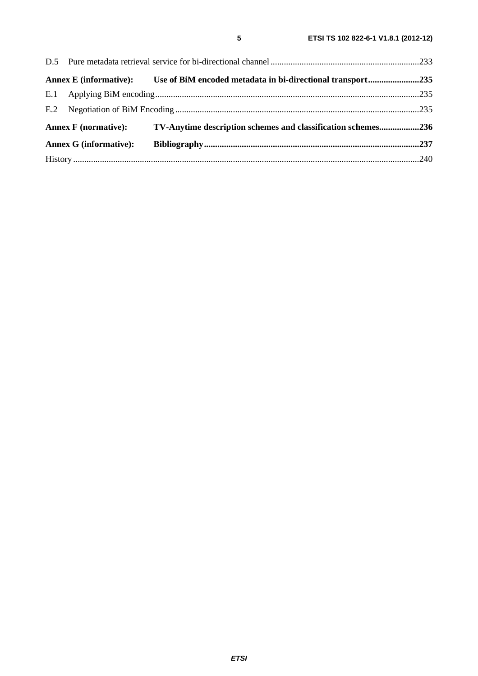|                               |  | Annex E (informative): Use of BiM encoded metadata in bi-directional transport235 |  |
|-------------------------------|--|-----------------------------------------------------------------------------------|--|
|                               |  |                                                                                   |  |
|                               |  |                                                                                   |  |
| <b>Annex F</b> (normative):   |  | TV-Anytime description schemes and classification schemes236                      |  |
| <b>Annex G (informative):</b> |  |                                                                                   |  |
|                               |  |                                                                                   |  |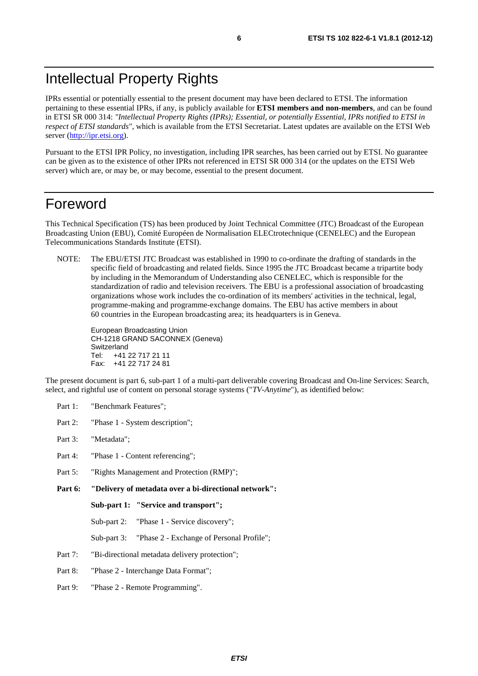# Intellectual Property Rights

IPRs essential or potentially essential to the present document may have been declared to ETSI. The information pertaining to these essential IPRs, if any, is publicly available for **ETSI members and non-members**, and can be found in ETSI SR 000 314: *"Intellectual Property Rights (IPRs); Essential, or potentially Essential, IPRs notified to ETSI in respect of ETSI standards"*, which is available from the ETSI Secretariat. Latest updates are available on the ETSI Web server ([http://ipr.etsi.org\)](http://webapp.etsi.org/IPR/home.asp).

Pursuant to the ETSI IPR Policy, no investigation, including IPR searches, has been carried out by ETSI. No guarantee can be given as to the existence of other IPRs not referenced in ETSI SR 000 314 (or the updates on the ETSI Web server) which are, or may be, or may become, essential to the present document.

## Foreword

This Technical Specification (TS) has been produced by Joint Technical Committee (JTC) Broadcast of the European Broadcasting Union (EBU), Comité Européen de Normalisation ELECtrotechnique (CENELEC) and the European Telecommunications Standards Institute (ETSI).

NOTE: The EBU/ETSI JTC Broadcast was established in 1990 to co-ordinate the drafting of standards in the specific field of broadcasting and related fields. Since 1995 the JTC Broadcast became a tripartite body by including in the Memorandum of Understanding also CENELEC, which is responsible for the standardization of radio and television receivers. The EBU is a professional association of broadcasting organizations whose work includes the co-ordination of its members' activities in the technical, legal, programme-making and programme-exchange domains. The EBU has active members in about 60 countries in the European broadcasting area; its headquarters is in Geneva.

European Broadcasting Union CH-1218 GRAND SACONNEX (Geneva) Switzerland Tel: +41 22 717 21 11 Fax: +41 22 717 24 81

The present document is part 6, sub-part 1 of a multi-part deliverable covering Broadcast and On-line Services: Search, select, and rightful use of content on personal storage systems ("*TV-Anytime*"), as identified below:

- Part 1: "Benchmark Features";
- Part 2: "Phase 1 System description";
- Part 3: "Metadata";
- Part 4: "Phase 1 Content referencing":
- Part 5: "Rights Management and Protection (RMP)";
- **Part 6: "Delivery of metadata over a bi-directional network":**

**Sub-part 1: "Service and transport";** 

Sub-part 2: "Phase 1 - Service discovery";

- Sub-part 3: "Phase 2 Exchange of Personal Profile";
- Part 7: "Bi-directional metadata delivery protection";
- Part 8: "Phase 2 Interchange Data Format";
- Part 9: "Phase 2 Remote Programming".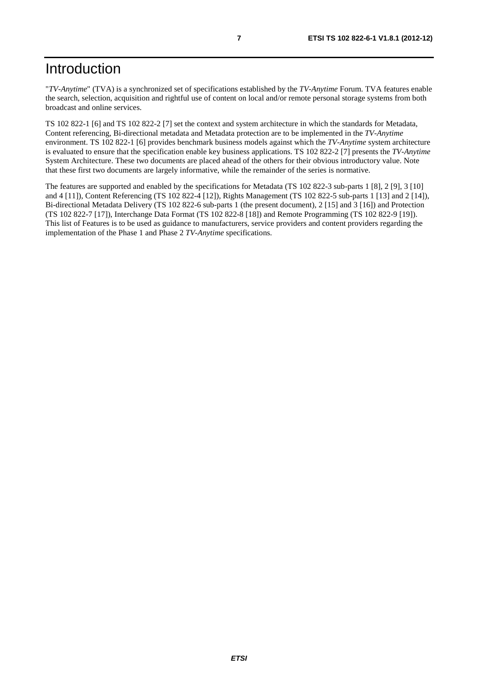"*TV-Anytime*" (TVA) is a synchronized set of specifications established by the *TV-Anytime* Forum. TVA features enable the search, selection, acquisition and rightful use of content on local and/or remote personal storage systems from both broadcast and online services.

TS 102 822-1 [6] and TS 102 822-2 [7] set the context and system architecture in which the standards for Metadata, Content referencing, Bi-directional metadata and Metadata protection are to be implemented in the *TV-Anytime* environment. TS 102 822-1 [6] provides benchmark business models against which the *TV-Anytime* system architecture is evaluated to ensure that the specification enable key business applications. TS 102 822-2 [7] presents the *TV-Anytime* System Architecture. These two documents are placed ahead of the others for their obvious introductory value. Note that these first two documents are largely informative, while the remainder of the series is normative.

The features are supported and enabled by the specifications for Metadata (TS 102 822-3 sub-parts 1 [8], 2 [9], 3 [10] and 4 [11]), Content Referencing (TS 102 822-4 [12]), Rights Management (TS 102 822-5 sub-parts 1 [13] and 2 [14]), Bi-directional Metadata Delivery (TS 102 822-6 sub-parts 1 (the present document), 2 [15] and 3 [16]) and Protection (TS 102 822-7 [17]), Interchange Data Format (TS 102 822-8 [18]) and Remote Programming (TS 102 822-9 [19]). This list of Features is to be used as guidance to manufacturers, service providers and content providers regarding the implementation of the Phase 1 and Phase 2 *TV-Anytime* specifications.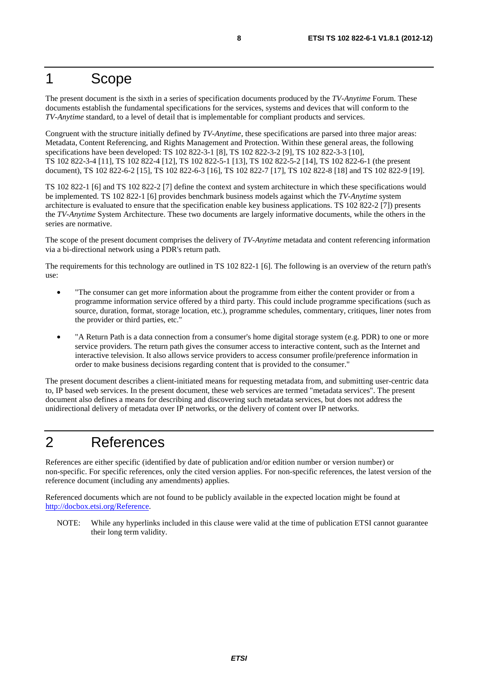## 1 Scope

The present document is the sixth in a series of specification documents produced by the *TV-Anytime* Forum. These documents establish the fundamental specifications for the services, systems and devices that will conform to the *TV-Anytime* standard, to a level of detail that is implementable for compliant products and services.

Congruent with the structure initially defined by *TV-Anytime*, these specifications are parsed into three major areas: Metadata, Content Referencing, and Rights Management and Protection. Within these general areas, the following specifications have been developed: TS 102 822-3-1 [8], TS 102 822-3-2 [9], TS 102 822-3-3 [10], TS 102 822-3-4 [11], TS 102 822-4 [12], TS 102 822-5-1 [13], TS 102 822-5-2 [14], TS 102 822-6-1 (the present document), TS 102 822-6-2 [15], TS 102 822-6-3 [16], TS 102 822-7 [17], TS 102 822-8 [18] and TS 102 822-9 [19].

TS 102 822-1 [6] and TS 102 822-2 [7] define the context and system architecture in which these specifications would be implemented. TS 102 822-1 [6] provides benchmark business models against which the *TV-Anytime* system architecture is evaluated to ensure that the specification enable key business applications. TS 102 822-2 [7]) presents the *TV-Anytime* System Architecture. These two documents are largely informative documents, while the others in the series are normative.

The scope of the present document comprises the delivery of *TV-Anytime* metadata and content referencing information via a bi-directional network using a PDR's return path.

The requirements for this technology are outlined in TS 102 822-1 [6]. The following is an overview of the return path's use:

- "The consumer can get more information about the programme from either the content provider or from a programme information service offered by a third party. This could include programme specifications (such as source, duration, format, storage location, etc.), programme schedules, commentary, critiques, liner notes from the provider or third parties, etc."
- "A Return Path is a data connection from a consumer's home digital storage system (e.g. PDR) to one or more service providers. The return path gives the consumer access to interactive content, such as the Internet and interactive television. It also allows service providers to access consumer profile/preference information in order to make business decisions regarding content that is provided to the consumer."

The present document describes a client-initiated means for requesting metadata from, and submitting user-centric data to, IP based web services. In the present document, these web services are termed "metadata services". The present document also defines a means for describing and discovering such metadata services, but does not address the unidirectional delivery of metadata over IP networks, or the delivery of content over IP networks.

# 2 References

References are either specific (identified by date of publication and/or edition number or version number) or non-specific. For specific references, only the cited version applies. For non-specific references, the latest version of the reference document (including any amendments) applies.

Referenced documents which are not found to be publicly available in the expected location might be found at [http://docbox.etsi.org/Reference.](http://docbox.etsi.org/Reference)

NOTE: While any hyperlinks included in this clause were valid at the time of publication ETSI cannot guarantee their long term validity.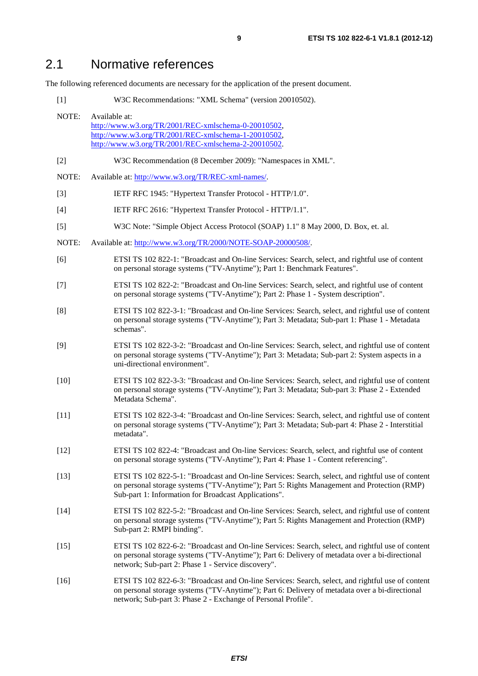# 2.1 Normative references

The following referenced documents are necessary for the application of the present document.

[1] W3C Recommendations: "XML Schema" (version 20010502).

| NOTE:  | Available at:<br>http://www.w3.org/TR/2001/REC-xmlschema-0-20010502,<br>http://www.w3.org/TR/2001/REC-xmlschema-1-20010502,<br>http://www.w3.org/TR/2001/REC-xmlschema-2-20010502.                                                                                   |
|--------|----------------------------------------------------------------------------------------------------------------------------------------------------------------------------------------------------------------------------------------------------------------------|
| $[2]$  | W3C Recommendation (8 December 2009): "Namespaces in XML".                                                                                                                                                                                                           |
| NOTE:  | Available at: http://www.w3.org/TR/REC-xml-names/.                                                                                                                                                                                                                   |
| $[3]$  | IETF RFC 1945: "Hypertext Transfer Protocol - HTTP/1.0".                                                                                                                                                                                                             |
| $[4]$  | IETF RFC 2616: "Hypertext Transfer Protocol - HTTP/1.1".                                                                                                                                                                                                             |
| $[5]$  | W3C Note: "Simple Object Access Protocol (SOAP) 1.1" 8 May 2000, D. Box, et. al.                                                                                                                                                                                     |
| NOTE:  | Available at: http://www.w3.org/TR/2000/NOTE-SOAP-20000508/.                                                                                                                                                                                                         |
| [6]    | ETSI TS 102 822-1: "Broadcast and On-line Services: Search, select, and rightful use of content<br>on personal storage systems ("TV-Anytime"); Part 1: Benchmark Features".                                                                                          |
| $[7]$  | ETSI TS 102 822-2: "Broadcast and On-line Services: Search, select, and rightful use of content<br>on personal storage systems ("TV-Anytime"); Part 2: Phase 1 - System description".                                                                                |
| [8]    | ETSI TS 102 822-3-1: "Broadcast and On-line Services: Search, select, and rightful use of content<br>on personal storage systems ("TV-Anytime"); Part 3: Metadata; Sub-part 1: Phase 1 - Metadata<br>schemas".                                                       |
| [9]    | ETSI TS 102 822-3-2: "Broadcast and On-line Services: Search, select, and rightful use of content<br>on personal storage systems ("TV-Anytime"); Part 3: Metadata; Sub-part 2: System aspects in a<br>uni-directional environment".                                  |
| $[10]$ | ETSI TS 102 822-3-3: "Broadcast and On-line Services: Search, select, and rightful use of content<br>on personal storage systems ("TV-Anytime"); Part 3: Metadata; Sub-part 3: Phase 2 - Extended<br>Metadata Schema".                                               |
| $[11]$ | ETSI TS 102 822-3-4: "Broadcast and On-line Services: Search, select, and rightful use of content<br>on personal storage systems ("TV-Anytime"); Part 3: Metadata; Sub-part 4: Phase 2 - Interstitial<br>metadata".                                                  |
| $[12]$ | ETSI TS 102 822-4: "Broadcast and On-line Services: Search, select, and rightful use of content<br>on personal storage systems ("TV-Anytime"); Part 4: Phase 1 - Content referencing".                                                                               |
| $[13]$ | ETSI TS 102 822-5-1: "Broadcast and On-line Services: Search, select, and rightful use of content<br>on personal storage systems ("TV-Anytime"); Part 5: Rights Management and Protection (RMP)<br>Sub-part 1: Information for Broadcast Applications".              |
| $[14]$ | ETSI TS 102 822-5-2: "Broadcast and On-line Services: Search, select, and rightful use of content<br>on personal storage systems ("TV-Anytime"); Part 5: Rights Management and Protection (RMP)<br>Sub-part 2: RMPI binding".                                        |
| $[15]$ | ETSI TS 102 822-6-2: "Broadcast and On-line Services: Search, select, and rightful use of content<br>on personal storage systems ("TV-Anytime"); Part 6: Delivery of metadata over a bi-directional<br>network; Sub-part 2: Phase 1 - Service discovery".            |
| $[16]$ | ETSI TS 102 822-6-3: "Broadcast and On-line Services: Search, select, and rightful use of content<br>on personal storage systems ("TV-Anytime"); Part 6: Delivery of metadata over a bi-directional<br>network; Sub-part 3: Phase 2 - Exchange of Personal Profile". |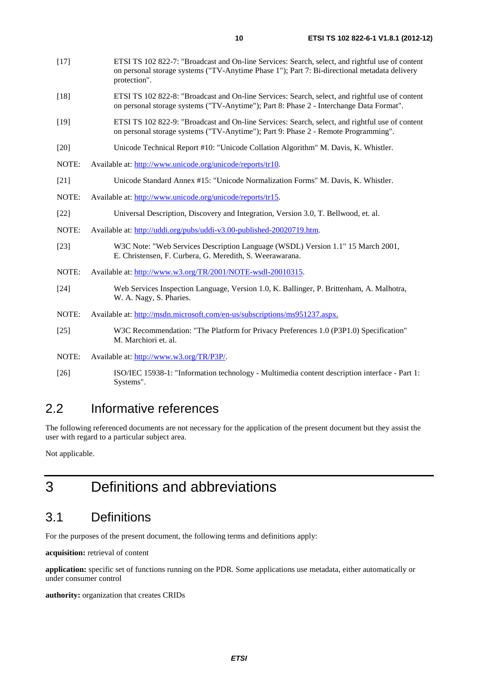- [18] ETSI TS 102 822-8: "Broadcast and On-line Services: Search, select, and rightful use of content on personal storage systems ("TV-Anytime"); Part 8: Phase 2 - Interchange Data Format".
- [19] ETSI TS 102 822-9: "Broadcast and On-line Services: Search, select, and rightful use of content on personal storage systems ("TV-Anytime"); Part 9: Phase 2 - Remote Programming".
- [20] Unicode Technical Report #10: "Unicode Collation Algorithm" M. Davis, K. Whistler.
- NOTE: Available at: [http://www.unicode.org/unicode/reports/tr10.](http://www.unicode.org/unicode/reports/tr10)
- [21] Unicode Standard Annex #15: "Unicode Normalization Forms" M. Davis, K. Whistler.
- NOTE: Available at: [http://www.unicode.org/unicode/reports/tr15.](http://www.unicode.org/unicode/reports/tr15)
- [22] Universal Description, Discovery and Integration, Version 3.0, T. Bellwood, et. al.
- NOTE: Available at: [http://uddi.org/pubs/uddi-v3.00-published-20020719.htm.](http://uddi.org/pubs/uddi-v3.00-published-20020719.htm)
- [23] W3C Note: "Web Services Description Language (WSDL) Version 1.1" 15 March 2001, E. Christensen, F. Curbera, G. Meredith, S. Weerawarana.
- NOTE: Available at: [http://www.w3.org/TR/2001/NOTE-wsdl-20010315.](http://www.w3.org/TR/2001/NOTE-wsdl-20010315)
- [24] Web Services Inspection Language, Version 1.0, K. Ballinger, P. Brittenham, A. Malhotra, W. A. Nagy, S. Pharies.
- NOTE: Available at: [http://msdn.microsoft.com/en-us/subscriptions/ms951237.aspx.](http://msdn.microsoft.com/en-us/subscriptions/ms951237.aspx)
- [25] W3C Recommendation: "The Platform for Privacy Preferences 1.0 (P3P1.0) Specification" M. Marchiori et. al.
- NOTE: Available at: [http://www.w3.org/TR/P3P/.](http://www.w3.org/TR/P3P/)
- [26] ISO/IEC 15938-1: "Information technology Multimedia content description interface Part 1: Systems".

# 2.2 Informative references

The following referenced documents are not necessary for the application of the present document but they assist the user with regard to a particular subject area.

Not applicable.

# 3 Definitions and abbreviations

# 3.1 Definitions

For the purposes of the present document, the following terms and definitions apply:

**acquisition:** retrieval of content

**application:** specific set of functions running on the PDR. Some applications use metadata, either automatically or under consumer control

**authority:** organization that creates CRIDs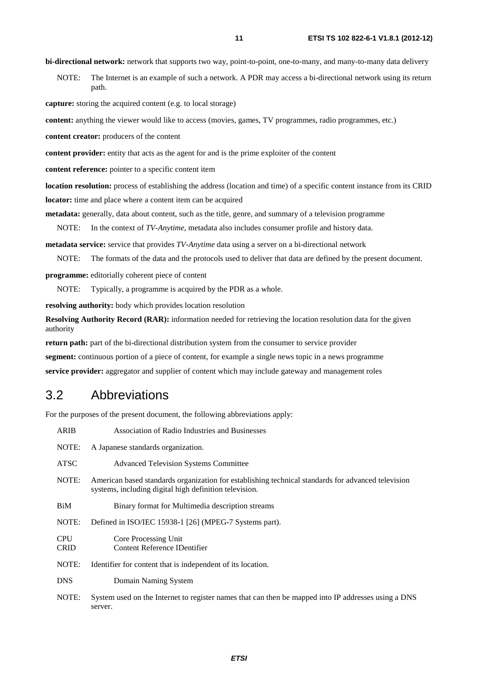**bi-directional network:** network that supports two way, point-to-point, one-to-many, and many-to-many data delivery

NOTE: The Internet is an example of such a network. A PDR may access a bi-directional network using its return path.

**capture:** storing the acquired content (e.g. to local storage)

**content:** anything the viewer would like to access (movies, games, TV programmes, radio programmes, etc.)

**content creator:** producers of the content

**content provider:** entity that acts as the agent for and is the prime exploiter of the content

**content reference:** pointer to a specific content item

**location resolution:** process of establishing the address (location and time) of a specific content instance from its CRID **locator:** time and place where a content item can be acquired

**metadata:** generally, data about content, such as the title, genre, and summary of a television programme

NOTE: In the context of *TV-Anytime*, metadata also includes consumer profile and history data.

**metadata service:** service that provides *TV-Anytime* data using a server on a bi-directional network

NOTE: The formats of the data and the protocols used to deliver that data are defined by the present document.

**programme:** editorially coherent piece of content

NOTE: Typically, a programme is acquired by the PDR as a whole.

**resolving authority:** body which provides location resolution

**Resolving Authority Record (RAR):** information needed for retrieving the location resolution data for the given authority

**return path:** part of the bi-directional distribution system from the consumer to service provider

**segment:** continuous portion of a piece of content, for example a single news topic in a news programme

**service provider:** aggregator and supplier of content which may include gateway and management roles

### 3.2 Abbreviations

For the purposes of the present document, the following abbreviations apply:

| <b>ARIB</b>               | <b>Association of Radio Industries and Businesses</b>                                                                                                        |
|---------------------------|--------------------------------------------------------------------------------------------------------------------------------------------------------------|
| NOTE:                     | A Japanese standards organization.                                                                                                                           |
| <b>ATSC</b>               | <b>Advanced Television Systems Committee</b>                                                                                                                 |
| NOTE:                     | American based standards organization for establishing technical standards for advanced television<br>systems, including digital high definition television. |
| BiM                       | Binary format for Multimedia description streams                                                                                                             |
| NOTE:                     | Defined in ISO/IEC 15938-1 [26] (MPEG-7 Systems part).                                                                                                       |
| <b>CPU</b><br><b>CRID</b> | Core Processing Unit<br><b>Content Reference IDentifier</b>                                                                                                  |
| NOTE:                     | Identifier for content that is independent of its location.                                                                                                  |
| <b>DNS</b>                | Domain Naming System                                                                                                                                         |
| NOTE:                     | System used on the Internet to register names that can then be mapped into IP addresses using a DNS<br>server.                                               |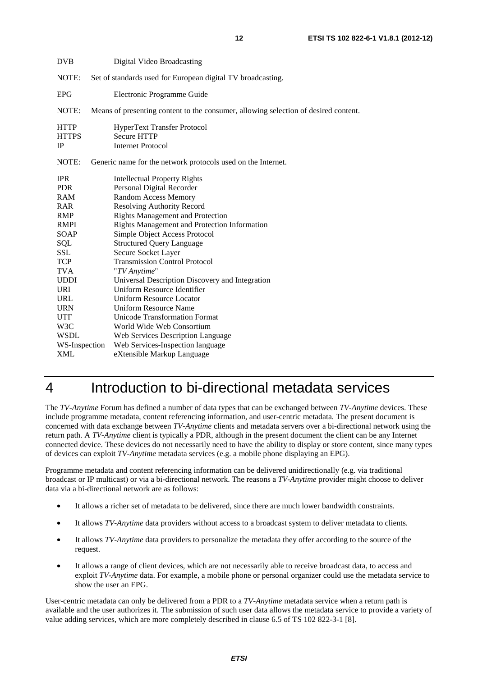| <b>DVB</b>                               | Digital Video Broadcasting                                                           |
|------------------------------------------|--------------------------------------------------------------------------------------|
| NOTE:                                    | Set of standards used for European digital TV broadcasting.                          |
| <b>EPG</b>                               | Electronic Programme Guide                                                           |
| NOTE:                                    | Means of presenting content to the consumer, allowing selection of desired content.  |
| <b>HTTP</b><br><b>HTTPS</b><br><b>IP</b> | <b>HyperText Transfer Protocol</b><br><b>Secure HTTP</b><br><b>Internet Protocol</b> |
| NOTE:                                    | Generic name for the network protocols used on the Internet.                         |
| <b>IPR</b><br><b>PDR</b>                 | <b>Intellectual Property Rights</b><br>Personal Digital Recorder                     |
| <b>RAM</b>                               | <b>Random Access Memory</b>                                                          |
| <b>RAR</b>                               | <b>Resolving Authority Record</b>                                                    |
| <b>RMP</b>                               | <b>Rights Management and Protection</b>                                              |
| RMPI<br>SOAP                             | Rights Management and Protection Information<br>Simple Object Access Protocol        |
| SQL                                      | <b>Structured Query Language</b>                                                     |
| SSL                                      | Secure Socket Layer                                                                  |
| <b>TCP</b>                               | <b>Transmission Control Protocol</b>                                                 |
| <b>TVA</b>                               | "TV Anytime"                                                                         |
| <b>UDDI</b>                              | Universal Description Discovery and Integration                                      |
| URI                                      | Uniform Resource Identifier                                                          |
| URL                                      | <b>Uniform Resource Locator</b>                                                      |
| <b>URN</b>                               | <b>Uniform Resource Name</b>                                                         |
| <b>UTF</b>                               | Unicode Transformation Format                                                        |
| W3C                                      | World Wide Web Consortium                                                            |
| <b>WSDL</b>                              | Web Services Description Language                                                    |
| WS-Inspection                            | Web Services-Inspection language                                                     |
| <b>XML</b>                               | eXtensible Markup Language                                                           |

# 4 Introduction to bi-directional metadata services

The *TV-Anytime* Forum has defined a number of data types that can be exchanged between *TV-Anytime* devices. These include programme metadata, content referencing information, and user-centric metadata. The present document is concerned with data exchange between *TV-Anytime* clients and metadata servers over a bi-directional network using the return path. A *TV-Anytime* client is typically a PDR, although in the present document the client can be any Internet connected device. These devices do not necessarily need to have the ability to display or store content, since many types of devices can exploit *TV-Anytime* metadata services (e.g. a mobile phone displaying an EPG).

Programme metadata and content referencing information can be delivered unidirectionally (e.g. via traditional broadcast or IP multicast) or via a bi-directional network. The reasons a *TV-Anytime* provider might choose to deliver data via a bi-directional network are as follows:

- It allows a richer set of metadata to be delivered, since there are much lower bandwidth constraints.
- It allows *TV-Anytime* data providers without access to a broadcast system to deliver metadata to clients.
- It allows *TV-Anytime* data providers to personalize the metadata they offer according to the source of the request.
- It allows a range of client devices, which are not necessarily able to receive broadcast data, to access and exploit *TV-Anytime* data. For example, a mobile phone or personal organizer could use the metadata service to show the user an EPG.

User-centric metadata can only be delivered from a PDR to a *TV-Anytime* metadata service when a return path is available and the user authorizes it. The submission of such user data allows the metadata service to provide a variety of value adding services, which are more completely described in clause 6.5 of TS 102 822-3-1 [8].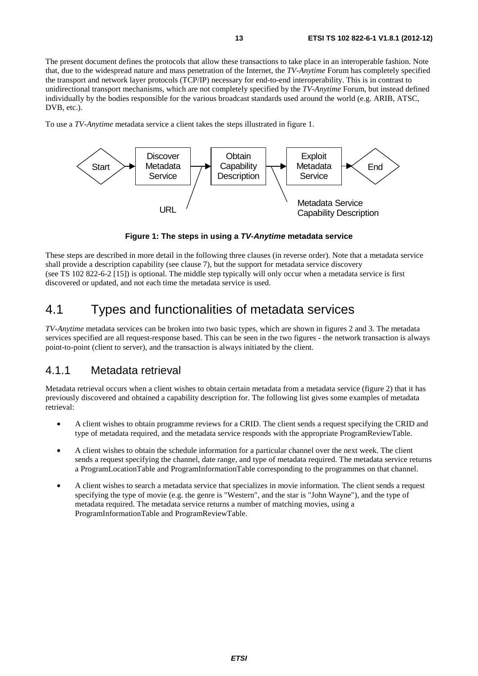The present document defines the protocols that allow these transactions to take place in an interoperable fashion. Note that, due to the widespread nature and mass penetration of the Internet, the *TV-Anytime* Forum has completely specified the transport and network layer protocols (TCP/IP) necessary for end-to-end interoperability. This is in contrast to unidirectional transport mechanisms, which are not completely specified by the *TV-Anytime* Forum, but instead defined individually by the bodies responsible for the various broadcast standards used around the world (e.g. ARIB, ATSC, DVB, etc.).

To use a *TV-Anytime* metadata service a client takes the steps illustrated in figure 1.



**Figure 1: The steps in using a** *TV-Anytime* **metadata service** 

These steps are described in more detail in the following three clauses (in reverse order). Note that a metadata service shall provide a description capability (see clause 7), but the support for metadata service discovery (see TS 102 822-6-2 [15]) is optional. The middle step typically will only occur when a metadata service is first discovered or updated, and not each time the metadata service is used.

### 4.1 Types and functionalities of metadata services

*TV-Anytime* metadata services can be broken into two basic types, which are shown in figures 2 and 3. The metadata services specified are all request-response based. This can be seen in the two figures - the network transaction is always point-to-point (client to server), and the transaction is always initiated by the client.

### 4.1.1 Metadata retrieval

Metadata retrieval occurs when a client wishes to obtain certain metadata from a metadata service (figure 2) that it has previously discovered and obtained a capability description for. The following list gives some examples of metadata retrieval:

- A client wishes to obtain programme reviews for a CRID. The client sends a request specifying the CRID and type of metadata required, and the metadata service responds with the appropriate ProgramReviewTable.
- A client wishes to obtain the schedule information for a particular channel over the next week. The client sends a request specifying the channel, date range, and type of metadata required. The metadata service returns a ProgramLocationTable and ProgramInformationTable corresponding to the programmes on that channel.
- A client wishes to search a metadata service that specializes in movie information. The client sends a request specifying the type of movie (e.g. the genre is "Western", and the star is "John Wayne"), and the type of metadata required. The metadata service returns a number of matching movies, using a ProgramInformationTable and ProgramReviewTable.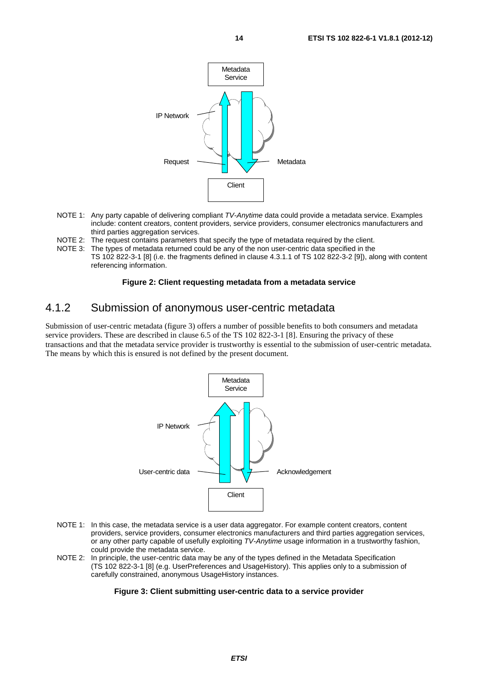

- NOTE 1: Any party capable of delivering compliant *TV-Anytime* data could provide a metadata service. Examples include: content creators, content providers, service providers, consumer electronics manufacturers and third parties aggregation services.
- NOTE 2: The request contains parameters that specify the type of metadata required by the client.
- NOTE 3: The types of metadata returned could be any of the non user-centric data specified in the TS 102 822-3-1 [8] (i.e. the fragments defined in clause 4.3.1.1 of TS 102 822-3-2 [9]), along with content referencing information.

#### **Figure 2: Client requesting metadata from a metadata service**

### 4.1.2 Submission of anonymous user-centric metadata

Submission of user-centric metadata (figure 3) offers a number of possible benefits to both consumers and metadata service providers. These are described in clause 6.5 of the TS 102 822-3-1 [8]. Ensuring the privacy of these transactions and that the metadata service provider is trustworthy is essential to the submission of user-centric metadata. The means by which this is ensured is not defined by the present document.



- NOTE 1: In this case, the metadata service is a user data aggregator. For example content creators, content providers, service providers, consumer electronics manufacturers and third parties aggregation services, or any other party capable of usefully exploiting *TV-Anytime* usage information in a trustworthy fashion, could provide the metadata service.
- NOTE 2: In principle, the user-centric data may be any of the types defined in the Metadata Specification (TS 102 822-3-1 [8] (e.g. UserPreferences and UsageHistory). This applies only to a submission of carefully constrained, anonymous UsageHistory instances.

#### **Figure 3: Client submitting user-centric data to a service provider**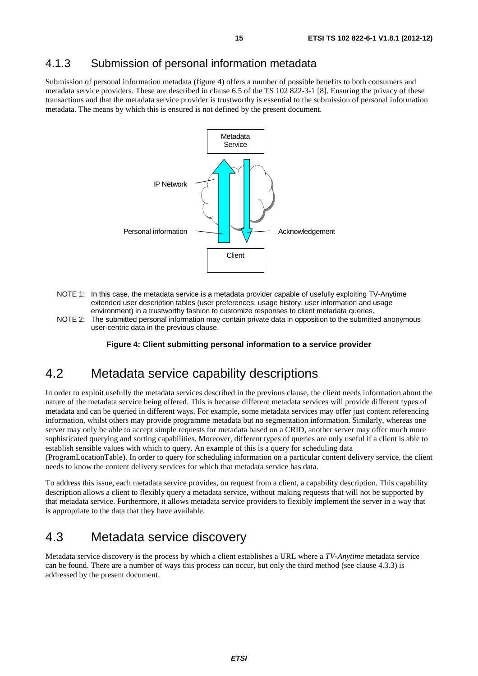### 4.1.3 Submission of personal information metadata

Submission of personal information metadata (figure 4) offers a number of possible benefits to both consumers and metadata service providers. These are described in clause 6.5 of the TS 102 822-3-1 [8]. Ensuring the privacy of these transactions and that the metadata service provider is trustworthy is essential to the submission of personal information metadata. The means by which this is ensured is not defined by the present document.



- NOTE 1: In this case, the metadata service is a metadata provider capable of usefully exploiting TV-Anytime extended user description tables (user preferences, usage history, user information and usage environment) in a trustworthy fashion to customize responses to client metadata queries.
- NOTE 2: The submitted personal information may contain private data in opposition to the submitted anonymous user-centric data in the previous clause.

**Figure 4: Client submitting personal information to a service provider** 

### 4.2 Metadata service capability descriptions

In order to exploit usefully the metadata services described in the previous clause, the client needs information about the nature of the metadata service being offered. This is because different metadata services will provide different types of metadata and can be queried in different ways. For example, some metadata services may offer just content referencing information, whilst others may provide programme metadata but no segmentation information. Similarly, whereas one server may only be able to accept simple requests for metadata based on a CRID, another server may offer much more sophisticated querying and sorting capabilities. Moreover, different types of queries are only useful if a client is able to establish sensible values with which to query. An example of this is a query for scheduling data

(ProgramLocationTable). In order to query for scheduling information on a particular content delivery service, the client needs to know the content delivery services for which that metadata service has data.

To address this issue, each metadata service provides, on request from a client, a capability description. This capability description allows a client to flexibly query a metadata service, without making requests that will not be supported by that metadata service. Furthermore, it allows metadata service providers to flexibly implement the server in a way that is appropriate to the data that they have available.

### 4.3 Metadata service discovery

Metadata service discovery is the process by which a client establishes a URL where a *TV-Anytime* metadata service can be found. There are a number of ways this process can occur, but only the third method (see clause 4.3.3) is addressed by the present document.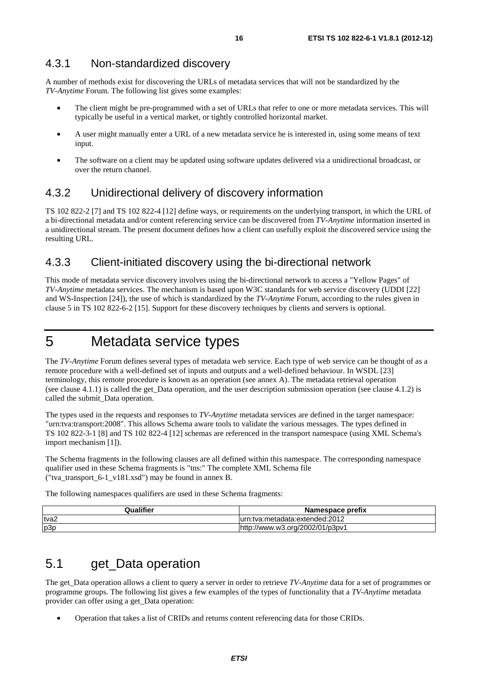A number of methods exist for discovering the URLs of metadata services that will not be standardized by the *TV-Anytime* Forum. The following list gives some examples:

- The client might be pre-programmed with a set of URLs that refer to one or more metadata services. This will typically be useful in a vertical market, or tightly controlled horizontal market.
- A user might manually enter a URL of a new metadata service he is interested in, using some means of text input.
- The software on a client may be updated using software updates delivered via a unidirectional broadcast, or over the return channel.

### 4.3.2 Unidirectional delivery of discovery information

TS 102 822-2 [7] and TS 102 822-4 [12] define ways, or requirements on the underlying transport, in which the URL of a bi-directional metadata and/or content referencing service can be discovered from *TV-Anytime* information inserted in a unidirectional stream. The present document defines how a client can usefully exploit the discovered service using the resulting URL.

### 4.3.3 Client-initiated discovery using the bi-directional network

This mode of metadata service discovery involves using the bi-directional network to access a "Yellow Pages" of *TV-Anytime* metadata services. The mechanism is based upon W3C standards for web service discovery (UDDI [22] and WS-Inspection [24]), the use of which is standardized by the *TV-Anytime* Forum, according to the rules given in clause 5 in TS 102 822-6-2 [15]. Support for these discovery techniques by clients and servers is optional.

# 5 Metadata service types

The *TV-Anytime* Forum defines several types of metadata web service. Each type of web service can be thought of as a remote procedure with a well-defined set of inputs and outputs and a well-defined behaviour. In WSDL [23] terminology, this remote procedure is known as an operation (see annex A). The metadata retrieval operation (see clause 4.1.1) is called the get\_Data operation, and the user description submission operation (see clause 4.1.2) is called the submit\_Data operation.

The types used in the requests and responses to *TV-Anytime* metadata services are defined in the target namespace: "urn:tva:transport:2008". This allows Schema aware tools to validate the various messages. The types defined in TS 102 822-3-1 [8] and TS 102 822-4 [12] schemas are referenced in the transport namespace (using XML Schema's import mechanism [1]).

The Schema fragments in the following clauses are all defined within this namespace. The corresponding namespace qualifier used in these Schema fragments is "tns:" The complete XML Schema file ("tva\_transport\_6-1\_v181.xsd") may be found in annex B.

The following namespaces qualifiers are used in these Schema fragments:

| Qualifier | Namespace prefix                |
|-----------|---------------------------------|
| tva2      | lurn:tva:metadata:extended:2012 |
| p3p       | http://www.w3.org/2002/01/p3pv1 |

# 5.1 get Data operation

The get\_Data operation allows a client to query a server in order to retrieve *TV-Anytime* data for a set of programmes or programme groups. The following list gives a few examples of the types of functionality that a *TV-Anytime* metadata provider can offer using a get\_Data operation:

• Operation that takes a list of CRIDs and returns content referencing data for those CRIDs.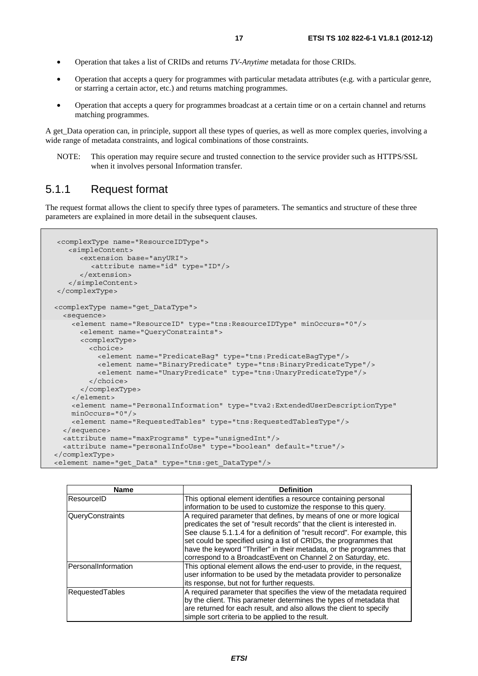- 
- Operation that takes a list of CRIDs and returns *TV-Anytime* metadata for those CRIDs.
- Operation that accepts a query for programmes with particular metadata attributes (e.g. with a particular genre, or starring a certain actor, etc.) and returns matching programmes.
- Operation that accepts a query for programmes broadcast at a certain time or on a certain channel and returns matching programmes.

A get Data operation can, in principle, support all these types of queries, as well as more complex queries, involving a wide range of metadata constraints, and logical combinations of those constraints.

NOTE: This operation may require secure and trusted connection to the service provider such as HTTPS/SSL when it involves personal Information transfer.

### 5.1.1 Request format

The request format allows the client to specify three types of parameters. The semantics and structure of these three parameters are explained in more detail in the subsequent clauses.

```
<complexType name="ResourceIDType"> 
    <simpleContent> 
       <extension base="anyURI"> 
          <attribute name="id" type="ID"/> 
       </extension> 
    </simpleContent> 
</complexType> 
 <complexType name="get_DataType"> 
   <sequence> 
     <element name="ResourceID" type="tns:ResourceIDType" minOccurs="0"/> 
       <element name="QueryConstraints"> 
       <complexType> 
         <choice> 
           <element name="PredicateBag" type="tns:PredicateBagType"/> 
           <element name="BinaryPredicate" type="tns:BinaryPredicateType"/> 
           <element name="UnaryPredicate" type="tns:UnaryPredicateType"/> 
         </choice> 
       </complexType> 
     </element> 
     <element name="PersonalInformation" type="tva2:ExtendedUserDescriptionType" 
     minOccurs="0"/> 
     <element name="RequestedTables" type="tns:RequestedTablesType"/> 
   </sequence> 
   <attribute name="maxPrograms" type="unsignedInt"/> 
   <attribute name="personalInfoUse" type="boolean" default="true"/> 
</complexType> 
<element name="get_Data" type="tns:get_DataType"/>
```

| <b>Name</b>         | <b>Definition</b>                                                                                                                                                                                                                                                                                                                                                                                                                          |
|---------------------|--------------------------------------------------------------------------------------------------------------------------------------------------------------------------------------------------------------------------------------------------------------------------------------------------------------------------------------------------------------------------------------------------------------------------------------------|
| ResourceID          | This optional element identifies a resource containing personal                                                                                                                                                                                                                                                                                                                                                                            |
|                     | information to be used to customize the response to this query.                                                                                                                                                                                                                                                                                                                                                                            |
| QueryConstraints    | A required parameter that defines, by means of one or more logical<br>predicates the set of "result records" that the client is interested in.<br>See clause 5.1.1.4 for a definition of "result record". For example, this<br>set could be specified using a list of CRIDs, the programmes that<br>have the keyword "Thriller" in their metadata, or the programmes that<br>correspond to a BroadcastEvent on Channel 2 on Saturday, etc. |
| PersonalInformation | This optional element allows the end-user to provide, in the request,<br>user information to be used by the metadata provider to personalize<br>lits response, but not for further requests.                                                                                                                                                                                                                                               |
| RequestedTables     | A required parameter that specifies the view of the metadata required<br>by the client. This parameter determines the types of metadata that<br>are returned for each result, and also allows the client to specify<br>simple sort criteria to be applied to the result.                                                                                                                                                                   |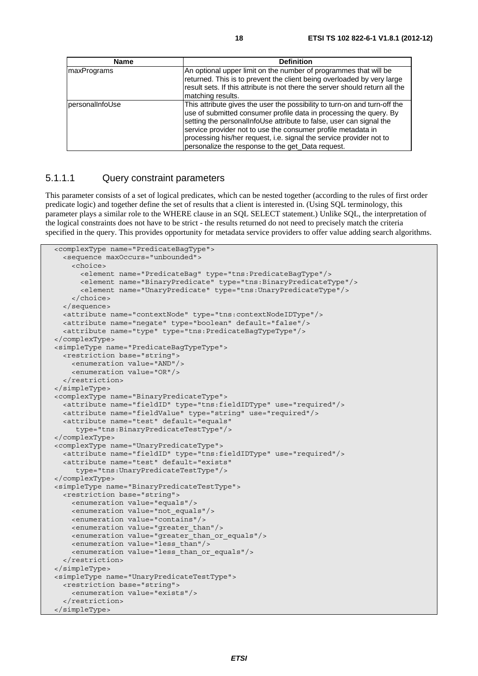| <b>Name</b>     | <b>Definition</b>                                                                                                                                                                                                                                                                                                                                                                                                  |
|-----------------|--------------------------------------------------------------------------------------------------------------------------------------------------------------------------------------------------------------------------------------------------------------------------------------------------------------------------------------------------------------------------------------------------------------------|
| maxPrograms     | An optional upper limit on the number of programmes that will be<br>returned. This is to prevent the client being overloaded by very large<br>Iresult sets. If this attribute is not there the server should return all the<br>matching results.                                                                                                                                                                   |
| personalInfoUse | This attribute gives the user the possibility to turn-on and turn-off the<br>use of submitted consumer profile data in processing the query. By<br>setting the personal nfoUse attribute to false, user can signal the<br>service provider not to use the consumer profile metadata in<br>processing his/her request, i.e. signal the service provider not to<br>personalize the response to the get Data request. |

#### 5.1.1.1 Query constraint parameters

This parameter consists of a set of logical predicates, which can be nested together (according to the rules of first order predicate logic) and together define the set of results that a client is interested in. (Using SQL terminology, this parameter plays a similar role to the WHERE clause in an SQL SELECT statement.) Unlike SQL, the interpretation of the logical constraints does not have to be strict - the results returned do not need to precisely match the criteria specified in the query. This provides opportunity for metadata service providers to offer value adding search algorithms.

```
 <complexType name="PredicateBagType"> 
   <sequence maxOccurs="unbounded"> 
     <choice> 
       <element name="PredicateBag" type="tns:PredicateBagType"/> 
       <element name="BinaryPredicate" type="tns:BinaryPredicateType"/> 
       <element name="UnaryPredicate" type="tns:UnaryPredicateType"/> 
     </choice> 
   </sequence> 
   <attribute name="contextNode" type="tns:contextNodeIDType"/> 
   <attribute name="negate" type="boolean" default="false"/> 
   <attribute name="type" type="tns:PredicateBagTypeType"/> 
 </complexType> 
 <simpleType name="PredicateBagTypeType"> 
   <restriction base="string"> 
     <enumeration value="AND"/> 
     <enumeration value="OR"/> 
   </restriction> 
 </simpleType> 
 <complexType name="BinaryPredicateType"> 
   <attribute name="fieldID" type="tns:fieldIDType" use="required"/> 
   <attribute name="fieldValue" type="string" use="required"/> 
   <attribute name="test" default="equals" 
      type="tns:BinaryPredicateTestType"/> 
 </complexType> 
 <complexType name="UnaryPredicateType"> 
   <attribute name="fieldID" type="tns:fieldIDType" use="required"/> 
   <attribute name="test" default="exists" 
      type="tns:UnaryPredicateTestType"/> 
 </complexType> 
 <simpleType name="BinaryPredicateTestType"> 
   <restriction base="string"> 
     <enumeration value="equals"/> 
     <enumeration value="not_equals"/> 
     <enumeration value="contains"/> 
     <enumeration value="greater_than"/> 
     <enumeration value="greater_than_or_equals"/> 
     <enumeration value="less_than"/> 
     <enumeration value="less_than_or_equals"/> 
   </restriction> 
 </simpleType> 
 <simpleType name="UnaryPredicateTestType"> 
   <restriction base="string"> 
     <enumeration value="exists"/> 
   </restriction> 
 </simpleType>
```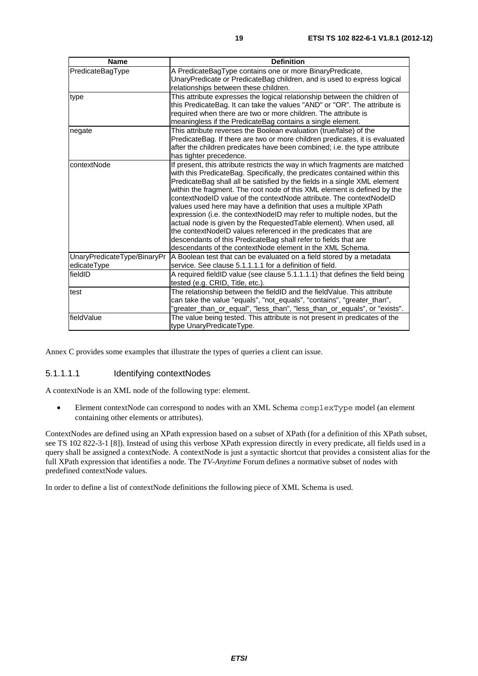| <b>Name</b>                 | <b>Definition</b>                                                            |
|-----------------------------|------------------------------------------------------------------------------|
| PredicateBagType            | A PredicateBagType contains one or more BinaryPredicate,                     |
|                             | UnaryPredicate or PredicateBag children, and is used to express logical      |
|                             | relationships between these children.                                        |
| type                        | This attribute expresses the logical relationship between the children of    |
|                             | this PredicateBag. It can take the values "AND" or "OR". The attribute is    |
|                             | required when there are two or more children. The attribute is               |
|                             | meaningless if the PredicateBag contains a single element.                   |
| negate                      | This attribute reverses the Boolean evaluation (true/false) of the           |
|                             | PredicateBag. If there are two or more children predicates, it is evaluated  |
|                             | after the children predicates have been combined; i.e. the type attribute    |
|                             | has tighter precedence.                                                      |
| contextNode                 | If present, this attribute restricts the way in which fragments are matched  |
|                             | with this PredicateBag. Specifically, the predicates contained within this   |
|                             | PredicateBag shall all be satisfied by the fields in a single XML element    |
|                             | within the fragment. The root node of this XML element is defined by the     |
|                             | contextNodeID value of the contextNode attribute. The contextNodeID          |
|                             | values used here may have a definition that uses a multiple XPath            |
|                             | expression (i.e. the contextNodeID may refer to multiple nodes, but the      |
|                             | actual node is given by the RequestedTable element). When used, all          |
|                             | the contextNodeID values referenced in the predicates that are               |
|                             | descendants of this PredicateBag shall refer to fields that are              |
|                             | descendants of the contextNode element in the XML Schema.                    |
| UnaryPredicateType/BinaryPr | A Boolean test that can be evaluated on a field stored by a metadata         |
| edicateType                 | service. See clause 5.1.1.1.1 for a definition of field.                     |
| fieldID                     | A required fieldID value (see clause 5.1.1.1.1) that defines the field being |
|                             | tested (e.g. CRID, Title, etc.).                                             |
| test                        | The relationship between the fieldID and the fieldValue. This attribute      |
|                             | can take the value "equals", "not_equals", "contains", "greater_than",       |
|                             | "greater_than_or_equal", "less_than", "less_than_or_equals", or "exists".    |
| fieldValue                  | The value being tested. This attribute is not present in predicates of the   |
|                             | type UnaryPredicateType.                                                     |

Annex C provides some examples that illustrate the types of queries a client can issue.

### 5.1.1.1.1 Identifying contextNodes

A contextNode is an XML node of the following type: element.

• Element contextNode can correspond to nodes with an XML Schema complexType model (an element containing other elements or attributes).

ContextNodes are defined using an XPath expression based on a subset of XPath (for a definition of this XPath subset, see TS 102 822-3-1 [8]). Instead of using this verbose XPath expression directly in every predicate, all fields used in a query shall be assigned a contextNode. A contextNode is just a syntactic shortcut that provides a consistent alias for the full XPath expression that identifies a node. The *TV-Anytime* Forum defines a normative subset of nodes with predefined contextNode values.

In order to define a list of contextNode definitions the following piece of XML Schema is used.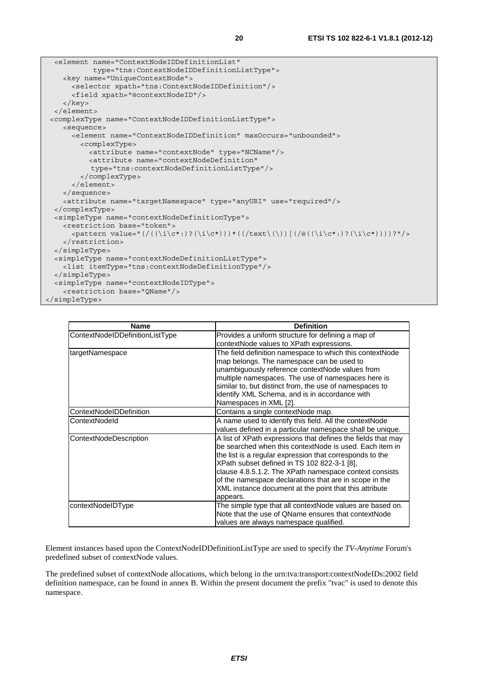```
 <element name="ContextNodeIDDefinitionList" 
             type="tns:ContextNodeIDDefinitionListType"> 
     <key name="UniqueContextNode"> 
       <selector xpath="tns:ContextNodeIDDefinition"/> 
       <field xpath="@contextNodeID"/> 
     </key> 
   </element> 
 <complexType name="ContextNodeIDDefinitionListType"> 
     <sequence> 
       <element name="ContextNodeIDDefinition" maxOccurs="unbounded"> 
          <complexType> 
            <attribute name="contextNode" type="NCName"/> 
            <attribute name="contextNodeDefinition" 
            type="tns:contextNodeDefinitionListType"/> 
          </complexType> 
       </element> 
     </sequence> 
     <attribute name="targetNamespace" type="anyURI" use="required"/> 
   </complexType> 
   <simpleType name="contextNodeDefinitionType"> 
     <restriction base="token"> 
      \langle <pattern value="(/(\langle \iota \rangle(\langle \iota \rangle)?'\langle \iota \rangle(\langle \iota \rangle)))*((/text\langle \iota \rangle)))(/\langle \iota \rangle(\langle \iota \rangle)))?"/>
     </restriction> 
   </simpleType> 
   <simpleType name="contextNodeDefinitionListType"> 
     <list itemType="tns:contextNodeDefinitionType"/> 
   </simpleType> 
   <simpleType name="contextNodeIDType"> 
     <restriction base="QName"/> 
</simpleType>
```

| <b>Name</b>                     | <b>Definition</b>                                                                                                                                                                                                                                                                                                                                                                                                            |
|---------------------------------|------------------------------------------------------------------------------------------------------------------------------------------------------------------------------------------------------------------------------------------------------------------------------------------------------------------------------------------------------------------------------------------------------------------------------|
| ContextNodeIDDefinitionListType | Provides a uniform structure for defining a map of<br>contextNode values to XPath expressions.                                                                                                                                                                                                                                                                                                                               |
| targetNamespace                 | The field definition namespace to which this contextNode<br>map belongs. The namespace can be used to<br>unambiguously reference contextNode values from<br>multiple namespaces. The use of namespaces here is<br>similar to, but distinct from, the use of namespaces to<br>identify XML Schema, and is in accordance with<br>Namespaces in XML [2].                                                                        |
| ContextNodeIDDefinition         | Contains a single contextNode map.                                                                                                                                                                                                                                                                                                                                                                                           |
| ContextNodeld                   | A name used to identify this field. All the contextNode<br>values defined in a particular namespace shall be unique.                                                                                                                                                                                                                                                                                                         |
| ContextNodeDescription          | A list of XPath expressions that defines the fields that may<br>be searched when this contextNode is used. Each item in<br>the list is a regular expression that corresponds to the<br>XPath subset defined in TS 102 822-3-1 [8],<br>clause 4.8.5.1.2. The XPath namespace context consists<br>of the namespace declarations that are in scope in the<br>XML instance document at the point that this attribute<br>appears. |
| contextNodeIDType               | The simple type that all contextNode values are based on.<br>Note that the use of QName ensures that contextNode<br>values are always namespace qualified.                                                                                                                                                                                                                                                                   |

Element instances based upon the ContextNodeIDDefinitionListType are used to specify the *TV-Anytime* Forum's predefined subset of contextNode values.

The predefined subset of contextNode allocations, which belong in the urn:tva:transport:contextNodeIDs:2002 field definition namespace, can be found in annex B. Within the present document the prefix "tvac" is used to denote this namespace.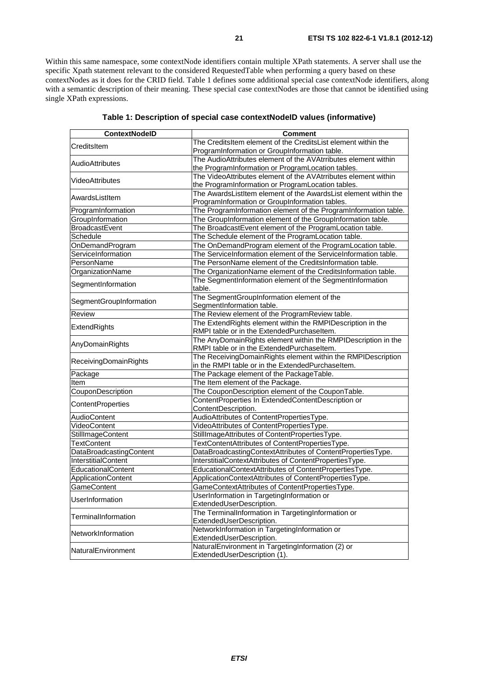Within this same namespace, some contextNode identifiers contain multiple XPath statements. A server shall use the specific Xpath statement relevant to the considered RequestedTable when performing a query based on these contextNodes as it does for the CRID field. Table 1 defines some additional special case contextNode identifiers, along with a semantic description of their meaning. These special case contextNodes are those that cannot be identified using single XPath expressions.

| <b>ContextNodelD</b>      | Comment                                                         |
|---------------------------|-----------------------------------------------------------------|
| CreditsItem               | The CreditsItem element of the CreditsList element within the   |
|                           | ProgramInformation or GroupInformation table.                   |
| <b>AudioAttributes</b>    | The AudioAttributes element of the AVAtrributes element within  |
|                           | the ProgramInformation or ProgramLocation tables.               |
| VideoAttributes           | The VideoAttributes element of the AVAtrributes element within  |
|                           | the ProgramInformation or ProgramLocation tables.               |
| AwardsListItem            | The AwardsListItem element of the AwardsList element within the |
|                           | ProgramInformation or GroupInformation tables.                  |
| ProgramInformation        | The ProgramInformation element of the ProgramInformation table. |
| GroupInformation          | The GroupInformation element of the GroupInformation table.     |
| BroadcastEvent            | The BroadcastEvent element of the ProgramLocation table.        |
| Schedule                  | The Schedule element of the ProgramLocation table.              |
| OnDemandProgram           | The OnDemandProgram element of the ProgramLocation table.       |
| ServiceInformation        | The ServiceInformation element of the ServiceInformation table. |
| PersonName                | The PersonName element of the CreditsInformation table.         |
| OrganizationName          | The OrganizationName element of the CreditsInformation table.   |
| SegmentInformation        | The SegmentInformation element of the SegmentInformation        |
|                           | table.                                                          |
| SegmentGroupInformation   | The SegmentGroupInformation element of the                      |
|                           | SegmentInformation table.                                       |
| <b>Review</b>             | The Review element of the ProgramReview table.                  |
| ExtendRights              | The ExtendRights element within the RMPIDescription in the      |
|                           | RMPI table or in the ExtendedPurchaseItem.                      |
| AnyDomainRights           | The AnyDomainRights element within the RMPIDescription in the   |
|                           | RMPI table or in the ExtendedPurchaseItem.                      |
| ReceivingDomainRights     | The ReceivingDomainRights element within the RMPIDescription    |
|                           | in the RMPI table or in the ExtendedPurchaseItem.               |
| Package                   | The Package element of the PackageTable.                        |
| Item                      | The Item element of the Package.                                |
| CouponDescription         | The CouponDescription element of the CouponTable.               |
| <b>ContentProperties</b>  | ContentProperties In ExtendedContentDescription or              |
|                           | ContentDescription.                                             |
| AudioContent              | AudioAttributes of ContentPropertiesType.                       |
| VideoContent              | VideoAttributes of ContentPropertiesType.                       |
| StillImageContent         | StillImageAttributes of ContentPropertiesType.                  |
| <b>TextContent</b>        | TextContentAttributes of ContentPropertiesType.                 |
| DataBroadcastingContent   | DataBroadcastingContextAttributes of ContentPropertiesType.     |
| InterstitialContent       | InterstitialContextAttributes of ContentPropertiesType.         |
| EducationalContent        | EducationalContextAttributes of ContentPropertiesType.          |
| <b>ApplicationContent</b> | ApplicationContextAttributes of ContentPropertiesType.          |
| GameContent               | GameContextAttributes of ContentPropertiesType.                 |
| <b>UserInformation</b>    | UserInformation in TargetingInformation or                      |
|                           | ExtendedUserDescription.                                        |
| TerminalInformation       | The TerminalInformation in TargetingInformation or              |
|                           | ExtendedUserDescription.                                        |
| NetworkInformation        | NetworkInformation in TargetingInformation or                   |
|                           | ExtendedUserDescription.                                        |
| NaturalEnvironment        | NaturalEnvironment in TargetingInformation (2) or               |
|                           | ExtendedUserDescription (1).                                    |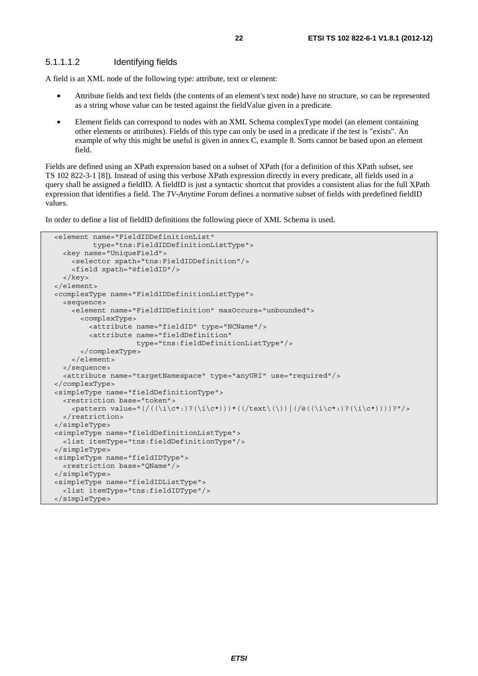### 5.1.1.1.2 Identifying fields

A field is an XML node of the following type: attribute, text or element:

- Attribute fields and text fields (the contents of an element's text node) have no structure, so can be represented as a string whose value can be tested against the fieldValue given in a predicate.
- Element fields can correspond to nodes with an XML Schema complexType model (an element containing other elements or attributes). Fields of this type can only be used in a predicate if the test is "exists". An example of why this might be useful is given in annex C, example 8. Sorts cannot be based upon an element field.

Fields are defined using an XPath expression based on a subset of XPath (for a definition of this XPath subset, see TS 102 822-3-1 [8]). Instead of using this verbose XPath expression directly in every predicate, all fields used in a query shall be assigned a fieldID. A fieldID is just a syntactic shortcut that provides a consistent alias for the full XPath expression that identifies a field. The *TV-Anytime* Forum defines a normative subset of fields with predefined fieldID values.

In order to define a list of fieldID definitions the following piece of XML Schema is used.

```
 <element name="FieldIDDefinitionList" 
          type="tns:FieldIDDefinitionListType"> 
   <key name="UniqueField"> 
     <selector xpath="tns:FieldIDDefinition"/> 
     <field xpath="@fieldID"/> 
   </key> 
 </element> 
 <complexType name="FieldIDDefinitionListType"> 
   <sequence> 
     <element name="FieldIDDefinition" maxOccurs="unbounded"> 
       <complexType> 
         <attribute name="fieldID" type="NCName"/> 
         <attribute name="fieldDefinition" 
                     type="tns:fieldDefinitionListType"/> 
       </complexType> 
     </element> 
   </sequence> 
   <attribute name="targetNamespace" type="anyURI" use="required"/> 
 </complexType> 
 <simpleType name="fieldDefinitionType"> 
   <restriction base="token"> 
     <pattern value="(/((\i\c*:)?(\i\c*)))*((/text\(\))|(/@((\i\c*:)?(\i\c*))))?"/> 
  </restriction>
 </simpleType> 
 <simpleType name="fieldDefinitionListType"> 
   <list itemType="tns:fieldDefinitionType"/> 
 </simpleType> 
 <simpleType name="fieldIDType"> 
   <restriction base="QName"/> 
 </simpleType> 
 <simpleType name="fieldIDListType"> 
   <list itemType="tns:fieldIDType"/> 
 </simpleType>
```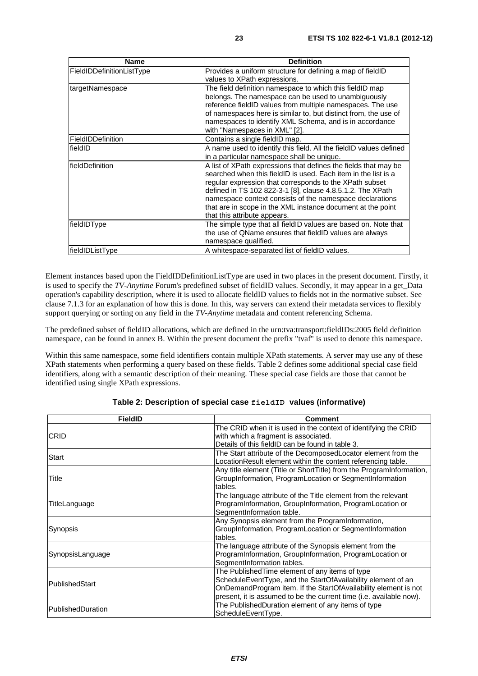| <b>Name</b>               | <b>Definition</b>                                                                                                                                                                                                                                                                                                                                                                                                     |
|---------------------------|-----------------------------------------------------------------------------------------------------------------------------------------------------------------------------------------------------------------------------------------------------------------------------------------------------------------------------------------------------------------------------------------------------------------------|
| FieldIDDefinitionListType | Provides a uniform structure for defining a map of fieldID<br>values to XPath expressions.                                                                                                                                                                                                                                                                                                                            |
| targetNamespace           | The field definition namespace to which this fieldID map<br>belongs. The namespace can be used to unambiguously<br>reference fieldID values from multiple namespaces. The use<br>of namespaces here is similar to, but distinct from, the use of<br>namespaces to identify XML Schema, and is in accordance<br>with "Namespaces in XML" [2].                                                                          |
| FieldIDDefinition         | Contains a single fieldID map.                                                                                                                                                                                                                                                                                                                                                                                        |
| fieldID                   | A name used to identify this field. All the fieldID values defined<br>in a particular namespace shall be unique.                                                                                                                                                                                                                                                                                                      |
| <b>IfieldDefinition</b>   | A list of XPath expressions that defines the fields that may be<br>searched when this fieldID is used. Each item in the list is a<br>regular expression that corresponds to the XPath subset<br>defined in TS 102 822-3-1 [8], clause 4.8.5.1.2. The XPath<br>namespace context consists of the namespace declarations<br>that are in scope in the XML instance document at the point<br>that this attribute appears. |
| fieldIDType               | The simple type that all fieldID values are based on. Note that<br>the use of QName ensures that fieldID values are always<br>namespace qualified.                                                                                                                                                                                                                                                                    |
| fieldIDListType           | A whitespace-separated list of fieldID values.                                                                                                                                                                                                                                                                                                                                                                        |

Element instances based upon the FieldIDDefinitionListType are used in two places in the present document. Firstly, it is used to specify the *TV-Anytime* Forum's predefined subset of fieldID values. Secondly, it may appear in a get\_Data operation's capability description, where it is used to allocate fieldID values to fields not in the normative subset. See clause 7.1.3 for an explanation of how this is done. In this, way servers can extend their metadata services to flexibly support querying or sorting on any field in the *TV-Anytime* metadata and content referencing Schema.

The predefined subset of fieldID allocations, which are defined in the urn:tva:transport:fieldIDs:2005 field definition namespace, can be found in annex B. Within the present document the prefix "tvaf" is used to denote this namespace.

Within this same namespace, some field identifiers contain multiple XPath statements. A server may use any of these XPath statements when performing a query based on these fields. Table 2 defines some additional special case field identifiers, along with a semantic description of their meaning. These special case fields are those that cannot be identified using single XPath expressions.

| <b>FieldID</b>    | <b>Comment</b>                                                       |
|-------------------|----------------------------------------------------------------------|
| <b>CRID</b>       | The CRID when it is used in the context of identifying the CRID      |
|                   | with which a fragment is associated.                                 |
|                   | Details of this fieldID can be found in table 3.                     |
| Start             | The Start attribute of the DecomposedLocator element from the        |
|                   | LocationResult element within the content referencing table.         |
|                   | Any title element (Title or ShortTitle) from the ProgramInformation, |
| Title             | GroupInformation, ProgramLocation or SegmentInformation              |
|                   | tables.                                                              |
|                   | The language attribute of the Title element from the relevant        |
| TitleLanguage     | ProgramInformation, GroupInformation, ProgramLocation or             |
|                   | SegmentInformation table.                                            |
|                   | Any Synopsis element from the ProgramInformation,                    |
| Synopsis          | GroupInformation, ProgramLocation or SegmentInformation              |
|                   | tables.                                                              |
|                   | The language attribute of the Synopsis element from the              |
| SynopsisLanguage  | ProgramInformation, GroupInformation, ProgramLocation or             |
|                   | SegmentInformation tables.                                           |
|                   | The Published Time element of any items of type                      |
| PublishedStart    | ScheduleEventType, and the StartOfAvailability element of an         |
|                   | OnDemandProgram item. If the StartOfAvailability element is not      |
|                   | present, it is assumed to be the current time (i.e. available now).  |
| PublishedDuration | The PublishedDuration element of any items of type                   |
|                   | ScheduleEventType.                                                   |

#### **Table 2: Description of special case fieldID values (informative)**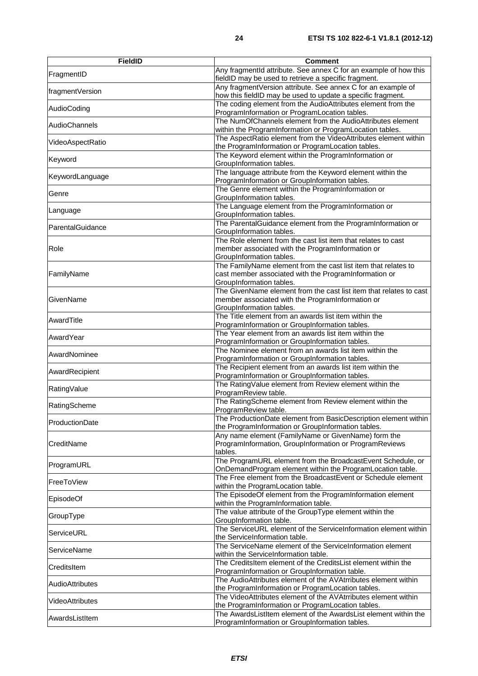| FieldID          | <b>Comment</b>                                                                                                                                      |
|------------------|-----------------------------------------------------------------------------------------------------------------------------------------------------|
| FragmentID       | Any fragmentId attribute. See annex C for an example of how this<br>fieldID may be used to retrieve a specific fragment.                            |
| fragmentVersion  | Any fragmentVersion attribute. See annex C for an example of<br>how this fieldID may be used to update a specific fragment.                         |
| AudioCoding      | The coding element from the AudioAttributes element from the<br>ProgramInformation or ProgramLocation tables.                                       |
| AudioChannels    | The NumOfChannels element from the AudioAttributes element<br>within the ProgramInformation or ProgramLocation tables.                              |
| VideoAspectRatio | The AspectRatio element from the VideoAttributes element within<br>the ProgramInformation or ProgramLocation tables.                                |
| Keyword          | The Keyword element within the ProgramInformation or<br>GroupInformation tables.                                                                    |
| KeywordLanguage  | The language attribute from the Keyword element within the<br>ProgramInformation or GroupInformation tables.                                        |
| Genre            | The Genre element within the ProgramInformation or<br>GroupInformation tables.                                                                      |
| Language         | The Language element from the ProgramInformation or<br>GroupInformation tables.                                                                     |
| ParentalGuidance | The ParentalGuidance element from the ProgramInformation or<br>GroupInformation tables.                                                             |
| Role             | The Role element from the cast list item that relates to cast<br>member associated with the ProgramInformation or<br>GroupInformation tables.       |
| FamilyName       | The FamilyName element from the cast list item that relates to<br>cast member associated with the ProgramInformation or<br>GroupInformation tables. |
| GivenName        | The GivenName element from the cast list item that relates to cast<br>member associated with the ProgramInformation or<br>GroupInformation tables.  |
| AwardTitle       | The Title element from an awards list item within the<br>ProgramInformation or GroupInformation tables.                                             |
| AwardYear        | The Year element from an awards list item within the<br>ProgramInformation or GroupInformation tables.                                              |
| AwardNominee     | The Nominee element from an awards list item within the<br>ProgramInformation or GroupInformation tables.                                           |
| AwardRecipient   | The Recipient element from an awards list item within the<br>ProgramInformation or GroupInformation tables.                                         |
| RatingValue      | The RatingValue element from Review element within the<br>ProgramReview table.                                                                      |
| RatingScheme     | The RatingScheme element from Review element within the<br>ProgramReview table.                                                                     |
| ProductionDate   | The ProductionDate element from BasicDescription element within<br>the ProgramInformation or GroupInformation tables.                               |
| CreditName       | Any name element (FamilyName or GivenName) form the<br>ProgramInformation, GroupInformation or ProgramReviews<br>tables.                            |
| ProgramURL       | The ProgramURL element from the BroadcastEvent Schedule, or<br>OnDemandProgram element within the ProgramLocation table.                            |
| FreeToView       | The Free element from the BroadcastEvent or Schedule element<br>within the ProgramLocation table.                                                   |
| EpisodeOf        | The EpisodeOf element from the ProgramInformation element<br>within the ProgramInformation table.                                                   |
| GroupType        | The value attribute of the GroupType element within the<br>GroupInformation table.                                                                  |
| ServiceURL       | The ServiceURL element of the ServiceInformation element within<br>the ServiceInformation table.                                                    |
| ServiceName      | The ServiceName element of the ServiceInformation element<br>within the ServiceInformation table.                                                   |
| CreditsItem      | The CreditsItem element of the CreditsList element within the<br>ProgramInformation or GroupInformation table.                                      |
| AudioAttributes  | The AudioAttributes element of the AVAtrributes element within<br>the ProgramInformation or ProgramLocation tables.                                 |
| VideoAttributes  | The VideoAttributes element of the AVAtrributes element within<br>the ProgramInformation or ProgramLocation tables.                                 |
| AwardsListItem   | The AwardsListItem element of the AwardsList element within the<br>ProgramInformation or GroupInformation tables.                                   |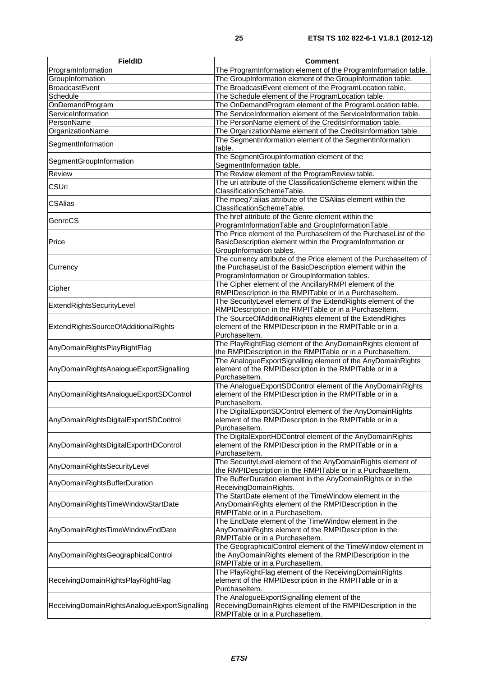| <b>FieldID</b>                                | <b>Comment</b>                                                                                                                                                                      |  |  |
|-----------------------------------------------|-------------------------------------------------------------------------------------------------------------------------------------------------------------------------------------|--|--|
| ProgramInformation                            | The ProgramInformation element of the ProgramInformation table.                                                                                                                     |  |  |
| GroupInformation                              | The GroupInformation element of the GroupInformation table.                                                                                                                         |  |  |
| <b>BroadcastEvent</b>                         | The BroadcastEvent element of the ProgramLocation table.                                                                                                                            |  |  |
| Schedule                                      | The Schedule element of the ProgramLocation table.                                                                                                                                  |  |  |
| OnDemandProgram                               | The OnDemandProgram element of the ProgramLocation table.                                                                                                                           |  |  |
| ServiceInformation                            | The ServiceInformation element of the ServiceInformation table.                                                                                                                     |  |  |
| PersonName                                    | The PersonName element of the CreditsInformation table.                                                                                                                             |  |  |
| OrganizationName                              | The OrganizationName element of the CreditsInformation table.                                                                                                                       |  |  |
| SegmentInformation                            | The SegmentInformation element of the SegmentInformation<br>table.                                                                                                                  |  |  |
| SegmentGroupInformation                       | The SegmentGroupInformation element of the<br>SegmentInformation table.                                                                                                             |  |  |
| <b>Review</b>                                 | The Review element of the ProgramReview table.                                                                                                                                      |  |  |
| <b>CSUri</b>                                  | The uri attribute of the ClassificationScheme element within the<br>ClassificationSchemeTable.                                                                                      |  |  |
| <b>CSAlias</b>                                | The mpeg7:alias attribute of the CSAlias element within the<br>ClassificationSchemeTable.                                                                                           |  |  |
| GenreCS                                       | The href attribute of the Genre element within the<br>ProgramInformationTable and GroupInformationTable.                                                                            |  |  |
| Price                                         | The Price element of the Purchaseltem of the PurchaseList of the<br>BasicDescription element within the ProgramInformation or<br>GroupInformation tables.                           |  |  |
| Currency                                      | The currency attribute of the Price element of the Purchaseltem of<br>the PurchaseList of the BasicDescription element within the<br>ProgramInformation or GroupInformation tables. |  |  |
| Cipher                                        | The Cipher element of the AncillaryRMPI element of the<br>RMPIDescription in the RMPITable or in a Purchaseltem.                                                                    |  |  |
| ExtendRightsSecurityLevel                     | The SecurityLevel element of the ExtendRights element of the<br>RMPIDescription in the RMPITable or in a Purchaseltem.                                                              |  |  |
| ExtendRightsSourceOfAdditionalRights          | The SourceOfAdditionalRights element of the ExtendRights<br>element of the RMPIDescription in the RMPITable or in a<br>Purchaseltem.                                                |  |  |
| AnyDomainRightsPlayRightFlag                  | The PlayRightFlag element of the AnyDomainRights element of<br>the RMPIDescription in the RMPITable or in a Purchaseltem.                                                           |  |  |
| AnyDomainRightsAnalogueExportSignalling       | The AnalogueExportSignalling element of the AnyDomainRights<br>element of the RMPIDescription in the RMPITable or in a<br>Purchaseltem.                                             |  |  |
| AnyDomainRightsAnalogueExportSDControl        | The AnalogueExportSDControl element of the AnyDomainRights<br>element of the RMPIDescription in the RMPITable or in a<br>Purchaseltem.                                              |  |  |
| AnyDomainRightsDigitalExportSDControl         | The DigitalExportSDControl element of the AnyDomainRights<br>element of the RMPIDescription in the RMPITable or in a<br>Purchaseltem.                                               |  |  |
| AnyDomainRightsDigitalExportHDControl         | The DigitalExportHDControl element of the AnyDomainRights<br>element of the RMPIDescription in the RMPITable or in a<br>Purchaseltem.                                               |  |  |
| AnyDomainRightsSecurityLevel                  | The SecurityLevel element of the AnyDomainRights element of<br>the RMPIDescription in the RMPITable or in a Purchaseltem.                                                           |  |  |
| AnyDomainRightsBufferDuration                 | The BufferDuration element in the AnyDomainRights or in the<br>ReceivingDomainRights.                                                                                               |  |  |
| AnyDomainRightsTimeWindowStartDate            | The StartDate element of the TimeWindow element in the<br>AnyDomainRights element of the RMPIDescription in the<br>RMPITable or in a Purchaseltem.                                  |  |  |
| AnyDomainRightsTimeWindowEndDate              | The EndDate element of the TimeWindow element in the<br>AnyDomainRights element of the RMPIDescription in the<br>RMPITable or in a Purchaseltem.                                    |  |  |
| AnyDomainRightsGeographicalControl            | The GeographicalControl element of the TimeWindow element in<br>the AnyDomainRights element of the RMPIDescription in the<br>RMPITable or in a Purchaseltem.                        |  |  |
| ReceivingDomainRightsPlayRightFlag            | The PlayRightFlag element of the ReceivingDomainRights<br>element of the RMPIDescription in the RMPITable or in a<br>Purchaseltem.                                                  |  |  |
| ReceivingDomainRightsAnalogueExportSignalling | The AnalogueExportSignalling element of the<br>ReceivingDomainRights element of the RMPIDescription in the<br>RMPITable or in a Purchaseltem.                                       |  |  |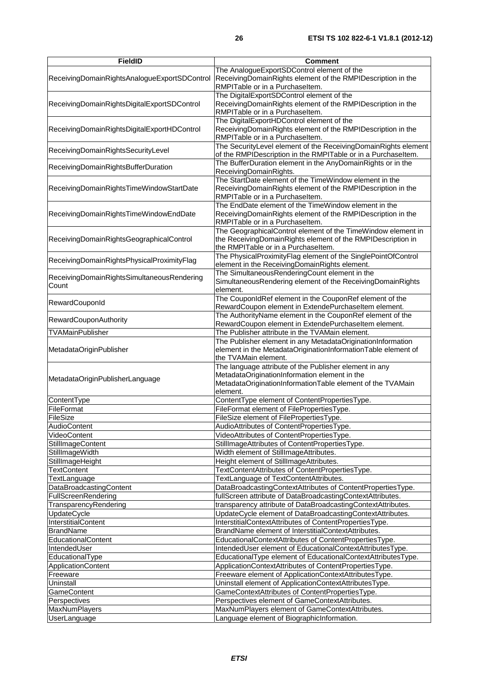| <b>FieldID</b>                                      | <b>Comment</b>                                                                                                                                                                    |  |  |
|-----------------------------------------------------|-----------------------------------------------------------------------------------------------------------------------------------------------------------------------------------|--|--|
| ReceivingDomainRightsAnalogueExportSDControl        | The AnalogueExportSDControl element of the<br>ReceivingDomainRights element of the RMPIDescription in the<br>RMPITable or in a Purchaseltem.                                      |  |  |
| ReceivingDomainRightsDigitalExportSDControl         | The DigitalExportSDControl element of the<br>ReceivingDomainRights element of the RMPIDescription in the<br>RMPITable or in a Purchaseltem.                                       |  |  |
| ReceivingDomainRightsDigitalExportHDControl         | The DigitalExportHDControl element of the<br>ReceivingDomainRights element of the RMPIDescription in the<br>RMPITable or in a Purchaseltem.                                       |  |  |
| ReceivingDomainRightsSecurityLevel                  | The SecurityLevel element of the ReceivingDomainRights element<br>of the RMPIDescription in the RMPITable or in a Purchaseltem.                                                   |  |  |
| ReceivingDomainRightsBufferDuration                 | The BufferDuration element in the AnyDomainRights or in the<br>ReceivingDomainRights.                                                                                             |  |  |
| ReceivingDomainRightsTimeWindowStartDate            | The StartDate element of the TimeWindow element in the<br>ReceivingDomainRights element of the RMPIDescription in the<br>RMPITable or in a Purchaseltem.                          |  |  |
| ReceivingDomainRightsTimeWindowEndDate              | The EndDate element of the TimeWindow element in the<br>ReceivingDomainRights element of the RMPIDescription in the<br>RMPITable or in a Purchaseltem.                            |  |  |
| ReceivingDomainRightsGeographicalControl            | The GeographicalControl element of the TimeWindow element in<br>the ReceivingDomainRights element of the RMPIDescription in<br>the RMPITable or in a Purchaseltem.                |  |  |
| ReceivingDomainRightsPhysicalProximityFlag          | The PhysicalProximityFlag element of the SinglePointOfControl<br>element in the ReceivingDomainRights element.                                                                    |  |  |
| ReceivingDomainRightsSimultaneousRendering<br>Count | The SimultaneousRenderingCount element in the<br>SimultaneousRendering element of the ReceivingDomainRights<br>element.                                                           |  |  |
| RewardCouponId                                      | The CouponIdRef element in the CouponRef element of the<br>RewardCoupon element in ExtendePurchaseltem element.                                                                   |  |  |
| RewardCouponAuthority                               | The AuthorityName element in the CouponRef element of the<br>RewardCoupon element in ExtendePurchaseltem element.                                                                 |  |  |
| <b>TVAMainPublisher</b>                             | The Publisher attribute in the TVAMain element.                                                                                                                                   |  |  |
| MetadataOriginPublisher                             | The Publisher element in any MetadataOriginationInformation<br>element in the MetadataOriginationInformationTable element of<br>the TVAMain element.                              |  |  |
| MetadataOriginPublisherLanguage                     | The language attribute of the Publisher element in any<br>MetadataOriginationInformation element in the<br>MetadataOriginationInformationTable element of the TVAMain<br>element. |  |  |
| ContentType                                         | ContentType element of ContentPropertiesType.                                                                                                                                     |  |  |
| <b>FileFormat</b>                                   | FileFormat element of FilePropertiesType.                                                                                                                                         |  |  |
| FileSize                                            | FileSize element of FilePropertiesType.                                                                                                                                           |  |  |
| AudioContent                                        | AudioAttributes of ContentPropertiesType.                                                                                                                                         |  |  |
| VideoContent                                        | VideoAttributes of ContentPropertiesType.                                                                                                                                         |  |  |
| StillImageContent                                   | StillImageAttributes of ContentPropertiesType.                                                                                                                                    |  |  |
| StillImageWidth                                     | Width element of StillImageAttributes.                                                                                                                                            |  |  |
| StillImageHeight                                    | Height element of StillImageAttributes.                                                                                                                                           |  |  |
| <b>TextContent</b>                                  | TextContentAttributes of ContentPropertiesType.                                                                                                                                   |  |  |
| TextLanguage                                        | TextLanguage of TextContentAttributes.                                                                                                                                            |  |  |
| DataBroadcastingContent                             | DataBroadcastingContextAttributes of ContentPropertiesType.                                                                                                                       |  |  |
| FullScreenRendering                                 | fullScreen attribute of DataBroadcastingContextAttributes.                                                                                                                        |  |  |
| TransparencyRendering                               | transparency attribute of DataBroadcastingContextAttributes.                                                                                                                      |  |  |
| <b>UpdateCycle</b>                                  | UpdateCycle element of DataBroadcastingContextAttributes.                                                                                                                         |  |  |
| InterstitialContent                                 | InterstitialContextAttributes of ContentPropertiesType.                                                                                                                           |  |  |
| <b>BrandName</b>                                    | BrandName element of InterstitialContextAttributes.                                                                                                                               |  |  |
| EducationalContent                                  | EducationalContextAttributes of ContentPropertiesType.                                                                                                                            |  |  |
| IntendedUser                                        | IntendedUser element of EducationalContextAttributesType.                                                                                                                         |  |  |
| EducationalType                                     | EducationalType element of EducationalContextAttributesType.                                                                                                                      |  |  |
| ApplicationContent                                  | ApplicationContextAttributes of ContentPropertiesType.                                                                                                                            |  |  |
| Freeware                                            | Freeware element of ApplicationContextAttributesType.                                                                                                                             |  |  |
| Uninstall                                           | Uninstall element of ApplicationContextAttributesType.                                                                                                                            |  |  |
| GameContent                                         | GameContextAttributes of ContentPropertiesType.                                                                                                                                   |  |  |
| Perspectives                                        | Perspectives element of GameContextAttributes.                                                                                                                                    |  |  |
| MaxNumPlayers                                       | MaxNumPlayers element of GameContextAttributes.                                                                                                                                   |  |  |
| UserLanguage                                        | Language element of BiographicInformation.                                                                                                                                        |  |  |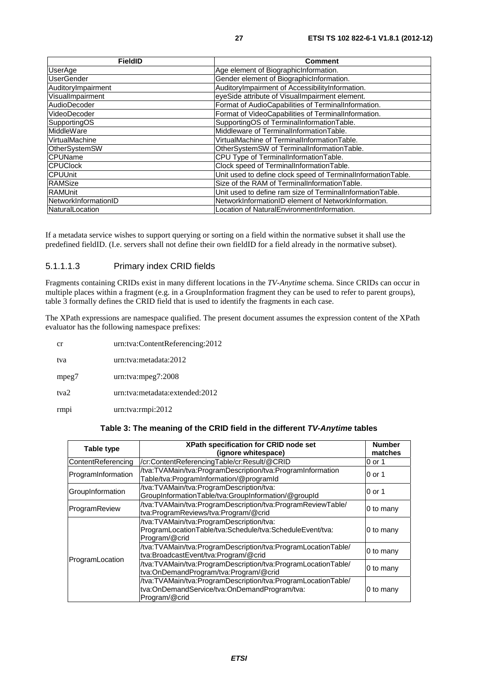| <b>FieldID</b>       | <b>Comment</b>                                               |
|----------------------|--------------------------------------------------------------|
| UserAge              | Age element of BiographicInformation.                        |
| <b>UserGender</b>    | Gender element of BiographicInformation.                     |
| AuditoryImpairment   | AuditoryImpairment of AccessibilityInformation.              |
| VisualImpairment     | eyeSide attribute of VisualImpairment element.               |
| AudioDecoder         | Format of AudioCapabilities of TerminalInformation.          |
| VideoDecoder         | Format of VideoCapabilities of TerminalInformation.          |
| SupportingOS         | SupportingOS of TerminalInformationTable.                    |
| MiddleWare           | Middleware of TerminalInformationTable.                      |
| VirtualMachine       | VirtualMachine of TerminalInformationTable.                  |
| OtherSystemSW        | OtherSystemSW of TerminalInformationTable.                   |
| <b>CPUName</b>       | CPU Type of TerminalInformationTable.                        |
| <b>CPUClock</b>      | Clock speed of TerminalInformationTable.                     |
| <b>CPUUnit</b>       | Unit used to define clock speed of TerminalInformationTable. |
| RAMSize              | Size of the RAM of TerminalInformationTable.                 |
| <b>RAMUnit</b>       | Unit used to define ram size of TerminalInformationTable.    |
| NetworkInformationID | NetworkInformationID element of NetworkInformation.          |
| NaturalLocation      | Location of NaturalEnvironmentInformation.                   |

If a metadata service wishes to support querying or sorting on a field within the normative subset it shall use the predefined fieldID. (I.e. servers shall not define their own fieldID for a field already in the normative subset).

### 5.1.1.1.3 Primary index CRID fields

Fragments containing CRIDs exist in many different locations in the *TV-Anytime* schema. Since CRIDs can occur in multiple places within a fragment (e.g. in a GroupInformation fragment they can be used to refer to parent groups), table 3 formally defines the CRID field that is used to identify the fragments in each case.

The XPath expressions are namespace qualified. The present document assumes the expression content of the XPath evaluator has the following namespace prefixes:

| cr               | urn:tva:ContentReferencing:2012 |
|------------------|---------------------------------|
| tva              | urn:tva:metadata:2012           |
| mpeg7            | urn:tva:mpeg7:2008              |
| tva2             | urn:tva:metadata:extended:2012  |
| rmp <sub>1</sub> | urn:tva:rmpi:2012               |

### **Table 3: The meaning of the CRID field in the different** *TV-Anytime* **tables**

| Table type         | XPath specification for CRID node set<br>(ignore whitespace)                                                                   | <b>Number</b><br>matches |
|--------------------|--------------------------------------------------------------------------------------------------------------------------------|--------------------------|
| ContentReferencing | /cr:ContentReferencingTable/cr:Result/@CRID                                                                                    | 0 or 1                   |
| ProgramInformation | /tva:TVAMain/tva:ProgramDescription/tva:ProgramInformation<br>Table/tva:ProgramInformation/@programId                          | 0 or 1                   |
| GroupInformation   | /tva:TVAMain/tva:ProgramDescription/tva:<br>GroupInformationTable/tva:GroupInformation/@groupId                                | 0 or 1                   |
| ProgramReview      | /tva:TVAMain/tva:ProgramDescription/tva:ProgramReviewTable/<br>tva:ProgramReviews/tva:Program/@crid                            | 0 to many                |
| ProgramLocation    | /tva:TVAMain/tva:ProgramDescription/tva:<br>ProgramLocationTable/tva:Schedule/tva:ScheduleEvent/tva:<br>Program/@crid          | 0 to many                |
|                    | /tva:TVAMain/tva:ProgramDescription/tva:ProgramLocationTable/<br>tva:BroadcastEvent/tva:Program/@crid                          | 0 to many                |
|                    | /tva:TVAMain/tva:ProgramDescription/tva:ProgramLocationTable/<br>tva:OnDemandProgram/tva:Program/@crid                         | 0 to many                |
|                    | /tva:TVAMain/tva:ProgramDescription/tva:ProgramLocationTable/<br>tva:OnDemandService/tva:OnDemandProgram/tva:<br>Program/@crid | 0 to many                |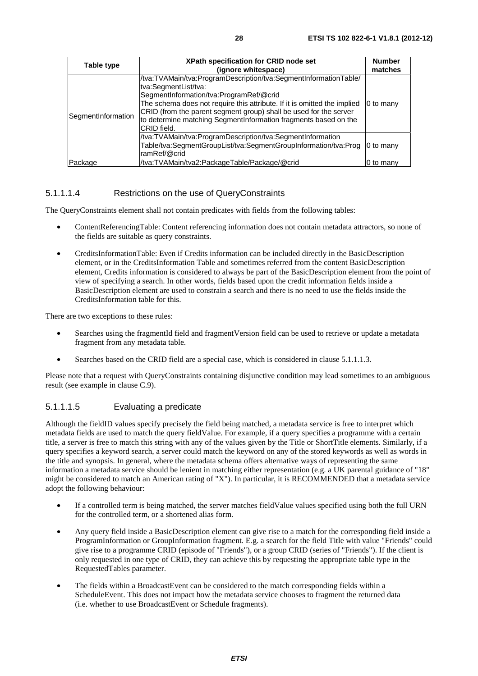| Table type         | <b>XPath specification for CRID node set</b><br>(ignore whitespace)                                                                                                                                                                                                                                                                                                    | <b>Number</b><br>matches |
|--------------------|------------------------------------------------------------------------------------------------------------------------------------------------------------------------------------------------------------------------------------------------------------------------------------------------------------------------------------------------------------------------|--------------------------|
| SegmentInformation | /tva:TVAMain/tva:ProgramDescription/tva:SegmentInformationTable/<br>tva:SegmentList/tva:<br>SegmentInformation/tva:ProgramRef/@crid<br>The schema does not require this attribute. If it is omitted the implied<br>CRID (from the parent segment group) shall be used for the server<br>to determine matching SegmentInformation fragments based on the<br>CRID field. | 0 to many                |
|                    | /tva:TVAMain/tva:ProgramDescription/tva:SegmentInformation<br>Table/tva:SegmentGroupList/tva:SegmentGroupInformation/tva:Prog<br>ramRef/@crid                                                                                                                                                                                                                          | 0 to many                |
| Package            | /tva:TVAMain/tva2:PackageTable/Package/@crid                                                                                                                                                                                                                                                                                                                           | 0 to many                |

### 5.1.1.1.4 Restrictions on the use of QueryConstraints

The QueryConstraints element shall not contain predicates with fields from the following tables:

- ContentReferencingTable: Content referencing information does not contain metadata attractors, so none of the fields are suitable as query constraints.
- CreditsInformationTable: Even if Credits information can be included directly in the BasicDescription element, or in the CreditsInformation Table and sometimes referred from the content BasicDescription element, Credits information is considered to always be part of the BasicDescription element from the point of view of specifying a search. In other words, fields based upon the credit information fields inside a BasicDescription element are used to constrain a search and there is no need to use the fields inside the CreditsInformation table for this.

There are two exceptions to these rules:

- Searches using the fragmentId field and fragmentVersion field can be used to retrieve or update a metadata fragment from any metadata table.
- Searches based on the CRID field are a special case, which is considered in clause 5.1.1.1.3.

Please note that a request with QueryConstraints containing disjunctive condition may lead sometimes to an ambiguous result (see example in clause C.9).

### 5.1.1.1.5 Evaluating a predicate

Although the fieldID values specify precisely the field being matched, a metadata service is free to interpret which metadata fields are used to match the query fieldValue. For example, if a query specifies a programme with a certain title, a server is free to match this string with any of the values given by the Title or ShortTitle elements. Similarly, if a query specifies a keyword search, a server could match the keyword on any of the stored keywords as well as words in the title and synopsis. In general, where the metadata schema offers alternative ways of representing the same information a metadata service should be lenient in matching either representation (e.g. a UK parental guidance of "18" might be considered to match an American rating of "X"). In particular, it is RECOMMENDED that a metadata service adopt the following behaviour:

- If a controlled term is being matched, the server matches fieldValue values specified using both the full URN for the controlled term, or a shortened alias form.
- Any query field inside a BasicDescription element can give rise to a match for the corresponding field inside a ProgramInformation or GroupInformation fragment. E.g. a search for the field Title with value "Friends" could give rise to a programme CRID (episode of "Friends"), or a group CRID (series of "Friends"). If the client is only requested in one type of CRID, they can achieve this by requesting the appropriate table type in the RequestedTables parameter.
- The fields within a BroadcastEvent can be considered to the match corresponding fields within a ScheduleEvent. This does not impact how the metadata service chooses to fragment the returned data (i.e. whether to use BroadcastEvent or Schedule fragments).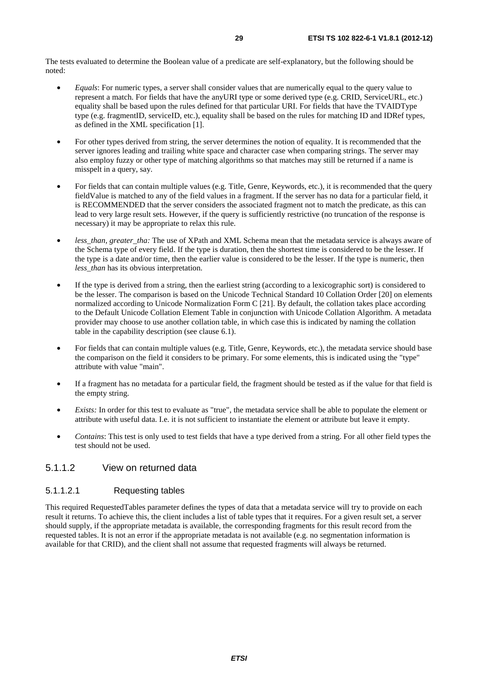The tests evaluated to determine the Boolean value of a predicate are self-explanatory, but the following should be noted:

- *Equals*: For numeric types, a server shall consider values that are numerically equal to the query value to represent a match. For fields that have the anyURI type or some derived type (e.g. CRID, ServiceURL, etc.) equality shall be based upon the rules defined for that particular URI. For fields that have the TVAIDType type (e.g. fragmentID, serviceID, etc.), equality shall be based on the rules for matching ID and IDRef types, as defined in the XML specification [1].
- For other types derived from string, the server determines the notion of equality. It is recommended that the server ignores leading and trailing white space and character case when comparing strings. The server may also employ fuzzy or other type of matching algorithms so that matches may still be returned if a name is misspelt in a query, say.
- For fields that can contain multiple values (e.g. Title, Genre, Keywords, etc.), it is recommended that the query fieldValue is matched to any of the field values in a fragment. If the server has no data for a particular field, it is RECOMMENDED that the server considers the associated fragment not to match the predicate, as this can lead to very large result sets. However, if the query is sufficiently restrictive (no truncation of the response is necessary) it may be appropriate to relax this rule.
- *less\_than, greater\_tha:* The use of XPath and XML Schema mean that the metadata service is always aware of the Schema type of every field. If the type is duration, then the shortest time is considered to be the lesser. If the type is a date and/or time, then the earlier value is considered to be the lesser. If the type is numeric, then *less*\_*than* has its obvious interpretation.
- If the type is derived from a string, then the earliest string (according to a lexicographic sort) is considered to be the lesser. The comparison is based on the Unicode Technical Standard 10 Collation Order [20] on elements normalized according to Unicode Normalization Form C [21]. By default, the collation takes place according to the Default Unicode Collation Element Table in conjunction with Unicode Collation Algorithm. A metadata provider may choose to use another collation table, in which case this is indicated by naming the collation table in the capability description (see clause 6.1).
- For fields that can contain multiple values (e.g. Title, Genre, Keywords, etc.), the metadata service should base the comparison on the field it considers to be primary. For some elements, this is indicated using the "type" attribute with value "main".
- If a fragment has no metadata for a particular field, the fragment should be tested as if the value for that field is the empty string.
- *Exists:* In order for this test to evaluate as "true", the metadata service shall be able to populate the element or attribute with useful data. I.e. it is not sufficient to instantiate the element or attribute but leave it empty.
- *Contains*: This test is only used to test fields that have a type derived from a string. For all other field types the test should not be used.

### 5.1.1.2 View on returned data

#### 5.1.1.2.1 Requesting tables

This required RequestedTables parameter defines the types of data that a metadata service will try to provide on each result it returns. To achieve this, the client includes a list of table types that it requires. For a given result set, a server should supply, if the appropriate metadata is available, the corresponding fragments for this result record from the requested tables. It is not an error if the appropriate metadata is not available (e.g. no segmentation information is available for that CRID), and the client shall not assume that requested fragments will always be returned.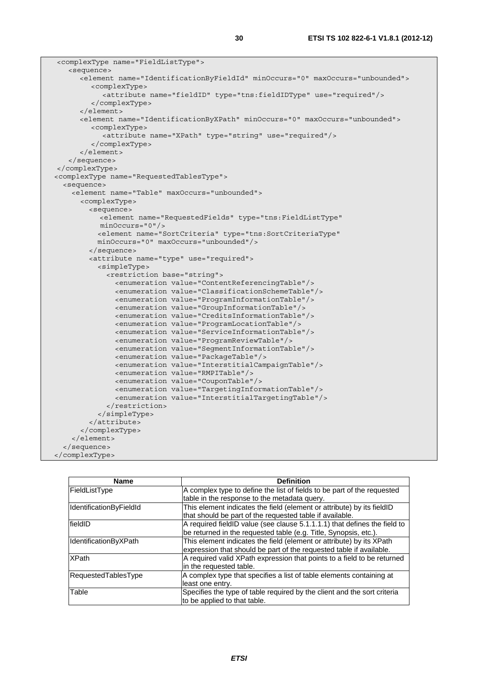| <complextype name="FieldListType"></complextype>                                       |
|----------------------------------------------------------------------------------------|
| <sequence></sequence>                                                                  |
| <element maxoccurs="unbounded" minoccurs="0" name="IdentificationByFieldId"></element> |
| <complextype></complextype>                                                            |
| <attribute name="fieldID" type="tns:fieldIDType" use="required"></attribute>           |
|                                                                                        |
| $\langle$ element>                                                                     |
| <element maxoccurs="unbounded" minoccurs="0" name="IdentificationByXPath"></element>   |
| <complextype></complextype>                                                            |
| <attribute name="XPath" type="string" use="required"></attribute>                      |
|                                                                                        |
|                                                                                        |
|                                                                                        |
|                                                                                        |
| <complextype name="RequestedTablesType"></complextype>                                 |
| <sequence></sequence>                                                                  |
| <element maxoccurs="unbounded" name="Table"></element>                                 |
| <complextype></complextype>                                                            |
| <sequence></sequence>                                                                  |
| <element <="" name="RequestedFields" td="" type="tns:FieldListType"></element>         |
| $minOccurs = "0"$                                                                      |
| <element <="" name="SortCriteria" td="" type="tns:SortCriteriaType"></element>         |
| minOccurs="0" maxOccurs="unbounded"/>                                                  |
|                                                                                        |
| <attribute name="type" use="required"></attribute>                                     |
| <simpletype></simpletype>                                                              |
| <restriction base="string"></restriction>                                              |
| <enumeration value="ContentReferencingTable"></enumeration>                            |
| <enumeration value="ClassificationSchemeTable"></enumeration>                          |
| <enumeration value="ProgramInformationTable"></enumeration>                            |
| <enumeration value="GroupInformationTable"></enumeration>                              |
| <enumeration value="CreditsInformationTable"></enumeration>                            |
| <enumeration value="ProgramLocationTable"></enumeration>                               |
| <enumeration value="ServiceInformationTable"></enumeration>                            |
| <enumeration value="ProgramReviewTable"></enumeration>                                 |
| <enumeration value="SegmentInformationTable"></enumeration>                            |
| <enumeration value="PackageTable"></enumeration>                                       |
| <enumeration value="InterstitialCampaignTable"></enumeration>                          |
| <enumeration value="RMPITable"></enumeration>                                          |
| <enumeration value="CouponTable"></enumeration>                                        |
| <enumeration value="TargetingInformationTable"></enumeration>                          |
| <enumeration value="InterstitialTargetingTable"></enumeration>                         |
|                                                                                        |
|                                                                                        |
|                                                                                        |
|                                                                                        |
|                                                                                        |
|                                                                                        |
|                                                                                        |

| <b>Name</b>             | <b>Definition</b>                                                         |
|-------------------------|---------------------------------------------------------------------------|
| FieldListType           | A complex type to define the list of fields to be part of the requested   |
|                         | table in the response to the metadata query.                              |
| IdentificationByFieldId | This element indicates the field (element or attribute) by its fieldID    |
|                         | that should be part of the requested table if available.                  |
| fieldID                 | A required fieldID value (see clause 5.1.1.1.1) that defines the field to |
|                         | be returned in the requested table (e.g. Title, Synopsis, etc.).          |
| IdentificationByXPath   | This element indicates the field (element or attribute) by its XPath      |
|                         | expression that should be part of the requested table if available.       |
| <b>XPath</b>            | A required valid XPath expression that points to a field to be returned   |
|                         | in the requested table.                                                   |
| RequestedTablesType     | A complex type that specifies a list of table elements containing at      |
|                         | least one entry.                                                          |
| Table                   | Specifies the type of table required by the client and the sort criteria  |
|                         | to be applied to that table.                                              |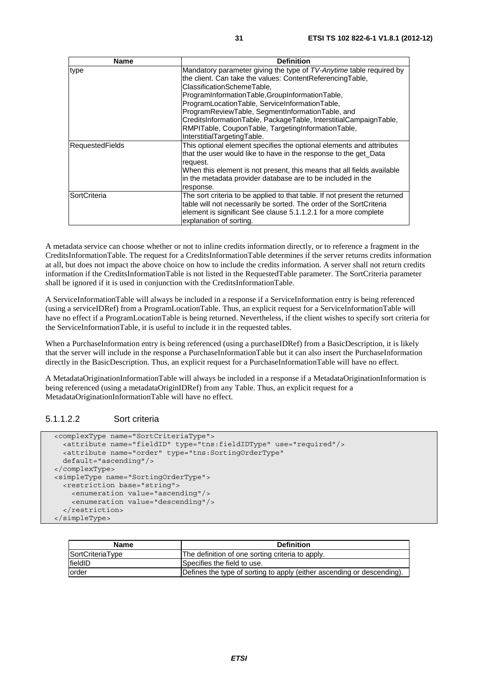| <b>Name</b>            | <b>Definition</b>                                                                                                                                                                                                                                                                                          |
|------------------------|------------------------------------------------------------------------------------------------------------------------------------------------------------------------------------------------------------------------------------------------------------------------------------------------------------|
| type                   | Mandatory parameter giving the type of TV-Anytime table required by<br>the client. Can take the values: ContentReferencingTable,<br>ClassificationSchemeTable,<br>ProgramInformationTable,GroupInformationTable,                                                                                           |
|                        | ProgramLocationTable, ServiceInformationTable,<br>ProgramReviewTable, SegmentInformationTable, and<br>CreditsInformationTable, PackageTable, InterstitialCampaignTable,<br>RMPITable, CouponTable, TargetingInformationTable,<br>InterstitialTargetingTable.                                               |
| <b>RequestedFields</b> | This optional element specifies the optional elements and attributes<br>that the user would like to have in the response to the get_Data<br>request.<br>When this element is not present, this means that all fields available<br>in the metadata provider database are to be included in the<br>response. |
| SortCriteria           | The sort criteria to be applied to that table. If not present the returned<br>table will not necessarily be sorted. The order of the SortCriteria<br>element is significant See clause 5.1.1.2.1 for a more complete<br>explanation of sorting.                                                            |

A metadata service can choose whether or not to inline credits information directly, or to reference a fragment in the CreditsInformationTable. The request for a CreditsInformationTable determines if the server returns credits information at all, but does not impact the above choice on how to include the credits information. A server shall not return credits information if the CreditsInformationTable is not listed in the RequestedTable parameter. The SortCriteria parameter shall be ignored if it is used in conjunction with the CreditsInformationTable.

A ServiceInformationTable will always be included in a response if a ServiceInformation entry is being referenced (using a serviceIDRef) from a ProgramLocationTable. Thus, an explicit request for a ServiceInformationTable will have no effect if a ProgramLocationTable is being returned. Nevertheless, if the client wishes to specify sort criteria for the ServiceInformationTable, it is useful to include it in the requested tables.

When a PurchaseInformation entry is being referenced (using a purchaseIDRef) from a BasicDescription, it is likely that the server will include in the response a PurchaseInformationTable but it can also insert the PurchaseInformation directly in the BasicDescription. Thus, an explicit request for a PurchaseInformationTable will have no effect.

A MetadataOriginationInformationTable will always be included in a response if a MetadataOriginationInformation is being referenced (using a metadataOriginIDRef) from any Table. Thus, an explicit request for a MetadataOriginationInformationTable will have no effect.

### 5.1.1.2.2 Sort criteria

```
 <complexType name="SortCriteriaType"> 
   <attribute name="fieldID" type="tns:fieldIDType" use="required"/> 
   <attribute name="order" type="tns:SortingOrderType" 
  default="ascending"/> 
 </complexType> 
 <simpleType name="SortingOrderType"> 
   <restriction base="string"> 
     <enumeration value="ascending"/> 
     <enumeration value="descending"/> 
   </restriction> 
 </simpleType>
```

| Name             | <b>Definition</b>                                                      |
|------------------|------------------------------------------------------------------------|
| SortCriteriaType | The definition of one sorting criteria to apply.                       |
| <b>fieldID</b>   | Specifies the field to use.                                            |
| lorder           | Defines the type of sorting to apply (either ascending or descending). |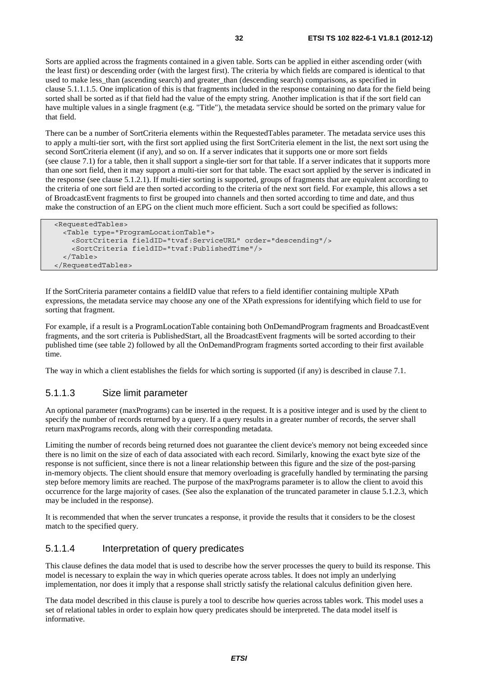Sorts are applied across the fragments contained in a given table. Sorts can be applied in either ascending order (with the least first) or descending order (with the largest first). The criteria by which fields are compared is identical to that used to make less\_than (ascending search) and greater\_than (descending search) comparisons, as specified in clause 5.1.1.1.5. One implication of this is that fragments included in the response containing no data for the field being sorted shall be sorted as if that field had the value of the empty string. Another implication is that if the sort field can have multiple values in a single fragment (e.g. "Title"), the metadata service should be sorted on the primary value for that field.

There can be a number of SortCriteria elements within the RequestedTables parameter. The metadata service uses this to apply a multi-tier sort, with the first sort applied using the first SortCriteria element in the list, the next sort using the second SortCriteria element (if any), and so on. If a server indicates that it supports one or more sort fields (see clause 7.1) for a table, then it shall support a single-tier sort for that table. If a server indicates that it supports more than one sort field, then it may support a multi-tier sort for that table. The exact sort applied by the server is indicated in the response (see clause 5.1.2.1). If multi-tier sorting is supported, groups of fragments that are equivalent according to the criteria of one sort field are then sorted according to the criteria of the next sort field. For example, this allows a set of BroadcastEvent fragments to first be grouped into channels and then sorted according to time and date, and thus make the construction of an EPG on the client much more efficient. Such a sort could be specified as follows:

```
 <RequestedTables> 
   <Table type="ProgramLocationTable"> 
     <SortCriteria fieldID="tvaf:ServiceURL" order="descending"/> 
     <SortCriteria fieldID="tvaf:PublishedTime"/> 
   </Table> 
 </RequestedTables>
```
If the SortCriteria parameter contains a fieldID value that refers to a field identifier containing multiple XPath expressions, the metadata service may choose any one of the XPath expressions for identifying which field to use for sorting that fragment.

For example, if a result is a ProgramLocationTable containing both OnDemandProgram fragments and BroadcastEvent fragments, and the sort criteria is PublishedStart, all the BroadcastEvent fragments will be sorted according to their published time (see table 2) followed by all the OnDemandProgram fragments sorted according to their first available time.

The way in which a client establishes the fields for which sorting is supported (if any) is described in clause 7.1.

### 5.1.1.3 Size limit parameter

An optional parameter (maxPrograms) can be inserted in the request. It is a positive integer and is used by the client to specify the number of records returned by a query. If a query results in a greater number of records, the server shall return maxPrograms records, along with their corresponding metadata.

Limiting the number of records being returned does not guarantee the client device's memory not being exceeded since there is no limit on the size of each of data associated with each record. Similarly, knowing the exact byte size of the response is not sufficient, since there is not a linear relationship between this figure and the size of the post-parsing in-memory objects. The client should ensure that memory overloading is gracefully handled by terminating the parsing step before memory limits are reached. The purpose of the maxPrograms parameter is to allow the client to avoid this occurrence for the large majority of cases. (See also the explanation of the truncated parameter in clause 5.1.2.3, which may be included in the response).

It is recommended that when the server truncates a response, it provide the results that it considers to be the closest match to the specified query.

### 5.1.1.4 Interpretation of query predicates

This clause defines the data model that is used to describe how the server processes the query to build its response. This model is necessary to explain the way in which queries operate across tables. It does not imply an underlying implementation, nor does it imply that a response shall strictly satisfy the relational calculus definition given here.

The data model described in this clause is purely a tool to describe how queries across tables work. This model uses a set of relational tables in order to explain how query predicates should be interpreted. The data model itself is informative.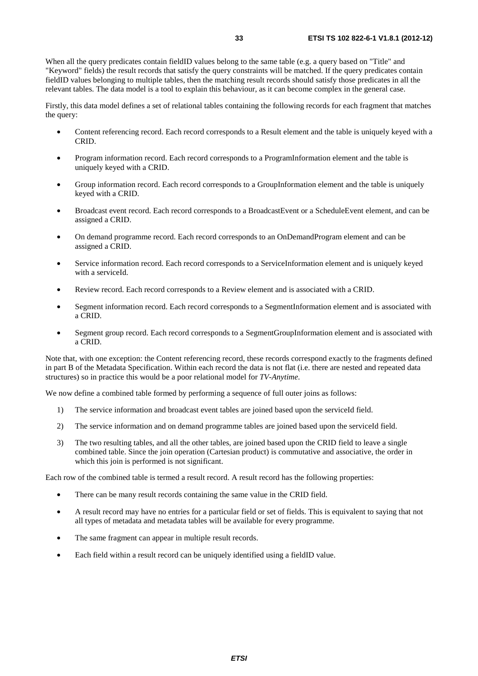When all the query predicates contain fieldID values belong to the same table (e.g. a query based on "Title" and "Keyword" fields) the result records that satisfy the query constraints will be matched. If the query predicates contain fieldID values belonging to multiple tables, then the matching result records should satisfy those predicates in all the relevant tables. The data model is a tool to explain this behaviour, as it can become complex in the general case.

Firstly, this data model defines a set of relational tables containing the following records for each fragment that matches the query:

- Content referencing record. Each record corresponds to a Result element and the table is uniquely keyed with a CRID.
- Program information record. Each record corresponds to a ProgramInformation element and the table is uniquely keyed with a CRID.
- Group information record. Each record corresponds to a GroupInformation element and the table is uniquely keyed with a CRID.
- Broadcast event record. Each record corresponds to a BroadcastEvent or a ScheduleEvent element, and can be assigned a CRID.
- On demand programme record. Each record corresponds to an OnDemandProgram element and can be assigned a CRID.
- Service information record. Each record corresponds to a ServiceInformation element and is uniquely keyed with a serviceId.
- Review record. Each record corresponds to a Review element and is associated with a CRID.
- Segment information record. Each record corresponds to a SegmentInformation element and is associated with a CRID.
- Segment group record. Each record corresponds to a SegmentGroupInformation element and is associated with a CRID.

Note that, with one exception: the Content referencing record, these records correspond exactly to the fragments defined in part B of the Metadata Specification. Within each record the data is not flat (i.e. there are nested and repeated data structures) so in practice this would be a poor relational model for *TV-Anytime*.

We now define a combined table formed by performing a sequence of full outer joins as follows:

- 1) The service information and broadcast event tables are joined based upon the serviceId field.
- 2) The service information and on demand programme tables are joined based upon the serviceId field.
- 3) The two resulting tables, and all the other tables, are joined based upon the CRID field to leave a single combined table. Since the join operation (Cartesian product) is commutative and associative, the order in which this join is performed is not significant.

Each row of the combined table is termed a result record. A result record has the following properties:

- There can be many result records containing the same value in the CRID field.
- A result record may have no entries for a particular field or set of fields. This is equivalent to saying that not all types of metadata and metadata tables will be available for every programme.
- The same fragment can appear in multiple result records.
- Each field within a result record can be uniquely identified using a fieldID value.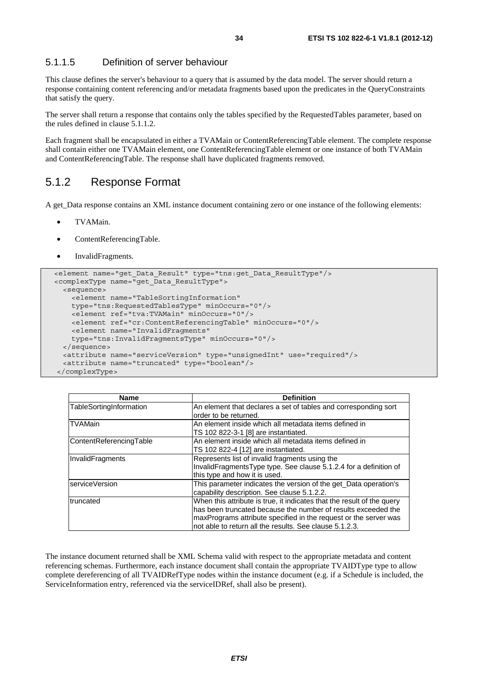### 5.1.1.5 Definition of server behaviour

This clause defines the server's behaviour to a query that is assumed by the data model. The server should return a response containing content referencing and/or metadata fragments based upon the predicates in the QueryConstraints that satisfy the query.

The server shall return a response that contains only the tables specified by the RequestedTables parameter, based on the rules defined in clause 5.1.1.2.

Each fragment shall be encapsulated in either a TVAMain or ContentReferencingTable element. The complete response shall contain either one TVAMain element, one ContentReferencingTable element or one instance of both TVAMain and ContentReferencingTable. The response shall have duplicated fragments removed.

### 5.1.2 Response Format

A get\_Data response contains an XML instance document containing zero or one instance of the following elements:

- TVAMain.
- ContentReferencingTable.
- InvalidFragments.

```
 <element name="get_Data_Result" type="tns:get_Data_ResultType"/> 
 <complexType name="get_Data_ResultType"> 
   <sequence> 
     <element name="TableSortingInformation" 
     type="tns:RequestedTablesType" minOccurs="0"/> 
     <element ref="tva:TVAMain" minOccurs="0"/> 
     <element ref="cr:ContentReferencingTable" minOccurs="0"/> 
     <element name="InvalidFragments" 
     type="tns:InvalidFragmentsType" minOccurs="0"/> 
   </sequence> 
   <attribute name="serviceVersion" type="unsignedInt" use="required"/> 
   <attribute name="truncated" type="boolean"/> 
 </complexType>
```

| Name                    | <b>Definition</b>                                                      |  |
|-------------------------|------------------------------------------------------------------------|--|
| TableSortingInformation | An element that declares a set of tables and corresponding sort        |  |
|                         | order to be returned.                                                  |  |
| <b>TVAMain</b>          | An element inside which all metadata items defined in                  |  |
|                         | TS 102 822-3-1 [8] are instantiated.                                   |  |
| ContentReferencingTable | An element inside which all metadata items defined in                  |  |
|                         | TS 102 822-4 [12] are instantiated.                                    |  |
| InvalidFragments        | Represents list of invalid fragments using the                         |  |
|                         | InvalidFragmentsType type. See clause 5.1.2.4 for a definition of      |  |
|                         | this type and how it is used.                                          |  |
| <b>IserviceVersion</b>  | This parameter indicates the version of the get Data operation's       |  |
|                         | capability description. See clause 5.1.2.2.                            |  |
| truncated               | When this attribute is true, it indicates that the result of the query |  |
|                         | has been truncated because the number of results exceeded the          |  |
|                         | maxPrograms attribute specified in the request or the server was       |  |
|                         | not able to return all the results. See clause 5.1.2.3.                |  |

The instance document returned shall be XML Schema valid with respect to the appropriate metadata and content referencing schemas. Furthermore, each instance document shall contain the appropriate TVAIDType type to allow complete dereferencing of all TVAIDRefType nodes within the instance document (e.g. if a Schedule is included, the ServiceInformation entry, referenced via the serviceIDRef, shall also be present).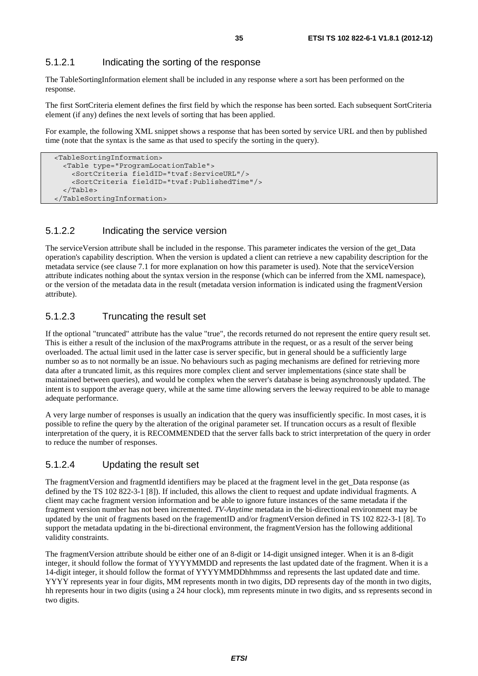### 5.1.2.1 Indicating the sorting of the response

The TableSortingInformation element shall be included in any response where a sort has been performed on the response.

The first SortCriteria element defines the first field by which the response has been sorted. Each subsequent SortCriteria element (if any) defines the next levels of sorting that has been applied.

For example, the following XML snippet shows a response that has been sorted by service URL and then by published time (note that the syntax is the same as that used to specify the sorting in the query).

```
 <TableSortingInformation> 
   <Table type="ProgramLocationTable"> 
     <SortCriteria fieldID="tvaf:ServiceURL"/> 
     <SortCriteria fieldID="tvaf:PublishedTime"/> 
   </Table> 
 </TableSortingInformation>
```
### 5.1.2.2 Indicating the service version

The serviceVersion attribute shall be included in the response. This parameter indicates the version of the get\_Data operation's capability description. When the version is updated a client can retrieve a new capability description for the metadata service (see clause 7.1 for more explanation on how this parameter is used). Note that the serviceVersion attribute indicates nothing about the syntax version in the response (which can be inferred from the XML namespace), or the version of the metadata data in the result (metadata version information is indicated using the fragmentVersion attribute).

### 5.1.2.3 Truncating the result set

If the optional "truncated" attribute has the value "true", the records returned do not represent the entire query result set. This is either a result of the inclusion of the maxPrograms attribute in the request, or as a result of the server being overloaded. The actual limit used in the latter case is server specific, but in general should be a sufficiently large number so as to not normally be an issue. No behaviours such as paging mechanisms are defined for retrieving more data after a truncated limit, as this requires more complex client and server implementations (since state shall be maintained between queries), and would be complex when the server's database is being asynchronously updated. The intent is to support the average query, while at the same time allowing servers the leeway required to be able to manage adequate performance.

A very large number of responses is usually an indication that the query was insufficiently specific. In most cases, it is possible to refine the query by the alteration of the original parameter set. If truncation occurs as a result of flexible interpretation of the query, it is RECOMMENDED that the server falls back to strict interpretation of the query in order to reduce the number of responses.

### 5.1.2.4 Updating the result set

The fragmentVersion and fragmentId identifiers may be placed at the fragment level in the get\_Data response (as defined by the TS 102 822-3-1 [8]). If included, this allows the client to request and update individual fragments. A client may cache fragment version information and be able to ignore future instances of the same metadata if the fragment version number has not been incremented. *TV-Anytime* metadata in the bi-directional environment may be updated by the unit of fragments based on the fragementID and/or fragmentVersion defined in TS 102 822-3-1 [8]. To support the metadata updating in the bi-directional environment, the fragmentVersion has the following additional validity constraints.

The fragmentVersion attribute should be either one of an 8-digit or 14-digit unsigned integer. When it is an 8-digit integer, it should follow the format of YYYYMMDD and represents the last updated date of the fragment. When it is a 14-digit integer, it should follow the format of YYYYMMDDhhmmss and represents the last updated date and time. YYYY represents year in four digits, MM represents month in two digits, DD represents day of the month in two digits, hh represents hour in two digits (using a 24 hour clock), mm represents minute in two digits, and ss represents second in two digits.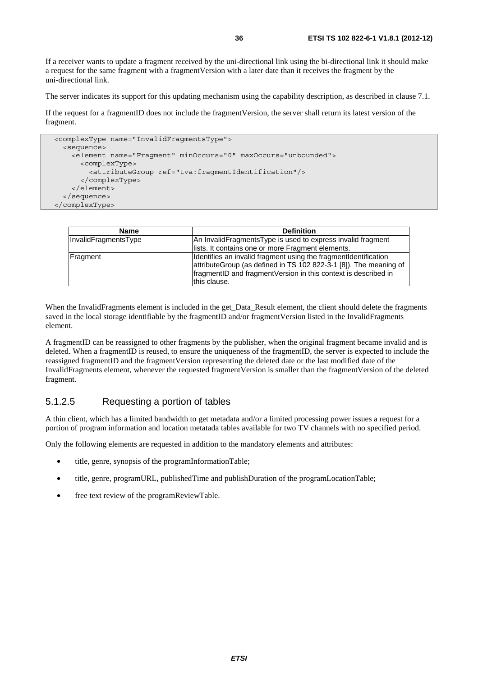If a receiver wants to update a fragment received by the uni-directional link using the bi-directional link it should make a request for the same fragment with a fragmentVersion with a later date than it receives the fragment by the uni-directional link.

The server indicates its support for this updating mechanism using the capability description, as described in clause 7.1.

If the request for a fragmentID does not include the fragmentVersion, the server shall return its latest version of the fragment.

```
 <complexType name="InvalidFragmentsType"> 
   <sequence> 
    <element name="Fragment" minOccurs="0" maxOccurs="unbounded">
       <complexType> 
         <attributeGroup ref="tva:fragmentIdentification"/> 
       </complexType> 
     </element> 
   </sequence> 
 </complexType>
```

| <b>Name</b>          | <b>Definition</b>                                                                                                                                                                                                      |
|----------------------|------------------------------------------------------------------------------------------------------------------------------------------------------------------------------------------------------------------------|
| InvalidFragmentsType | An InvalidFragmentsType is used to express invalid fragment                                                                                                                                                            |
|                      | lists. It contains one or more Fragment elements.                                                                                                                                                                      |
| Fragment             | Identifies an invalid fragment using the fragmentIdentification<br>attributeGroup (as defined in TS 102 822-3-1 [8]). The meaning of<br>fragmentID and fragmentVersion in this context is described in<br>this clause. |

When the InvalidFragments element is included in the get\_Data\_Result element, the client should delete the fragments saved in the local storage identifiable by the fragmentID and/or fragmentVersion listed in the InvalidFragments element.

A fragmentID can be reassigned to other fragments by the publisher, when the original fragment became invalid and is deleted. When a fragmentID is reused, to ensure the uniqueness of the fragmentID, the server is expected to include the reassigned fragmentID and the fragmentVersion representing the deleted date or the last modified date of the InvalidFragments element, whenever the requested fragmentVersion is smaller than the fragmentVersion of the deleted fragment.

### 5.1.2.5 Requesting a portion of tables

A thin client, which has a limited bandwidth to get metadata and/or a limited processing power issues a request for a portion of program information and location metatada tables available for two TV channels with no specified period.

Only the following elements are requested in addition to the mandatory elements and attributes:

- title, genre, synopsis of the programInformationTable;
- title, genre, programURL, publishedTime and publishDuration of the programLocationTable;
- free text review of the programReviewTable.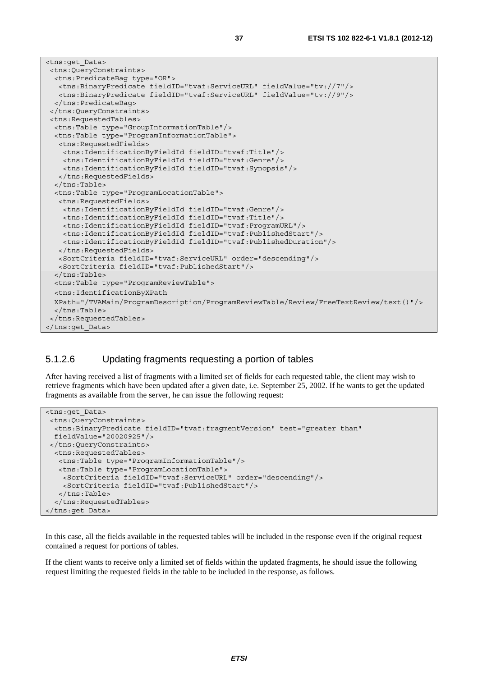| <tns:get data=""></tns:get>                                                                  |
|----------------------------------------------------------------------------------------------|
| <tns:queryconstraints></tns:queryconstraints>                                                |
| <tns: predicatebag="" type="OR"></tns:>                                                      |
| <tns:binarypredicate fieldid="tvaf:ServiceURL" fieldvalue="tv://7"></tns:binarypredicate>    |
| <tns:binarypredicate fieldid="tvaf:ServiceURL" fieldvalue="tv://9"></tns:binarypredicate>    |
|                                                                                              |
|                                                                                              |
| <tns:requestedtables></tns:requestedtables>                                                  |
| <tns:table type="GroupInformationTable"></tns:table>                                         |
| <tns:table type="ProgramInformationTable"></tns:table>                                       |
| <tns:requestedfields></tns:requestedfields>                                                  |
| <tns:identificationbyfieldid fieldid="tvaf:Title"></tns:identificationbyfieldid>             |
| <tns:identificationbyfieldid fieldid="tvaf:Genre"></tns:identificationbyfieldid>             |
| <tns:identificationbyfieldid fieldid="tvaf:Synopsis"></tns:identificationbyfieldid>          |
|                                                                                              |
| $\langle$ /tns:Table>                                                                        |
| <tns:table type="ProgramLocationTable"></tns:table>                                          |
| <tns:requestedfields></tns:requestedfields>                                                  |
| <tns:identificationbyfieldid fieldid="tvaf:Genre"></tns:identificationbyfieldid>             |
| <tns:identificationbyfieldid fieldid="tvaf:Title"></tns:identificationbyfieldid>             |
| <tns:identificationbyfieldid fieldid="tvaf:ProgramURL"></tns:identificationbyfieldid>        |
| <tns:identificationbyfieldid fieldid="tvaf:PublishedStart"></tns:identificationbyfieldid>    |
| <tns:identificationbyfieldid fieldid="tvaf:PublishedDuration"></tns:identificationbyfieldid> |
|                                                                                              |
| <sortcriteria fieldid="tvaf:ServiceURL" order="descending"></sortcriteria>                   |
| <sortcriteria fieldid="tvaf:PublishedStart"></sortcriteria>                                  |
| $\langle$ /tns:Table>                                                                        |
| <tns:table type="ProgramReviewTable"></tns:table>                                            |
| <tns:identificationbyxpath< td=""></tns:identificationbyxpath<>                              |
| XPath="/TVAMain/ProgramDescription/ProgramReviewTable/Review/FreeTextReview/text()"/>        |
| $\langle$ /tns:Table>                                                                        |
|                                                                                              |
|                                                                                              |

#### 5.1.2.6 Updating fragments requesting a portion of tables

After having received a list of fragments with a limited set of fields for each requested table, the client may wish to retrieve fragments which have been updated after a given date, i.e. September 25, 2002. If he wants to get the updated fragments as available from the server, he can issue the following request:

```
<tns:get_Data> 
  <tns:QueryConstraints> 
   <tns:BinaryPredicate fieldID="tvaf:fragmentVersion" test="greater_than" 
   fieldValue="20020925"/> 
  </tns:QueryConstraints> 
   <tns:RequestedTables> 
   <tns:Table type="ProgramInformationTable"/> 
   <tns:Table type="ProgramLocationTable"> 
     <SortCriteria fieldID="tvaf:ServiceURL" order="descending"/> 
     <SortCriteria fieldID="tvaf:PublishedStart"/> 
    </tns:Table> 
   </tns:RequestedTables> 
</tns:get_Data>
```
In this case, all the fields available in the requested tables will be included in the response even if the original request contained a request for portions of tables.

If the client wants to receive only a limited set of fields within the updated fragments, he should issue the following request limiting the requested fields in the table to be included in the response, as follows.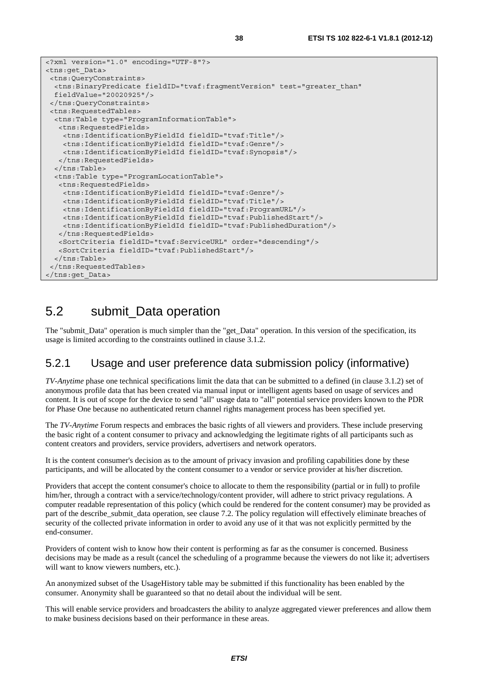```
<?xml version="1.0" encoding="UTF-8"?> 
<tns:get_Data> 
 <tns:QueryConstraints> 
  <tns:BinaryPredicate fieldID="tvaf:fragmentVersion" test="greater_than" 
  fieldValue="20020925"/> 
  </tns:QueryConstraints> 
  <tns:RequestedTables> 
  <tns:Table type="ProgramInformationTable"> 
   <tns:RequestedFields> 
     <tns:IdentificationByFieldId fieldID="tvaf:Title"/> 
     <tns:IdentificationByFieldId fieldID="tvaf:Genre"/> 
     <tns:IdentificationByFieldId fieldID="tvaf:Synopsis"/> 
   </tns:RequestedFields> 
   </tns:Table> 
   <tns:Table type="ProgramLocationTable"> 
    <tns:RequestedFields> 
     <tns:IdentificationByFieldId fieldID="tvaf:Genre"/> 
     <tns:IdentificationByFieldId fieldID="tvaf:Title"/> 
     <tns:IdentificationByFieldId fieldID="tvaf:ProgramURL"/> 
     <tns:IdentificationByFieldId fieldID="tvaf:PublishedStart"/> 
     <tns:IdentificationByFieldId fieldID="tvaf:PublishedDuration"/> 
    </tns:RequestedFields> 
    <SortCriteria fieldID="tvaf:ServiceURL" order="descending"/> 
   <SortCriteria fieldID="tvaf:PublishedStart"/> 
   </tns:Table> 
 </tns:RequestedTables> 
</tns:get_Data>
```
## 5.2 submit\_Data operation

The "submit\_Data" operation is much simpler than the "get\_Data" operation. In this version of the specification, its usage is limited according to the constraints outlined in clause 3.1.2.

### 5.2.1 Usage and user preference data submission policy (informative)

*TV-Anytime* phase one technical specifications limit the data that can be submitted to a defined (in clause 3.1.2) set of anonymous profile data that has been created via manual input or intelligent agents based on usage of services and content. It is out of scope for the device to send "all" usage data to "all" potential service providers known to the PDR for Phase One because no authenticated return channel rights management process has been specified yet.

The *TV-Anytime* Forum respects and embraces the basic rights of all viewers and providers. These include preserving the basic right of a content consumer to privacy and acknowledging the legitimate rights of all participants such as content creators and providers, service providers, advertisers and network operators.

It is the content consumer's decision as to the amount of privacy invasion and profiling capabilities done by these participants, and will be allocated by the content consumer to a vendor or service provider at his/her discretion.

Providers that accept the content consumer's choice to allocate to them the responsibility (partial or in full) to profile him/her, through a contract with a service/technology/content provider, will adhere to strict privacy regulations. A computer readable representation of this policy (which could be rendered for the content consumer) may be provided as part of the describe\_submit\_data operation, see clause 7.2. The policy regulation will effectively eliminate breaches of security of the collected private information in order to avoid any use of it that was not explicitly permitted by the end-consumer.

Providers of content wish to know how their content is performing as far as the consumer is concerned. Business decisions may be made as a result (cancel the scheduling of a programme because the viewers do not like it; advertisers will want to know viewers numbers, etc.).

An anonymized subset of the UsageHistory table may be submitted if this functionality has been enabled by the consumer. Anonymity shall be guaranteed so that no detail about the individual will be sent.

This will enable service providers and broadcasters the ability to analyze aggregated viewer preferences and allow them to make business decisions based on their performance in these areas.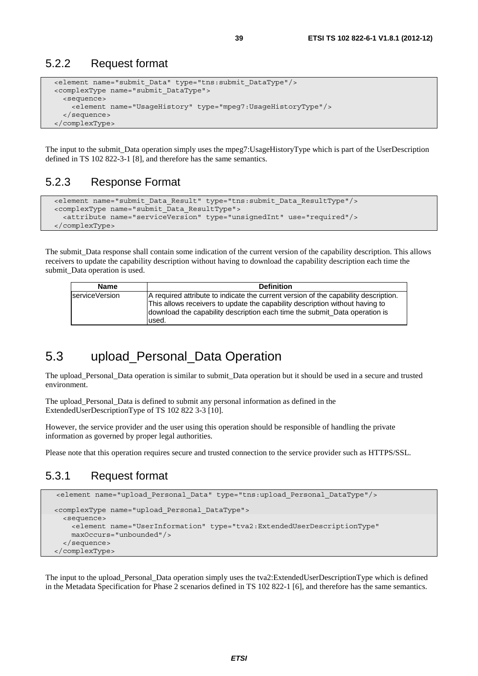### 5.2.2 Request format

```
 <element name="submit_Data" type="tns:submit_DataType"/> 
 <complexType name="submit_DataType"> 
   <sequence> 
     <element name="UsageHistory" type="mpeg7:UsageHistoryType"/> 
   </sequence> 
 </complexType>
```
The input to the submit\_Data operation simply uses the mpeg7:UsageHistoryType which is part of the UserDescription defined in TS 102 822-3-1 [8], and therefore has the same semantics.

#### 5.2.3 Response Format

```
 <element name="submit_Data_Result" type="tns:submit_Data_ResultType"/> 
 <complexType name="submit_Data_ResultType"> 
   <attribute name="serviceVersion" type="unsignedInt" use="required"/> 
 </complexType>
```
The submit Data response shall contain some indication of the current version of the capability description. This allows receivers to update the capability description without having to download the capability description each time the submit Data operation is used.

| <b>Name</b>    | <b>Definition</b>                                                                                                                                                                                                                                           |
|----------------|-------------------------------------------------------------------------------------------------------------------------------------------------------------------------------------------------------------------------------------------------------------|
| serviceVersion | A required attribute to indicate the current version of the capability description.<br>This allows receivers to update the capability description without having to<br>download the capability description each time the submit. Data operation is<br>used. |

## 5.3 upload\_Personal\_Data Operation

The upload Personal Data operation is similar to submit Data operation but it should be used in a secure and trusted environment.

The upload\_Personal\_Data is defined to submit any personal information as defined in the ExtendedUserDescriptionType of TS 102 822 3-3 [10].

However, the service provider and the user using this operation should be responsible of handling the private information as governed by proper legal authorities.

Please note that this operation requires secure and trusted connection to the service provider such as HTTPS/SSL.

### 5.3.1 Request format

```
 <element name="upload_Personal_Data" type="tns:upload_Personal_DataType"/>
 <complexType name="upload_Personal_DataType"> 
   <sequence> 
     <element name="UserInformation" type="tva2:ExtendedUserDescriptionType" 
     maxOccurs="unbounded"/> 
   </sequence> 
 </complexType>
```
The input to the upload\_Personal\_Data operation simply uses the tva2:ExtendedUserDescriptionType which is defined in the Metadata Specification for Phase 2 scenarios defined in TS 102 822-1 [6], and therefore has the same semantics.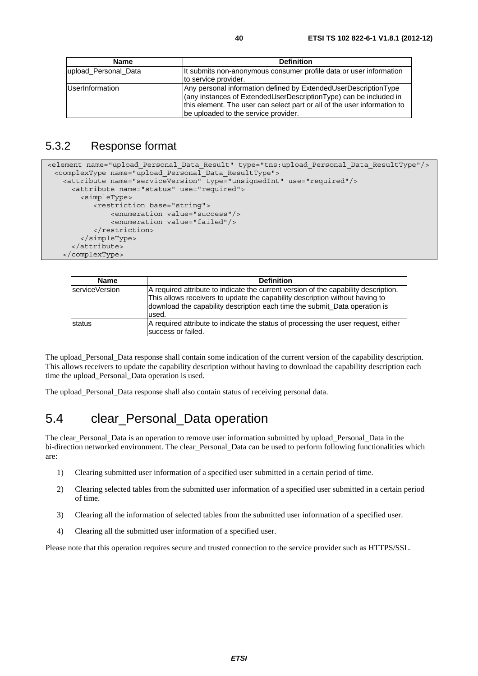| <b>Name</b>            | <b>Definition</b>                                                                                                                                                                                                                                        |
|------------------------|----------------------------------------------------------------------------------------------------------------------------------------------------------------------------------------------------------------------------------------------------------|
| upload Personal Data   | It submits non-anonymous consumer profile data or user information                                                                                                                                                                                       |
|                        | to service provider.                                                                                                                                                                                                                                     |
| <b>UserInformation</b> | Any personal information defined by ExtendedUserDescriptionType<br>(any instances of ExtendedUserDescriptionType) can be included in<br>this element. The user can select part or all of the user information to<br>be uploaded to the service provider. |

### 5.3.2 Response format

```
<element name="upload_Personal_Data_Result" type="tns:upload_Personal_Data_ResultType"/> 
  <complexType name="upload_Personal_Data_ResultType"> 
    <attribute name="serviceVersion" type="unsignedInt" use="required"/> 
      <attribute name="status" use="required"> 
        <simpleType> 
            <restriction base="string"> 
                <enumeration value="success"/> 
                <enumeration value="failed"/> 
            </restriction> 
         </simpleType> 
      </attribute> 
    </complexType>
```

| <b>Name</b>     | <b>Definition</b>                                                                                                                                                                                                                                          |
|-----------------|------------------------------------------------------------------------------------------------------------------------------------------------------------------------------------------------------------------------------------------------------------|
| IserviceVersion | A required attribute to indicate the current version of the capability description.<br>This allows receivers to update the capability description without having to<br>download the capability description each time the submit_Data operation is<br>used. |
| <b>status</b>   | A required attribute to indicate the status of processing the user request, either<br>success or failed.                                                                                                                                                   |

The upload\_Personal\_Data response shall contain some indication of the current version of the capability description. This allows receivers to update the capability description without having to download the capability description each time the upload\_Personal\_Data operation is used.

The upload\_Personal\_Data response shall also contain status of receiving personal data.

## 5.4 clear\_Personal\_Data operation

The clear\_Personal\_Data is an operation to remove user information submitted by upload\_Personal\_Data in the bi-direction networked environment. The clear\_Personal\_Data can be used to perform following functionalities which are:

- 1) Clearing submitted user information of a specified user submitted in a certain period of time.
- 2) Clearing selected tables from the submitted user information of a specified user submitted in a certain period of time.
- 3) Clearing all the information of selected tables from the submitted user information of a specified user.
- 4) Clearing all the submitted user information of a specified user.

Please note that this operation requires secure and trusted connection to the service provider such as HTTPS/SSL.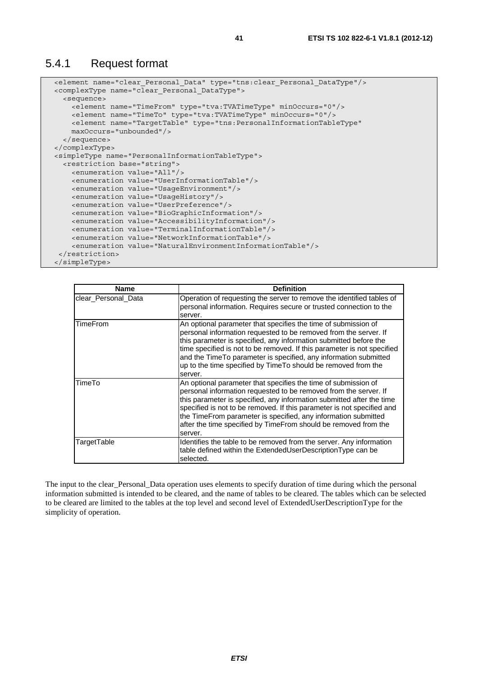#### 5.4.1 Request format

```
 <element name="clear_Personal_Data" type="tns:clear_Personal_DataType"/> 
 <complexType name="clear_Personal_DataType"> 
   <sequence> 
     <element name="TimeFrom" type="tva:TVATimeType" minOccurs="0"/> 
     <element name="TimeTo" type="tva:TVATimeType" minOccurs="0"/> 
     <element name="TargetTable" type="tns:PersonalInformationTableType" 
     maxOccurs="unbounded"/> 
   </sequence> 
 </complexType> 
 <simpleType name="PersonalInformationTableType"> 
   <restriction base="string"> 
     <enumeration value="All"/> 
     <enumeration value="UserInformationTable"/> 
     <enumeration value="UsageEnvironment"/> 
     <enumeration value="UsageHistory"/> 
     <enumeration value="UserPreference"/> 
     <enumeration value="BioGraphicInformation"/> 
     <enumeration value="AccessibilityInformation"/> 
     <enumeration value="TerminalInformationTable"/> 
     <enumeration value="NetworkInformationTable"/> 
     <enumeration value="NaturalEnvironmentInformationTable"/> 
  </restriction> 
 </simpleType>
```

| <b>Name</b>         | <b>Definition</b>                                                                                                                                                                                                                                                                                                                                                                                                                     |
|---------------------|---------------------------------------------------------------------------------------------------------------------------------------------------------------------------------------------------------------------------------------------------------------------------------------------------------------------------------------------------------------------------------------------------------------------------------------|
| clear Personal Data | Operation of requesting the server to remove the identified tables of<br>personal information. Requires secure or trusted connection to the<br>server.                                                                                                                                                                                                                                                                                |
| TimeFrom            | An optional parameter that specifies the time of submission of<br>personal information requested to be removed from the server. If<br>this parameter is specified, any information submitted before the<br>time specified is not to be removed. If this parameter is not specified<br>and the Time To parameter is specified, any information submitted<br>up to the time specified by TimeTo should be removed from the<br>server.   |
| TimeTo              | An optional parameter that specifies the time of submission of<br>personal information requested to be removed from the server. If<br>this parameter is specified, any information submitted after the time<br>specified is not to be removed. If this parameter is not specified and<br>the TimeFrom parameter is specified, any information submitted<br>after the time specified by TimeFrom should be removed from the<br>server. |
| TargetTable         | Identifies the table to be removed from the server. Any information<br>table defined within the ExtendedUserDescriptionType can be<br>selected.                                                                                                                                                                                                                                                                                       |

The input to the clear Personal Data operation uses elements to specify duration of time during which the personal information submitted is intended to be cleared, and the name of tables to be cleared. The tables which can be selected to be cleared are limited to the tables at the top level and second level of ExtendedUserDescriptionType for the simplicity of operation.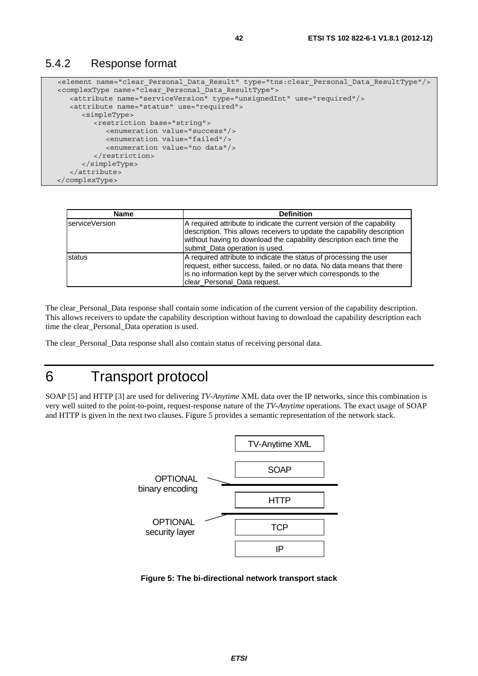```
 <element name="clear_Personal_Data_Result" type="tns:clear_Personal_Data_ResultType"/> 
 <complexType name="clear_Personal_Data_ResultType"> 
   <attribute name="serviceVersion" type="unsignedInt" use="required"/> 
   <attribute name="status" use="required"> 
      <simpleType> 
          <restriction base="string"> 
             <enumeration value="success"/> 
             <enumeration value="failed"/> 
             <enumeration value="no data"/> 
          </restriction> 
       </simpleType> 
    </attribute> 
 </complexType>
```

| <b>Name</b>            | <b>Definition</b>                                                                                                                                                                                                                                          |
|------------------------|------------------------------------------------------------------------------------------------------------------------------------------------------------------------------------------------------------------------------------------------------------|
| <b>IserviceVersion</b> | A required attribute to indicate the current version of the capability<br>description. This allows receivers to update the capability description<br>without having to download the capability description each time the<br>submit_Data operation is used. |
| status                 | A required attribute to indicate the status of processing the user<br>request, either success, failed, or no data. No data means that there<br>is no information kept by the server which corresponds to the<br>clear_Personal_Data request.               |

The clear\_Personal\_Data response shall contain some indication of the current version of the capability description. This allows receivers to update the capability description without having to download the capability description each time the clear\_Personal\_Data operation is used.

The clear\_Personal\_Data response shall also contain status of receiving personal data.

# 6 Transport protocol

SOAP [5] and HTTP [3] are used for delivering *TV-Anytime* XML data over the IP networks, since this combination is very well suited to the point-to-point, request-response nature of the *TV-Anytime* operations. The exact usage of SOAP and HTTP is given in the next two clauses. Figure 5 provides a semantic representation of the network stack.



**Figure 5: The bi-directional network transport stack**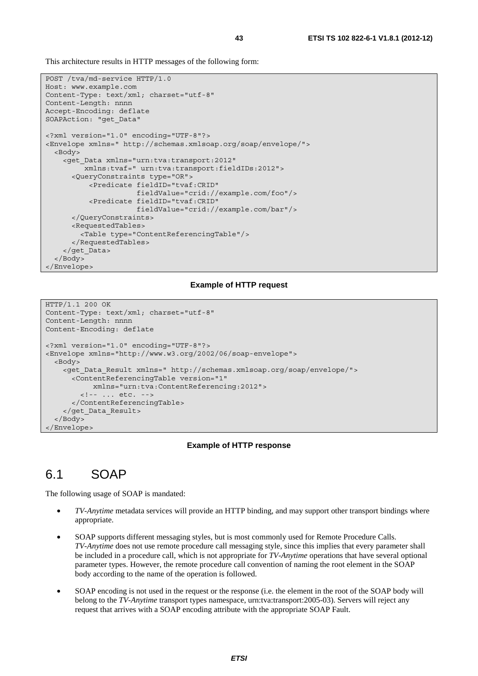This architecture results in HTTP messages of the following form:

```
POST /tva/md-service HTTP/1.0 
Host: www.example.com 
Content-Type: text/xml; charset="utf-8" 
Content-Length: nnnn 
Accept-Encoding: deflate 
SOAPAction: "get_Data" 
<?xml version="1.0" encoding="UTF-8"?> 
<Envelope xmlns=" http://schemas.xmlsoap.org/soap/envelope/"> 
   <Body> 
     <get_Data xmlns="urn:tva:transport:2012" 
          xmlns:tvaf=" urn:tva:transport:fieldIDs:2012"> 
       <QueryConstraints type="OR"> 
            <Predicate fieldID="tvaf:CRID" 
                       fieldValue="crid://example.com/foo"/> 
            <Predicate fieldID="tvaf:CRID" 
                       fieldValue="crid://example.com/bar"/> 
       </QueryConstraints> 
       <RequestedTables> 
         <Table type="ContentReferencingTable"/> 
       </RequestedTables> 
     </get_Data> 
   </Body> 
</Envelope>
```
#### **Example of HTTP request**

```
HTTP/1.1 200 OK 
Content-Type: text/xml; charset="utf-8" 
Content-Length: nnnn 
Content-Encoding: deflate 
<?xml version="1.0" encoding="UTF-8"?> 
<Envelope xmlns="http://www.w3.org/2002/06/soap-envelope"> 
   <Body> 
     <get_Data_Result xmlns=" http://schemas.xmlsoap.org/soap/envelope/"> 
       <ContentReferencingTable version="1" 
            xmlns="urn:tva:ContentReferencing:2012"> 
         <!-- ... etc. --> 
       </ContentReferencingTable> 
     </get_Data_Result> 
   </Body> 
</Envelope>
```
#### **Example of HTTP response**

## 6.1 SOAP

The following usage of SOAP is mandated:

- *TV-Anytime* metadata services will provide an HTTP binding, and may support other transport bindings where appropriate.
- SOAP supports different messaging styles, but is most commonly used for Remote Procedure Calls. *TV-Anytime* does not use remote procedure call messaging style, since this implies that every parameter shall be included in a procedure call, which is not appropriate for *TV-Anytime* operations that have several optional parameter types. However, the remote procedure call convention of naming the root element in the SOAP body according to the name of the operation is followed.
- SOAP encoding is not used in the request or the response (i.e. the element in the root of the SOAP body will belong to the *TV-Anytime* transport types namespace, urn:tva:transport:2005-03). Servers will reject any request that arrives with a SOAP encoding attribute with the appropriate SOAP Fault.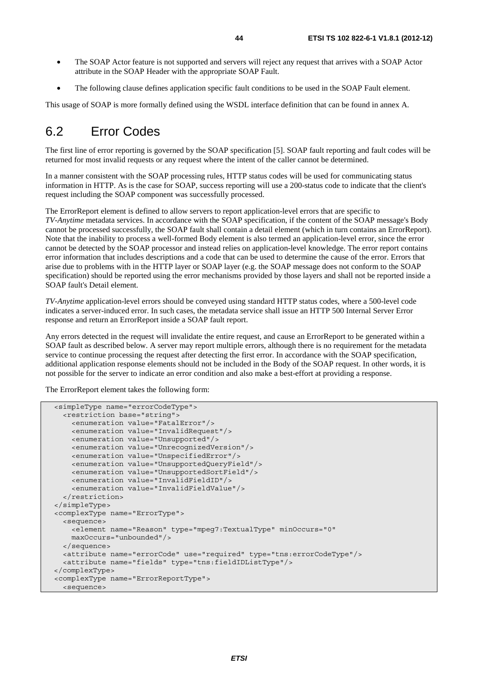- The SOAP Actor feature is not supported and servers will reject any request that arrives with a SOAP Actor attribute in the SOAP Header with the appropriate SOAP Fault.
- The following clause defines application specific fault conditions to be used in the SOAP Fault element.

This usage of SOAP is more formally defined using the WSDL interface definition that can be found in annex A.

## 6.2 Error Codes

The first line of error reporting is governed by the SOAP specification [5]. SOAP fault reporting and fault codes will be returned for most invalid requests or any request where the intent of the caller cannot be determined.

In a manner consistent with the SOAP processing rules, HTTP status codes will be used for communicating status information in HTTP. As is the case for SOAP, success reporting will use a 200-status code to indicate that the client's request including the SOAP component was successfully processed.

The ErrorReport element is defined to allow servers to report application-level errors that are specific to *TV-Anytime* metadata services. In accordance with the SOAP specification, if the content of the SOAP message's Body cannot be processed successfully, the SOAP fault shall contain a detail element (which in turn contains an ErrorReport). Note that the inability to process a well-formed Body element is also termed an application-level error, since the error cannot be detected by the SOAP processor and instead relies on application-level knowledge. The error report contains error information that includes descriptions and a code that can be used to determine the cause of the error. Errors that arise due to problems with in the HTTP layer or SOAP layer (e.g. the SOAP message does not conform to the SOAP specification) should be reported using the error mechanisms provided by those layers and shall not be reported inside a SOAP fault's Detail element.

*TV-Anytime* application-level errors should be conveyed using standard HTTP status codes, where a 500-level code indicates a server-induced error. In such cases, the metadata service shall issue an HTTP 500 Internal Server Error response and return an ErrorReport inside a SOAP fault report.

Any errors detected in the request will invalidate the entire request, and cause an ErrorReport to be generated within a SOAP fault as described below. A server may report multiple errors, although there is no requirement for the metadata service to continue processing the request after detecting the first error. In accordance with the SOAP specification, additional application response elements should not be included in the Body of the SOAP request. In other words, it is not possible for the server to indicate an error condition and also make a best-effort at providing a response.

The ErrorReport element takes the following form:

```
 <simpleType name="errorCodeType"> 
   <restriction base="string"> 
     <enumeration value="FatalError"/> 
     <enumeration value="InvalidRequest"/> 
     <enumeration value="Unsupported"/> 
     <enumeration value="UnrecognizedVersion"/> 
     <enumeration value="UnspecifiedError"/> 
     <enumeration value="UnsupportedQueryField"/> 
     <enumeration value="UnsupportedSortField"/> 
     <enumeration value="InvalidFieldID"/> 
     <enumeration value="InvalidFieldValue"/> 
   </restriction> 
 </simpleType> 
 <complexType name="ErrorType"> 
   <sequence> 
     <element name="Reason" type="mpeg7:TextualType" minOccurs="0" 
     maxOccurs="unbounded"/> 
   </sequence> 
   <attribute name="errorCode" use="required" type="tns:errorCodeType"/> 
   <attribute name="fields" type="tns:fieldIDListType"/> 
</complexType> 
 <complexType name="ErrorReportType"> 
   <sequence>
```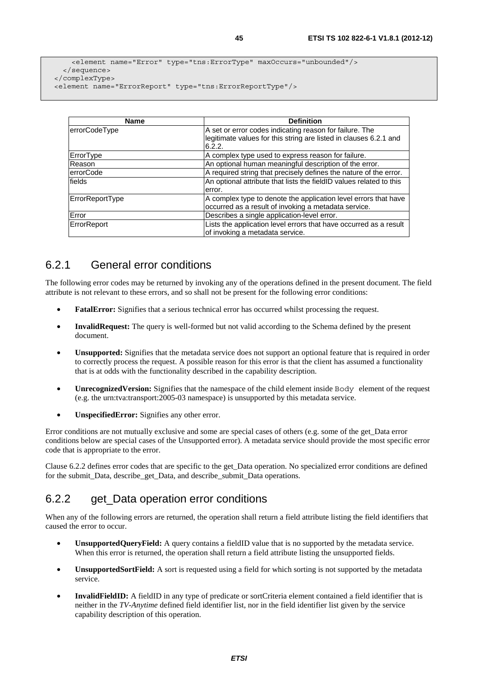```
 <element name="Error" type="tns:ErrorType" maxOccurs="unbounded"/> 
   </sequence> 
 </complexType> 
 <element name="ErrorReport" type="tns:ErrorReportType"/>
```

| <b>Name</b>      | <b>Definition</b>                                                   |
|------------------|---------------------------------------------------------------------|
|                  |                                                                     |
| errorCodeType    | A set or error codes indicating reason for failure. The             |
|                  | legitimate values for this string are listed in clauses 6.2.1 and   |
|                  | 6.2.2.                                                              |
| ErrorType        | A complex type used to express reason for failure.                  |
| Reason           | An optional human meaningful description of the error.              |
| <b>errorCode</b> | A required string that precisely defines the nature of the error.   |
| fields           | An optional attribute that lists the fieldID values related to this |
|                  | error.                                                              |
| ErrorReportType  | A complex type to denote the application level errors that have     |
|                  | occurred as a result of invoking a metadata service.                |
| Error            | Describes a single application-level error.                         |
| ErrorReport      | Lists the application level errors that have occurred as a result   |
|                  | of invoking a metadata service.                                     |

## 6.2.1 General error conditions

The following error codes may be returned by invoking any of the operations defined in the present document. The field attribute is not relevant to these errors, and so shall not be present for the following error conditions:

- **FatalError:** Signifies that a serious technical error has occurred whilst processing the request.
- **InvalidRequest:** The query is well-formed but not valid according to the Schema defined by the present document.
- **Unsupported:** Signifies that the metadata service does not support an optional feature that is required in order to correctly process the request. A possible reason for this error is that the client has assumed a functionality that is at odds with the functionality described in the capability description.
- **UnrecognizedVersion:** Signifies that the namespace of the child element inside Body element of the request (e.g. the urn:tva:transport:2005-03 namespace) is unsupported by this metadata service.
- **UnspecifiedError:** Signifies any other error.

Error conditions are not mutually exclusive and some are special cases of others (e.g. some of the get\_Data error conditions below are special cases of the Unsupported error). A metadata service should provide the most specific error code that is appropriate to the error.

Clause 6.2.2 defines error codes that are specific to the get\_Data operation. No specialized error conditions are defined for the submit Data, describe get Data, and describe submit Data operations.

## 6.2.2 get\_Data operation error conditions

When any of the following errors are returned, the operation shall return a field attribute listing the field identifiers that caused the error to occur.

- **UnsupportedQueryField:** A query contains a fieldID value that is no supported by the metadata service. When this error is returned, the operation shall return a field attribute listing the unsupported fields.
- **UnsupportedSortField:** A sort is requested using a field for which sorting is not supported by the metadata service.
- **InvalidFieldID:** A fieldID in any type of predicate or sortCriteria element contained a field identifier that is neither in the *TV-Anytime* defined field identifier list, nor in the field identifier list given by the service capability description of this operation.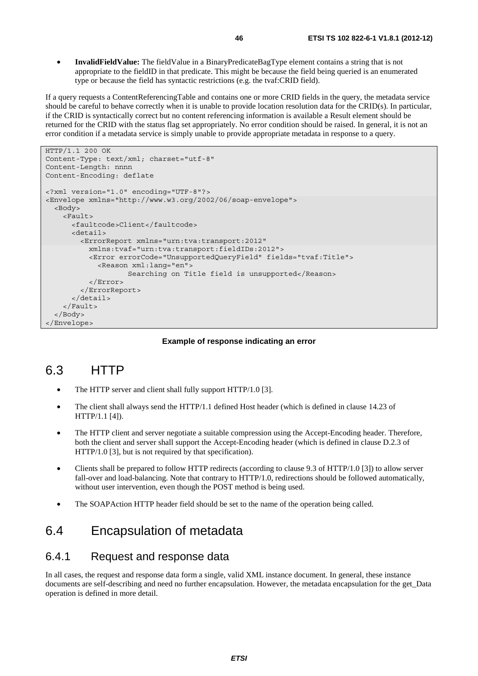• **InvalidFieldValue:** The fieldValue in a BinaryPredicateBagType element contains a string that is not appropriate to the fieldID in that predicate. This might be because the field being queried is an enumerated type or because the field has syntactic restrictions (e.g. the tvaf:CRID field).

If a query requests a ContentReferencingTable and contains one or more CRID fields in the query, the metadata service should be careful to behave correctly when it is unable to provide location resolution data for the CRID(s). In particular, if the CRID is syntactically correct but no content referencing information is available a Result element should be returned for the CRID with the status flag set appropriately. No error condition should be raised. In general, it is not an error condition if a metadata service is simply unable to provide appropriate metadata in response to a query.

```
HTTP/1.1 200 OK 
Content-Type: text/xml; charset="utf-8" 
Content-Length: nnnn 
Content-Encoding: deflate 
<?xml version="1.0" encoding="UTF-8"?> 
<Envelope xmlns="http://www.w3.org/2002/06/soap-envelope"> 
   <Body> 
     <Fault> 
       <faultcode>Client</faultcode> 
       <detail> 
         <ErrorReport xmlns="urn:tva:transport:2012" 
           xmlns:tvaf="urn:tva:transport:fieldIDs:2012"> 
           <Error errorCode="UnsupportedQueryField" fields="tvaf:Title"> 
              <Reason xml:lang="en"> 
                     Searching on Title field is unsupported</Reason> 
           </Error> 
         </ErrorReport> 
       </detail> 
     </Fault> 
   </Body> 
</Envelope>
```
#### **Example of response indicating an error**

## 6.3 HTTP

- The HTTP server and client shall fully support HTTP/1.0 [3].
- The client shall always send the HTTP/1.1 defined Host header (which is defined in clause 14.23 of HTTP/1.1 [4]).
- The HTTP client and server negotiate a suitable compression using the Accept-Encoding header. Therefore, both the client and server shall support the Accept-Encoding header (which is defined in clause D.2.3 of HTTP/1.0 [3], but is not required by that specification).
- Clients shall be prepared to follow HTTP redirects (according to clause 9.3 of HTTP/1.0 [3]) to allow server fall-over and load-balancing. Note that contrary to HTTP/1.0, redirections should be followed automatically, without user intervention, even though the POST method is being used.
- The SOAPAction HTTP header field should be set to the name of the operation being called.

## 6.4 Encapsulation of metadata

#### 6.4.1 Request and response data

In all cases, the request and response data form a single, valid XML instance document. In general, these instance documents are self-describing and need no further encapsulation. However, the metadata encapsulation for the get\_Data operation is defined in more detail.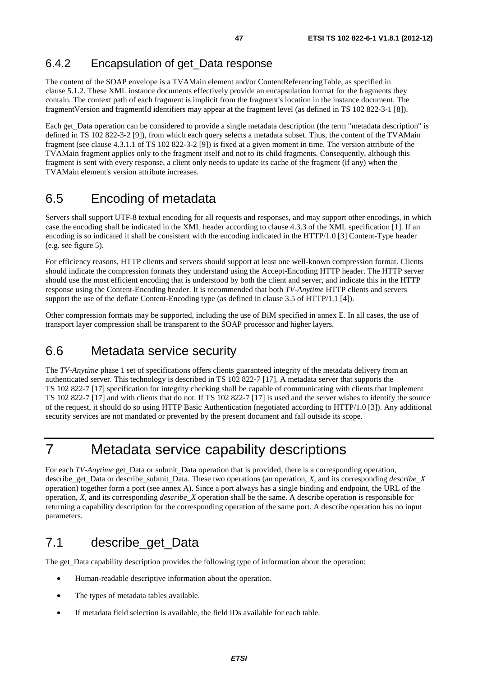### 6.4.2 Encapsulation of get\_Data response

The content of the SOAP envelope is a TVAMain element and/or ContentReferencingTable, as specified in clause 5.1.2. These XML instance documents effectively provide an encapsulation format for the fragments they contain. The context path of each fragment is implicit from the fragment's location in the instance document. The fragmentVersion and fragmentId identifiers may appear at the fragment level (as defined in TS 102 822-3-1 [8]).

Each get Data operation can be considered to provide a single metadata description (the term "metadata description" is defined in TS 102 822-3-2 [9]), from which each query selects a metadata subset. Thus, the content of the TVAMain fragment (see clause 4.3.1.1 of TS 102 822-3-2 [9]) is fixed at a given moment in time. The version attribute of the TVAMain fragment applies only to the fragment itself and not to its child fragments. Consequently, although this fragment is sent with every response, a client only needs to update its cache of the fragment (if any) when the TVAMain element's version attribute increases.

## 6.5 Encoding of metadata

Servers shall support UTF-8 textual encoding for all requests and responses, and may support other encodings, in which case the encoding shall be indicated in the XML header according to clause 4.3.3 of the XML specification [1]. If an encoding is so indicated it shall be consistent with the encoding indicated in the HTTP/1.0 [3] Content-Type header (e.g. see figure 5).

For efficiency reasons, HTTP clients and servers should support at least one well-known compression format. Clients should indicate the compression formats they understand using the Accept-Encoding HTTP header. The HTTP server should use the most efficient encoding that is understood by both the client and server, and indicate this in the HTTP response using the Content-Encoding header. It is recommended that both *TV-Anytime* HTTP clients and servers support the use of the deflate Content-Encoding type (as defined in clause 3.5 of HTTP/1.1 [4]).

Other compression formats may be supported, including the use of BiM specified in annex E. In all cases, the use of transport layer compression shall be transparent to the SOAP processor and higher layers.

## 6.6 Metadata service security

The *TV-Anytime* phase 1 set of specifications offers clients guaranteed integrity of the metadata delivery from an authenticated server. This technology is described in TS 102 822-7 [17]. A metadata server that supports the TS 102 822-7 [17] specification for integrity checking shall be capable of communicating with clients that implement TS 102 822-7 [17] and with clients that do not. If TS 102 822-7 [17] is used and the server wishes to identify the source of the request, it should do so using HTTP Basic Authentication (negotiated according to HTTP/1.0 [3]). Any additional security services are not mandated or prevented by the present document and fall outside its scope.

# 7 Metadata service capability descriptions

For each *TV-Anytime* get\_Data or submit\_Data operation that is provided, there is a corresponding operation, describe\_get\_Data or describe\_submit\_Data. These two operations (an operation, *X*, and its corresponding *describe*\_*X* operation) together form a port (see annex A). Since a port always has a single binding and endpoint, the URL of the operation, *X*, and its corresponding *describe\_X* operation shall be the same. A describe operation is responsible for returning a capability description for the corresponding operation of the same port. A describe operation has no input parameters.

## 7.1 describe get Data

The get Data capability description provides the following type of information about the operation:

- Human-readable descriptive information about the operation.
- The types of metadata tables available.
- If metadata field selection is available, the field IDs available for each table.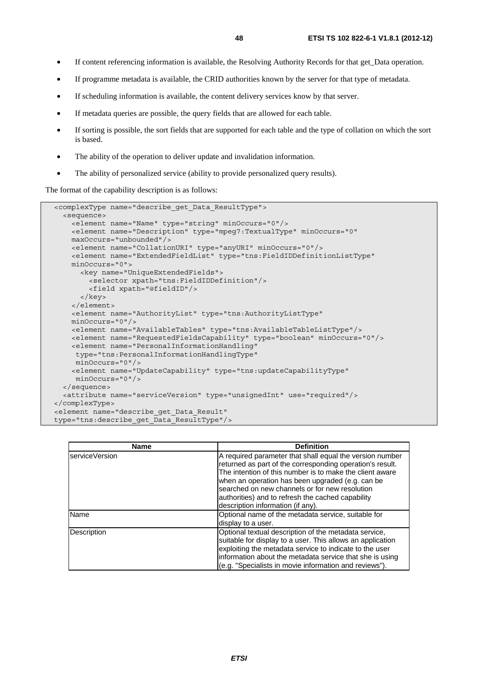- If content referencing information is available, the Resolving Authority Records for that get\_Data operation.
- If programme metadata is available, the CRID authorities known by the server for that type of metadata.
- If scheduling information is available, the content delivery services know by that server.
- If metadata queries are possible, the query fields that are allowed for each table.
- If sorting is possible, the sort fields that are supported for each table and the type of collation on which the sort is based.
- The ability of the operation to deliver update and invalidation information.
- The ability of personalized service (ability to provide personalized query results).

The format of the capability description is as follows:

```
 <complexType name="describe_get_Data_ResultType"> 
   <sequence> 
     <element name="Name" type="string" minOccurs="0"/> 
     <element name="Description" type="mpeg7:TextualType" minOccurs="0" 
     maxOccurs="unbounded"/> 
     <element name="CollationURI" type="anyURI" minOccurs="0"/> 
     <element name="ExtendedFieldList" type="tns:FieldIDDefinitionListType" 
     minOccurs="0"> 
       <key name="UniqueExtendedFields"> 
         <selector xpath="tns:FieldIDDefinition"/> 
         <field xpath="@fieldID"/> 
       </key> 
     </element> 
     <element name="AuthorityList" type="tns:AuthorityListType" 
     minOccurs="0"/> 
     <element name="AvailableTables" type="tns:AvailableTableListType"/> 
     <element name="RequestedFieldsCapability" type="boolean" minOccurs="0"/> 
     <element name="PersonalInformationHandling" 
      type="tns:PersonalInformationHandlingType" 
      minOccurs="0"/> 
     <element name="UpdateCapability" type="tns:updateCapabilityType" 
      minOccurs="0"/> 
   </sequence> 
   <attribute name="serviceVersion" type="unsignedInt" use="required"/> 
</complexType> 
 <element name="describe_get_Data_Result" 
 type="tns:describe_get_Data_ResultType"/>
```

| <b>Name</b>    | <b>Definition</b>                                                                                                                                                                                                                                                                                                                                                                 |
|----------------|-----------------------------------------------------------------------------------------------------------------------------------------------------------------------------------------------------------------------------------------------------------------------------------------------------------------------------------------------------------------------------------|
| serviceVersion | A required parameter that shall equal the version number<br>returned as part of the corresponding operation's result.<br>The intention of this number is to make the client aware<br>when an operation has been upgraded (e.g. can be<br>searched on new channels or for new resolution<br>authorities) and to refresh the cached capability<br>description information (if any). |
| <b>Name</b>    | Optional name of the metadata service, suitable for<br>display to a user.                                                                                                                                                                                                                                                                                                         |
| Description    | Optional textual description of the metadata service,<br>suitable for display to a user. This allows an application<br>exploiting the metadata service to indicate to the user<br>information about the metadata service that she is using<br>(e.g. "Specialists in movie information and reviews").                                                                              |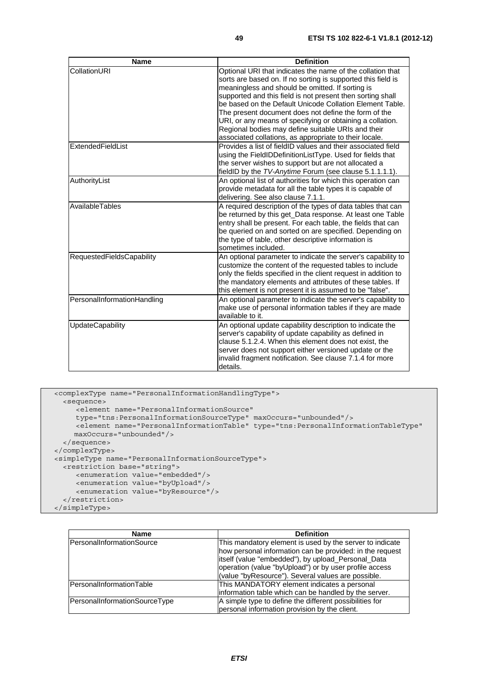| <b>Name</b>                 | <b>Definition</b>                                                                                                                                                                                                                                                                                                                                                                                                                                                                                                                             |
|-----------------------------|-----------------------------------------------------------------------------------------------------------------------------------------------------------------------------------------------------------------------------------------------------------------------------------------------------------------------------------------------------------------------------------------------------------------------------------------------------------------------------------------------------------------------------------------------|
| CollationURI                | Optional URI that indicates the name of the collation that<br>sorts are based on. If no sorting is supported this field is<br>meaningless and should be omitted. If sorting is<br>supported and this field is not present then sorting shall<br>be based on the Default Unicode Collation Element Table.<br>The present document does not define the form of the<br>URI, or any means of specifying or obtaining a collation.<br>Regional bodies may define suitable URIs and their<br>associated collations, as appropriate to their locale. |
| ExtendedFieldList           | Provides a list of fieldID values and their associated field<br>using the FieldIDDefinitionListType. Used for fields that<br>the server wishes to support but are not allocated a<br>fieldID by the TV-Anytime Forum (see clause 5.1.1.1.1).                                                                                                                                                                                                                                                                                                  |
| AuthorityList               | An optional list of authorities for which this operation can<br>provide metadata for all the table types it is capable of<br>delivering. See also clause 7.1.1.                                                                                                                                                                                                                                                                                                                                                                               |
| AvailableTables             | A required description of the types of data tables that can<br>be returned by this get_Data response. At least one Table<br>entry shall be present. For each table, the fields that can<br>be queried on and sorted on are specified. Depending on<br>the type of table, other descriptive information is<br>sometimes included.                                                                                                                                                                                                              |
| RequestedFieldsCapability   | An optional parameter to indicate the server's capability to<br>customize the content of the requested tables to include<br>only the fields specified in the client request in addition to<br>the mandatory elements and attributes of these tables. If<br>this element is not present it is assumed to be "false".                                                                                                                                                                                                                           |
| PersonalInformationHandling | An optional parameter to indicate the server's capability to<br>make use of personal information tables if they are made<br>available to it.                                                                                                                                                                                                                                                                                                                                                                                                  |
| <b>UpdateCapability</b>     | An optional update capability description to indicate the<br>server's capability of update capability as defined in<br>clause 5.1.2.4. When this element does not exist, the<br>server does not support either versioned update or the<br>invalid fragment notification. See clause 7.1.4 for more<br>details.                                                                                                                                                                                                                                |

```
 <complexType name="PersonalInformationHandlingType"> 
    <sequence> 
       <element name="PersonalInformationSource" 
 type="tns:PersonalInformationSourceType" maxOccurs="unbounded"/> 
 <element name="PersonalInformationTable" type="tns:PersonalInformationTableType" 
       maxOccurs="unbounded"/> 
    </sequence> 
  </complexType> 
  <simpleType name="PersonalInformationSourceType"> 
    <restriction base="string"> 
       <enumeration value="embedded"/> 
       <enumeration value="byUpload"/> 
       <enumeration value="byResource"/> 
    </restriction>
```

```
 </simpleType>
```

| <b>Name</b>                   | <b>Definition</b>                                                                                                                                                                                                                                                                          |
|-------------------------------|--------------------------------------------------------------------------------------------------------------------------------------------------------------------------------------------------------------------------------------------------------------------------------------------|
| PersonalInformationSource     | This mandatory element is used by the server to indicate<br>how personal information can be provided: in the request<br>itself (value "embedded"), by upload_Personal_Data<br>operation (value "byUpload") or by user profile access<br>(value "byResource"). Several values are possible. |
| PersonalInformationTable      | This MANDATORY element indicates a personal<br>information table which can be handled by the server.                                                                                                                                                                                       |
| PersonalInformationSourceType | A simple type to define the different possibilities for<br>personal information provision by the client.                                                                                                                                                                                   |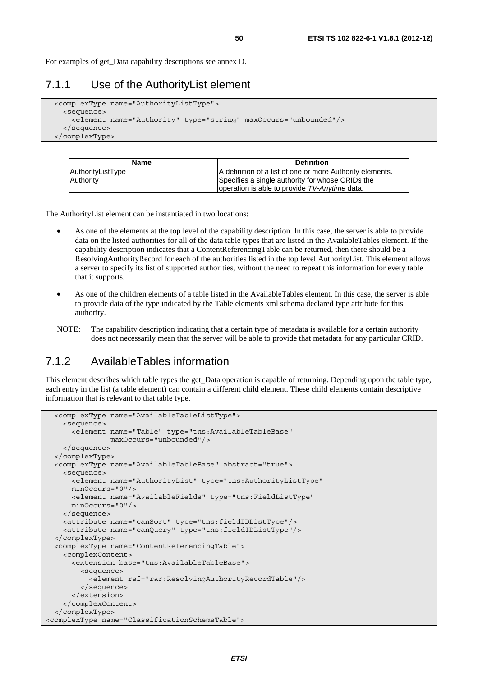For examples of get\_Data capability descriptions see annex D.

#### 7.1.1 Use of the AuthorityList element

```
 <complexType name="AuthorityListType"> 
   <sequence> 
     <element name="Authority" type="string" maxOccurs="unbounded"/> 
   </sequence> 
 </complexType>
```

| <b>Name</b>       | <b>Definition</b>                                         |
|-------------------|-----------------------------------------------------------|
| AuthorityListType | A definition of a list of one or more Authority elements. |
| Authority         | Specifies a single authority for whose CRIDs the          |
|                   | loperation is able to provide TV-Anytime data.            |

The AuthorityList element can be instantiated in two locations:

- As one of the elements at the top level of the capability description. In this case, the server is able to provide data on the listed authorities for all of the data table types that are listed in the AvailableTables element. If the capability description indicates that a ContentReferencingTable can be returned, then there should be a ResolvingAuthorityRecord for each of the authorities listed in the top level AuthorityList. This element allows a server to specify its list of supported authorities, without the need to repeat this information for every table that it supports.
- As one of the children elements of a table listed in the AvailableTables element. In this case, the server is able to provide data of the type indicated by the Table elements xml schema declared type attribute for this authority.
- NOTE: The capability description indicating that a certain type of metadata is available for a certain authority does not necessarily mean that the server will be able to provide that metadata for any particular CRID.

### 7.1.2 AvailableTables information

This element describes which table types the get\_Data operation is capable of returning. Depending upon the table type, each entry in the list (a table element) can contain a different child element. These child elements contain descriptive information that is relevant to that table type.

```
 <complexType name="AvailableTableListType"> 
     <sequence> 
       <element name="Table" type="tns:AvailableTableBase" 
                maxOccurs="unbounded"/> 
     </sequence> 
  </complexType> 
  <complexType name="AvailableTableBase" abstract="true"> 
     <sequence> 
       <element name="AuthorityList" type="tns:AuthorityListType" 
       minOccurs="0"/> 
       <element name="AvailableFields" type="tns:FieldListType" 
      minOccurs="0"/> 
    </sequence> 
     <attribute name="canSort" type="tns:fieldIDListType"/> 
     <attribute name="canQuery" type="tns:fieldIDListType"/> 
  </complexType> 
  <complexType name="ContentReferencingTable"> 
     <complexContent> 
       <extension base="tns:AvailableTableBase"> 
         <sequence> 
           <element ref="rar:ResolvingAuthorityRecordTable"/> 
         </sequence> 
       </extension> 
     </complexContent> 
  </complexType> 
<complexType name="ClassificationSchemeTable">
```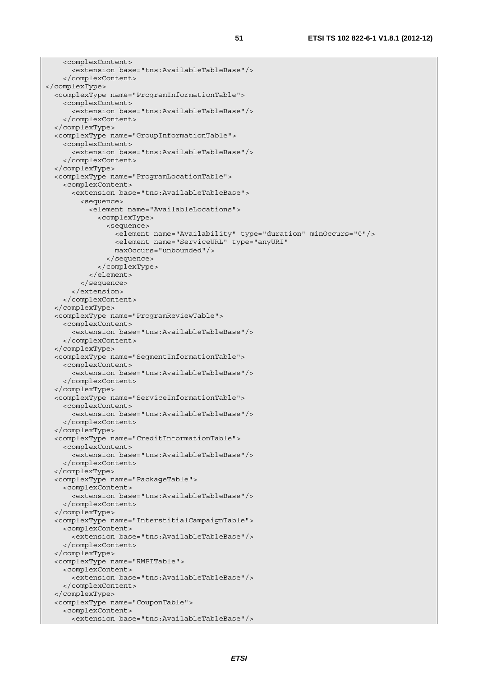```
 <complexContent> 
       <extension base="tns:AvailableTableBase"/> 
     </complexContent> 
</complexType> 
   <complexType name="ProgramInformationTable"> 
     <complexContent> 
       <extension base="tns:AvailableTableBase"/> 
     </complexContent> 
   </complexType> 
   <complexType name="GroupInformationTable"> 
     <complexContent> 
       <extension base="tns:AvailableTableBase"/> 
     </complexContent> 
   </complexType> 
   <complexType name="ProgramLocationTable"> 
     <complexContent> 
       <extension base="tns:AvailableTableBase"> 
         <sequence> 
            <element name="AvailableLocations"> 
              <complexType> 
                <sequence> 
                  <element name="Availability" type="duration" minOccurs="0"/> 
                  <element name="ServiceURL" type="anyURI" 
                  maxOccurs="unbounded"/> 
                </sequence> 
              </complexType> 
            </element> 
         </sequence> 
       </extension> 
     </complexContent> 
   </complexType> 
   <complexType name="ProgramReviewTable"> 
     <complexContent> 
       <extension base="tns:AvailableTableBase"/> 
     </complexContent> 
   </complexType> 
   <complexType name="SegmentInformationTable"> 
     <complexContent> 
       <extension base="tns:AvailableTableBase"/> 
     </complexContent> 
   </complexType> 
   <complexType name="ServiceInformationTable"> 
     <complexContent> 
       <extension base="tns:AvailableTableBase"/> 
     </complexContent> 
   </complexType> 
   <complexType name="CreditInformationTable"> 
     <complexContent> 
       <extension base="tns:AvailableTableBase"/> 
     </complexContent> 
  </complexType> 
   <complexType name="PackageTable"> 
     <complexContent> 
       <extension base="tns:AvailableTableBase"/> 
     </complexContent> 
   </complexType> 
   <complexType name="InterstitialCampaignTable"> 
     <complexContent> 
       <extension base="tns:AvailableTableBase"/> 
     </complexContent> 
   </complexType> 
   <complexType name="RMPITable"> 
     <complexContent> 
       <extension base="tns:AvailableTableBase"/> 
     </complexContent> 
   </complexType> 
   <complexType name="CouponTable"> 
     <complexContent> 
       <extension base="tns:AvailableTableBase"/>
```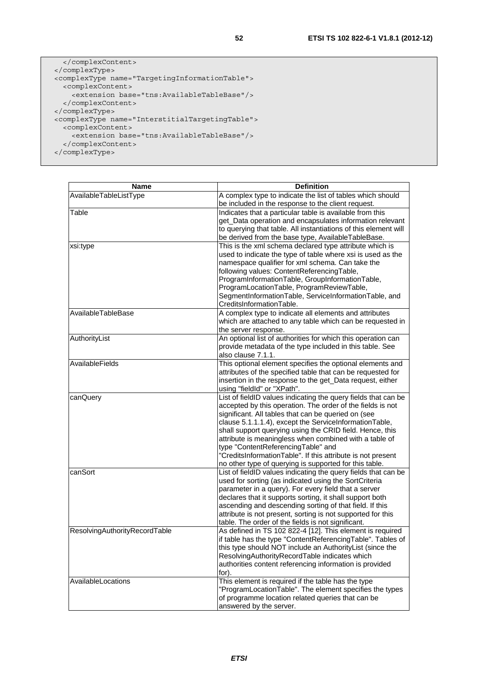```
 </complexContent> 
  </complexType> 
  <complexType name="TargetingInformationTable"> 
    <complexContent> 
      <extension base="tns:AvailableTableBase"/> 
    </complexContent> 
  </complexType> 
 <complexType name="InterstitialTargetingTable"> 
 <complexContent> 
      <extension base="tns:AvailableTableBase"/> 
    </complexContent> 
  </complexType>
```

| Name                          | <b>Definition</b>                                                                                                  |
|-------------------------------|--------------------------------------------------------------------------------------------------------------------|
| AvailableTableListType        | A complex type to indicate the list of tables which should                                                         |
|                               | be included in the response to the client request.                                                                 |
| Table                         | Indicates that a particular table is available from this                                                           |
|                               | get_Data operation and encapsulates information relevant                                                           |
|                               | to querying that table. All instantiations of this element will                                                    |
|                               | be derived from the base type, AvailableTableBase.                                                                 |
| xsi:type                      | This is the xml schema declared type attribute which is                                                            |
|                               | used to indicate the type of table where xsi is used as the                                                        |
|                               | namespace qualifier for xml schema. Can take the                                                                   |
|                               | following values: ContentReferencingTable,                                                                         |
|                               | ProgramInformationTable, GroupInformationTable,                                                                    |
|                               | ProgramLocationTable, ProgramReviewTable,                                                                          |
|                               | SegmentInformationTable, ServiceInformationTable, and                                                              |
|                               | CreditsInformationTable.                                                                                           |
| AvailableTableBase            | A complex type to indicate all elements and attributes                                                             |
|                               | which are attached to any table which can be requested in                                                          |
|                               | the server response.                                                                                               |
| AuthorityList                 | An optional list of authorities for which this operation can                                                       |
|                               | provide metadata of the type included in this table. See                                                           |
|                               | also clause 7.1.1.                                                                                                 |
| AvailableFields               | This optional element specifies the optional elements and                                                          |
|                               | attributes of the specified table that can be requested for                                                        |
|                               | insertion in the response to the get_Data request, either                                                          |
|                               | using "fieldId" or "XPath".                                                                                        |
| canQuery                      | List of fieldID values indicating the query fields that can be                                                     |
|                               | accepted by this operation. The order of the fields is not                                                         |
|                               | significant. All tables that can be queried on (see                                                                |
|                               | clause 5.1.1.1.4), except the ServiceInformationTable,                                                             |
|                               | shall support querying using the CRID field. Hence, this<br>attribute is meaningless when combined with a table of |
|                               | type "ContentReferencingTable" and                                                                                 |
|                               | "CreditsInformationTable". If this attribute is not present                                                        |
|                               | no other type of querying is supported for this table.                                                             |
| canSort                       | List of fieldID values indicating the query fields that can be                                                     |
|                               | used for sorting (as indicated using the SortCriteria                                                              |
|                               | parameter in a query). For every field that a server                                                               |
|                               | declares that it supports sorting, it shall support both                                                           |
|                               | ascending and descending sorting of that field. If this                                                            |
|                               | attribute is not present, sorting is not supported for this                                                        |
|                               | table. The order of the fields is not significant.                                                                 |
| ResolvingAuthorityRecordTable | As defined in TS 102 822-4 [12]. This element is required                                                          |
|                               | if table has the type "ContentReferencingTable". Tables of                                                         |
|                               | this type should NOT include an AuthorityList (since the                                                           |
|                               | ResolvingAuthorityRecordTable indicates which                                                                      |
|                               | authorities content referencing information is provided                                                            |
|                               | for).                                                                                                              |
| AvailableLocations            | This element is required if the table has the type                                                                 |
|                               | "ProgramLocationTable". The element specifies the types                                                            |
|                               | of programme location related queries that can be                                                                  |
|                               | answered by the server.                                                                                            |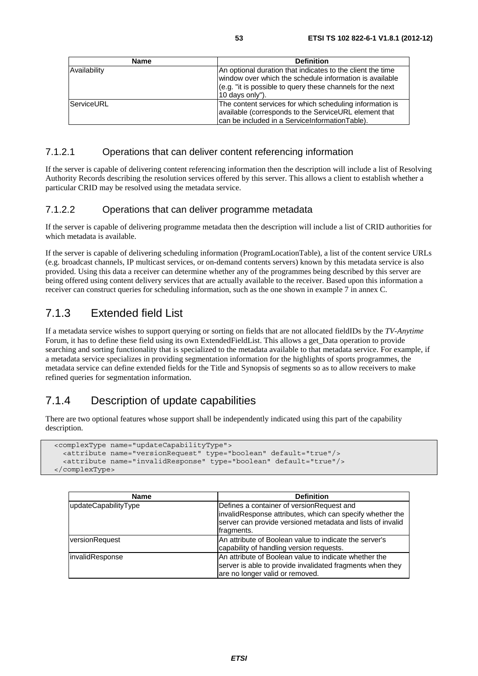| <b>Name</b>  | <b>Definition</b>                                                                                                                                                                                      |
|--------------|--------------------------------------------------------------------------------------------------------------------------------------------------------------------------------------------------------|
| Availability | An optional duration that indicates to the client the time<br>window over which the schedule information is available<br>(e.g. "it is possible to query these channels for the next<br>10 days only"). |
| ServiceURL   | The content services for which scheduling information is<br>available (corresponds to the ServiceURL element that<br>can be included in a ServiceInformationTable).                                    |

#### 7.1.2.1 Operations that can deliver content referencing information

If the server is capable of delivering content referencing information then the description will include a list of Resolving Authority Records describing the resolution services offered by this server. This allows a client to establish whether a particular CRID may be resolved using the metadata service.

#### 7.1.2.2 Operations that can deliver programme metadata

If the server is capable of delivering programme metadata then the description will include a list of CRID authorities for which metadata is available.

If the server is capable of delivering scheduling information (ProgramLocationTable), a list of the content service URLs (e.g. broadcast channels, IP multicast services, or on-demand contents servers) known by this metadata service is also provided. Using this data a receiver can determine whether any of the programmes being described by this server are being offered using content delivery services that are actually available to the receiver. Based upon this information a receiver can construct queries for scheduling information, such as the one shown in example 7 in annex C.

### 7.1.3 Extended field List

If a metadata service wishes to support querying or sorting on fields that are not allocated fieldIDs by the *TV-Anytime* Forum, it has to define these field using its own ExtendedFieldList. This allows a get\_Data operation to provide searching and sorting functionality that is specialized to the metadata available to that metadata service. For example, if a metadata service specializes in providing segmentation information for the highlights of sports programmes, the metadata service can define extended fields for the Title and Synopsis of segments so as to allow receivers to make refined queries for segmentation information.

### 7.1.4 Description of update capabilities

There are two optional features whose support shall be independently indicated using this part of the capability description.

```
 <complexType name="updateCapabilityType"> 
   <attribute name="versionRequest" type="boolean" default="true"/> 
   <attribute name="invalidResponse" type="boolean" default="true"/> 
 </complexType>
```

| <b>Name</b>            | <b>Definition</b>                                                                                                                                                                   |
|------------------------|-------------------------------------------------------------------------------------------------------------------------------------------------------------------------------------|
| updateCapabilityType   | Defines a container of version Request and<br>invalidResponse attributes, which can specify whether the<br>server can provide versioned metadata and lists of invalid<br>fragments. |
| versionRequest         | An attribute of Boolean value to indicate the server's<br>capability of handling version requests.                                                                                  |
| <i>invalidResponse</i> | An attribute of Boolean value to indicate whether the<br>server is able to provide invalidated fragments when they<br>are no longer valid or removed.                               |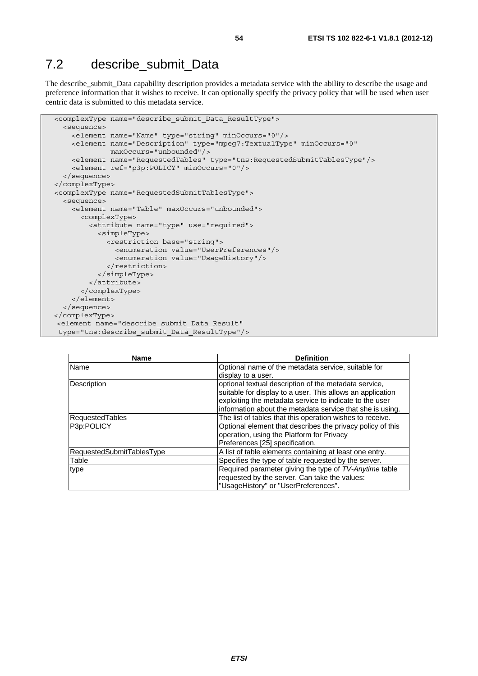## 7.2 describe submit Data

The describe\_submit\_Data capability description provides a metadata service with the ability to describe the usage and preference information that it wishes to receive. It can optionally specify the privacy policy that will be used when user centric data is submitted to this metadata service.

```
 <complexType name="describe_submit_Data_ResultType"> 
   <sequence> 
     <element name="Name" type="string" minOccurs="0"/> 
     <element name="Description" type="mpeg7:TextualType" minOccurs="0" 
              maxOccurs="unbounded"/> 
     <element name="RequestedTables" type="tns:RequestedSubmitTablesType"/> 
     <element ref="p3p:POLICY" minOccurs="0"/> 
   </sequence> 
 </complexType> 
 <complexType name="RequestedSubmitTablesType"> 
   <sequence> 
     <element name="Table" maxOccurs="unbounded"> 
       <complexType> 
         <attribute name="type" use="required"> 
           <simpleType> 
             <restriction base="string"> 
                <enumeration value="UserPreferences"/> 
                <enumeration value="UsageHistory"/> 
              </restriction> 
           </simpleType> 
         </attribute> 
       </complexType> 
     </element> 
   </sequence> 
</complexType> 
 <element name="describe_submit_Data_Result" 
 type="tns:describe_submit_Data_ResultType"/>
```

| <b>Name</b>               | <b>Definition</b>                                          |
|---------------------------|------------------------------------------------------------|
| Name                      | Optional name of the metadata service, suitable for        |
|                           | display to a user.                                         |
| Description               | optional textual description of the metadata service,      |
|                           | suitable for display to a user. This allows an application |
|                           | exploiting the metadata service to indicate to the user    |
|                           | information about the metadata service that she is using.  |
| RequestedTables           | The list of tables that this operation wishes to receive.  |
| P3p:POLICY                | Optional element that describes the privacy policy of this |
|                           | operation, using the Platform for Privacy                  |
|                           | Preferences [25] specification.                            |
| RequestedSubmitTablesType | A list of table elements containing at least one entry.    |
| Table                     | Specifies the type of table requested by the server.       |
| type                      | Required parameter giving the type of TV-Anytime table     |
|                           | requested by the server. Can take the values:              |
|                           | "UsageHistory" or "UserPreferences".                       |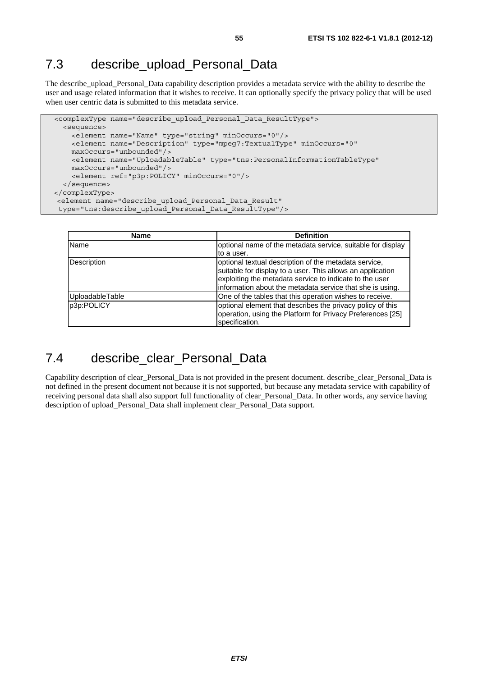## 7.3 describe upload Personal Data

The describe\_upload\_Personal\_Data capability description provides a metadata service with the ability to describe the user and usage related information that it wishes to receive. It can optionally specify the privacy policy that will be used when user centric data is submitted to this metadata service.

```
 <complexType name="describe_upload_Personal_Data_ResultType"> 
   <sequence> 
     <element name="Name" type="string" minOccurs="0"/> 
     <element name="Description" type="mpeg7:TextualType" minOccurs="0" 
    maxOccurs="unbounded"/> 
    <element name="UploadableTable" type="tns:PersonalInformationTableType" 
    maxOccurs="unbounded"/> 
     <element ref="p3p:POLICY" minOccurs="0"/> 
   </sequence> 
</complexType> 
 <element name="describe_upload_Personal_Data_Result" 
 type="tns:describe_upload_Personal_Data_ResultType"/>
```

| <b>Name</b>     | <b>Definition</b>                                                                                                                                                                                                                           |
|-----------------|---------------------------------------------------------------------------------------------------------------------------------------------------------------------------------------------------------------------------------------------|
| Name            | optional name of the metadata service, suitable for display                                                                                                                                                                                 |
|                 | to a user.                                                                                                                                                                                                                                  |
| Description     | optional textual description of the metadata service,<br>suitable for display to a user. This allows an application<br>exploiting the metadata service to indicate to the user<br>information about the metadata service that she is using. |
| UploadableTable | One of the tables that this operation wishes to receive.                                                                                                                                                                                    |
| p3p:POLICY      | optional element that describes the privacy policy of this<br>operation, using the Platform for Privacy Preferences [25]<br>specification.                                                                                                  |

## 7.4 describe clear Personal Data

Capability description of clear\_Personal\_Data is not provided in the present document. describe\_clear\_Personal\_Data is not defined in the present document not because it is not supported, but because any metadata service with capability of receiving personal data shall also support full functionality of clear\_Personal\_Data. In other words, any service having description of upload\_Personal\_Data shall implement clear\_Personal\_Data support.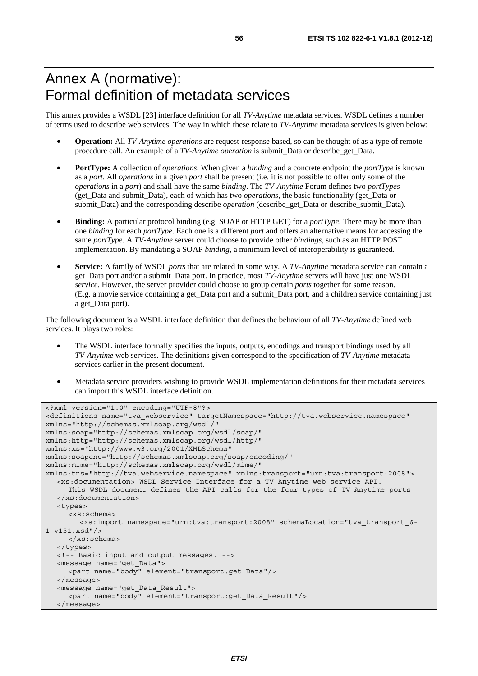# Annex A (normative): Formal definition of metadata services

This annex provides a WSDL [23] interface definition for all *TV-Anytime* metadata services. WSDL defines a number of terms used to describe web services. The way in which these relate to *TV-Anytime* metadata services is given below:

- **Operation:** All *TV-Anytime operations* are request-response based, so can be thought of as a type of remote procedure call. An example of a *TV-Anytime operation* is submit*\_*Data or describe*\_*get*\_*Data.
- **PortType:** A collection of *operations*. When given a *binding* and a concrete endpoint the *portType* is known as a *port*. All *operations* in a given *port* shall be present (i.e. it is not possible to offer only some of the *operations* in a *port*) and shall have the same *binding*. The *TV-Anytime* Forum defines two *portTypes* (get*\_*Data and submit*\_*Data), each of which has two *operations*, the basic functionality (get*\_*Data or submit*\_*Data) and the corresponding describe *operation* (describe\_get*\_*Data or describe\_submit*\_*Data).
- **Binding:** A particular protocol binding (e.g. SOAP or HTTP GET) for a *portType*. There may be more than one *binding* for each *portType*. Each one is a different *port* and offers an alternative means for accessing the same *portType*. A *TV-Anytime* server could choose to provide other *bindings*, such as an HTTP POST implementation. By mandating a SOAP *binding*, a minimum level of interoperability is guaranteed.
- **Service:** A family of WSDL *ports* that are related in some way. A *TV-Anytime* metadata service can contain a get\_Data port and/or a submit\_Data port. In practice, most *TV-Anytime* servers will have just one WSDL *service*. However, the server provider could choose to group certain *ports* together for some reason. (E.g. a movie service containing a get\_Data port and a submit\_Data port, and a children service containing just a get\_Data port).

The following document is a WSDL interface definition that defines the behaviour of all *TV-Anytime* defined web services. It plays two roles:

- The WSDL interface formally specifies the inputs, outputs, encodings and transport bindings used by all *TV-Anytime* web services. The definitions given correspond to the specification of *TV-Anytime* metadata services earlier in the present document.
- Metadata service providers wishing to provide WSDL implementation definitions for their metadata services can import this WSDL interface definition.

```
<?xml version="1.0" encoding="UTF-8"?> 
<definitions name="tva_webservice" targetNamespace="http://tva.webservice.namespace" 
xmlns="http://schemas.xmlsoap.org/wsdl/" 
xmlns:soap="http://schemas.xmlsoap.org/wsdl/soap/" 
xmlns:http="http://schemas.xmlsoap.org/wsdl/http/" 
xmlns:xs="http://www.w3.org/2001/XMLSchema" 
xmlns:soapenc="http://schemas.xmlsoap.org/soap/encoding/" 
xmlns:mime="http://schemas.xmlsoap.org/wsdl/mime/" 
xmlns:tns="http://tva.webservice.namespace" xmlns:transport="urn:tva:transport:2008"> 
    <xs:documentation> WSDL Service Interface for a TV Anytime web service API. 
      This WSDL document defines the API calls for the four types of TV Anytime ports 
   </xs:documentation> 
   <types> 
      <xs:schema> 
         <xs:import namespace="urn:tva:transport:2008" schemaLocation="tva_transport_6-
1_v151.xsd"/> 
      </xs:schema> 
   </types> 
   <!-- Basic input and output messages. --> 
   <message name="get_Data"> 
      <part name="body" element="transport:get_Data"/> 
   </message> 
   <message name="get_Data_Result"> 
      <part name="body" element="transport:get_Data_Result"/> 
   </message>
```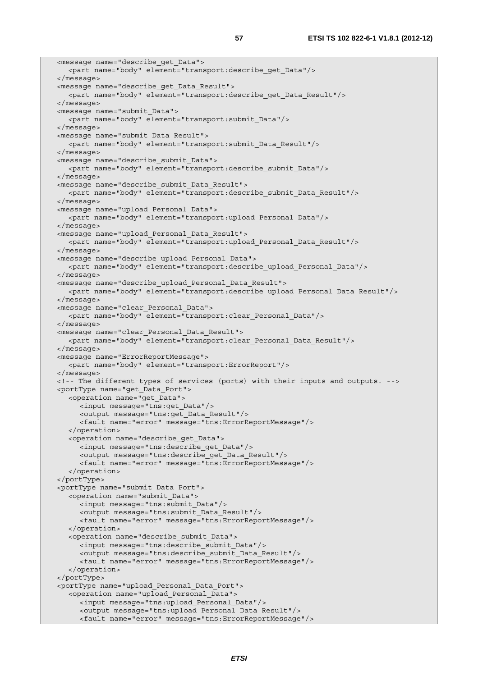<message name="describe\_get\_Data"> <part name="body" element="transport:describe\_get\_Data"/> </message> <message name="describe\_get\_Data\_Result"> <part name="body" element="transport:describe\_get\_Data\_Result"/> </message> <message name="submit\_Data"> <part name="body" element="transport:submit\_Data"/> </message> <message name="submit\_Data\_Result"> <part name="body" element="transport:submit\_Data\_Result"/> </message> <message name="describe\_submit\_Data"> <part name="body" element="transport:describe\_submit\_Data"/> </message> <message name="describe\_submit\_Data\_Result"> <part name="body" element="transport:describe\_submit\_Data\_Result"/> </message> <message name="upload\_Personal\_Data"> <part name="body" element="transport:upload\_Personal\_Data"/> </message> <message name="upload\_Personal\_Data\_Result"> <part name="body" element="transport:upload\_Personal\_Data\_Result"/> </message> <message name="describe\_upload\_Personal\_Data"> <part name="body" element="transport:describe\_upload\_Personal\_Data"/> </message> <message name="describe\_upload\_Personal\_Data\_Result"> <part name="body" element="transport:describe\_upload\_Personal\_Data\_Result"/> </message> <message name="clear\_Personal\_Data"> <part name="body" element="transport:clear\_Personal\_Data"/> </message> <message name="clear\_Personal\_Data\_Result"> <part name="body" element="transport:clear\_Personal\_Data\_Result"/> </message> <message name="ErrorReportMessage"> <part name="body" element="transport:ErrorReport"/> </message> <!-- The different types of services (ports) with their inputs and outputs. --> <portType name="get\_Data\_Port"> <operation name="get\_Data"> <input message="tns:get\_Data"/> <output message="tns:get\_Data\_Result"/> <fault name="error" message="tns:ErrorReportMessage"/> </operation> <operation name="describe\_get\_Data"> <input message="tns:describe\_get\_Data"/> <output message="tns:describe\_get\_Data\_Result"/> <fault name="error" message="tns:ErrorReportMessage"/> </operation> </portType> <portType name="submit\_Data\_Port"> <operation name="submit\_Data"> <input message="tns:submit\_Data"/> <output message="tns:submit\_Data\_Result"/> <fault name="error" message="tns:ErrorReportMessage"/> </operation> <operation name="describe\_submit\_Data"> <input message="tns:describe\_submit\_Data"/> <output message="tns:describe\_submit\_Data\_Result"/> <fault name="error" message="tns:ErrorReportMessage"/> </operation> </portType> <portType name="upload\_Personal\_Data\_Port"> <operation name="upload\_Personal\_Data"> <input message="tns:upload\_Personal\_Data"/> <output message="tns:upload\_Personal\_Data\_Result"/> <fault name="error" message="tns:ErrorReportMessage"/>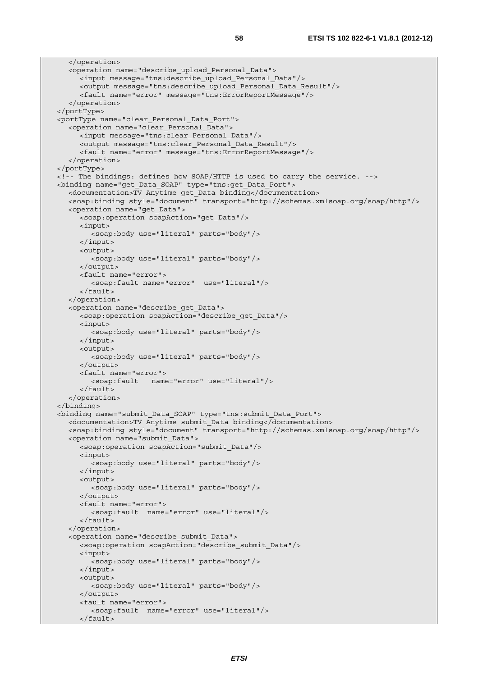```
 </operation> 
    <operation name="describe_upload_Personal_Data"> 
      <input message="tns:describe_upload_Personal_Data"/> 
      <output message="tns:describe_upload_Personal_Data_Result"/> 
      <fault name="error" message="tns:ErrorReportMessage"/> 
    </operation> 
 </portType> 
 <portType name="clear_Personal_Data_Port"> 
    <operation name="clear_Personal_Data"> 
      <input message="tns:clear_Personal_Data"/> 
      <output message="tns:clear_Personal_Data_Result"/> 
      <fault name="error" message="tns:ErrorReportMessage"/> 
    </operation> 
 </portType> 
 <!-- The bindings: defines how SOAP/HTTP is used to carry the service. --> 
 <binding name="get_Data_SOAP" type="tns:get_Data_Port"> 
   <documentation>TV Anytime get_Data binding</documentation> 
   <soap:binding style="document" transport="http://schemas.xmlsoap.org/soap/http"/> 
   <operation name="get_Data"> 
      <soap:operation soapAction="get_Data"/> 
      <input> 
         <soap:body use="literal" parts="body"/> 
      </input> 
      <output> 
         <soap:body use="literal" parts="body"/> 
      </output> 
      <fault name="error"> 
         <soap:fault name="error" use="literal"/> 
      </fault> 
   </operation> 
    <operation name="describe_get_Data"> 
      <soap:operation soapAction="describe_get_Data"/> 
      <input> 
         <soap:body use="literal" parts="body"/> 
      </input> 
      <output> 
         <soap:body use="literal" parts="body"/> 
      </output> 
      <fault name="error"> 
         <soap:fault name="error" use="literal"/> 
      </fault> 
    </operation> 
 </binding> 
 <binding name="submit_Data_SOAP" type="tns:submit_Data_Port"> 
   <documentation>TV Anytime submit_Data binding</documentation> 
   <soap:binding style="document" transport="http://schemas.xmlsoap.org/soap/http"/> 
   <operation name="submit_Data"> 
      <soap:operation soapAction="submit_Data"/> 
      <input> 
         <soap:body use="literal" parts="body"/> 
      </input> 
      <output> 
         <soap:body use="literal" parts="body"/> 
      </output> 
      <fault name="error"> 
         <soap:fault name="error" use="literal"/> 
      </fault> 
    </operation> 
    <operation name="describe_submit_Data"> 
      <soap:operation soapAction="describe_submit_Data"/> 
      <input> 
         <soap:body use="literal" parts="body"/> 
      </input> 
      <output> 
         <soap:body use="literal" parts="body"/> 
      </output> 
      <fault name="error"> 
         <soap:fault name="error" use="literal"/> 
      </fault>
```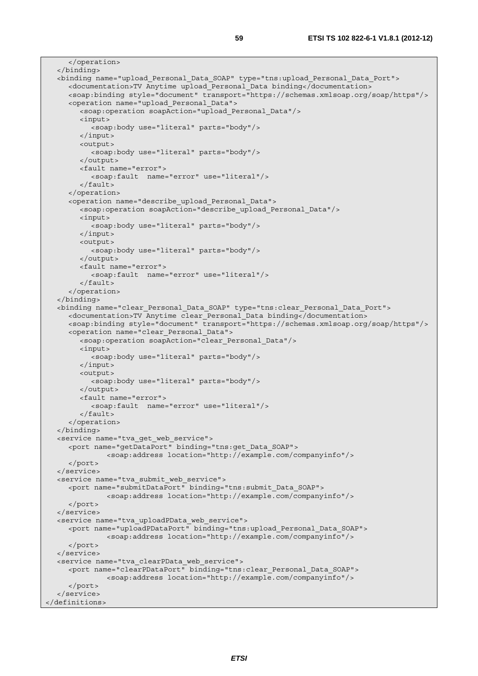```
 </operation> 
   </binding> 
   <binding name="upload_Personal_Data_SOAP" type="tns:upload_Personal_Data_Port"> 
      <documentation>TV Anytime upload_Personal_Data binding</documentation> 
      <soap:binding style="document" transport="https://schemas.xmlsoap.org/soap/https"/> 
      <operation name="upload_Personal_Data"> 
         <soap:operation soapAction="upload_Personal_Data"/> 
         <input> 
            <soap:body use="literal" parts="body"/> 
         </input> 
         <output> 
           <soap:body use="literal" parts="body"/> 
         </output> 
         <fault name="error"> 
            <soap:fault name="error" use="literal"/> 
         </fault> 
      </operation> 
      <operation name="describe_upload_Personal_Data"> 
         <soap:operation soapAction="describe_upload_Personal_Data"/> 
         <input> 
            <soap:body use="literal" parts="body"/> 
         </input> 
         <output> 
           <soap:body use="literal" parts="body"/> 
         </output> 
         <fault name="error"> 
            <soap:fault name="error" use="literal"/> 
         </fault> 
      </operation> 
   </binding> 
   <binding name="clear_Personal_Data_SOAP" type="tns:clear_Personal_Data_Port"> 
      <documentation>TV Anytime clear_Personal_Data binding</documentation> 
      <soap:binding style="document" transport="https://schemas.xmlsoap.org/soap/https"/> 
      <operation name="clear_Personal_Data"> 
         <soap:operation soapAction="clear_Personal_Data"/> 
         <input> 
            <soap:body use="literal" parts="body"/> 
         </input> 
         <output> 
           <soap:body use="literal" parts="body"/> 
         </output> 
         <fault name="error"> 
            <soap:fault name="error" use="literal"/> 
         </fault> 
      </operation> 
   </binding> 
   <service name="tva_get_web_service"> 
      <port name="getDataPort" binding="tns:get_Data_SOAP"> 
                <soap:address location="http://example.com/companyinfo"/> 
      </port> 
   </service> 
   <service name="tva_submit_web_service"> 
      <port name="submitDataPort" binding="tns:submit_Data_SOAP"> 
                <soap:address location="http://example.com/companyinfo"/> 
      </port> 
   </service> 
   <service name="tva_uploadPData_web_service"> 
      <port name="uploadPDataPort" binding="tns:upload_Personal_Data_SOAP"> 
                <soap:address location="http://example.com/companyinfo"/> 
      </port> 
   </service> 
   <service name="tva_clearPData_web_service"> 
      <port name="clearPDataPort" binding="tns:clear_Personal_Data_SOAP"> 
                <soap:address location="http://example.com/companyinfo"/> 
      </port> 
   </service> 
</definitions>
```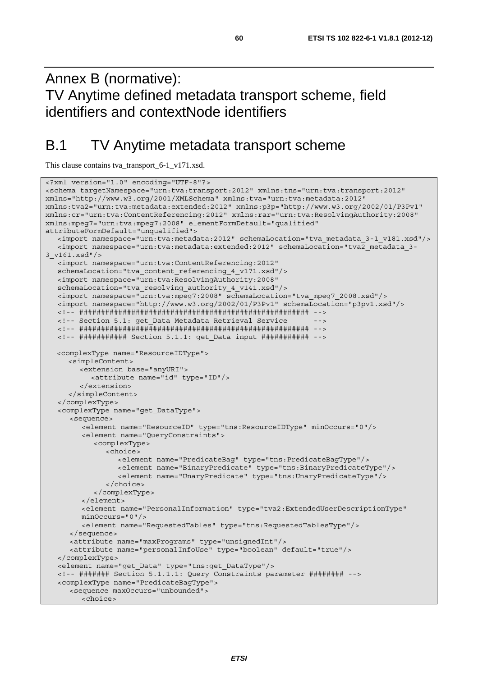Annex B (normative): TV Anytime defined metadata transport scheme, field identifiers and contextNode identifiers

## B.1 TV Anytime metadata transport scheme

This clause contains tva\_transport\_6-1\_v171.xsd.

```
<?xml version="1.0" encoding="UTF-8"?> 
<schema targetNamespace="urn:tva:transport:2012" xmlns:tns="urn:tva:transport:2012" 
xmlns="http://www.w3.org/2001/XMLSchema" xmlns:tva="urn:tva:metadata:2012" 
xmlns:tva2="urn:tva:metadata:extended:2012" xmlns:p3p="http://www.w3.org/2002/01/P3Pv1" 
xmlns:cr="urn:tva:ContentReferencing:2012" xmlns:rar="urn:tva:ResolvingAuthority:2008" 
xmlns:mpeg7="urn:tva:mpeg7:2008" elementFormDefault="qualified" 
attributeFormDefault="unqualified"> 
    <import namespace="urn:tva:metadata:2012" schemaLocation="tva_metadata_3-1_v181.xsd"/> 
    <import namespace="urn:tva:metadata:extended:2012" schemaLocation="tva2_metadata_3-
3_v161.xsd"/> 
   <import namespace="urn:tva:ContentReferencing:2012" 
   schemaLocation="tva_content_referencing_4_v171.xsd"/> 
    <import namespace="urn:tva:ResolvingAuthority:2008" 
    schemaLocation="tva_resolving_authority_4_v141.xsd"/> 
   <import namespace="urn:tva:mpeg7:2008" schemaLocation="tva_mpeg7_2008.xsd"/> 
   <import namespace="http://www.w3.org/2002/01/P3Pv1" schemaLocation="p3pv1.xsd"/> 
   <!-- ##################################################### --> 
   <!-- Section 5.1: get_Data Metadata Retrieval Service --> 
   <!-- ##################################################### --> 
   <!-- ########### Section 5.1.1: get_Data input ########### --> 
  <complexType name="ResourceIDType"> 
      <simpleContent> 
         <extension base="anyURI"> 
            <attribute name="id" type="ID"/> 
         </extension> 
      </simpleContent> 
    </complexType> 
    <complexType name="get_DataType"> 
      <sequence> 
         <element name="ResourceID" type="tns:ResourceIDType" minOccurs="0"/> 
         <element name="QueryConstraints"> 
            <complexType> 
               <choice> 
                  <element name="PredicateBag" type="tns:PredicateBagType"/> 
                  <element name="BinaryPredicate" type="tns:BinaryPredicateType"/> 
                  <element name="UnaryPredicate" type="tns:UnaryPredicateType"/> 
               </choice> 
            </complexType> 
         </element> 
         <element name="PersonalInformation" type="tva2:ExtendedUserDescriptionType" 
         minOccurs="0"/> 
         <element name="RequestedTables" type="tns:RequestedTablesType"/> 
      </sequence> 
      <attribute name="maxPrograms" type="unsignedInt"/> 
      <attribute name="personalInfoUse" type="boolean" default="true"/> 
    </complexType> 
    <element name="get_Data" type="tns:get_DataType"/> 
    <!-- ####### Section 5.1.1.1: Query Constraints parameter ######## --> 
    <complexType name="PredicateBagType"> 
      <sequence maxOccurs="unbounded"> 
         <choice>
```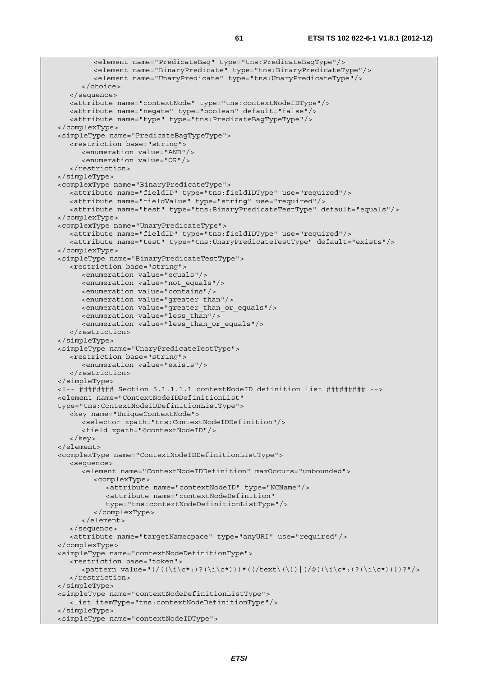```
 <element name="PredicateBag" type="tns:PredicateBagType"/> 
          <element name="BinaryPredicate" type="tns:BinaryPredicateType"/> 
          <element name="UnaryPredicate" type="tns:UnaryPredicateType"/> 
      \sim/choices
    </sequence> 
    <attribute name="contextNode" type="tns:contextNodeIDType"/> 
   <attribute name="negate" type="boolean" default="false"/> 
    <attribute name="type" type="tns:PredicateBagTypeType"/> 
 </complexType> 
 <simpleType name="PredicateBagTypeType"> 
   <restriction base="string"> 
      <enumeration value="AND"/> 
       <enumeration value="OR"/> 
    </restriction> 
 </simpleType> 
 <complexType name="BinaryPredicateType"> 
    <attribute name="fieldID" type="tns:fieldIDType" use="required"/> 
    <attribute name="fieldValue" type="string" use="required"/> 
    <attribute name="test" type="tns:BinaryPredicateTestType" default="equals"/> 
 </complexType> 
 <complexType name="UnaryPredicateType"> 
    <attribute name="fieldID" type="tns:fieldIDType" use="required"/> 
    <attribute name="test" type="tns:UnaryPredicateTestType" default="exists"/> 
 </complexType> 
 <simpleType name="BinaryPredicateTestType"> 
   <restriction base="string"> 
      <enumeration value="equals"/> 
       <enumeration value="not_equals"/> 
      <enumeration value="contains"/> 
      <enumeration value="greater_than"/> 
      <enumeration value="greater_than_or_equals"/> 
      <enumeration value="less_than"/> 
       <enumeration value="less_than_or_equals"/> 
   </restriction> 
 </simpleType> 
 <simpleType name="UnaryPredicateTestType"> 
   <restriction base="string"> 
       <enumeration value="exists"/> 
    </restriction> 
 </simpleType> 
 <!-- ######## Section 5.1.1.1.1 contextNodeID definition list ######### --> 
 <element name="ContextNodeIDDefinitionList" 
 type="tns:ContextNodeIDDefinitionListType"> 
    <key name="UniqueContextNode"> 
      <selector xpath="tns:ContextNodeIDDefinition"/> 
       <field xpath="@contextNodeID"/> 
    </key> 
 </element> 
 <complexType name="ContextNodeIDDefinitionListType"> 
    <sequence> 
       <element name="ContextNodeIDDefinition" maxOccurs="unbounded"> 
          <complexType> 
            <attribute name="contextNodeID" type="NCName"/> 
             <attribute name="contextNodeDefinition" 
             type="tns:contextNodeDefinitionListType"/> 
          </complexType> 
       </element> 
    </sequence> 
    <attribute name="targetNamespace" type="anyURI" use="required"/> 
 </complexType> 
 <simpleType name="contextNodeDefinitionType"> 
    <restriction base="token"> 
      \zeta <pattern value="(/((\i\c*:)?(\i\c*)))*((/text\(\))|(/@((\i\c*:)?(\i\c*))))?"/>
    </restriction> 
 </simpleType> 
 <simpleType name="contextNodeDefinitionListType"> 
    <list itemType="tns:contextNodeDefinitionType"/> 
 </simpleType> 
 <simpleType name="contextNodeIDType">
```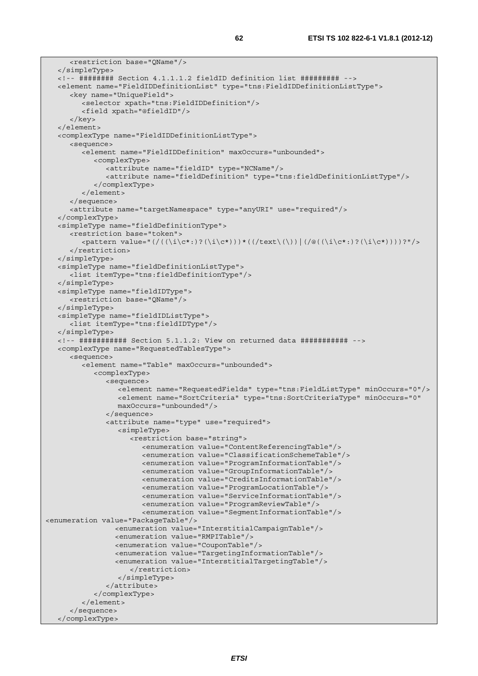```
 <restriction base="QName"/> 
    </simpleType> 
    <!-- ######## Section 4.1.1.1.2 fieldID definition list ######### --> 
   <element name="FieldIDDefinitionList" type="tns:FieldIDDefinitionListType"> 
       <key name="UniqueField"> 
          <selector xpath="tns:FieldIDDefinition"/> 
          <field xpath="@fieldID"/> 
       </key> 
   </element> 
   <complexType name="FieldIDDefinitionListType"> 
      <sequence> 
         <element name="FieldIDDefinition" maxOccurs="unbounded"> 
             <complexType> 
                <attribute name="fieldID" type="NCName"/> 
                <attribute name="fieldDefinition" type="tns:fieldDefinitionListType"/> 
             </complexType> 
          </element> 
       </sequence> 
       <attribute name="targetNamespace" type="anyURI" use="required"/> 
    </complexType> 
    <simpleType name="fieldDefinitionType"> 
       <restriction base="token"> 
         \zeta <pattern value="(/((\i\c*:)?(\i\c*)))*((/text\(\))|(/@((\i\c*:)?(\i\c*))))?"/>
       </restriction> 
    </simpleType> 
    <simpleType name="fieldDefinitionListType"> 
       <list itemType="tns:fieldDefinitionType"/> 
    </simpleType> 
    <simpleType name="fieldIDType"> 
       <restriction base="QName"/> 
    </simpleType> 
    <simpleType name="fieldIDListType"> 
       <list itemType="tns:fieldIDType"/> 
    </simpleType> 
   <!-- ########### Section 5.1.1.2: View on returned data ########### --> 
    <complexType name="RequestedTablesType"> 
       <sequence> 
          <element name="Table" maxOccurs="unbounded"> 
             <complexType> 
                <sequence> 
                   <element name="RequestedFields" type="tns:FieldListType" minOccurs="0"/> 
                  <element name="SortCriteria" type="tns:SortCriteriaType" minOccurs="0" 
                  maxOccurs="unbounded"/> 
                </sequence> 
                <attribute name="type" use="required"> 
                   <simpleType> 
                      <restriction base="string"> 
                         <enumeration value="ContentReferencingTable"/> 
                         <enumeration value="ClassificationSchemeTable"/> 
                         <enumeration value="ProgramInformationTable"/> 
                         <enumeration value="GroupInformationTable"/> 
                         <enumeration value="CreditsInformationTable"/> 
                         <enumeration value="ProgramLocationTable"/> 
                         <enumeration value="ServiceInformationTable"/> 
                         <enumeration value="ProgramReviewTable"/> 
                         <enumeration value="SegmentInformationTable"/> 
<enumeration value="PackageTable"/> 
                  <enumeration value="InterstitialCampaignTable"/> 
                  <enumeration value="RMPITable"/> 
                  <enumeration value="CouponTable"/> 
                  <enumeration value="TargetingInformationTable"/> 
                  <enumeration value="InterstitialTargetingTable"/> 
                      </restriction> 
                  </simpleType> 
                </attribute> 
             </complexType> 
          </element> 
       </sequence> 
    </complexType>
```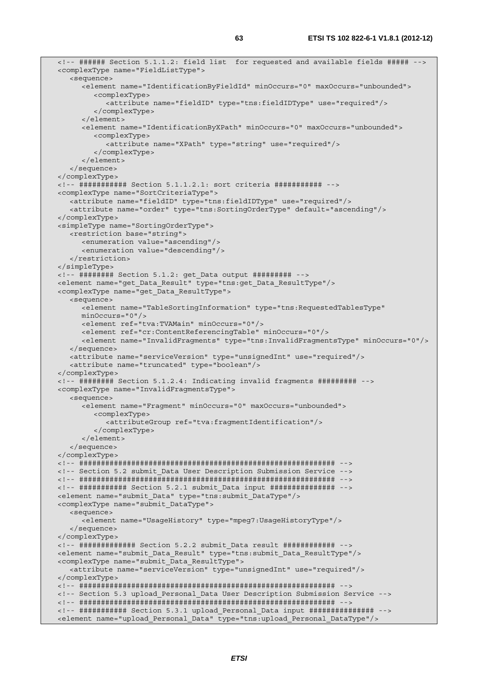```
 <!-- ###### Section 5.1.1.2: field list for requested and available fields ##### --> 
 <complexType name="FieldListType"> 
   <sequence> 
       <element name="IdentificationByFieldId" minOccurs="0" maxOccurs="unbounded"> 
         <complexType> 
             <attribute name="fieldID" type="tns:fieldIDType" use="required"/> 
         </complexType> 
      </element> 
      <element name="IdentificationByXPath" minOccurs="0" maxOccurs="unbounded"> 
         <complexType> 
            <attribute name="XPath" type="string" use="required"/> 
         </complexType> 
      </element> 
    </sequence> 
 </complexType> 
 <!-- ########### Section 5.1.1.2.1: sort criteria ########### --> 
 <complexType name="SortCriteriaType"> 
   <attribute name="fieldID" type="tns:fieldIDType" use="required"/> 
    <attribute name="order" type="tns:SortingOrderType" default="ascending"/> 
 </complexType> 
 <simpleType name="SortingOrderType"> 
   <restriction base="string"> 
      <enumeration value="ascending"/> 
      <enumeration value="descending"/> 
    </restriction> 
 </simpleType> 
 <!-- ######## Section 5.1.2: get_Data output ######### --> 
 <element name="get_Data_Result" type="tns:get_Data_ResultType"/> 
 <complexType name="get_Data_ResultType"> 
   <sequence> 
      <element name="TableSortingInformation" type="tns:RequestedTablesType" 
      minOccurs="0"/> 
      <element ref="tva:TVAMain" minOccurs="0"/> 
      <element ref="cr:ContentReferencingTable" minOccurs="0"/> 
      <element name="InvalidFragments" type="tns:InvalidFragmentsType" minOccurs="0"/> 
   </sequence> 
   <attribute name="serviceVersion" type="unsignedInt" use="required"/> 
    <attribute name="truncated" type="boolean"/> 
 </complexType> 
 <!-- ######## Section 5.1.2.4: Indicating invalid fragments ######### --> 
 <complexType name="InvalidFragmentsType"> 
   <sequence> 
      <element name="Fragment" minOccurs="0" maxOccurs="unbounded"> 
         <complexType> 
            <attributeGroup ref="tva:fragmentIdentification"/> 
         </complexType> 
       </element> 
   </sequence> 
 </complexType> 
 <!-- ########################################################### --> 
 <!-- Section 5.2 submit_Data User Description Submission Service --> 
 <!-- ########################################################### --> 
 <!-- ########### Section 5.2.1 submit_Data input ############### --> 
 <element name="submit_Data" type="tns:submit_DataType"/> 
 <complexType name="submit_DataType"> 
   <sequence> 
      <element name="UsageHistory" type="mpeg7:UsageHistoryType"/> 
    </sequence> 
 </complexType> 
 <!-- ############# Section 5.2.2 submit_Data result ############ --> 
 <element name="submit_Data_Result" type="tns:submit_Data_ResultType"/> 
 <complexType name="submit_Data_ResultType"> 
   <attribute name="serviceVersion" type="unsignedInt" use="required"/> 
 </complexType> 
 <!-- ########################################################### --> 
 <!-- Section 5.3 upload_Personal_Data User Description Submission Service --> 
 <!-- ########################################################### --> 
 <!-- ########### Section 5.3.1 upload_Personal_Data input ############### --> 
 <element name="upload_Personal_Data" type="tns:upload_Personal_DataType"/>
```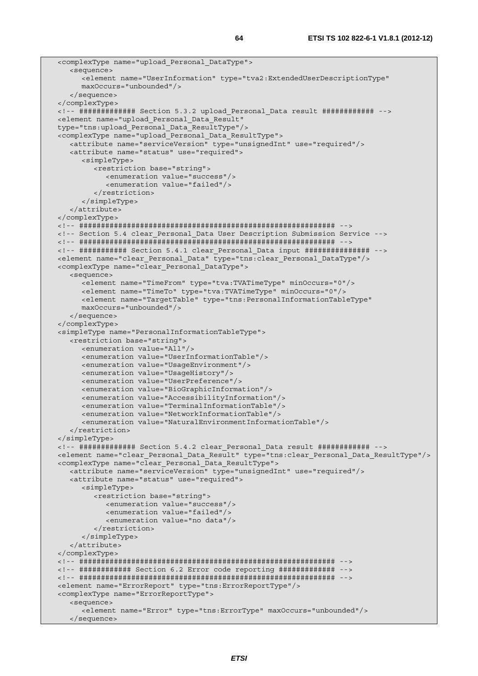```
 <complexType name="upload_Personal_DataType"> 
    <sequence> 
       <element name="UserInformation" type="tva2:ExtendedUserDescriptionType" 
      maxOccurs="unbounded"/> 
    </sequence> 
 </complexType> 
 <!-- ############# Section 5.3.2 upload_Personal_Data result ############ --> 
 <element name="upload_Personal_Data_Result" 
 type="tns:upload_Personal_Data_ResultType"/> 
 <complexType name="upload_Personal_Data_ResultType"> 
    <attribute name="serviceVersion" type="unsignedInt" use="required"/> 
   <attribute name="status" use="required"> 
       <simpleType> 
          <restriction base="string"> 
             <enumeration value="success"/> 
             <enumeration value="failed"/> 
          </restriction> 
       </simpleType> 
    </attribute> 
 </complexType> 
 <!-- ########################################################### --> 
 <!-- Section 5.4 clear_Personal_Data User Description Submission Service --> 
 <!-- ########################################################### --> 
 <!-- ########### Section 5.4.1 clear_Personal_Data input ############### --> 
 <element name="clear_Personal_Data" type="tns:clear_Personal_DataType"/> 
 <complexType name="clear_Personal_DataType"> 
    <sequence> 
       <element name="TimeFrom" type="tva:TVATimeType" minOccurs="0"/> 
       <element name="TimeTo" type="tva:TVATimeType" minOccurs="0"/> 
      <element name="TargetTable" type="tns:PersonalInformationTableType" 
      maxOccurs="unbounded"/> 
    </sequence> 
 </complexType> 
 <simpleType name="PersonalInformationTableType"> 
    <restriction base="string"> 
       <enumeration value="All"/> 
      <enumeration value="UserInformationTable"/> 
      <enumeration value="UsageEnvironment"/> 
       <enumeration value="UsageHistory"/> 
      <enumeration value="UserPreference"/> 
       <enumeration value="BioGraphicInformation"/> 
      <enumeration value="AccessibilityInformation"/> 
      <enumeration value="TerminalInformationTable"/> 
       <enumeration value="NetworkInformationTable"/> 
       <enumeration value="NaturalEnvironmentInformationTable"/> 
    </restriction> 
 </simpleType> 
 <!-- ############# Section 5.4.2 clear_Personal_Data result ############ --> 
 <element name="clear_Personal_Data_Result" type="tns:clear_Personal_Data_ResultType"/> 
 <complexType name="clear_Personal_Data_ResultType"> 
   <attribute name="serviceVersion" type="unsignedInt" use="required"/> 
    <attribute name="status" use="required"> 
      <simpleType> 
         <restriction base="string"> 
             <enumeration value="success"/> 
             <enumeration value="failed"/> 
             <enumeration value="no data"/> 
          </restriction> 
       </simpleType> 
    </attribute> 
 </complexType> 
 <!-- ########################################################### --> 
 <!-- ############ Section 6.2 Error code reporting ############# --> 
 <!-- ########################################################### --> 
 <element name="ErrorReport" type="tns:ErrorReportType"/> 
 <complexType name="ErrorReportType"> 
   <sequence> 
       <element name="Error" type="tns:ErrorType" maxOccurs="unbounded"/> 
   </sequence>
```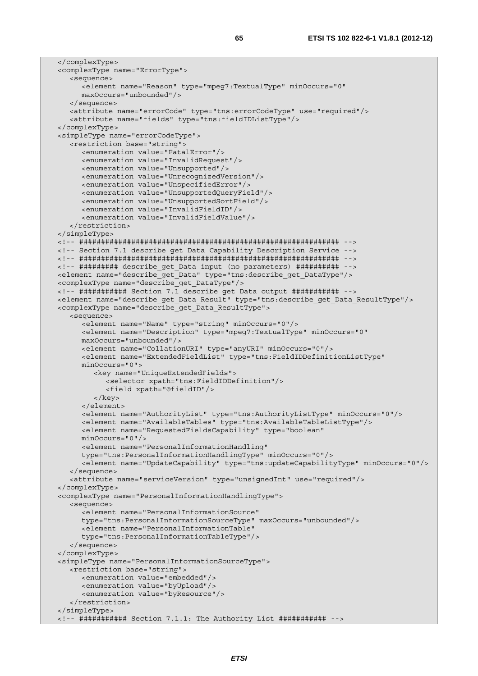```
 </complexType> 
 <complexType name="ErrorType"> 
    <sequence> 
       <element name="Reason" type="mpeg7:TextualType" minOccurs="0" 
      maxOccurs="unbounded"/> 
    </sequence> 
    <attribute name="errorCode" type="tns:errorCodeType" use="required"/> 
   <attribute name="fields" type="tns:fieldIDListType"/> 
 </complexType> 
 <simpleType name="errorCodeType"> 
   <restriction base="string"> 
      <enumeration value="FatalError"/> 
      <enumeration value="InvalidRequest"/> 
      <enumeration value="Unsupported"/> 
      <enumeration value="UnrecognizedVersion"/> 
      <enumeration value="UnspecifiedError"/> 
       <enumeration value="UnsupportedQueryField"/> 
      <enumeration value="UnsupportedSortField"/> 
      <enumeration value="InvalidFieldID"/> 
      <enumeration value="InvalidFieldValue"/> 
    </restriction> 
 </simpleType> 
 <!-- ############################################################ --> 
 <!-- Section 7.1 describe_get_Data Capability Description Service --> 
 <!-- ############################################################ --> 
 <!-- ######### describe_get_Data input (no parameters) ########## --> 
 <element name="describe_get_Data" type="tns:describe_get_DataType"/> 
 <complexType name="describe_get_DataType"/> 
\lt!-- ############ Section 7.1 describe qet Data output ############ -->
 <element name="describe_get_Data_Result" type="tns:describe_get_Data_ResultType"/> 
 <complexType name="describe_get_Data_ResultType"> 
   <sequence> 
      <element name="Name" type="string" minOccurs="0"/> 
       <element name="Description" type="mpeg7:TextualType" minOccurs="0" 
      maxOccurs="unbounded"/> 
      <element name="CollationURI" type="anyURI" minOccurs="0"/> 
      <element name="ExtendedFieldList" type="tns:FieldIDDefinitionListType" 
      minOccurs="0"> 
          <key name="UniqueExtendedFields"> 
            <selector xpath="tns:FieldIDDefinition"/> 
            <field xpath="@fieldID"/> 
          </key> 
      </element> 
       <element name="AuthorityList" type="tns:AuthorityListType" minOccurs="0"/> 
       <element name="AvailableTables" type="tns:AvailableTableListType"/> 
      <element name="RequestedFieldsCapability" type="boolean" 
      minOccurs="0"/> 
      <element name="PersonalInformationHandling" 
      type="tns:PersonalInformationHandlingType" minOccurs="0"/> 
       <element name="UpdateCapability" type="tns:updateCapabilityType" minOccurs="0"/> 
    </sequence> 
    <attribute name="serviceVersion" type="unsignedInt" use="required"/> 
 </complexType> 
 <complexType name="PersonalInformationHandlingType"> 
   <sequence> 
       <element name="PersonalInformationSource" 
       type="tns:PersonalInformationSourceType" maxOccurs="unbounded"/> 
       <element name="PersonalInformationTable" 
      type="tns:PersonalInformationTableType"/> 
    </sequence> 
 </complexType> 
 <simpleType name="PersonalInformationSourceType"> 
   <restriction base="string"> 
      <enumeration value="embedded"/> 
      <enumeration value="byUpload"/> 
       <enumeration value="byResource"/> 
    </restriction> 
 </simpleType> 
 <!-- ########### Section 7.1.1: The Authority List ########### -->
```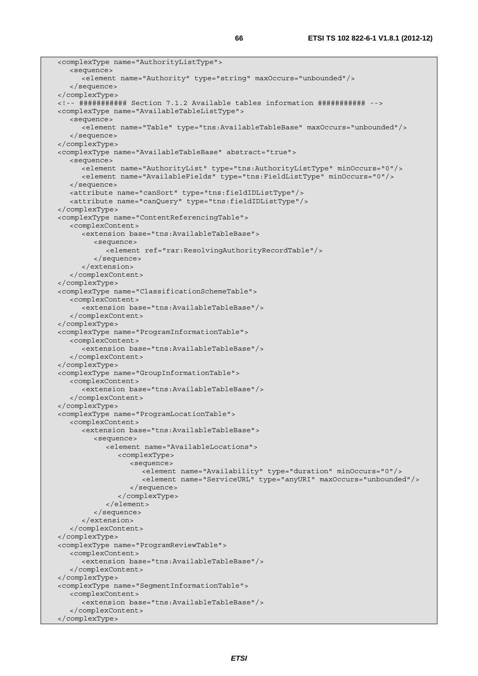```
 <complexType name="AuthorityListType"> 
    <sequence> 
       <element name="Authority" type="string" maxOccurs="unbounded"/> 
    </sequence> 
 </complexType> 
 <!-- ########### Section 7.1.2 Available tables information ########### --> 
 <complexType name="AvailableTableListType"> 
    <sequence> 
       <element name="Table" type="tns:AvailableTableBase" maxOccurs="unbounded"/> 
    </sequence> 
 </complexType> 
 <complexType name="AvailableTableBase" abstract="true"> 
    <sequence> 
       <element name="AuthorityList" type="tns:AuthorityListType" minOccurs="0"/> 
       <element name="AvailableFields" type="tns:FieldListType" minOccurs="0"/> 
    </sequence> 
    <attribute name="canSort" type="tns:fieldIDListType"/> 
    <attribute name="canQuery" type="tns:fieldIDListType"/> 
 </complexType> 
 <complexType name="ContentReferencingTable"> 
    <complexContent> 
       <extension base="tns:AvailableTableBase"> 
          <sequence> 
             <element ref="rar:ResolvingAuthorityRecordTable"/> 
          </sequence> 
       </extension> 
    </complexContent> 
 </complexType> 
 <complexType name="ClassificationSchemeTable"> 
    <complexContent> 
       <extension base="tns:AvailableTableBase"/> 
    </complexContent> 
 </complexType> 
 <complexType name="ProgramInformationTable"> 
    <complexContent> 
       <extension base="tns:AvailableTableBase"/> 
    </complexContent> 
 </complexType> 
 <complexType name="GroupInformationTable"> 
    <complexContent> 
       <extension base="tns:AvailableTableBase"/> 
    </complexContent> 
 </complexType> 
 <complexType name="ProgramLocationTable"> 
    <complexContent> 
       <extension base="tns:AvailableTableBase"> 
          <sequence> 
             <element name="AvailableLocations"> 
                <complexType> 
                   <sequence> 
                      <element name="Availability" type="duration" minOccurs="0"/> 
                      <element name="ServiceURL" type="anyURI" maxOccurs="unbounded"/> 
                   </sequence> 
                </complexType> 
             </element> 
          </sequence> 
       </extension> 
    </complexContent> 
 </complexType> 
 <complexType name="ProgramReviewTable"> 
    <complexContent> 
       <extension base="tns:AvailableTableBase"/> 
    </complexContent> 
 </complexType> 
 <complexType name="SegmentInformationTable"> 
    <complexContent> 
       <extension base="tns:AvailableTableBase"/> 
    </complexContent> 
 </complexType>
```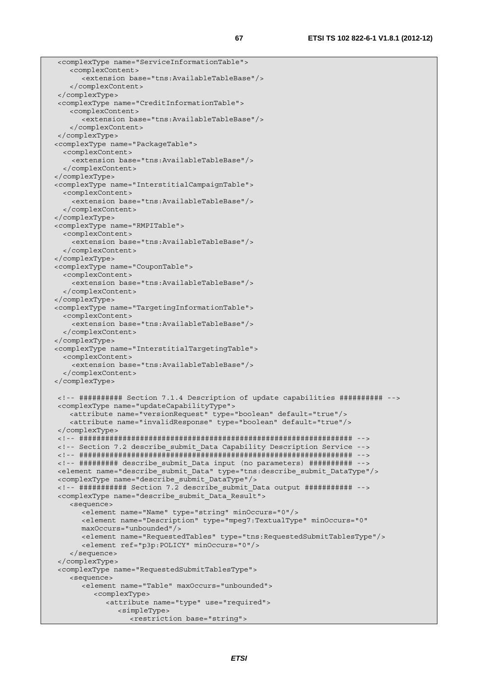```
 <complexType name="ServiceInformationTable"> 
    <complexContent> 
       <extension base="tns:AvailableTableBase"/> 
    </complexContent> 
 </complexType> 
 <complexType name="CreditInformationTable"> 
    <complexContent> 
       <extension base="tns:AvailableTableBase"/> 
    </complexContent> 
 </complexType> 
 <complexType name="PackageTable"> 
   <complexContent> 
     <extension base="tns:AvailableTableBase"/> 
   </complexContent> 
 </complexType> 
 <complexType name="InterstitialCampaignTable"> 
   <complexContent> 
     <extension base="tns:AvailableTableBase"/> 
   </complexContent> 
 </complexType> 
 <complexType name="RMPITable"> 
   <complexContent> 
     <extension base="tns:AvailableTableBase"/> 
   </complexContent> 
 </complexType> 
 <complexType name="CouponTable"> 
   <complexContent> 
     <extension base="tns:AvailableTableBase"/> 
   </complexContent> 
 </complexType> 
 <complexType name="TargetingInformationTable"> 
   <complexContent> 
     <extension base="tns:AvailableTableBase"/> 
   </complexContent> 
 </complexType> 
 <complexType name="InterstitialTargetingTable"> 
   <complexContent> 
     <extension base="tns:AvailableTableBase"/> 
   </complexContent> 
 </complexType> 
 <!-- ########## Section 7.1.4 Description of update capabilities ########## --> 
 <complexType name="updateCapabilityType"> 
    <attribute name="versionRequest" type="boolean" default="true"/> 
     <attribute name="invalidResponse" type="boolean" default="true"/> 
 </complexType> 
 <!-- ############################################################### --> 
 <!-- Section 7.2 describe_submit_Data Capability Description Service --> 
 <!-- ############################################################### --> 
 <!-- ######### describe_submit_Data input (no parameters) ########## --> 
 <element name="describe_submit_Data" type="tns:describe_submit_DataType"/> 
 <complexType name="describe_submit_DataType"/> 
 <!-- ########### Section 7.2 describe_submit_Data output ########### --> 
 <complexType name="describe_submit_Data_Result"> 
    <sequence> 
       <element name="Name" type="string" minOccurs="0"/> 
       <element name="Description" type="mpeg7:TextualType" minOccurs="0" 
       maxOccurs="unbounded"/> 
       <element name="RequestedTables" type="tns:RequestedSubmitTablesType"/> 
       <element ref="p3p:POLICY" minOccurs="0"/> 
     </sequence> 
 </complexType> 
 <complexType name="RequestedSubmitTablesType"> 
    <sequence> 
       <element name="Table" maxOccurs="unbounded"> 
          <complexType> 
             <attribute name="type" use="required"> 
                <simpleType> 
                   <restriction base="string">
```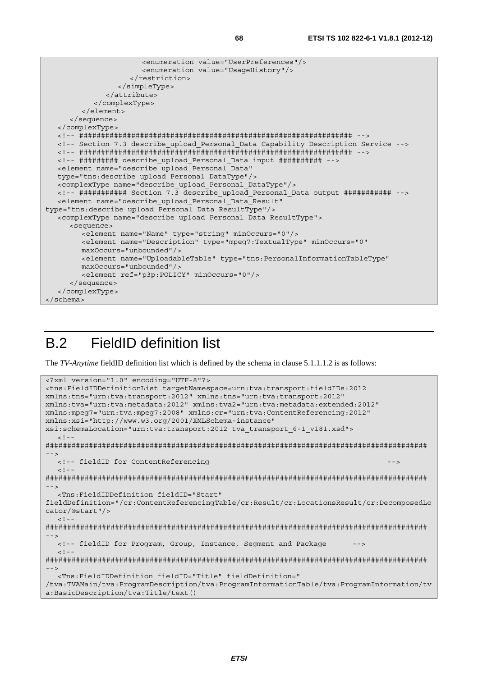```
 <enumeration value="UserPreferences"/> 
                        <enumeration value="UsageHistory"/> 
                     </restriction> 
                  </simpleType> 
               </attribute> 
            </complexType> 
         </element> 
      </sequence> 
   </complexType> 
   <!-- ############################################################### --> 
   <!-- Section 7.3 describe_upload_Personal_Data Capability Description Service --> 
   <!-- ############################################################### --> 
   <!-- ######### describe_upload_Personal_Data input ########## --> 
   <element name="describe_upload_Personal_Data" 
   type="tns:describe_upload_Personal_DataType"/> 
   <complexType name="describe_upload_Personal_DataType"/> 
   <!-- ########### Section 7.3 describe_upload_Personal_Data output ########### --> 
   <element name="describe_upload_Personal_Data_Result" 
type="tns:describe_upload_Personal_Data_ResultType"/> 
   <complexType name="describe_upload_Personal_Data_ResultType"> 
      <sequence> 
         <element name="Name" type="string" minOccurs="0"/> 
         <element name="Description" type="mpeg7:TextualType" minOccurs="0" 
         maxOccurs="unbounded"/> 
         <element name="UploadableTable" type="tns:PersonalInformationTableType" 
         maxOccurs="unbounded"/> 
         <element ref="p3p:POLICY" minOccurs="0"/> 
       </sequence> 
   </complexType> 
</schema>
```
# B.2 FieldID definition list

The *TV-Anytime* fieldID definition list which is defined by the schema in clause 5.1.1.1.2 is as follows:

```
<?xml version="1.0" encoding="UTF-8"?> 
<tns:FieldIDDefinitionList targetNamespace=urn:tva:transport:fieldIDs:2012 
xmlns:tns="urn:tva:transport:2012" xmlns:tns="urn:tva:transport:2012" 
xmlns:tva="urn:tva:metadata:2012" xmlns:tva2="urn:tva:metadata:extended:2012" 
xmlns:mpeg7="urn:tva:mpeg7:2008" xmlns:cr="urn:tva:ContentReferencing:2012" 
xmlns:xsi="http://www.w3.org/2001/XMLSchema-instance" 
xsi:schemaLocation="urn:tva:transport:2012 tva_transport_6-1_v181.xsd"> 
  \leq \frac{1}{2}######################################################################################## 
--> 
  <!-- fieldID for ContentReferencing
  -1 - -######################################################################################## 
--> 
   <Tns:FieldIDDefinition fieldID="Start" 
fieldDefinition="/cr:ContentReferencingTable/cr:Result/cr:LocationsResult/cr:DecomposedLo
cator/@start"/> 
  \geq \frac{1}{2}.
######################################################################################## 
--> 
   <!-- fieldID for Program, Group, Instance, Segment and Package --> 
   \leq ! --
######################################################################################## 
--> 
   <Tns:FieldIDDefinition fieldID="Title" fieldDefinition=" 
/tva:TVAMain/tva:ProgramDescription/tva:ProgramInformationTable/tva:ProgramInformation/tv
a:BasicDescription/tva:Title/text()
```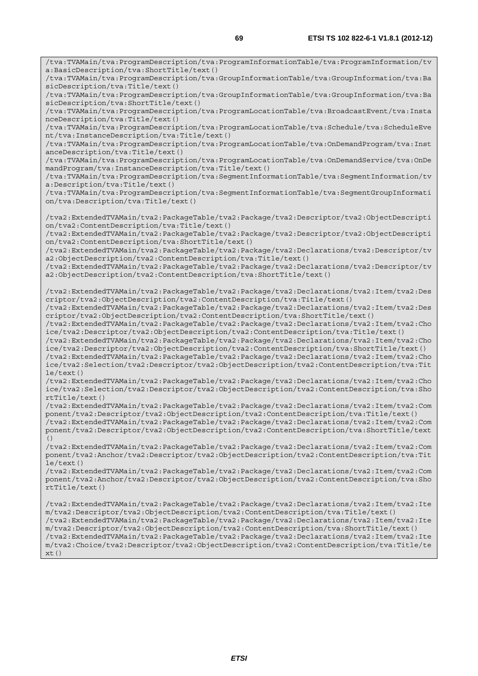/tva:TVAMain/tva:ProgramDescription/tva:ProgramInformationTable/tva:ProgramInformation/tv a:BasicDescription/tva:ShortTitle/text() /tva:TVAMain/tva:ProgramDescription/tva:GroupInformationTable/tva:GroupInformation/tva:Ba sicDescription/tva:Title/text() /tva:TVAMain/tva:ProgramDescription/tva:GroupInformationTable/tva:GroupInformation/tva:Ba sicDescription/tva:ShortTitle/text() /tva:TVAMain/tva:ProgramDescription/tva:ProgramLocationTable/tva:BroadcastEvent/tva:Insta nceDescription/tva:Title/text() /tva:TVAMain/tva:ProgramDescription/tva:ProgramLocationTable/tva:Schedule/tva:ScheduleEve nt/tva:InstanceDescription/tva:Title/text() /tva:TVAMain/tva:ProgramDescription/tva:ProgramLocationTable/tva:OnDemandProgram/tva:Inst anceDescription/tva:Title/text() /tva:TVAMain/tva:ProgramDescription/tva:ProgramLocationTable/tva:OnDemandService/tva:OnDe mandProgram/tva:InstanceDescription/tva:Title/text() /tva:TVAMain/tva:ProgramDescription/tva:SegmentInformationTable/tva:SegmentInformation/tv a:Description/tva:Title/text() /tva:TVAMain/tva:ProgramDescription/tva:SegmentInformationTable/tva:SegmentGroupInformati on/tva:Description/tva:Title/text() /tva2:ExtendedTVAMain/tva2:PackageTable/tva2:Package/tva2:Descriptor/tva2:ObjectDescripti on/tva2:ContentDescription/tva:Title/text() /tva2:ExtendedTVAMain/tva2:PackageTable/tva2:Package/tva2:Descriptor/tva2:ObjectDescripti on/tva2:ContentDescription/tva:ShortTitle/text() /tva2:ExtendedTVAMain/tva2:PackageTable/tva2:Package/tva2:Declarations/tva2:Descriptor/tv a2:ObjectDescription/tva2:ContentDescription/tva:Title/text() /tva2:ExtendedTVAMain/tva2:PackageTable/tva2:Package/tva2:Declarations/tva2:Descriptor/tv a2:ObjectDescription/tva2:ContentDescription/tva:ShortTitle/text() /tva2:ExtendedTVAMain/tva2:PackageTable/tva2:Package/tva2:Declarations/tva2:Item/tva2:Des criptor/tva2:ObjectDescription/tva2:ContentDescription/tva:Title/text() /tva2:ExtendedTVAMain/tva2:PackageTable/tva2:Package/tva2:Declarations/tva2:Item/tva2:Des criptor/tva2:ObjectDescription/tva2:ContentDescription/tva:ShortTitle/text() /tva2:ExtendedTVAMain/tva2:PackageTable/tva2:Package/tva2:Declarations/tva2:Item/tva2:Cho ice/tva2:Descriptor/tva2:ObjectDescription/tva2:ContentDescription/tva:Title/text() /tva2:ExtendedTVAMain/tva2:PackageTable/tva2:Package/tva2:Declarations/tva2:Item/tva2:Cho ice/tva2:Descriptor/tva2:ObjectDescription/tva2:ContentDescription/tva:ShortTitle/text() /tva2:ExtendedTVAMain/tva2:PackageTable/tva2:Package/tva2:Declarations/tva2:Item/tva2:Cho ice/tva2:Selection/tva2:Descriptor/tva2:ObjectDescription/tva2:ContentDescription/tva:Tit le/text() /tva2:ExtendedTVAMain/tva2:PackageTable/tva2:Package/tva2:Declarations/tva2:Item/tva2:Cho ice/tva2:Selection/tva2:Descriptor/tva2:ObjectDescription/tva2:ContentDescription/tva:Sho rtTitle/text() /tva2:ExtendedTVAMain/tva2:PackageTable/tva2:Package/tva2:Declarations/tva2:Item/tva2:Com ponent/tva2:Descriptor/tva2:ObjectDescription/tva2:ContentDescription/tva:Title/text() /tva2:ExtendedTVAMain/tva2:PackageTable/tva2:Package/tva2:Declarations/tva2:Item/tva2:Com ponent/tva2:Descriptor/tva2:ObjectDescription/tva2:ContentDescription/tva:ShortTitle/text () /tva2:ExtendedTVAMain/tva2:PackageTable/tva2:Package/tva2:Declarations/tva2:Item/tva2:Com ponent/tva2:Anchor/tva2:Descriptor/tva2:ObjectDescription/tva2:ContentDescription/tva:Tit  $le/text()$ /tva2:ExtendedTVAMain/tva2:PackageTable/tva2:Package/tva2:Declarations/tva2:Item/tva2:Com ponent/tva2:Anchor/tva2:Descriptor/tva2:ObjectDescription/tva2:ContentDescription/tva:Sho rtTitle/text() /tva2:ExtendedTVAMain/tva2:PackageTable/tva2:Package/tva2:Declarations/tva2:Item/tva2:Ite m/tva2:Descriptor/tva2:ObjectDescription/tva2:ContentDescription/tva:Title/text() /tva2:ExtendedTVAMain/tva2:PackageTable/tva2:Package/tva2:Declarations/tva2:Item/tva2:Ite m/tva2:Descriptor/tva2:ObjectDescription/tva2:ContentDescription/tva:ShortTitle/text() /tva2:ExtendedTVAMain/tva2:PackageTable/tva2:Package/tva2:Declarations/tva2:Item/tva2:Ite m/tva2:Choice/tva2:Descriptor/tva2:ObjectDescription/tva2:ContentDescription/tva:Title/te xt()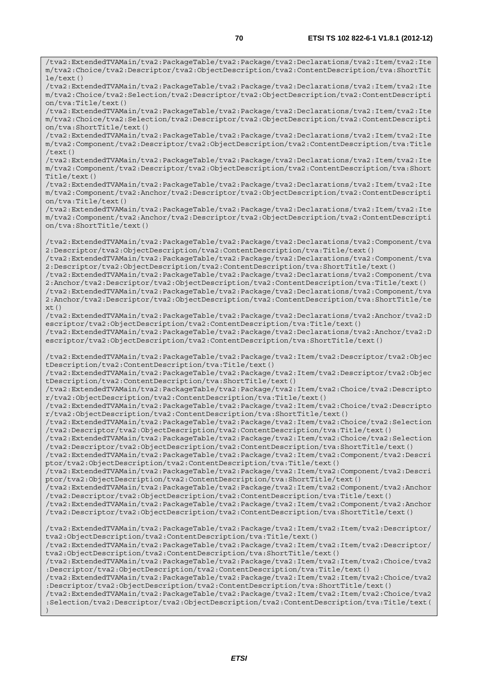/tva2:ExtendedTVAMain/tva2:PackageTable/tva2:Package/tva2:Declarations/tva2:Item/tva2:Ite m/tva2:Choice/tva2:Descriptor/tva2:ObjectDescription/tva2:ContentDescription/tva:ShortTit

le/text() /tva2:ExtendedTVAMain/tva2:PackageTable/tva2:Package/tva2:Declarations/tva2:Item/tva2:Ite m/tva2:Choice/tva2:Selection/tva2:Descriptor/tva2:ObjectDescription/tva2:ContentDescripti on/tva:Title/text() /tva2:ExtendedTVAMain/tva2:PackageTable/tva2:Package/tva2:Declarations/tva2:Item/tva2:Ite m/tva2:Choice/tva2:Selection/tva2:Descriptor/tva2:ObjectDescription/tva2:ContentDescripti on/tva:ShortTitle/text() /tva2:ExtendedTVAMain/tva2:PackageTable/tva2:Package/tva2:Declarations/tva2:Item/tva2:Ite m/tva2:Component/tva2:Descriptor/tva2:ObjectDescription/tva2:ContentDescription/tva:Title /text() /tva2:ExtendedTVAMain/tva2:PackageTable/tva2:Package/tva2:Declarations/tva2:Item/tva2:Ite m/tva2:Component/tva2:Descriptor/tva2:ObjectDescription/tva2:ContentDescription/tva:Short Title/text() /tva2:ExtendedTVAMain/tva2:PackageTable/tva2:Package/tva2:Declarations/tva2:Item/tva2:Ite m/tva2:Component/tva2:Anchor/tva2:Descriptor/tva2:ObjectDescription/tva2:ContentDescripti on/tva:Title/text() /tva2:ExtendedTVAMain/tva2:PackageTable/tva2:Package/tva2:Declarations/tva2:Item/tva2:Ite m/tva2:Component/tva2:Anchor/tva2:Descriptor/tva2:ObjectDescription/tva2:ContentDescripti on/tva:ShortTitle/text() /tva2:ExtendedTVAMain/tva2:PackageTable/tva2:Package/tva2:Declarations/tva2:Component/tva 2:Descriptor/tva2:ObjectDescription/tva2:ContentDescription/tva:Title/text() /tva2:ExtendedTVAMain/tva2:PackageTable/tva2:Package/tva2:Declarations/tva2:Component/tva 2:Descriptor/tva2:ObjectDescription/tva2:ContentDescription/tva:ShortTitle/text() /tva2:ExtendedTVAMain/tva2:PackageTable/tva2:Package/tva2:Declarations/tva2:Component/tva 2:Anchor/tva2:Descriptor/tva2:ObjectDescription/tva2:ContentDescription/tva:Title/text() /tva2:ExtendedTVAMain/tva2:PackageTable/tva2:Package/tva2:Declarations/tva2:Component/tva 2:Anchor/tva2:Descriptor/tva2:ObjectDescription/tva2:ContentDescription/tva:ShortTitle/te  $xt()$ /tva2:ExtendedTVAMain/tva2:PackageTable/tva2:Package/tva2:Declarations/tva2:Anchor/tva2:D escriptor/tva2:ObjectDescription/tva2:ContentDescription/tva:Title/text() /tva2:ExtendedTVAMain/tva2:PackageTable/tva2:Package/tva2:Declarations/tva2:Anchor/tva2:D escriptor/tva2:ObjectDescription/tva2:ContentDescription/tva:ShortTitle/text() /tva2:ExtendedTVAMain/tva2:PackageTable/tva2:Package/tva2:Item/tva2:Descriptor/tva2:Objec tDescription/tva2:ContentDescription/tva:Title/text() /tva2:ExtendedTVAMain/tva2:PackageTable/tva2:Package/tva2:Item/tva2:Descriptor/tva2:Objec tDescription/tva2:ContentDescription/tva:ShortTitle/text() /tva2:ExtendedTVAMain/tva2:PackageTable/tva2:Package/tva2:Item/tva2:Choice/tva2:Descripto r/tva2:ObjectDescription/tva2:ContentDescription/tva:Title/text() /tva2:ExtendedTVAMain/tva2:PackageTable/tva2:Package/tva2:Item/tva2:Choice/tva2:Descripto r/tva2:ObjectDescription/tva2:ContentDescription/tva:ShortTitle/text() /tva2:ExtendedTVAMain/tva2:PackageTable/tva2:Package/tva2:Item/tva2:Choice/tva2:Selection /tva2:Descriptor/tva2:ObjectDescription/tva2:ContentDescription/tva:Title/text() /tva2:ExtendedTVAMain/tva2:PackageTable/tva2:Package/tva2:Item/tva2:Choice/tva2:Selection /tva2:Descriptor/tva2:ObjectDescription/tva2:ContentDescription/tva:ShortTitle/text() /tva2:ExtendedTVAMain/tva2:PackageTable/tva2:Package/tva2:Item/tva2:Component/tva2:Descri ptor/tva2:ObjectDescription/tva2:ContentDescription/tva:Title/text() /tva2:ExtendedTVAMain/tva2:PackageTable/tva2:Package/tva2:Item/tva2:Component/tva2:Descri ptor/tva2:ObjectDescription/tva2:ContentDescription/tva:ShortTitle/text() /tva2:ExtendedTVAMain/tva2:PackageTable/tva2:Package/tva2:Item/tva2:Component/tva2:Anchor /tva2:Descriptor/tva2:ObjectDescription/tva2:ContentDescription/tva:Title/text() /tva2:ExtendedTVAMain/tva2:PackageTable/tva2:Package/tva2:Item/tva2:Component/tva2:Anchor /tva2:Descriptor/tva2:ObjectDescription/tva2:ContentDescription/tva:ShortTitle/text() /tva2:ExtendedTVAMain/tva2:PackageTable/tva2:Package/tva2:Item/tva2:Item/tva2:Descriptor/ tva2:ObjectDescription/tva2:ContentDescription/tva:Title/text() /tva2:ExtendedTVAMain/tva2:PackageTable/tva2:Package/tva2:Item/tva2:Item/tva2:Descriptor/ tva2:ObjectDescription/tva2:ContentDescription/tva:ShortTitle/text() /tva2:ExtendedTVAMain/tva2:PackageTable/tva2:Package/tva2:Item/tva2:Item/tva2:Choice/tva2 :Descriptor/tva2:ObjectDescription/tva2:ContentDescription/tva:Title/text() /tva2:ExtendedTVAMain/tva2:PackageTable/tva2:Package/tva2:Item/tva2:Item/tva2:Choice/tva2 :Descriptor/tva2:ObjectDescription/tva2:ContentDescription/tva:ShortTitle/text() /tva2:ExtendedTVAMain/tva2:PackageTable/tva2:Package/tva2:Item/tva2:Item/tva2:Choice/tva2 :Selection/tva2:Descriptor/tva2:ObjectDescription/tva2:ContentDescription/tva:Title/text(

)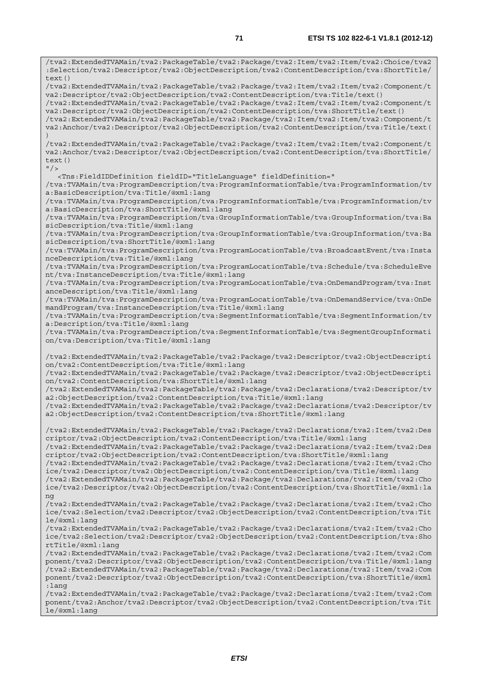/tva2:ExtendedTVAMain/tva2:PackageTable/tva2:Package/tva2:Item/tva2:Item/tva2:Choice/tva2 :Selection/tva2:Descriptor/tva2:ObjectDescription/tva2:ContentDescription/tva:ShortTitle/ text() /tva2:ExtendedTVAMain/tva2:PackageTable/tva2:Package/tva2:Item/tva2:Item/tva2:Component/t va2:Descriptor/tva2:ObjectDescription/tva2:ContentDescription/tva:Title/text() /tva2:ExtendedTVAMain/tva2:PackageTable/tva2:Package/tva2:Item/tva2:Item/tva2:Component/t va2:Descriptor/tva2:ObjectDescription/tva2:ContentDescription/tva:ShortTitle/text() /tva2:ExtendedTVAMain/tva2:PackageTable/tva2:Package/tva2:Item/tva2:Item/tva2:Component/t va2:Anchor/tva2:Descriptor/tva2:ObjectDescription/tva2:ContentDescription/tva:Title/text( ) /tva2:ExtendedTVAMain/tva2:PackageTable/tva2:Package/tva2:Item/tva2:Item/tva2:Component/t va2:Anchor/tva2:Descriptor/tva2:ObjectDescription/tva2:ContentDescription/tva:ShortTitle/ text()  $"$  /> <Tns:FieldIDDefinition fieldID="TitleLanguage" fieldDefinition=" /tva:TVAMain/tva:ProgramDescription/tva:ProgramInformationTable/tva:ProgramInformation/tv a:BasicDescription/tva:Title/@xml:lang /tva:TVAMain/tva:ProgramDescription/tva:ProgramInformationTable/tva:ProgramInformation/tv a:BasicDescription/tva:ShortTitle/@xml:lang /tva:TVAMain/tva:ProgramDescription/tva:GroupInformationTable/tva:GroupInformation/tva:Ba sicDescription/tva:Title/@xml:lang /tva:TVAMain/tva:ProgramDescription/tva:GroupInformationTable/tva:GroupInformation/tva:Ba sicDescription/tva:ShortTitle/@xml:lang /tva:TVAMain/tva:ProgramDescription/tva:ProgramLocationTable/tva:BroadcastEvent/tva:Insta nceDescription/tva:Title/@xml:lang /tva:TVAMain/tva:ProgramDescription/tva:ProgramLocationTable/tva:Schedule/tva:ScheduleEve nt/tva:InstanceDescription/tva:Title/@xml:lang /tva:TVAMain/tva:ProgramDescription/tva:ProgramLocationTable/tva:OnDemandProgram/tva:Inst anceDescription/tva:Title/@xml:lang /tva:TVAMain/tva:ProgramDescription/tva:ProgramLocationTable/tva:OnDemandService/tva:OnDe mandProgram/tva:InstanceDescription/tva:Title/@xml:lang /tva:TVAMain/tva:ProgramDescription/tva:SegmentInformationTable/tva:SegmentInformation/tv a:Description/tva:Title/@xml:lang /tva:TVAMain/tva:ProgramDescription/tva:SegmentInformationTable/tva:SegmentGroupInformati on/tva:Description/tva:Title/@xml:lang /tva2:ExtendedTVAMain/tva2:PackageTable/tva2:Package/tva2:Descriptor/tva2:ObjectDescripti on/tva2:ContentDescription/tva:Title/@xml:lang /tva2:ExtendedTVAMain/tva2:PackageTable/tva2:Package/tva2:Descriptor/tva2:ObjectDescripti on/tva2:ContentDescription/tva:ShortTitle/@xml:lang /tva2:ExtendedTVAMain/tva2:PackageTable/tva2:Package/tva2:Declarations/tva2:Descriptor/tv a2:ObjectDescription/tva2:ContentDescription/tva:Title/@xml:lang /tva2:ExtendedTVAMain/tva2:PackageTable/tva2:Package/tva2:Declarations/tva2:Descriptor/tv a2:ObjectDescription/tva2:ContentDescription/tva:ShortTitle/@xml:lang /tva2:ExtendedTVAMain/tva2:PackageTable/tva2:Package/tva2:Declarations/tva2:Item/tva2:Des criptor/tva2:ObjectDescription/tva2:ContentDescription/tva:Title/@xml:lang /tva2:ExtendedTVAMain/tva2:PackageTable/tva2:Package/tva2:Declarations/tva2:Item/tva2:Des criptor/tva2:ObjectDescription/tva2:ContentDescription/tva:ShortTitle/@xml:lang /tva2:ExtendedTVAMain/tva2:PackageTable/tva2:Package/tva2:Declarations/tva2:Item/tva2:Cho ice/tva2:Descriptor/tva2:ObjectDescription/tva2:ContentDescription/tva:Title/@xml:lang /tva2:ExtendedTVAMain/tva2:PackageTable/tva2:Package/tva2:Declarations/tva2:Item/tva2:Cho ice/tva2:Descriptor/tva2:ObjectDescription/tva2:ContentDescription/tva:ShortTitle/@xml:la ng /tva2:ExtendedTVAMain/tva2:PackageTable/tva2:Package/tva2:Declarations/tva2:Item/tva2:Cho ice/tva2:Selection/tva2:Descriptor/tva2:ObjectDescription/tva2:ContentDescription/tva:Tit le/@xml:lang /tva2:ExtendedTVAMain/tva2:PackageTable/tva2:Package/tva2:Declarations/tva2:Item/tva2:Cho ice/tva2:Selection/tva2:Descriptor/tva2:ObjectDescription/tva2:ContentDescription/tva:Sho rtTitle/@xml:lang /tva2:ExtendedTVAMain/tva2:PackageTable/tva2:Package/tva2:Declarations/tva2:Item/tva2:Com ponent/tva2:Descriptor/tva2:ObjectDescription/tva2:ContentDescription/tva:Title/@xml:lang /tva2:ExtendedTVAMain/tva2:PackageTable/tva2:Package/tva2:Declarations/tva2:Item/tva2:Com ponent/tva2:Descriptor/tva2:ObjectDescription/tva2:ContentDescription/tva:ShortTitle/@xml :lang /tva2:ExtendedTVAMain/tva2:PackageTable/tva2:Package/tva2:Declarations/tva2:Item/tva2:Com ponent/tva2:Anchor/tva2:Descriptor/tva2:ObjectDescription/tva2:ContentDescription/tva:Tit le/@xml:lang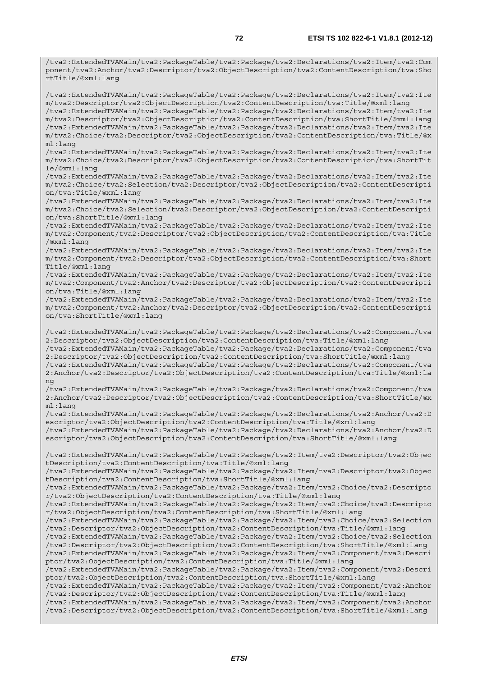/tva2:ExtendedTVAMain/tva2:PackageTable/tva2:Package/tva2:Declarations/tva2:Item/tva2:Com ponent/tva2:Anchor/tva2:Descriptor/tva2:ObjectDescription/tva2:ContentDescription/tva:Sho rtTitle/@xml:lang

/tva2:ExtendedTVAMain/tva2:PackageTable/tva2:Package/tva2:Declarations/tva2:Item/tva2:Ite m/tva2:Descriptor/tva2:ObjectDescription/tva2:ContentDescription/tva:Title/@xml:lang /tva2:ExtendedTVAMain/tva2:PackageTable/tva2:Package/tva2:Declarations/tva2:Item/tva2:Ite m/tva2:Descriptor/tva2:ObjectDescription/tva2:ContentDescription/tva:ShortTitle/@xml:lang /tva2:ExtendedTVAMain/tva2:PackageTable/tva2:Package/tva2:Declarations/tva2:Item/tva2:Ite m/tva2:Choice/tva2:Descriptor/tva2:ObjectDescription/tva2:ContentDescription/tva:Title/@x ml:lang

/tva2:ExtendedTVAMain/tva2:PackageTable/tva2:Package/tva2:Declarations/tva2:Item/tva2:Ite m/tva2:Choice/tva2:Descriptor/tva2:ObjectDescription/tva2:ContentDescription/tva:ShortTit le/@xml:lang

/tva2:ExtendedTVAMain/tva2:PackageTable/tva2:Package/tva2:Declarations/tva2:Item/tva2:Ite m/tva2:Choice/tva2:Selection/tva2:Descriptor/tva2:ObjectDescription/tva2:ContentDescripti on/tva:Title/@xml:lang

/tva2:ExtendedTVAMain/tva2:PackageTable/tva2:Package/tva2:Declarations/tva2:Item/tva2:Ite m/tva2:Choice/tva2:Selection/tva2:Descriptor/tva2:ObjectDescription/tva2:ContentDescripti on/tva:ShortTitle/@xml:lang

/tva2:ExtendedTVAMain/tva2:PackageTable/tva2:Package/tva2:Declarations/tva2:Item/tva2:Ite m/tva2:Component/tva2:Descriptor/tva2:ObjectDescription/tva2:ContentDescription/tva:Title /@xml:lang

/tva2:ExtendedTVAMain/tva2:PackageTable/tva2:Package/tva2:Declarations/tva2:Item/tva2:Ite m/tva2:Component/tva2:Descriptor/tva2:ObjectDescription/tva2:ContentDescription/tva:Short Title/@xml:lang

/tva2:ExtendedTVAMain/tva2:PackageTable/tva2:Package/tva2:Declarations/tva2:Item/tva2:Ite m/tva2:Component/tva2:Anchor/tva2:Descriptor/tva2:ObjectDescription/tva2:ContentDescripti on/tva:Title/@xml:lang

/tva2:ExtendedTVAMain/tva2:PackageTable/tva2:Package/tva2:Declarations/tva2:Item/tva2:Ite m/tva2:Component/tva2:Anchor/tva2:Descriptor/tva2:ObjectDescription/tva2:ContentDescripti on/tva:ShortTitle/@xml:lang

/tva2:ExtendedTVAMain/tva2:PackageTable/tva2:Package/tva2:Declarations/tva2:Component/tva 2:Descriptor/tva2:ObjectDescription/tva2:ContentDescription/tva:Title/@xml:lang /tva2:ExtendedTVAMain/tva2:PackageTable/tva2:Package/tva2:Declarations/tva2:Component/tva

2:Descriptor/tva2:ObjectDescription/tva2:ContentDescription/tva:ShortTitle/@xml:lang

/tva2:ExtendedTVAMain/tva2:PackageTable/tva2:Package/tva2:Declarations/tva2:Component/tva 2:Anchor/tva2:Descriptor/tva2:ObjectDescription/tva2:ContentDescription/tva:Title/@xml:la ng

/tva2:ExtendedTVAMain/tva2:PackageTable/tva2:Package/tva2:Declarations/tva2:Component/tva 2:Anchor/tva2:Descriptor/tva2:ObjectDescription/tva2:ContentDescription/tva:ShortTitle/@x ml:lang

/tva2:ExtendedTVAMain/tva2:PackageTable/tva2:Package/tva2:Declarations/tva2:Anchor/tva2:D escriptor/tva2:ObjectDescription/tva2:ContentDescription/tva:Title/@xml:lang

/tva2:ExtendedTVAMain/tva2:PackageTable/tva2:Package/tva2:Declarations/tva2:Anchor/tva2:D escriptor/tva2:ObjectDescription/tva2:ContentDescription/tva:ShortTitle/@xml:lang

/tva2:ExtendedTVAMain/tva2:PackageTable/tva2:Package/tva2:Item/tva2:Descriptor/tva2:Objec tDescription/tva2:ContentDescription/tva:Title/@xml:lang

/tva2:ExtendedTVAMain/tva2:PackageTable/tva2:Package/tva2:Item/tva2:Descriptor/tva2:Objec tDescription/tva2:ContentDescription/tva:ShortTitle/@xml:lang

/tva2:ExtendedTVAMain/tva2:PackageTable/tva2:Package/tva2:Item/tva2:Choice/tva2:Descripto r/tva2:ObjectDescription/tva2:ContentDescription/tva:Title/@xml:lang

/tva2:ExtendedTVAMain/tva2:PackageTable/tva2:Package/tva2:Item/tva2:Choice/tva2:Descripto r/tva2:ObjectDescription/tva2:ContentDescription/tva:ShortTitle/@xml:lang

/tva2:ExtendedTVAMain/tva2:PackageTable/tva2:Package/tva2:Item/tva2:Choice/tva2:Selection /tva2:Descriptor/tva2:ObjectDescription/tva2:ContentDescription/tva:Title/@xml:lang

/tva2:ExtendedTVAMain/tva2:PackageTable/tva2:Package/tva2:Item/tva2:Choice/tva2:Selection /tva2:Descriptor/tva2:ObjectDescription/tva2:ContentDescription/tva:ShortTitle/@xml:lang

/tva2:ExtendedTVAMain/tva2:PackageTable/tva2:Package/tva2:Item/tva2:Component/tva2:Descri ptor/tva2:ObjectDescription/tva2:ContentDescription/tva:Title/@xml:lang

/tva2:ExtendedTVAMain/tva2:PackageTable/tva2:Package/tva2:Item/tva2:Component/tva2:Descri ptor/tva2:ObjectDescription/tva2:ContentDescription/tva:ShortTitle/@xml:lang

/tva2:ExtendedTVAMain/tva2:PackageTable/tva2:Package/tva2:Item/tva2:Component/tva2:Anchor /tva2:Descriptor/tva2:ObjectDescription/tva2:ContentDescription/tva:Title/@xml:lang

/tva2:ExtendedTVAMain/tva2:PackageTable/tva2:Package/tva2:Item/tva2:Component/tva2:Anchor /tva2:Descriptor/tva2:ObjectDescription/tva2:ContentDescription/tva:ShortTitle/@xml:lang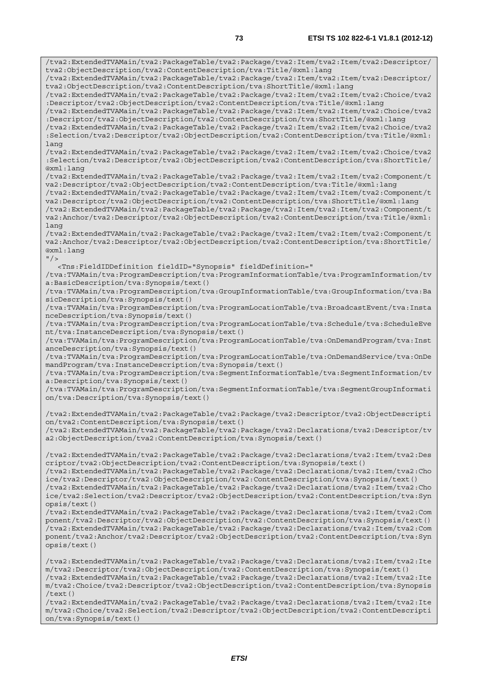/tva2:ExtendedTVAMain/tva2:PackageTable/tva2:Package/tva2:Item/tva2:Item/tva2:Descriptor/ tva2:ObjectDescription/tva2:ContentDescription/tva:Title/@xml:lang /tva2:ExtendedTVAMain/tva2:PackageTable/tva2:Package/tva2:Item/tva2:Item/tva2:Descriptor/ tva2:ObjectDescription/tva2:ContentDescription/tva:ShortTitle/@xml:lang /tva2:ExtendedTVAMain/tva2:PackageTable/tva2:Package/tva2:Item/tva2:Item/tva2:Choice/tva2 :Descriptor/tva2:ObjectDescription/tva2:ContentDescription/tva:Title/@xml:lang /tva2:ExtendedTVAMain/tva2:PackageTable/tva2:Package/tva2:Item/tva2:Item/tva2:Choice/tva2 :Descriptor/tva2:ObjectDescription/tva2:ContentDescription/tva:ShortTitle/@xml:lang /tva2:ExtendedTVAMain/tva2:PackageTable/tva2:Package/tva2:Item/tva2:Item/tva2:Choice/tva2 :Selection/tva2:Descriptor/tva2:ObjectDescription/tva2:ContentDescription/tva:Title/@xml: lang /tva2:ExtendedTVAMain/tva2:PackageTable/tva2:Package/tva2:Item/tva2:Item/tva2:Choice/tva2 :Selection/tva2:Descriptor/tva2:ObjectDescription/tva2:ContentDescription/tva:ShortTitle/ @xml:lang /tva2:ExtendedTVAMain/tva2:PackageTable/tva2:Package/tva2:Item/tva2:Item/tva2:Component/t va2:Descriptor/tva2:ObjectDescription/tva2:ContentDescription/tva:Title/@xml:lang /tva2:ExtendedTVAMain/tva2:PackageTable/tva2:Package/tva2:Item/tva2:Item/tva2:Component/t va2:Descriptor/tva2:ObjectDescription/tva2:ContentDescription/tva:ShortTitle/@xml:lang /tva2:ExtendedTVAMain/tva2:PackageTable/tva2:Package/tva2:Item/tva2:Item/tva2:Component/t va2:Anchor/tva2:Descriptor/tva2:ObjectDescription/tva2:ContentDescription/tva:Title/@xml: lang /tva2:ExtendedTVAMain/tva2:PackageTable/tva2:Package/tva2:Item/tva2:Item/tva2:Component/t va2:Anchor/tva2:Descriptor/tva2:ObjectDescription/tva2:ContentDescription/tva:ShortTitle/ @xml:lang  $"$  /> <Tns:FieldIDDefinition fieldID="Synopsis" fieldDefinition=" /tva:TVAMain/tva:ProgramDescription/tva:ProgramInformationTable/tva:ProgramInformation/tv a:BasicDescription/tva:Synopsis/text() /tva:TVAMain/tva:ProgramDescription/tva:GroupInformationTable/tva:GroupInformation/tva:Ba sicDescription/tva:Synopsis/text() /tva:TVAMain/tva:ProgramDescription/tva:ProgramLocationTable/tva:BroadcastEvent/tva:Insta nceDescription/tva:Synopsis/text() /tva:TVAMain/tva:ProgramDescription/tva:ProgramLocationTable/tva:Schedule/tva:ScheduleEve nt/tva:InstanceDescription/tva:Synopsis/text() /tva:TVAMain/tva:ProgramDescription/tva:ProgramLocationTable/tva:OnDemandProgram/tva:Inst anceDescription/tva:Synopsis/text() /tva:TVAMain/tva:ProgramDescription/tva:ProgramLocationTable/tva:OnDemandService/tva:OnDe mandProgram/tva:InstanceDescription/tva:Synopsis/text() /tva:TVAMain/tva:ProgramDescription/tva:SegmentInformationTable/tva:SegmentInformation/tv a:Description/tva:Synopsis/text() /tva:TVAMain/tva:ProgramDescription/tva:SegmentInformationTable/tva:SegmentGroupInformati on/tva:Description/tva:Synopsis/text() /tva2:ExtendedTVAMain/tva2:PackageTable/tva2:Package/tva2:Descriptor/tva2:ObjectDescripti on/tva2:ContentDescription/tva:Synopsis/text() /tva2:ExtendedTVAMain/tva2:PackageTable/tva2:Package/tva2:Declarations/tva2:Descriptor/tv a2:ObjectDescription/tva2:ContentDescription/tva:Synopsis/text() /tva2:ExtendedTVAMain/tva2:PackageTable/tva2:Package/tva2:Declarations/tva2:Item/tva2:Des criptor/tva2:ObjectDescription/tva2:ContentDescription/tva:Synopsis/text() /tva2:ExtendedTVAMain/tva2:PackageTable/tva2:Package/tva2:Declarations/tva2:Item/tva2:Cho ice/tva2:Descriptor/tva2:ObjectDescription/tva2:ContentDescription/tva:Synopsis/text() /tva2:ExtendedTVAMain/tva2:PackageTable/tva2:Package/tva2:Declarations/tva2:Item/tva2:Cho ice/tva2:Selection/tva2:Descriptor/tva2:ObjectDescription/tva2:ContentDescription/tva:Syn opsis/text() /tva2:ExtendedTVAMain/tva2:PackageTable/tva2:Package/tva2:Declarations/tva2:Item/tva2:Com ponent/tva2:Descriptor/tva2:ObjectDescription/tva2:ContentDescription/tva:Synopsis/text() /tva2:ExtendedTVAMain/tva2:PackageTable/tva2:Package/tva2:Declarations/tva2:Item/tva2:Com ponent/tva2:Anchor/tva2:Descriptor/tva2:ObjectDescription/tva2:ContentDescription/tva:Syn opsis/text() /tva2:ExtendedTVAMain/tva2:PackageTable/tva2:Package/tva2:Declarations/tva2:Item/tva2:Ite m/tva2:Descriptor/tva2:ObjectDescription/tva2:ContentDescription/tva:Synopsis/text() /tva2:ExtendedTVAMain/tva2:PackageTable/tva2:Package/tva2:Declarations/tva2:Item/tva2:Ite m/tva2:Choice/tva2:Descriptor/tva2:ObjectDescription/tva2:ContentDescription/tva:Synopsis

 $/$ text $()$ /tva2:ExtendedTVAMain/tva2:PackageTable/tva2:Package/tva2:Declarations/tva2:Item/tva2:Ite m/tva2:Choice/tva2:Selection/tva2:Descriptor/tva2:ObjectDescription/tva2:ContentDescripti on/tva:Synopsis/text()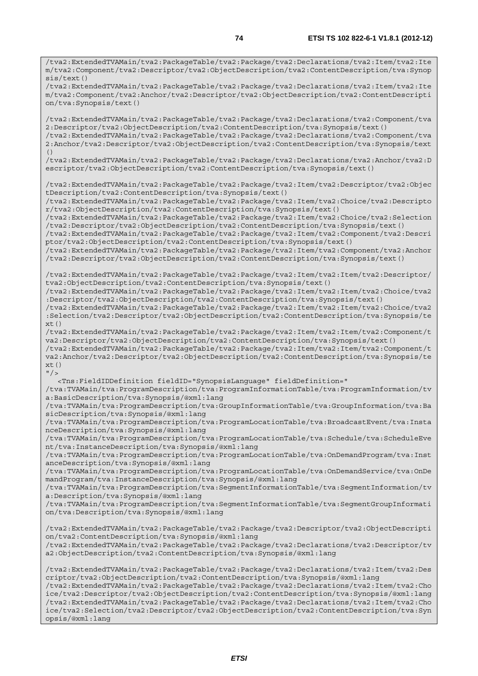/tva2:ExtendedTVAMain/tva2:PackageTable/tva2:Package/tva2:Declarations/tva2:Item/tva2:Ite m/tva2:Component/tva2:Descriptor/tva2:ObjectDescription/tva2:ContentDescription/tva:Synop

sis/text() /tva2:ExtendedTVAMain/tva2:PackageTable/tva2:Package/tva2:Declarations/tva2:Item/tva2:Ite m/tva2:Component/tva2:Anchor/tva2:Descriptor/tva2:ObjectDescription/tva2:ContentDescripti on/tva:Synopsis/text()

/tva2:ExtendedTVAMain/tva2:PackageTable/tva2:Package/tva2:Declarations/tva2:Component/tva 2:Descriptor/tva2:ObjectDescription/tva2:ContentDescription/tva:Synopsis/text() /tva2:ExtendedTVAMain/tva2:PackageTable/tva2:Package/tva2:Declarations/tva2:Component/tva 2:Anchor/tva2:Descriptor/tva2:ObjectDescription/tva2:ContentDescription/tva:Synopsis/text  $($ )

/tva2:ExtendedTVAMain/tva2:PackageTable/tva2:Package/tva2:Declarations/tva2:Anchor/tva2:D escriptor/tva2:ObjectDescription/tva2:ContentDescription/tva:Synopsis/text()

/tva2:ExtendedTVAMain/tva2:PackageTable/tva2:Package/tva2:Item/tva2:Descriptor/tva2:Objec tDescription/tva2:ContentDescription/tva:Synopsis/text()

/tva2:ExtendedTVAMain/tva2:PackageTable/tva2:Package/tva2:Item/tva2:Choice/tva2:Descripto r/tva2:ObjectDescription/tva2:ContentDescription/tva:Synopsis/text()

/tva2:ExtendedTVAMain/tva2:PackageTable/tva2:Package/tva2:Item/tva2:Choice/tva2:Selection /tva2:Descriptor/tva2:ObjectDescription/tva2:ContentDescription/tva:Synopsis/text()

/tva2:ExtendedTVAMain/tva2:PackageTable/tva2:Package/tva2:Item/tva2:Component/tva2:Descri ptor/tva2:ObjectDescription/tva2:ContentDescription/tva:Synopsis/text()

/tva2:ExtendedTVAMain/tva2:PackageTable/tva2:Package/tva2:Item/tva2:Component/tva2:Anchor /tva2:Descriptor/tva2:ObjectDescription/tva2:ContentDescription/tva:Synopsis/text()

/tva2:ExtendedTVAMain/tva2:PackageTable/tva2:Package/tva2:Item/tva2:Item/tva2:Descriptor/ tva2:ObjectDescription/tva2:ContentDescription/tva:Synopsis/text()

/tva2:ExtendedTVAMain/tva2:PackageTable/tva2:Package/tva2:Item/tva2:Item/tva2:Choice/tva2 :Descriptor/tva2:ObjectDescription/tva2:ContentDescription/tva:Synopsis/text()

/tva2:ExtendedTVAMain/tva2:PackageTable/tva2:Package/tva2:Item/tva2:Item/tva2:Choice/tva2 :Selection/tva2:Descriptor/tva2:ObjectDescription/tva2:ContentDescription/tva:Synopsis/te  $xt()$ 

/tva2:ExtendedTVAMain/tva2:PackageTable/tva2:Package/tva2:Item/tva2:Item/tva2:Component/t va2:Descriptor/tva2:ObjectDescription/tva2:ContentDescription/tva:Synopsis/text()

/tva2:ExtendedTVAMain/tva2:PackageTable/tva2:Package/tva2:Item/tva2:Item/tva2:Component/t va2:Anchor/tva2:Descriptor/tva2:ObjectDescription/tva2:ContentDescription/tva:Synopsis/te xt()  $"$  />

<Tns:FieldIDDefinition fieldID="SynopsisLanguage" fieldDefinition="

/tva:TVAMain/tva:ProgramDescription/tva:ProgramInformationTable/tva:ProgramInformation/tv a:BasicDescription/tva:Synopsis/@xml:lang

/tva:TVAMain/tva:ProgramDescription/tva:GroupInformationTable/tva:GroupInformation/tva:Ba sicDescription/tva:Synopsis/@xml:lang

/tva:TVAMain/tva:ProgramDescription/tva:ProgramLocationTable/tva:BroadcastEvent/tva:Insta nceDescription/tva:Synopsis/@xml:lang

/tva:TVAMain/tva:ProgramDescription/tva:ProgramLocationTable/tva:Schedule/tva:ScheduleEve nt/tva:InstanceDescription/tva:Synopsis/@xml:lang

/tva:TVAMain/tva:ProgramDescription/tva:ProgramLocationTable/tva:OnDemandProgram/tva:Inst anceDescription/tva:Synopsis/@xml:lang

/tva:TVAMain/tva:ProgramDescription/tva:ProgramLocationTable/tva:OnDemandService/tva:OnDe mandProgram/tva:InstanceDescription/tva:Synopsis/@xml:lang

/tva:TVAMain/tva:ProgramDescription/tva:SegmentInformationTable/tva:SegmentInformation/tv a:Description/tva:Synopsis/@xml:lang

/tva:TVAMain/tva:ProgramDescription/tva:SegmentInformationTable/tva:SegmentGroupInformati on/tva:Description/tva:Synopsis/@xml:lang

/tva2:ExtendedTVAMain/tva2:PackageTable/tva2:Package/tva2:Descriptor/tva2:ObjectDescripti on/tva2:ContentDescription/tva:Synopsis/@xml:lang /tva2:ExtendedTVAMain/tva2:PackageTable/tva2:Package/tva2:Declarations/tva2:Descriptor/tv a2:ObjectDescription/tva2:ContentDescription/tva:Synopsis/@xml:lang

/tva2:ExtendedTVAMain/tva2:PackageTable/tva2:Package/tva2:Declarations/tva2:Item/tva2:Des criptor/tva2:ObjectDescription/tva2:ContentDescription/tva:Synopsis/@xml:lang /tva2:ExtendedTVAMain/tva2:PackageTable/tva2:Package/tva2:Declarations/tva2:Item/tva2:Cho ice/tva2:Descriptor/tva2:ObjectDescription/tva2:ContentDescription/tva:Synopsis/@xml:lang /tva2:ExtendedTVAMain/tva2:PackageTable/tva2:Package/tva2:Declarations/tva2:Item/tva2:Cho ice/tva2:Selection/tva2:Descriptor/tva2:ObjectDescription/tva2:ContentDescription/tva:Syn opsis/@xml:lang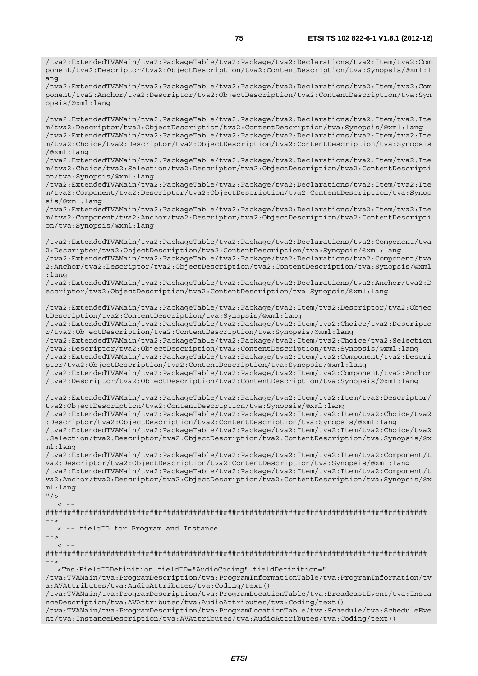/tva2:ExtendedTVAMain/tva2:PackageTable/tva2:Package/tva2:Declarations/tva2:Item/tva2:Com ponent/tva2:Descriptor/tva2:ObjectDescription/tva2:ContentDescription/tva:Synopsis/@xml:l ang /tva2:ExtendedTVAMain/tva2:PackageTable/tva2:Package/tva2:Declarations/tva2:Item/tva2:Com ponent/tva2:Anchor/tva2:Descriptor/tva2:ObjectDescription/tva2:ContentDescription/tva:Syn opsis/@xml:lang /tva2:ExtendedTVAMain/tva2:PackageTable/tva2:Package/tva2:Declarations/tva2:Item/tva2:Ite m/tva2:Descriptor/tva2:ObjectDescription/tva2:ContentDescription/tva:Synopsis/@xml:lang /tva2:ExtendedTVAMain/tva2:PackageTable/tva2:Package/tva2:Declarations/tva2:Item/tva2:Ite m/tva2:Choice/tva2:Descriptor/tva2:ObjectDescription/tva2:ContentDescription/tva:Synopsis /@xml:lang /tva2:ExtendedTVAMain/tva2:PackageTable/tva2:Package/tva2:Declarations/tva2:Item/tva2:Ite m/tva2:Choice/tva2:Selection/tva2:Descriptor/tva2:ObjectDescription/tva2:ContentDescripti on/tva:Synopsis/@xml:lang /tva2:ExtendedTVAMain/tva2:PackageTable/tva2:Package/tva2:Declarations/tva2:Item/tva2:Ite m/tva2:Component/tva2:Descriptor/tva2:ObjectDescription/tva2:ContentDescription/tva:Synop sis/@xml:lang /tva2:ExtendedTVAMain/tva2:PackageTable/tva2:Package/tva2:Declarations/tva2:Item/tva2:Ite m/tva2:Component/tva2:Anchor/tva2:Descriptor/tva2:ObjectDescription/tva2:ContentDescripti on/tva:Synopsis/@xml:lang /tva2:ExtendedTVAMain/tva2:PackageTable/tva2:Package/tva2:Declarations/tva2:Component/tva 2:Descriptor/tva2:ObjectDescription/tva2:ContentDescription/tva:Synopsis/@xml:lang /tva2:ExtendedTVAMain/tva2:PackageTable/tva2:Package/tva2:Declarations/tva2:Component/tva 2:Anchor/tva2:Descriptor/tva2:ObjectDescription/tva2:ContentDescription/tva:Synopsis/@xml :lang /tva2:ExtendedTVAMain/tva2:PackageTable/tva2:Package/tva2:Declarations/tva2:Anchor/tva2:D escriptor/tva2:ObjectDescription/tva2:ContentDescription/tva:Synopsis/@xml:lang /tva2:ExtendedTVAMain/tva2:PackageTable/tva2:Package/tva2:Item/tva2:Descriptor/tva2:Objec tDescription/tva2:ContentDescription/tva:Synopsis/@xml:lang /tva2:ExtendedTVAMain/tva2:PackageTable/tva2:Package/tva2:Item/tva2:Choice/tva2:Descripto r/tva2:ObjectDescription/tva2:ContentDescription/tva:Synopsis/@xml:lang /tva2:ExtendedTVAMain/tva2:PackageTable/tva2:Package/tva2:Item/tva2:Choice/tva2:Selection /tva2:Descriptor/tva2:ObjectDescription/tva2:ContentDescription/tva:Synopsis/@xml:lang /tva2:ExtendedTVAMain/tva2:PackageTable/tva2:Package/tva2:Item/tva2:Component/tva2:Descri ptor/tva2:ObjectDescription/tva2:ContentDescription/tva:Synopsis/@xml:lang /tva2:ExtendedTVAMain/tva2:PackageTable/tva2:Package/tva2:Item/tva2:Component/tva2:Anchor /tva2:Descriptor/tva2:ObjectDescription/tva2:ContentDescription/tva:Synopsis/@xml:lang /tva2:ExtendedTVAMain/tva2:PackageTable/tva2:Package/tva2:Item/tva2:Item/tva2:Descriptor/ tva2:ObjectDescription/tva2:ContentDescription/tva:Synopsis/@xml:lang /tva2:ExtendedTVAMain/tva2:PackageTable/tva2:Package/tva2:Item/tva2:Item/tva2:Choice/tva2 :Descriptor/tva2:ObjectDescription/tva2:ContentDescription/tva:Synopsis/@xml:lang /tva2:ExtendedTVAMain/tva2:PackageTable/tva2:Package/tva2:Item/tva2:Item/tva2:Choice/tva2 :Selection/tva2:Descriptor/tva2:ObjectDescription/tva2:ContentDescription/tva:Synopsis/@x ml:lang /tva2:ExtendedTVAMain/tva2:PackageTable/tva2:Package/tva2:Item/tva2:Item/tva2:Component/t va2:Descriptor/tva2:ObjectDescription/tva2:ContentDescription/tva:Synopsis/@xml:lang /tva2:ExtendedTVAMain/tva2:PackageTable/tva2:Package/tva2:Item/tva2:Item/tva2:Component/t va2:Anchor/tva2:Descriptor/tva2:ObjectDescription/tva2:ContentDescription/tva:Synopsis/@x ml:lang  $"$  />  $\geq$   $\perp$ ######################################################################################## --> <!-- fieldID for Program and Instance -->  $<$ ! --######################################################################################## --> <Tns:FieldIDDefinition fieldID="AudioCoding" fieldDefinition=" /tva:TVAMain/tva:ProgramDescription/tva:ProgramInformationTable/tva:ProgramInformation/tv a:AVAttributes/tva:AudioAttributes/tva:Coding/text() /tva:TVAMain/tva:ProgramDescription/tva:ProgramLocationTable/tva:BroadcastEvent/tva:Insta nceDescription/tva:AVAttributes/tva:AudioAttributes/tva:Coding/text() /tva:TVAMain/tva:ProgramDescription/tva:ProgramLocationTable/tva:Schedule/tva:ScheduleEve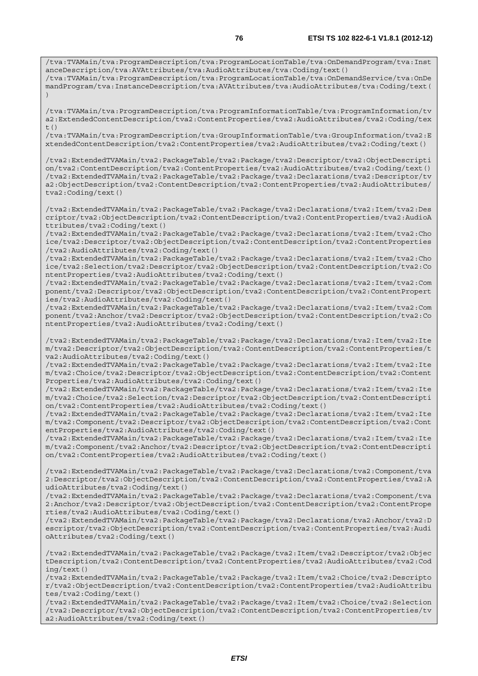/tva:TVAMain/tva:ProgramDescription/tva:ProgramLocationTable/tva:OnDemandProgram/tva:Inst anceDescription/tva:AVAttributes/tva:AudioAttributes/tva:Coding/text() /tva:TVAMain/tva:ProgramDescription/tva:ProgramLocationTable/tva:OnDemandService/tva:OnDe

mandProgram/tva:InstanceDescription/tva:AVAttributes/tva:AudioAttributes/tva:Coding/text( )

/tva:TVAMain/tva:ProgramDescription/tva:ProgramInformationTable/tva:ProgramInformation/tv a2:ExtendedContentDescription/tva2:ContentProperties/tva2:AudioAttributes/tva2:Coding/tex  $t($ )

/tva:TVAMain/tva:ProgramDescription/tva:GroupInformationTable/tva:GroupInformation/tva2:E xtendedContentDescription/tva2:ContentProperties/tva2:AudioAttributes/tva2:Coding/text()

/tva2:ExtendedTVAMain/tva2:PackageTable/tva2:Package/tva2:Descriptor/tva2:ObjectDescripti on/tva2:ContentDescription/tva2:ContentProperties/tva2:AudioAttributes/tva2:Coding/text() /tva2:ExtendedTVAMain/tva2:PackageTable/tva2:Package/tva2:Declarations/tva2:Descriptor/tv a2:ObjectDescription/tva2:ContentDescription/tva2:ContentProperties/tva2:AudioAttributes/ tva2:Coding/text()

/tva2:ExtendedTVAMain/tva2:PackageTable/tva2:Package/tva2:Declarations/tva2:Item/tva2:Des criptor/tva2:ObjectDescription/tva2:ContentDescription/tva2:ContentProperties/tva2:AudioA ttributes/tva2:Coding/text()

/tva2:ExtendedTVAMain/tva2:PackageTable/tva2:Package/tva2:Declarations/tva2:Item/tva2:Cho ice/tva2:Descriptor/tva2:ObjectDescription/tva2:ContentDescription/tva2:ContentProperties /tva2:AudioAttributes/tva2:Coding/text()

/tva2:ExtendedTVAMain/tva2:PackageTable/tva2:Package/tva2:Declarations/tva2:Item/tva2:Cho ice/tva2:Selection/tva2:Descriptor/tva2:ObjectDescription/tva2:ContentDescription/tva2:Co ntentProperties/tva2:AudioAttributes/tva2:Coding/text()

/tva2:ExtendedTVAMain/tva2:PackageTable/tva2:Package/tva2:Declarations/tva2:Item/tva2:Com ponent/tva2:Descriptor/tva2:ObjectDescription/tva2:ContentDescription/tva2:ContentPropert ies/tva2:AudioAttributes/tva2:Coding/text()

/tva2:ExtendedTVAMain/tva2:PackageTable/tva2:Package/tva2:Declarations/tva2:Item/tva2:Com ponent/tva2:Anchor/tva2:Descriptor/tva2:ObjectDescription/tva2:ContentDescription/tva2:Co ntentProperties/tva2:AudioAttributes/tva2:Coding/text()

/tva2:ExtendedTVAMain/tva2:PackageTable/tva2:Package/tva2:Declarations/tva2:Item/tva2:Ite m/tva2:Descriptor/tva2:ObjectDescription/tva2:ContentDescription/tva2:ContentProperties/t va2:AudioAttributes/tva2:Coding/text()

/tva2:ExtendedTVAMain/tva2:PackageTable/tva2:Package/tva2:Declarations/tva2:Item/tva2:Ite m/tva2:Choice/tva2:Descriptor/tva2:ObjectDescription/tva2:ContentDescription/tva2:Content Properties/tva2:AudioAttributes/tva2:Coding/text()

/tva2:ExtendedTVAMain/tva2:PackageTable/tva2:Package/tva2:Declarations/tva2:Item/tva2:Ite m/tva2:Choice/tva2:Selection/tva2:Descriptor/tva2:ObjectDescription/tva2:ContentDescripti on/tva2:ContentProperties/tva2:AudioAttributes/tva2:Coding/text()

/tva2:ExtendedTVAMain/tva2:PackageTable/tva2:Package/tva2:Declarations/tva2:Item/tva2:Ite m/tva2:Component/tva2:Descriptor/tva2:ObjectDescription/tva2:ContentDescription/tva2:Cont entProperties/tva2:AudioAttributes/tva2:Coding/text()

/tva2:ExtendedTVAMain/tva2:PackageTable/tva2:Package/tva2:Declarations/tva2:Item/tva2:Ite m/tva2:Component/tva2:Anchor/tva2:Descriptor/tva2:ObjectDescription/tva2:ContentDescripti on/tva2:ContentProperties/tva2:AudioAttributes/tva2:Coding/text()

/tva2:ExtendedTVAMain/tva2:PackageTable/tva2:Package/tva2:Declarations/tva2:Component/tva 2:Descriptor/tva2:ObjectDescription/tva2:ContentDescription/tva2:ContentProperties/tva2:A udioAttributes/tva2:Coding/text()

/tva2:ExtendedTVAMain/tva2:PackageTable/tva2:Package/tva2:Declarations/tva2:Component/tva 2:Anchor/tva2:Descriptor/tva2:ObjectDescription/tva2:ContentDescription/tva2:ContentPrope rties/tva2:AudioAttributes/tva2:Coding/text()

/tva2:ExtendedTVAMain/tva2:PackageTable/tva2:Package/tva2:Declarations/tva2:Anchor/tva2:D escriptor/tva2:ObjectDescription/tva2:ContentDescription/tva2:ContentProperties/tva2:Audi oAttributes/tva2:Coding/text()

/tva2:ExtendedTVAMain/tva2:PackageTable/tva2:Package/tva2:Item/tva2:Descriptor/tva2:Objec tDescription/tva2:ContentDescription/tva2:ContentProperties/tva2:AudioAttributes/tva2:Cod ing/text()

/tva2:ExtendedTVAMain/tva2:PackageTable/tva2:Package/tva2:Item/tva2:Choice/tva2:Descripto r/tva2:ObjectDescription/tva2:ContentDescription/tva2:ContentProperties/tva2:AudioAttribu tes/tva2:Coding/text()

/tva2:ExtendedTVAMain/tva2:PackageTable/tva2:Package/tva2:Item/tva2:Choice/tva2:Selection /tva2:Descriptor/tva2:ObjectDescription/tva2:ContentDescription/tva2:ContentProperties/tv a2:AudioAttributes/tva2:Coding/text()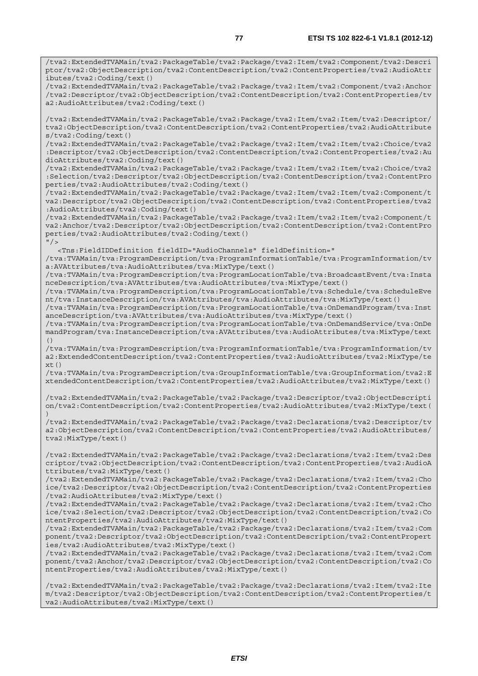/tva2:ExtendedTVAMain/tva2:PackageTable/tva2:Package/tva2:Item/tva2:Component/tva2:Descri ptor/tva2:ObjectDescription/tva2:ContentDescription/tva2:ContentProperties/tva2:AudioAttr ibutes/tva2:Coding/text()

/tva2:ExtendedTVAMain/tva2:PackageTable/tva2:Package/tva2:Item/tva2:Component/tva2:Anchor /tva2:Descriptor/tva2:ObjectDescription/tva2:ContentDescription/tva2:ContentProperties/tv a2:AudioAttributes/tva2:Coding/text()

/tva2:ExtendedTVAMain/tva2:PackageTable/tva2:Package/tva2:Item/tva2:Item/tva2:Descriptor/ tva2:ObjectDescription/tva2:ContentDescription/tva2:ContentProperties/tva2:AudioAttribute s/tva2:Coding/text()

/tva2:ExtendedTVAMain/tva2:PackageTable/tva2:Package/tva2:Item/tva2:Item/tva2:Choice/tva2 :Descriptor/tva2:ObjectDescription/tva2:ContentDescription/tva2:ContentProperties/tva2:Au dioAttributes/tva2:Coding/text()

/tva2:ExtendedTVAMain/tva2:PackageTable/tva2:Package/tva2:Item/tva2:Item/tva2:Choice/tva2 :Selection/tva2:Descriptor/tva2:ObjectDescription/tva2:ContentDescription/tva2:ContentPro perties/tva2:AudioAttributes/tva2:Coding/text()

/tva2:ExtendedTVAMain/tva2:PackageTable/tva2:Package/tva2:Item/tva2:Item/tva2:Component/t va2:Descriptor/tva2:ObjectDescription/tva2:ContentDescription/tva2:ContentProperties/tva2 :AudioAttributes/tva2:Coding/text()

/tva2:ExtendedTVAMain/tva2:PackageTable/tva2:Package/tva2:Item/tva2:Item/tva2:Component/t va2:Anchor/tva2:Descriptor/tva2:ObjectDescription/tva2:ContentDescription/tva2:ContentPro perties/tva2:AudioAttributes/tva2:Coding/text()  $"$  / >

<Tns:FieldIDDefinition fieldID="AudioChannels" fieldDefinition="

/tva:TVAMain/tva:ProgramDescription/tva:ProgramInformationTable/tva:ProgramInformation/tv a:AVAttributes/tva:AudioAttributes/tva:MixType/text()

/tva:TVAMain/tva:ProgramDescription/tva:ProgramLocationTable/tva:BroadcastEvent/tva:Insta nceDescription/tva:AVAttributes/tva:AudioAttributes/tva:MixType/text()

/tva:TVAMain/tva:ProgramDescription/tva:ProgramLocationTable/tva:Schedule/tva:ScheduleEve nt/tva:InstanceDescription/tva:AVAttributes/tva:AudioAttributes/tva:MixType/text()

/tva:TVAMain/tva:ProgramDescription/tva:ProgramLocationTable/tva:OnDemandProgram/tva:Inst anceDescription/tva:AVAttributes/tva:AudioAttributes/tva:MixType/text()

/tva:TVAMain/tva:ProgramDescription/tva:ProgramLocationTable/tva:OnDemandService/tva:OnDe mandProgram/tva:InstanceDescription/tva:AVAttributes/tva:AudioAttributes/tva:MixType/text ()

/tva:TVAMain/tva:ProgramDescription/tva:ProgramInformationTable/tva:ProgramInformation/tv a2:ExtendedContentDescription/tva2:ContentProperties/tva2:AudioAttributes/tva2:MixType/te  $xt()$ 

/tva:TVAMain/tva:ProgramDescription/tva:GroupInformationTable/tva:GroupInformation/tva2:E xtendedContentDescription/tva2:ContentProperties/tva2:AudioAttributes/tva2:MixType/text()

/tva2:ExtendedTVAMain/tva2:PackageTable/tva2:Package/tva2:Descriptor/tva2:ObjectDescripti on/tva2:ContentDescription/tva2:ContentProperties/tva2:AudioAttributes/tva2:MixType/text( )

/tva2:ExtendedTVAMain/tva2:PackageTable/tva2:Package/tva2:Declarations/tva2:Descriptor/tv a2:ObjectDescription/tva2:ContentDescription/tva2:ContentProperties/tva2:AudioAttributes/ tva2:MixType/text()

/tva2:ExtendedTVAMain/tva2:PackageTable/tva2:Package/tva2:Declarations/tva2:Item/tva2:Des criptor/tva2:ObjectDescription/tva2:ContentDescription/tva2:ContentProperties/tva2:AudioA ttributes/tva2:MixType/text()

/tva2:ExtendedTVAMain/tva2:PackageTable/tva2:Package/tva2:Declarations/tva2:Item/tva2:Cho ice/tva2:Descriptor/tva2:ObjectDescription/tva2:ContentDescription/tva2:ContentProperties /tva2:AudioAttributes/tva2:MixType/text()

/tva2:ExtendedTVAMain/tva2:PackageTable/tva2:Package/tva2:Declarations/tva2:Item/tva2:Cho ice/tva2:Selection/tva2:Descriptor/tva2:ObjectDescription/tva2:ContentDescription/tva2:Co ntentProperties/tva2:AudioAttributes/tva2:MixType/text()

/tva2:ExtendedTVAMain/tva2:PackageTable/tva2:Package/tva2:Declarations/tva2:Item/tva2:Com ponent/tva2:Descriptor/tva2:ObjectDescription/tva2:ContentDescription/tva2:ContentPropert ies/tva2:AudioAttributes/tva2:MixType/text()

/tva2:ExtendedTVAMain/tva2:PackageTable/tva2:Package/tva2:Declarations/tva2:Item/tva2:Com ponent/tva2:Anchor/tva2:Descriptor/tva2:ObjectDescription/tva2:ContentDescription/tva2:Co ntentProperties/tva2:AudioAttributes/tva2:MixType/text()

/tva2:ExtendedTVAMain/tva2:PackageTable/tva2:Package/tva2:Declarations/tva2:Item/tva2:Ite m/tva2:Descriptor/tva2:ObjectDescription/tva2:ContentDescription/tva2:ContentProperties/t va2:AudioAttributes/tva2:MixType/text()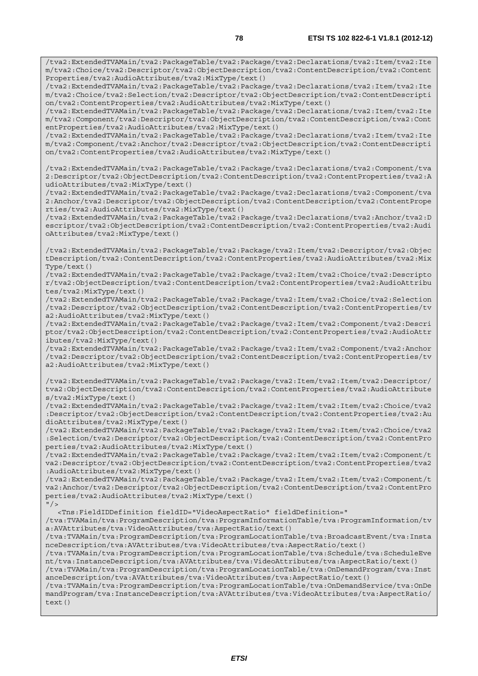/tva2:ExtendedTVAMain/tva2:PackageTable/tva2:Package/tva2:Declarations/tva2:Item/tva2:Ite m/tva2:Choice/tva2:Descriptor/tva2:ObjectDescription/tva2:ContentDescription/tva2:Content Properties/tva2:AudioAttributes/tva2:MixType/text()

/tva2:ExtendedTVAMain/tva2:PackageTable/tva2:Package/tva2:Declarations/tva2:Item/tva2:Ite m/tva2:Choice/tva2:Selection/tva2:Descriptor/tva2:ObjectDescription/tva2:ContentDescripti on/tva2:ContentProperties/tva2:AudioAttributes/tva2:MixType/text()

/tva2:ExtendedTVAMain/tva2:PackageTable/tva2:Package/tva2:Declarations/tva2:Item/tva2:Ite m/tva2:Component/tva2:Descriptor/tva2:ObjectDescription/tva2:ContentDescription/tva2:Cont entProperties/tva2:AudioAttributes/tva2:MixType/text()

/tva2:ExtendedTVAMain/tva2:PackageTable/tva2:Package/tva2:Declarations/tva2:Item/tva2:Ite m/tva2:Component/tva2:Anchor/tva2:Descriptor/tva2:ObjectDescription/tva2:ContentDescripti on/tva2:ContentProperties/tva2:AudioAttributes/tva2:MixType/text()

/tva2:ExtendedTVAMain/tva2:PackageTable/tva2:Package/tva2:Declarations/tva2:Component/tva 2:Descriptor/tva2:ObjectDescription/tva2:ContentDescription/tva2:ContentProperties/tva2:A udioAttributes/tva2:MixType/text()

/tva2:ExtendedTVAMain/tva2:PackageTable/tva2:Package/tva2:Declarations/tva2:Component/tva 2:Anchor/tva2:Descriptor/tva2:ObjectDescription/tva2:ContentDescription/tva2:ContentPrope rties/tva2:AudioAttributes/tva2:MixType/text()

/tva2:ExtendedTVAMain/tva2:PackageTable/tva2:Package/tva2:Declarations/tva2:Anchor/tva2:D escriptor/tva2:ObjectDescription/tva2:ContentDescription/tva2:ContentProperties/tva2:Audi oAttributes/tva2:MixType/text()

/tva2:ExtendedTVAMain/tva2:PackageTable/tva2:Package/tva2:Item/tva2:Descriptor/tva2:Objec tDescription/tva2:ContentDescription/tva2:ContentProperties/tva2:AudioAttributes/tva2:Mix Type/text()

/tva2:ExtendedTVAMain/tva2:PackageTable/tva2:Package/tva2:Item/tva2:Choice/tva2:Descripto r/tva2:ObjectDescription/tva2:ContentDescription/tva2:ContentProperties/tva2:AudioAttribu tes/tva2:MixType/text()

/tva2:ExtendedTVAMain/tva2:PackageTable/tva2:Package/tva2:Item/tva2:Choice/tva2:Selection /tva2:Descriptor/tva2:ObjectDescription/tva2:ContentDescription/tva2:ContentProperties/tv a2:AudioAttributes/tva2:MixType/text()

/tva2:ExtendedTVAMain/tva2:PackageTable/tva2:Package/tva2:Item/tva2:Component/tva2:Descri ptor/tva2:ObjectDescription/tva2:ContentDescription/tva2:ContentProperties/tva2:AudioAttr ibutes/tva2:MixType/text()

/tva2:ExtendedTVAMain/tva2:PackageTable/tva2:Package/tva2:Item/tva2:Component/tva2:Anchor /tva2:Descriptor/tva2:ObjectDescription/tva2:ContentDescription/tva2:ContentProperties/tv a2:AudioAttributes/tva2:MixType/text()

/tva2:ExtendedTVAMain/tva2:PackageTable/tva2:Package/tva2:Item/tva2:Item/tva2:Descriptor/ tva2:ObjectDescription/tva2:ContentDescription/tva2:ContentProperties/tva2:AudioAttribute s/tva2:MixType/text()

/tva2:ExtendedTVAMain/tva2:PackageTable/tva2:Package/tva2:Item/tva2:Item/tva2:Choice/tva2 :Descriptor/tva2:ObjectDescription/tva2:ContentDescription/tva2:ContentProperties/tva2:Au dioAttributes/tva2:MixType/text()

/tva2:ExtendedTVAMain/tva2:PackageTable/tva2:Package/tva2:Item/tva2:Item/tva2:Choice/tva2 :Selection/tva2:Descriptor/tva2:ObjectDescription/tva2:ContentDescription/tva2:ContentPro perties/tva2:AudioAttributes/tva2:MixType/text()

/tva2:ExtendedTVAMain/tva2:PackageTable/tva2:Package/tva2:Item/tva2:Item/tva2:Component/t va2:Descriptor/tva2:ObjectDescription/tva2:ContentDescription/tva2:ContentProperties/tva2 :AudioAttributes/tva2:MixType/text()

/tva2:ExtendedTVAMain/tva2:PackageTable/tva2:Package/tva2:Item/tva2:Item/tva2:Component/t va2:Anchor/tva2:Descriptor/tva2:ObjectDescription/tva2:ContentDescription/tva2:ContentPro perties/tva2:AudioAttributes/tva2:MixType/text()  $"$  / >

<Tns:FieldIDDefinition fieldID="VideoAspectRatio" fieldDefinition="

/tva:TVAMain/tva:ProgramDescription/tva:ProgramInformationTable/tva:ProgramInformation/tv a:AVAttributes/tva:VideoAttributes/tva:AspectRatio/text()

/tva:TVAMain/tva:ProgramDescription/tva:ProgramLocationTable/tva:BroadcastEvent/tva:Insta nceDescription/tva:AVAttributes/tva:VideoAttributes/tva:AspectRatio/text()

/tva:TVAMain/tva:ProgramDescription/tva:ProgramLocationTable/tva:Schedule/tva:ScheduleEve nt/tva:InstanceDescription/tva:AVAttributes/tva:VideoAttributes/tva:AspectRatio/text()

/tva:TVAMain/tva:ProgramDescription/tva:ProgramLocationTable/tva:OnDemandProgram/tva:Inst anceDescription/tva:AVAttributes/tva:VideoAttributes/tva:AspectRatio/text()

/tva:TVAMain/tva:ProgramDescription/tva:ProgramLocationTable/tva:OnDemandService/tva:OnDe mandProgram/tva:InstanceDescription/tva:AVAttributes/tva:VideoAttributes/tva:AspectRatio/ text()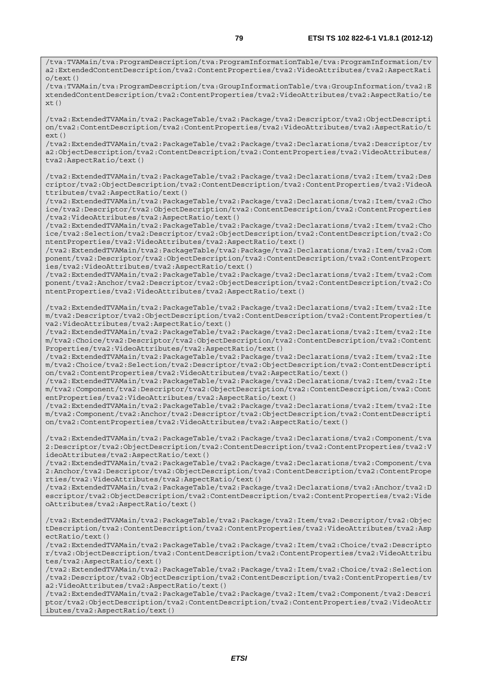/tva:TVAMain/tva:ProgramDescription/tva:ProgramInformationTable/tva:ProgramInformation/tv a2:ExtendedContentDescription/tva2:ContentProperties/tva2:VideoAttributes/tva2:AspectRati o/text()

/tva:TVAMain/tva:ProgramDescription/tva:GroupInformationTable/tva:GroupInformation/tva2:E xtendedContentDescription/tva2:ContentProperties/tva2:VideoAttributes/tva2:AspectRatio/te  $xt()$ 

/tva2:ExtendedTVAMain/tva2:PackageTable/tva2:Package/tva2:Descriptor/tva2:ObjectDescripti on/tva2:ContentDescription/tva2:ContentProperties/tva2:VideoAttributes/tva2:AspectRatio/t ext()

/tva2:ExtendedTVAMain/tva2:PackageTable/tva2:Package/tva2:Declarations/tva2:Descriptor/tv a2:ObjectDescription/tva2:ContentDescription/tva2:ContentProperties/tva2:VideoAttributes/ tva2:AspectRatio/text()

/tva2:ExtendedTVAMain/tva2:PackageTable/tva2:Package/tva2:Declarations/tva2:Item/tva2:Des criptor/tva2:ObjectDescription/tva2:ContentDescription/tva2:ContentProperties/tva2:VideoA ttributes/tva2:AspectRatio/text()

/tva2:ExtendedTVAMain/tva2:PackageTable/tva2:Package/tva2:Declarations/tva2:Item/tva2:Cho ice/tva2:Descriptor/tva2:ObjectDescription/tva2:ContentDescription/tva2:ContentProperties /tva2:VideoAttributes/tva2:AspectRatio/text()

/tva2:ExtendedTVAMain/tva2:PackageTable/tva2:Package/tva2:Declarations/tva2:Item/tva2:Cho ice/tva2:Selection/tva2:Descriptor/tva2:ObjectDescription/tva2:ContentDescription/tva2:Co ntentProperties/tva2:VideoAttributes/tva2:AspectRatio/text()

/tva2:ExtendedTVAMain/tva2:PackageTable/tva2:Package/tva2:Declarations/tva2:Item/tva2:Com ponent/tva2:Descriptor/tva2:ObjectDescription/tva2:ContentDescription/tva2:ContentPropert ies/tva2:VideoAttributes/tva2:AspectRatio/text()

/tva2:ExtendedTVAMain/tva2:PackageTable/tva2:Package/tva2:Declarations/tva2:Item/tva2:Com ponent/tva2:Anchor/tva2:Descriptor/tva2:ObjectDescription/tva2:ContentDescription/tva2:Co ntentProperties/tva2:VideoAttributes/tva2:AspectRatio/text()

/tva2:ExtendedTVAMain/tva2:PackageTable/tva2:Package/tva2:Declarations/tva2:Item/tva2:Ite m/tva2:Descriptor/tva2:ObjectDescription/tva2:ContentDescription/tva2:ContentProperties/t va2:VideoAttributes/tva2:AspectRatio/text()

/tva2:ExtendedTVAMain/tva2:PackageTable/tva2:Package/tva2:Declarations/tva2:Item/tva2:Ite m/tva2:Choice/tva2:Descriptor/tva2:ObjectDescription/tva2:ContentDescription/tva2:Content Properties/tva2:VideoAttributes/tva2:AspectRatio/text()

/tva2:ExtendedTVAMain/tva2:PackageTable/tva2:Package/tva2:Declarations/tva2:Item/tva2:Ite m/tva2:Choice/tva2:Selection/tva2:Descriptor/tva2:ObjectDescription/tva2:ContentDescripti on/tva2:ContentProperties/tva2:VideoAttributes/tva2:AspectRatio/text()

/tva2:ExtendedTVAMain/tva2:PackageTable/tva2:Package/tva2:Declarations/tva2:Item/tva2:Ite m/tva2:Component/tva2:Descriptor/tva2:ObjectDescription/tva2:ContentDescription/tva2:Cont entProperties/tva2:VideoAttributes/tva2:AspectRatio/text()

/tva2:ExtendedTVAMain/tva2:PackageTable/tva2:Package/tva2:Declarations/tva2:Item/tva2:Ite m/tva2:Component/tva2:Anchor/tva2:Descriptor/tva2:ObjectDescription/tva2:ContentDescripti on/tva2:ContentProperties/tva2:VideoAttributes/tva2:AspectRatio/text()

/tva2:ExtendedTVAMain/tva2:PackageTable/tva2:Package/tva2:Declarations/tva2:Component/tva 2:Descriptor/tva2:ObjectDescription/tva2:ContentDescription/tva2:ContentProperties/tva2:V ideoAttributes/tva2:AspectRatio/text()

/tva2:ExtendedTVAMain/tva2:PackageTable/tva2:Package/tva2:Declarations/tva2:Component/tva 2:Anchor/tva2:Descriptor/tva2:ObjectDescription/tva2:ContentDescription/tva2:ContentPrope rties/tva2:VideoAttributes/tva2:AspectRatio/text()

/tva2:ExtendedTVAMain/tva2:PackageTable/tva2:Package/tva2:Declarations/tva2:Anchor/tva2:D escriptor/tva2:ObjectDescription/tva2:ContentDescription/tva2:ContentProperties/tva2:Vide oAttributes/tva2:AspectRatio/text()

/tva2:ExtendedTVAMain/tva2:PackageTable/tva2:Package/tva2:Item/tva2:Descriptor/tva2:Objec tDescription/tva2:ContentDescription/tva2:ContentProperties/tva2:VideoAttributes/tva2:Asp ectRatio/text()

/tva2:ExtendedTVAMain/tva2:PackageTable/tva2:Package/tva2:Item/tva2:Choice/tva2:Descripto r/tva2:ObjectDescription/tva2:ContentDescription/tva2:ContentProperties/tva2:VideoAttribu tes/tva2:AspectRatio/text()

/tva2:ExtendedTVAMain/tva2:PackageTable/tva2:Package/tva2:Item/tva2:Choice/tva2:Selection /tva2:Descriptor/tva2:ObjectDescription/tva2:ContentDescription/tva2:ContentProperties/tv a2:VideoAttributes/tva2:AspectRatio/text()

/tva2:ExtendedTVAMain/tva2:PackageTable/tva2:Package/tva2:Item/tva2:Component/tva2:Descri ptor/tva2:ObjectDescription/tva2:ContentDescription/tva2:ContentProperties/tva2:VideoAttr ibutes/tva2:AspectRatio/text()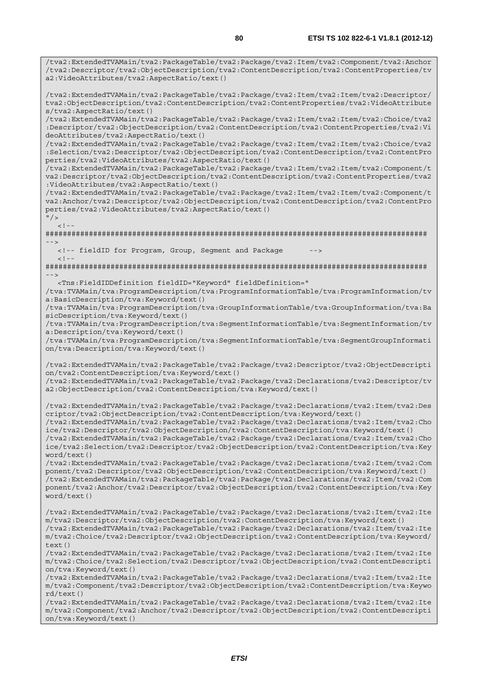/tva2:ExtendedTVAMain/tva2:PackageTable/tva2:Package/tva2:Item/tva2:Component/tva2:Anchor /tva2:Descriptor/tva2:ObjectDescription/tva2:ContentDescription/tva2:ContentProperties/tv

a2:VideoAttributes/tva2:AspectRatio/text()

/tva2:ExtendedTVAMain/tva2:PackageTable/tva2:Package/tva2:Item/tva2:Item/tva2:Descriptor/ tva2:ObjectDescription/tva2:ContentDescription/tva2:ContentProperties/tva2:VideoAttribute s/tva2:AspectRatio/text() /tva2:ExtendedTVAMain/tva2:PackageTable/tva2:Package/tva2:Item/tva2:Item/tva2:Choice/tva2 :Descriptor/tva2:ObjectDescription/tva2:ContentDescription/tva2:ContentProperties/tva2:Vi deoAttributes/tva2:AspectRatio/text() /tva2:ExtendedTVAMain/tva2:PackageTable/tva2:Package/tva2:Item/tva2:Item/tva2:Choice/tva2 :Selection/tva2:Descriptor/tva2:ObjectDescription/tva2:ContentDescription/tva2:ContentPro perties/tva2:VideoAttributes/tva2:AspectRatio/text() /tva2:ExtendedTVAMain/tva2:PackageTable/tva2:Package/tva2:Item/tva2:Item/tva2:Component/t va2:Descriptor/tva2:ObjectDescription/tva2:ContentDescription/tva2:ContentProperties/tva2 :VideoAttributes/tva2:AspectRatio/text() /tva2:ExtendedTVAMain/tva2:PackageTable/tva2:Package/tva2:Item/tva2:Item/tva2:Component/t va2:Anchor/tva2:Descriptor/tva2:ObjectDescription/tva2:ContentDescription/tva2:ContentPro perties/tva2:VideoAttributes/tva2:AspectRatio/text()  $"$  />  $\lt$  ! -######################################################################################## --> <!-- fieldID for Program, Group, Segment and Package  $<$  ! <br>  $-\,$   $-$ ######################################################################################## --> <Tns:FieldIDDefinition fieldID="Keyword" fieldDefinition=" /tva:TVAMain/tva:ProgramDescription/tva:ProgramInformationTable/tva:ProgramInformation/tv a:BasicDescription/tva:Keyword/text() /tva:TVAMain/tva:ProgramDescription/tva:GroupInformationTable/tva:GroupInformation/tva:Ba sicDescription/tva:Keyword/text() /tva:TVAMain/tva:ProgramDescription/tva:SegmentInformationTable/tva:SegmentInformation/tv a:Description/tva:Keyword/text() /tva:TVAMain/tva:ProgramDescription/tva:SegmentInformationTable/tva:SegmentGroupInformati on/tva:Description/tva:Keyword/text() /tva2:ExtendedTVAMain/tva2:PackageTable/tva2:Package/tva2:Descriptor/tva2:ObjectDescripti on/tva2:ContentDescription/tva:Keyword/text() /tva2:ExtendedTVAMain/tva2:PackageTable/tva2:Package/tva2:Declarations/tva2:Descriptor/tv a2:ObjectDescription/tva2:ContentDescription/tva:Keyword/text() /tva2:ExtendedTVAMain/tva2:PackageTable/tva2:Package/tva2:Declarations/tva2:Item/tva2:Des criptor/tva2:ObjectDescription/tva2:ContentDescription/tva:Keyword/text() /tva2:ExtendedTVAMain/tva2:PackageTable/tva2:Package/tva2:Declarations/tva2:Item/tva2:Cho ice/tva2:Descriptor/tva2:ObjectDescription/tva2:ContentDescription/tva:Keyword/text() /tva2:ExtendedTVAMain/tva2:PackageTable/tva2:Package/tva2:Declarations/tva2:Item/tva2:Cho ice/tva2:Selection/tva2:Descriptor/tva2:ObjectDescription/tva2:ContentDescription/tva:Key word/text() /tva2:ExtendedTVAMain/tva2:PackageTable/tva2:Package/tva2:Declarations/tva2:Item/tva2:Com ponent/tva2:Descriptor/tva2:ObjectDescription/tva2:ContentDescription/tva:Keyword/text() /tva2:ExtendedTVAMain/tva2:PackageTable/tva2:Package/tva2:Declarations/tva2:Item/tva2:Com ponent/tva2:Anchor/tva2:Descriptor/tva2:ObjectDescription/tva2:ContentDescription/tva:Key word/text() /tva2:ExtendedTVAMain/tva2:PackageTable/tva2:Package/tva2:Declarations/tva2:Item/tva2:Ite m/tva2:Descriptor/tva2:ObjectDescription/tva2:ContentDescription/tva:Keyword/text() /tva2:ExtendedTVAMain/tva2:PackageTable/tva2:Package/tva2:Declarations/tva2:Item/tva2:Ite m/tva2:Choice/tva2:Descriptor/tva2:ObjectDescription/tva2:ContentDescription/tva:Keyword/ text()

/tva2:ExtendedTVAMain/tva2:PackageTable/tva2:Package/tva2:Declarations/tva2:Item/tva2:Ite m/tva2:Choice/tva2:Selection/tva2:Descriptor/tva2:ObjectDescription/tva2:ContentDescripti on/tva:Keyword/text()

/tva2:ExtendedTVAMain/tva2:PackageTable/tva2:Package/tva2:Declarations/tva2:Item/tva2:Ite m/tva2:Component/tva2:Descriptor/tva2:ObjectDescription/tva2:ContentDescription/tva:Keywo rd/text()

/tva2:ExtendedTVAMain/tva2:PackageTable/tva2:Package/tva2:Declarations/tva2:Item/tva2:Ite m/tva2:Component/tva2:Anchor/tva2:Descriptor/tva2:ObjectDescription/tva2:ContentDescripti on/tva:Keyword/text()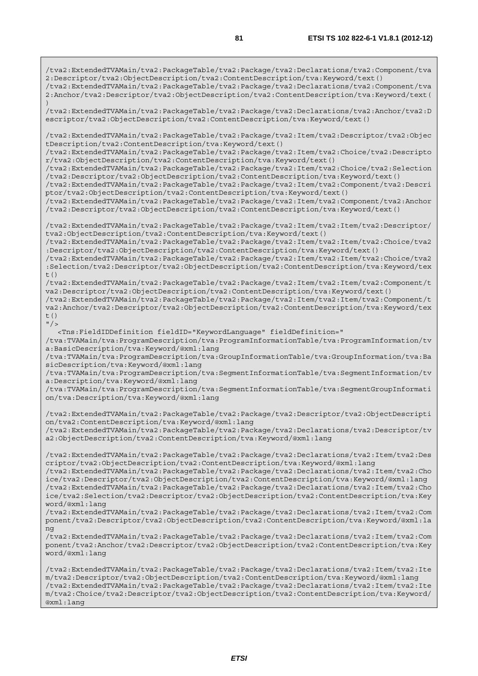/tva2:ExtendedTVAMain/tva2:PackageTable/tva2:Package/tva2:Declarations/tva2:Component/tva 2:Descriptor/tva2:ObjectDescription/tva2:ContentDescription/tva:Keyword/text() /tva2:ExtendedTVAMain/tva2:PackageTable/tva2:Package/tva2:Declarations/tva2:Component/tva 2:Anchor/tva2:Descriptor/tva2:ObjectDescription/tva2:ContentDescription/tva:Keyword/text( ) /tva2:ExtendedTVAMain/tva2:PackageTable/tva2:Package/tva2:Declarations/tva2:Anchor/tva2:D escriptor/tva2:ObjectDescription/tva2:ContentDescription/tva:Keyword/text() /tva2:ExtendedTVAMain/tva2:PackageTable/tva2:Package/tva2:Item/tva2:Descriptor/tva2:Objec tDescription/tva2:ContentDescription/tva:Keyword/text() /tva2:ExtendedTVAMain/tva2:PackageTable/tva2:Package/tva2:Item/tva2:Choice/tva2:Descripto r/tva2:ObjectDescription/tva2:ContentDescription/tva:Keyword/text() /tva2:ExtendedTVAMain/tva2:PackageTable/tva2:Package/tva2:Item/tva2:Choice/tva2:Selection /tva2:Descriptor/tva2:ObjectDescription/tva2:ContentDescription/tva:Keyword/text() /tva2:ExtendedTVAMain/tva2:PackageTable/tva2:Package/tva2:Item/tva2:Component/tva2:Descri ptor/tva2:ObjectDescription/tva2:ContentDescription/tva:Keyword/text() /tva2:ExtendedTVAMain/tva2:PackageTable/tva2:Package/tva2:Item/tva2:Component/tva2:Anchor /tva2:Descriptor/tva2:ObjectDescription/tva2:ContentDescription/tva:Keyword/text() /tva2:ExtendedTVAMain/tva2:PackageTable/tva2:Package/tva2:Item/tva2:Item/tva2:Descriptor/ tva2:ObjectDescription/tva2:ContentDescription/tva:Keyword/text() /tva2:ExtendedTVAMain/tva2:PackageTable/tva2:Package/tva2:Item/tva2:Item/tva2:Choice/tva2 :Descriptor/tva2:ObjectDescription/tva2:ContentDescription/tva:Keyword/text() /tva2:ExtendedTVAMain/tva2:PackageTable/tva2:Package/tva2:Item/tva2:Item/tva2:Choice/tva2 :Selection/tva2:Descriptor/tva2:ObjectDescription/tva2:ContentDescription/tva:Keyword/tex  $t()$ /tva2:ExtendedTVAMain/tva2:PackageTable/tva2:Package/tva2:Item/tva2:Item/tva2:Component/t va2:Descriptor/tva2:ObjectDescription/tva2:ContentDescription/tva:Keyword/text() /tva2:ExtendedTVAMain/tva2:PackageTable/tva2:Package/tva2:Item/tva2:Item/tva2:Component/t va2:Anchor/tva2:Descriptor/tva2:ObjectDescription/tva2:ContentDescription/tva:Keyword/tex t()  $''/2$  <Tns:FieldIDDefinition fieldID="KeywordLanguage" fieldDefinition=" /tva:TVAMain/tva:ProgramDescription/tva:ProgramInformationTable/tva:ProgramInformation/tv a:BasicDescription/tva:Keyword/@xml:lang /tva:TVAMain/tva:ProgramDescription/tva:GroupInformationTable/tva:GroupInformation/tva:Ba sicDescription/tva:Keyword/@xml:lang /tva:TVAMain/tva:ProgramDescription/tva:SegmentInformationTable/tva:SegmentInformation/tv a:Description/tva:Keyword/@xml:lang /tva:TVAMain/tva:ProgramDescription/tva:SegmentInformationTable/tva:SegmentGroupInformati on/tva:Description/tva:Keyword/@xml:lang /tva2:ExtendedTVAMain/tva2:PackageTable/tva2:Package/tva2:Descriptor/tva2:ObjectDescripti on/tva2:ContentDescription/tva:Keyword/@xml:lang /tva2:ExtendedTVAMain/tva2:PackageTable/tva2:Package/tva2:Declarations/tva2:Descriptor/tv a2:ObjectDescription/tva2:ContentDescription/tva:Keyword/@xml:lang /tva2:ExtendedTVAMain/tva2:PackageTable/tva2:Package/tva2:Declarations/tva2:Item/tva2:Des criptor/tva2:ObjectDescription/tva2:ContentDescription/tva:Keyword/@xml:lang /tva2:ExtendedTVAMain/tva2:PackageTable/tva2:Package/tva2:Declarations/tva2:Item/tva2:Cho ice/tva2:Descriptor/tva2:ObjectDescription/tva2:ContentDescription/tva:Keyword/@xml:lang /tva2:ExtendedTVAMain/tva2:PackageTable/tva2:Package/tva2:Declarations/tva2:Item/tva2:Cho ice/tva2:Selection/tva2:Descriptor/tva2:ObjectDescription/tva2:ContentDescription/tva:Key word/@xml:lang /tva2:ExtendedTVAMain/tva2:PackageTable/tva2:Package/tva2:Declarations/tva2:Item/tva2:Com ponent/tva2:Descriptor/tva2:ObjectDescription/tva2:ContentDescription/tva:Keyword/@xml:la ng /tva2:ExtendedTVAMain/tva2:PackageTable/tva2:Package/tva2:Declarations/tva2:Item/tva2:Com ponent/tva2:Anchor/tva2:Descriptor/tva2:ObjectDescription/tva2:ContentDescription/tva:Key word/@xml:lang /tva2:ExtendedTVAMain/tva2:PackageTable/tva2:Package/tva2:Declarations/tva2:Item/tva2:Ite m/tva2:Descriptor/tva2:ObjectDescription/tva2:ContentDescription/tva:Keyword/@xml:lang /tva2:ExtendedTVAMain/tva2:PackageTable/tva2:Package/tva2:Declarations/tva2:Item/tva2:Ite m/tva2:Choice/tva2:Descriptor/tva2:ObjectDescription/tva2:ContentDescription/tva:Keyword/

@xml:lang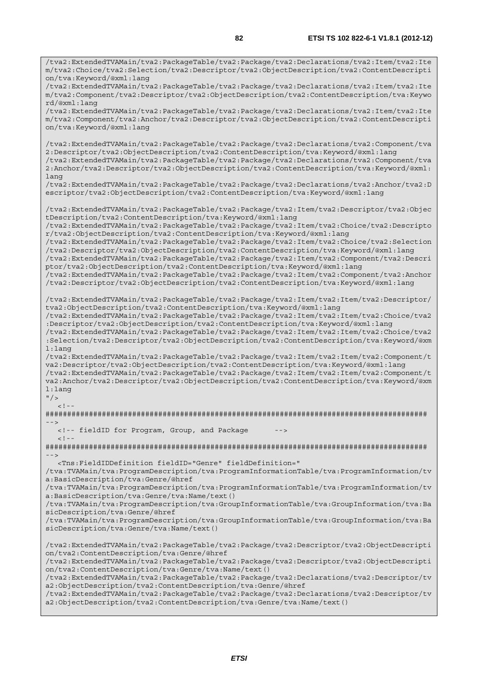/tva2:ExtendedTVAMain/tva2:PackageTable/tva2:Package/tva2:Declarations/tva2:Item/tva2:Ite m/tva2:Choice/tva2:Selection/tva2:Descriptor/tva2:ObjectDescription/tva2:ContentDescripti on/tva:Keyword/@xml:lang /tva2:ExtendedTVAMain/tva2:PackageTable/tva2:Package/tva2:Declarations/tva2:Item/tva2:Ite m/tva2:Component/tva2:Descriptor/tva2:ObjectDescription/tva2:ContentDescription/tva:Keywo rd/@xml:lang /tva2:ExtendedTVAMain/tva2:PackageTable/tva2:Package/tva2:Declarations/tva2:Item/tva2:Ite m/tva2:Component/tva2:Anchor/tva2:Descriptor/tva2:ObjectDescription/tva2:ContentDescripti on/tva:Keyword/@xml:lang /tva2:ExtendedTVAMain/tva2:PackageTable/tva2:Package/tva2:Declarations/tva2:Component/tva 2:Descriptor/tva2:ObjectDescription/tva2:ContentDescription/tva:Keyword/@xml:lang /tva2:ExtendedTVAMain/tva2:PackageTable/tva2:Package/tva2:Declarations/tva2:Component/tva 2:Anchor/tva2:Descriptor/tva2:ObjectDescription/tva2:ContentDescription/tva:Keyword/@xml: lang /tva2:ExtendedTVAMain/tva2:PackageTable/tva2:Package/tva2:Declarations/tva2:Anchor/tva2:D escriptor/tva2:ObjectDescription/tva2:ContentDescription/tva:Keyword/@xml:lang /tva2:ExtendedTVAMain/tva2:PackageTable/tva2:Package/tva2:Item/tva2:Descriptor/tva2:Objec tDescription/tva2:ContentDescription/tva:Keyword/@xml:lang /tva2:ExtendedTVAMain/tva2:PackageTable/tva2:Package/tva2:Item/tva2:Choice/tva2:Descripto r/tva2:ObjectDescription/tva2:ContentDescription/tva:Keyword/@xml:lang /tva2:ExtendedTVAMain/tva2:PackageTable/tva2:Package/tva2:Item/tva2:Choice/tva2:Selection /tva2:Descriptor/tva2:ObjectDescription/tva2:ContentDescription/tva:Keyword/@xml:lang /tva2:ExtendedTVAMain/tva2:PackageTable/tva2:Package/tva2:Item/tva2:Component/tva2:Descri ptor/tva2:ObjectDescription/tva2:ContentDescription/tva:Keyword/@xml:lang /tva2:ExtendedTVAMain/tva2:PackageTable/tva2:Package/tva2:Item/tva2:Component/tva2:Anchor /tva2:Descriptor/tva2:ObjectDescription/tva2:ContentDescription/tva:Keyword/@xml:lang /tva2:ExtendedTVAMain/tva2:PackageTable/tva2:Package/tva2:Item/tva2:Item/tva2:Descriptor/ tva2:ObjectDescription/tva2:ContentDescription/tva:Keyword/@xml:lang /tva2:ExtendedTVAMain/tva2:PackageTable/tva2:Package/tva2:Item/tva2:Item/tva2:Choice/tva2 :Descriptor/tva2:ObjectDescription/tva2:ContentDescription/tva:Keyword/@xml:lang /tva2:ExtendedTVAMain/tva2:PackageTable/tva2:Package/tva2:Item/tva2:Item/tva2:Choice/tva2 :Selection/tva2:Descriptor/tva2:ObjectDescription/tva2:ContentDescription/tva:Keyword/@xm l:lang /tva2:ExtendedTVAMain/tva2:PackageTable/tva2:Package/tva2:Item/tva2:Item/tva2:Component/t va2:Descriptor/tva2:ObjectDescription/tva2:ContentDescription/tva:Keyword/@xml:lang /tva2:ExtendedTVAMain/tva2:PackageTable/tva2:Package/tva2:Item/tva2:Item/tva2:Component/t va2:Anchor/tva2:Descriptor/tva2:ObjectDescription/tva2:ContentDescription/tva:Keyword/@xm l:lang  $"$  />  $\lt$  ! -######################################################################################## --> <!-- fieldID for Program, Group, and Package -->  $<$ ! --######################################################################################## --> <Tns:FieldIDDefinition fieldID="Genre" fieldDefinition=" /tva:TVAMain/tva:ProgramDescription/tva:ProgramInformationTable/tva:ProgramInformation/tv a:BasicDescription/tva:Genre/@href /tva:TVAMain/tva:ProgramDescription/tva:ProgramInformationTable/tva:ProgramInformation/tv a:BasicDescription/tva:Genre/tva:Name/text() /tva:TVAMain/tva:ProgramDescription/tva:GroupInformationTable/tva:GroupInformation/tva:Ba sicDescription/tva:Genre/@href /tva:TVAMain/tva:ProgramDescription/tva:GroupInformationTable/tva:GroupInformation/tva:Ba sicDescription/tva:Genre/tva:Name/text() /tva2:ExtendedTVAMain/tva2:PackageTable/tva2:Package/tva2:Descriptor/tva2:ObjectDescripti on/tva2:ContentDescription/tva:Genre/@href /tva2:ExtendedTVAMain/tva2:PackageTable/tva2:Package/tva2:Descriptor/tva2:ObjectDescripti on/tva2:ContentDescription/tva:Genre/tva:Name/text() /tva2:ExtendedTVAMain/tva2:PackageTable/tva2:Package/tva2:Declarations/tva2:Descriptor/tv a2:ObjectDescription/tva2:ContentDescription/tva:Genre/@href /tva2:ExtendedTVAMain/tva2:PackageTable/tva2:Package/tva2:Declarations/tva2:Descriptor/tv a2:ObjectDescription/tva2:ContentDescription/tva:Genre/tva:Name/text()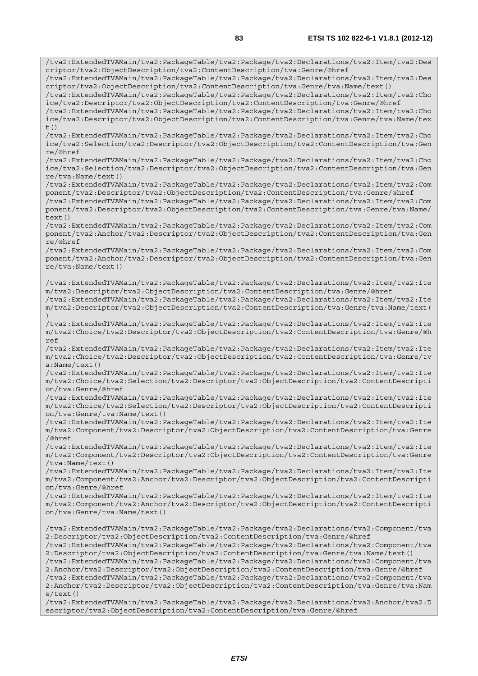/tva2:ExtendedTVAMain/tva2:PackageTable/tva2:Package/tva2:Declarations/tva2:Item/tva2:Des criptor/tva2:ObjectDescription/tva2:ContentDescription/tva:Genre/@href /tva2:ExtendedTVAMain/tva2:PackageTable/tva2:Package/tva2:Declarations/tva2:Item/tva2:Des criptor/tva2:ObjectDescription/tva2:ContentDescription/tva:Genre/tva:Name/text() /tva2:ExtendedTVAMain/tva2:PackageTable/tva2:Package/tva2:Declarations/tva2:Item/tva2:Cho ice/tva2:Descriptor/tva2:ObjectDescription/tva2:ContentDescription/tva:Genre/@href /tva2:ExtendedTVAMain/tva2:PackageTable/tva2:Package/tva2:Declarations/tva2:Item/tva2:Cho ice/tva2:Descriptor/tva2:ObjectDescription/tva2:ContentDescription/tva:Genre/tva:Name/tex  $t($ ) /tva2:ExtendedTVAMain/tva2:PackageTable/tva2:Package/tva2:Declarations/tva2:Item/tva2:Cho ice/tva2:Selection/tva2:Descriptor/tva2:ObjectDescription/tva2:ContentDescription/tva:Gen re/@href /tva2:ExtendedTVAMain/tva2:PackageTable/tva2:Package/tva2:Declarations/tva2:Item/tva2:Cho ice/tva2:Selection/tva2:Descriptor/tva2:ObjectDescription/tva2:ContentDescription/tva:Gen re/tva:Name/text() /tva2:ExtendedTVAMain/tva2:PackageTable/tva2:Package/tva2:Declarations/tva2:Item/tva2:Com ponent/tva2:Descriptor/tva2:ObjectDescription/tva2:ContentDescription/tva:Genre/@href /tva2:ExtendedTVAMain/tva2:PackageTable/tva2:Package/tva2:Declarations/tva2:Item/tva2:Com ponent/tva2:Descriptor/tva2:ObjectDescription/tva2:ContentDescription/tva:Genre/tva:Name/  $text()$ /tva2:ExtendedTVAMain/tva2:PackageTable/tva2:Package/tva2:Declarations/tva2:Item/tva2:Com ponent/tva2:Anchor/tva2:Descriptor/tva2:ObjectDescription/tva2:ContentDescription/tva:Gen re/@href /tva2:ExtendedTVAMain/tva2:PackageTable/tva2:Package/tva2:Declarations/tva2:Item/tva2:Com ponent/tva2:Anchor/tva2:Descriptor/tva2:ObjectDescription/tva2:ContentDescription/tva:Gen re/tva:Name/text() /tva2:ExtendedTVAMain/tva2:PackageTable/tva2:Package/tva2:Declarations/tva2:Item/tva2:Ite m/tva2:Descriptor/tva2:ObjectDescription/tva2:ContentDescription/tva:Genre/@href /tva2:ExtendedTVAMain/tva2:PackageTable/tva2:Package/tva2:Declarations/tva2:Item/tva2:Ite m/tva2:Descriptor/tva2:ObjectDescription/tva2:ContentDescription/tva:Genre/tva:Name/text( ) /tva2:ExtendedTVAMain/tva2:PackageTable/tva2:Package/tva2:Declarations/tva2:Item/tva2:Ite m/tva2:Choice/tva2:Descriptor/tva2:ObjectDescription/tva2:ContentDescription/tva:Genre/@h ref /tva2:ExtendedTVAMain/tva2:PackageTable/tva2:Package/tva2:Declarations/tva2:Item/tva2:Ite m/tva2:Choice/tva2:Descriptor/tva2:ObjectDescription/tva2:ContentDescription/tva:Genre/tv a:Name/text() /tva2:ExtendedTVAMain/tva2:PackageTable/tva2:Package/tva2:Declarations/tva2:Item/tva2:Ite m/tva2:Choice/tva2:Selection/tva2:Descriptor/tva2:ObjectDescription/tva2:ContentDescripti on/tva:Genre/@href /tva2:ExtendedTVAMain/tva2:PackageTable/tva2:Package/tva2:Declarations/tva2:Item/tva2:Ite m/tva2:Choice/tva2:Selection/tva2:Descriptor/tva2:ObjectDescription/tva2:ContentDescripti on/tva:Genre/tva:Name/text() /tva2:ExtendedTVAMain/tva2:PackageTable/tva2:Package/tva2:Declarations/tva2:Item/tva2:Ite m/tva2:Component/tva2:Descriptor/tva2:ObjectDescription/tva2:ContentDescription/tva:Genre /@href /tva2:ExtendedTVAMain/tva2:PackageTable/tva2:Package/tva2:Declarations/tva2:Item/tva2:Ite m/tva2:Component/tva2:Descriptor/tva2:ObjectDescription/tva2:ContentDescription/tva:Genre /tva:Name/text() /tva2:ExtendedTVAMain/tva2:PackageTable/tva2:Package/tva2:Declarations/tva2:Item/tva2:Ite m/tva2:Component/tva2:Anchor/tva2:Descriptor/tva2:ObjectDescription/tva2:ContentDescripti on/tva:Genre/@href /tva2:ExtendedTVAMain/tva2:PackageTable/tva2:Package/tva2:Declarations/tva2:Item/tva2:Ite m/tva2:Component/tva2:Anchor/tva2:Descriptor/tva2:ObjectDescription/tva2:ContentDescripti on/tva:Genre/tva:Name/text() /tva2:ExtendedTVAMain/tva2:PackageTable/tva2:Package/tva2:Declarations/tva2:Component/tva 2:Descriptor/tva2:ObjectDescription/tva2:ContentDescription/tva:Genre/@href /tva2:ExtendedTVAMain/tva2:PackageTable/tva2:Package/tva2:Declarations/tva2:Component/tva 2:Descriptor/tva2:ObjectDescription/tva2:ContentDescription/tva:Genre/tva:Name/text() /tva2:ExtendedTVAMain/tva2:PackageTable/tva2:Package/tva2:Declarations/tva2:Component/tva 2:Anchor/tva2:Descriptor/tva2:ObjectDescription/tva2:ContentDescription/tva:Genre/@href /tva2:ExtendedTVAMain/tva2:PackageTable/tva2:Package/tva2:Declarations/tva2:Component/tva 2:Anchor/tva2:Descriptor/tva2:ObjectDescription/tva2:ContentDescription/tva:Genre/tva:Nam e/text() /tva2:ExtendedTVAMain/tva2:PackageTable/tva2:Package/tva2:Declarations/tva2:Anchor/tva2:D

escriptor/tva2:ObjectDescription/tva2:ContentDescription/tva:Genre/@href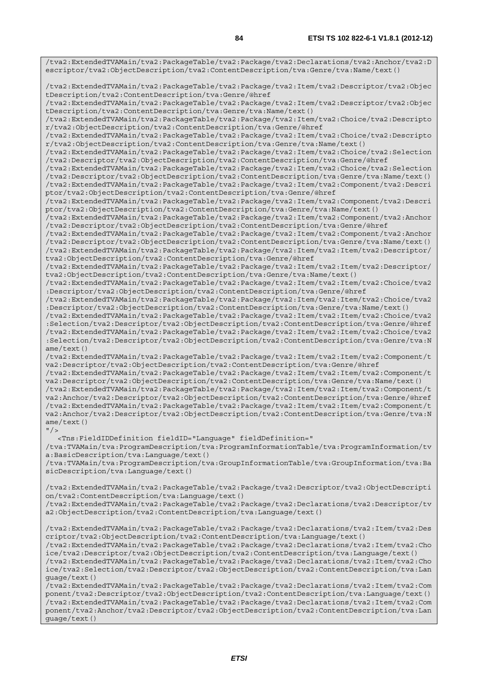/tva2:ExtendedTVAMain/tva2:PackageTable/tva2:Package/tva2:Declarations/tva2:Anchor/tva2:D escriptor/tva2:ObjectDescription/tva2:ContentDescription/tva:Genre/tva:Name/text() /tva2:ExtendedTVAMain/tva2:PackageTable/tva2:Package/tva2:Item/tva2:Descriptor/tva2:Objec tDescription/tva2:ContentDescription/tva:Genre/@href /tva2:ExtendedTVAMain/tva2:PackageTable/tva2:Package/tva2:Item/tva2:Descriptor/tva2:Objec tDescription/tva2:ContentDescription/tva:Genre/tva:Name/text() /tva2:ExtendedTVAMain/tva2:PackageTable/tva2:Package/tva2:Item/tva2:Choice/tva2:Descripto r/tva2:ObjectDescription/tva2:ContentDescription/tva:Genre/@href /tva2:ExtendedTVAMain/tva2:PackageTable/tva2:Package/tva2:Item/tva2:Choice/tva2:Descripto r/tva2:ObjectDescription/tva2:ContentDescription/tva:Genre/tva:Name/text() /tva2:ExtendedTVAMain/tva2:PackageTable/tva2:Package/tva2:Item/tva2:Choice/tva2:Selection /tva2:Descriptor/tva2:ObjectDescription/tva2:ContentDescription/tva:Genre/@href /tva2:ExtendedTVAMain/tva2:PackageTable/tva2:Package/tva2:Item/tva2:Choice/tva2:Selection /tva2:Descriptor/tva2:ObjectDescription/tva2:ContentDescription/tva:Genre/tva:Name/text() /tva2:ExtendedTVAMain/tva2:PackageTable/tva2:Package/tva2:Item/tva2:Component/tva2:Descri ptor/tva2:ObjectDescription/tva2:ContentDescription/tva:Genre/@href /tva2:ExtendedTVAMain/tva2:PackageTable/tva2:Package/tva2:Item/tva2:Component/tva2:Descri ptor/tva2:ObjectDescription/tva2:ContentDescription/tva:Genre/tva:Name/text() /tva2:ExtendedTVAMain/tva2:PackageTable/tva2:Package/tva2:Item/tva2:Component/tva2:Anchor /tva2:Descriptor/tva2:ObjectDescription/tva2:ContentDescription/tva:Genre/@href /tva2:ExtendedTVAMain/tva2:PackageTable/tva2:Package/tva2:Item/tva2:Component/tva2:Anchor /tva2:Descriptor/tva2:ObjectDescription/tva2:ContentDescription/tva:Genre/tva:Name/text() /tva2:ExtendedTVAMain/tva2:PackageTable/tva2:Package/tva2:Item/tva2:Item/tva2:Descriptor/ tva2:ObjectDescription/tva2:ContentDescription/tva:Genre/@href /tva2:ExtendedTVAMain/tva2:PackageTable/tva2:Package/tva2:Item/tva2:Item/tva2:Descriptor/ tva2:ObjectDescription/tva2:ContentDescription/tva:Genre/tva:Name/text() /tva2:ExtendedTVAMain/tva2:PackageTable/tva2:Package/tva2:Item/tva2:Item/tva2:Choice/tva2 :Descriptor/tva2:ObjectDescription/tva2:ContentDescription/tva:Genre/@href /tva2:ExtendedTVAMain/tva2:PackageTable/tva2:Package/tva2:Item/tva2:Item/tva2:Choice/tva2 :Descriptor/tva2:ObjectDescription/tva2:ContentDescription/tva:Genre/tva:Name/text() /tva2:ExtendedTVAMain/tva2:PackageTable/tva2:Package/tva2:Item/tva2:Item/tva2:Choice/tva2 :Selection/tva2:Descriptor/tva2:ObjectDescription/tva2:ContentDescription/tva:Genre/@href /tva2:ExtendedTVAMain/tva2:PackageTable/tva2:Package/tva2:Item/tva2:Item/tva2:Choice/tva2 :Selection/tva2:Descriptor/tva2:ObjectDescription/tva2:ContentDescription/tva:Genre/tva:N ame/text() /tva2:ExtendedTVAMain/tva2:PackageTable/tva2:Package/tva2:Item/tva2:Item/tva2:Component/t va2:Descriptor/tva2:ObjectDescription/tva2:ContentDescription/tva:Genre/@href /tva2:ExtendedTVAMain/tva2:PackageTable/tva2:Package/tva2:Item/tva2:Item/tva2:Component/t va2:Descriptor/tva2:ObjectDescription/tva2:ContentDescription/tva:Genre/tva:Name/text() /tva2:ExtendedTVAMain/tva2:PackageTable/tva2:Package/tva2:Item/tva2:Item/tva2:Component/t va2:Anchor/tva2:Descriptor/tva2:ObjectDescription/tva2:ContentDescription/tva:Genre/@href

/tva2:ExtendedTVAMain/tva2:PackageTable/tva2:Package/tva2:Item/tva2:Item/tva2:Component/t va2:Anchor/tva2:Descriptor/tva2:ObjectDescription/tva2:ContentDescription/tva:Genre/tva:N ame/text()

## $"$  / >

<Tns:FieldIDDefinition fieldID="Language" fieldDefinition="

/tva:TVAMain/tva:ProgramDescription/tva:ProgramInformationTable/tva:ProgramInformation/tv a:BasicDescription/tva:Language/text()

/tva:TVAMain/tva:ProgramDescription/tva:GroupInformationTable/tva:GroupInformation/tva:Ba sicDescription/tva:Language/text()

/tva2:ExtendedTVAMain/tva2:PackageTable/tva2:Package/tva2:Descriptor/tva2:ObjectDescripti on/tva2:ContentDescription/tva:Language/text() /tva2:ExtendedTVAMain/tva2:PackageTable/tva2:Package/tva2:Declarations/tva2:Descriptor/tv

a2:ObjectDescription/tva2:ContentDescription/tva:Language/text()

/tva2:ExtendedTVAMain/tva2:PackageTable/tva2:Package/tva2:Declarations/tva2:Item/tva2:Des criptor/tva2:ObjectDescription/tva2:ContentDescription/tva:Language/text() /tva2:ExtendedTVAMain/tva2:PackageTable/tva2:Package/tva2:Declarations/tva2:Item/tva2:Cho ice/tva2:Descriptor/tva2:ObjectDescription/tva2:ContentDescription/tva:Language/text() /tva2:ExtendedTVAMain/tva2:PackageTable/tva2:Package/tva2:Declarations/tva2:Item/tva2:Cho ice/tva2:Selection/tva2:Descriptor/tva2:ObjectDescription/tva2:ContentDescription/tva:Lan guage/text()

/tva2:ExtendedTVAMain/tva2:PackageTable/tva2:Package/tva2:Declarations/tva2:Item/tva2:Com ponent/tva2:Descriptor/tva2:ObjectDescription/tva2:ContentDescription/tva:Language/text() /tva2:ExtendedTVAMain/tva2:PackageTable/tva2:Package/tva2:Declarations/tva2:Item/tva2:Com ponent/tva2:Anchor/tva2:Descriptor/tva2:ObjectDescription/tva2:ContentDescription/tva:Lan guage/text()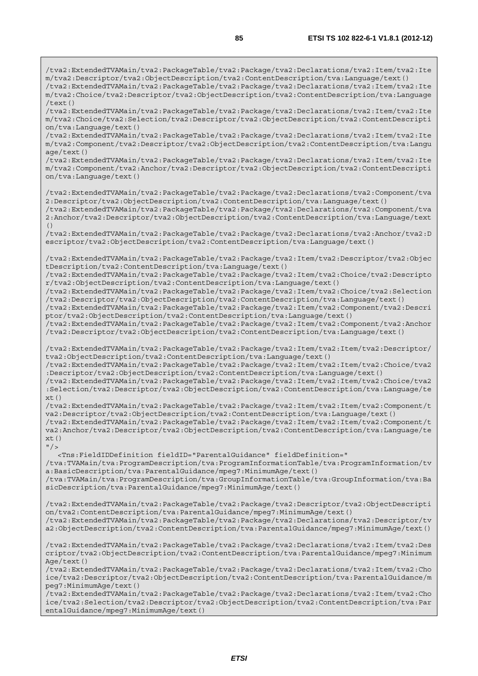/tva2:ExtendedTVAMain/tva2:PackageTable/tva2:Package/tva2:Declarations/tva2:Item/tva2:Ite m/tva2:Descriptor/tva2:ObjectDescription/tva2:ContentDescription/tva:Language/text() /tva2:ExtendedTVAMain/tva2:PackageTable/tva2:Package/tva2:Declarations/tva2:Item/tva2:Ite m/tva2:Choice/tva2:Descriptor/tva2:ObjectDescription/tva2:ContentDescription/tva:Language /text() /tva2:ExtendedTVAMain/tva2:PackageTable/tva2:Package/tva2:Declarations/tva2:Item/tva2:Ite m/tva2:Choice/tva2:Selection/tva2:Descriptor/tva2:ObjectDescription/tva2:ContentDescripti on/tva:Language/text()

/tva2:ExtendedTVAMain/tva2:PackageTable/tva2:Package/tva2:Declarations/tva2:Item/tva2:Ite m/tva2:Component/tva2:Descriptor/tva2:ObjectDescription/tva2:ContentDescription/tva:Langu age/text()

/tva2:ExtendedTVAMain/tva2:PackageTable/tva2:Package/tva2:Declarations/tva2:Item/tva2:Ite m/tva2:Component/tva2:Anchor/tva2:Descriptor/tva2:ObjectDescription/tva2:ContentDescripti on/tva:Language/text()

/tva2:ExtendedTVAMain/tva2:PackageTable/tva2:Package/tva2:Declarations/tva2:Component/tva 2:Descriptor/tva2:ObjectDescription/tva2:ContentDescription/tva:Language/text()

/tva2:ExtendedTVAMain/tva2:PackageTable/tva2:Package/tva2:Declarations/tva2:Component/tva 2:Anchor/tva2:Descriptor/tva2:ObjectDescription/tva2:ContentDescription/tva:Language/text ()

/tva2:ExtendedTVAMain/tva2:PackageTable/tva2:Package/tva2:Declarations/tva2:Anchor/tva2:D escriptor/tva2:ObjectDescription/tva2:ContentDescription/tva:Language/text()

/tva2:ExtendedTVAMain/tva2:PackageTable/tva2:Package/tva2:Item/tva2:Descriptor/tva2:Objec tDescription/tva2:ContentDescription/tva:Language/text()

/tva2:ExtendedTVAMain/tva2:PackageTable/tva2:Package/tva2:Item/tva2:Choice/tva2:Descripto r/tva2:ObjectDescription/tva2:ContentDescription/tva:Language/text()

/tva2:ExtendedTVAMain/tva2:PackageTable/tva2:Package/tva2:Item/tva2:Choice/tva2:Selection /tva2:Descriptor/tva2:ObjectDescription/tva2:ContentDescription/tva:Language/text()

/tva2:ExtendedTVAMain/tva2:PackageTable/tva2:Package/tva2:Item/tva2:Component/tva2:Descri ptor/tva2:ObjectDescription/tva2:ContentDescription/tva:Language/text()

/tva2:ExtendedTVAMain/tva2:PackageTable/tva2:Package/tva2:Item/tva2:Component/tva2:Anchor /tva2:Descriptor/tva2:ObjectDescription/tva2:ContentDescription/tva:Language/text()

/tva2:ExtendedTVAMain/tva2:PackageTable/tva2:Package/tva2:Item/tva2:Item/tva2:Descriptor/ tva2:ObjectDescription/tva2:ContentDescription/tva:Language/text()

/tva2:ExtendedTVAMain/tva2:PackageTable/tva2:Package/tva2:Item/tva2:Item/tva2:Choice/tva2 :Descriptor/tva2:ObjectDescription/tva2:ContentDescription/tva:Language/text()

/tva2:ExtendedTVAMain/tva2:PackageTable/tva2:Package/tva2:Item/tva2:Item/tva2:Choice/tva2 :Selection/tva2:Descriptor/tva2:ObjectDescription/tva2:ContentDescription/tva:Language/te  $xt()$ 

/tva2:ExtendedTVAMain/tva2:PackageTable/tva2:Package/tva2:Item/tva2:Item/tva2:Component/t va2:Descriptor/tva2:ObjectDescription/tva2:ContentDescription/tva:Language/text() /tva2:ExtendedTVAMain/tva2:PackageTable/tva2:Package/tva2:Item/tva2:Item/tva2:Component/t va2:Anchor/tva2:Descriptor/tva2:ObjectDescription/tva2:ContentDescription/tva:Language/te  $xt()$ 

 $"$  / >

 <Tns:FieldIDDefinition fieldID="ParentalGuidance" fieldDefinition=" /tva:TVAMain/tva:ProgramDescription/tva:ProgramInformationTable/tva:ProgramInformation/tv a:BasicDescription/tva:ParentalGuidance/mpeg7:MinimumAge/text() /tva:TVAMain/tva:ProgramDescription/tva:GroupInformationTable/tva:GroupInformation/tva:Ba sicDescription/tva:ParentalGuidance/mpeg7:MinimumAge/text()

/tva2:ExtendedTVAMain/tva2:PackageTable/tva2:Package/tva2:Descriptor/tva2:ObjectDescripti on/tva2:ContentDescription/tva:ParentalGuidance/mpeg7:MinimumAge/text() /tva2:ExtendedTVAMain/tva2:PackageTable/tva2:Package/tva2:Declarations/tva2:Descriptor/tv a2:ObjectDescription/tva2:ContentDescription/tva:ParentalGuidance/mpeg7:MinimumAge/text()

/tva2:ExtendedTVAMain/tva2:PackageTable/tva2:Package/tva2:Declarations/tva2:Item/tva2:Des criptor/tva2:ObjectDescription/tva2:ContentDescription/tva:ParentalGuidance/mpeg7:Minimum Age/text()

/tva2:ExtendedTVAMain/tva2:PackageTable/tva2:Package/tva2:Declarations/tva2:Item/tva2:Cho ice/tva2:Descriptor/tva2:ObjectDescription/tva2:ContentDescription/tva:ParentalGuidance/m peg7:MinimumAge/text()

/tva2:ExtendedTVAMain/tva2:PackageTable/tva2:Package/tva2:Declarations/tva2:Item/tva2:Cho ice/tva2:Selection/tva2:Descriptor/tva2:ObjectDescription/tva2:ContentDescription/tva:Par entalGuidance/mpeg7:MinimumAge/text()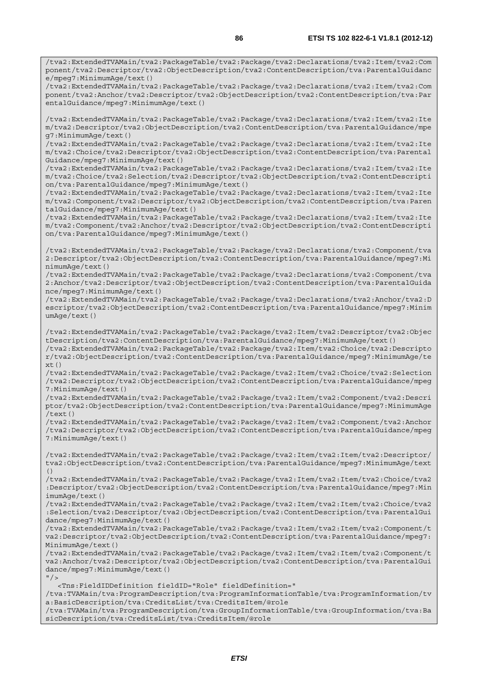/tva2:ExtendedTVAMain/tva2:PackageTable/tva2:Package/tva2:Declarations/tva2:Item/tva2:Com ponent/tva2:Descriptor/tva2:ObjectDescription/tva2:ContentDescription/tva:ParentalGuidanc e/mpeg7:MinimumAge/text()

/tva2:ExtendedTVAMain/tva2:PackageTable/tva2:Package/tva2:Declarations/tva2:Item/tva2:Com ponent/tva2:Anchor/tva2:Descriptor/tva2:ObjectDescription/tva2:ContentDescription/tva:Par entalGuidance/mpeg7:MinimumAge/text()

/tva2:ExtendedTVAMain/tva2:PackageTable/tva2:Package/tva2:Declarations/tva2:Item/tva2:Ite m/tva2:Descriptor/tva2:ObjectDescription/tva2:ContentDescription/tva:ParentalGuidance/mpe g7:MinimumAge/text()

/tva2:ExtendedTVAMain/tva2:PackageTable/tva2:Package/tva2:Declarations/tva2:Item/tva2:Ite m/tva2:Choice/tva2:Descriptor/tva2:ObjectDescription/tva2:ContentDescription/tva:Parental Guidance/mpeg7:MinimumAge/text()

/tva2:ExtendedTVAMain/tva2:PackageTable/tva2:Package/tva2:Declarations/tva2:Item/tva2:Ite m/tva2:Choice/tva2:Selection/tva2:Descriptor/tva2:ObjectDescription/tva2:ContentDescripti on/tva:ParentalGuidance/mpeg7:MinimumAge/text()

/tva2:ExtendedTVAMain/tva2:PackageTable/tva2:Package/tva2:Declarations/tva2:Item/tva2:Ite m/tva2:Component/tva2:Descriptor/tva2:ObjectDescription/tva2:ContentDescription/tva:Paren talGuidance/mpeg7:MinimumAge/text()

/tva2:ExtendedTVAMain/tva2:PackageTable/tva2:Package/tva2:Declarations/tva2:Item/tva2:Ite m/tva2:Component/tva2:Anchor/tva2:Descriptor/tva2:ObjectDescription/tva2:ContentDescripti on/tva:ParentalGuidance/mpeg7:MinimumAge/text()

/tva2:ExtendedTVAMain/tva2:PackageTable/tva2:Package/tva2:Declarations/tva2:Component/tva 2:Descriptor/tva2:ObjectDescription/tva2:ContentDescription/tva:ParentalGuidance/mpeg7:Mi nimumAge/text()

/tva2:ExtendedTVAMain/tva2:PackageTable/tva2:Package/tva2:Declarations/tva2:Component/tva 2:Anchor/tva2:Descriptor/tva2:ObjectDescription/tva2:ContentDescription/tva:ParentalGuida nce/mpeg7:MinimumAge/text()

/tva2:ExtendedTVAMain/tva2:PackageTable/tva2:Package/tva2:Declarations/tva2:Anchor/tva2:D escriptor/tva2:ObjectDescription/tva2:ContentDescription/tva:ParentalGuidance/mpeg7:Minim umAge/text()

/tva2:ExtendedTVAMain/tva2:PackageTable/tva2:Package/tva2:Item/tva2:Descriptor/tva2:Objec tDescription/tva2:ContentDescription/tva:ParentalGuidance/mpeg7:MinimumAge/text()

/tva2:ExtendedTVAMain/tva2:PackageTable/tva2:Package/tva2:Item/tva2:Choice/tva2:Descripto r/tva2:ObjectDescription/tva2:ContentDescription/tva:ParentalGuidance/mpeg7:MinimumAge/te xt()

/tva2:ExtendedTVAMain/tva2:PackageTable/tva2:Package/tva2:Item/tva2:Choice/tva2:Selection /tva2:Descriptor/tva2:ObjectDescription/tva2:ContentDescription/tva:ParentalGuidance/mpeg 7:MinimumAge/text()

/tva2:ExtendedTVAMain/tva2:PackageTable/tva2:Package/tva2:Item/tva2:Component/tva2:Descri ptor/tva2:ObjectDescription/tva2:ContentDescription/tva:ParentalGuidance/mpeg7:MinimumAge  $/$ text $()$ 

/tva2:ExtendedTVAMain/tva2:PackageTable/tva2:Package/tva2:Item/tva2:Component/tva2:Anchor /tva2:Descriptor/tva2:ObjectDescription/tva2:ContentDescription/tva:ParentalGuidance/mpeg 7:MinimumAge/text()

/tva2:ExtendedTVAMain/tva2:PackageTable/tva2:Package/tva2:Item/tva2:Item/tva2:Descriptor/ tva2:ObjectDescription/tva2:ContentDescription/tva:ParentalGuidance/mpeg7:MinimumAge/text ()

/tva2:ExtendedTVAMain/tva2:PackageTable/tva2:Package/tva2:Item/tva2:Item/tva2:Choice/tva2 :Descriptor/tva2:ObjectDescription/tva2:ContentDescription/tva:ParentalGuidance/mpeg7:Min imumAge/text()

/tva2:ExtendedTVAMain/tva2:PackageTable/tva2:Package/tva2:Item/tva2:Item/tva2:Choice/tva2 :Selection/tva2:Descriptor/tva2:ObjectDescription/tva2:ContentDescription/tva:ParentalGui dance/mpeg7:MinimumAge/text()

/tva2:ExtendedTVAMain/tva2:PackageTable/tva2:Package/tva2:Item/tva2:Item/tva2:Component/t va2:Descriptor/tva2:ObjectDescription/tva2:ContentDescription/tva:ParentalGuidance/mpeg7: MinimumAge/text()

/tva2:ExtendedTVAMain/tva2:PackageTable/tva2:Package/tva2:Item/tva2:Item/tva2:Component/t va2:Anchor/tva2:Descriptor/tva2:ObjectDescription/tva2:ContentDescription/tva:ParentalGui dance/mpeg7:MinimumAge/text()  $"$  />

<Tns:FieldIDDefinition fieldID="Role" fieldDefinition="

/tva:TVAMain/tva:ProgramDescription/tva:ProgramInformationTable/tva:ProgramInformation/tv a:BasicDescription/tva:CreditsList/tva:CreditsItem/@role

/tva:TVAMain/tva:ProgramDescription/tva:GroupInformationTable/tva:GroupInformation/tva:Ba sicDescription/tva:CreditsList/tva:CreditsItem/@role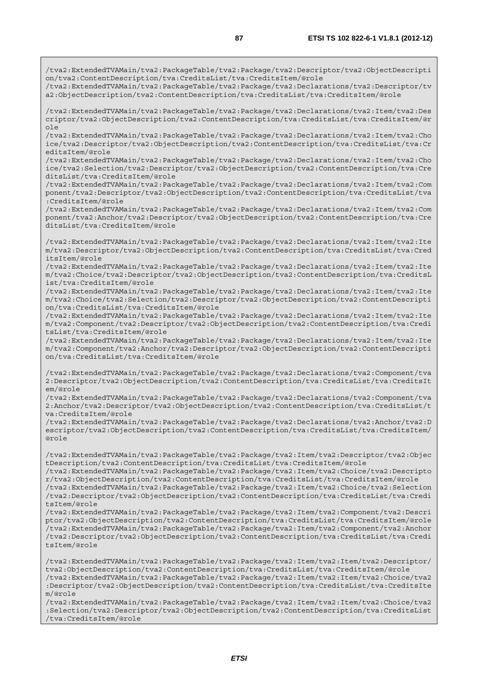/tva2:ExtendedTVAMain/tva2:PackageTable/tva2:Package/tva2:Descriptor/tva2:ObjectDescripti on/tva2:ContentDescription/tva:CreditsList/tva:CreditsItem/@role

/tva2:ExtendedTVAMain/tva2:PackageTable/tva2:Package/tva2:Declarations/tva2:Descriptor/tv a2:ObjectDescription/tva2:ContentDescription/tva:CreditsList/tva:CreditsItem/@role

/tva2:ExtendedTVAMain/tva2:PackageTable/tva2:Package/tva2:Declarations/tva2:Item/tva2:Des criptor/tva2:ObjectDescription/tva2:ContentDescription/tva:CreditsList/tva:CreditsItem/@r ole

/tva2:ExtendedTVAMain/tva2:PackageTable/tva2:Package/tva2:Declarations/tva2:Item/tva2:Cho ice/tva2:Descriptor/tva2:ObjectDescription/tva2:ContentDescription/tva:CreditsList/tva:Cr editsItem/@role

/tva2:ExtendedTVAMain/tva2:PackageTable/tva2:Package/tva2:Declarations/tva2:Item/tva2:Cho ice/tva2:Selection/tva2:Descriptor/tva2:ObjectDescription/tva2:ContentDescription/tva:Cre ditsList/tva:CreditsItem/@role

/tva2:ExtendedTVAMain/tva2:PackageTable/tva2:Package/tva2:Declarations/tva2:Item/tva2:Com ponent/tva2:Descriptor/tva2:ObjectDescription/tva2:ContentDescription/tva:CreditsList/tva :CreditsItem/@role

/tva2:ExtendedTVAMain/tva2:PackageTable/tva2:Package/tva2:Declarations/tva2:Item/tva2:Com ponent/tva2:Anchor/tva2:Descriptor/tva2:ObjectDescription/tva2:ContentDescription/tva:Cre ditsList/tva:CreditsItem/@role

/tva2:ExtendedTVAMain/tva2:PackageTable/tva2:Package/tva2:Declarations/tva2:Item/tva2:Ite m/tva2:Descriptor/tva2:ObjectDescription/tva2:ContentDescription/tva:CreditsList/tva:Cred itsItem/@role

/tva2:ExtendedTVAMain/tva2:PackageTable/tva2:Package/tva2:Declarations/tva2:Item/tva2:Ite m/tva2:Choice/tva2:Descriptor/tva2:ObjectDescription/tva2:ContentDescription/tva:CreditsL ist/tva:CreditsItem/@role

/tva2:ExtendedTVAMain/tva2:PackageTable/tva2:Package/tva2:Declarations/tva2:Item/tva2:Ite m/tva2:Choice/tva2:Selection/tva2:Descriptor/tva2:ObjectDescription/tva2:ContentDescripti on/tva:CreditsList/tva:CreditsItem/@role

/tva2:ExtendedTVAMain/tva2:PackageTable/tva2:Package/tva2:Declarations/tva2:Item/tva2:Ite m/tva2:Component/tva2:Descriptor/tva2:ObjectDescription/tva2:ContentDescription/tva:Credi tsList/tva:CreditsItem/@role

/tva2:ExtendedTVAMain/tva2:PackageTable/tva2:Package/tva2:Declarations/tva2:Item/tva2:Ite m/tva2:Component/tva2:Anchor/tva2:Descriptor/tva2:ObjectDescription/tva2:ContentDescripti on/tva:CreditsList/tva:CreditsItem/@role

/tva2:ExtendedTVAMain/tva2:PackageTable/tva2:Package/tva2:Declarations/tva2:Component/tva 2:Descriptor/tva2:ObjectDescription/tva2:ContentDescription/tva:CreditsList/tva:CreditsIt em/@role

/tva2:ExtendedTVAMain/tva2:PackageTable/tva2:Package/tva2:Declarations/tva2:Component/tva 2:Anchor/tva2:Descriptor/tva2:ObjectDescription/tva2:ContentDescription/tva:CreditsList/t va:CreditsItem/@role

/tva2:ExtendedTVAMain/tva2:PackageTable/tva2:Package/tva2:Declarations/tva2:Anchor/tva2:D escriptor/tva2:ObjectDescription/tva2:ContentDescription/tva:CreditsList/tva:CreditsItem/ @role

/tva2:ExtendedTVAMain/tva2:PackageTable/tva2:Package/tva2:Item/tva2:Descriptor/tva2:Objec tDescription/tva2:ContentDescription/tva:CreditsList/tva:CreditsItem/@role

/tva2:ExtendedTVAMain/tva2:PackageTable/tva2:Package/tva2:Item/tva2:Choice/tva2:Descripto r/tva2:ObjectDescription/tva2:ContentDescription/tva:CreditsList/tva:CreditsItem/@role

/tva2:ExtendedTVAMain/tva2:PackageTable/tva2:Package/tva2:Item/tva2:Choice/tva2:Selection /tva2:Descriptor/tva2:ObjectDescription/tva2:ContentDescription/tva:CreditsList/tva:Credi tsItem/@role

/tva2:ExtendedTVAMain/tva2:PackageTable/tva2:Package/tva2:Item/tva2:Component/tva2:Descri ptor/tva2:ObjectDescription/tva2:ContentDescription/tva:CreditsList/tva:CreditsItem/@role /tva2:ExtendedTVAMain/tva2:PackageTable/tva2:Package/tva2:Item/tva2:Component/tva2:Anchor /tva2:Descriptor/tva2:ObjectDescription/tva2:ContentDescription/tva:CreditsList/tva:Credi tsItem/@role

/tva2:ExtendedTVAMain/tva2:PackageTable/tva2:Package/tva2:Item/tva2:Item/tva2:Descriptor/ tva2:ObjectDescription/tva2:ContentDescription/tva:CreditsList/tva:CreditsItem/@role /tva2:ExtendedTVAMain/tva2:PackageTable/tva2:Package/tva2:Item/tva2:Item/tva2:Choice/tva2 :Descriptor/tva2:ObjectDescription/tva2:ContentDescription/tva:CreditsList/tva:CreditsIte m/@role

/tva2:ExtendedTVAMain/tva2:PackageTable/tva2:Package/tva2:Item/tva2:Item/tva2:Choice/tva2 :Selection/tva2:Descriptor/tva2:ObjectDescription/tva2:ContentDescription/tva:CreditsList /tva:CreditsItem/@role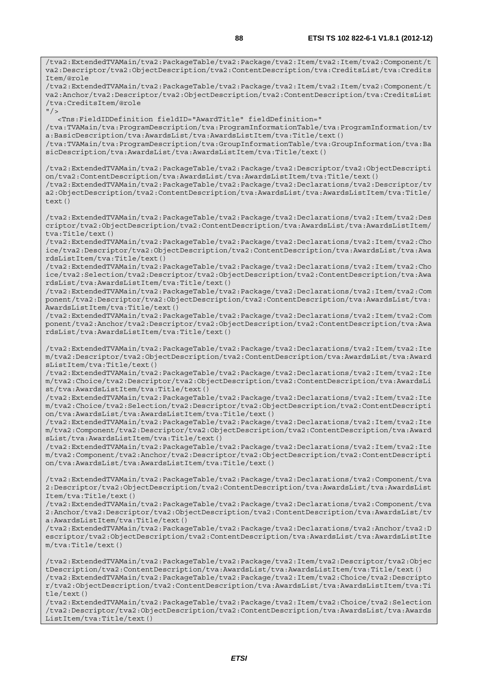/tva2:ExtendedTVAMain/tva2:PackageTable/tva2:Package/tva2:Item/tva2:Item/tva2:Component/t va2:Descriptor/tva2:ObjectDescription/tva2:ContentDescription/tva:CreditsList/tva:Credits Item/@role /tva2:ExtendedTVAMain/tva2:PackageTable/tva2:Package/tva2:Item/tva2:Item/tva2:Component/t va2:Anchor/tva2:Descriptor/tva2:ObjectDescription/tva2:ContentDescription/tva:CreditsList /tva:CreditsItem/@role  $''$ /> <Tns:FieldIDDefinition fieldID="AwardTitle" fieldDefinition=" /tva:TVAMain/tva:ProgramDescription/tva:ProgramInformationTable/tva:ProgramInformation/tv a:BasicDescription/tva:AwardsList/tva:AwardsListItem/tva:Title/text() /tva:TVAMain/tva:ProgramDescription/tva:GroupInformationTable/tva:GroupInformation/tva:Ba sicDescription/tva:AwardsList/tva:AwardsListItem/tva:Title/text() /tva2:ExtendedTVAMain/tva2:PackageTable/tva2:Package/tva2:Descriptor/tva2:ObjectDescripti on/tva2:ContentDescription/tva:AwardsList/tva:AwardsListItem/tva:Title/text() /tva2:ExtendedTVAMain/tva2:PackageTable/tva2:Package/tva2:Declarations/tva2:Descriptor/tv a2:ObjectDescription/tva2:ContentDescription/tva:AwardsList/tva:AwardsListItem/tva:Title/ text() /tva2:ExtendedTVAMain/tva2:PackageTable/tva2:Package/tva2:Declarations/tva2:Item/tva2:Des criptor/tva2:ObjectDescription/tva2:ContentDescription/tva:AwardsList/tva:AwardsListItem/ tva:Title/text() /tva2:ExtendedTVAMain/tva2:PackageTable/tva2:Package/tva2:Declarations/tva2:Item/tva2:Cho ice/tva2:Descriptor/tva2:ObjectDescription/tva2:ContentDescription/tva:AwardsList/tva:Awa rdsListItem/tva:Title/text() /tva2:ExtendedTVAMain/tva2:PackageTable/tva2:Package/tva2:Declarations/tva2:Item/tva2:Cho ice/tva2:Selection/tva2:Descriptor/tva2:ObjectDescription/tva2:ContentDescription/tva:Awa rdsList/tva:AwardsListItem/tva:Title/text() /tva2:ExtendedTVAMain/tva2:PackageTable/tva2:Package/tva2:Declarations/tva2:Item/tva2:Com ponent/tva2:Descriptor/tva2:ObjectDescription/tva2:ContentDescription/tva:AwardsList/tva: AwardsListItem/tva:Title/text() /tva2:ExtendedTVAMain/tva2:PackageTable/tva2:Package/tva2:Declarations/tva2:Item/tva2:Com ponent/tva2:Anchor/tva2:Descriptor/tva2:ObjectDescription/tva2:ContentDescription/tva:Awa rdsList/tva:AwardsListItem/tva:Title/text() /tva2:ExtendedTVAMain/tva2:PackageTable/tva2:Package/tva2:Declarations/tva2:Item/tva2:Ite m/tva2:Descriptor/tva2:ObjectDescription/tva2:ContentDescription/tva:AwardsList/tva:Award sListItem/tva:Title/text() /tva2:ExtendedTVAMain/tva2:PackageTable/tva2:Package/tva2:Declarations/tva2:Item/tva2:Ite m/tva2:Choice/tva2:Descriptor/tva2:ObjectDescription/tva2:ContentDescription/tva:AwardsLi st/tva:AwardsListItem/tva:Title/text() /tva2:ExtendedTVAMain/tva2:PackageTable/tva2:Package/tva2:Declarations/tva2:Item/tva2:Ite m/tva2:Choice/tva2:Selection/tva2:Descriptor/tva2:ObjectDescription/tva2:ContentDescripti on/tva:AwardsList/tva:AwardsListItem/tva:Title/text() /tva2:ExtendedTVAMain/tva2:PackageTable/tva2:Package/tva2:Declarations/tva2:Item/tva2:Ite m/tva2:Component/tva2:Descriptor/tva2:ObjectDescription/tva2:ContentDescription/tva:Award sList/tva:AwardsListItem/tva:Title/text() /tva2:ExtendedTVAMain/tva2:PackageTable/tva2:Package/tva2:Declarations/tva2:Item/tva2:Ite m/tva2:Component/tva2:Anchor/tva2:Descriptor/tva2:ObjectDescription/tva2:ContentDescripti on/tva:AwardsList/tva:AwardsListItem/tva:Title/text() /tva2:ExtendedTVAMain/tva2:PackageTable/tva2:Package/tva2:Declarations/tva2:Component/tva 2:Descriptor/tva2:ObjectDescription/tva2:ContentDescription/tva:AwardsList/tva:AwardsList Item/tva:Title/text() /tva2:ExtendedTVAMain/tva2:PackageTable/tva2:Package/tva2:Declarations/tva2:Component/tva 2:Anchor/tva2:Descriptor/tva2:ObjectDescription/tva2:ContentDescription/tva:AwardsList/tv a:AwardsListItem/tva:Title/text() /tva2:ExtendedTVAMain/tva2:PackageTable/tva2:Package/tva2:Declarations/tva2:Anchor/tva2:D escriptor/tva2:ObjectDescription/tva2:ContentDescription/tva:AwardsList/tva:AwardsListIte m/tva:Title/text()

/tva2:ExtendedTVAMain/tva2:PackageTable/tva2:Package/tva2:Item/tva2:Descriptor/tva2:Objec tDescription/tva2:ContentDescription/tva:AwardsList/tva:AwardsListItem/tva:Title/text() /tva2:ExtendedTVAMain/tva2:PackageTable/tva2:Package/tva2:Item/tva2:Choice/tva2:Descripto r/tva2:ObjectDescription/tva2:ContentDescription/tva:AwardsList/tva:AwardsListItem/tva:Ti tle/text()

/tva2:ExtendedTVAMain/tva2:PackageTable/tva2:Package/tva2:Item/tva2:Choice/tva2:Selection /tva2:Descriptor/tva2:ObjectDescription/tva2:ContentDescription/tva:AwardsList/tva:Awards ListItem/tva:Title/text()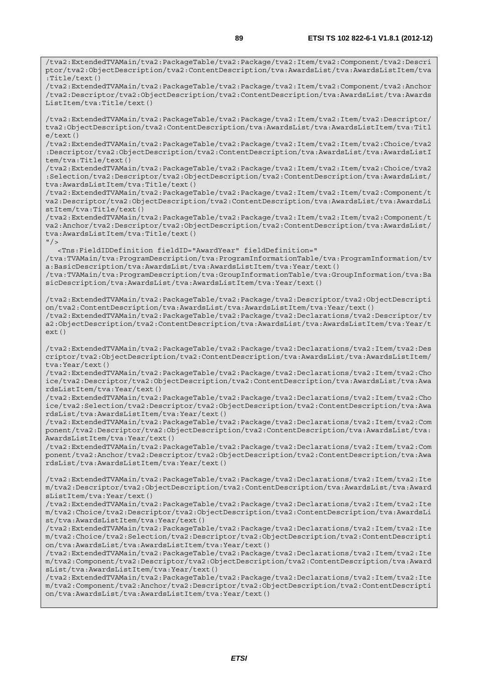/tva2:ExtendedTVAMain/tva2:PackageTable/tva2:Package/tva2:Item/tva2:Component/tva2:Descri ptor/tva2:ObjectDescription/tva2:ContentDescription/tva:AwardsList/tva:AwardsListItem/tva :Title/text()

/tva2:ExtendedTVAMain/tva2:PackageTable/tva2:Package/tva2:Item/tva2:Component/tva2:Anchor /tva2:Descriptor/tva2:ObjectDescription/tva2:ContentDescription/tva:AwardsList/tva:Awards ListItem/tva:Title/text()

/tva2:ExtendedTVAMain/tva2:PackageTable/tva2:Package/tva2:Item/tva2:Item/tva2:Descriptor/ tva2:ObjectDescription/tva2:ContentDescription/tva:AwardsList/tva:AwardsListItem/tva:Titl e/text()

/tva2:ExtendedTVAMain/tva2:PackageTable/tva2:Package/tva2:Item/tva2:Item/tva2:Choice/tva2 :Descriptor/tva2:ObjectDescription/tva2:ContentDescription/tva:AwardsList/tva:AwardsListI tem/tva:Title/text()

/tva2:ExtendedTVAMain/tva2:PackageTable/tva2:Package/tva2:Item/tva2:Item/tva2:Choice/tva2 :Selection/tva2:Descriptor/tva2:ObjectDescription/tva2:ContentDescription/tva:AwardsList/ tva:AwardsListItem/tva:Title/text()

/tva2:ExtendedTVAMain/tva2:PackageTable/tva2:Package/tva2:Item/tva2:Item/tva2:Component/t va2:Descriptor/tva2:ObjectDescription/tva2:ContentDescription/tva:AwardsList/tva:AwardsLi stItem/tva:Title/text()

/tva2:ExtendedTVAMain/tva2:PackageTable/tva2:Package/tva2:Item/tva2:Item/tva2:Component/t va2:Anchor/tva2:Descriptor/tva2:ObjectDescription/tva2:ContentDescription/tva:AwardsList/ tva:AwardsListItem/tva:Title/text()  $"$  />

<Tns:FieldIDDefinition fieldID="AwardYear" fieldDefinition="

/tva:TVAMain/tva:ProgramDescription/tva:ProgramInformationTable/tva:ProgramInformation/tv a:BasicDescription/tva:AwardsList/tva:AwardsListItem/tva:Year/text()

/tva:TVAMain/tva:ProgramDescription/tva:GroupInformationTable/tva:GroupInformation/tva:Ba sicDescription/tva:AwardsList/tva:AwardsListItem/tva:Year/text()

/tva2:ExtendedTVAMain/tva2:PackageTable/tva2:Package/tva2:Descriptor/tva2:ObjectDescripti on/tva2:ContentDescription/tva:AwardsList/tva:AwardsListItem/tva:Year/text() /tva2:ExtendedTVAMain/tva2:PackageTable/tva2:Package/tva2:Declarations/tva2:Descriptor/tv a2:ObjectDescription/tva2:ContentDescription/tva:AwardsList/tva:AwardsListItem/tva:Year/t  $ext()$ 

/tva2:ExtendedTVAMain/tva2:PackageTable/tva2:Package/tva2:Declarations/tva2:Item/tva2:Des criptor/tva2:ObjectDescription/tva2:ContentDescription/tva:AwardsList/tva:AwardsListItem/ tva:Year/text()

/tva2:ExtendedTVAMain/tva2:PackageTable/tva2:Package/tva2:Declarations/tva2:Item/tva2:Cho ice/tva2:Descriptor/tva2:ObjectDescription/tva2:ContentDescription/tva:AwardsList/tva:Awa rdsListItem/tva:Year/text()

/tva2:ExtendedTVAMain/tva2:PackageTable/tva2:Package/tva2:Declarations/tva2:Item/tva2:Cho ice/tva2:Selection/tva2:Descriptor/tva2:ObjectDescription/tva2:ContentDescription/tva:Awa rdsList/tva:AwardsListItem/tva:Year/text()

/tva2:ExtendedTVAMain/tva2:PackageTable/tva2:Package/tva2:Declarations/tva2:Item/tva2:Com ponent/tva2:Descriptor/tva2:ObjectDescription/tva2:ContentDescription/tva:AwardsList/tva: AwardsListItem/tva:Year/text()

/tva2:ExtendedTVAMain/tva2:PackageTable/tva2:Package/tva2:Declarations/tva2:Item/tva2:Com ponent/tva2:Anchor/tva2:Descriptor/tva2:ObjectDescription/tva2:ContentDescription/tva:Awa rdsList/tva:AwardsListItem/tva:Year/text()

/tva2:ExtendedTVAMain/tva2:PackageTable/tva2:Package/tva2:Declarations/tva2:Item/tva2:Ite m/tva2:Descriptor/tva2:ObjectDescription/tva2:ContentDescription/tva:AwardsList/tva:Award sListItem/tva:Year/text()

/tva2:ExtendedTVAMain/tva2:PackageTable/tva2:Package/tva2:Declarations/tva2:Item/tva2:Ite m/tva2:Choice/tva2:Descriptor/tva2:ObjectDescription/tva2:ContentDescription/tva:AwardsLi st/tva:AwardsListItem/tva:Year/text()

/tva2:ExtendedTVAMain/tva2:PackageTable/tva2:Package/tva2:Declarations/tva2:Item/tva2:Ite m/tva2:Choice/tva2:Selection/tva2:Descriptor/tva2:ObjectDescription/tva2:ContentDescripti on/tva:AwardsList/tva:AwardsListItem/tva:Year/text()

/tva2:ExtendedTVAMain/tva2:PackageTable/tva2:Package/tva2:Declarations/tva2:Item/tva2:Ite m/tva2:Component/tva2:Descriptor/tva2:ObjectDescription/tva2:ContentDescription/tva:Award sList/tva:AwardsListItem/tva:Year/text()

/tva2:ExtendedTVAMain/tva2:PackageTable/tva2:Package/tva2:Declarations/tva2:Item/tva2:Ite m/tva2:Component/tva2:Anchor/tva2:Descriptor/tva2:ObjectDescription/tva2:ContentDescripti on/tva:AwardsList/tva:AwardsListItem/tva:Year/text()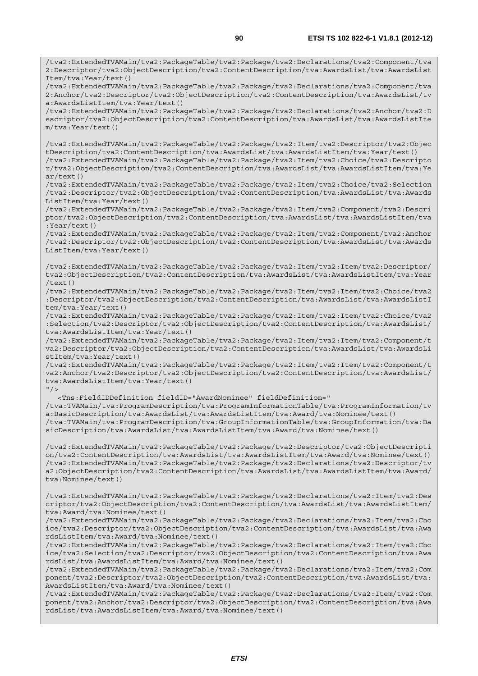/tva2:ExtendedTVAMain/tva2:PackageTable/tva2:Package/tva2:Declarations/tva2:Component/tva 2:Anchor/tva2:Descriptor/tva2:ObjectDescription/tva2:ContentDescription/tva:AwardsList/tv a:AwardsListItem/tva:Year/text()

/tva2:ExtendedTVAMain/tva2:PackageTable/tva2:Package/tva2:Declarations/tva2:Anchor/tva2:D escriptor/tva2:ObjectDescription/tva2:ContentDescription/tva:AwardsList/tva:AwardsListIte m/tva:Year/text()

/tva2:ExtendedTVAMain/tva2:PackageTable/tva2:Package/tva2:Item/tva2:Descriptor/tva2:Objec tDescription/tva2:ContentDescription/tva:AwardsList/tva:AwardsListItem/tva:Year/text() /tva2:ExtendedTVAMain/tva2:PackageTable/tva2:Package/tva2:Item/tva2:Choice/tva2:Descripto r/tva2:ObjectDescription/tva2:ContentDescription/tva:AwardsList/tva:AwardsListItem/tva:Ye  $ar/text()$ 

/tva2:ExtendedTVAMain/tva2:PackageTable/tva2:Package/tva2:Item/tva2:Choice/tva2:Selection /tva2:Descriptor/tva2:ObjectDescription/tva2:ContentDescription/tva:AwardsList/tva:Awards ListItem/tva:Year/text()

/tva2:ExtendedTVAMain/tva2:PackageTable/tva2:Package/tva2:Item/tva2:Component/tva2:Descri ptor/tva2:ObjectDescription/tva2:ContentDescription/tva:AwardsList/tva:AwardsListItem/tva :Year/text()

/tva2:ExtendedTVAMain/tva2:PackageTable/tva2:Package/tva2:Item/tva2:Component/tva2:Anchor /tva2:Descriptor/tva2:ObjectDescription/tva2:ContentDescription/tva:AwardsList/tva:Awards ListItem/tva:Year/text()

/tva2:ExtendedTVAMain/tva2:PackageTable/tva2:Package/tva2:Item/tva2:Item/tva2:Descriptor/ tva2:ObjectDescription/tva2:ContentDescription/tva:AwardsList/tva:AwardsListItem/tva:Year /text()

/tva2:ExtendedTVAMain/tva2:PackageTable/tva2:Package/tva2:Item/tva2:Item/tva2:Choice/tva2 :Descriptor/tva2:ObjectDescription/tva2:ContentDescription/tva:AwardsList/tva:AwardsListI tem/tva:Year/text()

/tva2:ExtendedTVAMain/tva2:PackageTable/tva2:Package/tva2:Item/tva2:Item/tva2:Choice/tva2 :Selection/tva2:Descriptor/tva2:ObjectDescription/tva2:ContentDescription/tva:AwardsList/ tva:AwardsListItem/tva:Year/text()

/tva2:ExtendedTVAMain/tva2:PackageTable/tva2:Package/tva2:Item/tva2:Item/tva2:Component/t va2:Descriptor/tva2:ObjectDescription/tva2:ContentDescription/tva:AwardsList/tva:AwardsLi stItem/tva:Year/text()

/tva2:ExtendedTVAMain/tva2:PackageTable/tva2:Package/tva2:Item/tva2:Item/tva2:Component/t va2:Anchor/tva2:Descriptor/tva2:ObjectDescription/tva2:ContentDescription/tva:AwardsList/ tva:AwardsListItem/tva:Year/text()

 $''$  / >

<Tns:FieldIDDefinition fieldID="AwardNominee" fieldDefinition="

/tva:TVAMain/tva:ProgramDescription/tva:ProgramInformationTable/tva:ProgramInformation/tv a:BasicDescription/tva:AwardsList/tva:AwardsListItem/tva:Award/tva:Nominee/text() /tva:TVAMain/tva:ProgramDescription/tva:GroupInformationTable/tva:GroupInformation/tva:Ba sicDescription/tva:AwardsList/tva:AwardsListItem/tva:Award/tva:Nominee/text()

/tva2:ExtendedTVAMain/tva2:PackageTable/tva2:Package/tva2:Descriptor/tva2:ObjectDescripti on/tva2:ContentDescription/tva:AwardsList/tva:AwardsListItem/tva:Award/tva:Nominee/text() /tva2:ExtendedTVAMain/tva2:PackageTable/tva2:Package/tva2:Declarations/tva2:Descriptor/tv a2:ObjectDescription/tva2:ContentDescription/tva:AwardsList/tva:AwardsListItem/tva:Award/ tva:Nominee/text()

/tva2:ExtendedTVAMain/tva2:PackageTable/tva2:Package/tva2:Declarations/tva2:Item/tva2:Des criptor/tva2:ObjectDescription/tva2:ContentDescription/tva:AwardsList/tva:AwardsListItem/ tva:Award/tva:Nominee/text()

/tva2:ExtendedTVAMain/tva2:PackageTable/tva2:Package/tva2:Declarations/tva2:Item/tva2:Cho ice/tva2:Descriptor/tva2:ObjectDescription/tva2:ContentDescription/tva:AwardsList/tva:Awa rdsListItem/tva:Award/tva:Nominee/text()

/tva2:ExtendedTVAMain/tva2:PackageTable/tva2:Package/tva2:Declarations/tva2:Item/tva2:Cho ice/tva2:Selection/tva2:Descriptor/tva2:ObjectDescription/tva2:ContentDescription/tva:Awa rdsList/tva:AwardsListItem/tva:Award/tva:Nominee/text()

/tva2:ExtendedTVAMain/tva2:PackageTable/tva2:Package/tva2:Declarations/tva2:Item/tva2:Com ponent/tva2:Descriptor/tva2:ObjectDescription/tva2:ContentDescription/tva:AwardsList/tva: AwardsListItem/tva:Award/tva:Nominee/text()

/tva2:ExtendedTVAMain/tva2:PackageTable/tva2:Package/tva2:Declarations/tva2:Item/tva2:Com ponent/tva2:Anchor/tva2:Descriptor/tva2:ObjectDescription/tva2:ContentDescription/tva:Awa rdsList/tva:AwardsListItem/tva:Award/tva:Nominee/text()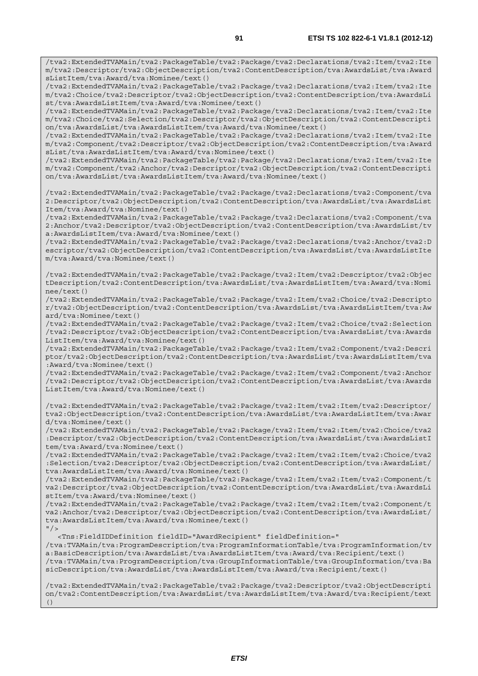/tva2:ExtendedTVAMain/tva2:PackageTable/tva2:Package/tva2:Declarations/tva2:Item/tva2:Ite m/tva2:Descriptor/tva2:ObjectDescription/tva2:ContentDescription/tva:AwardsList/tva:Award sListItem/tva:Award/tva:Nominee/text()

/tva2:ExtendedTVAMain/tva2:PackageTable/tva2:Package/tva2:Declarations/tva2:Item/tva2:Ite m/tva2:Choice/tva2:Descriptor/tva2:ObjectDescription/tva2:ContentDescription/tva:AwardsLi st/tva:AwardsListItem/tva:Award/tva:Nominee/text()

/tva2:ExtendedTVAMain/tva2:PackageTable/tva2:Package/tva2:Declarations/tva2:Item/tva2:Ite m/tva2:Choice/tva2:Selection/tva2:Descriptor/tva2:ObjectDescription/tva2:ContentDescripti on/tva:AwardsList/tva:AwardsListItem/tva:Award/tva:Nominee/text()

/tva2:ExtendedTVAMain/tva2:PackageTable/tva2:Package/tva2:Declarations/tva2:Item/tva2:Ite m/tva2:Component/tva2:Descriptor/tva2:ObjectDescription/tva2:ContentDescription/tva:Award sList/tva:AwardsListItem/tva:Award/tva:Nominee/text()

/tva2:ExtendedTVAMain/tva2:PackageTable/tva2:Package/tva2:Declarations/tva2:Item/tva2:Ite m/tva2:Component/tva2:Anchor/tva2:Descriptor/tva2:ObjectDescription/tva2:ContentDescripti on/tva:AwardsList/tva:AwardsListItem/tva:Award/tva:Nominee/text()

/tva2:ExtendedTVAMain/tva2:PackageTable/tva2:Package/tva2:Declarations/tva2:Component/tva 2:Descriptor/tva2:ObjectDescription/tva2:ContentDescription/tva:AwardsList/tva:AwardsList Item/tva:Award/tva:Nominee/text()

/tva2:ExtendedTVAMain/tva2:PackageTable/tva2:Package/tva2:Declarations/tva2:Component/tva 2:Anchor/tva2:Descriptor/tva2:ObjectDescription/tva2:ContentDescription/tva:AwardsList/tv a:AwardsListItem/tva:Award/tva:Nominee/text()

/tva2:ExtendedTVAMain/tva2:PackageTable/tva2:Package/tva2:Declarations/tva2:Anchor/tva2:D escriptor/tva2:ObjectDescription/tva2:ContentDescription/tva:AwardsList/tva:AwardsListIte m/tva:Award/tva:Nominee/text()

/tva2:ExtendedTVAMain/tva2:PackageTable/tva2:Package/tva2:Item/tva2:Descriptor/tva2:Objec tDescription/tva2:ContentDescription/tva:AwardsList/tva:AwardsListItem/tva:Award/tva:Nomi nee/text()

/tva2:ExtendedTVAMain/tva2:PackageTable/tva2:Package/tva2:Item/tva2:Choice/tva2:Descripto r/tva2:ObjectDescription/tva2:ContentDescription/tva:AwardsList/tva:AwardsListItem/tva:Aw ard/tva:Nominee/text()

/tva2:ExtendedTVAMain/tva2:PackageTable/tva2:Package/tva2:Item/tva2:Choice/tva2:Selection /tva2:Descriptor/tva2:ObjectDescription/tva2:ContentDescription/tva:AwardsList/tva:Awards ListItem/tva:Award/tva:Nominee/text()

/tva2:ExtendedTVAMain/tva2:PackageTable/tva2:Package/tva2:Item/tva2:Component/tva2:Descri ptor/tva2:ObjectDescription/tva2:ContentDescription/tva:AwardsList/tva:AwardsListItem/tva :Award/tva:Nominee/text()

/tva2:ExtendedTVAMain/tva2:PackageTable/tva2:Package/tva2:Item/tva2:Component/tva2:Anchor /tva2:Descriptor/tva2:ObjectDescription/tva2:ContentDescription/tva:AwardsList/tva:Awards ListItem/tva:Award/tva:Nominee/text()

/tva2:ExtendedTVAMain/tva2:PackageTable/tva2:Package/tva2:Item/tva2:Item/tva2:Descriptor/ tva2:ObjectDescription/tva2:ContentDescription/tva:AwardsList/tva:AwardsListItem/tva:Awar d/tva:Nominee/text()

/tva2:ExtendedTVAMain/tva2:PackageTable/tva2:Package/tva2:Item/tva2:Item/tva2:Choice/tva2 :Descriptor/tva2:ObjectDescription/tva2:ContentDescription/tva:AwardsList/tva:AwardsListI tem/tva:Award/tva:Nominee/text()

/tva2:ExtendedTVAMain/tva2:PackageTable/tva2:Package/tva2:Item/tva2:Item/tva2:Choice/tva2 :Selection/tva2:Descriptor/tva2:ObjectDescription/tva2:ContentDescription/tva:AwardsList/ tva:AwardsListItem/tva:Award/tva:Nominee/text()

/tva2:ExtendedTVAMain/tva2:PackageTable/tva2:Package/tva2:Item/tva2:Item/tva2:Component/t va2:Descriptor/tva2:ObjectDescription/tva2:ContentDescription/tva:AwardsList/tva:AwardsLi stItem/tva:Award/tva:Nominee/text()

/tva2:ExtendedTVAMain/tva2:PackageTable/tva2:Package/tva2:Item/tva2:Item/tva2:Component/t va2:Anchor/tva2:Descriptor/tva2:ObjectDescription/tva2:ContentDescription/tva:AwardsList/ tva:AwardsListItem/tva:Award/tva:Nominee/text()  $"$  />

<Tns:FieldIDDefinition fieldID="AwardRecipient" fieldDefinition="

/tva:TVAMain/tva:ProgramDescription/tva:ProgramInformationTable/tva:ProgramInformation/tv a:BasicDescription/tva:AwardsList/tva:AwardsListItem/tva:Award/tva:Recipient/text() /tva:TVAMain/tva:ProgramDescription/tva:GroupInformationTable/tva:GroupInformation/tva:Ba sicDescription/tva:AwardsList/tva:AwardsListItem/tva:Award/tva:Recipient/text()

/tva2:ExtendedTVAMain/tva2:PackageTable/tva2:Package/tva2:Descriptor/tva2:ObjectDescripti on/tva2:ContentDescription/tva:AwardsList/tva:AwardsListItem/tva:Award/tva:Recipient/text ()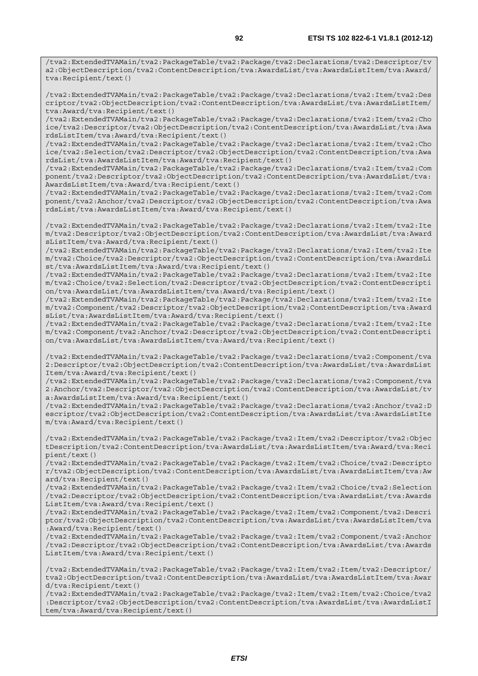/tva2:ExtendedTVAMain/tva2:PackageTable/tva2:Package/tva2:Declarations/tva2:Item/tva2:Des criptor/tva2:ObjectDescription/tva2:ContentDescription/tva:AwardsList/tva:AwardsListItem/ tva:Award/tva:Recipient/text()

/tva2:ExtendedTVAMain/tva2:PackageTable/tva2:Package/tva2:Declarations/tva2:Item/tva2:Cho ice/tva2:Descriptor/tva2:ObjectDescription/tva2:ContentDescription/tva:AwardsList/tva:Awa rdsListItem/tva:Award/tva:Recipient/text()

/tva2:ExtendedTVAMain/tva2:PackageTable/tva2:Package/tva2:Declarations/tva2:Item/tva2:Cho ice/tva2:Selection/tva2:Descriptor/tva2:ObjectDescription/tva2:ContentDescription/tva:Awa rdsList/tva:AwardsListItem/tva:Award/tva:Recipient/text()

/tva2:ExtendedTVAMain/tva2:PackageTable/tva2:Package/tva2:Declarations/tva2:Item/tva2:Com ponent/tva2:Descriptor/tva2:ObjectDescription/tva2:ContentDescription/tva:AwardsList/tva: AwardsListItem/tva:Award/tva:Recipient/text()

/tva2:ExtendedTVAMain/tva2:PackageTable/tva2:Package/tva2:Declarations/tva2:Item/tva2:Com ponent/tva2:Anchor/tva2:Descriptor/tva2:ObjectDescription/tva2:ContentDescription/tva:Awa rdsList/tva:AwardsListItem/tva:Award/tva:Recipient/text()

/tva2:ExtendedTVAMain/tva2:PackageTable/tva2:Package/tva2:Declarations/tva2:Item/tva2:Ite m/tva2:Descriptor/tva2:ObjectDescription/tva2:ContentDescription/tva:AwardsList/tva:Award sListItem/tva:Award/tva:Recipient/text()

/tva2:ExtendedTVAMain/tva2:PackageTable/tva2:Package/tva2:Declarations/tva2:Item/tva2:Ite m/tva2:Choice/tva2:Descriptor/tva2:ObjectDescription/tva2:ContentDescription/tva:AwardsLi st/tva:AwardsListItem/tva:Award/tva:Recipient/text()

/tva2:ExtendedTVAMain/tva2:PackageTable/tva2:Package/tva2:Declarations/tva2:Item/tva2:Ite m/tva2:Choice/tva2:Selection/tva2:Descriptor/tva2:ObjectDescription/tva2:ContentDescripti on/tva:AwardsList/tva:AwardsListItem/tva:Award/tva:Recipient/text()

/tva2:ExtendedTVAMain/tva2:PackageTable/tva2:Package/tva2:Declarations/tva2:Item/tva2:Ite m/tva2:Component/tva2:Descriptor/tva2:ObjectDescription/tva2:ContentDescription/tva:Award sList/tva:AwardsListItem/tva:Award/tva:Recipient/text()

/tva2:ExtendedTVAMain/tva2:PackageTable/tva2:Package/tva2:Declarations/tva2:Item/tva2:Ite m/tva2:Component/tva2:Anchor/tva2:Descriptor/tva2:ObjectDescription/tva2:ContentDescripti on/tva:AwardsList/tva:AwardsListItem/tva:Award/tva:Recipient/text()

/tva2:ExtendedTVAMain/tva2:PackageTable/tva2:Package/tva2:Declarations/tva2:Component/tva 2:Descriptor/tva2:ObjectDescription/tva2:ContentDescription/tva:AwardsList/tva:AwardsList Item/tva:Award/tva:Recipient/text()

/tva2:ExtendedTVAMain/tva2:PackageTable/tva2:Package/tva2:Declarations/tva2:Component/tva 2:Anchor/tva2:Descriptor/tva2:ObjectDescription/tva2:ContentDescription/tva:AwardsList/tv a:AwardsListItem/tva:Award/tva:Recipient/text()

/tva2:ExtendedTVAMain/tva2:PackageTable/tva2:Package/tva2:Declarations/tva2:Anchor/tva2:D escriptor/tva2:ObjectDescription/tva2:ContentDescription/tva:AwardsList/tva:AwardsListIte m/tva:Award/tva:Recipient/text()

/tva2:ExtendedTVAMain/tva2:PackageTable/tva2:Package/tva2:Item/tva2:Descriptor/tva2:Objec tDescription/tva2:ContentDescription/tva:AwardsList/tva:AwardsListItem/tva:Award/tva:Reci pient/text()

/tva2:ExtendedTVAMain/tva2:PackageTable/tva2:Package/tva2:Item/tva2:Choice/tva2:Descripto r/tva2:ObjectDescription/tva2:ContentDescription/tva:AwardsList/tva:AwardsListItem/tva:Aw ard/tva:Recipient/text()

/tva2:ExtendedTVAMain/tva2:PackageTable/tva2:Package/tva2:Item/tva2:Choice/tva2:Selection /tva2:Descriptor/tva2:ObjectDescription/tva2:ContentDescription/tva:AwardsList/tva:Awards ListItem/tva:Award/tva:Recipient/text()

/tva2:ExtendedTVAMain/tva2:PackageTable/tva2:Package/tva2:Item/tva2:Component/tva2:Descri ptor/tva2:ObjectDescription/tva2:ContentDescription/tva:AwardsList/tva:AwardsListItem/tva :Award/tva:Recipient/text()

/tva2:ExtendedTVAMain/tva2:PackageTable/tva2:Package/tva2:Item/tva2:Component/tva2:Anchor /tva2:Descriptor/tva2:ObjectDescription/tva2:ContentDescription/tva:AwardsList/tva:Awards ListItem/tva:Award/tva:Recipient/text()

/tva2:ExtendedTVAMain/tva2:PackageTable/tva2:Package/tva2:Item/tva2:Item/tva2:Descriptor/ tva2:ObjectDescription/tva2:ContentDescription/tva:AwardsList/tva:AwardsListItem/tva:Awar d/tva:Recipient/text()

/tva2:ExtendedTVAMain/tva2:PackageTable/tva2:Package/tva2:Item/tva2:Item/tva2:Choice/tva2 :Descriptor/tva2:ObjectDescription/tva2:ContentDescription/tva:AwardsList/tva:AwardsListI tem/tva:Award/tva:Recipient/text()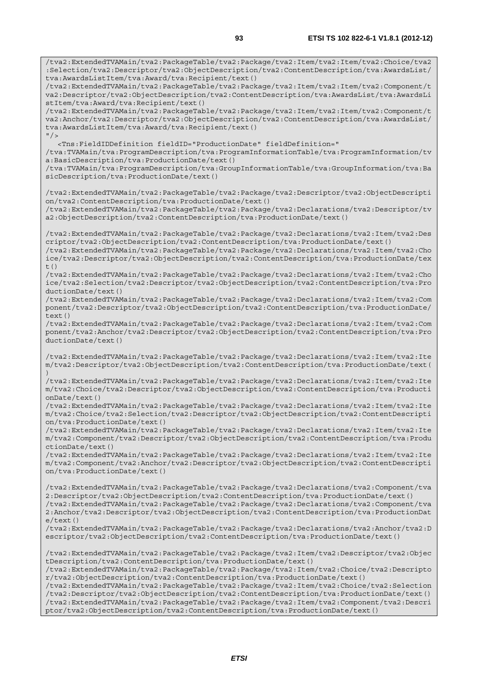/tva2:ExtendedTVAMain/tva2:PackageTable/tva2:Package/tva2:Item/tva2:Item/tva2:Choice/tva2 :Selection/tva2:Descriptor/tva2:ObjectDescription/tva2:ContentDescription/tva:AwardsList/ tva:AwardsListItem/tva:Award/tva:Recipient/text() /tva2:ExtendedTVAMain/tva2:PackageTable/tva2:Package/tva2:Item/tva2:Item/tva2:Component/t va2:Descriptor/tva2:ObjectDescription/tva2:ContentDescription/tva:AwardsList/tva:AwardsLi stItem/tva:Award/tva:Recipient/text() /tva2:ExtendedTVAMain/tva2:PackageTable/tva2:Package/tva2:Item/tva2:Item/tva2:Component/t va2:Anchor/tva2:Descriptor/tva2:ObjectDescription/tva2:ContentDescription/tva:AwardsList/ tva:AwardsListItem/tva:Award/tva:Recipient/text()  $"$ /> <Tns:FieldIDDefinition fieldID="ProductionDate" fieldDefinition=" /tva:TVAMain/tva:ProgramDescription/tva:ProgramInformationTable/tva:ProgramInformation/tv a:BasicDescription/tva:ProductionDate/text() /tva:TVAMain/tva:ProgramDescription/tva:GroupInformationTable/tva:GroupInformation/tva:Ba sicDescription/tva:ProductionDate/text() /tva2:ExtendedTVAMain/tva2:PackageTable/tva2:Package/tva2:Descriptor/tva2:ObjectDescripti on/tva2:ContentDescription/tva:ProductionDate/text() /tva2:ExtendedTVAMain/tva2:PackageTable/tva2:Package/tva2:Declarations/tva2:Descriptor/tv a2:ObjectDescription/tva2:ContentDescription/tva:ProductionDate/text() /tva2:ExtendedTVAMain/tva2:PackageTable/tva2:Package/tva2:Declarations/tva2:Item/tva2:Des criptor/tva2:ObjectDescription/tva2:ContentDescription/tva:ProductionDate/text() /tva2:ExtendedTVAMain/tva2:PackageTable/tva2:Package/tva2:Declarations/tva2:Item/tva2:Cho ice/tva2:Descriptor/tva2:ObjectDescription/tva2:ContentDescription/tva:ProductionDate/tex t() /tva2:ExtendedTVAMain/tva2:PackageTable/tva2:Package/tva2:Declarations/tva2:Item/tva2:Cho ice/tva2:Selection/tva2:Descriptor/tva2:ObjectDescription/tva2:ContentDescription/tva:Pro ductionDate/text() /tva2:ExtendedTVAMain/tva2:PackageTable/tva2:Package/tva2:Declarations/tva2:Item/tva2:Com ponent/tva2:Descriptor/tva2:ObjectDescription/tva2:ContentDescription/tva:ProductionDate/  $text()$ /tva2:ExtendedTVAMain/tva2:PackageTable/tva2:Package/tva2:Declarations/tva2:Item/tva2:Com ponent/tva2:Anchor/tva2:Descriptor/tva2:ObjectDescription/tva2:ContentDescription/tva:Pro ductionDate/text() /tva2:ExtendedTVAMain/tva2:PackageTable/tva2:Package/tva2:Declarations/tva2:Item/tva2:Ite m/tva2:Descriptor/tva2:ObjectDescription/tva2:ContentDescription/tva:ProductionDate/text( ) /tva2:ExtendedTVAMain/tva2:PackageTable/tva2:Package/tva2:Declarations/tva2:Item/tva2:Ite m/tva2:Choice/tva2:Descriptor/tva2:ObjectDescription/tva2:ContentDescription/tva:Producti onDate/text() /tva2:ExtendedTVAMain/tva2:PackageTable/tva2:Package/tva2:Declarations/tva2:Item/tva2:Ite m/tva2:Choice/tva2:Selection/tva2:Descriptor/tva2:ObjectDescription/tva2:ContentDescripti on/tva:ProductionDate/text() /tva2:ExtendedTVAMain/tva2:PackageTable/tva2:Package/tva2:Declarations/tva2:Item/tva2:Ite m/tva2:Component/tva2:Descriptor/tva2:ObjectDescription/tva2:ContentDescription/tva:Produ ctionDate/text() /tva2:ExtendedTVAMain/tva2:PackageTable/tva2:Package/tva2:Declarations/tva2:Item/tva2:Ite m/tva2:Component/tva2:Anchor/tva2:Descriptor/tva2:ObjectDescription/tva2:ContentDescripti on/tva:ProductionDate/text() /tva2:ExtendedTVAMain/tva2:PackageTable/tva2:Package/tva2:Declarations/tva2:Component/tva 2:Descriptor/tva2:ObjectDescription/tva2:ContentDescription/tva:ProductionDate/text() /tva2:ExtendedTVAMain/tva2:PackageTable/tva2:Package/tva2:Declarations/tva2:Component/tva 2:Anchor/tva2:Descriptor/tva2:ObjectDescription/tva2:ContentDescription/tva:ProductionDat  $e$ /text $()$ /tva2:ExtendedTVAMain/tva2:PackageTable/tva2:Package/tva2:Declarations/tva2:Anchor/tva2:D escriptor/tva2:ObjectDescription/tva2:ContentDescription/tva:ProductionDate/text() /tva2:ExtendedTVAMain/tva2:PackageTable/tva2:Package/tva2:Item/tva2:Descriptor/tva2:Objec tDescription/tva2:ContentDescription/tva:ProductionDate/text() /tva2:ExtendedTVAMain/tva2:PackageTable/tva2:Package/tva2:Item/tva2:Choice/tva2:Descripto r/tva2:ObjectDescription/tva2:ContentDescription/tva:ProductionDate/text() /tva2:ExtendedTVAMain/tva2:PackageTable/tva2:Package/tva2:Item/tva2:Choice/tva2:Selection /tva2:Descriptor/tva2:ObjectDescription/tva2:ContentDescription/tva:ProductionDate/text() /tva2:ExtendedTVAMain/tva2:PackageTable/tva2:Package/tva2:Item/tva2:Component/tva2:Descri ptor/tva2:ObjectDescription/tva2:ContentDescription/tva:ProductionDate/text()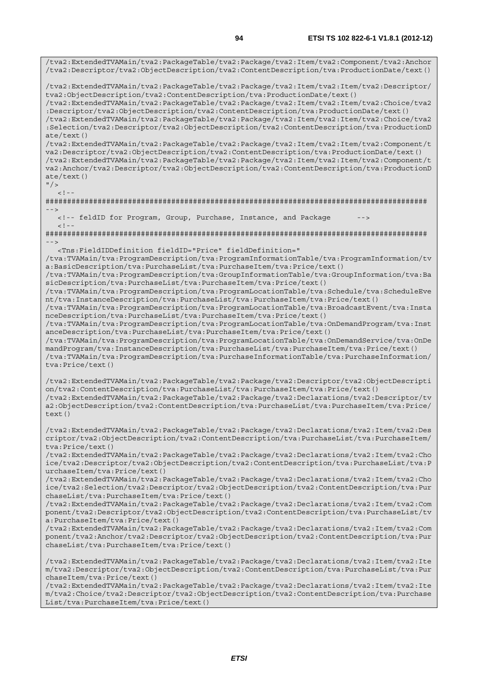/tva2:ExtendedTVAMain/tva2:PackageTable/tva2:Package/tva2:Item/tva2:Component/tva2:Anchor /tva2:Descriptor/tva2:ObjectDescription/tva2:ContentDescription/tva:ProductionDate/text() /tva2:ExtendedTVAMain/tva2:PackageTable/tva2:Package/tva2:Item/tva2:Item/tva2:Descriptor/ tva2:ObjectDescription/tva2:ContentDescription/tva:ProductionDate/text() /tva2:ExtendedTVAMain/tva2:PackageTable/tva2:Package/tva2:Item/tva2:Item/tva2:Choice/tva2 :Descriptor/tva2:ObjectDescription/tva2:ContentDescription/tva:ProductionDate/text() /tva2:ExtendedTVAMain/tva2:PackageTable/tva2:Package/tva2:Item/tva2:Item/tva2:Choice/tva2 :Selection/tva2:Descriptor/tva2:ObjectDescription/tva2:ContentDescription/tva:ProductionD ate/text() /tva2:ExtendedTVAMain/tva2:PackageTable/tva2:Package/tva2:Item/tva2:Item/tva2:Component/t va2:Descriptor/tva2:ObjectDescription/tva2:ContentDescription/tva:ProductionDate/text() /tva2:ExtendedTVAMain/tva2:PackageTable/tva2:Package/tva2:Item/tva2:Item/tva2:Component/t va2:Anchor/tva2:Descriptor/tva2:ObjectDescription/tva2:ContentDescription/tva:ProductionD ate/text()  $"$  / >  $>1 -$ ######################################################################################## --> <!-- feldID for Program, Group, Purchase, Instance, and Package -->  $<$ ! --######################################################################################## --> <Tns:FieldIDDefinition fieldID="Price" fieldDefinition=" /tva:TVAMain/tva:ProgramDescription/tva:ProgramInformationTable/tva:ProgramInformation/tv a:BasicDescription/tva:PurchaseList/tva:PurchaseItem/tva:Price/text() /tva:TVAMain/tva:ProgramDescription/tva:GroupInformationTable/tva:GroupInformation/tva:Ba sicDescription/tva:PurchaseList/tva:PurchaseItem/tva:Price/text() /tva:TVAMain/tva:ProgramDescription/tva:ProgramLocationTable/tva:Schedule/tva:ScheduleEve nt/tva:InstanceDescription/tva:PurchaseList/tva:PurchaseItem/tva:Price/text() /tva:TVAMain/tva:ProgramDescription/tva:ProgramLocationTable/tva:BroadcastEvent/tva:Insta nceDescription/tva:PurchaseList/tva:PurchaseItem/tva:Price/text() /tva:TVAMain/tva:ProgramDescription/tva:ProgramLocationTable/tva:OnDemandProgram/tva:Inst anceDescription/tva:PurchaseList/tva:PurchaseItem/tva:Price/text() /tva:TVAMain/tva:ProgramDescription/tva:ProgramLocationTable/tva:OnDemandService/tva:OnDe mandProgram/tva:InstanceDescription/tva:PurchaseList/tva:PurchaseItem/tva:Price/text() /tva:TVAMain/tva:ProgramDescription/tva:PurchaseInformationTable/tva:PurchaseInformation/ tva:Price/text() /tva2:ExtendedTVAMain/tva2:PackageTable/tva2:Package/tva2:Descriptor/tva2:ObjectDescripti on/tva2:ContentDescription/tva:PurchaseList/tva:PurchaseItem/tva:Price/text() /tva2:ExtendedTVAMain/tva2:PackageTable/tva2:Package/tva2:Declarations/tva2:Descriptor/tv a2:ObjectDescription/tva2:ContentDescription/tva:PurchaseList/tva:PurchaseItem/tva:Price/ text() /tva2:ExtendedTVAMain/tva2:PackageTable/tva2:Package/tva2:Declarations/tva2:Item/tva2:Des criptor/tva2:ObjectDescription/tva2:ContentDescription/tva:PurchaseList/tva:PurchaseItem/ tva:Price/text() /tva2:ExtendedTVAMain/tva2:PackageTable/tva2:Package/tva2:Declarations/tva2:Item/tva2:Cho ice/tva2:Descriptor/tva2:ObjectDescription/tva2:ContentDescription/tva:PurchaseList/tva:P urchaseItem/tva:Price/text() /tva2:ExtendedTVAMain/tva2:PackageTable/tva2:Package/tva2:Declarations/tva2:Item/tva2:Cho ice/tva2:Selection/tva2:Descriptor/tva2:ObjectDescription/tva2:ContentDescription/tva:Pur chaseList/tva:PurchaseItem/tva:Price/text() /tva2:ExtendedTVAMain/tva2:PackageTable/tva2:Package/tva2:Declarations/tva2:Item/tva2:Com ponent/tva2:Descriptor/tva2:ObjectDescription/tva2:ContentDescription/tva:PurchaseList/tv a:PurchaseItem/tva:Price/text() /tva2:ExtendedTVAMain/tva2:PackageTable/tva2:Package/tva2:Declarations/tva2:Item/tva2:Com ponent/tva2:Anchor/tva2:Descriptor/tva2:ObjectDescription/tva2:ContentDescription/tva:Pur chaseList/tva:PurchaseItem/tva:Price/text() /tva2:ExtendedTVAMain/tva2:PackageTable/tva2:Package/tva2:Declarations/tva2:Item/tva2:Ite m/tva2:Descriptor/tva2:ObjectDescription/tva2:ContentDescription/tva:PurchaseList/tva:Pur chaseItem/tva:Price/text()

/tva2:ExtendedTVAMain/tva2:PackageTable/tva2:Package/tva2:Declarations/tva2:Item/tva2:Ite m/tva2:Choice/tva2:Descriptor/tva2:ObjectDescription/tva2:ContentDescription/tva:Purchase List/tva:PurchaseItem/tva:Price/text()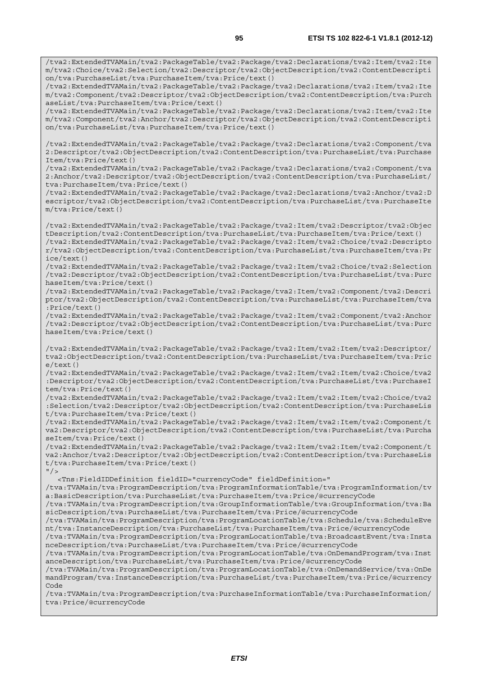/tva2:ExtendedTVAMain/tva2:PackageTable/tva2:Package/tva2:Declarations/tva2:Item/tva2:Ite m/tva2:Choice/tva2:Selection/tva2:Descriptor/tva2:ObjectDescription/tva2:ContentDescripti on/tva:PurchaseList/tva:PurchaseItem/tva:Price/text()

/tva2:ExtendedTVAMain/tva2:PackageTable/tva2:Package/tva2:Declarations/tva2:Item/tva2:Ite m/tva2:Component/tva2:Descriptor/tva2:ObjectDescription/tva2:ContentDescription/tva:Purch aseList/tva:PurchaseItem/tva:Price/text()

/tva2:ExtendedTVAMain/tva2:PackageTable/tva2:Package/tva2:Declarations/tva2:Item/tva2:Ite m/tva2:Component/tva2:Anchor/tva2:Descriptor/tva2:ObjectDescription/tva2:ContentDescripti on/tva:PurchaseList/tva:PurchaseItem/tva:Price/text()

/tva2:ExtendedTVAMain/tva2:PackageTable/tva2:Package/tva2:Declarations/tva2:Component/tva 2:Descriptor/tva2:ObjectDescription/tva2:ContentDescription/tva:PurchaseList/tva:Purchase Item/tva:Price/text()

/tva2:ExtendedTVAMain/tva2:PackageTable/tva2:Package/tva2:Declarations/tva2:Component/tva 2:Anchor/tva2:Descriptor/tva2:ObjectDescription/tva2:ContentDescription/tva:PurchaseList/ tva:PurchaseItem/tva:Price/text()

/tva2:ExtendedTVAMain/tva2:PackageTable/tva2:Package/tva2:Declarations/tva2:Anchor/tva2:D escriptor/tva2:ObjectDescription/tva2:ContentDescription/tva:PurchaseList/tva:PurchaseIte m/tva:Price/text()

/tva2:ExtendedTVAMain/tva2:PackageTable/tva2:Package/tva2:Item/tva2:Descriptor/tva2:Objec tDescription/tva2:ContentDescription/tva:PurchaseList/tva:PurchaseItem/tva:Price/text() /tva2:ExtendedTVAMain/tva2:PackageTable/tva2:Package/tva2:Item/tva2:Choice/tva2:Descripto r/tva2:ObjectDescription/tva2:ContentDescription/tva:PurchaseList/tva:PurchaseItem/tva:Pr ice/text()

/tva2:ExtendedTVAMain/tva2:PackageTable/tva2:Package/tva2:Item/tva2:Choice/tva2:Selection /tva2:Descriptor/tva2:ObjectDescription/tva2:ContentDescription/tva:PurchaseList/tva:Purc haseItem/tva:Price/text()

/tva2:ExtendedTVAMain/tva2:PackageTable/tva2:Package/tva2:Item/tva2:Component/tva2:Descri ptor/tva2:ObjectDescription/tva2:ContentDescription/tva:PurchaseList/tva:PurchaseItem/tva :Price/text()

/tva2:ExtendedTVAMain/tva2:PackageTable/tva2:Package/tva2:Item/tva2:Component/tva2:Anchor /tva2:Descriptor/tva2:ObjectDescription/tva2:ContentDescription/tva:PurchaseList/tva:Purc haseItem/tva:Price/text()

/tva2:ExtendedTVAMain/tva2:PackageTable/tva2:Package/tva2:Item/tva2:Item/tva2:Descriptor/ tva2:ObjectDescription/tva2:ContentDescription/tva:PurchaseList/tva:PurchaseItem/tva:Pric e/text()

/tva2:ExtendedTVAMain/tva2:PackageTable/tva2:Package/tva2:Item/tva2:Item/tva2:Choice/tva2 :Descriptor/tva2:ObjectDescription/tva2:ContentDescription/tva:PurchaseList/tva:PurchaseI tem/tva:Price/text()

/tva2:ExtendedTVAMain/tva2:PackageTable/tva2:Package/tva2:Item/tva2:Item/tva2:Choice/tva2 :Selection/tva2:Descriptor/tva2:ObjectDescription/tva2:ContentDescription/tva:PurchaseLis t/tva:PurchaseItem/tva:Price/text()

/tva2:ExtendedTVAMain/tva2:PackageTable/tva2:Package/tva2:Item/tva2:Item/tva2:Component/t va2:Descriptor/tva2:ObjectDescription/tva2:ContentDescription/tva:PurchaseList/tva:Purcha seItem/tva:Price/text()

/tva2:ExtendedTVAMain/tva2:PackageTable/tva2:Package/tva2:Item/tva2:Item/tva2:Component/t va2:Anchor/tva2:Descriptor/tva2:ObjectDescription/tva2:ContentDescription/tva:PurchaseLis t/tva:PurchaseItem/tva:Price/text()  $"$  />

<Tns:FieldIDDefinition fieldID="currencyCode" fieldDefinition="

/tva:TVAMain/tva:ProgramDescription/tva:ProgramInformationTable/tva:ProgramInformation/tv a:BasicDescription/tva:PurchaseList/tva:PurchaseItem/tva:Price/@currencyCode

/tva:TVAMain/tva:ProgramDescription/tva:GroupInformationTable/tva:GroupInformation/tva:Ba sicDescription/tva:PurchaseList/tva:PurchaseItem/tva:Price/@currencyCode

/tva:TVAMain/tva:ProgramDescription/tva:ProgramLocationTable/tva:Schedule/tva:ScheduleEve nt/tva:InstanceDescription/tva:PurchaseList/tva:PurchaseItem/tva:Price/@currencyCode

/tva:TVAMain/tva:ProgramDescription/tva:ProgramLocationTable/tva:BroadcastEvent/tva:Insta nceDescription/tva:PurchaseList/tva:PurchaseItem/tva:Price/@currencyCode

/tva:TVAMain/tva:ProgramDescription/tva:ProgramLocationTable/tva:OnDemandProgram/tva:Inst anceDescription/tva:PurchaseList/tva:PurchaseItem/tva:Price/@currencyCode

/tva:TVAMain/tva:ProgramDescription/tva:ProgramLocationTable/tva:OnDemandService/tva:OnDe mandProgram/tva:InstanceDescription/tva:PurchaseList/tva:PurchaseItem/tva:Price/@currency Code

/tva:TVAMain/tva:ProgramDescription/tva:PurchaseInformationTable/tva:PurchaseInformation/ tva:Price/@currencyCode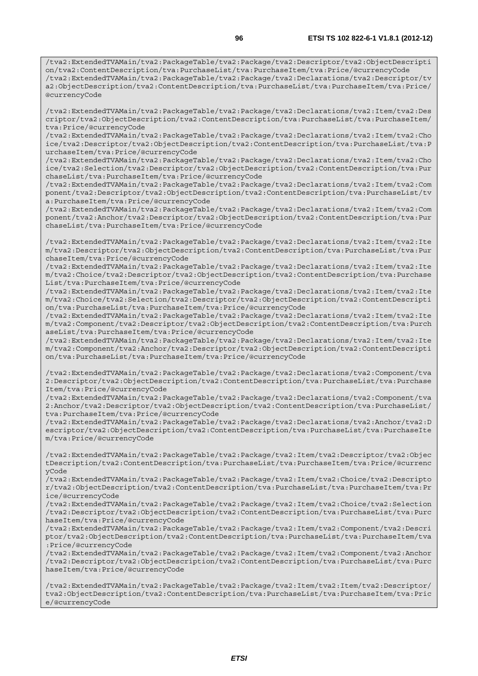/tva2:ExtendedTVAMain/tva2:PackageTable/tva2:Package/tva2:Declarations/tva2:Item/tva2:Des criptor/tva2:ObjectDescription/tva2:ContentDescription/tva:PurchaseList/tva:PurchaseItem/ tva:Price/@currencyCode

/tva2:ExtendedTVAMain/tva2:PackageTable/tva2:Package/tva2:Declarations/tva2:Item/tva2:Cho ice/tva2:Descriptor/tva2:ObjectDescription/tva2:ContentDescription/tva:PurchaseList/tva:P urchaseItem/tva:Price/@currencyCode

/tva2:ExtendedTVAMain/tva2:PackageTable/tva2:Package/tva2:Declarations/tva2:Item/tva2:Cho ice/tva2:Selection/tva2:Descriptor/tva2:ObjectDescription/tva2:ContentDescription/tva:Pur chaseList/tva:PurchaseItem/tva:Price/@currencyCode

/tva2:ExtendedTVAMain/tva2:PackageTable/tva2:Package/tva2:Declarations/tva2:Item/tva2:Com ponent/tva2:Descriptor/tva2:ObjectDescription/tva2:ContentDescription/tva:PurchaseList/tv a:PurchaseItem/tva:Price/@currencyCode

/tva2:ExtendedTVAMain/tva2:PackageTable/tva2:Package/tva2:Declarations/tva2:Item/tva2:Com ponent/tva2:Anchor/tva2:Descriptor/tva2:ObjectDescription/tva2:ContentDescription/tva:Pur chaseList/tva:PurchaseItem/tva:Price/@currencyCode

/tva2:ExtendedTVAMain/tva2:PackageTable/tva2:Package/tva2:Declarations/tva2:Item/tva2:Ite m/tva2:Descriptor/tva2:ObjectDescription/tva2:ContentDescription/tva:PurchaseList/tva:Pur chaseItem/tva:Price/@currencyCode

/tva2:ExtendedTVAMain/tva2:PackageTable/tva2:Package/tva2:Declarations/tva2:Item/tva2:Ite m/tva2:Choice/tva2:Descriptor/tva2:ObjectDescription/tva2:ContentDescription/tva:Purchase List/tva:PurchaseItem/tva:Price/@currencyCode

/tva2:ExtendedTVAMain/tva2:PackageTable/tva2:Package/tva2:Declarations/tva2:Item/tva2:Ite m/tva2:Choice/tva2:Selection/tva2:Descriptor/tva2:ObjectDescription/tva2:ContentDescripti on/tva:PurchaseList/tva:PurchaseItem/tva:Price/@currencyCode

/tva2:ExtendedTVAMain/tva2:PackageTable/tva2:Package/tva2:Declarations/tva2:Item/tva2:Ite m/tva2:Component/tva2:Descriptor/tva2:ObjectDescription/tva2:ContentDescription/tva:Purch aseList/tva:PurchaseItem/tva:Price/@currencyCode

/tva2:ExtendedTVAMain/tva2:PackageTable/tva2:Package/tva2:Declarations/tva2:Item/tva2:Ite m/tva2:Component/tva2:Anchor/tva2:Descriptor/tva2:ObjectDescription/tva2:ContentDescripti on/tva:PurchaseList/tva:PurchaseItem/tva:Price/@currencyCode

/tva2:ExtendedTVAMain/tva2:PackageTable/tva2:Package/tva2:Declarations/tva2:Component/tva 2:Descriptor/tva2:ObjectDescription/tva2:ContentDescription/tva:PurchaseList/tva:Purchase Item/tva:Price/@currencyCode

/tva2:ExtendedTVAMain/tva2:PackageTable/tva2:Package/tva2:Declarations/tva2:Component/tva 2:Anchor/tva2:Descriptor/tva2:ObjectDescription/tva2:ContentDescription/tva:PurchaseList/ tva:PurchaseItem/tva:Price/@currencyCode

/tva2:ExtendedTVAMain/tva2:PackageTable/tva2:Package/tva2:Declarations/tva2:Anchor/tva2:D escriptor/tva2:ObjectDescription/tva2:ContentDescription/tva:PurchaseList/tva:PurchaseIte m/tva:Price/@currencyCode

/tva2:ExtendedTVAMain/tva2:PackageTable/tva2:Package/tva2:Item/tva2:Descriptor/tva2:Objec tDescription/tva2:ContentDescription/tva:PurchaseList/tva:PurchaseItem/tva:Price/@currenc yCode

/tva2:ExtendedTVAMain/tva2:PackageTable/tva2:Package/tva2:Item/tva2:Choice/tva2:Descripto r/tva2:ObjectDescription/tva2:ContentDescription/tva:PurchaseList/tva:PurchaseItem/tva:Pr ice/@currencyCode

/tva2:ExtendedTVAMain/tva2:PackageTable/tva2:Package/tva2:Item/tva2:Choice/tva2:Selection /tva2:Descriptor/tva2:ObjectDescription/tva2:ContentDescription/tva:PurchaseList/tva:Purc haseItem/tva:Price/@currencyCode

/tva2:ExtendedTVAMain/tva2:PackageTable/tva2:Package/tva2:Item/tva2:Component/tva2:Descri ptor/tva2:ObjectDescription/tva2:ContentDescription/tva:PurchaseList/tva:PurchaseItem/tva :Price/@currencyCode

/tva2:ExtendedTVAMain/tva2:PackageTable/tva2:Package/tva2:Item/tva2:Component/tva2:Anchor /tva2:Descriptor/tva2:ObjectDescription/tva2:ContentDescription/tva:PurchaseList/tva:Purc haseItem/tva:Price/@currencyCode

/tva2:ExtendedTVAMain/tva2:PackageTable/tva2:Package/tva2:Item/tva2:Item/tva2:Descriptor/ tva2:ObjectDescription/tva2:ContentDescription/tva:PurchaseList/tva:PurchaseItem/tva:Pric e/@currencyCode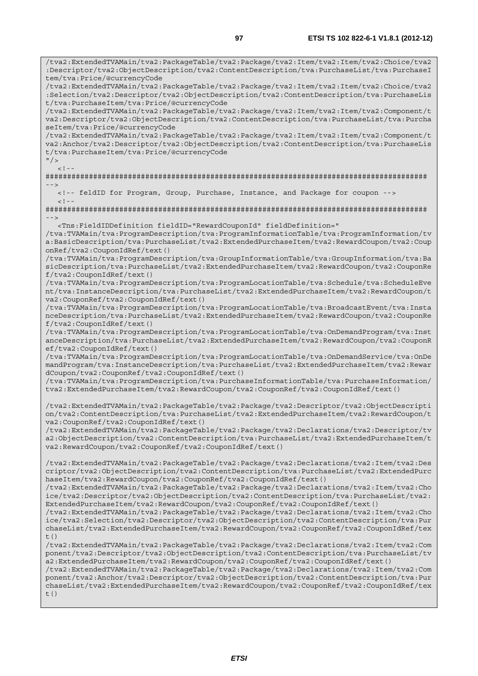/tva2:ExtendedTVAMain/tva2:PackageTable/tva2:Package/tva2:Item/tva2:Item/tva2:Choice/tva2 :Descriptor/tva2:ObjectDescription/tva2:ContentDescription/tva:PurchaseList/tva:PurchaseI tem/tva:Price/@currencyCode

/tva2:ExtendedTVAMain/tva2:PackageTable/tva2:Package/tva2:Item/tva2:Item/tva2:Choice/tva2 :Selection/tva2:Descriptor/tva2:ObjectDescription/tva2:ContentDescription/tva:PurchaseLis t/tva:PurchaseItem/tva:Price/@currencyCode

/tva2:ExtendedTVAMain/tva2:PackageTable/tva2:Package/tva2:Item/tva2:Item/tva2:Component/t va2:Descriptor/tva2:ObjectDescription/tva2:ContentDescription/tva:PurchaseList/tva:Purcha seItem/tva:Price/@currencyCode

/tva2:ExtendedTVAMain/tva2:PackageTable/tva2:Package/tva2:Item/tva2:Item/tva2:Component/t va2:Anchor/tva2:Descriptor/tva2:ObjectDescription/tva2:ContentDescription/tva:PurchaseLis t/tva:PurchaseItem/tva:Price/@currencyCode

 $^{\prime\prime}$  / >  $\geq$  1

######################################################################################## -->

 <!-- feldID for Program, Group, Purchase, Instance, and Package for coupon -->  $<$ ! --

######################################################################################## -->

<Tns:FieldIDDefinition fieldID="RewardCouponId" fieldDefinition="

/tva:TVAMain/tva:ProgramDescription/tva:ProgramInformationTable/tva:ProgramInformation/tv a:BasicDescription/tva:PurchaseList/tva2:ExtendedPurchaseItem/tva2:RewardCoupon/tva2:Coup onRef/tva2:CouponIdRef/text()

/tva:TVAMain/tva:ProgramDescription/tva:GroupInformationTable/tva:GroupInformation/tva:Ba sicDescription/tva:PurchaseList/tva2:ExtendedPurchaseItem/tva2:RewardCoupon/tva2:CouponRe f/tva2:CouponIdRef/text()

/tva:TVAMain/tva:ProgramDescription/tva:ProgramLocationTable/tva:Schedule/tva:ScheduleEve nt/tva:InstanceDescription/tva:PurchaseList/tva2:ExtendedPurchaseItem/tva2:RewardCoupon/t va2:CouponRef/tva2:CouponIdRef/text()

/tva:TVAMain/tva:ProgramDescription/tva:ProgramLocationTable/tva:BroadcastEvent/tva:Insta nceDescription/tva:PurchaseList/tva2:ExtendedPurchaseItem/tva2:RewardCoupon/tva2:CouponRe f/tva2:CouponIdRef/text()

/tva:TVAMain/tva:ProgramDescription/tva:ProgramLocationTable/tva:OnDemandProgram/tva:Inst anceDescription/tva:PurchaseList/tva2:ExtendedPurchaseItem/tva2:RewardCoupon/tva2:CouponR ef/tva2:CouponIdRef/text()

/tva:TVAMain/tva:ProgramDescription/tva:ProgramLocationTable/tva:OnDemandService/tva:OnDe mandProgram/tva:InstanceDescription/tva:PurchaseList/tva2:ExtendedPurchaseItem/tva2:Rewar dCoupon/tva2:CouponRef/tva2:CouponIdRef/text()

/tva:TVAMain/tva:ProgramDescription/tva:PurchaseInformationTable/tva:PurchaseInformation/ tva2:ExtendedPurchaseItem/tva2:RewardCoupon/tva2:CouponRef/tva2:CouponIdRef/text()

/tva2:ExtendedTVAMain/tva2:PackageTable/tva2:Package/tva2:Descriptor/tva2:ObjectDescripti on/tva2:ContentDescription/tva:PurchaseList/tva2:ExtendedPurchaseItem/tva2:RewardCoupon/t va2:CouponRef/tva2:CouponIdRef/text()

/tva2:ExtendedTVAMain/tva2:PackageTable/tva2:Package/tva2:Declarations/tva2:Descriptor/tv a2:ObjectDescription/tva2:ContentDescription/tva:PurchaseList/tva2:ExtendedPurchaseItem/t va2:RewardCoupon/tva2:CouponRef/tva2:CouponIdRef/text()

/tva2:ExtendedTVAMain/tva2:PackageTable/tva2:Package/tva2:Declarations/tva2:Item/tva2:Des criptor/tva2:ObjectDescription/tva2:ContentDescription/tva:PurchaseList/tva2:ExtendedPurc haseItem/tva2:RewardCoupon/tva2:CouponRef/tva2:CouponIdRef/text()

/tva2:ExtendedTVAMain/tva2:PackageTable/tva2:Package/tva2:Declarations/tva2:Item/tva2:Cho ice/tva2:Descriptor/tva2:ObjectDescription/tva2:ContentDescription/tva:PurchaseList/tva2: ExtendedPurchaseItem/tva2:RewardCoupon/tva2:CouponRef/tva2:CouponIdRef/text()

/tva2:ExtendedTVAMain/tva2:PackageTable/tva2:Package/tva2:Declarations/tva2:Item/tva2:Cho ice/tva2:Selection/tva2:Descriptor/tva2:ObjectDescription/tva2:ContentDescription/tva:Pur chaseList/tva2:ExtendedPurchaseItem/tva2:RewardCoupon/tva2:CouponRef/tva2:CouponIdRef/tex  $t($ )

/tva2:ExtendedTVAMain/tva2:PackageTable/tva2:Package/tva2:Declarations/tva2:Item/tva2:Com ponent/tva2:Descriptor/tva2:ObjectDescription/tva2:ContentDescription/tva:PurchaseList/tv a2:ExtendedPurchaseItem/tva2:RewardCoupon/tva2:CouponRef/tva2:CouponIdRef/text()

/tva2:ExtendedTVAMain/tva2:PackageTable/tva2:Package/tva2:Declarations/tva2:Item/tva2:Com ponent/tva2:Anchor/tva2:Descriptor/tva2:ObjectDescription/tva2:ContentDescription/tva:Pur chaseList/tva2:ExtendedPurchaseItem/tva2:RewardCoupon/tva2:CouponRef/tva2:CouponIdRef/tex  $t($ )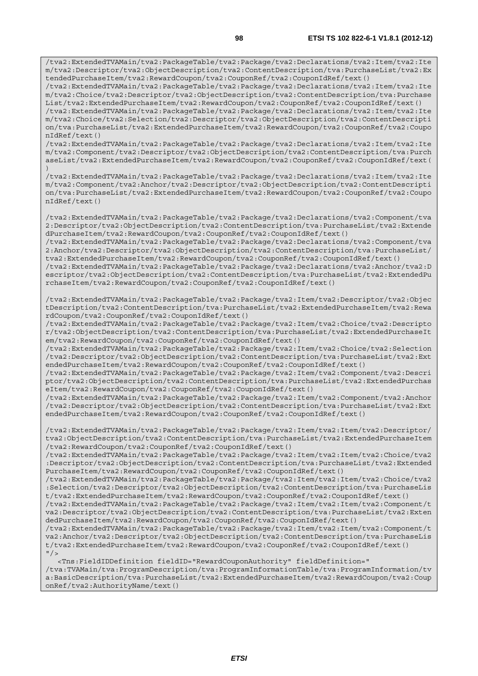/tva2:ExtendedTVAMain/tva2:PackageTable/tva2:Package/tva2:Declarations/tva2:Item/tva2:Ite m/tva2:Descriptor/tva2:ObjectDescription/tva2:ContentDescription/tva:PurchaseList/tva2:Ex tendedPurchaseItem/tva2:RewardCoupon/tva2:CouponRef/tva2:CouponIdRef/text()

/tva2:ExtendedTVAMain/tva2:PackageTable/tva2:Package/tva2:Declarations/tva2:Item/tva2:Ite m/tva2:Choice/tva2:Descriptor/tva2:ObjectDescription/tva2:ContentDescription/tva:Purchase List/tva2:ExtendedPurchaseItem/tva2:RewardCoupon/tva2:CouponRef/tva2:CouponIdRef/text()

/tva2:ExtendedTVAMain/tva2:PackageTable/tva2:Package/tva2:Declarations/tva2:Item/tva2:Ite m/tva2:Choice/tva2:Selection/tva2:Descriptor/tva2:ObjectDescription/tva2:ContentDescripti on/tva:PurchaseList/tva2:ExtendedPurchaseItem/tva2:RewardCoupon/tva2:CouponRef/tva2:Coupo nIdRef/text()

/tva2:ExtendedTVAMain/tva2:PackageTable/tva2:Package/tva2:Declarations/tva2:Item/tva2:Ite m/tva2:Component/tva2:Descriptor/tva2:ObjectDescription/tva2:ContentDescription/tva:Purch aseList/tva2:ExtendedPurchaseItem/tva2:RewardCoupon/tva2:CouponRef/tva2:CouponIdRef/text( )

/tva2:ExtendedTVAMain/tva2:PackageTable/tva2:Package/tva2:Declarations/tva2:Item/tva2:Ite m/tva2:Component/tva2:Anchor/tva2:Descriptor/tva2:ObjectDescription/tva2:ContentDescripti on/tva:PurchaseList/tva2:ExtendedPurchaseItem/tva2:RewardCoupon/tva2:CouponRef/tva2:Coupo nIdRef/text()

/tva2:ExtendedTVAMain/tva2:PackageTable/tva2:Package/tva2:Declarations/tva2:Component/tva 2:Descriptor/tva2:ObjectDescription/tva2:ContentDescription/tva:PurchaseList/tva2:Extende dPurchaseItem/tva2:RewardCoupon/tva2:CouponRef/tva2:CouponIdRef/text()

/tva2:ExtendedTVAMain/tva2:PackageTable/tva2:Package/tva2:Declarations/tva2:Component/tva 2:Anchor/tva2:Descriptor/tva2:ObjectDescription/tva2:ContentDescription/tva:PurchaseList/ tva2:ExtendedPurchaseItem/tva2:RewardCoupon/tva2:CouponRef/tva2:CouponIdRef/text()

/tva2:ExtendedTVAMain/tva2:PackageTable/tva2:Package/tva2:Declarations/tva2:Anchor/tva2:D escriptor/tva2:ObjectDescription/tva2:ContentDescription/tva:PurchaseList/tva2:ExtendedPu rchaseItem/tva2:RewardCoupon/tva2:CouponRef/tva2:CouponIdRef/text()

/tva2:ExtendedTVAMain/tva2:PackageTable/tva2:Package/tva2:Item/tva2:Descriptor/tva2:Objec tDescription/tva2:ContentDescription/tva:PurchaseList/tva2:ExtendedPurchaseItem/tva2:Rewa rdCoupon/tva2:CouponRef/tva2:CouponIdRef/text()

/tva2:ExtendedTVAMain/tva2:PackageTable/tva2:Package/tva2:Item/tva2:Choice/tva2:Descripto r/tva2:ObjectDescription/tva2:ContentDescription/tva:PurchaseList/tva2:ExtendedPurchaseIt em/tva2:RewardCoupon/tva2:CouponRef/tva2:CouponIdRef/text()

/tva2:ExtendedTVAMain/tva2:PackageTable/tva2:Package/tva2:Item/tva2:Choice/tva2:Selection /tva2:Descriptor/tva2:ObjectDescription/tva2:ContentDescription/tva:PurchaseList/tva2:Ext endedPurchaseItem/tva2:RewardCoupon/tva2:CouponRef/tva2:CouponIdRef/text()

/tva2:ExtendedTVAMain/tva2:PackageTable/tva2:Package/tva2:Item/tva2:Component/tva2:Descri ptor/tva2:ObjectDescription/tva2:ContentDescription/tva:PurchaseList/tva2:ExtendedPurchas eItem/tva2:RewardCoupon/tva2:CouponRef/tva2:CouponIdRef/text()

/tva2:ExtendedTVAMain/tva2:PackageTable/tva2:Package/tva2:Item/tva2:Component/tva2:Anchor /tva2:Descriptor/tva2:ObjectDescription/tva2:ContentDescription/tva:PurchaseList/tva2:Ext endedPurchaseItem/tva2:RewardCoupon/tva2:CouponRef/tva2:CouponIdRef/text()

/tva2:ExtendedTVAMain/tva2:PackageTable/tva2:Package/tva2:Item/tva2:Item/tva2:Descriptor/ tva2:ObjectDescription/tva2:ContentDescription/tva:PurchaseList/tva2:ExtendedPurchaseItem /tva2:RewardCoupon/tva2:CouponRef/tva2:CouponIdRef/text()

/tva2:ExtendedTVAMain/tva2:PackageTable/tva2:Package/tva2:Item/tva2:Item/tva2:Choice/tva2 :Descriptor/tva2:ObjectDescription/tva2:ContentDescription/tva:PurchaseList/tva2:Extended PurchaseItem/tva2:RewardCoupon/tva2:CouponRef/tva2:CouponIdRef/text()

/tva2:ExtendedTVAMain/tva2:PackageTable/tva2:Package/tva2:Item/tva2:Item/tva2:Choice/tva2 :Selection/tva2:Descriptor/tva2:ObjectDescription/tva2:ContentDescription/tva:PurchaseLis t/tva2:ExtendedPurchaseItem/tva2:RewardCoupon/tva2:CouponRef/tva2:CouponIdRef/text()

/tva2:ExtendedTVAMain/tva2:PackageTable/tva2:Package/tva2:Item/tva2:Item/tva2:Component/t va2:Descriptor/tva2:ObjectDescription/tva2:ContentDescription/tva:PurchaseList/tva2:Exten dedPurchaseItem/tva2:RewardCoupon/tva2:CouponRef/tva2:CouponIdRef/text()

/tva2:ExtendedTVAMain/tva2:PackageTable/tva2:Package/tva2:Item/tva2:Item/tva2:Component/t va2:Anchor/tva2:Descriptor/tva2:ObjectDescription/tva2:ContentDescription/tva:PurchaseLis t/tva2:ExtendedPurchaseItem/tva2:RewardCoupon/tva2:CouponRef/tva2:CouponIdRef/text()  $"$  />

 <Tns:FieldIDDefinition fieldID="RewardCouponAuthority" fieldDefinition=" /tva:TVAMain/tva:ProgramDescription/tva:ProgramInformationTable/tva:ProgramInformation/tv a:BasicDescription/tva:PurchaseList/tva2:ExtendedPurchaseItem/tva2:RewardCoupon/tva2:Coup onRef/tva2:AuthorityName/text()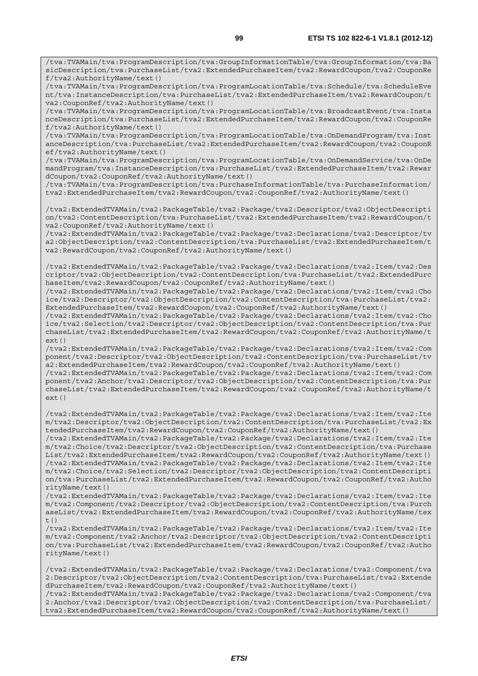/tva:TVAMain/tva:ProgramDescription/tva:GroupInformationTable/tva:GroupInformation/tva:Ba sicDescription/tva:PurchaseList/tva2:ExtendedPurchaseItem/tva2:RewardCoupon/tva2:CouponRe f/tva2:AuthorityName/text()

/tva:TVAMain/tva:ProgramDescription/tva:ProgramLocationTable/tva:Schedule/tva:ScheduleEve nt/tva:InstanceDescription/tva:PurchaseList/tva2:ExtendedPurchaseItem/tva2:RewardCoupon/t va2:CouponRef/tva2:AuthorityName/text()

/tva:TVAMain/tva:ProgramDescription/tva:ProgramLocationTable/tva:BroadcastEvent/tva:Insta nceDescription/tva:PurchaseList/tva2:ExtendedPurchaseItem/tva2:RewardCoupon/tva2:CouponRe f/tva2:AuthorityName/text()

/tva:TVAMain/tva:ProgramDescription/tva:ProgramLocationTable/tva:OnDemandProgram/tva:Inst anceDescription/tva:PurchaseList/tva2:ExtendedPurchaseItem/tva2:RewardCoupon/tva2:CouponR ef/tva2:AuthorityName/text()

/tva:TVAMain/tva:ProgramDescription/tva:ProgramLocationTable/tva:OnDemandService/tva:OnDe mandProgram/tva:InstanceDescription/tva:PurchaseList/tva2:ExtendedPurchaseItem/tva2:Rewar dCoupon/tva2:CouponRef/tva2:AuthorityName/text()

/tva:TVAMain/tva:ProgramDescription/tva:PurchaseInformationTable/tva:PurchaseInformation/ tva2:ExtendedPurchaseItem/tva2:RewardCoupon/tva2:CouponRef/tva2:AuthorityName/text()

/tva2:ExtendedTVAMain/tva2:PackageTable/tva2:Package/tva2:Descriptor/tva2:ObjectDescripti on/tva2:ContentDescription/tva:PurchaseList/tva2:ExtendedPurchaseItem/tva2:RewardCoupon/t va2:CouponRef/tva2:AuthorityName/text()

/tva2:ExtendedTVAMain/tva2:PackageTable/tva2:Package/tva2:Declarations/tva2:Descriptor/tv a2:ObjectDescription/tva2:ContentDescription/tva:PurchaseList/tva2:ExtendedPurchaseItem/t va2:RewardCoupon/tva2:CouponRef/tva2:AuthorityName/text()

/tva2:ExtendedTVAMain/tva2:PackageTable/tva2:Package/tva2:Declarations/tva2:Item/tva2:Des criptor/tva2:ObjectDescription/tva2:ContentDescription/tva:PurchaseList/tva2:ExtendedPurc haseItem/tva2:RewardCoupon/tva2:CouponRef/tva2:AuthorityName/text()

/tva2:ExtendedTVAMain/tva2:PackageTable/tva2:Package/tva2:Declarations/tva2:Item/tva2:Cho ice/tva2:Descriptor/tva2:ObjectDescription/tva2:ContentDescription/tva:PurchaseList/tva2: ExtendedPurchaseItem/tva2:RewardCoupon/tva2:CouponRef/tva2:AuthorityName/text()

/tva2:ExtendedTVAMain/tva2:PackageTable/tva2:Package/tva2:Declarations/tva2:Item/tva2:Cho ice/tva2:Selection/tva2:Descriptor/tva2:ObjectDescription/tva2:ContentDescription/tva:Pur chaseList/tva2:ExtendedPurchaseItem/tva2:RewardCoupon/tva2:CouponRef/tva2:AuthorityName/t ext()

/tva2:ExtendedTVAMain/tva2:PackageTable/tva2:Package/tva2:Declarations/tva2:Item/tva2:Com ponent/tva2:Descriptor/tva2:ObjectDescription/tva2:ContentDescription/tva:PurchaseList/tv a2:ExtendedPurchaseItem/tva2:RewardCoupon/tva2:CouponRef/tva2:AuthorityName/text()

/tva2:ExtendedTVAMain/tva2:PackageTable/tva2:Package/tva2:Declarations/tva2:Item/tva2:Com ponent/tva2:Anchor/tva2:Descriptor/tva2:ObjectDescription/tva2:ContentDescription/tva:Pur chaseList/tva2:ExtendedPurchaseItem/tva2:RewardCoupon/tva2:CouponRef/tva2:AuthorityName/t  $ext()$ 

/tva2:ExtendedTVAMain/tva2:PackageTable/tva2:Package/tva2:Declarations/tva2:Item/tva2:Ite m/tva2:Descriptor/tva2:ObjectDescription/tva2:ContentDescription/tva:PurchaseList/tva2:Ex tendedPurchaseItem/tva2:RewardCoupon/tva2:CouponRef/tva2:AuthorityName/text()

/tva2:ExtendedTVAMain/tva2:PackageTable/tva2:Package/tva2:Declarations/tva2:Item/tva2:Ite m/tva2:Choice/tva2:Descriptor/tva2:ObjectDescription/tva2:ContentDescription/tva:Purchase List/tva2:ExtendedPurchaseItem/tva2:RewardCoupon/tva2:CouponRef/tva2:AuthorityName/text() /tva2:ExtendedTVAMain/tva2:PackageTable/tva2:Package/tva2:Declarations/tva2:Item/tva2:Ite m/tva2:Choice/tva2:Selection/tva2:Descriptor/tva2:ObjectDescription/tva2:ContentDescripti on/tva:PurchaseList/tva2:ExtendedPurchaseItem/tva2:RewardCoupon/tva2:CouponRef/tva2:Autho rityName/text()

/tva2:ExtendedTVAMain/tva2:PackageTable/tva2:Package/tva2:Declarations/tva2:Item/tva2:Ite m/tva2:Component/tva2:Descriptor/tva2:ObjectDescription/tva2:ContentDescription/tva:Purch aseList/tva2:ExtendedPurchaseItem/tva2:RewardCoupon/tva2:CouponRef/tva2:AuthorityName/tex  $t()$ 

/tva2:ExtendedTVAMain/tva2:PackageTable/tva2:Package/tva2:Declarations/tva2:Item/tva2:Ite m/tva2:Component/tva2:Anchor/tva2:Descriptor/tva2:ObjectDescription/tva2:ContentDescripti on/tva:PurchaseList/tva2:ExtendedPurchaseItem/tva2:RewardCoupon/tva2:CouponRef/tva2:Autho rityName/text()

/tva2:ExtendedTVAMain/tva2:PackageTable/tva2:Package/tva2:Declarations/tva2:Component/tva 2:Descriptor/tva2:ObjectDescription/tva2:ContentDescription/tva:PurchaseList/tva2:Extende dPurchaseItem/tva2:RewardCoupon/tva2:CouponRef/tva2:AuthorityName/text() /tva2:ExtendedTVAMain/tva2:PackageTable/tva2:Package/tva2:Declarations/tva2:Component/tva 2:Anchor/tva2:Descriptor/tva2:ObjectDescription/tva2:ContentDescription/tva:PurchaseList/ tva2:ExtendedPurchaseItem/tva2:RewardCoupon/tva2:CouponRef/tva2:AuthorityName/text()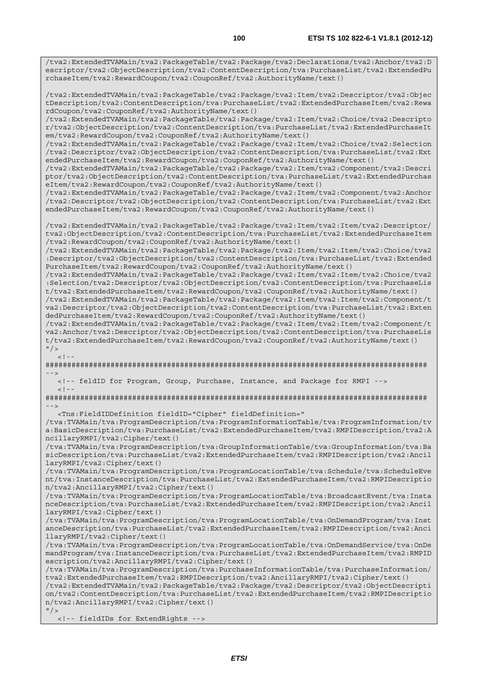/tva2:ExtendedTVAMain/tva2:PackageTable/tva2:Package/tva2:Declarations/tva2:Anchor/tva2:D escriptor/tva2:ObjectDescription/tva2:ContentDescription/tva:PurchaseList/tva2:ExtendedPu rchaseItem/tva2:RewardCoupon/tva2:CouponRef/tva2:AuthorityName/text()

/tva2:ExtendedTVAMain/tva2:PackageTable/tva2:Package/tva2:Item/tva2:Descriptor/tva2:Objec tDescription/tva2:ContentDescription/tva:PurchaseList/tva2:ExtendedPurchaseItem/tva2:Rewa rdCoupon/tva2:CouponRef/tva2:AuthorityName/text()

/tva2:ExtendedTVAMain/tva2:PackageTable/tva2:Package/tva2:Item/tva2:Choice/tva2:Descripto r/tva2:ObjectDescription/tva2:ContentDescription/tva:PurchaseList/tva2:ExtendedPurchaseIt em/tva2:RewardCoupon/tva2:CouponRef/tva2:AuthorityName/text()

/tva2:ExtendedTVAMain/tva2:PackageTable/tva2:Package/tva2:Item/tva2:Choice/tva2:Selection /tva2:Descriptor/tva2:ObjectDescription/tva2:ContentDescription/tva:PurchaseList/tva2:Ext endedPurchaseItem/tva2:RewardCoupon/tva2:CouponRef/tva2:AuthorityName/text()

/tva2:ExtendedTVAMain/tva2:PackageTable/tva2:Package/tva2:Item/tva2:Component/tva2:Descri ptor/tva2:ObjectDescription/tva2:ContentDescription/tva:PurchaseList/tva2:ExtendedPurchas eItem/tva2:RewardCoupon/tva2:CouponRef/tva2:AuthorityName/text()

/tva2:ExtendedTVAMain/tva2:PackageTable/tva2:Package/tva2:Item/tva2:Component/tva2:Anchor /tva2:Descriptor/tva2:ObjectDescription/tva2:ContentDescription/tva:PurchaseList/tva2:Ext endedPurchaseItem/tva2:RewardCoupon/tva2:CouponRef/tva2:AuthorityName/text()

/tva2:ExtendedTVAMain/tva2:PackageTable/tva2:Package/tva2:Item/tva2:Item/tva2:Descriptor/ tva2:ObjectDescription/tva2:ContentDescription/tva:PurchaseList/tva2:ExtendedPurchaseItem /tva2:RewardCoupon/tva2:CouponRef/tva2:AuthorityName/text()

/tva2:ExtendedTVAMain/tva2:PackageTable/tva2:Package/tva2:Item/tva2:Item/tva2:Choice/tva2 :Descriptor/tva2:ObjectDescription/tva2:ContentDescription/tva:PurchaseList/tva2:Extended PurchaseItem/tva2:RewardCoupon/tva2:CouponRef/tva2:AuthorityName/text()

/tva2:ExtendedTVAMain/tva2:PackageTable/tva2:Package/tva2:Item/tva2:Item/tva2:Choice/tva2 :Selection/tva2:Descriptor/tva2:ObjectDescription/tva2:ContentDescription/tva:PurchaseLis t/tva2:ExtendedPurchaseItem/tva2:RewardCoupon/tva2:CouponRef/tva2:AuthorityName/text()

/tva2:ExtendedTVAMain/tva2:PackageTable/tva2:Package/tva2:Item/tva2:Item/tva2:Component/t va2:Descriptor/tva2:ObjectDescription/tva2:ContentDescription/tva:PurchaseList/tva2:Exten dedPurchaseItem/tva2:RewardCoupon/tva2:CouponRef/tva2:AuthorityName/text()

/tva2:ExtendedTVAMain/tva2:PackageTable/tva2:Package/tva2:Item/tva2:Item/tva2:Component/t va2:Anchor/tva2:Descriptor/tva2:ObjectDescription/tva2:ContentDescription/tva:PurchaseLis t/tva2:ExtendedPurchaseItem/tva2:RewardCoupon/tva2:CouponRef/tva2:AuthorityName/text()  $"$  / >

 $\lt$  ! –

######################################################################################## -->

<!-- feldID for Program, Group, Purchase, Instance, and Package for RMPI -->

 $<$ ! --

######################################################################################## -->

<Tns:FieldIDDefinition fieldID="Cipher" fieldDefinition="

/tva:TVAMain/tva:ProgramDescription/tva:ProgramInformationTable/tva:ProgramInformation/tv a:BasicDescription/tva:PurchaseList/tva2:ExtendedPurchaseItem/tva2:RMPIDescription/tva2:A ncillaryRMPI/tva2:Cipher/text()

/tva:TVAMain/tva:ProgramDescription/tva:GroupInformationTable/tva:GroupInformation/tva:Ba sicDescription/tva:PurchaseList/tva2:ExtendedPurchaseItem/tva2:RMPIDescription/tva2:Ancil laryRMPI/tva2:Cipher/text()

/tva:TVAMain/tva:ProgramDescription/tva:ProgramLocationTable/tva:Schedule/tva:ScheduleEve nt/tva:InstanceDescription/tva:PurchaseList/tva2:ExtendedPurchaseItem/tva2:RMPIDescriptio n/tva2:AncillaryRMPI/tva2:Cipher/text()

/tva:TVAMain/tva:ProgramDescription/tva:ProgramLocationTable/tva:BroadcastEvent/tva:Insta nceDescription/tva:PurchaseList/tva2:ExtendedPurchaseItem/tva2:RMPIDescription/tva2:Ancil laryRMPI/tva2:Cipher/text()

/tva:TVAMain/tva:ProgramDescription/tva:ProgramLocationTable/tva:OnDemandProgram/tva:Inst anceDescription/tva:PurchaseList/tva2:ExtendedPurchaseItem/tva2:RMPIDescription/tva2:Anci llaryRMPI/tva2:Cipher/text()

/tva:TVAMain/tva:ProgramDescription/tva:ProgramLocationTable/tva:OnDemandService/tva:OnDe mandProgram/tva:InstanceDescription/tva:PurchaseList/tva2:ExtendedPurchaseItem/tva2:RMPID escription/tva2:AncillaryRMPI/tva2:Cipher/text()

/tva:TVAMain/tva:ProgramDescription/tva:PurchaseInformationTable/tva:PurchaseInformation/ tva2:ExtendedPurchaseItem/tva2:RMPIDescription/tva2:AncillaryRMPI/tva2:Cipher/text()

/tva2:ExtendedTVAMain/tva2:PackageTable/tva2:Package/tva2:Descriptor/tva2:ObjectDescripti on/tva2:ContentDescription/tva:PurchaseList/tva2:ExtendedPurchaseItem/tva2:RMPIDescriptio n/tva2:AncillaryRMPI/tva2:Cipher/text()

 $"$  /> <!-- fieldIDs for ExtendRights -->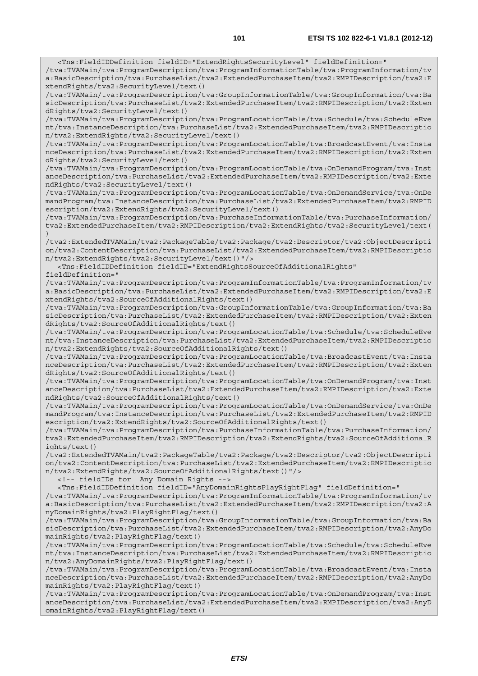<Tns:FieldIDDefinition fieldID="ExtendRightsSecurityLevel" fieldDefinition="

/tva:TVAMain/tva:ProgramDescription/tva:ProgramInformationTable/tva:ProgramInformation/tv a:BasicDescription/tva:PurchaseList/tva2:ExtendedPurchaseItem/tva2:RMPIDescription/tva2:E xtendRights/tva2:SecurityLevel/text() /tva:TVAMain/tva:ProgramDescription/tva:GroupInformationTable/tva:GroupInformation/tva:Ba sicDescription/tva:PurchaseList/tva2:ExtendedPurchaseItem/tva2:RMPIDescription/tva2:Exten dRights/tva2:SecurityLevel/text() /tva:TVAMain/tva:ProgramDescription/tva:ProgramLocationTable/tva:Schedule/tva:ScheduleEve nt/tva:InstanceDescription/tva:PurchaseList/tva2:ExtendedPurchaseItem/tva2:RMPIDescriptio n/tva2:ExtendRights/tva2:SecurityLevel/text() /tva:TVAMain/tva:ProgramDescription/tva:ProgramLocationTable/tva:BroadcastEvent/tva:Insta nceDescription/tva:PurchaseList/tva2:ExtendedPurchaseItem/tva2:RMPIDescription/tva2:Exten dRights/tva2:SecurityLevel/text() /tva:TVAMain/tva:ProgramDescription/tva:ProgramLocationTable/tva:OnDemandProgram/tva:Inst anceDescription/tva:PurchaseList/tva2:ExtendedPurchaseItem/tva2:RMPIDescription/tva2:Exte ndRights/tva2:SecurityLevel/text() /tva:TVAMain/tva:ProgramDescription/tva:ProgramLocationTable/tva:OnDemandService/tva:OnDe mandProgram/tva:InstanceDescription/tva:PurchaseList/tva2:ExtendedPurchaseItem/tva2:RMPID escription/tva2:ExtendRights/tva2:SecurityLevel/text() /tva:TVAMain/tva:ProgramDescription/tva:PurchaseInformationTable/tva:PurchaseInformation/ tva2:ExtendedPurchaseItem/tva2:RMPIDescription/tva2:ExtendRights/tva2:SecurityLevel/text( ) /tva2:ExtendedTVAMain/tva2:PackageTable/tva2:Package/tva2:Descriptor/tva2:ObjectDescripti on/tva2:ContentDescription/tva:PurchaseList/tva2:ExtendedPurchaseItem/tva2:RMPIDescriptio n/tva2:ExtendRights/tva2:SecurityLevel/text()"/> <Tns:FieldIDDefinition fieldID="ExtendRightsSourceOfAdditionalRights" fieldDefinition=" /tva:TVAMain/tva:ProgramDescription/tva:ProgramInformationTable/tva:ProgramInformation/tv a:BasicDescription/tva:PurchaseList/tva2:ExtendedPurchaseItem/tva2:RMPIDescription/tva2:E xtendRights/tva2:SourceOfAdditionalRights/text() /tva:TVAMain/tva:ProgramDescription/tva:GroupInformationTable/tva:GroupInformation/tva:Ba sicDescription/tva:PurchaseList/tva2:ExtendedPurchaseItem/tva2:RMPIDescription/tva2:Exten dRights/tva2:SourceOfAdditionalRights/text() /tva:TVAMain/tva:ProgramDescription/tva:ProgramLocationTable/tva:Schedule/tva:ScheduleEve nt/tva:InstanceDescription/tva:PurchaseList/tva2:ExtendedPurchaseItem/tva2:RMPIDescriptio n/tva2:ExtendRights/tva2:SourceOfAdditionalRights/text() /tva:TVAMain/tva:ProgramDescription/tva:ProgramLocationTable/tva:BroadcastEvent/tva:Insta nceDescription/tva:PurchaseList/tva2:ExtendedPurchaseItem/tva2:RMPIDescription/tva2:Exten dRights/tva2:SourceOfAdditionalRights/text() /tva:TVAMain/tva:ProgramDescription/tva:ProgramLocationTable/tva:OnDemandProgram/tva:Inst anceDescription/tva:PurchaseList/tva2:ExtendedPurchaseItem/tva2:RMPIDescription/tva2:Exte ndRights/tva2:SourceOfAdditionalRights/text() /tva:TVAMain/tva:ProgramDescription/tva:ProgramLocationTable/tva:OnDemandService/tva:OnDe mandProgram/tva:InstanceDescription/tva:PurchaseList/tva2:ExtendedPurchaseItem/tva2:RMPID escription/tva2:ExtendRights/tva2:SourceOfAdditionalRights/text() /tva:TVAMain/tva:ProgramDescription/tva:PurchaseInformationTable/tva:PurchaseInformation/ tva2:ExtendedPurchaseItem/tva2:RMPIDescription/tva2:ExtendRights/tva2:SourceOfAdditionalR ights/text() /tva2:ExtendedTVAMain/tva2:PackageTable/tva2:Package/tva2:Descriptor/tva2:ObjectDescripti on/tva2:ContentDescription/tva:PurchaseList/tva2:ExtendedPurchaseItem/tva2:RMPIDescriptio n/tva2:ExtendRights/tva2:SourceOfAdditionalRights/text()"/> <!-- fieldIDs for Any Domain Rights --> <Tns:FieldIDDefinition fieldID="AnyDomainRightsPlayRightFlag" fieldDefinition=" /tva:TVAMain/tva:ProgramDescription/tva:ProgramInformationTable/tva:ProgramInformation/tv a:BasicDescription/tva:PurchaseList/tva2:ExtendedPurchaseItem/tva2:RMPIDescription/tva2:A nyDomainRights/tva2:PlayRightFlag/text() /tva:TVAMain/tva:ProgramDescription/tva:GroupInformationTable/tva:GroupInformation/tva:Ba sicDescription/tva:PurchaseList/tva2:ExtendedPurchaseItem/tva2:RMPIDescription/tva2:AnyDo mainRights/tva2:PlayRightFlag/text() /tva:TVAMain/tva:ProgramDescription/tva:ProgramLocationTable/tva:Schedule/tva:ScheduleEve nt/tva:InstanceDescription/tva:PurchaseList/tva2:ExtendedPurchaseItem/tva2:RMPIDescriptio n/tva2:AnyDomainRights/tva2:PlayRightFlag/text() /tva:TVAMain/tva:ProgramDescription/tva:ProgramLocationTable/tva:BroadcastEvent/tva:Insta nceDescription/tva:PurchaseList/tva2:ExtendedPurchaseItem/tva2:RMPIDescription/tva2:AnyDo mainRights/tva2:PlayRightFlag/text() /tva:TVAMain/tva:ProgramDescription/tva:ProgramLocationTable/tva:OnDemandProgram/tva:Inst anceDescription/tva:PurchaseList/tva2:ExtendedPurchaseItem/tva2:RMPIDescription/tva2:AnyD omainRights/tva2:PlayRightFlag/text()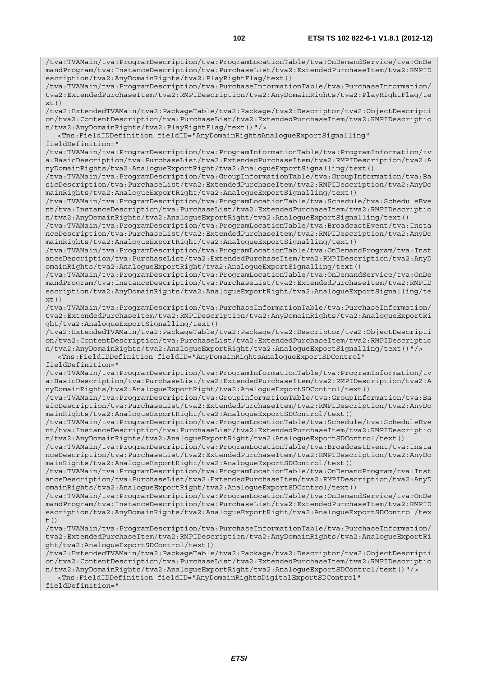/tva:TVAMain/tva:ProgramDescription/tva:ProgramLocationTable/tva:OnDemandService/tva:OnDe mandProgram/tva:InstanceDescription/tva:PurchaseList/tva2:ExtendedPurchaseItem/tva2:RMPID escription/tva2:AnyDomainRights/tva2:PlayRightFlag/text()

/tva:TVAMain/tva:ProgramDescription/tva:PurchaseInformationTable/tva:PurchaseInformation/ tva2:ExtendedPurchaseItem/tva2:RMPIDescription/tva2:AnyDomainRights/tva2:PlayRightFlag/te  $xt()$ 

/tva2:ExtendedTVAMain/tva2:PackageTable/tva2:Package/tva2:Descriptor/tva2:ObjectDescripti on/tva2:ContentDescription/tva:PurchaseList/tva2:ExtendedPurchaseItem/tva2:RMPIDescriptio n/tva2:AnyDomainRights/tva2:PlayRightFlag/text()"/>

 <Tns:FieldIDDefinition fieldID="AnyDomainRightsAnalogueExportSignalling" fieldDefinition="

/tva:TVAMain/tva:ProgramDescription/tva:ProgramInformationTable/tva:ProgramInformation/tv a:BasicDescription/tva:PurchaseList/tva2:ExtendedPurchaseItem/tva2:RMPIDescription/tva2:A nyDomainRights/tva2:AnalogueExportRight/tva2:AnalogueExportSignalling/text()

/tva:TVAMain/tva:ProgramDescription/tva:GroupInformationTable/tva:GroupInformation/tva:Ba sicDescription/tva:PurchaseList/tva2:ExtendedPurchaseItem/tva2:RMPIDescription/tva2:AnyDo mainRights/tva2:AnalogueExportRight/tva2:AnalogueExportSignalling/text()

/tva:TVAMain/tva:ProgramDescription/tva:ProgramLocationTable/tva:Schedule/tva:ScheduleEve nt/tva:InstanceDescription/tva:PurchaseList/tva2:ExtendedPurchaseItem/tva2:RMPIDescriptio n/tva2:AnyDomainRights/tva2:AnalogueExportRight/tva2:AnalogueExportSignalling/text()

/tva:TVAMain/tva:ProgramDescription/tva:ProgramLocationTable/tva:BroadcastEvent/tva:Insta nceDescription/tva:PurchaseList/tva2:ExtendedPurchaseItem/tva2:RMPIDescription/tva2:AnyDo mainRights/tva2:AnalogueExportRight/tva2:AnalogueExportSignalling/text()

/tva:TVAMain/tva:ProgramDescription/tva:ProgramLocationTable/tva:OnDemandProgram/tva:Inst anceDescription/tva:PurchaseList/tva2:ExtendedPurchaseItem/tva2:RMPIDescription/tva2:AnyD omainRights/tva2:AnalogueExportRight/tva2:AnalogueExportSignalling/text()

/tva:TVAMain/tva:ProgramDescription/tva:ProgramLocationTable/tva:OnDemandService/tva:OnDe mandProgram/tva:InstanceDescription/tva:PurchaseList/tva2:ExtendedPurchaseItem/tva2:RMPID escription/tva2:AnyDomainRights/tva2:AnalogueExportRight/tva2:AnalogueExportSignalling/te  $xt()$ 

/tva:TVAMain/tva:ProgramDescription/tva:PurchaseInformationTable/tva:PurchaseInformation/ tva2:ExtendedPurchaseItem/tva2:RMPIDescription/tva2:AnyDomainRights/tva2:AnalogueExportRi ght/tva2:AnalogueExportSignalling/text()

/tva2:ExtendedTVAMain/tva2:PackageTable/tva2:Package/tva2:Descriptor/tva2:ObjectDescripti on/tva2:ContentDescription/tva:PurchaseList/tva2:ExtendedPurchaseItem/tva2:RMPIDescriptio n/tva2:AnyDomainRights/tva2:AnalogueExportRight/tva2:AnalogueExportSignalling/text()"/> <Tns:FieldIDDefinition fieldID="AnyDomainRightsAnalogueExportSDControl"

## fieldDefinition="

/tva:TVAMain/tva:ProgramDescription/tva:ProgramInformationTable/tva:ProgramInformation/tv a:BasicDescription/tva:PurchaseList/tva2:ExtendedPurchaseItem/tva2:RMPIDescription/tva2:A nyDomainRights/tva2:AnalogueExportRight/tva2:AnalogueExportSDControl/text()

/tva:TVAMain/tva:ProgramDescription/tva:GroupInformationTable/tva:GroupInformation/tva:Ba sicDescription/tva:PurchaseList/tva2:ExtendedPurchaseItem/tva2:RMPIDescription/tva2:AnyDo mainRights/tva2:AnalogueExportRight/tva2:AnalogueExportSDControl/text()

/tva:TVAMain/tva:ProgramDescription/tva:ProgramLocationTable/tva:Schedule/tva:ScheduleEve nt/tva:InstanceDescription/tva:PurchaseList/tva2:ExtendedPurchaseItem/tva2:RMPIDescriptio n/tva2:AnyDomainRights/tva2:AnalogueExportRight/tva2:AnalogueExportSDControl/text()

/tva:TVAMain/tva:ProgramDescription/tva:ProgramLocationTable/tva:BroadcastEvent/tva:Insta nceDescription/tva:PurchaseList/tva2:ExtendedPurchaseItem/tva2:RMPIDescription/tva2:AnyDo mainRights/tva2:AnalogueExportRight/tva2:AnalogueExportSDControl/text()

/tva:TVAMain/tva:ProgramDescription/tva:ProgramLocationTable/tva:OnDemandProgram/tva:Inst anceDescription/tva:PurchaseList/tva2:ExtendedPurchaseItem/tva2:RMPIDescription/tva2:AnyD omainRights/tva2:AnalogueExportRight/tva2:AnalogueExportSDControl/text()

/tva:TVAMain/tva:ProgramDescription/tva:ProgramLocationTable/tva:OnDemandService/tva:OnDe mandProgram/tva:InstanceDescription/tva:PurchaseList/tva2:ExtendedPurchaseItem/tva2:RMPID escription/tva2:AnyDomainRights/tva2:AnalogueExportRight/tva2:AnalogueExportSDControl/tex  $t()$ 

/tva:TVAMain/tva:ProgramDescription/tva:PurchaseInformationTable/tva:PurchaseInformation/ tva2:ExtendedPurchaseItem/tva2:RMPIDescription/tva2:AnyDomainRights/tva2:AnalogueExportRi ght/tva2:AnalogueExportSDControl/text()

/tva2:ExtendedTVAMain/tva2:PackageTable/tva2:Package/tva2:Descriptor/tva2:ObjectDescripti on/tva2:ContentDescription/tva:PurchaseList/tva2:ExtendedPurchaseItem/tva2:RMPIDescriptio n/tva2:AnyDomainRights/tva2:AnalogueExportRight/tva2:AnalogueExportSDControl/text()"/> <Tns:FieldIDDefinition fieldID="AnyDomainRightsDigitalExportSDControl" fieldDefinition="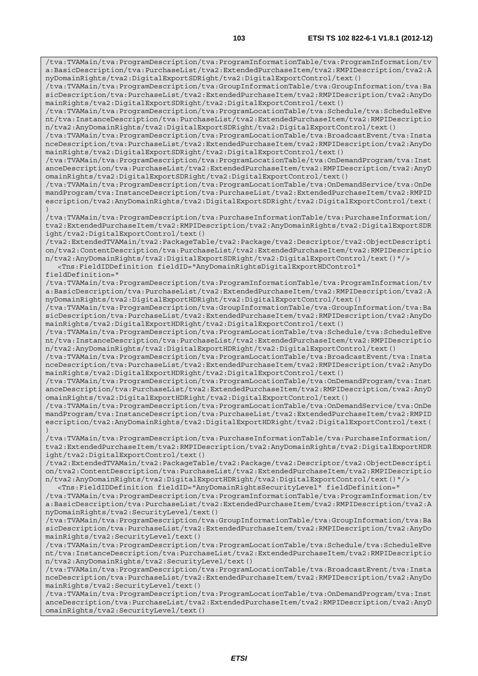/tva:TVAMain/tva:ProgramDescription/tva:ProgramInformationTable/tva:ProgramInformation/tv a:BasicDescription/tva:PurchaseList/tva2:ExtendedPurchaseItem/tva2:RMPIDescription/tva2:A nyDomainRights/tva2:DigitalExportSDRight/tva2:DigitalExportControl/text() /tva:TVAMain/tva:ProgramDescription/tva:GroupInformationTable/tva:GroupInformation/tva:Ba sicDescription/tva:PurchaseList/tva2:ExtendedPurchaseItem/tva2:RMPIDescription/tva2:AnyDo mainRights/tva2:DigitalExportSDRight/tva2:DigitalExportControl/text() /tva:TVAMain/tva:ProgramDescription/tva:ProgramLocationTable/tva:Schedule/tva:ScheduleEve nt/tva:InstanceDescription/tva:PurchaseList/tva2:ExtendedPurchaseItem/tva2:RMPIDescriptio n/tva2:AnyDomainRights/tva2:DigitalExportSDRight/tva2:DigitalExportControl/text() /tva:TVAMain/tva:ProgramDescription/tva:ProgramLocationTable/tva:BroadcastEvent/tva:Insta nceDescription/tva:PurchaseList/tva2:ExtendedPurchaseItem/tva2:RMPIDescription/tva2:AnyDo mainRights/tva2:DigitalExportSDRight/tva2:DigitalExportControl/text() /tva:TVAMain/tva:ProgramDescription/tva:ProgramLocationTable/tva:OnDemandProgram/tva:Inst anceDescription/tva:PurchaseList/tva2:ExtendedPurchaseItem/tva2:RMPIDescription/tva2:AnyD omainRights/tva2:DigitalExportSDRight/tva2:DigitalExportControl/text() /tva:TVAMain/tva:ProgramDescription/tva:ProgramLocationTable/tva:OnDemandService/tva:OnDe mandProgram/tva:InstanceDescription/tva:PurchaseList/tva2:ExtendedPurchaseItem/tva2:RMPID escription/tva2:AnyDomainRights/tva2:DigitalExportSDRight/tva2:DigitalExportControl/text( ) /tva:TVAMain/tva:ProgramDescription/tva:PurchaseInformationTable/tva:PurchaseInformation/ tva2:ExtendedPurchaseItem/tva2:RMPIDescription/tva2:AnyDomainRights/tva2:DigitalExportSDR ight/tva2:DigitalExportControl/text() /tva2:ExtendedTVAMain/tva2:PackageTable/tva2:Package/tva2:Descriptor/tva2:ObjectDescripti on/tva2:ContentDescription/tva:PurchaseList/tva2:ExtendedPurchaseItem/tva2:RMPIDescriptio n/tva2:AnyDomainRights/tva2:DigitalExportSDRight/tva2:DigitalExportControl/text()"/> <Tns:FieldIDDefinition fieldID="AnyDomainRightsDigitalExportHDControl" fieldDefinition=" /tva:TVAMain/tva:ProgramDescription/tva:ProgramInformationTable/tva:ProgramInformation/tv a:BasicDescription/tva:PurchaseList/tva2:ExtendedPurchaseItem/tva2:RMPIDescription/tva2:A nyDomainRights/tva2:DigitalExportHDRight/tva2:DigitalExportControl/text() /tva:TVAMain/tva:ProgramDescription/tva:GroupInformationTable/tva:GroupInformation/tva:Ba sicDescription/tva:PurchaseList/tva2:ExtendedPurchaseItem/tva2:RMPIDescription/tva2:AnyDo mainRights/tva2:DigitalExportHDRight/tva2:DigitalExportControl/text() /tva:TVAMain/tva:ProgramDescription/tva:ProgramLocationTable/tva:Schedule/tva:ScheduleEve nt/tva:InstanceDescription/tva:PurchaseList/tva2:ExtendedPurchaseItem/tva2:RMPIDescriptio n/tva2:AnyDomainRights/tva2:DigitalExportHDRight/tva2:DigitalExportControl/text() /tva:TVAMain/tva:ProgramDescription/tva:ProgramLocationTable/tva:BroadcastEvent/tva:Insta nceDescription/tva:PurchaseList/tva2:ExtendedPurchaseItem/tva2:RMPIDescription/tva2:AnyDo mainRights/tva2:DigitalExportHDRight/tva2:DigitalExportControl/text() /tva:TVAMain/tva:ProgramDescription/tva:ProgramLocationTable/tva:OnDemandProgram/tva:Inst anceDescription/tva:PurchaseList/tva2:ExtendedPurchaseItem/tva2:RMPIDescription/tva2:AnyD omainRights/tva2:DigitalExportHDRight/tva2:DigitalExportControl/text() /tva:TVAMain/tva:ProgramDescription/tva:ProgramLocationTable/tva:OnDemandService/tva:OnDe mandProgram/tva:InstanceDescription/tva:PurchaseList/tva2:ExtendedPurchaseItem/tva2:RMPID escription/tva2:AnyDomainRights/tva2:DigitalExportHDRight/tva2:DigitalExportControl/text( ) /tva:TVAMain/tva:ProgramDescription/tva:PurchaseInformationTable/tva:PurchaseInformation/ tva2:ExtendedPurchaseItem/tva2:RMPIDescription/tva2:AnyDomainRights/tva2:DigitalExportHDR ight/tva2:DigitalExportControl/text() /tva2:ExtendedTVAMain/tva2:PackageTable/tva2:Package/tva2:Descriptor/tva2:ObjectDescripti on/tva2:ContentDescription/tva:PurchaseList/tva2:ExtendedPurchaseItem/tva2:RMPIDescriptio n/tva2:AnyDomainRights/tva2:DigitalExportHDRight/tva2:DigitalExportControl/text()"/> <Tns:FieldIDDefinition fieldID="AnyDomainRightsSecurityLevel" fieldDefinition=" /tva:TVAMain/tva:ProgramDescription/tva:ProgramInformationTable/tva:ProgramInformation/tv a:BasicDescription/tva:PurchaseList/tva2:ExtendedPurchaseItem/tva2:RMPIDescription/tva2:A nyDomainRights/tva2:SecurityLevel/text() /tva:TVAMain/tva:ProgramDescription/tva:GroupInformationTable/tva:GroupInformation/tva:Ba sicDescription/tva:PurchaseList/tva2:ExtendedPurchaseItem/tva2:RMPIDescription/tva2:AnyDo mainRights/tva2:SecurityLevel/text() /tva:TVAMain/tva:ProgramDescription/tva:ProgramLocationTable/tva:Schedule/tva:ScheduleEve nt/tva:InstanceDescription/tva:PurchaseList/tva2:ExtendedPurchaseItem/tva2:RMPIDescriptio n/tva2:AnyDomainRights/tva2:SecurityLevel/text() /tva:TVAMain/tva:ProgramDescription/tva:ProgramLocationTable/tva:BroadcastEvent/tva:Insta nceDescription/tva:PurchaseList/tva2:ExtendedPurchaseItem/tva2:RMPIDescription/tva2:AnyDo mainRights/tva2:SecurityLevel/text()

/tva:TVAMain/tva:ProgramDescription/tva:ProgramLocationTable/tva:OnDemandProgram/tva:Inst anceDescription/tva:PurchaseList/tva2:ExtendedPurchaseItem/tva2:RMPIDescription/tva2:AnyD omainRights/tva2:SecurityLevel/text()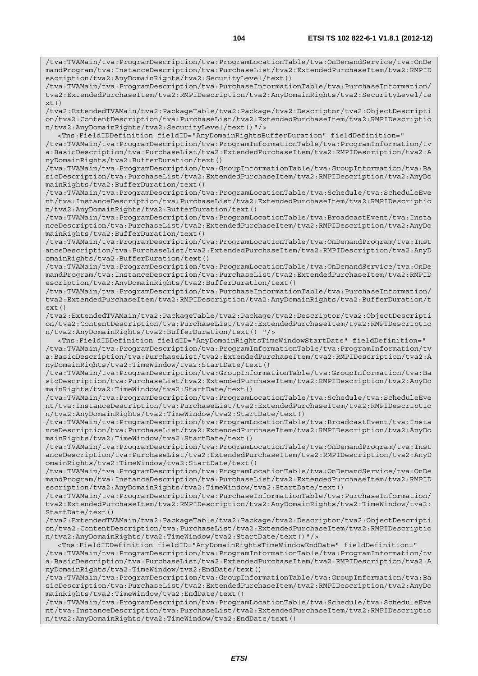/tva:TVAMain/tva:ProgramDescription/tva:ProgramLocationTable/tva:OnDemandService/tva:OnDe mandProgram/tva:InstanceDescription/tva:PurchaseList/tva2:ExtendedPurchaseItem/tva2:RMPID escription/tva2:AnyDomainRights/tva2:SecurityLevel/text()

/tva:TVAMain/tva:ProgramDescription/tva:PurchaseInformationTable/tva:PurchaseInformation/ tva2:ExtendedPurchaseItem/tva2:RMPIDescription/tva2:AnyDomainRights/tva2:SecurityLevel/te  $xt()$ 

/tva2:ExtendedTVAMain/tva2:PackageTable/tva2:Package/tva2:Descriptor/tva2:ObjectDescripti on/tva2:ContentDescription/tva:PurchaseList/tva2:ExtendedPurchaseItem/tva2:RMPIDescriptio n/tva2:AnyDomainRights/tva2:SecurityLevel/text()"/>

 <Tns:FieldIDDefinition fieldID="AnyDomainRightsBufferDuration" fieldDefinition=" /tva:TVAMain/tva:ProgramDescription/tva:ProgramInformationTable/tva:ProgramInformation/tv a:BasicDescription/tva:PurchaseList/tva2:ExtendedPurchaseItem/tva2:RMPIDescription/tva2:A nyDomainRights/tva2:BufferDuration/text()

/tva:TVAMain/tva:ProgramDescription/tva:GroupInformationTable/tva:GroupInformation/tva:Ba sicDescription/tva:PurchaseList/tva2:ExtendedPurchaseItem/tva2:RMPIDescription/tva2:AnyDo mainRights/tva2:BufferDuration/text()

/tva:TVAMain/tva:ProgramDescription/tva:ProgramLocationTable/tva:Schedule/tva:ScheduleEve nt/tva:InstanceDescription/tva:PurchaseList/tva2:ExtendedPurchaseItem/tva2:RMPIDescriptio n/tva2:AnyDomainRights/tva2:BufferDuration/text()

/tva:TVAMain/tva:ProgramDescription/tva:ProgramLocationTable/tva:BroadcastEvent/tva:Insta nceDescription/tva:PurchaseList/tva2:ExtendedPurchaseItem/tva2:RMPIDescription/tva2:AnyDo mainRights/tva2:BufferDuration/text()

/tva:TVAMain/tva:ProgramDescription/tva:ProgramLocationTable/tva:OnDemandProgram/tva:Inst anceDescription/tva:PurchaseList/tva2:ExtendedPurchaseItem/tva2:RMPIDescription/tva2:AnyD omainRights/tva2:BufferDuration/text()

/tva:TVAMain/tva:ProgramDescription/tva:ProgramLocationTable/tva:OnDemandService/tva:OnDe mandProgram/tva:InstanceDescription/tva:PurchaseList/tva2:ExtendedPurchaseItem/tva2:RMPID escription/tva2:AnyDomainRights/tva2:BufferDuration/text()

/tva:TVAMain/tva:ProgramDescription/tva:PurchaseInformationTable/tva:PurchaseInformation/ tva2:ExtendedPurchaseItem/tva2:RMPIDescription/tva2:AnyDomainRights/tva2:BufferDuration/t ext()

/tva2:ExtendedTVAMain/tva2:PackageTable/tva2:Package/tva2:Descriptor/tva2:ObjectDescripti on/tva2:ContentDescription/tva:PurchaseList/tva2:ExtendedPurchaseItem/tva2:RMPIDescriptio n/tva2:AnyDomainRights/tva2:BufferDuration/text() "/>

 <Tns:FieldIDDefinition fieldID="AnyDomainRightsTimeWindowStartDate" fieldDefinition=" /tva:TVAMain/tva:ProgramDescription/tva:ProgramInformationTable/tva:ProgramInformation/tv a:BasicDescription/tva:PurchaseList/tva2:ExtendedPurchaseItem/tva2:RMPIDescription/tva2:A nyDomainRights/tva2:TimeWindow/tva2:StartDate/text()

/tva:TVAMain/tva:ProgramDescription/tva:GroupInformationTable/tva:GroupInformation/tva:Ba sicDescription/tva:PurchaseList/tva2:ExtendedPurchaseItem/tva2:RMPIDescription/tva2:AnyDo mainRights/tva2:TimeWindow/tva2:StartDate/text()

/tva:TVAMain/tva:ProgramDescription/tva:ProgramLocationTable/tva:Schedule/tva:ScheduleEve nt/tva:InstanceDescription/tva:PurchaseList/tva2:ExtendedPurchaseItem/tva2:RMPIDescriptio n/tva2:AnyDomainRights/tva2:TimeWindow/tva2:StartDate/text()

/tva:TVAMain/tva:ProgramDescription/tva:ProgramLocationTable/tva:BroadcastEvent/tva:Insta nceDescription/tva:PurchaseList/tva2:ExtendedPurchaseItem/tva2:RMPIDescription/tva2:AnyDo mainRights/tva2:TimeWindow/tva2:StartDate/text()

/tva:TVAMain/tva:ProgramDescription/tva:ProgramLocationTable/tva:OnDemandProgram/tva:Inst anceDescription/tva:PurchaseList/tva2:ExtendedPurchaseItem/tva2:RMPIDescription/tva2:AnyD omainRights/tva2:TimeWindow/tva2:StartDate/text()

/tva:TVAMain/tva:ProgramDescription/tva:ProgramLocationTable/tva:OnDemandService/tva:OnDe mandProgram/tva:InstanceDescription/tva:PurchaseList/tva2:ExtendedPurchaseItem/tva2:RMPID escription/tva2:AnyDomainRights/tva2:TimeWindow/tva2:StartDate/text()

/tva:TVAMain/tva:ProgramDescription/tva:PurchaseInformationTable/tva:PurchaseInformation/ tva2:ExtendedPurchaseItem/tva2:RMPIDescription/tva2:AnyDomainRights/tva2:TimeWindow/tva2: StartDate/text()

/tva2:ExtendedTVAMain/tva2:PackageTable/tva2:Package/tva2:Descriptor/tva2:ObjectDescripti on/tva2:ContentDescription/tva:PurchaseList/tva2:ExtendedPurchaseItem/tva2:RMPIDescriptio n/tva2:AnyDomainRights/tva2:TimeWindow/tva2:StartDate/text()"/>

 <Tns:FieldIDDefinition fieldID="AnyDomainRightsTimeWindowEndDate" fieldDefinition=" /tva:TVAMain/tva:ProgramDescription/tva:ProgramInformationTable/tva:ProgramInformation/tv a:BasicDescription/tva:PurchaseList/tva2:ExtendedPurchaseItem/tva2:RMPIDescription/tva2:A nyDomainRights/tva2:TimeWindow/tva2:EndDate/text()

/tva:TVAMain/tva:ProgramDescription/tva:GroupInformationTable/tva:GroupInformation/tva:Ba sicDescription/tva:PurchaseList/tva2:ExtendedPurchaseItem/tva2:RMPIDescription/tva2:AnyDo mainRights/tva2:TimeWindow/tva2:EndDate/text()

/tva:TVAMain/tva:ProgramDescription/tva:ProgramLocationTable/tva:Schedule/tva:ScheduleEve nt/tva:InstanceDescription/tva:PurchaseList/tva2:ExtendedPurchaseItem/tva2:RMPIDescriptio n/tva2:AnyDomainRights/tva2:TimeWindow/tva2:EndDate/text()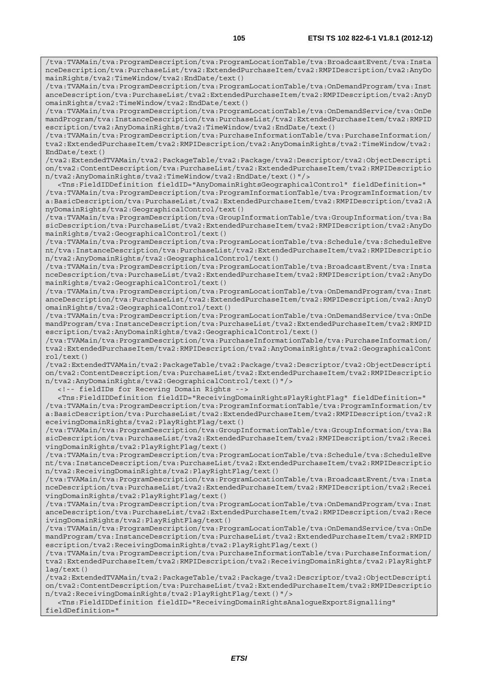/tva:TVAMain/tva:ProgramDescription/tva:ProgramLocationTable/tva:BroadcastEvent/tva:Insta nceDescription/tva:PurchaseList/tva2:ExtendedPurchaseItem/tva2:RMPIDescription/tva2:AnyDo mainRights/tva2:TimeWindow/tva2:EndDate/text()

/tva:TVAMain/tva:ProgramDescription/tva:ProgramLocationTable/tva:OnDemandProgram/tva:Inst anceDescription/tva:PurchaseList/tva2:ExtendedPurchaseItem/tva2:RMPIDescription/tva2:AnyD omainRights/tva2:TimeWindow/tva2:EndDate/text()

/tva:TVAMain/tva:ProgramDescription/tva:ProgramLocationTable/tva:OnDemandService/tva:OnDe mandProgram/tva:InstanceDescription/tva:PurchaseList/tva2:ExtendedPurchaseItem/tva2:RMPID escription/tva2:AnyDomainRights/tva2:TimeWindow/tva2:EndDate/text()

/tva:TVAMain/tva:ProgramDescription/tva:PurchaseInformationTable/tva:PurchaseInformation/ tva2:ExtendedPurchaseItem/tva2:RMPIDescription/tva2:AnyDomainRights/tva2:TimeWindow/tva2: EndDate/text()

/tva2:ExtendedTVAMain/tva2:PackageTable/tva2:Package/tva2:Descriptor/tva2:ObjectDescripti on/tva2:ContentDescription/tva:PurchaseList/tva2:ExtendedPurchaseItem/tva2:RMPIDescriptio n/tva2:AnyDomainRights/tva2:TimeWindow/tva2:EndDate/text()"/>

 <Tns:FieldIDDefinition fieldID="AnyDomainRightsGeographicalControl" fieldDefinition=" /tva:TVAMain/tva:ProgramDescription/tva:ProgramInformationTable/tva:ProgramInformation/tv a:BasicDescription/tva:PurchaseList/tva2:ExtendedPurchaseItem/tva2:RMPIDescription/tva2:A nyDomainRights/tva2:GeographicalControl/text()

/tva:TVAMain/tva:ProgramDescription/tva:GroupInformationTable/tva:GroupInformation/tva:Ba sicDescription/tva:PurchaseList/tva2:ExtendedPurchaseItem/tva2:RMPIDescription/tva2:AnyDo mainRights/tva2:GeographicalControl/text()

/tva:TVAMain/tva:ProgramDescription/tva:ProgramLocationTable/tva:Schedule/tva:ScheduleEve nt/tva:InstanceDescription/tva:PurchaseList/tva2:ExtendedPurchaseItem/tva2:RMPIDescriptio n/tva2:AnyDomainRights/tva2:GeographicalControl/text()

/tva:TVAMain/tva:ProgramDescription/tva:ProgramLocationTable/tva:BroadcastEvent/tva:Insta nceDescription/tva:PurchaseList/tva2:ExtendedPurchaseItem/tva2:RMPIDescription/tva2:AnyDo mainRights/tva2:GeographicalControl/text()

/tva:TVAMain/tva:ProgramDescription/tva:ProgramLocationTable/tva:OnDemandProgram/tva:Inst anceDescription/tva:PurchaseList/tva2:ExtendedPurchaseItem/tva2:RMPIDescription/tva2:AnyD omainRights/tva2:GeographicalControl/text()

/tva:TVAMain/tva:ProgramDescription/tva:ProgramLocationTable/tva:OnDemandService/tva:OnDe mandProgram/tva:InstanceDescription/tva:PurchaseList/tva2:ExtendedPurchaseItem/tva2:RMPID escription/tva2:AnyDomainRights/tva2:GeographicalControl/text()

/tva:TVAMain/tva:ProgramDescription/tva:PurchaseInformationTable/tva:PurchaseInformation/ tva2:ExtendedPurchaseItem/tva2:RMPIDescription/tva2:AnyDomainRights/tva2:GeographicalCont rol/text()

/tva2:ExtendedTVAMain/tva2:PackageTable/tva2:Package/tva2:Descriptor/tva2:ObjectDescripti on/tva2:ContentDescription/tva:PurchaseList/tva2:ExtendedPurchaseItem/tva2:RMPIDescriptio n/tva2:AnyDomainRights/tva2:GeographicalControl/text()"/>

<!-- fieldIDs for Receving Domain Rights -->

 <Tns:FieldIDDefinition fieldID="ReceivingDomainRightsPlayRightFlag" fieldDefinition=" /tva:TVAMain/tva:ProgramDescription/tva:ProgramInformationTable/tva:ProgramInformation/tv a:BasicDescription/tva:PurchaseList/tva2:ExtendedPurchaseItem/tva2:RMPIDescription/tva2:R eceivingDomainRights/tva2:PlayRightFlag/text()

/tva:TVAMain/tva:ProgramDescription/tva:GroupInformationTable/tva:GroupInformation/tva:Ba sicDescription/tva:PurchaseList/tva2:ExtendedPurchaseItem/tva2:RMPIDescription/tva2:Recei vingDomainRights/tva2:PlayRightFlag/text()

/tva:TVAMain/tva:ProgramDescription/tva:ProgramLocationTable/tva:Schedule/tva:ScheduleEve nt/tva:InstanceDescription/tva:PurchaseList/tva2:ExtendedPurchaseItem/tva2:RMPIDescriptio n/tva2:ReceivingDomainRights/tva2:PlayRightFlag/text()

/tva:TVAMain/tva:ProgramDescription/tva:ProgramLocationTable/tva:BroadcastEvent/tva:Insta nceDescription/tva:PurchaseList/tva2:ExtendedPurchaseItem/tva2:RMPIDescription/tva2:Recei vingDomainRights/tva2:PlayRightFlag/text()

/tva:TVAMain/tva:ProgramDescription/tva:ProgramLocationTable/tva:OnDemandProgram/tva:Inst anceDescription/tva:PurchaseList/tva2:ExtendedPurchaseItem/tva2:RMPIDescription/tva2:Rece ivingDomainRights/tva2:PlayRightFlag/text()

/tva:TVAMain/tva:ProgramDescription/tva:ProgramLocationTable/tva:OnDemandService/tva:OnDe mandProgram/tva:InstanceDescription/tva:PurchaseList/tva2:ExtendedPurchaseItem/tva2:RMPID escription/tva2:ReceivingDomainRights/tva2:PlayRightFlag/text()

/tva:TVAMain/tva:ProgramDescription/tva:PurchaseInformationTable/tva:PurchaseInformation/ tva2:ExtendedPurchaseItem/tva2:RMPIDescription/tva2:ReceivingDomainRights/tva2:PlayRightF lag/text()

/tva2:ExtendedTVAMain/tva2:PackageTable/tva2:Package/tva2:Descriptor/tva2:ObjectDescripti on/tva2:ContentDescription/tva:PurchaseList/tva2:ExtendedPurchaseItem/tva2:RMPIDescriptio n/tva2:ReceivingDomainRights/tva2:PlayRightFlag/text()"/>

 <Tns:FieldIDDefinition fieldID="ReceivingDomainRightsAnalogueExportSignalling" fieldDefinition="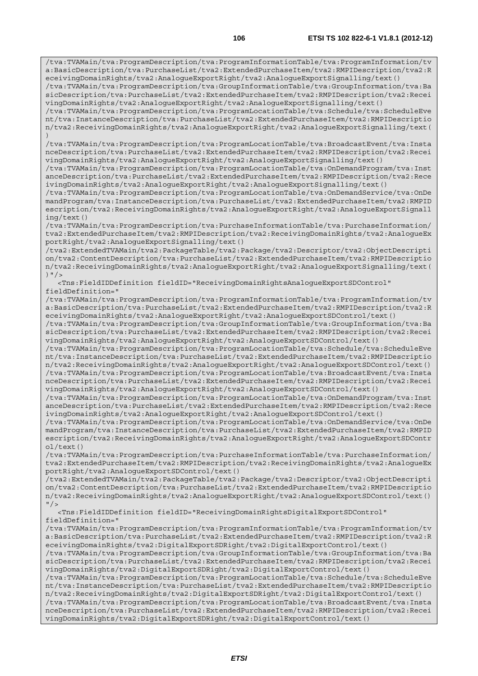/tva:TVAMain/tva:ProgramDescription/tva:ProgramInformationTable/tva:ProgramInformation/tv a:BasicDescription/tva:PurchaseList/tva2:ExtendedPurchaseItem/tva2:RMPIDescription/tva2:R eceivingDomainRights/tva2:AnalogueExportRight/tva2:AnalogueExportSignalling/text()

/tva:TVAMain/tva:ProgramDescription/tva:GroupInformationTable/tva:GroupInformation/tva:Ba sicDescription/tva:PurchaseList/tva2:ExtendedPurchaseItem/tva2:RMPIDescription/tva2:Recei vingDomainRights/tva2:AnalogueExportRight/tva2:AnalogueExportSignalling/text()

/tva:TVAMain/tva:ProgramDescription/tva:ProgramLocationTable/tva:Schedule/tva:ScheduleEve nt/tva:InstanceDescription/tva:PurchaseList/tva2:ExtendedPurchaseItem/tva2:RMPIDescriptio n/tva2:ReceivingDomainRights/tva2:AnalogueExportRight/tva2:AnalogueExportSignalling/text( )

/tva:TVAMain/tva:ProgramDescription/tva:ProgramLocationTable/tva:BroadcastEvent/tva:Insta nceDescription/tva:PurchaseList/tva2:ExtendedPurchaseItem/tva2:RMPIDescription/tva2:Recei vingDomainRights/tva2:AnalogueExportRight/tva2:AnalogueExportSignalling/text()

/tva:TVAMain/tva:ProgramDescription/tva:ProgramLocationTable/tva:OnDemandProgram/tva:Inst anceDescription/tva:PurchaseList/tva2:ExtendedPurchaseItem/tva2:RMPIDescription/tva2:Rece ivingDomainRights/tva2:AnalogueExportRight/tva2:AnalogueExportSignalling/text()

/tva:TVAMain/tva:ProgramDescription/tva:ProgramLocationTable/tva:OnDemandService/tva:OnDe mandProgram/tva:InstanceDescription/tva:PurchaseList/tva2:ExtendedPurchaseItem/tva2:RMPID escription/tva2:ReceivingDomainRights/tva2:AnalogueExportRight/tva2:AnalogueExportSignall ing/text()

/tva:TVAMain/tva:ProgramDescription/tva:PurchaseInformationTable/tva:PurchaseInformation/ tva2:ExtendedPurchaseItem/tva2:RMPIDescription/tva2:ReceivingDomainRights/tva2:AnalogueEx portRight/tva2:AnalogueExportSignalling/text()

/tva2:ExtendedTVAMain/tva2:PackageTable/tva2:Package/tva2:Descriptor/tva2:ObjectDescripti on/tva2:ContentDescription/tva:PurchaseList/tva2:ExtendedPurchaseItem/tva2:RMPIDescriptio n/tva2:ReceivingDomainRights/tva2:AnalogueExportRight/tva2:AnalogueExportSignalling/text( )  $"$  / >

 <Tns:FieldIDDefinition fieldID="ReceivingDomainRightsAnalogueExportSDControl" fieldDefinition="

/tva:TVAMain/tva:ProgramDescription/tva:ProgramInformationTable/tva:ProgramInformation/tv a:BasicDescription/tva:PurchaseList/tva2:ExtendedPurchaseItem/tva2:RMPIDescription/tva2:R eceivingDomainRights/tva2:AnalogueExportRight/tva2:AnalogueExportSDControl/text()

/tva:TVAMain/tva:ProgramDescription/tva:GroupInformationTable/tva:GroupInformation/tva:Ba sicDescription/tva:PurchaseList/tva2:ExtendedPurchaseItem/tva2:RMPIDescription/tva2:Recei vingDomainRights/tva2:AnalogueExportRight/tva2:AnalogueExportSDControl/text()

/tva:TVAMain/tva:ProgramDescription/tva:ProgramLocationTable/tva:Schedule/tva:ScheduleEve nt/tva:InstanceDescription/tva:PurchaseList/tva2:ExtendedPurchaseItem/tva2:RMPIDescriptio n/tva2:ReceivingDomainRights/tva2:AnalogueExportRight/tva2:AnalogueExportSDControl/text() /tva:TVAMain/tva:ProgramDescription/tva:ProgramLocationTable/tva:BroadcastEvent/tva:Insta nceDescription/tva:PurchaseList/tva2:ExtendedPurchaseItem/tva2:RMPIDescription/tva2:Recei vingDomainRights/tva2:AnalogueExportRight/tva2:AnalogueExportSDControl/text()

/tva:TVAMain/tva:ProgramDescription/tva:ProgramLocationTable/tva:OnDemandProgram/tva:Inst anceDescription/tva:PurchaseList/tva2:ExtendedPurchaseItem/tva2:RMPIDescription/tva2:Rece ivingDomainRights/tva2:AnalogueExportRight/tva2:AnalogueExportSDControl/text()

/tva:TVAMain/tva:ProgramDescription/tva:ProgramLocationTable/tva:OnDemandService/tva:OnDe mandProgram/tva:InstanceDescription/tva:PurchaseList/tva2:ExtendedPurchaseItem/tva2:RMPID escription/tva2:ReceivingDomainRights/tva2:AnalogueExportRight/tva2:AnalogueExportSDContr ol/text()

/tva:TVAMain/tva:ProgramDescription/tva:PurchaseInformationTable/tva:PurchaseInformation/ tva2:ExtendedPurchaseItem/tva2:RMPIDescription/tva2:ReceivingDomainRights/tva2:AnalogueEx portRight/tva2:AnalogueExportSDControl/text()

/tva2:ExtendedTVAMain/tva2:PackageTable/tva2:Package/tva2:Descriptor/tva2:ObjectDescripti on/tva2:ContentDescription/tva:PurchaseList/tva2:ExtendedPurchaseItem/tva2:RMPIDescriptio n/tva2:ReceivingDomainRights/tva2:AnalogueExportRight/tva2:AnalogueExportSDControl/text()  $"$  />

 <Tns:FieldIDDefinition fieldID="ReceivingDomainRightsDigitalExportSDControl" fieldDefinition="

/tva:TVAMain/tva:ProgramDescription/tva:ProgramInformationTable/tva:ProgramInformation/tv a:BasicDescription/tva:PurchaseList/tva2:ExtendedPurchaseItem/tva2:RMPIDescription/tva2:R eceivingDomainRights/tva2:DigitalExportSDRight/tva2:DigitalExportControl/text()

/tva:TVAMain/tva:ProgramDescription/tva:GroupInformationTable/tva:GroupInformation/tva:Ba sicDescription/tva:PurchaseList/tva2:ExtendedPurchaseItem/tva2:RMPIDescription/tva2:Recei vingDomainRights/tva2:DigitalExportSDRight/tva2:DigitalExportControl/text()

/tva:TVAMain/tva:ProgramDescription/tva:ProgramLocationTable/tva:Schedule/tva:ScheduleEve nt/tva:InstanceDescription/tva:PurchaseList/tva2:ExtendedPurchaseItem/tva2:RMPIDescriptio n/tva2:ReceivingDomainRights/tva2:DigitalExportSDRight/tva2:DigitalExportControl/text()

/tva:TVAMain/tva:ProgramDescription/tva:ProgramLocationTable/tva:BroadcastEvent/tva:Insta nceDescription/tva:PurchaseList/tva2:ExtendedPurchaseItem/tva2:RMPIDescription/tva2:Recei vingDomainRights/tva2:DigitalExportSDRight/tva2:DigitalExportControl/text()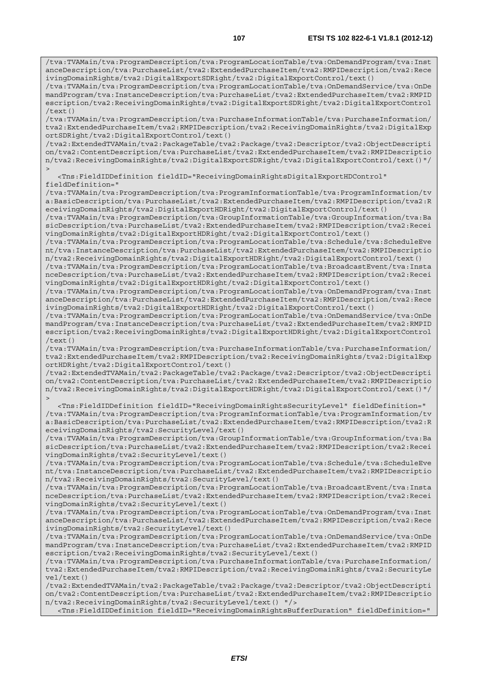/tva:TVAMain/tva:ProgramDescription/tva:ProgramLocationTable/tva:OnDemandProgram/tva:Inst anceDescription/tva:PurchaseList/tva2:ExtendedPurchaseItem/tva2:RMPIDescription/tva2:Rece ivingDomainRights/tva2:DigitalExportSDRight/tva2:DigitalExportControl/text()

/tva:TVAMain/tva:ProgramDescription/tva:ProgramLocationTable/tva:OnDemandService/tva:OnDe mandProgram/tva:InstanceDescription/tva:PurchaseList/tva2:ExtendedPurchaseItem/tva2:RMPID escription/tva2:ReceivingDomainRights/tva2:DigitalExportSDRight/tva2:DigitalExportControl  $/$ text $()$ 

/tva:TVAMain/tva:ProgramDescription/tva:PurchaseInformationTable/tva:PurchaseInformation/ tva2:ExtendedPurchaseItem/tva2:RMPIDescription/tva2:ReceivingDomainRights/tva2:DigitalExp ortSDRight/tva2:DigitalExportControl/text()

/tva2:ExtendedTVAMain/tva2:PackageTable/tva2:Package/tva2:Descriptor/tva2:ObjectDescripti on/tva2:ContentDescription/tva:PurchaseList/tva2:ExtendedPurchaseItem/tva2:RMPIDescriptio n/tva2:ReceivingDomainRights/tva2:DigitalExportSDRight/tva2:DigitalExportControl/text()"/  $>$ 

 <Tns:FieldIDDefinition fieldID="ReceivingDomainRightsDigitalExportHDControl" fieldDefinition="

/tva:TVAMain/tva:ProgramDescription/tva:ProgramInformationTable/tva:ProgramInformation/tv a:BasicDescription/tva:PurchaseList/tva2:ExtendedPurchaseItem/tva2:RMPIDescription/tva2:R eceivingDomainRights/tva2:DigitalExportHDRight/tva2:DigitalExportControl/text()

/tva:TVAMain/tva:ProgramDescription/tva:GroupInformationTable/tva:GroupInformation/tva:Ba sicDescription/tva:PurchaseList/tva2:ExtendedPurchaseItem/tva2:RMPIDescription/tva2:Recei vingDomainRights/tva2:DigitalExportHDRight/tva2:DigitalExportControl/text()

/tva:TVAMain/tva:ProgramDescription/tva:ProgramLocationTable/tva:Schedule/tva:ScheduleEve nt/tva:InstanceDescription/tva:PurchaseList/tva2:ExtendedPurchaseItem/tva2:RMPIDescriptio n/tva2:ReceivingDomainRights/tva2:DigitalExportHDRight/tva2:DigitalExportControl/text()

/tva:TVAMain/tva:ProgramDescription/tva:ProgramLocationTable/tva:BroadcastEvent/tva:Insta nceDescription/tva:PurchaseList/tva2:ExtendedPurchaseItem/tva2:RMPIDescription/tva2:Recei vingDomainRights/tva2:DigitalExportHDRight/tva2:DigitalExportControl/text()

/tva:TVAMain/tva:ProgramDescription/tva:ProgramLocationTable/tva:OnDemandProgram/tva:Inst anceDescription/tva:PurchaseList/tva2:ExtendedPurchaseItem/tva2:RMPIDescription/tva2:Rece ivingDomainRights/tva2:DigitalExportHDRight/tva2:DigitalExportControl/text()

/tva:TVAMain/tva:ProgramDescription/tva:ProgramLocationTable/tva:OnDemandService/tva:OnDe mandProgram/tva:InstanceDescription/tva:PurchaseList/tva2:ExtendedPurchaseItem/tva2:RMPID escription/tva2:ReceivingDomainRights/tva2:DigitalExportHDRight/tva2:DigitalExportControl /text()

/tva:TVAMain/tva:ProgramDescription/tva:PurchaseInformationTable/tva:PurchaseInformation/ tva2:ExtendedPurchaseItem/tva2:RMPIDescription/tva2:ReceivingDomainRights/tva2:DigitalExp ortHDRight/tva2:DigitalExportControl/text()

/tva2:ExtendedTVAMain/tva2:PackageTable/tva2:Package/tva2:Descriptor/tva2:ObjectDescripti on/tva2:ContentDescription/tva:PurchaseList/tva2:ExtendedPurchaseItem/tva2:RMPIDescriptio n/tva2:ReceivingDomainRights/tva2:DigitalExportHDRight/tva2:DigitalExportControl/text()"/  $\overline{\phantom{a}}$ 

 <Tns:FieldIDDefinition fieldID="ReceivingDomainRightsSecurityLevel" fieldDefinition=" /tva:TVAMain/tva:ProgramDescription/tva:ProgramInformationTable/tva:ProgramInformation/tv a:BasicDescription/tva:PurchaseList/tva2:ExtendedPurchaseItem/tva2:RMPIDescription/tva2:R eceivingDomainRights/tva2:SecurityLevel/text()

/tva:TVAMain/tva:ProgramDescription/tva:GroupInformationTable/tva:GroupInformation/tva:Ba sicDescription/tva:PurchaseList/tva2:ExtendedPurchaseItem/tva2:RMPIDescription/tva2:Recei vingDomainRights/tva2:SecurityLevel/text()

/tva:TVAMain/tva:ProgramDescription/tva:ProgramLocationTable/tva:Schedule/tva:ScheduleEve nt/tva:InstanceDescription/tva:PurchaseList/tva2:ExtendedPurchaseItem/tva2:RMPIDescriptio n/tva2:ReceivingDomainRights/tva2:SecurityLevel/text()

/tva:TVAMain/tva:ProgramDescription/tva:ProgramLocationTable/tva:BroadcastEvent/tva:Insta nceDescription/tva:PurchaseList/tva2:ExtendedPurchaseItem/tva2:RMPIDescription/tva2:Recei vingDomainRights/tva2:SecurityLevel/text()

/tva:TVAMain/tva:ProgramDescription/tva:ProgramLocationTable/tva:OnDemandProgram/tva:Inst anceDescription/tva:PurchaseList/tva2:ExtendedPurchaseItem/tva2:RMPIDescription/tva2:Rece ivingDomainRights/tva2:SecurityLevel/text()

/tva:TVAMain/tva:ProgramDescription/tva:ProgramLocationTable/tva:OnDemandService/tva:OnDe mandProgram/tva:InstanceDescription/tva:PurchaseList/tva2:ExtendedPurchaseItem/tva2:RMPID escription/tva2:ReceivingDomainRights/tva2:SecurityLevel/text()

/tva:TVAMain/tva:ProgramDescription/tva:PurchaseInformationTable/tva:PurchaseInformation/ tva2:ExtendedPurchaseItem/tva2:RMPIDescription/tva2:ReceivingDomainRights/tva2:SecurityLe vel/text()

/tva2:ExtendedTVAMain/tva2:PackageTable/tva2:Package/tva2:Descriptor/tva2:ObjectDescripti on/tva2:ContentDescription/tva:PurchaseList/tva2:ExtendedPurchaseItem/tva2:RMPIDescriptio n/tva2:ReceivingDomainRights/tva2:SecurityLevel/text() "/>

<Tns:FieldIDDefinition fieldID="ReceivingDomainRightsBufferDuration" fieldDefinition="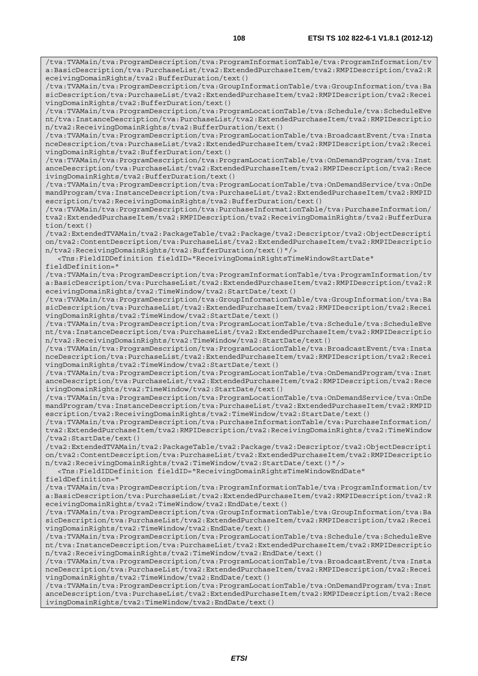/tva:TVAMain/tva:ProgramDescription/tva:ProgramInformationTable/tva:ProgramInformation/tv

a:BasicDescription/tva:PurchaseList/tva2:ExtendedPurchaseItem/tva2:RMPIDescription/tva2:R eceivingDomainRights/tva2:BufferDuration/text() /tva:TVAMain/tva:ProgramDescription/tva:GroupInformationTable/tva:GroupInformation/tva:Ba sicDescription/tva:PurchaseList/tva2:ExtendedPurchaseItem/tva2:RMPIDescription/tva2:Recei vingDomainRights/tva2:BufferDuration/text() /tva:TVAMain/tva:ProgramDescription/tva:ProgramLocationTable/tva:Schedule/tva:ScheduleEve nt/tva:InstanceDescription/tva:PurchaseList/tva2:ExtendedPurchaseItem/tva2:RMPIDescriptio n/tva2:ReceivingDomainRights/tva2:BufferDuration/text() /tva:TVAMain/tva:ProgramDescription/tva:ProgramLocationTable/tva:BroadcastEvent/tva:Insta nceDescription/tva:PurchaseList/tva2:ExtendedPurchaseItem/tva2:RMPIDescription/tva2:Recei vingDomainRights/tva2:BufferDuration/text() /tva:TVAMain/tva:ProgramDescription/tva:ProgramLocationTable/tva:OnDemandProgram/tva:Inst anceDescription/tva:PurchaseList/tva2:ExtendedPurchaseItem/tva2:RMPIDescription/tva2:Rece ivingDomainRights/tva2:BufferDuration/text() /tva:TVAMain/tva:ProgramDescription/tva:ProgramLocationTable/tva:OnDemandService/tva:OnDe mandProgram/tva:InstanceDescription/tva:PurchaseList/tva2:ExtendedPurchaseItem/tva2:RMPID escription/tva2:ReceivingDomainRights/tva2:BufferDuration/text() /tva:TVAMain/tva:ProgramDescription/tva:PurchaseInformationTable/tva:PurchaseInformation/ tva2:ExtendedPurchaseItem/tva2:RMPIDescription/tva2:ReceivingDomainRights/tva2:BufferDura tion/text() /tva2:ExtendedTVAMain/tva2:PackageTable/tva2:Package/tva2:Descriptor/tva2:ObjectDescripti on/tva2:ContentDescription/tva:PurchaseList/tva2:ExtendedPurchaseItem/tva2:RMPIDescriptio n/tva2:ReceivingDomainRights/tva2:BufferDuration/text()"/> <Tns:FieldIDDefinition fieldID="ReceivingDomainRightsTimeWindowStartDate" fieldDefinition=" /tva:TVAMain/tva:ProgramDescription/tva:ProgramInformationTable/tva:ProgramInformation/tv a:BasicDescription/tva:PurchaseList/tva2:ExtendedPurchaseItem/tva2:RMPIDescription/tva2:R eceivingDomainRights/tva2:TimeWindow/tva2:StartDate/text() /tva:TVAMain/tva:ProgramDescription/tva:GroupInformationTable/tva:GroupInformation/tva:Ba sicDescription/tva:PurchaseList/tva2:ExtendedPurchaseItem/tva2:RMPIDescription/tva2:Recei vingDomainRights/tva2:TimeWindow/tva2:StartDate/text() /tva:TVAMain/tva:ProgramDescription/tva:ProgramLocationTable/tva:Schedule/tva:ScheduleEve nt/tva:InstanceDescription/tva:PurchaseList/tva2:ExtendedPurchaseItem/tva2:RMPIDescriptio n/tva2:ReceivingDomainRights/tva2:TimeWindow/tva2:StartDate/text() /tva:TVAMain/tva:ProgramDescription/tva:ProgramLocationTable/tva:BroadcastEvent/tva:Insta nceDescription/tva:PurchaseList/tva2:ExtendedPurchaseItem/tva2:RMPIDescription/tva2:Recei vingDomainRights/tva2:TimeWindow/tva2:StartDate/text() /tva:TVAMain/tva:ProgramDescription/tva:ProgramLocationTable/tva:OnDemandProgram/tva:Inst anceDescription/tva:PurchaseList/tva2:ExtendedPurchaseItem/tva2:RMPIDescription/tva2:Rece ivingDomainRights/tva2:TimeWindow/tva2:StartDate/text() /tva:TVAMain/tva:ProgramDescription/tva:ProgramLocationTable/tva:OnDemandService/tva:OnDe mandProgram/tva:InstanceDescription/tva:PurchaseList/tva2:ExtendedPurchaseItem/tva2:RMPID escription/tva2:ReceivingDomainRights/tva2:TimeWindow/tva2:StartDate/text() /tva:TVAMain/tva:ProgramDescription/tva:PurchaseInformationTable/tva:PurchaseInformation/ tva2:ExtendedPurchaseItem/tva2:RMPIDescription/tva2:ReceivingDomainRights/tva2:TimeWindow /tva2:StartDate/text() /tva2:ExtendedTVAMain/tva2:PackageTable/tva2:Package/tva2:Descriptor/tva2:ObjectDescripti on/tva2:ContentDescription/tva:PurchaseList/tva2:ExtendedPurchaseItem/tva2:RMPIDescriptio n/tva2:ReceivingDomainRights/tva2:TimeWindow/tva2:StartDate/text()"/> <Tns:FieldIDDefinition fieldID="ReceivingDomainRightsTimeWindowEndDate" fieldDefinition=" /tva:TVAMain/tva:ProgramDescription/tva:ProgramInformationTable/tva:ProgramInformation/tv a:BasicDescription/tva:PurchaseList/tva2:ExtendedPurchaseItem/tva2:RMPIDescription/tva2:R eceivingDomainRights/tva2:TimeWindow/tva2:EndDate/text() /tva:TVAMain/tva:ProgramDescription/tva:GroupInformationTable/tva:GroupInformation/tva:Ba sicDescription/tva:PurchaseList/tva2:ExtendedPurchaseItem/tva2:RMPIDescription/tva2:Recei vingDomainRights/tva2:TimeWindow/tva2:EndDate/text() /tva:TVAMain/tva:ProgramDescription/tva:ProgramLocationTable/tva:Schedule/tva:ScheduleEve nt/tva:InstanceDescription/tva:PurchaseList/tva2:ExtendedPurchaseItem/tva2:RMPIDescriptio n/tva2:ReceivingDomainRights/tva2:TimeWindow/tva2:EndDate/text() /tva:TVAMain/tva:ProgramDescription/tva:ProgramLocationTable/tva:BroadcastEvent/tva:Insta nceDescription/tva:PurchaseList/tva2:ExtendedPurchaseItem/tva2:RMPIDescription/tva2:Recei vingDomainRights/tva2:TimeWindow/tva2:EndDate/text()

/tva:TVAMain/tva:ProgramDescription/tva:ProgramLocationTable/tva:OnDemandProgram/tva:Inst anceDescription/tva:PurchaseList/tva2:ExtendedPurchaseItem/tva2:RMPIDescription/tva2:Rece ivingDomainRights/tva2:TimeWindow/tva2:EndDate/text()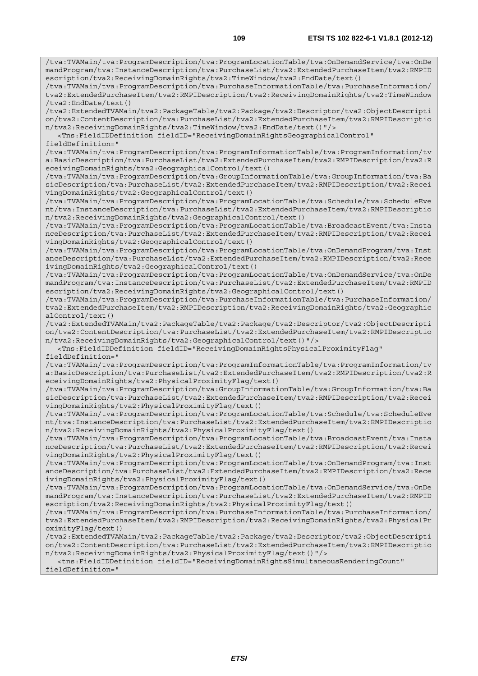/tva:TVAMain/tva:ProgramDescription/tva:ProgramLocationTable/tva:OnDemandService/tva:OnDe mandProgram/tva:InstanceDescription/tva:PurchaseList/tva2:ExtendedPurchaseItem/tva2:RMPID escription/tva2:ReceivingDomainRights/tva2:TimeWindow/tva2:EndDate/text()

/tva:TVAMain/tva:ProgramDescription/tva:PurchaseInformationTable/tva:PurchaseInformation/ tva2:ExtendedPurchaseItem/tva2:RMPIDescription/tva2:ReceivingDomainRights/tva2:TimeWindow /tva2:EndDate/text()

/tva2:ExtendedTVAMain/tva2:PackageTable/tva2:Package/tva2:Descriptor/tva2:ObjectDescripti on/tva2:ContentDescription/tva:PurchaseList/tva2:ExtendedPurchaseItem/tva2:RMPIDescriptio n/tva2:ReceivingDomainRights/tva2:TimeWindow/tva2:EndDate/text()"/>

 <Tns:FieldIDDefinition fieldID="ReceivingDomainRightsGeographicalControl" fieldDefinition="

/tva:TVAMain/tva:ProgramDescription/tva:ProgramInformationTable/tva:ProgramInformation/tv a:BasicDescription/tva:PurchaseList/tva2:ExtendedPurchaseItem/tva2:RMPIDescription/tva2:R eceivingDomainRights/tva2:GeographicalControl/text()

/tva:TVAMain/tva:ProgramDescription/tva:GroupInformationTable/tva:GroupInformation/tva:Ba sicDescription/tva:PurchaseList/tva2:ExtendedPurchaseItem/tva2:RMPIDescription/tva2:Recei vingDomainRights/tva2:GeographicalControl/text()

/tva:TVAMain/tva:ProgramDescription/tva:ProgramLocationTable/tva:Schedule/tva:ScheduleEve nt/tva:InstanceDescription/tva:PurchaseList/tva2:ExtendedPurchaseItem/tva2:RMPIDescriptio n/tva2:ReceivingDomainRights/tva2:GeographicalControl/text()

/tva:TVAMain/tva:ProgramDescription/tva:ProgramLocationTable/tva:BroadcastEvent/tva:Insta nceDescription/tva:PurchaseList/tva2:ExtendedPurchaseItem/tva2:RMPIDescription/tva2:Recei vingDomainRights/tva2:GeographicalControl/text()

/tva:TVAMain/tva:ProgramDescription/tva:ProgramLocationTable/tva:OnDemandProgram/tva:Inst anceDescription/tva:PurchaseList/tva2:ExtendedPurchaseItem/tva2:RMPIDescription/tva2:Rece ivingDomainRights/tva2:GeographicalControl/text()

/tva:TVAMain/tva:ProgramDescription/tva:ProgramLocationTable/tva:OnDemandService/tva:OnDe mandProgram/tva:InstanceDescription/tva:PurchaseList/tva2:ExtendedPurchaseItem/tva2:RMPID escription/tva2:ReceivingDomainRights/tva2:GeographicalControl/text()

/tva:TVAMain/tva:ProgramDescription/tva:PurchaseInformationTable/tva:PurchaseInformation/ tva2:ExtendedPurchaseItem/tva2:RMPIDescription/tva2:ReceivingDomainRights/tva2:Geographic alControl/text()

/tva2:ExtendedTVAMain/tva2:PackageTable/tva2:Package/tva2:Descriptor/tva2:ObjectDescripti on/tva2:ContentDescription/tva:PurchaseList/tva2:ExtendedPurchaseItem/tva2:RMPIDescriptio n/tva2:ReceivingDomainRights/tva2:GeographicalControl/text()"/>

 <Tns:FieldIDDefinition fieldID="ReceivingDomainRightsPhysicalProximityFlag" fieldDefinition="

/tva:TVAMain/tva:ProgramDescription/tva:ProgramInformationTable/tva:ProgramInformation/tv a:BasicDescription/tva:PurchaseList/tva2:ExtendedPurchaseItem/tva2:RMPIDescription/tva2:R eceivingDomainRights/tva2:PhysicalProximityFlag/text()

/tva:TVAMain/tva:ProgramDescription/tva:GroupInformationTable/tva:GroupInformation/tva:Ba sicDescription/tva:PurchaseList/tva2:ExtendedPurchaseItem/tva2:RMPIDescription/tva2:Recei vingDomainRights/tva2:PhysicalProximityFlag/text()

/tva:TVAMain/tva:ProgramDescription/tva:ProgramLocationTable/tva:Schedule/tva:ScheduleEve nt/tva:InstanceDescription/tva:PurchaseList/tva2:ExtendedPurchaseItem/tva2:RMPIDescriptio n/tva2:ReceivingDomainRights/tva2:PhysicalProximityFlag/text()

/tva:TVAMain/tva:ProgramDescription/tva:ProgramLocationTable/tva:BroadcastEvent/tva:Insta nceDescription/tva:PurchaseList/tva2:ExtendedPurchaseItem/tva2:RMPIDescription/tva2:Recei vingDomainRights/tva2:PhysicalProximityFlag/text()

/tva:TVAMain/tva:ProgramDescription/tva:ProgramLocationTable/tva:OnDemandProgram/tva:Inst anceDescription/tva:PurchaseList/tva2:ExtendedPurchaseItem/tva2:RMPIDescription/tva2:Rece ivingDomainRights/tva2:PhysicalProximityFlag/text()

/tva:TVAMain/tva:ProgramDescription/tva:ProgramLocationTable/tva:OnDemandService/tva:OnDe mandProgram/tva:InstanceDescription/tva:PurchaseList/tva2:ExtendedPurchaseItem/tva2:RMPID escription/tva2:ReceivingDomainRights/tva2:PhysicalProximityFlag/text()

/tva:TVAMain/tva:ProgramDescription/tva:PurchaseInformationTable/tva:PurchaseInformation/ tva2:ExtendedPurchaseItem/tva2:RMPIDescription/tva2:ReceivingDomainRights/tva2:PhysicalPr oximityFlag/text()

/tva2:ExtendedTVAMain/tva2:PackageTable/tva2:Package/tva2:Descriptor/tva2:ObjectDescripti on/tva2:ContentDescription/tva:PurchaseList/tva2:ExtendedPurchaseItem/tva2:RMPIDescriptio n/tva2:ReceivingDomainRights/tva2:PhysicalProximityFlag/text()"/>

 <tns:FieldIDDefinition fieldID="ReceivingDomainRightsSimultaneousRenderingCount" fieldDefinition="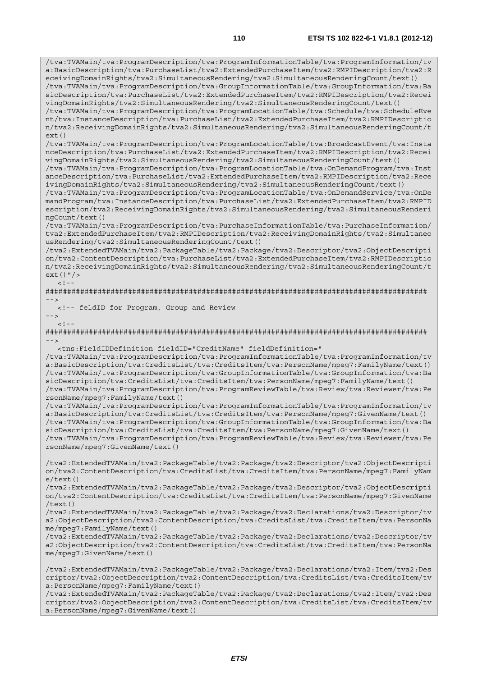/tva:TVAMain/tva:ProgramDescription/tva:ProgramInformationTable/tva:ProgramInformation/tv a:BasicDescription/tva:PurchaseList/tva2:ExtendedPurchaseItem/tva2:RMPIDescription/tva2:R eceivingDomainRights/tva2:SimultaneousRendering/tva2:SimultaneousRenderingCount/text() /tva:TVAMain/tva:ProgramDescription/tva:GroupInformationTable/tva:GroupInformation/tva:Ba sicDescription/tva:PurchaseList/tva2:ExtendedPurchaseItem/tva2:RMPIDescription/tva2:Recei vingDomainRights/tva2:SimultaneousRendering/tva2:SimultaneousRenderingCount/text() /tva:TVAMain/tva:ProgramDescription/tva:ProgramLocationTable/tva:Schedule/tva:ScheduleEve nt/tva:InstanceDescription/tva:PurchaseList/tva2:ExtendedPurchaseItem/tva2:RMPIDescriptio n/tva2:ReceivingDomainRights/tva2:SimultaneousRendering/tva2:SimultaneousRenderingCount/t ext()

/tva:TVAMain/tva:ProgramDescription/tva:ProgramLocationTable/tva:BroadcastEvent/tva:Insta nceDescription/tva:PurchaseList/tva2:ExtendedPurchaseItem/tva2:RMPIDescription/tva2:Recei vingDomainRights/tva2:SimultaneousRendering/tva2:SimultaneousRenderingCount/text()

/tva:TVAMain/tva:ProgramDescription/tva:ProgramLocationTable/tva:OnDemandProgram/tva:Inst anceDescription/tva:PurchaseList/tva2:ExtendedPurchaseItem/tva2:RMPIDescription/tva2:Rece ivingDomainRights/tva2:SimultaneousRendering/tva2:SimultaneousRenderingCount/text()

/tva:TVAMain/tva:ProgramDescription/tva:ProgramLocationTable/tva:OnDemandService/tva:OnDe mandProgram/tva:InstanceDescription/tva:PurchaseList/tva2:ExtendedPurchaseItem/tva2:RMPID escription/tva2:ReceivingDomainRights/tva2:SimultaneousRendering/tva2:SimultaneousRenderi ngCount/text()

/tva:TVAMain/tva:ProgramDescription/tva:PurchaseInformationTable/tva:PurchaseInformation/ tva2:ExtendedPurchaseItem/tva2:RMPIDescription/tva2:ReceivingDomainRights/tva2:Simultaneo usRendering/tva2:SimultaneousRenderingCount/text()

/tva2:ExtendedTVAMain/tva2:PackageTable/tva2:Package/tva2:Descriptor/tva2:ObjectDescripti on/tva2:ContentDescription/tva:PurchaseList/tva2:ExtendedPurchaseItem/tva2:RMPIDescriptio n/tva2:ReceivingDomainRights/tva2:SimultaneousRendering/tva2:SimultaneousRenderingCount/t ext()"/>  $<$ ! --

######################################################################################## -->

<!-- feldID for Program, Group and Review

 $-->$  $\lt$  ! -

######################################################################################## -->

<tns:FieldIDDefinition fieldID="CreditName" fieldDefinition="

/tva:TVAMain/tva:ProgramDescription/tva:ProgramInformationTable/tva:ProgramInformation/tv a:BasicDescription/tva:CreditsList/tva:CreditsItem/tva:PersonName/mpeg7:FamilyName/text() /tva:TVAMain/tva:ProgramDescription/tva:GroupInformationTable/tva:GroupInformation/tva:Ba sicDescription/tva:CreditsList/tva:CreditsItem/tva:PersonName/mpeg7:FamilyName/text() /tva:TVAMain/tva:ProgramDescription/tva:ProgramReviewTable/tva:Review/tva:Reviewer/tva:Pe rsonName/mpeg7:FamilyName/text()

/tva:TVAMain/tva:ProgramDescription/tva:ProgramInformationTable/tva:ProgramInformation/tv a:BasicDescription/tva:CreditsList/tva:CreditsItem/tva:PersonName/mpeg7:GivenName/text() /tva:TVAMain/tva:ProgramDescription/tva:GroupInformationTable/tva:GroupInformation/tva:Ba sicDescription/tva:CreditsList/tva:CreditsItem/tva:PersonName/mpeg7:GivenName/text() /tva:TVAMain/tva:ProgramDescription/tva:ProgramReviewTable/tva:Review/tva:Reviewer/tva:Pe rsonName/mpeg7:GivenName/text()

/tva2:ExtendedTVAMain/tva2:PackageTable/tva2:Package/tva2:Descriptor/tva2:ObjectDescripti on/tva2:ContentDescription/tva:CreditsList/tva:CreditsItem/tva:PersonName/mpeg7:FamilyNam e/text()

/tva2:ExtendedTVAMain/tva2:PackageTable/tva2:Package/tva2:Descriptor/tva2:ObjectDescripti on/tva2:ContentDescription/tva:CreditsList/tva:CreditsItem/tva:PersonName/mpeg7:GivenName /text()

/tva2:ExtendedTVAMain/tva2:PackageTable/tva2:Package/tva2:Declarations/tva2:Descriptor/tv a2:ObjectDescription/tva2:ContentDescription/tva:CreditsList/tva:CreditsItem/tva:PersonNa me/mpeg7:FamilyName/text()

/tva2:ExtendedTVAMain/tva2:PackageTable/tva2:Package/tva2:Declarations/tva2:Descriptor/tv a2:ObjectDescription/tva2:ContentDescription/tva:CreditsList/tva:CreditsItem/tva:PersonNa me/mpeg7:GivenName/text()

/tva2:ExtendedTVAMain/tva2:PackageTable/tva2:Package/tva2:Declarations/tva2:Item/tva2:Des criptor/tva2:ObjectDescription/tva2:ContentDescription/tva:CreditsList/tva:CreditsItem/tv a:PersonName/mpeg7:FamilyName/text()

/tva2:ExtendedTVAMain/tva2:PackageTable/tva2:Package/tva2:Declarations/tva2:Item/tva2:Des criptor/tva2:ObjectDescription/tva2:ContentDescription/tva:CreditsList/tva:CreditsItem/tv a:PersonName/mpeg7:GivenName/text()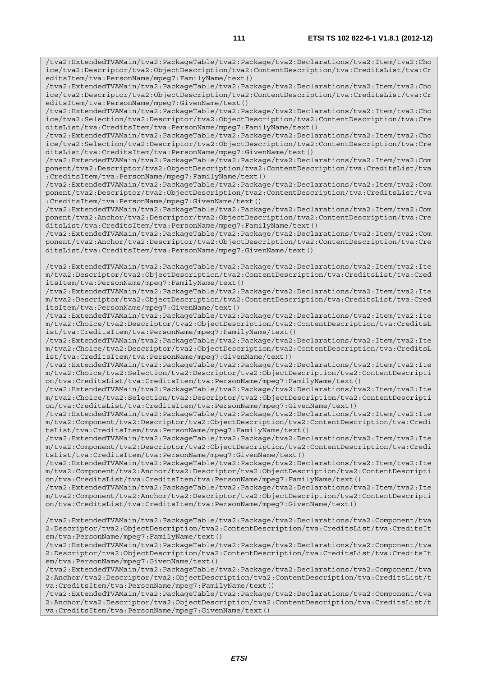/tva2:ExtendedTVAMain/tva2:PackageTable/tva2:Package/tva2:Declarations/tva2:Item/tva2:Cho ice/tva2:Descriptor/tva2:ObjectDescription/tva2:ContentDescription/tva:CreditsList/tva:Cr editsItem/tva:PersonName/mpeg7:FamilyName/text()

/tva2:ExtendedTVAMain/tva2:PackageTable/tva2:Package/tva2:Declarations/tva2:Item/tva2:Cho ice/tva2:Descriptor/tva2:ObjectDescription/tva2:ContentDescription/tva:CreditsList/tva:Cr editsItem/tva:PersonName/mpeg7:GivenName/text()

/tva2:ExtendedTVAMain/tva2:PackageTable/tva2:Package/tva2:Declarations/tva2:Item/tva2:Cho ice/tva2:Selection/tva2:Descriptor/tva2:ObjectDescription/tva2:ContentDescription/tva:Cre ditsList/tva:CreditsItem/tva:PersonName/mpeg7:FamilyName/text()

/tva2:ExtendedTVAMain/tva2:PackageTable/tva2:Package/tva2:Declarations/tva2:Item/tva2:Cho ice/tva2:Selection/tva2:Descriptor/tva2:ObjectDescription/tva2:ContentDescription/tva:Cre ditsList/tva:CreditsItem/tva:PersonName/mpeg7:GivenName/text()

/tva2:ExtendedTVAMain/tva2:PackageTable/tva2:Package/tva2:Declarations/tva2:Item/tva2:Com ponent/tva2:Descriptor/tva2:ObjectDescription/tva2:ContentDescription/tva:CreditsList/tva :CreditsItem/tva:PersonName/mpeg7:FamilyName/text()

/tva2:ExtendedTVAMain/tva2:PackageTable/tva2:Package/tva2:Declarations/tva2:Item/tva2:Com ponent/tva2:Descriptor/tva2:ObjectDescription/tva2:ContentDescription/tva:CreditsList/tva :CreditsItem/tva:PersonName/mpeg7:GivenName/text()

/tva2:ExtendedTVAMain/tva2:PackageTable/tva2:Package/tva2:Declarations/tva2:Item/tva2:Com ponent/tva2:Anchor/tva2:Descriptor/tva2:ObjectDescription/tva2:ContentDescription/tva:Cre ditsList/tva:CreditsItem/tva:PersonName/mpeg7:FamilyName/text()

/tva2:ExtendedTVAMain/tva2:PackageTable/tva2:Package/tva2:Declarations/tva2:Item/tva2:Com ponent/tva2:Anchor/tva2:Descriptor/tva2:ObjectDescription/tva2:ContentDescription/tva:Cre ditsList/tva:CreditsItem/tva:PersonName/mpeg7:GivenName/text()

/tva2:ExtendedTVAMain/tva2:PackageTable/tva2:Package/tva2:Declarations/tva2:Item/tva2:Ite m/tva2:Descriptor/tva2:ObjectDescription/tva2:ContentDescription/tva:CreditsList/tva:Cred itsItem/tva:PersonName/mpeg7:FamilyName/text()

/tva2:ExtendedTVAMain/tva2:PackageTable/tva2:Package/tva2:Declarations/tva2:Item/tva2:Ite m/tva2:Descriptor/tva2:ObjectDescription/tva2:ContentDescription/tva:CreditsList/tva:Cred itsItem/tva:PersonName/mpeg7:GivenName/text()

/tva2:ExtendedTVAMain/tva2:PackageTable/tva2:Package/tva2:Declarations/tva2:Item/tva2:Ite m/tva2:Choice/tva2:Descriptor/tva2:ObjectDescription/tva2:ContentDescription/tva:CreditsL ist/tva:CreditsItem/tva:PersonName/mpeg7:FamilyName/text()

/tva2:ExtendedTVAMain/tva2:PackageTable/tva2:Package/tva2:Declarations/tva2:Item/tva2:Ite m/tva2:Choice/tva2:Descriptor/tva2:ObjectDescription/tva2:ContentDescription/tva:CreditsL ist/tva:CreditsItem/tva:PersonName/mpeg7:GivenName/text()

/tva2:ExtendedTVAMain/tva2:PackageTable/tva2:Package/tva2:Declarations/tva2:Item/tva2:Ite m/tva2:Choice/tva2:Selection/tva2:Descriptor/tva2:ObjectDescription/tva2:ContentDescripti on/tva:CreditsList/tva:CreditsItem/tva:PersonName/mpeg7:FamilyName/text()

/tva2:ExtendedTVAMain/tva2:PackageTable/tva2:Package/tva2:Declarations/tva2:Item/tva2:Ite m/tva2:Choice/tva2:Selection/tva2:Descriptor/tva2:ObjectDescription/tva2:ContentDescripti on/tva:CreditsList/tva:CreditsItem/tva:PersonName/mpeg7:GivenName/text()

/tva2:ExtendedTVAMain/tva2:PackageTable/tva2:Package/tva2:Declarations/tva2:Item/tva2:Ite m/tva2:Component/tva2:Descriptor/tva2:ObjectDescription/tva2:ContentDescription/tva:Credi tsList/tva:CreditsItem/tva:PersonName/mpeg7:FamilyName/text()

/tva2:ExtendedTVAMain/tva2:PackageTable/tva2:Package/tva2:Declarations/tva2:Item/tva2:Ite m/tva2:Component/tva2:Descriptor/tva2:ObjectDescription/tva2:ContentDescription/tva:Credi tsList/tva:CreditsItem/tva:PersonName/mpeg7:GivenName/text()

/tva2:ExtendedTVAMain/tva2:PackageTable/tva2:Package/tva2:Declarations/tva2:Item/tva2:Ite m/tva2:Component/tva2:Anchor/tva2:Descriptor/tva2:ObjectDescription/tva2:ContentDescripti on/tva:CreditsList/tva:CreditsItem/tva:PersonName/mpeg7:FamilyName/text()

/tva2:ExtendedTVAMain/tva2:PackageTable/tva2:Package/tva2:Declarations/tva2:Item/tva2:Ite m/tva2:Component/tva2:Anchor/tva2:Descriptor/tva2:ObjectDescription/tva2:ContentDescripti on/tva:CreditsList/tva:CreditsItem/tva:PersonName/mpeg7:GivenName/text()

/tva2:ExtendedTVAMain/tva2:PackageTable/tva2:Package/tva2:Declarations/tva2:Component/tva 2:Descriptor/tva2:ObjectDescription/tva2:ContentDescription/tva:CreditsList/tva:CreditsIt em/tva:PersonName/mpeg7:FamilyName/text()

/tva2:ExtendedTVAMain/tva2:PackageTable/tva2:Package/tva2:Declarations/tva2:Component/tva 2:Descriptor/tva2:ObjectDescription/tva2:ContentDescription/tva:CreditsList/tva:CreditsIt em/tva:PersonName/mpeg7:GivenName/text()

/tva2:ExtendedTVAMain/tva2:PackageTable/tva2:Package/tva2:Declarations/tva2:Component/tva 2:Anchor/tva2:Descriptor/tva2:ObjectDescription/tva2:ContentDescription/tva:CreditsList/t va:CreditsItem/tva:PersonName/mpeg7:FamilyName/text()

/tva2:ExtendedTVAMain/tva2:PackageTable/tva2:Package/tva2:Declarations/tva2:Component/tva 2:Anchor/tva2:Descriptor/tva2:ObjectDescription/tva2:ContentDescription/tva:CreditsList/t va:CreditsItem/tva:PersonName/mpeg7:GivenName/text()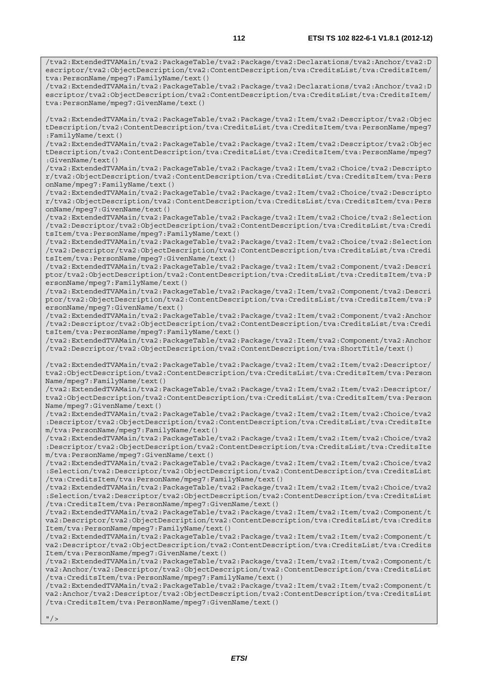/tva2:ExtendedTVAMain/tva2:PackageTable/tva2:Package/tva2:Declarations/tva2:Anchor/tva2:D escriptor/tva2:ObjectDescription/tva2:ContentDescription/tva:CreditsList/tva:CreditsItem/

/tva2:ExtendedTVAMain/tva2:PackageTable/tva2:Package/tva2:Declarations/tva2:Anchor/tva2:D escriptor/tva2:ObjectDescription/tva2:ContentDescription/tva:CreditsList/tva:CreditsItem/

/tva2:ExtendedTVAMain/tva2:PackageTable/tva2:Package/tva2:Item/tva2:Descriptor/tva2:Objec tDescription/tva2:ContentDescription/tva:CreditsList/tva:CreditsItem/tva:PersonName/mpeg7

tva:PersonName/mpeg7:FamilyName/text()

tva:PersonName/mpeg7:GivenName/text()

:FamilyName/text()

/tva2:ExtendedTVAMain/tva2:PackageTable/tva2:Package/tva2:Item/tva2:Descriptor/tva2:Objec tDescription/tva2:ContentDescription/tva:CreditsList/tva:CreditsItem/tva:PersonName/mpeg7 :GivenName/text() /tva2:ExtendedTVAMain/tva2:PackageTable/tva2:Package/tva2:Item/tva2:Choice/tva2:Descripto r/tva2:ObjectDescription/tva2:ContentDescription/tva:CreditsList/tva:CreditsItem/tva:Pers onName/mpeg7:FamilyName/text() /tva2:ExtendedTVAMain/tva2:PackageTable/tva2:Package/tva2:Item/tva2:Choice/tva2:Descripto r/tva2:ObjectDescription/tva2:ContentDescription/tva:CreditsList/tva:CreditsItem/tva:Pers onName/mpeg7:GivenName/text() /tva2:ExtendedTVAMain/tva2:PackageTable/tva2:Package/tva2:Item/tva2:Choice/tva2:Selection /tva2:Descriptor/tva2:ObjectDescription/tva2:ContentDescription/tva:CreditsList/tva:Credi tsItem/tva:PersonName/mpeg7:FamilyName/text() /tva2:ExtendedTVAMain/tva2:PackageTable/tva2:Package/tva2:Item/tva2:Choice/tva2:Selection /tva2:Descriptor/tva2:ObjectDescription/tva2:ContentDescription/tva:CreditsList/tva:Credi tsItem/tva:PersonName/mpeg7:GivenName/text() /tva2:ExtendedTVAMain/tva2:PackageTable/tva2:Package/tva2:Item/tva2:Component/tva2:Descri ptor/tva2:ObjectDescription/tva2:ContentDescription/tva:CreditsList/tva:CreditsItem/tva:P ersonName/mpeg7:FamilyName/text() /tva2:ExtendedTVAMain/tva2:PackageTable/tva2:Package/tva2:Item/tva2:Component/tva2:Descri ptor/tva2:ObjectDescription/tva2:ContentDescription/tva:CreditsList/tva:CreditsItem/tva:P ersonName/mpeg7:GivenName/text() /tva2:ExtendedTVAMain/tva2:PackageTable/tva2:Package/tva2:Item/tva2:Component/tva2:Anchor /tva2:Descriptor/tva2:ObjectDescription/tva2:ContentDescription/tva:CreditsList/tva:Credi tsItem/tva:PersonName/mpeg7:FamilyName/text() /tva2:ExtendedTVAMain/tva2:PackageTable/tva2:Package/tva2:Item/tva2:Component/tva2:Anchor /tva2:Descriptor/tva2:ObjectDescription/tva2:ContentDescription/tva:ShortTitle/text() /tva2:ExtendedTVAMain/tva2:PackageTable/tva2:Package/tva2:Item/tva2:Item/tva2:Descriptor/ tva2:ObjectDescription/tva2:ContentDescription/tva:CreditsList/tva:CreditsItem/tva:Person Name/mpeg7:FamilyName/text() /tva2:ExtendedTVAMain/tva2:PackageTable/tva2:Package/tva2:Item/tva2:Item/tva2:Descriptor/ tva2:ObjectDescription/tva2:ContentDescription/tva:CreditsList/tva:CreditsItem/tva:Person Name/mpeg7:GivenName/text() /tva2:ExtendedTVAMain/tva2:PackageTable/tva2:Package/tva2:Item/tva2:Item/tva2:Choice/tva2 :Descriptor/tva2:ObjectDescription/tva2:ContentDescription/tva:CreditsList/tva:CreditsIte m/tva:PersonName/mpeg7:FamilyName/text() /tva2:ExtendedTVAMain/tva2:PackageTable/tva2:Package/tva2:Item/tva2:Item/tva2:Choice/tva2 :Descriptor/tva2:ObjectDescription/tva2:ContentDescription/tva:CreditsList/tva:CreditsIte m/tva:PersonName/mpeg7:GivenName/text() /tva2:ExtendedTVAMain/tva2:PackageTable/tva2:Package/tva2:Item/tva2:Item/tva2:Choice/tva2 :Selection/tva2:Descriptor/tva2:ObjectDescription/tva2:ContentDescription/tva:CreditsList /tva:CreditsItem/tva:PersonName/mpeg7:FamilyName/text() /tva2:ExtendedTVAMain/tva2:PackageTable/tva2:Package/tva2:Item/tva2:Item/tva2:Choice/tva2 :Selection/tva2:Descriptor/tva2:ObjectDescription/tva2:ContentDescription/tva:CreditsList /tva:CreditsItem/tva:PersonName/mpeg7:GivenName/text() /tva2:ExtendedTVAMain/tva2:PackageTable/tva2:Package/tva2:Item/tva2:Item/tva2:Component/t va2:Descriptor/tva2:ObjectDescription/tva2:ContentDescription/tva:CreditsList/tva:Credits Item/tva:PersonName/mpeg7:FamilyName/text() /tva2:ExtendedTVAMain/tva2:PackageTable/tva2:Package/tva2:Item/tva2:Item/tva2:Component/t va2:Descriptor/tva2:ObjectDescription/tva2:ContentDescription/tva:CreditsList/tva:Credits Item/tva:PersonName/mpeg7:GivenName/text() /tva2:ExtendedTVAMain/tva2:PackageTable/tva2:Package/tva2:Item/tva2:Item/tva2:Component/t va2:Anchor/tva2:Descriptor/tva2:ObjectDescription/tva2:ContentDescription/tva:CreditsList /tva:CreditsItem/tva:PersonName/mpeg7:FamilyName/text() /tva2:ExtendedTVAMain/tva2:PackageTable/tva2:Package/tva2:Item/tva2:Item/tva2:Component/t va2:Anchor/tva2:Descriptor/tva2:ObjectDescription/tva2:ContentDescription/tva:CreditsList /tva:CreditsItem/tva:PersonName/mpeg7:GivenName/text()  $"$  / >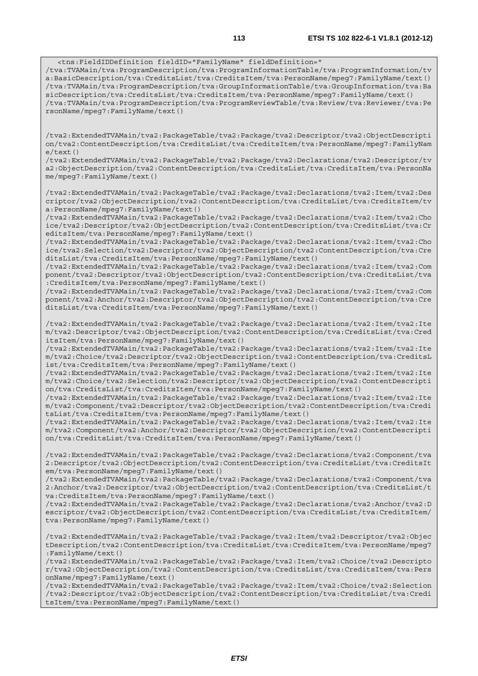<tns:FieldIDDefinition fieldID="FamilyName" fieldDefinition=" /tva:TVAMain/tva:ProgramDescription/tva:ProgramInformationTable/tva:ProgramInformation/tv a:BasicDescription/tva:CreditsList/tva:CreditsItem/tva:PersonName/mpeg7:FamilyName/text() /tva:TVAMain/tva:ProgramDescription/tva:GroupInformationTable/tva:GroupInformation/tva:Ba sicDescription/tva:CreditsList/tva:CreditsItem/tva:PersonName/mpeg7:FamilyName/text() /tva:TVAMain/tva:ProgramDescription/tva:ProgramReviewTable/tva:Review/tva:Reviewer/tva:Pe rsonName/mpeg7:FamilyName/text()

/tva2:ExtendedTVAMain/tva2:PackageTable/tva2:Package/tva2:Descriptor/tva2:ObjectDescripti on/tva2:ContentDescription/tva:CreditsList/tva:CreditsItem/tva:PersonName/mpeg7:FamilyNam e/text()

/tva2:ExtendedTVAMain/tva2:PackageTable/tva2:Package/tva2:Declarations/tva2:Descriptor/tv a2:ObjectDescription/tva2:ContentDescription/tva:CreditsList/tva:CreditsItem/tva:PersonNa me/mpeg7:FamilyName/text()

/tva2:ExtendedTVAMain/tva2:PackageTable/tva2:Package/tva2:Declarations/tva2:Item/tva2:Des criptor/tva2:ObjectDescription/tva2:ContentDescription/tva:CreditsList/tva:CreditsItem/tv a:PersonName/mpeg7:FamilyName/text()

/tva2:ExtendedTVAMain/tva2:PackageTable/tva2:Package/tva2:Declarations/tva2:Item/tva2:Cho ice/tva2:Descriptor/tva2:ObjectDescription/tva2:ContentDescription/tva:CreditsList/tva:Cr editsItem/tva:PersonName/mpeg7:FamilyName/text()

/tva2:ExtendedTVAMain/tva2:PackageTable/tva2:Package/tva2:Declarations/tva2:Item/tva2:Cho ice/tva2:Selection/tva2:Descriptor/tva2:ObjectDescription/tva2:ContentDescription/tva:Cre ditsList/tva:CreditsItem/tva:PersonName/mpeg7:FamilyName/text()

/tva2:ExtendedTVAMain/tva2:PackageTable/tva2:Package/tva2:Declarations/tva2:Item/tva2:Com ponent/tva2:Descriptor/tva2:ObjectDescription/tva2:ContentDescription/tva:CreditsList/tva :CreditsItem/tva:PersonName/mpeg7:FamilyName/text()

/tva2:ExtendedTVAMain/tva2:PackageTable/tva2:Package/tva2:Declarations/tva2:Item/tva2:Com ponent/tva2:Anchor/tva2:Descriptor/tva2:ObjectDescription/tva2:ContentDescription/tva:Cre ditsList/tva:CreditsItem/tva:PersonName/mpeg7:FamilyName/text()

/tva2:ExtendedTVAMain/tva2:PackageTable/tva2:Package/tva2:Declarations/tva2:Item/tva2:Ite m/tva2:Descriptor/tva2:ObjectDescription/tva2:ContentDescription/tva:CreditsList/tva:Cred itsItem/tva:PersonName/mpeg7:FamilyName/text()

/tva2:ExtendedTVAMain/tva2:PackageTable/tva2:Package/tva2:Declarations/tva2:Item/tva2:Ite m/tva2:Choice/tva2:Descriptor/tva2:ObjectDescription/tva2:ContentDescription/tva:CreditsL ist/tva:CreditsItem/tva:PersonName/mpeg7:FamilyName/text()

/tva2:ExtendedTVAMain/tva2:PackageTable/tva2:Package/tva2:Declarations/tva2:Item/tva2:Ite m/tva2:Choice/tva2:Selection/tva2:Descriptor/tva2:ObjectDescription/tva2:ContentDescripti on/tva:CreditsList/tva:CreditsItem/tva:PersonName/mpeg7:FamilyName/text()

/tva2:ExtendedTVAMain/tva2:PackageTable/tva2:Package/tva2:Declarations/tva2:Item/tva2:Ite m/tva2:Component/tva2:Descriptor/tva2:ObjectDescription/tva2:ContentDescription/tva:Credi tsList/tva:CreditsItem/tva:PersonName/mpeg7:FamilyName/text()

/tva2:ExtendedTVAMain/tva2:PackageTable/tva2:Package/tva2:Declarations/tva2:Item/tva2:Ite m/tva2:Component/tva2:Anchor/tva2:Descriptor/tva2:ObjectDescription/tva2:ContentDescripti on/tva:CreditsList/tva:CreditsItem/tva:PersonName/mpeg7:FamilyName/text()

/tva2:ExtendedTVAMain/tva2:PackageTable/tva2:Package/tva2:Declarations/tva2:Component/tva 2:Descriptor/tva2:ObjectDescription/tva2:ContentDescription/tva:CreditsList/tva:CreditsIt em/tva:PersonName/mpeg7:FamilyName/text()

/tva2:ExtendedTVAMain/tva2:PackageTable/tva2:Package/tva2:Declarations/tva2:Component/tva 2:Anchor/tva2:Descriptor/tva2:ObjectDescription/tva2:ContentDescription/tva:CreditsList/t va:CreditsItem/tva:PersonName/mpeg7:FamilyName/text()

/tva2:ExtendedTVAMain/tva2:PackageTable/tva2:Package/tva2:Declarations/tva2:Anchor/tva2:D escriptor/tva2:ObjectDescription/tva2:ContentDescription/tva:CreditsList/tva:CreditsItem/ tva:PersonName/mpeg7:FamilyName/text()

/tva2:ExtendedTVAMain/tva2:PackageTable/tva2:Package/tva2:Item/tva2:Descriptor/tva2:Objec tDescription/tva2:ContentDescription/tva:CreditsList/tva:CreditsItem/tva:PersonName/mpeg7 :FamilyName/text()

/tva2:ExtendedTVAMain/tva2:PackageTable/tva2:Package/tva2:Item/tva2:Choice/tva2:Descripto r/tva2:ObjectDescription/tva2:ContentDescription/tva:CreditsList/tva:CreditsItem/tva:Pers onName/mpeg7:FamilyName/text()

/tva2:ExtendedTVAMain/tva2:PackageTable/tva2:Package/tva2:Item/tva2:Choice/tva2:Selection /tva2:Descriptor/tva2:ObjectDescription/tva2:ContentDescription/tva:CreditsList/tva:Credi tsItem/tva:PersonName/mpeg7:FamilyName/text()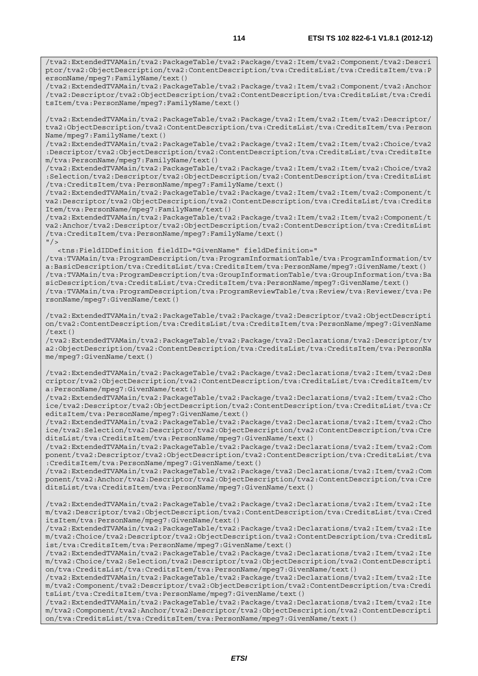/tva2:ExtendedTVAMain/tva2:PackageTable/tva2:Package/tva2:Item/tva2:Component/tva2:Anchor /tva2:Descriptor/tva2:ObjectDescription/tva2:ContentDescription/tva:CreditsList/tva:Credi tsItem/tva:PersonName/mpeg7:FamilyName/text()

/tva2:ExtendedTVAMain/tva2:PackageTable/tva2:Package/tva2:Item/tva2:Item/tva2:Descriptor/ tva2:ObjectDescription/tva2:ContentDescription/tva:CreditsList/tva:CreditsItem/tva:Person Name/mpeg7:FamilyName/text()

/tva2:ExtendedTVAMain/tva2:PackageTable/tva2:Package/tva2:Item/tva2:Item/tva2:Choice/tva2 :Descriptor/tva2:ObjectDescription/tva2:ContentDescription/tva:CreditsList/tva:CreditsIte m/tva:PersonName/mpeg7:FamilyName/text()

/tva2:ExtendedTVAMain/tva2:PackageTable/tva2:Package/tva2:Item/tva2:Item/tva2:Choice/tva2 :Selection/tva2:Descriptor/tva2:ObjectDescription/tva2:ContentDescription/tva:CreditsList /tva:CreditsItem/tva:PersonName/mpeg7:FamilyName/text()

/tva2:ExtendedTVAMain/tva2:PackageTable/tva2:Package/tva2:Item/tva2:Item/tva2:Component/t va2:Descriptor/tva2:ObjectDescription/tva2:ContentDescription/tva:CreditsList/tva:Credits Item/tva:PersonName/mpeg7:FamilyName/text()

/tva2:ExtendedTVAMain/tva2:PackageTable/tva2:Package/tva2:Item/tva2:Item/tva2:Component/t va2:Anchor/tva2:Descriptor/tva2:ObjectDescription/tva2:ContentDescription/tva:CreditsList /tva:CreditsItem/tva:PersonName/mpeg7:FamilyName/text()  $"$  />

<tns:FieldIDDefinition fieldID="GivenName" fieldDefinition="

/tva:TVAMain/tva:ProgramDescription/tva:ProgramInformationTable/tva:ProgramInformation/tv a:BasicDescription/tva:CreditsList/tva:CreditsItem/tva:PersonName/mpeg7:GivenName/text() /tva:TVAMain/tva:ProgramDescription/tva:GroupInformationTable/tva:GroupInformation/tva:Ba sicDescription/tva:CreditsList/tva:CreditsItem/tva:PersonName/mpeg7:GivenName/text() /tva:TVAMain/tva:ProgramDescription/tva:ProgramReviewTable/tva:Review/tva:Reviewer/tva:Pe rsonName/mpeg7:GivenName/text()

/tva2:ExtendedTVAMain/tva2:PackageTable/tva2:Package/tva2:Descriptor/tva2:ObjectDescripti on/tva2:ContentDescription/tva:CreditsList/tva:CreditsItem/tva:PersonName/mpeg7:GivenName  $(t+ \rho x + t)$ 

/tva2:ExtendedTVAMain/tva2:PackageTable/tva2:Package/tva2:Declarations/tva2:Descriptor/tv a2:ObjectDescription/tva2:ContentDescription/tva:CreditsList/tva:CreditsItem/tva:PersonNa me/mpeg7:GivenName/text()

/tva2:ExtendedTVAMain/tva2:PackageTable/tva2:Package/tva2:Declarations/tva2:Item/tva2:Des criptor/tva2:ObjectDescription/tva2:ContentDescription/tva:CreditsList/tva:CreditsItem/tv a:PersonName/mpeg7:GivenName/text()

/tva2:ExtendedTVAMain/tva2:PackageTable/tva2:Package/tva2:Declarations/tva2:Item/tva2:Cho ice/tva2:Descriptor/tva2:ObjectDescription/tva2:ContentDescription/tva:CreditsList/tva:Cr editsItem/tva:PersonName/mpeg7:GivenName/text()

/tva2:ExtendedTVAMain/tva2:PackageTable/tva2:Package/tva2:Declarations/tva2:Item/tva2:Cho ice/tva2:Selection/tva2:Descriptor/tva2:ObjectDescription/tva2:ContentDescription/tva:Cre ditsList/tva:CreditsItem/tva:PersonName/mpeg7:GivenName/text()

/tva2:ExtendedTVAMain/tva2:PackageTable/tva2:Package/tva2:Declarations/tva2:Item/tva2:Com ponent/tva2:Descriptor/tva2:ObjectDescription/tva2:ContentDescription/tva:CreditsList/tva :CreditsItem/tva:PersonName/mpeg7:GivenName/text()

/tva2:ExtendedTVAMain/tva2:PackageTable/tva2:Package/tva2:Declarations/tva2:Item/tva2:Com ponent/tva2:Anchor/tva2:Descriptor/tva2:ObjectDescription/tva2:ContentDescription/tva:Cre ditsList/tva:CreditsItem/tva:PersonName/mpeg7:GivenName/text()

/tva2:ExtendedTVAMain/tva2:PackageTable/tva2:Package/tva2:Declarations/tva2:Item/tva2:Ite m/tva2:Descriptor/tva2:ObjectDescription/tva2:ContentDescription/tva:CreditsList/tva:Cred itsItem/tva:PersonName/mpeg7:GivenName/text()

/tva2:ExtendedTVAMain/tva2:PackageTable/tva2:Package/tva2:Declarations/tva2:Item/tva2:Ite m/tva2:Choice/tva2:Descriptor/tva2:ObjectDescription/tva2:ContentDescription/tva:CreditsL ist/tva:CreditsItem/tva:PersonName/mpeg7:GivenName/text()

/tva2:ExtendedTVAMain/tva2:PackageTable/tva2:Package/tva2:Declarations/tva2:Item/tva2:Ite m/tva2:Choice/tva2:Selection/tva2:Descriptor/tva2:ObjectDescription/tva2:ContentDescripti on/tva:CreditsList/tva:CreditsItem/tva:PersonName/mpeg7:GivenName/text()

/tva2:ExtendedTVAMain/tva2:PackageTable/tva2:Package/tva2:Declarations/tva2:Item/tva2:Ite m/tva2:Component/tva2:Descriptor/tva2:ObjectDescription/tva2:ContentDescription/tva:Credi tsList/tva:CreditsItem/tva:PersonName/mpeg7:GivenName/text()

/tva2:ExtendedTVAMain/tva2:PackageTable/tva2:Package/tva2:Declarations/tva2:Item/tva2:Ite m/tva2:Component/tva2:Anchor/tva2:Descriptor/tva2:ObjectDescription/tva2:ContentDescripti on/tva:CreditsList/tva:CreditsItem/tva:PersonName/mpeg7:GivenName/text()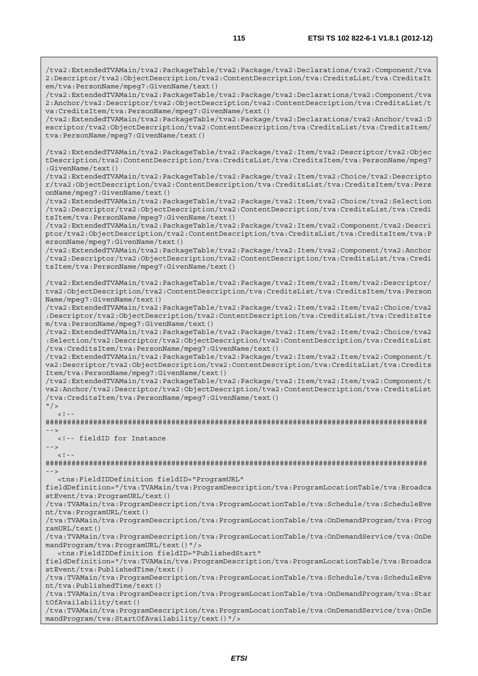/tva2:ExtendedTVAMain/tva2:PackageTable/tva2:Package/tva2:Declarations/tva2:Component/tva 2:Anchor/tva2:Descriptor/tva2:ObjectDescription/tva2:ContentDescription/tva:CreditsList/t va:CreditsItem/tva:PersonName/mpeg7:GivenName/text()

/tva2:ExtendedTVAMain/tva2:PackageTable/tva2:Package/tva2:Declarations/tva2:Anchor/tva2:D escriptor/tva2:ObjectDescription/tva2:ContentDescription/tva:CreditsList/tva:CreditsItem/ tva:PersonName/mpeg7:GivenName/text()

/tva2:ExtendedTVAMain/tva2:PackageTable/tva2:Package/tva2:Item/tva2:Descriptor/tva2:Objec tDescription/tva2:ContentDescription/tva:CreditsList/tva:CreditsItem/tva:PersonName/mpeg7 :GivenName/text()

/tva2:ExtendedTVAMain/tva2:PackageTable/tva2:Package/tva2:Item/tva2:Choice/tva2:Descripto r/tva2:ObjectDescription/tva2:ContentDescription/tva:CreditsList/tva:CreditsItem/tva:Pers onName/mpeg7:GivenName/text()

/tva2:ExtendedTVAMain/tva2:PackageTable/tva2:Package/tva2:Item/tva2:Choice/tva2:Selection /tva2:Descriptor/tva2:ObjectDescription/tva2:ContentDescription/tva:CreditsList/tva:Credi tsItem/tva:PersonName/mpeg7:GivenName/text()

/tva2:ExtendedTVAMain/tva2:PackageTable/tva2:Package/tva2:Item/tva2:Component/tva2:Descri ptor/tva2:ObjectDescription/tva2:ContentDescription/tva:CreditsList/tva:CreditsItem/tva:P ersonName/mpeg7:GivenName/text()

/tva2:ExtendedTVAMain/tva2:PackageTable/tva2:Package/tva2:Item/tva2:Component/tva2:Anchor /tva2:Descriptor/tva2:ObjectDescription/tva2:ContentDescription/tva:CreditsList/tva:Credi tsItem/tva:PersonName/mpeg7:GivenName/text()

/tva2:ExtendedTVAMain/tva2:PackageTable/tva2:Package/tva2:Item/tva2:Item/tva2:Descriptor/ tva2:ObjectDescription/tva2:ContentDescription/tva:CreditsList/tva:CreditsItem/tva:Person Name/mpeg7:GivenName/text()

/tva2:ExtendedTVAMain/tva2:PackageTable/tva2:Package/tva2:Item/tva2:Item/tva2:Choice/tva2 :Descriptor/tva2:ObjectDescription/tva2:ContentDescription/tva:CreditsList/tva:CreditsIte m/tva:PersonName/mpeg7:GivenName/text()

/tva2:ExtendedTVAMain/tva2:PackageTable/tva2:Package/tva2:Item/tva2:Item/tva2:Choice/tva2 :Selection/tva2:Descriptor/tva2:ObjectDescription/tva2:ContentDescription/tva:CreditsList /tva:CreditsItem/tva:PersonName/mpeg7:GivenName/text()

/tva2:ExtendedTVAMain/tva2:PackageTable/tva2:Package/tva2:Item/tva2:Item/tva2:Component/t va2:Descriptor/tva2:ObjectDescription/tva2:ContentDescription/tva:CreditsList/tva:Credits Item/tva:PersonName/mpeg7:GivenName/text()

/tva2:ExtendedTVAMain/tva2:PackageTable/tva2:Package/tva2:Item/tva2:Item/tva2:Component/t va2:Anchor/tva2:Descriptor/tva2:ObjectDescription/tva2:ContentDescription/tva:CreditsList /tva:CreditsItem/tva:PersonName/mpeg7:GivenName/text()

 $"$  />  $\geq 1$ 

######################################################################################## -->

<!-- fieldID for Instance

-->  $<$ ! --

######################################################################################## -->

<tns:FieldIDDefinition fieldID="ProgramURL"

fieldDefinition="/tva:TVAMain/tva:ProgramDescription/tva:ProgramLocationTable/tva:Broadca stEvent/tva:ProgramURL/text()

/tva:TVAMain/tva:ProgramDescription/tva:ProgramLocationTable/tva:Schedule/tva:ScheduleEve nt/tva:ProgramURL/text()

/tva:TVAMain/tva:ProgramDescription/tva:ProgramLocationTable/tva:OnDemandProgram/tva:Prog ramURL/text()

/tva:TVAMain/tva:ProgramDescription/tva:ProgramLocationTable/tva:OnDemandService/tva:OnDe mandProgram/tva:ProgramURL/text()"/>

<tns:FieldIDDefinition fieldID="PublishedStart"

fieldDefinition="/tva:TVAMain/tva:ProgramDescription/tva:ProgramLocationTable/tva:Broadca stEvent/tva:PublishedTime/text()

/tva:TVAMain/tva:ProgramDescription/tva:ProgramLocationTable/tva:Schedule/tva:ScheduleEve nt/tva:PublishedTime/text()

/tva:TVAMain/tva:ProgramDescription/tva:ProgramLocationTable/tva:OnDemandProgram/tva:Star tOfAvailability/text()

/tva:TVAMain/tva:ProgramDescription/tva:ProgramLocationTable/tva:OnDemandService/tva:OnDe mandProgram/tva:StartOfAvailability/text()"/>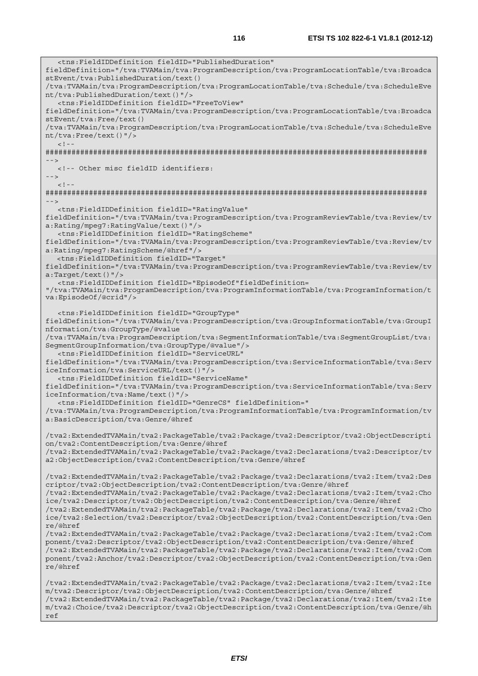<tns:FieldIDDefinition fieldID="PublishedDuration" fieldDefinition="/tva:TVAMain/tva:ProgramDescription/tva:ProgramLocationTable/tva:Broadca stEvent/tva:PublishedDuration/text() /tva:TVAMain/tva:ProgramDescription/tva:ProgramLocationTable/tva:Schedule/tva:ScheduleEve nt/tva:PublishedDuration/text()"/> <tns:FieldIDDefinition fieldID="FreeToView" fieldDefinition="/tva:TVAMain/tva:ProgramDescription/tva:ProgramLocationTable/tva:Broadca stEvent/tva:Free/text() /tva:TVAMain/tva:ProgramDescription/tva:ProgramLocationTable/tva:Schedule/tva:ScheduleEve nt/tva:Free/text()"/>  $\lt$  ! -######################################################################################## --> <!-- Other misc fieldID identifiers: -->  $\lt$  ! -######################################################################################## --> <tns:FieldIDDefinition fieldID="RatingValue" fieldDefinition="/tva:TVAMain/tva:ProgramDescription/tva:ProgramReviewTable/tva:Review/tv a:Rating/mpeg7:RatingValue/text()"/> <tns:FieldIDDefinition fieldID="RatingScheme" fieldDefinition="/tva:TVAMain/tva:ProgramDescription/tva:ProgramReviewTable/tva:Review/tv a:Rating/mpeg7:RatingScheme/@href"/> <tns:FieldIDDefinition fieldID="Target" fieldDefinition="/tva:TVAMain/tva:ProgramDescription/tva:ProgramReviewTable/tva:Review/tv a:Target/text()"/> <tns:FieldIDDefinition fieldID="EpisodeOf"fieldDefinition= "/tva:TVAMain/tva:ProgramDescription/tva:ProgramInformationTable/tva:ProgramInformation/t va:EpisodeOf/@crid"/> <tns:FieldIDDefinition fieldID="GroupType" fieldDefinition="/tva:TVAMain/tva:ProgramDescription/tva:GroupInformationTable/tva:GroupI nformation/tva:GroupType/@value /tva:TVAMain/tva:ProgramDescription/tva:SegmentInformationTable/tva:SegmentGroupList/tva: SegmentGroupInformation/tva:GroupType/@value"/> <tns:FieldIDDefinition fieldID="ServiceURL" fieldDefinition="/tva:TVAMain/tva:ProgramDescription/tva:ServiceInformationTable/tva:Serv iceInformation/tva:ServiceURL/text()"/> <tns:FieldIDDefinition fieldID="ServiceName" fieldDefinition="/tva:TVAMain/tva:ProgramDescription/tva:ServiceInformationTable/tva:Serv iceInformation/tva:Name/text()"/> <tns:FieldIDDefinition fieldID="GenreCS" fieldDefinition=" /tva:TVAMain/tva:ProgramDescription/tva:ProgramInformationTable/tva:ProgramInformation/tv a:BasicDescription/tva:Genre/@href /tva2:ExtendedTVAMain/tva2:PackageTable/tva2:Package/tva2:Descriptor/tva2:ObjectDescripti on/tva2:ContentDescription/tva:Genre/@href /tva2:ExtendedTVAMain/tva2:PackageTable/tva2:Package/tva2:Declarations/tva2:Descriptor/tv a2:ObjectDescription/tva2:ContentDescription/tva:Genre/@href /tva2:ExtendedTVAMain/tva2:PackageTable/tva2:Package/tva2:Declarations/tva2:Item/tva2:Des criptor/tva2:ObjectDescription/tva2:ContentDescription/tva:Genre/@href /tva2:ExtendedTVAMain/tva2:PackageTable/tva2:Package/tva2:Declarations/tva2:Item/tva2:Cho ice/tva2:Descriptor/tva2:ObjectDescription/tva2:ContentDescription/tva:Genre/@href /tva2:ExtendedTVAMain/tva2:PackageTable/tva2:Package/tva2:Declarations/tva2:Item/tva2:Cho ice/tva2:Selection/tva2:Descriptor/tva2:ObjectDescription/tva2:ContentDescription/tva:Gen re/@href /tva2:ExtendedTVAMain/tva2:PackageTable/tva2:Package/tva2:Declarations/tva2:Item/tva2:Com ponent/tva2:Descriptor/tva2:ObjectDescription/tva2:ContentDescription/tva:Genre/@href /tva2:ExtendedTVAMain/tva2:PackageTable/tva2:Package/tva2:Declarations/tva2:Item/tva2:Com ponent/tva2:Anchor/tva2:Descriptor/tva2:ObjectDescription/tva2:ContentDescription/tva:Gen re/@href /tva2:ExtendedTVAMain/tva2:PackageTable/tva2:Package/tva2:Declarations/tva2:Item/tva2:Ite m/tva2:Descriptor/tva2:ObjectDescription/tva2:ContentDescription/tva:Genre/@href /tva2:ExtendedTVAMain/tva2:PackageTable/tva2:Package/tva2:Declarations/tva2:Item/tva2:Ite

m/tva2:Choice/tva2:Descriptor/tva2:ObjectDescription/tva2:ContentDescription/tva:Genre/@h ref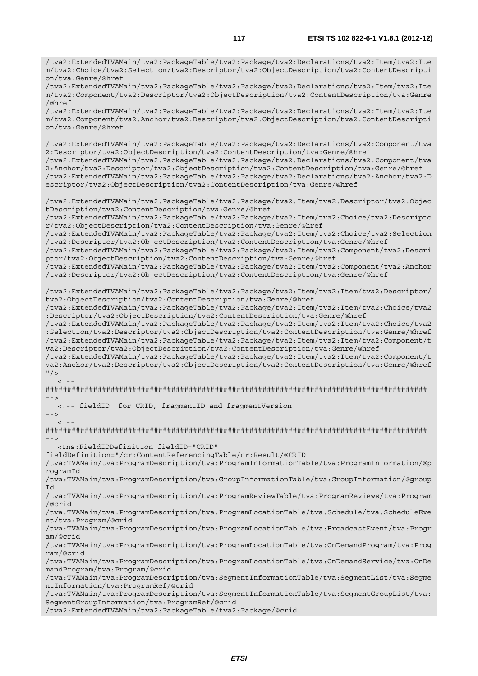/tva2:ExtendedTVAMain/tva2:PackageTable/tva2:Package/tva2:Declarations/tva2:Item/tva2:Ite

m/tva2:Choice/tva2:Selection/tva2:Descriptor/tva2:ObjectDescription/tva2:ContentDescripti on/tva:Genre/@href /tva2:ExtendedTVAMain/tva2:PackageTable/tva2:Package/tva2:Declarations/tva2:Item/tva2:Ite m/tva2:Component/tva2:Descriptor/tva2:ObjectDescription/tva2:ContentDescription/tva:Genre /@href /tva2:ExtendedTVAMain/tva2:PackageTable/tva2:Package/tva2:Declarations/tva2:Item/tva2:Ite m/tva2:Component/tva2:Anchor/tva2:Descriptor/tva2:ObjectDescription/tva2:ContentDescripti on/tva:Genre/@href /tva2:ExtendedTVAMain/tva2:PackageTable/tva2:Package/tva2:Declarations/tva2:Component/tva 2:Descriptor/tva2:ObjectDescription/tva2:ContentDescription/tva:Genre/@href /tva2:ExtendedTVAMain/tva2:PackageTable/tva2:Package/tva2:Declarations/tva2:Component/tva 2:Anchor/tva2:Descriptor/tva2:ObjectDescription/tva2:ContentDescription/tva:Genre/@href /tva2:ExtendedTVAMain/tva2:PackageTable/tva2:Package/tva2:Declarations/tva2:Anchor/tva2:D escriptor/tva2:ObjectDescription/tva2:ContentDescription/tva:Genre/@href /tva2:ExtendedTVAMain/tva2:PackageTable/tva2:Package/tva2:Item/tva2:Descriptor/tva2:Objec tDescription/tva2:ContentDescription/tva:Genre/@href /tva2:ExtendedTVAMain/tva2:PackageTable/tva2:Package/tva2:Item/tva2:Choice/tva2:Descripto r/tva2:ObjectDescription/tva2:ContentDescription/tva:Genre/@href /tva2:ExtendedTVAMain/tva2:PackageTable/tva2:Package/tva2:Item/tva2:Choice/tva2:Selection /tva2:Descriptor/tva2:ObjectDescription/tva2:ContentDescription/tva:Genre/@href /tva2:ExtendedTVAMain/tva2:PackageTable/tva2:Package/tva2:Item/tva2:Component/tva2:Descri ptor/tva2:ObjectDescription/tva2:ContentDescription/tva:Genre/@href /tva2:ExtendedTVAMain/tva2:PackageTable/tva2:Package/tva2:Item/tva2:Component/tva2:Anchor /tva2:Descriptor/tva2:ObjectDescription/tva2:ContentDescription/tva:Genre/@href /tva2:ExtendedTVAMain/tva2:PackageTable/tva2:Package/tva2:Item/tva2:Item/tva2:Descriptor/ tva2:ObjectDescription/tva2:ContentDescription/tva:Genre/@href /tva2:ExtendedTVAMain/tva2:PackageTable/tva2:Package/tva2:Item/tva2:Item/tva2:Choice/tva2 :Descriptor/tva2:ObjectDescription/tva2:ContentDescription/tva:Genre/@href /tva2:ExtendedTVAMain/tva2:PackageTable/tva2:Package/tva2:Item/tva2:Item/tva2:Choice/tva2 :Selection/tva2:Descriptor/tva2:ObjectDescription/tva2:ContentDescription/tva:Genre/@href /tva2:ExtendedTVAMain/tva2:PackageTable/tva2:Package/tva2:Item/tva2:Item/tva2:Component/t va2:Descriptor/tva2:ObjectDescription/tva2:ContentDescription/tva:Genre/@href /tva2:ExtendedTVAMain/tva2:PackageTable/tva2:Package/tva2:Item/tva2:Item/tva2:Component/t va2:Anchor/tva2:Descriptor/tva2:ObjectDescription/tva2:ContentDescription/tva:Genre/@href  $"$  />  $\lt$  ! -######################################################################################## --> <!-- fieldID for CRID, fragmentID and fragmentVersion -->  $\epsilon$  |  $-$ ######################################################################################## --> <tns:FieldIDDefinition fieldID="CRID" fieldDefinition="/cr:ContentReferencingTable/cr:Result/@CRID /tva:TVAMain/tva:ProgramDescription/tva:ProgramInformationTable/tva:ProgramInformation/@p rogramId /tva:TVAMain/tva:ProgramDescription/tva:GroupInformationTable/tva:GroupInformation/@group Id /tva:TVAMain/tva:ProgramDescription/tva:ProgramReviewTable/tva:ProgramReviews/tva:Program /@crid /tva:TVAMain/tva:ProgramDescription/tva:ProgramLocationTable/tva:Schedule/tva:ScheduleEve nt/tva:Program/@crid /tva:TVAMain/tva:ProgramDescription/tva:ProgramLocationTable/tva:BroadcastEvent/tva:Progr am/@crid /tva:TVAMain/tva:ProgramDescription/tva:ProgramLocationTable/tva:OnDemandProgram/tva:Prog ram/@crid /tva:TVAMain/tva:ProgramDescription/tva:ProgramLocationTable/tva:OnDemandService/tva:OnDe mandProgram/tva:Program/@crid /tva:TVAMain/tva:ProgramDescription/tva:SegmentInformationTable/tva:SegmentList/tva:Segme ntInformation/tva:ProgramRef/@crid /tva:TVAMain/tva:ProgramDescription/tva:SegmentInformationTable/tva:SegmentGroupList/tva: SegmentGroupInformation/tva:ProgramRef/@crid /tva2:ExtendedTVAMain/tva2:PackageTable/tva2:Package/@crid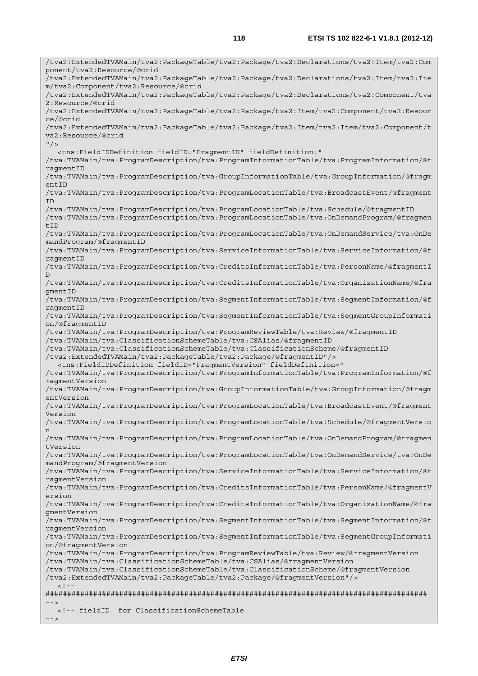/tva2:ExtendedTVAMain/tva2:PackageTable/tva2:Package/tva2:Declarations/tva2:Item/tva2:Com ponent/tva2:Resource/@crid /tva2:ExtendedTVAMain/tva2:PackageTable/tva2:Package/tva2:Declarations/tva2:Item/tva2:Ite m/tva2:Component/tva2:Resource/@crid /tva2:ExtendedTVAMain/tva2:PackageTable/tva2:Package/tva2:Declarations/tva2:Component/tva 2:Resource/@crid /tva2:ExtendedTVAMain/tva2:PackageTable/tva2:Package/tva2:Item/tva2:Component/tva2:Resour ce/@crid /tva2:ExtendedTVAMain/tva2:PackageTable/tva2:Package/tva2:Item/tva2:Item/tva2:Component/t va2:Resource/@crid  $"$  / > <tns:FieldIDDefinition fieldID="FragmentID" fieldDefinition=" /tva:TVAMain/tva:ProgramDescription/tva:ProgramInformationTable/tva:ProgramInformation/@f ragmentID /tva:TVAMain/tva:ProgramDescription/tva:GroupInformationTable/tva:GroupInformation/@fragm entID /tva:TVAMain/tva:ProgramDescription/tva:ProgramLocationTable/tva:BroadcastEvent/@fragment ID /tva:TVAMain/tva:ProgramDescription/tva:ProgramLocationTable/tva:Schedule/@fragmentID /tva:TVAMain/tva:ProgramDescription/tva:ProgramLocationTable/tva:OnDemandProgram/@fragmen tID /tva:TVAMain/tva:ProgramDescription/tva:ProgramLocationTable/tva:OnDemandService/tva:OnDe mandProgram/@fragmentID /tva:TVAMain/tva:ProgramDescription/tva:ServiceInformationTable/tva:ServiceInformation/@f ragmentID /tva:TVAMain/tva:ProgramDescription/tva:CreditsInformationTable/tva:PersonName/@fragmentI D /tva:TVAMain/tva:ProgramDescription/tva:CreditsInformationTable/tva:OrganizationName/@fra gment<sub>ID</sub> /tva:TVAMain/tva:ProgramDescription/tva:SegmentInformationTable/tva:SegmentInformation/@f ragmentID /tva:TVAMain/tva:ProgramDescription/tva:SegmentInformationTable/tva:SegmentGroupInformati on/@fragmentID /tva:TVAMain/tva:ProgramDescription/tva:ProgramReviewTable/tva:Review/@fragmentID /tva:TVAMain/tva:ClassificationSchemeTable/tva:CSAlias/@fragmentID /tva:TVAMain/tva:ClassificationSchemeTable/tva:ClassificationScheme/@fragmentID /tva2:ExtendedTVAMain/tva2:PackageTable/tva2:Package/@fragmentID"/> <tns:FieldIDDefinition fieldID="FragmentVersion" fieldDefinition=" /tva:TVAMain/tva:ProgramDescription/tva:ProgramInformationTable/tva:ProgramInformation/@f ragmentVersion /tva:TVAMain/tva:ProgramDescription/tva:GroupInformationTable/tva:GroupInformation/@fragm entVersion /tva:TVAMain/tva:ProgramDescription/tva:ProgramLocationTable/tva:BroadcastEvent/@fragment Version /tva:TVAMain/tva:ProgramDescription/tva:ProgramLocationTable/tva:Schedule/@fragmentVersio n /tva:TVAMain/tva:ProgramDescription/tva:ProgramLocationTable/tva:OnDemandProgram/@fragmen tVersion /tva:TVAMain/tva:ProgramDescription/tva:ProgramLocationTable/tva:OnDemandService/tva:OnDe mandProgram/@fragmentVersion /tva:TVAMain/tva:ProgramDescription/tva:ServiceInformationTable/tva:ServiceInformation/@f ragmentVersion /tva:TVAMain/tva:ProgramDescription/tva:CreditsInformationTable/tva:PersonName/@fragmentV ersion /tva:TVAMain/tva:ProgramDescription/tva:CreditsInformationTable/tva:OrganizationName/@fra gmentVersion /tva:TVAMain/tva:ProgramDescription/tva:SegmentInformationTable/tva:SegmentInformation/@f ragmentVersion /tva:TVAMain/tva:ProgramDescription/tva:SegmentInformationTable/tva:SegmentGroupInformati on/@fragmentVersion /tva:TVAMain/tva:ProgramDescription/tva:ProgramReviewTable/tva:Review/@fragmentVersion /tva:TVAMain/tva:ClassificationSchemeTable/tva:CSAlias/@fragmentVersion /tva:TVAMain/tva:ClassificationSchemeTable/tva:ClassificationScheme/@fragmentVersion /tva2:ExtendedTVAMain/tva2:PackageTable/tva2:Package/@fragmentVersion"/>  $\lt$  ! ######################################################################################## --> <!-- fieldID for ClassificationSchemeTable -->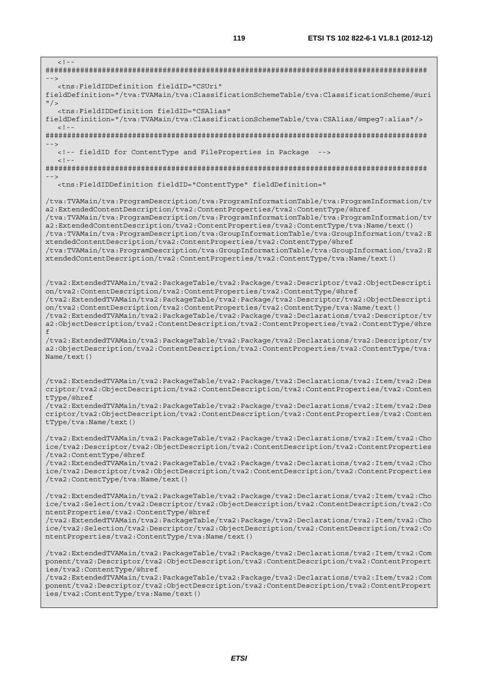| $\lt$ ! - -<br>$- -$                                                                                                                                                                                                                                                                                                                                                                                                                                                                                                                                                                                                                                                                                                                                             |
|------------------------------------------------------------------------------------------------------------------------------------------------------------------------------------------------------------------------------------------------------------------------------------------------------------------------------------------------------------------------------------------------------------------------------------------------------------------------------------------------------------------------------------------------------------------------------------------------------------------------------------------------------------------------------------------------------------------------------------------------------------------|
| <tns:fieldiddefinition <br="" fieldid="CSUri">fieldDefinition="/tva:TVAMain/tva:ClassificationSchemeTable/tva:ClassificationScheme/@uri<br/><math>^{\prime\prime}</math> / &gt;</tns:fieldiddefinition>                                                                                                                                                                                                                                                                                                                                                                                                                                                                                                                                                          |
| <tns:fieldiddefinition <br="" fieldid="CSAlias">fieldDefinition="/tva:TVAMain/tva:ClassificationSchemeTable/tva:CSAlias/@mpeg7:alias"/&gt;<br/><math>&lt;</math>! --</tns:fieldiddefinition>                                                                                                                                                                                                                                                                                                                                                                                                                                                                                                                                                                     |
| $--$                                                                                                                                                                                                                                                                                                                                                                                                                                                                                                                                                                                                                                                                                                                                                             |
| <!-- fieldID for ContentType and FileProperties in Package<br> $- - -$<br>$<$ ! --                                                                                                                                                                                                                                                                                                                                                                                                                                                                                                                                                                                                                                                                               |
|                                                                                                                                                                                                                                                                                                                                                                                                                                                                                                                                                                                                                                                                                                                                                                  |
| <tns:FieldIDDefinition fieldID="ContentType" fieldDefinition="</td>                                                                                                                                                                                                                                                                                                                                                                                                                                                                                                                                                                                                                                                                                              |
| /tva:TVAMain/tva:ProgramDescription/tva:ProgramInformationTable/tva:ProgramInformation/tv<br>a2:ExtendedContentDescription/tva2:ContentProperties/tva2:ContentType/@href<br>/tva:TVAMain/tva:ProgramDescription/tva:ProgramInformationTable/tva:ProgramInformation/tv<br>a2:ExtendedContentDescription/tva2:ContentProperties/tva2:ContentType/tva:Name/text()<br>/tva:TVAMain/tva:ProgramDescription/tva:GroupInformationTable/tva:GroupInformation/tva2:E<br>xtendedContentDescription/tva2:ContentProperties/tva2:ContentType/@href<br>/tva:TVAMain/tva:ProgramDescription/tva:GroupInformationTable/tva:GroupInformation/tva2:E<br>xtendedContentDescription/tva2:ContentProperties/tva2:ContentType/tva:Name/text()                                         |
| /tva2:ExtendedTVAMain/tva2:PackageTable/tva2:Package/tva2:Descriptor/tva2:ObjectDescripti<br>on/tva2:ContentDescription/tva2:ContentProperties/tva2:ContentType/@href<br>/tva2:ExtendedTVAMain/tva2:PackageTable/tva2:Package/tva2:Descriptor/tva2:ObjectDescripti<br>on/tva2:ContentDescription/tva2:ContentProperties/tva2:ContentType/tva:Name/text()<br>/tva2:ExtendedTVAMain/tva2:PackageTable/tva2:Package/tva2:Declarations/tva2:Descriptor/tv<br>a2:ObjectDescription/tva2:ContentDescription/tva2:ContentProperties/tva2:ContentType/@hre<br>f<br>/tva2:ExtendedTVAMain/tva2:PackageTable/tva2:Package/tva2:Declarations/tva2:Descriptor/tv<br>a2:ObjectDescription/tva2:ContentDescription/tva2:ContentProperties/tva2:ContentType/tva:<br>Name/text() |
| /tva2:ExtendedTVAMain/tva2:PackageTable/tva2:Package/tva2:Declarations/tva2:Item/tva2:Des<br>criptor/tva2:ObjectDescription/tva2:ContentDescription/tva2:ContentProperties/tva2:Conten<br>tType/@href<br>/tva2:ExtendedTVAMain/tva2:PackageTable/tva2:Package/tva2:Declarations/tva2:Item/tva2:Des<br>criptor/tva2:ObjectDescription/tva2:ContentDescription/tva2:ContentProperties/tva2:Conten<br>tType/tva:Name/text()                                                                                                                                                                                                                                                                                                                                         |
| /tva2:ExtendedTVAMain/tva2:PackageTable/tva2:Package/tva2:Declarations/tva2:Item/tva2:Cho<br>ice/tva2:Descriptor/tva2:ObjectDescription/tva2:ContentDescription/tva2:ContentProperties<br>/tva2:ContentType/@href<br>/tva2:ExtendedTVAMain/tva2:PackageTable/tva2:Package/tva2:Declarations/tva2:Item/tva2:Cho<br>ice/tva2:Descriptor/tva2:ObjectDescription/tva2:ContentDescription/tva2:ContentProperties<br>/tva2:ContentType/tva:Name/text()                                                                                                                                                                                                                                                                                                                 |
| /tva2:ExtendedTVAMain/tva2:PackageTable/tva2:Package/tva2:Declarations/tva2:Item/tva2:Cho<br>ice/tva2:Selection/tva2:Descriptor/tva2:ObjectDescription/tva2:ContentDescription/tva2:Co<br>ntentProperties/tva2:ContentType/@href<br>/tva2:ExtendedTVAMain/tva2:PackageTable/tva2:Package/tva2:Declarations/tva2:Item/tva2:Cho<br>ice/tva2:Selection/tva2:Descriptor/tva2:ObjectDescription/tva2:ContentDescription/tva2:Co<br>ntentProperties/tva2:ContentType/tva:Name/text()                                                                                                                                                                                                                                                                                   |
| /tva2:ExtendedTVAMain/tva2:PackageTable/tva2:Package/tva2:Declarations/tva2:Item/tva2:Com<br>ponent/tva2:Descriptor/tva2:ObjectDescription/tva2:ContentDescription/tva2:ContentPropert<br>ies/tva2:ContentType/@href<br>/tva2:ExtendedTVAMain/tva2:PackageTable/tva2:Package/tva2:Declarations/tva2:Item/tva2:Com<br>ponent/tva2:Descriptor/tva2:ObjectDescription/tva2:ContentDescription/tva2:ContentPropert<br>ies/tva2:ContentType/tva:Name/text()                                                                                                                                                                                                                                                                                                           |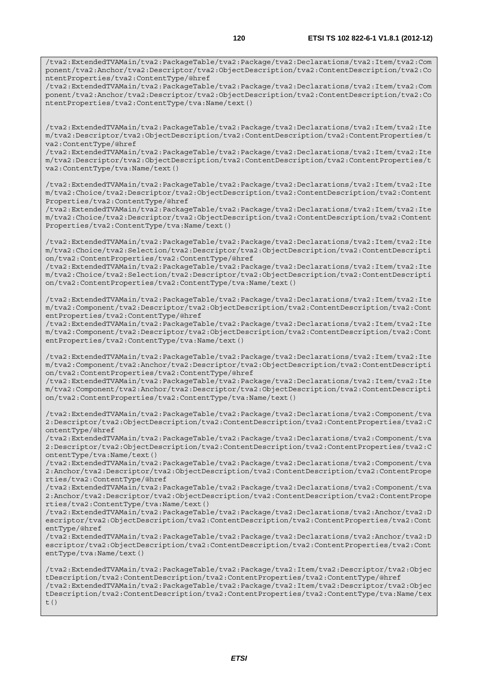/tva2:ExtendedTVAMain/tva2:PackageTable/tva2:Package/tva2:Declarations/tva2:Item/tva2:Com ponent/tva2:Anchor/tva2:Descriptor/tva2:ObjectDescription/tva2:ContentDescription/tva2:Co ntentProperties/tva2:ContentType/@href

/tva2:ExtendedTVAMain/tva2:PackageTable/tva2:Package/tva2:Declarations/tva2:Item/tva2:Com ponent/tva2:Anchor/tva2:Descriptor/tva2:ObjectDescription/tva2:ContentDescription/tva2:Co ntentProperties/tva2:ContentType/tva:Name/text()

/tva2:ExtendedTVAMain/tva2:PackageTable/tva2:Package/tva2:Declarations/tva2:Item/tva2:Ite m/tva2:Descriptor/tva2:ObjectDescription/tva2:ContentDescription/tva2:ContentProperties/t va2:ContentType/@href

/tva2:ExtendedTVAMain/tva2:PackageTable/tva2:Package/tva2:Declarations/tva2:Item/tva2:Ite m/tva2:Descriptor/tva2:ObjectDescription/tva2:ContentDescription/tva2:ContentProperties/t va2:ContentType/tva:Name/text()

/tva2:ExtendedTVAMain/tva2:PackageTable/tva2:Package/tva2:Declarations/tva2:Item/tva2:Ite m/tva2:Choice/tva2:Descriptor/tva2:ObjectDescription/tva2:ContentDescription/tva2:Content Properties/tva2:ContentType/@href

/tva2:ExtendedTVAMain/tva2:PackageTable/tva2:Package/tva2:Declarations/tva2:Item/tva2:Ite m/tva2:Choice/tva2:Descriptor/tva2:ObjectDescription/tva2:ContentDescription/tva2:Content Properties/tva2:ContentType/tva:Name/text()

/tva2:ExtendedTVAMain/tva2:PackageTable/tva2:Package/tva2:Declarations/tva2:Item/tva2:Ite m/tva2:Choice/tva2:Selection/tva2:Descriptor/tva2:ObjectDescription/tva2:ContentDescripti on/tva2:ContentProperties/tva2:ContentType/@href

/tva2:ExtendedTVAMain/tva2:PackageTable/tva2:Package/tva2:Declarations/tva2:Item/tva2:Ite m/tva2:Choice/tva2:Selection/tva2:Descriptor/tva2:ObjectDescription/tva2:ContentDescripti on/tva2:ContentProperties/tva2:ContentType/tva:Name/text()

/tva2:ExtendedTVAMain/tva2:PackageTable/tva2:Package/tva2:Declarations/tva2:Item/tva2:Ite m/tva2:Component/tva2:Descriptor/tva2:ObjectDescription/tva2:ContentDescription/tva2:Cont entProperties/tva2:ContentType/@href

/tva2:ExtendedTVAMain/tva2:PackageTable/tva2:Package/tva2:Declarations/tva2:Item/tva2:Ite m/tva2:Component/tva2:Descriptor/tva2:ObjectDescription/tva2:ContentDescription/tva2:Cont entProperties/tva2:ContentType/tva:Name/text()

/tva2:ExtendedTVAMain/tva2:PackageTable/tva2:Package/tva2:Declarations/tva2:Item/tva2:Ite m/tva2:Component/tva2:Anchor/tva2:Descriptor/tva2:ObjectDescription/tva2:ContentDescripti on/tva2:ContentProperties/tva2:ContentType/@href

/tva2:ExtendedTVAMain/tva2:PackageTable/tva2:Package/tva2:Declarations/tva2:Item/tva2:Ite m/tva2:Component/tva2:Anchor/tva2:Descriptor/tva2:ObjectDescription/tva2:ContentDescripti on/tva2:ContentProperties/tva2:ContentType/tva:Name/text()

/tva2:ExtendedTVAMain/tva2:PackageTable/tva2:Package/tva2:Declarations/tva2:Component/tva 2:Descriptor/tva2:ObjectDescription/tva2:ContentDescription/tva2:ContentProperties/tva2:C ontentType/@href

/tva2:ExtendedTVAMain/tva2:PackageTable/tva2:Package/tva2:Declarations/tva2:Component/tva 2:Descriptor/tva2:ObjectDescription/tva2:ContentDescription/tva2:ContentProperties/tva2:C ontentType/tva:Name/text()

/tva2:ExtendedTVAMain/tva2:PackageTable/tva2:Package/tva2:Declarations/tva2:Component/tva 2:Anchor/tva2:Descriptor/tva2:ObjectDescription/tva2:ContentDescription/tva2:ContentPrope rties/tva2:ContentType/@href

/tva2:ExtendedTVAMain/tva2:PackageTable/tva2:Package/tva2:Declarations/tva2:Component/tva 2:Anchor/tva2:Descriptor/tva2:ObjectDescription/tva2:ContentDescription/tva2:ContentPrope rties/tva2:ContentType/tva:Name/text()

/tva2:ExtendedTVAMain/tva2:PackageTable/tva2:Package/tva2:Declarations/tva2:Anchor/tva2:D escriptor/tva2:ObjectDescription/tva2:ContentDescription/tva2:ContentProperties/tva2:Cont entType/@href

/tva2:ExtendedTVAMain/tva2:PackageTable/tva2:Package/tva2:Declarations/tva2:Anchor/tva2:D escriptor/tva2:ObjectDescription/tva2:ContentDescription/tva2:ContentProperties/tva2:Cont entType/tva:Name/text()

/tva2:ExtendedTVAMain/tva2:PackageTable/tva2:Package/tva2:Item/tva2:Descriptor/tva2:Objec tDescription/tva2:ContentDescription/tva2:ContentProperties/tva2:ContentType/@href /tva2:ExtendedTVAMain/tva2:PackageTable/tva2:Package/tva2:Item/tva2:Descriptor/tva2:Objec tDescription/tva2:ContentDescription/tva2:ContentProperties/tva2:ContentType/tva:Name/tex t()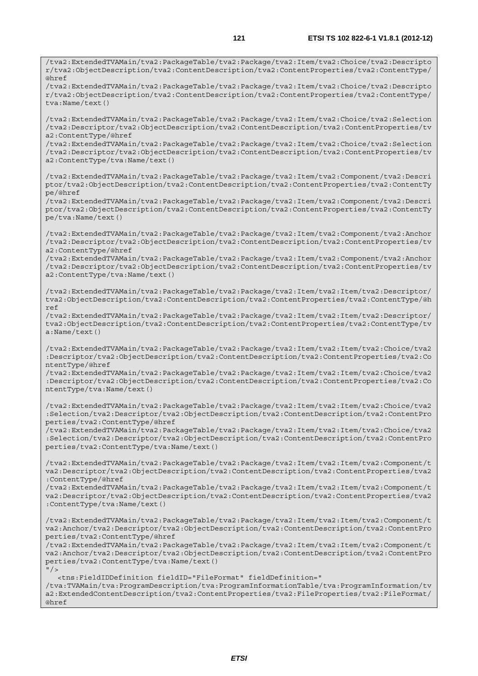/tva2:ExtendedTVAMain/tva2:PackageTable/tva2:Package/tva2:Item/tva2:Choice/tva2:Descripto r/tva2:ObjectDescription/tva2:ContentDescription/tva2:ContentProperties/tva2:ContentType/ @href /tva2:ExtendedTVAMain/tva2:PackageTable/tva2:Package/tva2:Item/tva2:Choice/tva2:Descripto r/tva2:ObjectDescription/tva2:ContentDescription/tva2:ContentProperties/tva2:ContentType/ tva:Name/text() /tva2:ExtendedTVAMain/tva2:PackageTable/tva2:Package/tva2:Item/tva2:Choice/tva2:Selection /tva2:Descriptor/tva2:ObjectDescription/tva2:ContentDescription/tva2:ContentProperties/tv a2:ContentType/@href /tva2:ExtendedTVAMain/tva2:PackageTable/tva2:Package/tva2:Item/tva2:Choice/tva2:Selection /tva2:Descriptor/tva2:ObjectDescription/tva2:ContentDescription/tva2:ContentProperties/tv a2:ContentType/tva:Name/text() /tva2:ExtendedTVAMain/tva2:PackageTable/tva2:Package/tva2:Item/tva2:Component/tva2:Descri ptor/tva2:ObjectDescription/tva2:ContentDescription/tva2:ContentProperties/tva2:ContentTy pe/@href /tva2:ExtendedTVAMain/tva2:PackageTable/tva2:Package/tva2:Item/tva2:Component/tva2:Descri ptor/tva2:ObjectDescription/tva2:ContentDescription/tva2:ContentProperties/tva2:ContentTy pe/tva:Name/text() /tva2:ExtendedTVAMain/tva2:PackageTable/tva2:Package/tva2:Item/tva2:Component/tva2:Anchor /tva2:Descriptor/tva2:ObjectDescription/tva2:ContentDescription/tva2:ContentProperties/tv a2:ContentType/@href /tva2:ExtendedTVAMain/tva2:PackageTable/tva2:Package/tva2:Item/tva2:Component/tva2:Anchor /tva2:Descriptor/tva2:ObjectDescription/tva2:ContentDescription/tva2:ContentProperties/tv a2:ContentType/tva:Name/text() /tva2:ExtendedTVAMain/tva2:PackageTable/tva2:Package/tva2:Item/tva2:Item/tva2:Descriptor/ tva2:ObjectDescription/tva2:ContentDescription/tva2:ContentProperties/tva2:ContentType/@h ref /tva2:ExtendedTVAMain/tva2:PackageTable/tva2:Package/tva2:Item/tva2:Item/tva2:Descriptor/ tva2:ObjectDescription/tva2:ContentDescription/tva2:ContentProperties/tva2:ContentType/tv a:Name/text() /tva2:ExtendedTVAMain/tva2:PackageTable/tva2:Package/tva2:Item/tva2:Item/tva2:Choice/tva2 :Descriptor/tva2:ObjectDescription/tva2:ContentDescription/tva2:ContentProperties/tva2:Co ntentType/@href /tva2:ExtendedTVAMain/tva2:PackageTable/tva2:Package/tva2:Item/tva2:Item/tva2:Choice/tva2 :Descriptor/tva2:ObjectDescription/tva2:ContentDescription/tva2:ContentProperties/tva2:Co ntentType/tva:Name/text() /tva2:ExtendedTVAMain/tva2:PackageTable/tva2:Package/tva2:Item/tva2:Item/tva2:Choice/tva2 :Selection/tva2:Descriptor/tva2:ObjectDescription/tva2:ContentDescription/tva2:ContentPro perties/tva2:ContentType/@href /tva2:ExtendedTVAMain/tva2:PackageTable/tva2:Package/tva2:Item/tva2:Item/tva2:Choice/tva2 :Selection/tva2:Descriptor/tva2:ObjectDescription/tva2:ContentDescription/tva2:ContentPro perties/tva2:ContentType/tva:Name/text() /tva2:ExtendedTVAMain/tva2:PackageTable/tva2:Package/tva2:Item/tva2:Item/tva2:Component/t va2:Descriptor/tva2:ObjectDescription/tva2:ContentDescription/tva2:ContentProperties/tva2 :ContentType/@href /tva2:ExtendedTVAMain/tva2:PackageTable/tva2:Package/tva2:Item/tva2:Item/tva2:Component/t va2:Descriptor/tva2:ObjectDescription/tva2:ContentDescription/tva2:ContentProperties/tva2 :ContentType/tva:Name/text() /tva2:ExtendedTVAMain/tva2:PackageTable/tva2:Package/tva2:Item/tva2:Item/tva2:Component/t va2:Anchor/tva2:Descriptor/tva2:ObjectDescription/tva2:ContentDescription/tva2:ContentPro perties/tva2:ContentType/@href /tva2:ExtendedTVAMain/tva2:PackageTable/tva2:Package/tva2:Item/tva2:Item/tva2:Component/t va2:Anchor/tva2:Descriptor/tva2:ObjectDescription/tva2:ContentDescription/tva2:ContentPro perties/tva2:ContentType/tva:Name/text()  $"$  / >

 <tns:FieldIDDefinition fieldID="FileFormat" fieldDefinition=" /tva:TVAMain/tva:ProgramDescription/tva:ProgramInformationTable/tva:ProgramInformation/tv a2:ExtendedContentDescription/tva2:ContentProperties/tva2:FileProperties/tva2:FileFormat/ @href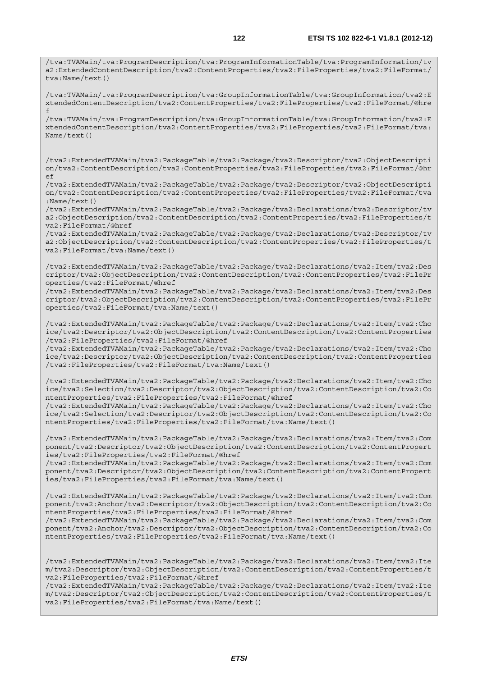/tva:TVAMain/tva:ProgramDescription/tva:ProgramInformationTable/tva:ProgramInformation/tv a2:ExtendedContentDescription/tva2:ContentProperties/tva2:FileProperties/tva2:FileFormat/ tva:Name/text() /tva:TVAMain/tva:ProgramDescription/tva:GroupInformationTable/tva:GroupInformation/tva2:E xtendedContentDescription/tva2:ContentProperties/tva2:FileProperties/tva2:FileFormat/@hre f /tva:TVAMain/tva:ProgramDescription/tva:GroupInformationTable/tva:GroupInformation/tva2:E xtendedContentDescription/tva2:ContentProperties/tva2:FileProperties/tva2:FileFormat/tva: Name/text() /tva2:ExtendedTVAMain/tva2:PackageTable/tva2:Package/tva2:Descriptor/tva2:ObjectDescripti on/tva2:ContentDescription/tva2:ContentProperties/tva2:FileProperties/tva2:FileFormat/@hr  $\overline{P}$ /tva2:ExtendedTVAMain/tva2:PackageTable/tva2:Package/tva2:Descriptor/tva2:ObjectDescripti on/tva2:ContentDescription/tva2:ContentProperties/tva2:FileProperties/tva2:FileFormat/tva :Name/text() /tva2:ExtendedTVAMain/tva2:PackageTable/tva2:Package/tva2:Declarations/tva2:Descriptor/tv a2:ObjectDescription/tva2:ContentDescription/tva2:ContentProperties/tva2:FileProperties/t va2:FileFormat/@href /tva2:ExtendedTVAMain/tva2:PackageTable/tva2:Package/tva2:Declarations/tva2:Descriptor/tv a2:ObjectDescription/tva2:ContentDescription/tva2:ContentProperties/tva2:FileProperties/t va2:FileFormat/tva:Name/text() /tva2:ExtendedTVAMain/tva2:PackageTable/tva2:Package/tva2:Declarations/tva2:Item/tva2:Des criptor/tva2:ObjectDescription/tva2:ContentDescription/tva2:ContentProperties/tva2:FilePr operties/tva2:FileFormat/@href /tva2:ExtendedTVAMain/tva2:PackageTable/tva2:Package/tva2:Declarations/tva2:Item/tva2:Des criptor/tva2:ObjectDescription/tva2:ContentDescription/tva2:ContentProperties/tva2:FilePr operties/tva2:FileFormat/tva:Name/text() /tva2:ExtendedTVAMain/tva2:PackageTable/tva2:Package/tva2:Declarations/tva2:Item/tva2:Cho ice/tva2:Descriptor/tva2:ObjectDescription/tva2:ContentDescription/tva2:ContentProperties /tva2:FileProperties/tva2:FileFormat/@href /tva2:ExtendedTVAMain/tva2:PackageTable/tva2:Package/tva2:Declarations/tva2:Item/tva2:Cho ice/tva2:Descriptor/tva2:ObjectDescription/tva2:ContentDescription/tva2:ContentProperties /tva2:FileProperties/tva2:FileFormat/tva:Name/text() /tva2:ExtendedTVAMain/tva2:PackageTable/tva2:Package/tva2:Declarations/tva2:Item/tva2:Cho ice/tva2:Selection/tva2:Descriptor/tva2:ObjectDescription/tva2:ContentDescription/tva2:Co ntentProperties/tva2:FileProperties/tva2:FileFormat/@href /tva2:ExtendedTVAMain/tva2:PackageTable/tva2:Package/tva2:Declarations/tva2:Item/tva2:Cho ice/tva2:Selection/tva2:Descriptor/tva2:ObjectDescription/tva2:ContentDescription/tva2:Co ntentProperties/tva2:FileProperties/tva2:FileFormat/tva:Name/text() /tva2:ExtendedTVAMain/tva2:PackageTable/tva2:Package/tva2:Declarations/tva2:Item/tva2:Com ponent/tva2:Descriptor/tva2:ObjectDescription/tva2:ContentDescription/tva2:ContentPropert ies/tva2:FileProperties/tva2:FileFormat/@href /tva2:ExtendedTVAMain/tva2:PackageTable/tva2:Package/tva2:Declarations/tva2:Item/tva2:Com ponent/tva2:Descriptor/tva2:ObjectDescription/tva2:ContentDescription/tva2:ContentPropert ies/tva2:FileProperties/tva2:FileFormat/tva:Name/text() /tva2:ExtendedTVAMain/tva2:PackageTable/tva2:Package/tva2:Declarations/tva2:Item/tva2:Com ponent/tva2:Anchor/tva2:Descriptor/tva2:ObjectDescription/tva2:ContentDescription/tva2:Co ntentProperties/tva2:FileProperties/tva2:FileFormat/@href /tva2:ExtendedTVAMain/tva2:PackageTable/tva2:Package/tva2:Declarations/tva2:Item/tva2:Com ponent/tva2:Anchor/tva2:Descriptor/tva2:ObjectDescription/tva2:ContentDescription/tva2:Co ntentProperties/tva2:FileProperties/tva2:FileFormat/tva:Name/text() /tva2:ExtendedTVAMain/tva2:PackageTable/tva2:Package/tva2:Declarations/tva2:Item/tva2:Ite m/tva2:Descriptor/tva2:ObjectDescription/tva2:ContentDescription/tva2:ContentProperties/t va2:FileProperties/tva2:FileFormat/@href

/tva2:ExtendedTVAMain/tva2:PackageTable/tva2:Package/tva2:Declarations/tva2:Item/tva2:Ite m/tva2:Descriptor/tva2:ObjectDescription/tva2:ContentDescription/tva2:ContentProperties/t va2:FileProperties/tva2:FileFormat/tva:Name/text()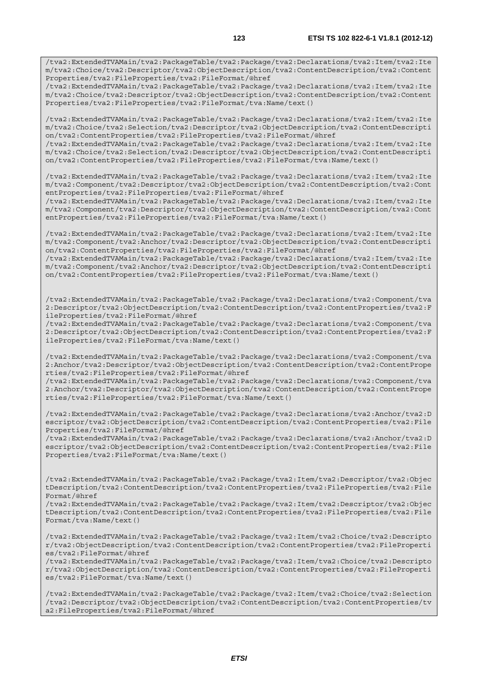/tva2:ExtendedTVAMain/tva2:PackageTable/tva2:Package/tva2:Declarations/tva2:Item/tva2:Ite m/tva2:Choice/tva2:Descriptor/tva2:ObjectDescription/tva2:ContentDescription/tva2:Content Properties/tva2:FileProperties/tva2:FileFormat/@href

/tva2:ExtendedTVAMain/tva2:PackageTable/tva2:Package/tva2:Declarations/tva2:Item/tva2:Ite m/tva2:Choice/tva2:Descriptor/tva2:ObjectDescription/tva2:ContentDescription/tva2:Content Properties/tva2:FileProperties/tva2:FileFormat/tva:Name/text()

/tva2:ExtendedTVAMain/tva2:PackageTable/tva2:Package/tva2:Declarations/tva2:Item/tva2:Ite m/tva2:Choice/tva2:Selection/tva2:Descriptor/tva2:ObjectDescription/tva2:ContentDescripti on/tva2:ContentProperties/tva2:FileProperties/tva2:FileFormat/@href

/tva2:ExtendedTVAMain/tva2:PackageTable/tva2:Package/tva2:Declarations/tva2:Item/tva2:Ite m/tva2:Choice/tva2:Selection/tva2:Descriptor/tva2:ObjectDescription/tva2:ContentDescripti on/tva2:ContentProperties/tva2:FileProperties/tva2:FileFormat/tva:Name/text()

/tva2:ExtendedTVAMain/tva2:PackageTable/tva2:Package/tva2:Declarations/tva2:Item/tva2:Ite m/tva2:Component/tva2:Descriptor/tva2:ObjectDescription/tva2:ContentDescription/tva2:Cont entProperties/tva2:FileProperties/tva2:FileFormat/@href

/tva2:ExtendedTVAMain/tva2:PackageTable/tva2:Package/tva2:Declarations/tva2:Item/tva2:Ite m/tva2:Component/tva2:Descriptor/tva2:ObjectDescription/tva2:ContentDescription/tva2:Cont entProperties/tva2:FileProperties/tva2:FileFormat/tva:Name/text()

/tva2:ExtendedTVAMain/tva2:PackageTable/tva2:Package/tva2:Declarations/tva2:Item/tva2:Ite m/tva2:Component/tva2:Anchor/tva2:Descriptor/tva2:ObjectDescription/tva2:ContentDescripti on/tva2:ContentProperties/tva2:FileProperties/tva2:FileFormat/@href

/tva2:ExtendedTVAMain/tva2:PackageTable/tva2:Package/tva2:Declarations/tva2:Item/tva2:Ite m/tva2:Component/tva2:Anchor/tva2:Descriptor/tva2:ObjectDescription/tva2:ContentDescripti on/tva2:ContentProperties/tva2:FileProperties/tva2:FileFormat/tva:Name/text()

/tva2:ExtendedTVAMain/tva2:PackageTable/tva2:Package/tva2:Declarations/tva2:Component/tva 2:Descriptor/tva2:ObjectDescription/tva2:ContentDescription/tva2:ContentProperties/tva2:F ileProperties/tva2:FileFormat/@href

/tva2:ExtendedTVAMain/tva2:PackageTable/tva2:Package/tva2:Declarations/tva2:Component/tva 2:Descriptor/tva2:ObjectDescription/tva2:ContentDescription/tva2:ContentProperties/tva2:F ileProperties/tva2:FileFormat/tva:Name/text()

/tva2:ExtendedTVAMain/tva2:PackageTable/tva2:Package/tva2:Declarations/tva2:Component/tva 2:Anchor/tva2:Descriptor/tva2:ObjectDescription/tva2:ContentDescription/tva2:ContentPrope rties/tva2:FileProperties/tva2:FileFormat/@href

/tva2:ExtendedTVAMain/tva2:PackageTable/tva2:Package/tva2:Declarations/tva2:Component/tva 2:Anchor/tva2:Descriptor/tva2:ObjectDescription/tva2:ContentDescription/tva2:ContentPrope rties/tva2:FileProperties/tva2:FileFormat/tva:Name/text()

/tva2:ExtendedTVAMain/tva2:PackageTable/tva2:Package/tva2:Declarations/tva2:Anchor/tva2:D escriptor/tva2:ObjectDescription/tva2:ContentDescription/tva2:ContentProperties/tva2:File Properties/tva2:FileFormat/@href

/tva2:ExtendedTVAMain/tva2:PackageTable/tva2:Package/tva2:Declarations/tva2:Anchor/tva2:D escriptor/tva2:ObjectDescription/tva2:ContentDescription/tva2:ContentProperties/tva2:File Properties/tva2:FileFormat/tva:Name/text()

/tva2:ExtendedTVAMain/tva2:PackageTable/tva2:Package/tva2:Item/tva2:Descriptor/tva2:Objec tDescription/tva2:ContentDescription/tva2:ContentProperties/tva2:FileProperties/tva2:File Format/@href

/tva2:ExtendedTVAMain/tva2:PackageTable/tva2:Package/tva2:Item/tva2:Descriptor/tva2:Objec tDescription/tva2:ContentDescription/tva2:ContentProperties/tva2:FileProperties/tva2:File Format/tva:Name/text()

/tva2:ExtendedTVAMain/tva2:PackageTable/tva2:Package/tva2:Item/tva2:Choice/tva2:Descripto r/tva2:ObjectDescription/tva2:ContentDescription/tva2:ContentProperties/tva2:FileProperti es/tva2:FileFormat/@href

/tva2:ExtendedTVAMain/tva2:PackageTable/tva2:Package/tva2:Item/tva2:Choice/tva2:Descripto r/tva2:ObjectDescription/tva2:ContentDescription/tva2:ContentProperties/tva2:FileProperti es/tva2:FileFormat/tva:Name/text()

/tva2:ExtendedTVAMain/tva2:PackageTable/tva2:Package/tva2:Item/tva2:Choice/tva2:Selection /tva2:Descriptor/tva2:ObjectDescription/tva2:ContentDescription/tva2:ContentProperties/tv a2:FileProperties/tva2:FileFormat/@href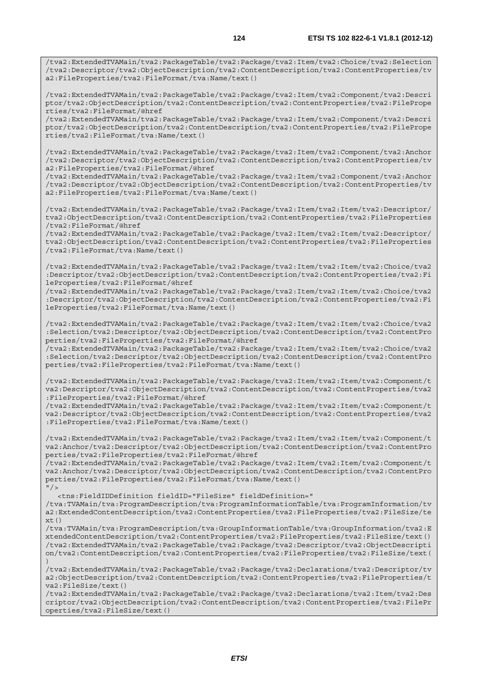/tva2:ExtendedTVAMain/tva2:PackageTable/tva2:Package/tva2:Item/tva2:Component/tva2:Descri ptor/tva2:ObjectDescription/tva2:ContentDescription/tva2:ContentProperties/tva2:FilePrope rties/tva2:FileFormat/@href

/tva2:ExtendedTVAMain/tva2:PackageTable/tva2:Package/tva2:Item/tva2:Component/tva2:Descri ptor/tva2:ObjectDescription/tva2:ContentDescription/tva2:ContentProperties/tva2:FilePrope rties/tva2:FileFormat/tva:Name/text()

/tva2:ExtendedTVAMain/tva2:PackageTable/tva2:Package/tva2:Item/tva2:Component/tva2:Anchor /tva2:Descriptor/tva2:ObjectDescription/tva2:ContentDescription/tva2:ContentProperties/tv a2:FileProperties/tva2:FileFormat/@href

/tva2:ExtendedTVAMain/tva2:PackageTable/tva2:Package/tva2:Item/tva2:Component/tva2:Anchor /tva2:Descriptor/tva2:ObjectDescription/tva2:ContentDescription/tva2:ContentProperties/tv a2:FileProperties/tva2:FileFormat/tva:Name/text()

/tva2:ExtendedTVAMain/tva2:PackageTable/tva2:Package/tva2:Item/tva2:Item/tva2:Descriptor/ tva2:ObjectDescription/tva2:ContentDescription/tva2:ContentProperties/tva2:FileProperties /tva2:FileFormat/@href

/tva2:ExtendedTVAMain/tva2:PackageTable/tva2:Package/tva2:Item/tva2:Item/tva2:Descriptor/ tva2:ObjectDescription/tva2:ContentDescription/tva2:ContentProperties/tva2:FileProperties /tva2:FileFormat/tva:Name/text()

/tva2:ExtendedTVAMain/tva2:PackageTable/tva2:Package/tva2:Item/tva2:Item/tva2:Choice/tva2 :Descriptor/tva2:ObjectDescription/tva2:ContentDescription/tva2:ContentProperties/tva2:Fi leProperties/tva2:FileFormat/@href

/tva2:ExtendedTVAMain/tva2:PackageTable/tva2:Package/tva2:Item/tva2:Item/tva2:Choice/tva2 :Descriptor/tva2:ObjectDescription/tva2:ContentDescription/tva2:ContentProperties/tva2:Fi leProperties/tva2:FileFormat/tva:Name/text()

/tva2:ExtendedTVAMain/tva2:PackageTable/tva2:Package/tva2:Item/tva2:Item/tva2:Choice/tva2 :Selection/tva2:Descriptor/tva2:ObjectDescription/tva2:ContentDescription/tva2:ContentPro perties/tva2:FileProperties/tva2:FileFormat/@href

/tva2:ExtendedTVAMain/tva2:PackageTable/tva2:Package/tva2:Item/tva2:Item/tva2:Choice/tva2 :Selection/tva2:Descriptor/tva2:ObjectDescription/tva2:ContentDescription/tva2:ContentPro perties/tva2:FileProperties/tva2:FileFormat/tva:Name/text()

/tva2:ExtendedTVAMain/tva2:PackageTable/tva2:Package/tva2:Item/tva2:Item/tva2:Component/t va2:Descriptor/tva2:ObjectDescription/tva2:ContentDescription/tva2:ContentProperties/tva2 :FileProperties/tva2:FileFormat/@href

/tva2:ExtendedTVAMain/tva2:PackageTable/tva2:Package/tva2:Item/tva2:Item/tva2:Component/t va2:Descriptor/tva2:ObjectDescription/tva2:ContentDescription/tva2:ContentProperties/tva2 :FileProperties/tva2:FileFormat/tva:Name/text()

/tva2:ExtendedTVAMain/tva2:PackageTable/tva2:Package/tva2:Item/tva2:Item/tva2:Component/t va2:Anchor/tva2:Descriptor/tva2:ObjectDescription/tva2:ContentDescription/tva2:ContentPro perties/tva2:FileProperties/tva2:FileFormat/@href

/tva2:ExtendedTVAMain/tva2:PackageTable/tva2:Package/tva2:Item/tva2:Item/tva2:Component/t va2:Anchor/tva2:Descriptor/tva2:ObjectDescription/tva2:ContentDescription/tva2:ContentPro perties/tva2:FileProperties/tva2:FileFormat/tva:Name/text()  $''$  / >

<tns:FieldIDDefinition fieldID="FileSize" fieldDefinition="

/tva:TVAMain/tva:ProgramDescription/tva:ProgramInformationTable/tva:ProgramInformation/tv a2:ExtendedContentDescription/tva2:ContentProperties/tva2:FileProperties/tva2:FileSize/te  $xt()$ 

/tva:TVAMain/tva:ProgramDescription/tva:GroupInformationTable/tva:GroupInformation/tva2:E xtendedContentDescription/tva2:ContentProperties/tva2:FileProperties/tva2:FileSize/text() /tva2:ExtendedTVAMain/tva2:PackageTable/tva2:Package/tva2:Descriptor/tva2:ObjectDescripti on/tva2:ContentDescription/tva2:ContentProperties/tva2:FileProperties/tva2:FileSize/text( )

/tva2:ExtendedTVAMain/tva2:PackageTable/tva2:Package/tva2:Declarations/tva2:Descriptor/tv a2:ObjectDescription/tva2:ContentDescription/tva2:ContentProperties/tva2:FileProperties/t va2:FileSize/text()

/tva2:ExtendedTVAMain/tva2:PackageTable/tva2:Package/tva2:Declarations/tva2:Item/tva2:Des criptor/tva2:ObjectDescription/tva2:ContentDescription/tva2:ContentProperties/tva2:FilePr operties/tva2:FileSize/text()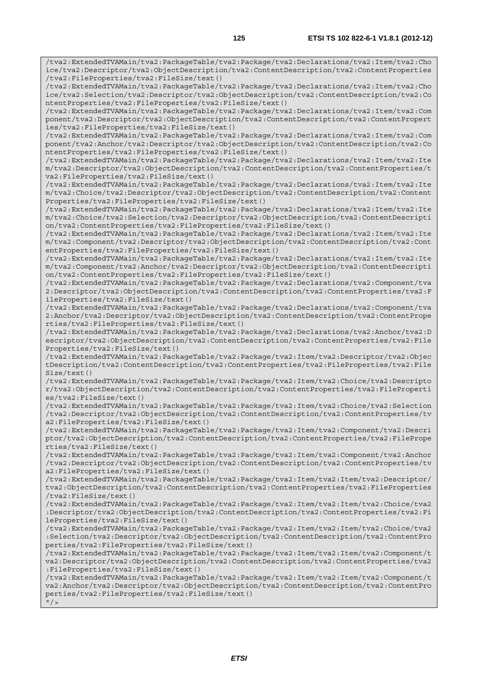/tva2:ExtendedTVAMain/tva2:PackageTable/tva2:Package/tva2:Declarations/tva2:Item/tva2:Cho ice/tva2:Descriptor/tva2:ObjectDescription/tva2:ContentDescription/tva2:ContentProperties /tva2:FileProperties/tva2:FileSize/text() /tva2:ExtendedTVAMain/tva2:PackageTable/tva2:Package/tva2:Declarations/tva2:Item/tva2:Cho ice/tva2:Selection/tva2:Descriptor/tva2:ObjectDescription/tva2:ContentDescription/tva2:Co ntentProperties/tva2:FileProperties/tva2:FileSize/text() /tva2:ExtendedTVAMain/tva2:PackageTable/tva2:Package/tva2:Declarations/tva2:Item/tva2:Com ponent/tva2:Descriptor/tva2:ObjectDescription/tva2:ContentDescription/tva2:ContentPropert ies/tva2:FileProperties/tva2:FileSize/text() /tva2:ExtendedTVAMain/tva2:PackageTable/tva2:Package/tva2:Declarations/tva2:Item/tva2:Com ponent/tva2:Anchor/tva2:Descriptor/tva2:ObjectDescription/tva2:ContentDescription/tva2:Co ntentProperties/tva2:FileProperties/tva2:FileSize/text() /tva2:ExtendedTVAMain/tva2:PackageTable/tva2:Package/tva2:Declarations/tva2:Item/tva2:Ite m/tva2:Descriptor/tva2:ObjectDescription/tva2:ContentDescription/tva2:ContentProperties/t va2:FileProperties/tva2:FileSize/text() /tva2:ExtendedTVAMain/tva2:PackageTable/tva2:Package/tva2:Declarations/tva2:Item/tva2:Ite m/tva2:Choice/tva2:Descriptor/tva2:ObjectDescription/tva2:ContentDescription/tva2:Content Properties/tva2:FileProperties/tva2:FileSize/text() /tva2:ExtendedTVAMain/tva2:PackageTable/tva2:Package/tva2:Declarations/tva2:Item/tva2:Ite m/tva2:Choice/tva2:Selection/tva2:Descriptor/tva2:ObjectDescription/tva2:ContentDescripti on/tva2:ContentProperties/tva2:FileProperties/tva2:FileSize/text() /tva2:ExtendedTVAMain/tva2:PackageTable/tva2:Package/tva2:Declarations/tva2:Item/tva2:Ite m/tva2:Component/tva2:Descriptor/tva2:ObjectDescription/tva2:ContentDescription/tva2:Cont entProperties/tva2:FileProperties/tva2:FileSize/text() /tva2:ExtendedTVAMain/tva2:PackageTable/tva2:Package/tva2:Declarations/tva2:Item/tva2:Ite m/tva2:Component/tva2:Anchor/tva2:Descriptor/tva2:ObjectDescription/tva2:ContentDescripti on/tva2:ContentProperties/tva2:FileProperties/tva2:FileSize/text() /tva2:ExtendedTVAMain/tva2:PackageTable/tva2:Package/tva2:Declarations/tva2:Component/tva 2:Descriptor/tva2:ObjectDescription/tva2:ContentDescription/tva2:ContentProperties/tva2:F ileProperties/tva2:FileSize/text() /tva2:ExtendedTVAMain/tva2:PackageTable/tva2:Package/tva2:Declarations/tva2:Component/tva 2:Anchor/tva2:Descriptor/tva2:ObjectDescription/tva2:ContentDescription/tva2:ContentPrope rties/tva2:FileProperties/tva2:FileSize/text() /tva2:ExtendedTVAMain/tva2:PackageTable/tva2:Package/tva2:Declarations/tva2:Anchor/tva2:D escriptor/tva2:ObjectDescription/tva2:ContentDescription/tva2:ContentProperties/tva2:File Properties/tva2:FileSize/text() /tva2:ExtendedTVAMain/tva2:PackageTable/tva2:Package/tva2:Item/tva2:Descriptor/tva2:Objec tDescription/tva2:ContentDescription/tva2:ContentProperties/tva2:FileProperties/tva2:File Size/text() /tva2:ExtendedTVAMain/tva2:PackageTable/tva2:Package/tva2:Item/tva2:Choice/tva2:Descripto r/tva2:ObjectDescription/tva2:ContentDescription/tva2:ContentProperties/tva2:FileProperti es/tva2:FileSize/text() /tva2:ExtendedTVAMain/tva2:PackageTable/tva2:Package/tva2:Item/tva2:Choice/tva2:Selection /tva2:Descriptor/tva2:ObjectDescription/tva2:ContentDescription/tva2:ContentProperties/tv a2:FileProperties/tva2:FileSize/text() /tva2:ExtendedTVAMain/tva2:PackageTable/tva2:Package/tva2:Item/tva2:Component/tva2:Descri ptor/tva2:ObjectDescription/tva2:ContentDescription/tva2:ContentProperties/tva2:FilePrope rties/tva2:FileSize/text() /tva2:ExtendedTVAMain/tva2:PackageTable/tva2:Package/tva2:Item/tva2:Component/tva2:Anchor /tva2:Descriptor/tva2:ObjectDescription/tva2:ContentDescription/tva2:ContentProperties/tv a2:FileProperties/tva2:FileSize/text() /tva2:ExtendedTVAMain/tva2:PackageTable/tva2:Package/tva2:Item/tva2:Item/tva2:Descriptor/ tva2:ObjectDescription/tva2:ContentDescription/tva2:ContentProperties/tva2:FileProperties /tva2:FileSize/text() /tva2:ExtendedTVAMain/tva2:PackageTable/tva2:Package/tva2:Item/tva2:Item/tva2:Choice/tva2 :Descriptor/tva2:ObjectDescription/tva2:ContentDescription/tva2:ContentProperties/tva2:Fi leProperties/tva2:FileSize/text() /tva2:ExtendedTVAMain/tva2:PackageTable/tva2:Package/tva2:Item/tva2:Item/tva2:Choice/tva2 :Selection/tva2:Descriptor/tva2:ObjectDescription/tva2:ContentDescription/tva2:ContentPro perties/tva2:FileProperties/tva2:FileSize/text() /tva2:ExtendedTVAMain/tva2:PackageTable/tva2:Package/tva2:Item/tva2:Item/tva2:Component/t va2:Descriptor/tva2:ObjectDescription/tva2:ContentDescription/tva2:ContentProperties/tva2 :FileProperties/tva2:FileSize/text() /tva2:ExtendedTVAMain/tva2:PackageTable/tva2:Package/tva2:Item/tva2:Item/tva2:Component/t va2:Anchor/tva2:Descriptor/tva2:ObjectDescription/tva2:ContentDescription/tva2:ContentPro perties/tva2:FileProperties/tva2:FileSize/text()  $''$  /  $>$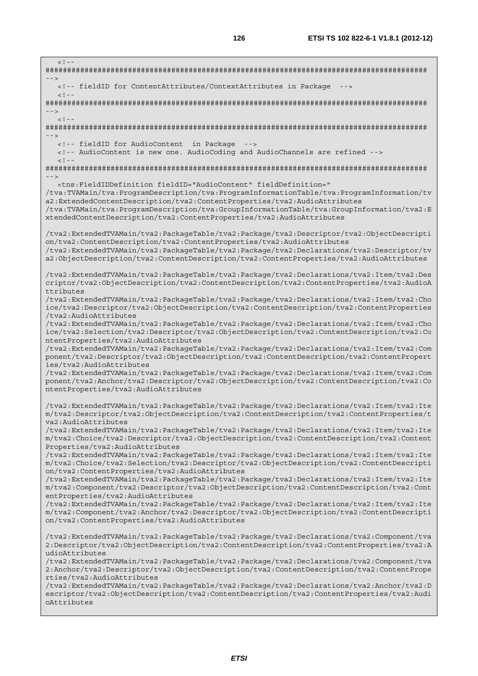$< 1 -$ ######################################################################################## --> <!-- fieldID for ContentAttributes/ContextAttributes in Package -->  $\geq$  1  $-$ ######################################################################################## -->  $\lt$  ! --######################################################################################## --> <!-- fieldID for AudioContent in Package --> <!-- AudioContent is new one. AudioCoding and AudioChannels are refined -->  $\leq$  !  $-$ ######################################################################################## --> <tns:FieldIDDefinition fieldID="AudioContent" fieldDefinition=" /tva:TVAMain/tva:ProgramDescription/tva:ProgramInformationTable/tva:ProgramInformation/tv a2:ExtendedContentDescription/tva2:ContentProperties/tva2:AudioAttributes /tva:TVAMain/tva:ProgramDescription/tva:GroupInformationTable/tva:GroupInformation/tva2:E xtendedContentDescription/tva2:ContentProperties/tva2:AudioAttributes /tva2:ExtendedTVAMain/tva2:PackageTable/tva2:Package/tva2:Descriptor/tva2:ObjectDescripti on/tva2:ContentDescription/tva2:ContentProperties/tva2:AudioAttributes /tva2:ExtendedTVAMain/tva2:PackageTable/tva2:Package/tva2:Declarations/tva2:Descriptor/tv a2:ObjectDescription/tva2:ContentDescription/tva2:ContentProperties/tva2:AudioAttributes /tva2:ExtendedTVAMain/tva2:PackageTable/tva2:Package/tva2:Declarations/tva2:Item/tva2:Des criptor/tva2:ObjectDescription/tva2:ContentDescription/tva2:ContentProperties/tva2:AudioA ttributes /tva2:ExtendedTVAMain/tva2:PackageTable/tva2:Package/tva2:Declarations/tva2:Item/tva2:Cho ice/tva2:Descriptor/tva2:ObjectDescription/tva2:ContentDescription/tva2:ContentProperties /tva2:AudioAttributes /tva2:ExtendedTVAMain/tva2:PackageTable/tva2:Package/tva2:Declarations/tva2:Item/tva2:Cho ice/tva2:Selection/tva2:Descriptor/tva2:ObjectDescription/tva2:ContentDescription/tva2:Co ntentProperties/tva2:AudioAttributes /tva2:ExtendedTVAMain/tva2:PackageTable/tva2:Package/tva2:Declarations/tva2:Item/tva2:Com ponent/tva2:Descriptor/tva2:ObjectDescription/tva2:ContentDescription/tva2:ContentPropert ies/tva2:AudioAttributes /tva2:ExtendedTVAMain/tva2:PackageTable/tva2:Package/tva2:Declarations/tva2:Item/tva2:Com ponent/tva2:Anchor/tva2:Descriptor/tva2:ObjectDescription/tva2:ContentDescription/tva2:Co ntentProperties/tva2:AudioAttributes /tva2:ExtendedTVAMain/tva2:PackageTable/tva2:Package/tva2:Declarations/tva2:Item/tva2:Ite m/tva2:Descriptor/tva2:ObjectDescription/tva2:ContentDescription/tva2:ContentProperties/t va2:AudioAttributes /tva2:ExtendedTVAMain/tva2:PackageTable/tva2:Package/tva2:Declarations/tva2:Item/tva2:Ite m/tva2:Choice/tva2:Descriptor/tva2:ObjectDescription/tva2:ContentDescription/tva2:Content Properties/tva2:AudioAttributes /tva2:ExtendedTVAMain/tva2:PackageTable/tva2:Package/tva2:Declarations/tva2:Item/tva2:Ite m/tva2:Choice/tva2:Selection/tva2:Descriptor/tva2:ObjectDescription/tva2:ContentDescripti on/tva2:ContentProperties/tva2:AudioAttributes /tva2:ExtendedTVAMain/tva2:PackageTable/tva2:Package/tva2:Declarations/tva2:Item/tva2:Ite m/tva2:Component/tva2:Descriptor/tva2:ObjectDescription/tva2:ContentDescription/tva2:Cont entProperties/tva2:AudioAttributes /tva2:ExtendedTVAMain/tva2:PackageTable/tva2:Package/tva2:Declarations/tva2:Item/tva2:Ite m/tva2:Component/tva2:Anchor/tva2:Descriptor/tva2:ObjectDescription/tva2:ContentDescripti on/tva2:ContentProperties/tva2:AudioAttributes /tva2:ExtendedTVAMain/tva2:PackageTable/tva2:Package/tva2:Declarations/tva2:Component/tva 2:Descriptor/tva2:ObjectDescription/tva2:ContentDescription/tva2:ContentProperties/tva2:A udioAttributes /tva2:ExtendedTVAMain/tva2:PackageTable/tva2:Package/tva2:Declarations/tva2:Component/tva 2:Anchor/tva2:Descriptor/tva2:ObjectDescription/tva2:ContentDescription/tva2:ContentPrope rties/tva2:AudioAttributes /tva2:ExtendedTVAMain/tva2:PackageTable/tva2:Package/tva2:Declarations/tva2:Anchor/tva2:D escriptor/tva2:ObjectDescription/tva2:ContentDescription/tva2:ContentProperties/tva2:Audi oAttributes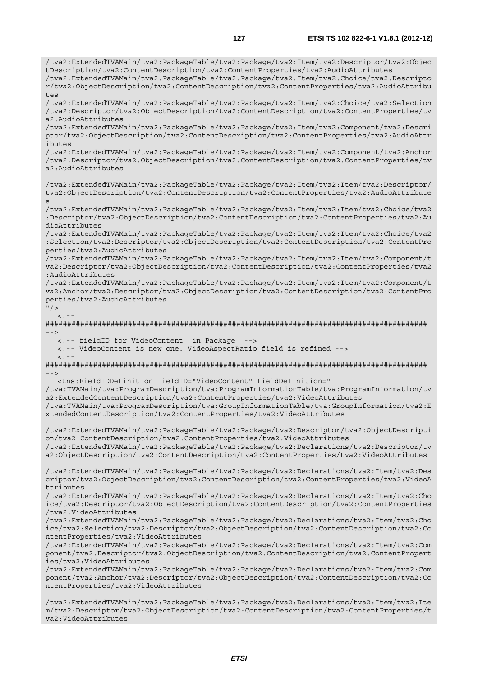/tva2:ExtendedTVAMain/tva2:PackageTable/tva2:Package/tva2:Item/tva2:Descriptor/tva2:Objec tDescription/tva2:ContentDescription/tva2:ContentProperties/tva2:AudioAttributes /tva2:ExtendedTVAMain/tva2:PackageTable/tva2:Package/tva2:Item/tva2:Choice/tva2:Descripto r/tva2:ObjectDescription/tva2:ContentDescription/tva2:ContentProperties/tva2:AudioAttribu tes /tva2:ExtendedTVAMain/tva2:PackageTable/tva2:Package/tva2:Item/tva2:Choice/tva2:Selection /tva2:Descriptor/tva2:ObjectDescription/tva2:ContentDescription/tva2:ContentProperties/tv a2:AudioAttributes /tva2:ExtendedTVAMain/tva2:PackageTable/tva2:Package/tva2:Item/tva2:Component/tva2:Descri ptor/tva2:ObjectDescription/tva2:ContentDescription/tva2:ContentProperties/tva2:AudioAttr ibutes /tva2:ExtendedTVAMain/tva2:PackageTable/tva2:Package/tva2:Item/tva2:Component/tva2:Anchor /tva2:Descriptor/tva2:ObjectDescription/tva2:ContentDescription/tva2:ContentProperties/tv a2:AudioAttributes /tva2:ExtendedTVAMain/tva2:PackageTable/tva2:Package/tva2:Item/tva2:Item/tva2:Descriptor/ tva2:ObjectDescription/tva2:ContentDescription/tva2:ContentProperties/tva2:AudioAttribute s /tva2:ExtendedTVAMain/tva2:PackageTable/tva2:Package/tva2:Item/tva2:Item/tva2:Choice/tva2 :Descriptor/tva2:ObjectDescription/tva2:ContentDescription/tva2:ContentProperties/tva2:Au dioAttributes /tva2:ExtendedTVAMain/tva2:PackageTable/tva2:Package/tva2:Item/tva2:Item/tva2:Choice/tva2 :Selection/tva2:Descriptor/tva2:ObjectDescription/tva2:ContentDescription/tva2:ContentPro perties/tva2:AudioAttributes /tva2:ExtendedTVAMain/tva2:PackageTable/tva2:Package/tva2:Item/tva2:Item/tva2:Component/t va2:Descriptor/tva2:ObjectDescription/tva2:ContentDescription/tva2:ContentProperties/tva2 :AudioAttributes /tva2:ExtendedTVAMain/tva2:PackageTable/tva2:Package/tva2:Item/tva2:Item/tva2:Component/t va2:Anchor/tva2:Descriptor/tva2:ObjectDescription/tva2:ContentDescription/tva2:ContentPro perties/tva2:AudioAttributes  $"$  / >  $\leq$  1 ######################################################################################## --> <!-- fieldID for VideoContent in Package --> <!-- VideoContent is new one. VideoAspectRatio field is refined -->  $\lt$  ! --######################################################################################## --> <tns:FieldIDDefinition fieldID="VideoContent" fieldDefinition=" /tva:TVAMain/tva:ProgramDescription/tva:ProgramInformationTable/tva:ProgramInformation/tv a2:ExtendedContentDescription/tva2:ContentProperties/tva2:VideoAttributes /tva:TVAMain/tva:ProgramDescription/tva:GroupInformationTable/tva:GroupInformation/tva2:E xtendedContentDescription/tva2:ContentProperties/tva2:VideoAttributes /tva2:ExtendedTVAMain/tva2:PackageTable/tva2:Package/tva2:Descriptor/tva2:ObjectDescripti on/tva2:ContentDescription/tva2:ContentProperties/tva2:VideoAttributes /tva2:ExtendedTVAMain/tva2:PackageTable/tva2:Package/tva2:Declarations/tva2:Descriptor/tv a2:ObjectDescription/tva2:ContentDescription/tva2:ContentProperties/tva2:VideoAttributes /tva2:ExtendedTVAMain/tva2:PackageTable/tva2:Package/tva2:Declarations/tva2:Item/tva2:Des criptor/tva2:ObjectDescription/tva2:ContentDescription/tva2:ContentProperties/tva2:VideoA ttributes /tva2:ExtendedTVAMain/tva2:PackageTable/tva2:Package/tva2:Declarations/tva2:Item/tva2:Cho ice/tva2:Descriptor/tva2:ObjectDescription/tva2:ContentDescription/tva2:ContentProperties /tva2:VideoAttributes /tva2:ExtendedTVAMain/tva2:PackageTable/tva2:Package/tva2:Declarations/tva2:Item/tva2:Cho ice/tva2:Selection/tva2:Descriptor/tva2:ObjectDescription/tva2:ContentDescription/tva2:Co ntentProperties/tva2:VideoAttributes /tva2:ExtendedTVAMain/tva2:PackageTable/tva2:Package/tva2:Declarations/tva2:Item/tva2:Com ponent/tva2:Descriptor/tva2:ObjectDescription/tva2:ContentDescription/tva2:ContentPropert ies/tva2:VideoAttributes /tva2:ExtendedTVAMain/tva2:PackageTable/tva2:Package/tva2:Declarations/tva2:Item/tva2:Com ponent/tva2:Anchor/tva2:Descriptor/tva2:ObjectDescription/tva2:ContentDescription/tva2:Co ntentProperties/tva2:VideoAttributes /tva2:ExtendedTVAMain/tva2:PackageTable/tva2:Package/tva2:Declarations/tva2:Item/tva2:Ite m/tva2:Descriptor/tva2:ObjectDescription/tva2:ContentDescription/tva2:ContentProperties/t

va2:VideoAttributes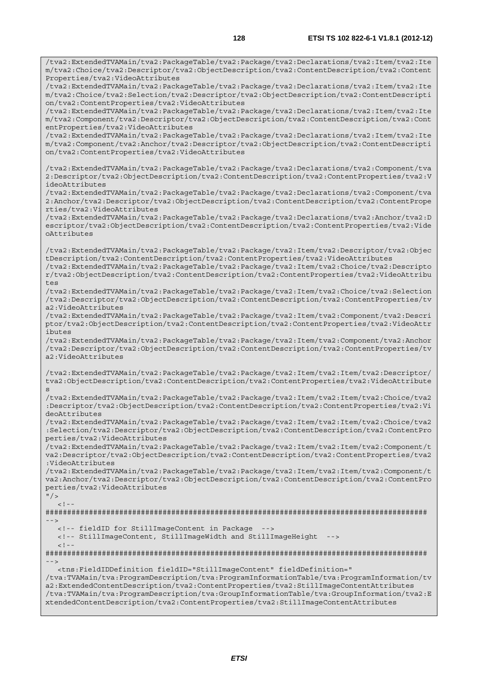/tva2:ExtendedTVAMain/tva2:PackageTable/tva2:Package/tva2:Declarations/tva2:Item/tva2:Ite m/tva2:Choice/tva2:Descriptor/tva2:ObjectDescription/tva2:ContentDescription/tva2:Content

Properties/tva2:VideoAttributes

/tva2:ExtendedTVAMain/tva2:PackageTable/tva2:Package/tva2:Declarations/tva2:Item/tva2:Ite m/tva2:Choice/tva2:Selection/tva2:Descriptor/tva2:ObjectDescription/tva2:ContentDescripti on/tva2:ContentProperties/tva2:VideoAttributes /tva2:ExtendedTVAMain/tva2:PackageTable/tva2:Package/tva2:Declarations/tva2:Item/tva2:Ite m/tva2:Component/tva2:Descriptor/tva2:ObjectDescription/tva2:ContentDescription/tva2:Cont entProperties/tva2:VideoAttributes /tva2:ExtendedTVAMain/tva2:PackageTable/tva2:Package/tva2:Declarations/tva2:Item/tva2:Ite m/tva2:Component/tva2:Anchor/tva2:Descriptor/tva2:ObjectDescription/tva2:ContentDescripti on/tva2:ContentProperties/tva2:VideoAttributes /tva2:ExtendedTVAMain/tva2:PackageTable/tva2:Package/tva2:Declarations/tva2:Component/tva 2:Descriptor/tva2:ObjectDescription/tva2:ContentDescription/tva2:ContentProperties/tva2:V ideoAttributes /tva2:ExtendedTVAMain/tva2:PackageTable/tva2:Package/tva2:Declarations/tva2:Component/tva 2:Anchor/tva2:Descriptor/tva2:ObjectDescription/tva2:ContentDescription/tva2:ContentPrope rties/tva2:VideoAttributes /tva2:ExtendedTVAMain/tva2:PackageTable/tva2:Package/tva2:Declarations/tva2:Anchor/tva2:D escriptor/tva2:ObjectDescription/tva2:ContentDescription/tva2:ContentProperties/tva2:Vide oAttributes /tva2:ExtendedTVAMain/tva2:PackageTable/tva2:Package/tva2:Item/tva2:Descriptor/tva2:Objec tDescription/tva2:ContentDescription/tva2:ContentProperties/tva2:VideoAttributes /tva2:ExtendedTVAMain/tva2:PackageTable/tva2:Package/tva2:Item/tva2:Choice/tva2:Descripto r/tva2:ObjectDescription/tva2:ContentDescription/tva2:ContentProperties/tva2:VideoAttribu tes /tva2:ExtendedTVAMain/tva2:PackageTable/tva2:Package/tva2:Item/tva2:Choice/tva2:Selection /tva2:Descriptor/tva2:ObjectDescription/tva2:ContentDescription/tva2:ContentProperties/tv a2:VideoAttributes /tva2:ExtendedTVAMain/tva2:PackageTable/tva2:Package/tva2:Item/tva2:Component/tva2:Descri ptor/tva2:ObjectDescription/tva2:ContentDescription/tva2:ContentProperties/tva2:VideoAttr ibutes /tva2:ExtendedTVAMain/tva2:PackageTable/tva2:Package/tva2:Item/tva2:Component/tva2:Anchor /tva2:Descriptor/tva2:ObjectDescription/tva2:ContentDescription/tva2:ContentProperties/tv a2:VideoAttributes /tva2:ExtendedTVAMain/tva2:PackageTable/tva2:Package/tva2:Item/tva2:Item/tva2:Descriptor/ tva2:ObjectDescription/tva2:ContentDescription/tva2:ContentProperties/tva2:VideoAttribute s /tva2:ExtendedTVAMain/tva2:PackageTable/tva2:Package/tva2:Item/tva2:Item/tva2:Choice/tva2 :Descriptor/tva2:ObjectDescription/tva2:ContentDescription/tva2:ContentProperties/tva2:Vi deoAttributes /tva2:ExtendedTVAMain/tva2:PackageTable/tva2:Package/tva2:Item/tva2:Item/tva2:Choice/tva2 :Selection/tva2:Descriptor/tva2:ObjectDescription/tva2:ContentDescription/tva2:ContentPro perties/tva2:VideoAttributes /tva2:ExtendedTVAMain/tva2:PackageTable/tva2:Package/tva2:Item/tva2:Item/tva2:Component/t va2:Descriptor/tva2:ObjectDescription/tva2:ContentDescription/tva2:ContentProperties/tva2 :VideoAttributes /tva2:ExtendedTVAMain/tva2:PackageTable/tva2:Package/tva2:Item/tva2:Item/tva2:Component/t va2:Anchor/tva2:Descriptor/tva2:ObjectDescription/tva2:ContentDescription/tva2:ContentPro perties/tva2:VideoAttributes  $"$  / >  $\geq$   $\perp$ ######################################################################################## --> <!-- fieldID for StillImageContent in Package --> <!-- StillImageContent, StillImageWidth and StillImageHeight -->  $<$ ! --######################################################################################## --> <tns:FieldIDDefinition fieldID="StillImageContent" fieldDefinition=" /tva:TVAMain/tva:ProgramDescription/tva:ProgramInformationTable/tva:ProgramInformation/tv a2:ExtendedContentDescription/tva2:ContentProperties/tva2:StillImageContentAttributes /tva:TVAMain/tva:ProgramDescription/tva:GroupInformationTable/tva:GroupInformation/tva2:E xtendedContentDescription/tva2:ContentProperties/tva2:StillImageContentAttributes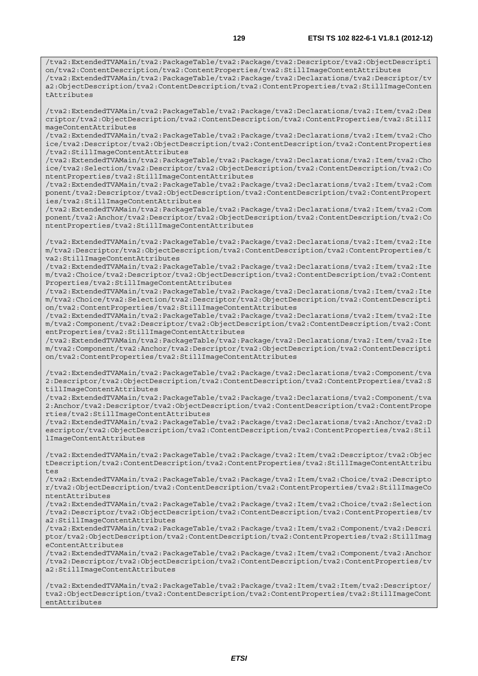/tva2:ExtendedTVAMain/tva2:PackageTable/tva2:Package/tva2:Declarations/tva2:Item/tva2:Des criptor/tva2:ObjectDescription/tva2:ContentDescription/tva2:ContentProperties/tva2:StillI mageContentAttributes

/tva2:ExtendedTVAMain/tva2:PackageTable/tva2:Package/tva2:Declarations/tva2:Item/tva2:Cho ice/tva2:Descriptor/tva2:ObjectDescription/tva2:ContentDescription/tva2:ContentProperties /tva2:StillImageContentAttributes

/tva2:ExtendedTVAMain/tva2:PackageTable/tva2:Package/tva2:Declarations/tva2:Item/tva2:Cho ice/tva2:Selection/tva2:Descriptor/tva2:ObjectDescription/tva2:ContentDescription/tva2:Co ntentProperties/tva2:StillImageContentAttributes

/tva2:ExtendedTVAMain/tva2:PackageTable/tva2:Package/tva2:Declarations/tva2:Item/tva2:Com ponent/tva2:Descriptor/tva2:ObjectDescription/tva2:ContentDescription/tva2:ContentPropert ies/tva2:StillImageContentAttributes

/tva2:ExtendedTVAMain/tva2:PackageTable/tva2:Package/tva2:Declarations/tva2:Item/tva2:Com ponent/tva2:Anchor/tva2:Descriptor/tva2:ObjectDescription/tva2:ContentDescription/tva2:Co ntentProperties/tva2:StillImageContentAttributes

/tva2:ExtendedTVAMain/tva2:PackageTable/tva2:Package/tva2:Declarations/tva2:Item/tva2:Ite m/tva2:Descriptor/tva2:ObjectDescription/tva2:ContentDescription/tva2:ContentProperties/t va2:StillImageContentAttributes

/tva2:ExtendedTVAMain/tva2:PackageTable/tva2:Package/tva2:Declarations/tva2:Item/tva2:Ite m/tva2:Choice/tva2:Descriptor/tva2:ObjectDescription/tva2:ContentDescription/tva2:Content Properties/tva2:StillImageContentAttributes

/tva2:ExtendedTVAMain/tva2:PackageTable/tva2:Package/tva2:Declarations/tva2:Item/tva2:Ite m/tva2:Choice/tva2:Selection/tva2:Descriptor/tva2:ObjectDescription/tva2:ContentDescripti on/tva2:ContentProperties/tva2:StillImageContentAttributes

/tva2:ExtendedTVAMain/tva2:PackageTable/tva2:Package/tva2:Declarations/tva2:Item/tva2:Ite m/tva2:Component/tva2:Descriptor/tva2:ObjectDescription/tva2:ContentDescription/tva2:Cont entProperties/tva2:StillImageContentAttributes

/tva2:ExtendedTVAMain/tva2:PackageTable/tva2:Package/tva2:Declarations/tva2:Item/tva2:Ite m/tva2:Component/tva2:Anchor/tva2:Descriptor/tva2:ObjectDescription/tva2:ContentDescripti on/tva2:ContentProperties/tva2:StillImageContentAttributes

/tva2:ExtendedTVAMain/tva2:PackageTable/tva2:Package/tva2:Declarations/tva2:Component/tva 2:Descriptor/tva2:ObjectDescription/tva2:ContentDescription/tva2:ContentProperties/tva2:S tillImageContentAttributes

/tva2:ExtendedTVAMain/tva2:PackageTable/tva2:Package/tva2:Declarations/tva2:Component/tva 2:Anchor/tva2:Descriptor/tva2:ObjectDescription/tva2:ContentDescription/tva2:ContentPrope rties/tva2:StillImageContentAttributes

/tva2:ExtendedTVAMain/tva2:PackageTable/tva2:Package/tva2:Declarations/tva2:Anchor/tva2:D escriptor/tva2:ObjectDescription/tva2:ContentDescription/tva2:ContentProperties/tva2:Stil lImageContentAttributes

/tva2:ExtendedTVAMain/tva2:PackageTable/tva2:Package/tva2:Item/tva2:Descriptor/tva2:Objec tDescription/tva2:ContentDescription/tva2:ContentProperties/tva2:StillImageContentAttribu tes

/tva2:ExtendedTVAMain/tva2:PackageTable/tva2:Package/tva2:Item/tva2:Choice/tva2:Descripto r/tva2:ObjectDescription/tva2:ContentDescription/tva2:ContentProperties/tva2:StillImageCo ntentAttributes

/tva2:ExtendedTVAMain/tva2:PackageTable/tva2:Package/tva2:Item/tva2:Choice/tva2:Selection /tva2:Descriptor/tva2:ObjectDescription/tva2:ContentDescription/tva2:ContentProperties/tv a2:StillImageContentAttributes

/tva2:ExtendedTVAMain/tva2:PackageTable/tva2:Package/tva2:Item/tva2:Component/tva2:Descri ptor/tva2:ObjectDescription/tva2:ContentDescription/tva2:ContentProperties/tva2:StillImag eContentAttributes

/tva2:ExtendedTVAMain/tva2:PackageTable/tva2:Package/tva2:Item/tva2:Component/tva2:Anchor /tva2:Descriptor/tva2:ObjectDescription/tva2:ContentDescription/tva2:ContentProperties/tv a2:StillImageContentAttributes

/tva2:ExtendedTVAMain/tva2:PackageTable/tva2:Package/tva2:Item/tva2:Item/tva2:Descriptor/ tva2:ObjectDescription/tva2:ContentDescription/tva2:ContentProperties/tva2:StillImageCont entAttributes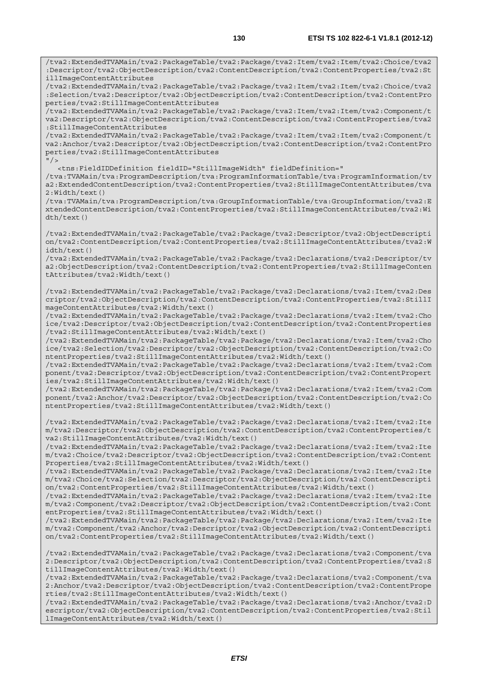/tva2:ExtendedTVAMain/tva2:PackageTable/tva2:Package/tva2:Item/tva2:Item/tva2:Choice/tva2 :Descriptor/tva2:ObjectDescription/tva2:ContentDescription/tva2:ContentProperties/tva2:St illImageContentAttributes

/tva2:ExtendedTVAMain/tva2:PackageTable/tva2:Package/tva2:Item/tva2:Item/tva2:Choice/tva2 :Selection/tva2:Descriptor/tva2:ObjectDescription/tva2:ContentDescription/tva2:ContentPro perties/tva2:StillImageContentAttributes

/tva2:ExtendedTVAMain/tva2:PackageTable/tva2:Package/tva2:Item/tva2:Item/tva2:Component/t va2:Descriptor/tva2:ObjectDescription/tva2:ContentDescription/tva2:ContentProperties/tva2 :StillImageContentAttributes

/tva2:ExtendedTVAMain/tva2:PackageTable/tva2:Package/tva2:Item/tva2:Item/tva2:Component/t va2:Anchor/tva2:Descriptor/tva2:ObjectDescription/tva2:ContentDescription/tva2:ContentPro perties/tva2:StillImageContentAttributes  $"$  / >

<tns:FieldIDDefinition fieldID="StillImageWidth" fieldDefinition="

/tva:TVAMain/tva:ProgramDescription/tva:ProgramInformationTable/tva:ProgramInformation/tv a2:ExtendedContentDescription/tva2:ContentProperties/tva2:StillImageContentAttributes/tva 2:Width/text()

/tva:TVAMain/tva:ProgramDescription/tva:GroupInformationTable/tva:GroupInformation/tva2:E xtendedContentDescription/tva2:ContentProperties/tva2:StillImageContentAttributes/tva2:Wi dth/text()

/tva2:ExtendedTVAMain/tva2:PackageTable/tva2:Package/tva2:Descriptor/tva2:ObjectDescripti on/tva2:ContentDescription/tva2:ContentProperties/tva2:StillImageContentAttributes/tva2:W idth/text()

/tva2:ExtendedTVAMain/tva2:PackageTable/tva2:Package/tva2:Declarations/tva2:Descriptor/tv a2:ObjectDescription/tva2:ContentDescription/tva2:ContentProperties/tva2:StillImageConten tAttributes/tva2:Width/text()

/tva2:ExtendedTVAMain/tva2:PackageTable/tva2:Package/tva2:Declarations/tva2:Item/tva2:Des criptor/tva2:ObjectDescription/tva2:ContentDescription/tva2:ContentProperties/tva2:StillI mageContentAttributes/tva2:Width/text()

/tva2:ExtendedTVAMain/tva2:PackageTable/tva2:Package/tva2:Declarations/tva2:Item/tva2:Cho ice/tva2:Descriptor/tva2:ObjectDescription/tva2:ContentDescription/tva2:ContentProperties /tva2:StillImageContentAttributes/tva2:Width/text()

/tva2:ExtendedTVAMain/tva2:PackageTable/tva2:Package/tva2:Declarations/tva2:Item/tva2:Cho ice/tva2:Selection/tva2:Descriptor/tva2:ObjectDescription/tva2:ContentDescription/tva2:Co ntentProperties/tva2:StillImageContentAttributes/tva2:Width/text()

/tva2:ExtendedTVAMain/tva2:PackageTable/tva2:Package/tva2:Declarations/tva2:Item/tva2:Com ponent/tva2:Descriptor/tva2:ObjectDescription/tva2:ContentDescription/tva2:ContentPropert ies/tva2:StillImageContentAttributes/tva2:Width/text()

/tva2:ExtendedTVAMain/tva2:PackageTable/tva2:Package/tva2:Declarations/tva2:Item/tva2:Com ponent/tva2:Anchor/tva2:Descriptor/tva2:ObjectDescription/tva2:ContentDescription/tva2:Co ntentProperties/tva2:StillImageContentAttributes/tva2:Width/text()

/tva2:ExtendedTVAMain/tva2:PackageTable/tva2:Package/tva2:Declarations/tva2:Item/tva2:Ite m/tva2:Descriptor/tva2:ObjectDescription/tva2:ContentDescription/tva2:ContentProperties/t va2:StillImageContentAttributes/tva2:Width/text()

/tva2:ExtendedTVAMain/tva2:PackageTable/tva2:Package/tva2:Declarations/tva2:Item/tva2:Ite m/tva2:Choice/tva2:Descriptor/tva2:ObjectDescription/tva2:ContentDescription/tva2:Content Properties/tva2:StillImageContentAttributes/tva2:Width/text()

/tva2:ExtendedTVAMain/tva2:PackageTable/tva2:Package/tva2:Declarations/tva2:Item/tva2:Ite m/tva2:Choice/tva2:Selection/tva2:Descriptor/tva2:ObjectDescription/tva2:ContentDescripti on/tva2:ContentProperties/tva2:StillImageContentAttributes/tva2:Width/text()

/tva2:ExtendedTVAMain/tva2:PackageTable/tva2:Package/tva2:Declarations/tva2:Item/tva2:Ite m/tva2:Component/tva2:Descriptor/tva2:ObjectDescription/tva2:ContentDescription/tva2:Cont entProperties/tva2:StillImageContentAttributes/tva2:Width/text()

/tva2:ExtendedTVAMain/tva2:PackageTable/tva2:Package/tva2:Declarations/tva2:Item/tva2:Ite m/tva2:Component/tva2:Anchor/tva2:Descriptor/tva2:ObjectDescription/tva2:ContentDescripti on/tva2:ContentProperties/tva2:StillImageContentAttributes/tva2:Width/text()

/tva2:ExtendedTVAMain/tva2:PackageTable/tva2:Package/tva2:Declarations/tva2:Component/tva 2:Descriptor/tva2:ObjectDescription/tva2:ContentDescription/tva2:ContentProperties/tva2:S tillImageContentAttributes/tva2:Width/text()

/tva2:ExtendedTVAMain/tva2:PackageTable/tva2:Package/tva2:Declarations/tva2:Component/tva 2:Anchor/tva2:Descriptor/tva2:ObjectDescription/tva2:ContentDescription/tva2:ContentPrope rties/tva2:StillImageContentAttributes/tva2:Width/text()

/tva2:ExtendedTVAMain/tva2:PackageTable/tva2:Package/tva2:Declarations/tva2:Anchor/tva2:D escriptor/tva2:ObjectDescription/tva2:ContentDescription/tva2:ContentProperties/tva2:Stil lImageContentAttributes/tva2:Width/text()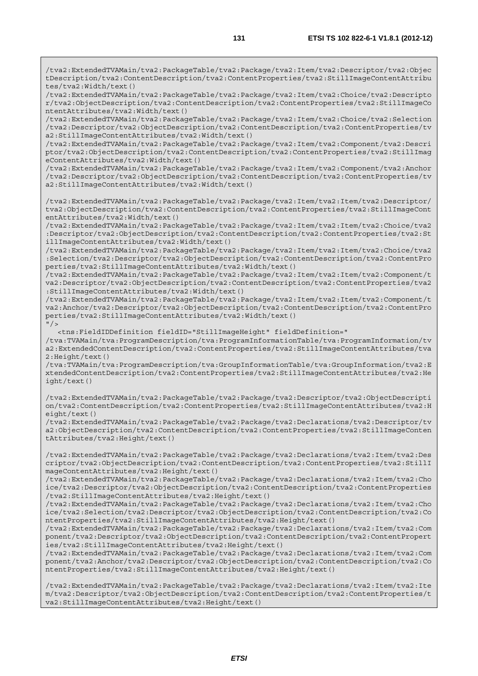/tva2:ExtendedTVAMain/tva2:PackageTable/tva2:Package/tva2:Item/tva2:Descriptor/tva2:Objec tDescription/tva2:ContentDescription/tva2:ContentProperties/tva2:StillImageContentAttribu tes/tva2:Width/text()

/tva2:ExtendedTVAMain/tva2:PackageTable/tva2:Package/tva2:Item/tva2:Choice/tva2:Descripto r/tva2:ObjectDescription/tva2:ContentDescription/tva2:ContentProperties/tva2:StillImageCo ntentAttributes/tva2:Width/text()

/tva2:ExtendedTVAMain/tva2:PackageTable/tva2:Package/tva2:Item/tva2:Choice/tva2:Selection /tva2:Descriptor/tva2:ObjectDescription/tva2:ContentDescription/tva2:ContentProperties/tv a2:StillImageContentAttributes/tva2:Width/text()

/tva2:ExtendedTVAMain/tva2:PackageTable/tva2:Package/tva2:Item/tva2:Component/tva2:Descri ptor/tva2:ObjectDescription/tva2:ContentDescription/tva2:ContentProperties/tva2:StillImag eContentAttributes/tva2:Width/text()

/tva2:ExtendedTVAMain/tva2:PackageTable/tva2:Package/tva2:Item/tva2:Component/tva2:Anchor /tva2:Descriptor/tva2:ObjectDescription/tva2:ContentDescription/tva2:ContentProperties/tv a2:StillImageContentAttributes/tva2:Width/text()

/tva2:ExtendedTVAMain/tva2:PackageTable/tva2:Package/tva2:Item/tva2:Item/tva2:Descriptor/ tva2:ObjectDescription/tva2:ContentDescription/tva2:ContentProperties/tva2:StillImageCont entAttributes/tva2:Width/text()

/tva2:ExtendedTVAMain/tva2:PackageTable/tva2:Package/tva2:Item/tva2:Item/tva2:Choice/tva2 :Descriptor/tva2:ObjectDescription/tva2:ContentDescription/tva2:ContentProperties/tva2:St illImageContentAttributes/tva2:Width/text()

/tva2:ExtendedTVAMain/tva2:PackageTable/tva2:Package/tva2:Item/tva2:Item/tva2:Choice/tva2 :Selection/tva2:Descriptor/tva2:ObjectDescription/tva2:ContentDescription/tva2:ContentPro perties/tva2:StillImageContentAttributes/tva2:Width/text()

/tva2:ExtendedTVAMain/tva2:PackageTable/tva2:Package/tva2:Item/tva2:Item/tva2:Component/t va2:Descriptor/tva2:ObjectDescription/tva2:ContentDescription/tva2:ContentProperties/tva2 :StillImageContentAttributes/tva2:Width/text()

/tva2:ExtendedTVAMain/tva2:PackageTable/tva2:Package/tva2:Item/tva2:Item/tva2:Component/t va2:Anchor/tva2:Descriptor/tva2:ObjectDescription/tva2:ContentDescription/tva2:ContentPro perties/tva2:StillImageContentAttributes/tva2:Width/text()  $''$  /  $>$ 

<tns:FieldIDDefinition fieldID="StillImageHeight" fieldDefinition="

/tva:TVAMain/tva:ProgramDescription/tva:ProgramInformationTable/tva:ProgramInformation/tv a2:ExtendedContentDescription/tva2:ContentProperties/tva2:StillImageContentAttributes/tva 2:Height/text()

/tva:TVAMain/tva:ProgramDescription/tva:GroupInformationTable/tva:GroupInformation/tva2:E xtendedContentDescription/tva2:ContentProperties/tva2:StillImageContentAttributes/tva2:He ight/text()

/tva2:ExtendedTVAMain/tva2:PackageTable/tva2:Package/tva2:Descriptor/tva2:ObjectDescripti on/tva2:ContentDescription/tva2:ContentProperties/tva2:StillImageContentAttributes/tva2:H eight/text()

/tva2:ExtendedTVAMain/tva2:PackageTable/tva2:Package/tva2:Declarations/tva2:Descriptor/tv a2:ObjectDescription/tva2:ContentDescription/tva2:ContentProperties/tva2:StillImageConten tAttributes/tva2:Height/text()

/tva2:ExtendedTVAMain/tva2:PackageTable/tva2:Package/tva2:Declarations/tva2:Item/tva2:Des criptor/tva2:ObjectDescription/tva2:ContentDescription/tva2:ContentProperties/tva2:StillI mageContentAttributes/tva2:Height/text()

/tva2:ExtendedTVAMain/tva2:PackageTable/tva2:Package/tva2:Declarations/tva2:Item/tva2:Cho ice/tva2:Descriptor/tva2:ObjectDescription/tva2:ContentDescription/tva2:ContentProperties /tva2:StillImageContentAttributes/tva2:Height/text()

/tva2:ExtendedTVAMain/tva2:PackageTable/tva2:Package/tva2:Declarations/tva2:Item/tva2:Cho ice/tva2:Selection/tva2:Descriptor/tva2:ObjectDescription/tva2:ContentDescription/tva2:Co ntentProperties/tva2:StillImageContentAttributes/tva2:Height/text()

/tva2:ExtendedTVAMain/tva2:PackageTable/tva2:Package/tva2:Declarations/tva2:Item/tva2:Com ponent/tva2:Descriptor/tva2:ObjectDescription/tva2:ContentDescription/tva2:ContentPropert ies/tva2:StillImageContentAttributes/tva2:Height/text()

/tva2:ExtendedTVAMain/tva2:PackageTable/tva2:Package/tva2:Declarations/tva2:Item/tva2:Com ponent/tva2:Anchor/tva2:Descriptor/tva2:ObjectDescription/tva2:ContentDescription/tva2:Co ntentProperties/tva2:StillImageContentAttributes/tva2:Height/text()

/tva2:ExtendedTVAMain/tva2:PackageTable/tva2:Package/tva2:Declarations/tva2:Item/tva2:Ite m/tva2:Descriptor/tva2:ObjectDescription/tva2:ContentDescription/tva2:ContentProperties/t va2:StillImageContentAttributes/tva2:Height/text()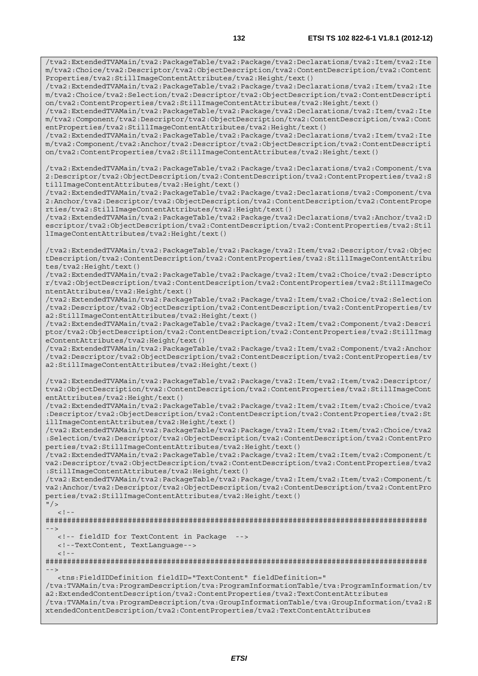/tva2:ExtendedTVAMain/tva2:PackageTable/tva2:Package/tva2:Declarations/tva2:Item/tva2:Ite m/tva2:Choice/tva2:Descriptor/tva2:ObjectDescription/tva2:ContentDescription/tva2:Content Properties/tva2:StillImageContentAttributes/tva2:Height/text()

/tva2:ExtendedTVAMain/tva2:PackageTable/tva2:Package/tva2:Declarations/tva2:Item/tva2:Ite m/tva2:Choice/tva2:Selection/tva2:Descriptor/tva2:ObjectDescription/tva2:ContentDescripti on/tva2:ContentProperties/tva2:StillImageContentAttributes/tva2:Height/text()

/tva2:ExtendedTVAMain/tva2:PackageTable/tva2:Package/tva2:Declarations/tva2:Item/tva2:Ite m/tva2:Component/tva2:Descriptor/tva2:ObjectDescription/tva2:ContentDescription/tva2:Cont entProperties/tva2:StillImageContentAttributes/tva2:Height/text()

/tva2:ExtendedTVAMain/tva2:PackageTable/tva2:Package/tva2:Declarations/tva2:Item/tva2:Ite m/tva2:Component/tva2:Anchor/tva2:Descriptor/tva2:ObjectDescription/tva2:ContentDescripti on/tva2:ContentProperties/tva2:StillImageContentAttributes/tva2:Height/text()

/tva2:ExtendedTVAMain/tva2:PackageTable/tva2:Package/tva2:Declarations/tva2:Component/tva 2:Descriptor/tva2:ObjectDescription/tva2:ContentDescription/tva2:ContentProperties/tva2:S tillImageContentAttributes/tva2:Height/text()

/tva2:ExtendedTVAMain/tva2:PackageTable/tva2:Package/tva2:Declarations/tva2:Component/tva 2:Anchor/tva2:Descriptor/tva2:ObjectDescription/tva2:ContentDescription/tva2:ContentPrope rties/tva2:StillImageContentAttributes/tva2:Height/text()

/tva2:ExtendedTVAMain/tva2:PackageTable/tva2:Package/tva2:Declarations/tva2:Anchor/tva2:D escriptor/tva2:ObjectDescription/tva2:ContentDescription/tva2:ContentProperties/tva2:Stil lImageContentAttributes/tva2:Height/text()

/tva2:ExtendedTVAMain/tva2:PackageTable/tva2:Package/tva2:Item/tva2:Descriptor/tva2:Objec tDescription/tva2:ContentDescription/tva2:ContentProperties/tva2:StillImageContentAttribu tes/tva2:Height/text()

/tva2:ExtendedTVAMain/tva2:PackageTable/tva2:Package/tva2:Item/tva2:Choice/tva2:Descripto r/tva2:ObjectDescription/tva2:ContentDescription/tva2:ContentProperties/tva2:StillImageCo ntentAttributes/tva2:Height/text()

/tva2:ExtendedTVAMain/tva2:PackageTable/tva2:Package/tva2:Item/tva2:Choice/tva2:Selection /tva2:Descriptor/tva2:ObjectDescription/tva2:ContentDescription/tva2:ContentProperties/tv a2:StillImageContentAttributes/tva2:Height/text()

/tva2:ExtendedTVAMain/tva2:PackageTable/tva2:Package/tva2:Item/tva2:Component/tva2:Descri ptor/tva2:ObjectDescription/tva2:ContentDescription/tva2:ContentProperties/tva2:StillImag eContentAttributes/tva2:Height/text()

/tva2:ExtendedTVAMain/tva2:PackageTable/tva2:Package/tva2:Item/tva2:Component/tva2:Anchor /tva2:Descriptor/tva2:ObjectDescription/tva2:ContentDescription/tva2:ContentProperties/tv a2:StillImageContentAttributes/tva2:Height/text()

/tva2:ExtendedTVAMain/tva2:PackageTable/tva2:Package/tva2:Item/tva2:Item/tva2:Descriptor/ tva2:ObjectDescription/tva2:ContentDescription/tva2:ContentProperties/tva2:StillImageCont entAttributes/tva2:Height/text()

/tva2:ExtendedTVAMain/tva2:PackageTable/tva2:Package/tva2:Item/tva2:Item/tva2:Choice/tva2 :Descriptor/tva2:ObjectDescription/tva2:ContentDescription/tva2:ContentProperties/tva2:St illImageContentAttributes/tva2:Height/text()

/tva2:ExtendedTVAMain/tva2:PackageTable/tva2:Package/tva2:Item/tva2:Item/tva2:Choice/tva2 :Selection/tva2:Descriptor/tva2:ObjectDescription/tva2:ContentDescription/tva2:ContentPro perties/tva2:StillImageContentAttributes/tva2:Height/text()

/tva2:ExtendedTVAMain/tva2:PackageTable/tva2:Package/tva2:Item/tva2:Item/tva2:Component/t va2:Descriptor/tva2:ObjectDescription/tva2:ContentDescription/tva2:ContentProperties/tva2 :StillImageContentAttributes/tva2:Height/text()

/tva2:ExtendedTVAMain/tva2:PackageTable/tva2:Package/tva2:Item/tva2:Item/tva2:Component/t va2:Anchor/tva2:Descriptor/tva2:ObjectDescription/tva2:ContentDescription/tva2:ContentPro perties/tva2:StillImageContentAttributes/tva2:Height/text()

 $"$  />

######################################################################################## -->

<!-- fieldID for TextContent in Package -->

<!--TextContent, TextLanguage-->

 $<$ ! --

 $\lt$  !  $-$ 

######################################################################################## -->

<tns:FieldIDDefinition fieldID="TextContent" fieldDefinition="

/tva:TVAMain/tva:ProgramDescription/tva:ProgramInformationTable/tva:ProgramInformation/tv a2:ExtendedContentDescription/tva2:ContentProperties/tva2:TextContentAttributes /tva:TVAMain/tva:ProgramDescription/tva:GroupInformationTable/tva:GroupInformation/tva2:E xtendedContentDescription/tva2:ContentProperties/tva2:TextContentAttributes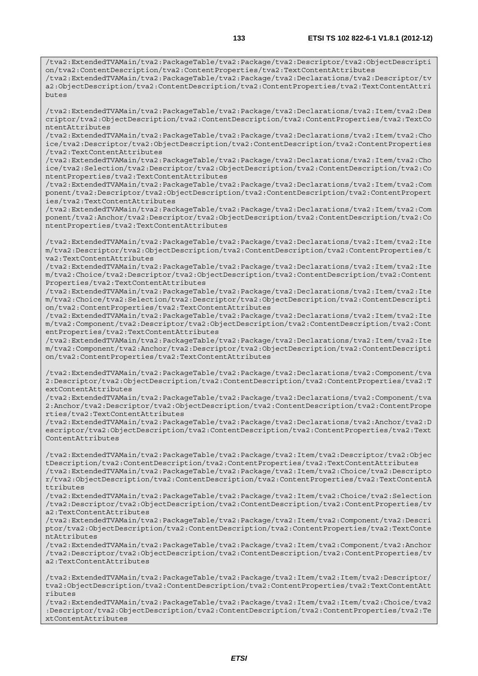/tva2:ExtendedTVAMain/tva2:PackageTable/tva2:Package/tva2:Descriptor/tva2:ObjectDescripti on/tva2:ContentDescription/tva2:ContentProperties/tva2:TextContentAttributes /tva2:ExtendedTVAMain/tva2:PackageTable/tva2:Package/tva2:Declarations/tva2:Descriptor/tv a2:ObjectDescription/tva2:ContentDescription/tva2:ContentProperties/tva2:TextContentAttri

butes

/tva2:ExtendedTVAMain/tva2:PackageTable/tva2:Package/tva2:Declarations/tva2:Item/tva2:Des criptor/tva2:ObjectDescription/tva2:ContentDescription/tva2:ContentProperties/tva2:TextCo ntentAttributes

/tva2:ExtendedTVAMain/tva2:PackageTable/tva2:Package/tva2:Declarations/tva2:Item/tva2:Cho ice/tva2:Descriptor/tva2:ObjectDescription/tva2:ContentDescription/tva2:ContentProperties /tva2:TextContentAttributes

/tva2:ExtendedTVAMain/tva2:PackageTable/tva2:Package/tva2:Declarations/tva2:Item/tva2:Cho ice/tva2:Selection/tva2:Descriptor/tva2:ObjectDescription/tva2:ContentDescription/tva2:Co ntentProperties/tva2:TextContentAttributes

/tva2:ExtendedTVAMain/tva2:PackageTable/tva2:Package/tva2:Declarations/tva2:Item/tva2:Com ponent/tva2:Descriptor/tva2:ObjectDescription/tva2:ContentDescription/tva2:ContentPropert ies/tva2:TextContentAttributes

/tva2:ExtendedTVAMain/tva2:PackageTable/tva2:Package/tva2:Declarations/tva2:Item/tva2:Com ponent/tva2:Anchor/tva2:Descriptor/tva2:ObjectDescription/tva2:ContentDescription/tva2:Co ntentProperties/tva2:TextContentAttributes

/tva2:ExtendedTVAMain/tva2:PackageTable/tva2:Package/tva2:Declarations/tva2:Item/tva2:Ite m/tva2:Descriptor/tva2:ObjectDescription/tva2:ContentDescription/tva2:ContentProperties/t va2:TextContentAttributes

/tva2:ExtendedTVAMain/tva2:PackageTable/tva2:Package/tva2:Declarations/tva2:Item/tva2:Ite m/tva2:Choice/tva2:Descriptor/tva2:ObjectDescription/tva2:ContentDescription/tva2:Content Properties/tva2:TextContentAttributes

/tva2:ExtendedTVAMain/tva2:PackageTable/tva2:Package/tva2:Declarations/tva2:Item/tva2:Ite m/tva2:Choice/tva2:Selection/tva2:Descriptor/tva2:ObjectDescription/tva2:ContentDescripti on/tva2:ContentProperties/tva2:TextContentAttributes

/tva2:ExtendedTVAMain/tva2:PackageTable/tva2:Package/tva2:Declarations/tva2:Item/tva2:Ite m/tva2:Component/tva2:Descriptor/tva2:ObjectDescription/tva2:ContentDescription/tva2:Cont entProperties/tva2:TextContentAttributes

/tva2:ExtendedTVAMain/tva2:PackageTable/tva2:Package/tva2:Declarations/tva2:Item/tva2:Ite m/tva2:Component/tva2:Anchor/tva2:Descriptor/tva2:ObjectDescription/tva2:ContentDescripti on/tva2:ContentProperties/tva2:TextContentAttributes

/tva2:ExtendedTVAMain/tva2:PackageTable/tva2:Package/tva2:Declarations/tva2:Component/tva 2:Descriptor/tva2:ObjectDescription/tva2:ContentDescription/tva2:ContentProperties/tva2:T extContentAttributes

/tva2:ExtendedTVAMain/tva2:PackageTable/tva2:Package/tva2:Declarations/tva2:Component/tva 2:Anchor/tva2:Descriptor/tva2:ObjectDescription/tva2:ContentDescription/tva2:ContentPrope rties/tva2:TextContentAttributes

/tva2:ExtendedTVAMain/tva2:PackageTable/tva2:Package/tva2:Declarations/tva2:Anchor/tva2:D escriptor/tva2:ObjectDescription/tva2:ContentDescription/tva2:ContentProperties/tva2:Text ContentAttributes

/tva2:ExtendedTVAMain/tva2:PackageTable/tva2:Package/tva2:Item/tva2:Descriptor/tva2:Objec tDescription/tva2:ContentDescription/tva2:ContentProperties/tva2:TextContentAttributes /tva2:ExtendedTVAMain/tva2:PackageTable/tva2:Package/tva2:Item/tva2:Choice/tva2:Descripto r/tva2:ObjectDescription/tva2:ContentDescription/tva2:ContentProperties/tva2:TextContentA ttributes

/tva2:ExtendedTVAMain/tva2:PackageTable/tva2:Package/tva2:Item/tva2:Choice/tva2:Selection /tva2:Descriptor/tva2:ObjectDescription/tva2:ContentDescription/tva2:ContentProperties/tv a2:TextContentAttributes

/tva2:ExtendedTVAMain/tva2:PackageTable/tva2:Package/tva2:Item/tva2:Component/tva2:Descri ptor/tva2:ObjectDescription/tva2:ContentDescription/tva2:ContentProperties/tva2:TextConte ntAttributes

/tva2:ExtendedTVAMain/tva2:PackageTable/tva2:Package/tva2:Item/tva2:Component/tva2:Anchor /tva2:Descriptor/tva2:ObjectDescription/tva2:ContentDescription/tva2:ContentProperties/tv a2:TextContentAttributes

/tva2:ExtendedTVAMain/tva2:PackageTable/tva2:Package/tva2:Item/tva2:Item/tva2:Descriptor/ tva2:ObjectDescription/tva2:ContentDescription/tva2:ContentProperties/tva2:TextContentAtt ributes

/tva2:ExtendedTVAMain/tva2:PackageTable/tva2:Package/tva2:Item/tva2:Item/tva2:Choice/tva2 :Descriptor/tva2:ObjectDescription/tva2:ContentDescription/tva2:ContentProperties/tva2:Te xtContentAttributes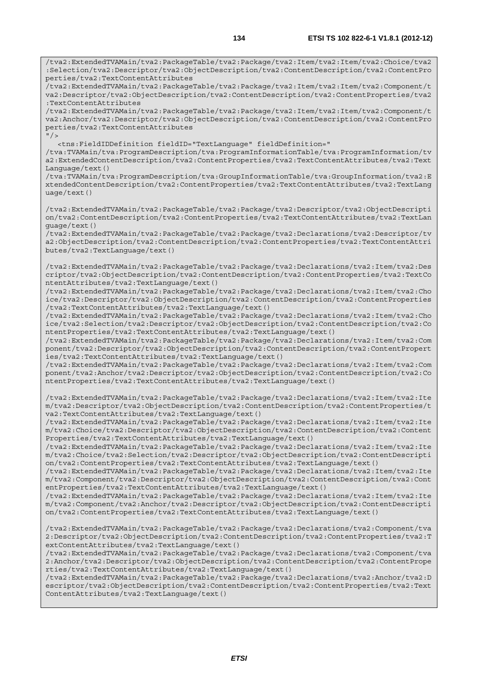/tva2:ExtendedTVAMain/tva2:PackageTable/tva2:Package/tva2:Item/tva2:Item/tva2:Choice/tva2 :Selection/tva2:Descriptor/tva2:ObjectDescription/tva2:ContentDescription/tva2:ContentPro perties/tva2:TextContentAttributes

/tva2:ExtendedTVAMain/tva2:PackageTable/tva2:Package/tva2:Item/tva2:Item/tva2:Component/t va2:Descriptor/tva2:ObjectDescription/tva2:ContentDescription/tva2:ContentProperties/tva2 :TextContentAttributes

/tva2:ExtendedTVAMain/tva2:PackageTable/tva2:Package/tva2:Item/tva2:Item/tva2:Component/t va2:Anchor/tva2:Descriptor/tva2:ObjectDescription/tva2:ContentDescription/tva2:ContentPro perties/tva2:TextContentAttributes  $''$ />

<tns:FieldIDDefinition fieldID="TextLanguage" fieldDefinition="

/tva:TVAMain/tva:ProgramDescription/tva:ProgramInformationTable/tva:ProgramInformation/tv a2:ExtendedContentDescription/tva2:ContentProperties/tva2:TextContentAttributes/tva2:Text Language/text()

/tva:TVAMain/tva:ProgramDescription/tva:GroupInformationTable/tva:GroupInformation/tva2:E xtendedContentDescription/tva2:ContentProperties/tva2:TextContentAttributes/tva2:TextLang uage/text()

/tva2:ExtendedTVAMain/tva2:PackageTable/tva2:Package/tva2:Descriptor/tva2:ObjectDescripti on/tva2:ContentDescription/tva2:ContentProperties/tva2:TextContentAttributes/tva2:TextLan guage/text()

/tva2:ExtendedTVAMain/tva2:PackageTable/tva2:Package/tva2:Declarations/tva2:Descriptor/tv a2:ObjectDescription/tva2:ContentDescription/tva2:ContentProperties/tva2:TextContentAttri butes/tva2:TextLanguage/text()

/tva2:ExtendedTVAMain/tva2:PackageTable/tva2:Package/tva2:Declarations/tva2:Item/tva2:Des criptor/tva2:ObjectDescription/tva2:ContentDescription/tva2:ContentProperties/tva2:TextCo ntentAttributes/tva2:TextLanguage/text()

/tva2:ExtendedTVAMain/tva2:PackageTable/tva2:Package/tva2:Declarations/tva2:Item/tva2:Cho ice/tva2:Descriptor/tva2:ObjectDescription/tva2:ContentDescription/tva2:ContentProperties /tva2:TextContentAttributes/tva2:TextLanguage/text()

/tva2:ExtendedTVAMain/tva2:PackageTable/tva2:Package/tva2:Declarations/tva2:Item/tva2:Cho ice/tva2:Selection/tva2:Descriptor/tva2:ObjectDescription/tva2:ContentDescription/tva2:Co ntentProperties/tva2:TextContentAttributes/tva2:TextLanguage/text()

/tva2:ExtendedTVAMain/tva2:PackageTable/tva2:Package/tva2:Declarations/tva2:Item/tva2:Com ponent/tva2:Descriptor/tva2:ObjectDescription/tva2:ContentDescription/tva2:ContentPropert ies/tva2:TextContentAttributes/tva2:TextLanguage/text()

/tva2:ExtendedTVAMain/tva2:PackageTable/tva2:Package/tva2:Declarations/tva2:Item/tva2:Com ponent/tva2:Anchor/tva2:Descriptor/tva2:ObjectDescription/tva2:ContentDescription/tva2:Co ntentProperties/tva2:TextContentAttributes/tva2:TextLanguage/text()

/tva2:ExtendedTVAMain/tva2:PackageTable/tva2:Package/tva2:Declarations/tva2:Item/tva2:Ite m/tva2:Descriptor/tva2:ObjectDescription/tva2:ContentDescription/tva2:ContentProperties/t va2:TextContentAttributes/tva2:TextLanguage/text()

/tva2:ExtendedTVAMain/tva2:PackageTable/tva2:Package/tva2:Declarations/tva2:Item/tva2:Ite m/tva2:Choice/tva2:Descriptor/tva2:ObjectDescription/tva2:ContentDescription/tva2:Content Properties/tva2:TextContentAttributes/tva2:TextLanguage/text()

/tva2:ExtendedTVAMain/tva2:PackageTable/tva2:Package/tva2:Declarations/tva2:Item/tva2:Ite m/tva2:Choice/tva2:Selection/tva2:Descriptor/tva2:ObjectDescription/tva2:ContentDescripti on/tva2:ContentProperties/tva2:TextContentAttributes/tva2:TextLanguage/text()

/tva2:ExtendedTVAMain/tva2:PackageTable/tva2:Package/tva2:Declarations/tva2:Item/tva2:Ite m/tva2:Component/tva2:Descriptor/tva2:ObjectDescription/tva2:ContentDescription/tva2:Cont entProperties/tva2:TextContentAttributes/tva2:TextLanguage/text()

/tva2:ExtendedTVAMain/tva2:PackageTable/tva2:Package/tva2:Declarations/tva2:Item/tva2:Ite m/tva2:Component/tva2:Anchor/tva2:Descriptor/tva2:ObjectDescription/tva2:ContentDescripti on/tva2:ContentProperties/tva2:TextContentAttributes/tva2:TextLanguage/text()

/tva2:ExtendedTVAMain/tva2:PackageTable/tva2:Package/tva2:Declarations/tva2:Component/tva 2:Descriptor/tva2:ObjectDescription/tva2:ContentDescription/tva2:ContentProperties/tva2:T extContentAttributes/tva2:TextLanguage/text()

/tva2:ExtendedTVAMain/tva2:PackageTable/tva2:Package/tva2:Declarations/tva2:Component/tva 2:Anchor/tva2:Descriptor/tva2:ObjectDescription/tva2:ContentDescription/tva2:ContentPrope rties/tva2:TextContentAttributes/tva2:TextLanguage/text()

/tva2:ExtendedTVAMain/tva2:PackageTable/tva2:Package/tva2:Declarations/tva2:Anchor/tva2:D escriptor/tva2:ObjectDescription/tva2:ContentDescription/tva2:ContentProperties/tva2:Text ContentAttributes/tva2:TextLanguage/text()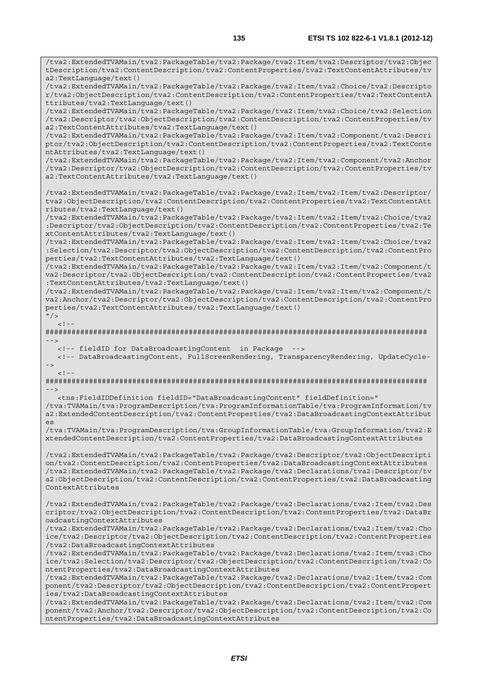/tva2:ExtendedTVAMain/tva2:PackageTable/tva2:Package/tva2:Item/tva2:Descriptor/tva2:Objec

tDescription/tva2:ContentDescription/tva2:ContentProperties/tva2:TextContentAttributes/tv a2:TextLanguage/text() /tva2:ExtendedTVAMain/tva2:PackageTable/tva2:Package/tva2:Item/tva2:Choice/tva2:Descripto r/tva2:ObjectDescription/tva2:ContentDescription/tva2:ContentProperties/tva2:TextContentA ttributes/tva2:TextLanguage/text() /tva2:ExtendedTVAMain/tva2:PackageTable/tva2:Package/tva2:Item/tva2:Choice/tva2:Selection /tva2:Descriptor/tva2:ObjectDescription/tva2:ContentDescription/tva2:ContentProperties/tv a2:TextContentAttributes/tva2:TextLanguage/text() /tva2:ExtendedTVAMain/tva2:PackageTable/tva2:Package/tva2:Item/tva2:Component/tva2:Descri ptor/tva2:ObjectDescription/tva2:ContentDescription/tva2:ContentProperties/tva2:TextConte ntAttributes/tva2:TextLanguage/text() /tva2:ExtendedTVAMain/tva2:PackageTable/tva2:Package/tva2:Item/tva2:Component/tva2:Anchor /tva2:Descriptor/tva2:ObjectDescription/tva2:ContentDescription/tva2:ContentProperties/tv a2:TextContentAttributes/tva2:TextLanguage/text() /tva2:ExtendedTVAMain/tva2:PackageTable/tva2:Package/tva2:Item/tva2:Item/tva2:Descriptor/ tva2:ObjectDescription/tva2:ContentDescription/tva2:ContentProperties/tva2:TextContentAtt ributes/tva2:TextLanguage/text() /tva2:ExtendedTVAMain/tva2:PackageTable/tva2:Package/tva2:Item/tva2:Item/tva2:Choice/tva2 :Descriptor/tva2:ObjectDescription/tva2:ContentDescription/tva2:ContentProperties/tva2:Te xtContentAttributes/tva2:TextLanguage/text() /tva2:ExtendedTVAMain/tva2:PackageTable/tva2:Package/tva2:Item/tva2:Item/tva2:Choice/tva2 :Selection/tva2:Descriptor/tva2:ObjectDescription/tva2:ContentDescription/tva2:ContentPro perties/tva2:TextContentAttributes/tva2:TextLanguage/text() /tva2:ExtendedTVAMain/tva2:PackageTable/tva2:Package/tva2:Item/tva2:Item/tva2:Component/t va2:Descriptor/tva2:ObjectDescription/tva2:ContentDescription/tva2:ContentProperties/tva2 :TextContentAttributes/tva2:TextLanguage/text() /tva2:ExtendedTVAMain/tva2:PackageTable/tva2:Package/tva2:Item/tva2:Item/tva2:Component/t va2:Anchor/tva2:Descriptor/tva2:ObjectDescription/tva2:ContentDescription/tva2:ContentPro perties/tva2:TextContentAttributes/tva2:TextLanguage/text()  $''$  / >  $\geq$  1 ######################################################################################## --> <!-- fieldID for DataBroadcastingContent in Package --> <!-- DataBroadcastingContent, FullScreenRendering, TransparencyRendering, UpdateCycle- ->  $\geq$   $\frac{1}{2}$ . ######################################################################################## --> <tns:FieldIDDefinition fieldID="DataBroadcastingContent" fieldDefinition=" /tva:TVAMain/tva:ProgramDescription/tva:ProgramInformationTable/tva:ProgramInformation/tv a2:ExtendedContentDescription/tva2:ContentProperties/tva2:DataBroadcastingContextAttribut  $A$ /tva:TVAMain/tva:ProgramDescription/tva:GroupInformationTable/tva:GroupInformation/tva2:E xtendedContentDescription/tva2:ContentProperties/tva2:DataBroadcastingContextAttributes /tva2:ExtendedTVAMain/tva2:PackageTable/tva2:Package/tva2:Descriptor/tva2:ObjectDescripti on/tva2:ContentDescription/tva2:ContentProperties/tva2:DataBroadcastingContextAttributes /tva2:ExtendedTVAMain/tva2:PackageTable/tva2:Package/tva2:Declarations/tva2:Descriptor/tv a2:ObjectDescription/tva2:ContentDescription/tva2:ContentProperties/tva2:DataBroadcasting ContextAttributes /tva2:ExtendedTVAMain/tva2:PackageTable/tva2:Package/tva2:Declarations/tva2:Item/tva2:Des criptor/tva2:ObjectDescription/tva2:ContentDescription/tva2:ContentProperties/tva2:DataBr oadcastingContextAttributes /tva2:ExtendedTVAMain/tva2:PackageTable/tva2:Package/tva2:Declarations/tva2:Item/tva2:Cho ice/tva2:Descriptor/tva2:ObjectDescription/tva2:ContentDescription/tva2:ContentProperties /tva2:DataBroadcastingContextAttributes /tva2:ExtendedTVAMain/tva2:PackageTable/tva2:Package/tva2:Declarations/tva2:Item/tva2:Cho ice/tva2:Selection/tva2:Descriptor/tva2:ObjectDescription/tva2:ContentDescription/tva2:Co ntentProperties/tva2:DataBroadcastingContextAttributes /tva2:ExtendedTVAMain/tva2:PackageTable/tva2:Package/tva2:Declarations/tva2:Item/tva2:Com ponent/tva2:Descriptor/tva2:ObjectDescription/tva2:ContentDescription/tva2:ContentPropert ies/tva2:DataBroadcastingContextAttributes /tva2:ExtendedTVAMain/tva2:PackageTable/tva2:Package/tva2:Declarations/tva2:Item/tva2:Com ponent/tva2:Anchor/tva2:Descriptor/tva2:ObjectDescription/tva2:ContentDescription/tva2:Co ntentProperties/tva2:DataBroadcastingContextAttributes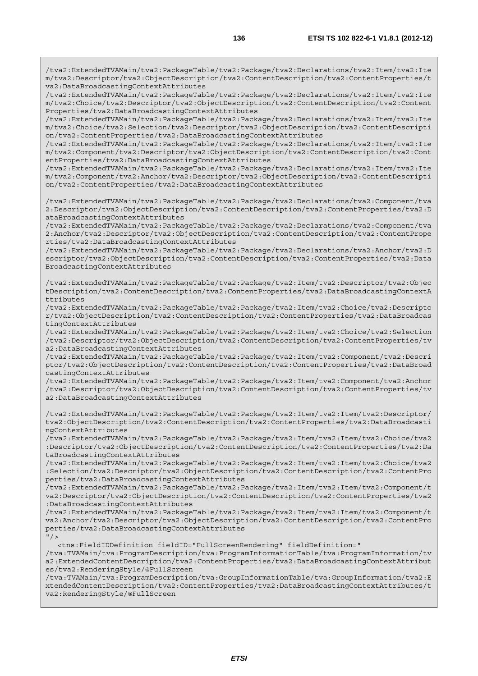/tva2:ExtendedTVAMain/tva2:PackageTable/tva2:Package/tva2:Declarations/tva2:Item/tva2:Ite m/tva2:Descriptor/tva2:ObjectDescription/tva2:ContentDescription/tva2:ContentProperties/t va2:DataBroadcastingContextAttributes

/tva2:ExtendedTVAMain/tva2:PackageTable/tva2:Package/tva2:Declarations/tva2:Item/tva2:Ite m/tva2:Choice/tva2:Descriptor/tva2:ObjectDescription/tva2:ContentDescription/tva2:Content Properties/tva2:DataBroadcastingContextAttributes

/tva2:ExtendedTVAMain/tva2:PackageTable/tva2:Package/tva2:Declarations/tva2:Item/tva2:Ite m/tva2:Choice/tva2:Selection/tva2:Descriptor/tva2:ObjectDescription/tva2:ContentDescripti on/tva2:ContentProperties/tva2:DataBroadcastingContextAttributes

/tva2:ExtendedTVAMain/tva2:PackageTable/tva2:Package/tva2:Declarations/tva2:Item/tva2:Ite m/tva2:Component/tva2:Descriptor/tva2:ObjectDescription/tva2:ContentDescription/tva2:Cont entProperties/tva2:DataBroadcastingContextAttributes

/tva2:ExtendedTVAMain/tva2:PackageTable/tva2:Package/tva2:Declarations/tva2:Item/tva2:Ite m/tva2:Component/tva2:Anchor/tva2:Descriptor/tva2:ObjectDescription/tva2:ContentDescripti on/tva2:ContentProperties/tva2:DataBroadcastingContextAttributes

/tva2:ExtendedTVAMain/tva2:PackageTable/tva2:Package/tva2:Declarations/tva2:Component/tva 2:Descriptor/tva2:ObjectDescription/tva2:ContentDescription/tva2:ContentProperties/tva2:D ataBroadcastingContextAttributes

/tva2:ExtendedTVAMain/tva2:PackageTable/tva2:Package/tva2:Declarations/tva2:Component/tva 2:Anchor/tva2:Descriptor/tva2:ObjectDescription/tva2:ContentDescription/tva2:ContentPrope rties/tva2:DataBroadcastingContextAttributes

/tva2:ExtendedTVAMain/tva2:PackageTable/tva2:Package/tva2:Declarations/tva2:Anchor/tva2:D escriptor/tva2:ObjectDescription/tva2:ContentDescription/tva2:ContentProperties/tva2:Data BroadcastingContextAttributes

/tva2:ExtendedTVAMain/tva2:PackageTable/tva2:Package/tva2:Item/tva2:Descriptor/tva2:Objec tDescription/tva2:ContentDescription/tva2:ContentProperties/tva2:DataBroadcastingContextA ttributes

/tva2:ExtendedTVAMain/tva2:PackageTable/tva2:Package/tva2:Item/tva2:Choice/tva2:Descripto r/tva2:ObjectDescription/tva2:ContentDescription/tva2:ContentProperties/tva2:DataBroadcas tingContextAttributes

/tva2:ExtendedTVAMain/tva2:PackageTable/tva2:Package/tva2:Item/tva2:Choice/tva2:Selection /tva2:Descriptor/tva2:ObjectDescription/tva2:ContentDescription/tva2:ContentProperties/tv a2:DataBroadcastingContextAttributes

/tva2:ExtendedTVAMain/tva2:PackageTable/tva2:Package/tva2:Item/tva2:Component/tva2:Descri ptor/tva2:ObjectDescription/tva2:ContentDescription/tva2:ContentProperties/tva2:DataBroad castingContextAttributes

/tva2:ExtendedTVAMain/tva2:PackageTable/tva2:Package/tva2:Item/tva2:Component/tva2:Anchor /tva2:Descriptor/tva2:ObjectDescription/tva2:ContentDescription/tva2:ContentProperties/tv a2:DataBroadcastingContextAttributes

/tva2:ExtendedTVAMain/tva2:PackageTable/tva2:Package/tva2:Item/tva2:Item/tva2:Descriptor/ tva2:ObjectDescription/tva2:ContentDescription/tva2:ContentProperties/tva2:DataBroadcasti ngContextAttributes

/tva2:ExtendedTVAMain/tva2:PackageTable/tva2:Package/tva2:Item/tva2:Item/tva2:Choice/tva2 :Descriptor/tva2:ObjectDescription/tva2:ContentDescription/tva2:ContentProperties/tva2:Da taBroadcastingContextAttributes

/tva2:ExtendedTVAMain/tva2:PackageTable/tva2:Package/tva2:Item/tva2:Item/tva2:Choice/tva2 :Selection/tva2:Descriptor/tva2:ObjectDescription/tva2:ContentDescription/tva2:ContentPro perties/tva2:DataBroadcastingContextAttributes

/tva2:ExtendedTVAMain/tva2:PackageTable/tva2:Package/tva2:Item/tva2:Item/tva2:Component/t va2:Descriptor/tva2:ObjectDescription/tva2:ContentDescription/tva2:ContentProperties/tva2 :DataBroadcastingContextAttributes

/tva2:ExtendedTVAMain/tva2:PackageTable/tva2:Package/tva2:Item/tva2:Item/tva2:Component/t va2:Anchor/tva2:Descriptor/tva2:ObjectDescription/tva2:ContentDescription/tva2:ContentPro perties/tva2:DataBroadcastingContextAttributes  $"$ />

<tns:FieldIDDefinition fieldID="FullScreenRendering" fieldDefinition="

/tva:TVAMain/tva:ProgramDescription/tva:ProgramInformationTable/tva:ProgramInformation/tv a2:ExtendedContentDescription/tva2:ContentProperties/tva2:DataBroadcastingContextAttribut es/tva2:RenderingStyle/@FullScreen

/tva:TVAMain/tva:ProgramDescription/tva:GroupInformationTable/tva:GroupInformation/tva2:E xtendedContentDescription/tva2:ContentProperties/tva2:DataBroadcastingContextAttributes/t va2:RenderingStyle/@FullScreen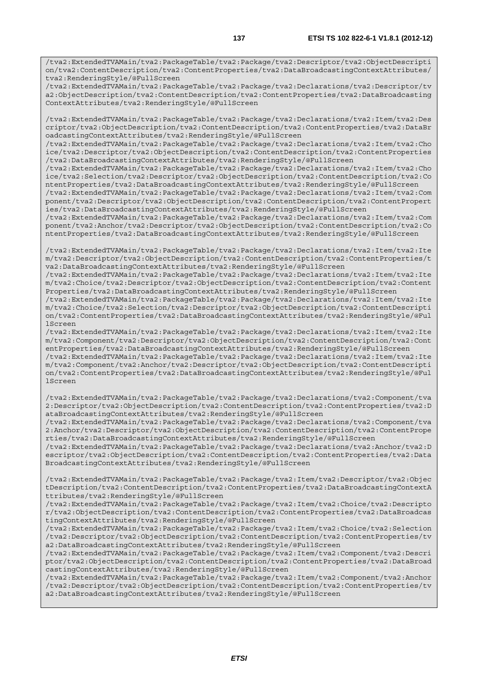/tva2:ExtendedTVAMain/tva2:PackageTable/tva2:Package/tva2:Descriptor/tva2:ObjectDescripti on/tva2:ContentDescription/tva2:ContentProperties/tva2:DataBroadcastingContextAttributes/ tva2:RenderingStyle/@FullScreen

/tva2:ExtendedTVAMain/tva2:PackageTable/tva2:Package/tva2:Declarations/tva2:Descriptor/tv a2:ObjectDescription/tva2:ContentDescription/tva2:ContentProperties/tva2:DataBroadcasting ContextAttributes/tva2:RenderingStyle/@FullScreen

/tva2:ExtendedTVAMain/tva2:PackageTable/tva2:Package/tva2:Declarations/tva2:Item/tva2:Des criptor/tva2:ObjectDescription/tva2:ContentDescription/tva2:ContentProperties/tva2:DataBr oadcastingContextAttributes/tva2:RenderingStyle/@FullScreen

/tva2:ExtendedTVAMain/tva2:PackageTable/tva2:Package/tva2:Declarations/tva2:Item/tva2:Cho ice/tva2:Descriptor/tva2:ObjectDescription/tva2:ContentDescription/tva2:ContentProperties /tva2:DataBroadcastingContextAttributes/tva2:RenderingStyle/@FullScreen

/tva2:ExtendedTVAMain/tva2:PackageTable/tva2:Package/tva2:Declarations/tva2:Item/tva2:Cho ice/tva2:Selection/tva2:Descriptor/tva2:ObjectDescription/tva2:ContentDescription/tva2:Co ntentProperties/tva2:DataBroadcastingContextAttributes/tva2:RenderingStyle/@FullScreen

/tva2:ExtendedTVAMain/tva2:PackageTable/tva2:Package/tva2:Declarations/tva2:Item/tva2:Com ponent/tva2:Descriptor/tva2:ObjectDescription/tva2:ContentDescription/tva2:ContentPropert ies/tva2:DataBroadcastingContextAttributes/tva2:RenderingStyle/@FullScreen

/tva2:ExtendedTVAMain/tva2:PackageTable/tva2:Package/tva2:Declarations/tva2:Item/tva2:Com ponent/tva2:Anchor/tva2:Descriptor/tva2:ObjectDescription/tva2:ContentDescription/tva2:Co ntentProperties/tva2:DataBroadcastingContextAttributes/tva2:RenderingStyle/@FullScreen

/tva2:ExtendedTVAMain/tva2:PackageTable/tva2:Package/tva2:Declarations/tva2:Item/tva2:Ite m/tva2:Descriptor/tva2:ObjectDescription/tva2:ContentDescription/tva2:ContentProperties/t va2:DataBroadcastingContextAttributes/tva2:RenderingStyle/@FullScreen

/tva2:ExtendedTVAMain/tva2:PackageTable/tva2:Package/tva2:Declarations/tva2:Item/tva2:Ite m/tva2:Choice/tva2:Descriptor/tva2:ObjectDescription/tva2:ContentDescription/tva2:Content Properties/tva2:DataBroadcastingContextAttributes/tva2:RenderingStyle/@FullScreen

/tva2:ExtendedTVAMain/tva2:PackageTable/tva2:Package/tva2:Declarations/tva2:Item/tva2:Ite m/tva2:Choice/tva2:Selection/tva2:Descriptor/tva2:ObjectDescription/tva2:ContentDescripti on/tva2:ContentProperties/tva2:DataBroadcastingContextAttributes/tva2:RenderingStyle/@Ful **lScreen** 

/tva2:ExtendedTVAMain/tva2:PackageTable/tva2:Package/tva2:Declarations/tva2:Item/tva2:Ite m/tva2:Component/tva2:Descriptor/tva2:ObjectDescription/tva2:ContentDescription/tva2:Cont entProperties/tva2:DataBroadcastingContextAttributes/tva2:RenderingStyle/@FullScreen

/tva2:ExtendedTVAMain/tva2:PackageTable/tva2:Package/tva2:Declarations/tva2:Item/tva2:Ite m/tva2:Component/tva2:Anchor/tva2:Descriptor/tva2:ObjectDescription/tva2:ContentDescripti on/tva2:ContentProperties/tva2:DataBroadcastingContextAttributes/tva2:RenderingStyle/@Ful lScreen

/tva2:ExtendedTVAMain/tva2:PackageTable/tva2:Package/tva2:Declarations/tva2:Component/tva 2:Descriptor/tva2:ObjectDescription/tva2:ContentDescription/tva2:ContentProperties/tva2:D ataBroadcastingContextAttributes/tva2:RenderingStyle/@FullScreen

/tva2:ExtendedTVAMain/tva2:PackageTable/tva2:Package/tva2:Declarations/tva2:Component/tva 2:Anchor/tva2:Descriptor/tva2:ObjectDescription/tva2:ContentDescription/tva2:ContentPrope rties/tva2:DataBroadcastingContextAttributes/tva2:RenderingStyle/@FullScreen

/tva2:ExtendedTVAMain/tva2:PackageTable/tva2:Package/tva2:Declarations/tva2:Anchor/tva2:D escriptor/tva2:ObjectDescription/tva2:ContentDescription/tva2:ContentProperties/tva2:Data BroadcastingContextAttributes/tva2:RenderingStyle/@FullScreen

/tva2:ExtendedTVAMain/tva2:PackageTable/tva2:Package/tva2:Item/tva2:Descriptor/tva2:Objec tDescription/tva2:ContentDescription/tva2:ContentProperties/tva2:DataBroadcastingContextA ttributes/tva2:RenderingStyle/@FullScreen

/tva2:ExtendedTVAMain/tva2:PackageTable/tva2:Package/tva2:Item/tva2:Choice/tva2:Descripto r/tva2:ObjectDescription/tva2:ContentDescription/tva2:ContentProperties/tva2:DataBroadcas tingContextAttributes/tva2:RenderingStyle/@FullScreen

/tva2:ExtendedTVAMain/tva2:PackageTable/tva2:Package/tva2:Item/tva2:Choice/tva2:Selection /tva2:Descriptor/tva2:ObjectDescription/tva2:ContentDescription/tva2:ContentProperties/tv a2:DataBroadcastingContextAttributes/tva2:RenderingStyle/@FullScreen

/tva2:ExtendedTVAMain/tva2:PackageTable/tva2:Package/tva2:Item/tva2:Component/tva2:Descri ptor/tva2:ObjectDescription/tva2:ContentDescription/tva2:ContentProperties/tva2:DataBroad castingContextAttributes/tva2:RenderingStyle/@FullScreen

/tva2:ExtendedTVAMain/tva2:PackageTable/tva2:Package/tva2:Item/tva2:Component/tva2:Anchor /tva2:Descriptor/tva2:ObjectDescription/tva2:ContentDescription/tva2:ContentProperties/tv a2:DataBroadcastingContextAttributes/tva2:RenderingStyle/@FullScreen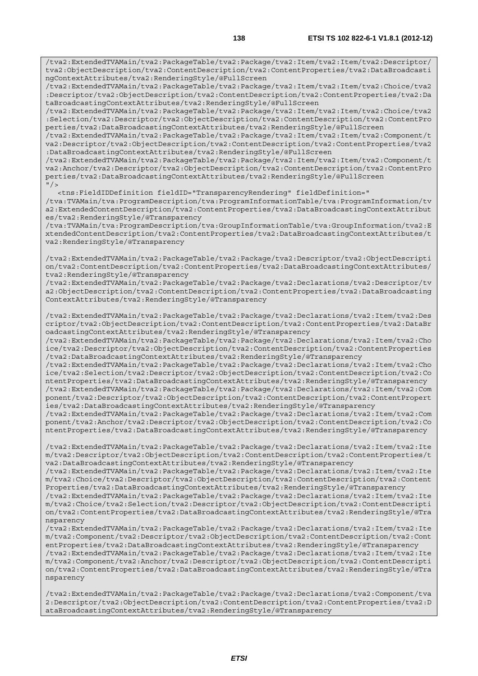/tva2:ExtendedTVAMain/tva2:PackageTable/tva2:Package/tva2:Item/tva2:Item/tva2:Descriptor/ tva2:ObjectDescription/tva2:ContentDescription/tva2:ContentProperties/tva2:DataBroadcasti ngContextAttributes/tva2:RenderingStyle/@FullScreen

/tva2:ExtendedTVAMain/tva2:PackageTable/tva2:Package/tva2:Item/tva2:Item/tva2:Choice/tva2 :Descriptor/tva2:ObjectDescription/tva2:ContentDescription/tva2:ContentProperties/tva2:Da taBroadcastingContextAttributes/tva2:RenderingStyle/@FullScreen

/tva2:ExtendedTVAMain/tva2:PackageTable/tva2:Package/tva2:Item/tva2:Item/tva2:Choice/tva2 :Selection/tva2:Descriptor/tva2:ObjectDescription/tva2:ContentDescription/tva2:ContentPro perties/tva2:DataBroadcastingContextAttributes/tva2:RenderingStyle/@FullScreen

/tva2:ExtendedTVAMain/tva2:PackageTable/tva2:Package/tva2:Item/tva2:Item/tva2:Component/t va2:Descriptor/tva2:ObjectDescription/tva2:ContentDescription/tva2:ContentProperties/tva2 :DataBroadcastingContextAttributes/tva2:RenderingStyle/@FullScreen

/tva2:ExtendedTVAMain/tva2:PackageTable/tva2:Package/tva2:Item/tva2:Item/tva2:Component/t va2:Anchor/tva2:Descriptor/tva2:ObjectDescription/tva2:ContentDescription/tva2:ContentPro perties/tva2:DataBroadcastingContextAttributes/tva2:RenderingStyle/@FullScreen  $"$  />

 <tns:FieldIDDefinition fieldID="TransparencyRendering" fieldDefinition=" /tva:TVAMain/tva:ProgramDescription/tva:ProgramInformationTable/tva:ProgramInformation/tv a2:ExtendedContentDescription/tva2:ContentProperties/tva2:DataBroadcastingContextAttribut es/tva2:RenderingStyle/@Transparency

/tva:TVAMain/tva:ProgramDescription/tva:GroupInformationTable/tva:GroupInformation/tva2:E xtendedContentDescription/tva2:ContentProperties/tva2:DataBroadcastingContextAttributes/t va2:RenderingStyle/@Transparency

/tva2:ExtendedTVAMain/tva2:PackageTable/tva2:Package/tva2:Descriptor/tva2:ObjectDescripti on/tva2:ContentDescription/tva2:ContentProperties/tva2:DataBroadcastingContextAttributes/ tva2:RenderingStyle/@Transparency

/tva2:ExtendedTVAMain/tva2:PackageTable/tva2:Package/tva2:Declarations/tva2:Descriptor/tv a2:ObjectDescription/tva2:ContentDescription/tva2:ContentProperties/tva2:DataBroadcasting ContextAttributes/tva2:RenderingStyle/@Transparency

/tva2:ExtendedTVAMain/tva2:PackageTable/tva2:Package/tva2:Declarations/tva2:Item/tva2:Des criptor/tva2:ObjectDescription/tva2:ContentDescription/tva2:ContentProperties/tva2:DataBr oadcastingContextAttributes/tva2:RenderingStyle/@Transparency

/tva2:ExtendedTVAMain/tva2:PackageTable/tva2:Package/tva2:Declarations/tva2:Item/tva2:Cho ice/tva2:Descriptor/tva2:ObjectDescription/tva2:ContentDescription/tva2:ContentProperties /tva2:DataBroadcastingContextAttributes/tva2:RenderingStyle/@Transparency

/tva2:ExtendedTVAMain/tva2:PackageTable/tva2:Package/tva2:Declarations/tva2:Item/tva2:Cho ice/tva2:Selection/tva2:Descriptor/tva2:ObjectDescription/tva2:ContentDescription/tva2:Co ntentProperties/tva2:DataBroadcastingContextAttributes/tva2:RenderingStyle/@Transparency /tva2:ExtendedTVAMain/tva2:PackageTable/tva2:Package/tva2:Declarations/tva2:Item/tva2:Com ponent/tva2:Descriptor/tva2:ObjectDescription/tva2:ContentDescription/tva2:ContentPropert ies/tva2:DataBroadcastingContextAttributes/tva2:RenderingStyle/@Transparency

/tva2:ExtendedTVAMain/tva2:PackageTable/tva2:Package/tva2:Declarations/tva2:Item/tva2:Com ponent/tva2:Anchor/tva2:Descriptor/tva2:ObjectDescription/tva2:ContentDescription/tva2:Co ntentProperties/tva2:DataBroadcastingContextAttributes/tva2:RenderingStyle/@Transparency

/tva2:ExtendedTVAMain/tva2:PackageTable/tva2:Package/tva2:Declarations/tva2:Item/tva2:Ite m/tva2:Descriptor/tva2:ObjectDescription/tva2:ContentDescription/tva2:ContentProperties/t va2:DataBroadcastingContextAttributes/tva2:RenderingStyle/@Transparency

/tva2:ExtendedTVAMain/tva2:PackageTable/tva2:Package/tva2:Declarations/tva2:Item/tva2:Ite m/tva2:Choice/tva2:Descriptor/tva2:ObjectDescription/tva2:ContentDescription/tva2:Content Properties/tva2:DataBroadcastingContextAttributes/tva2:RenderingStyle/@Transparency

/tva2:ExtendedTVAMain/tva2:PackageTable/tva2:Package/tva2:Declarations/tva2:Item/tva2:Ite m/tva2:Choice/tva2:Selection/tva2:Descriptor/tva2:ObjectDescription/tva2:ContentDescripti on/tva2:ContentProperties/tva2:DataBroadcastingContextAttributes/tva2:RenderingStyle/@Tra nsparency

/tva2:ExtendedTVAMain/tva2:PackageTable/tva2:Package/tva2:Declarations/tva2:Item/tva2:Ite m/tva2:Component/tva2:Descriptor/tva2:ObjectDescription/tva2:ContentDescription/tva2:Cont entProperties/tva2:DataBroadcastingContextAttributes/tva2:RenderingStyle/@Transparency /tva2:ExtendedTVAMain/tva2:PackageTable/tva2:Package/tva2:Declarations/tva2:Item/tva2:Ite m/tva2:Component/tva2:Anchor/tva2:Descriptor/tva2:ObjectDescription/tva2:ContentDescripti

on/tva2:ContentProperties/tva2:DataBroadcastingContextAttributes/tva2:RenderingStyle/@Tra nsparency

/tva2:ExtendedTVAMain/tva2:PackageTable/tva2:Package/tva2:Declarations/tva2:Component/tva 2:Descriptor/tva2:ObjectDescription/tva2:ContentDescription/tva2:ContentProperties/tva2:D ataBroadcastingContextAttributes/tva2:RenderingStyle/@Transparency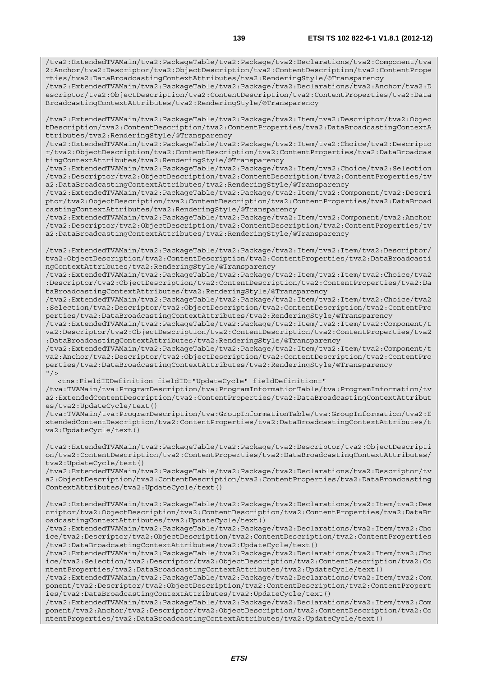/tva2:ExtendedTVAMain/tva2:PackageTable/tva2:Package/tva2:Declarations/tva2:Anchor/tva2:D escriptor/tva2:ObjectDescription/tva2:ContentDescription/tva2:ContentProperties/tva2:Data BroadcastingContextAttributes/tva2:RenderingStyle/@Transparency

/tva2:ExtendedTVAMain/tva2:PackageTable/tva2:Package/tva2:Item/tva2:Descriptor/tva2:Objec tDescription/tva2:ContentDescription/tva2:ContentProperties/tva2:DataBroadcastingContextA ttributes/tva2:RenderingStyle/@Transparency

/tva2:ExtendedTVAMain/tva2:PackageTable/tva2:Package/tva2:Item/tva2:Choice/tva2:Descripto r/tva2:ObjectDescription/tva2:ContentDescription/tva2:ContentProperties/tva2:DataBroadcas tingContextAttributes/tva2:RenderingStyle/@Transparency

/tva2:ExtendedTVAMain/tva2:PackageTable/tva2:Package/tva2:Item/tva2:Choice/tva2:Selection /tva2:Descriptor/tva2:ObjectDescription/tva2:ContentDescription/tva2:ContentProperties/tv a2:DataBroadcastingContextAttributes/tva2:RenderingStyle/@Transparency

/tva2:ExtendedTVAMain/tva2:PackageTable/tva2:Package/tva2:Item/tva2:Component/tva2:Descri ptor/tva2:ObjectDescription/tva2:ContentDescription/tva2:ContentProperties/tva2:DataBroad castingContextAttributes/tva2:RenderingStyle/@Transparency

/tva2:ExtendedTVAMain/tva2:PackageTable/tva2:Package/tva2:Item/tva2:Component/tva2:Anchor /tva2:Descriptor/tva2:ObjectDescription/tva2:ContentDescription/tva2:ContentProperties/tv a2:DataBroadcastingContextAttributes/tva2:RenderingStyle/@Transparency

/tva2:ExtendedTVAMain/tva2:PackageTable/tva2:Package/tva2:Item/tva2:Item/tva2:Descriptor/ tva2:ObjectDescription/tva2:ContentDescription/tva2:ContentProperties/tva2:DataBroadcasti ngContextAttributes/tva2:RenderingStyle/@Transparency

/tva2:ExtendedTVAMain/tva2:PackageTable/tva2:Package/tva2:Item/tva2:Item/tva2:Choice/tva2 :Descriptor/tva2:ObjectDescription/tva2:ContentDescription/tva2:ContentProperties/tva2:Da taBroadcastingContextAttributes/tva2:RenderingStyle/@Transparency

/tva2:ExtendedTVAMain/tva2:PackageTable/tva2:Package/tva2:Item/tva2:Item/tva2:Choice/tva2 :Selection/tva2:Descriptor/tva2:ObjectDescription/tva2:ContentDescription/tva2:ContentPro perties/tva2:DataBroadcastingContextAttributes/tva2:RenderingStyle/@Transparency

/tva2:ExtendedTVAMain/tva2:PackageTable/tva2:Package/tva2:Item/tva2:Item/tva2:Component/t va2:Descriptor/tva2:ObjectDescription/tva2:ContentDescription/tva2:ContentProperties/tva2 :DataBroadcastingContextAttributes/tva2:RenderingStyle/@Transparency

/tva2:ExtendedTVAMain/tva2:PackageTable/tva2:Package/tva2:Item/tva2:Item/tva2:Component/t va2:Anchor/tva2:Descriptor/tva2:ObjectDescription/tva2:ContentDescription/tva2:ContentPro perties/tva2:DataBroadcastingContextAttributes/tva2:RenderingStyle/@Transparency  $"$ />

<tns:FieldIDDefinition fieldID="UpdateCycle" fieldDefinition="

/tva:TVAMain/tva:ProgramDescription/tva:ProgramInformationTable/tva:ProgramInformation/tv a2:ExtendedContentDescription/tva2:ContentProperties/tva2:DataBroadcastingContextAttribut es/tva2:UpdateCycle/text()

/tva:TVAMain/tva:ProgramDescription/tva:GroupInformationTable/tva:GroupInformation/tva2:E xtendedContentDescription/tva2:ContentProperties/tva2:DataBroadcastingContextAttributes/t va2:UpdateCycle/text()

/tva2:ExtendedTVAMain/tva2:PackageTable/tva2:Package/tva2:Descriptor/tva2:ObjectDescripti on/tva2:ContentDescription/tva2:ContentProperties/tva2:DataBroadcastingContextAttributes/ tva2:UpdateCycle/text()

/tva2:ExtendedTVAMain/tva2:PackageTable/tva2:Package/tva2:Declarations/tva2:Descriptor/tv a2:ObjectDescription/tva2:ContentDescription/tva2:ContentProperties/tva2:DataBroadcasting ContextAttributes/tva2:UpdateCycle/text()

/tva2:ExtendedTVAMain/tva2:PackageTable/tva2:Package/tva2:Declarations/tva2:Item/tva2:Des criptor/tva2:ObjectDescription/tva2:ContentDescription/tva2:ContentProperties/tva2:DataBr oadcastingContextAttributes/tva2:UpdateCycle/text()

/tva2:ExtendedTVAMain/tva2:PackageTable/tva2:Package/tva2:Declarations/tva2:Item/tva2:Cho ice/tva2:Descriptor/tva2:ObjectDescription/tva2:ContentDescription/tva2:ContentProperties /tva2:DataBroadcastingContextAttributes/tva2:UpdateCycle/text()

/tva2:ExtendedTVAMain/tva2:PackageTable/tva2:Package/tva2:Declarations/tva2:Item/tva2:Cho ice/tva2:Selection/tva2:Descriptor/tva2:ObjectDescription/tva2:ContentDescription/tva2:Co ntentProperties/tva2:DataBroadcastingContextAttributes/tva2:UpdateCycle/text()

/tva2:ExtendedTVAMain/tva2:PackageTable/tva2:Package/tva2:Declarations/tva2:Item/tva2:Com ponent/tva2:Descriptor/tva2:ObjectDescription/tva2:ContentDescription/tva2:ContentPropert ies/tva2:DataBroadcastingContextAttributes/tva2:UpdateCycle/text()

/tva2:ExtendedTVAMain/tva2:PackageTable/tva2:Package/tva2:Declarations/tva2:Item/tva2:Com ponent/tva2:Anchor/tva2:Descriptor/tva2:ObjectDescription/tva2:ContentDescription/tva2:Co ntentProperties/tva2:DataBroadcastingContextAttributes/tva2:UpdateCycle/text()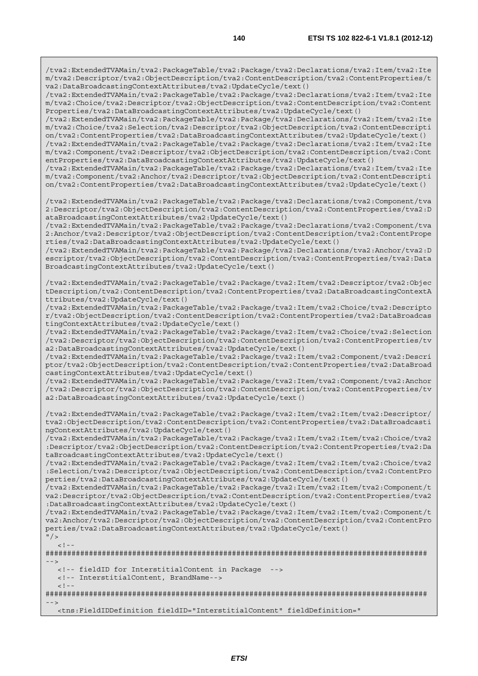/tva2:ExtendedTVAMain/tva2:PackageTable/tva2:Package/tva2:Declarations/tva2:Item/tva2:Ite m/tva2:Descriptor/tva2:ObjectDescription/tva2:ContentDescription/tva2:ContentProperties/t va2:DataBroadcastingContextAttributes/tva2:UpdateCycle/text()

/tva2:ExtendedTVAMain/tva2:PackageTable/tva2:Package/tva2:Declarations/tva2:Item/tva2:Ite m/tva2:Choice/tva2:Descriptor/tva2:ObjectDescription/tva2:ContentDescription/tva2:Content Properties/tva2:DataBroadcastingContextAttributes/tva2:UpdateCycle/text()

/tva2:ExtendedTVAMain/tva2:PackageTable/tva2:Package/tva2:Declarations/tva2:Item/tva2:Ite m/tva2:Choice/tva2:Selection/tva2:Descriptor/tva2:ObjectDescription/tva2:ContentDescripti on/tva2:ContentProperties/tva2:DataBroadcastingContextAttributes/tva2:UpdateCycle/text() /tva2:ExtendedTVAMain/tva2:PackageTable/tva2:Package/tva2:Declarations/tva2:Item/tva2:Ite m/tva2:Component/tva2:Descriptor/tva2:ObjectDescription/tva2:ContentDescription/tva2:Cont entProperties/tva2:DataBroadcastingContextAttributes/tva2:UpdateCycle/text()

/tva2:ExtendedTVAMain/tva2:PackageTable/tva2:Package/tva2:Declarations/tva2:Item/tva2:Ite m/tva2:Component/tva2:Anchor/tva2:Descriptor/tva2:ObjectDescription/tva2:ContentDescripti on/tva2:ContentProperties/tva2:DataBroadcastingContextAttributes/tva2:UpdateCycle/text()

/tva2:ExtendedTVAMain/tva2:PackageTable/tva2:Package/tva2:Declarations/tva2:Component/tva 2:Descriptor/tva2:ObjectDescription/tva2:ContentDescription/tva2:ContentProperties/tva2:D ataBroadcastingContextAttributes/tva2:UpdateCycle/text()

/tva2:ExtendedTVAMain/tva2:PackageTable/tva2:Package/tva2:Declarations/tva2:Component/tva 2:Anchor/tva2:Descriptor/tva2:ObjectDescription/tva2:ContentDescription/tva2:ContentPrope rties/tva2:DataBroadcastingContextAttributes/tva2:UpdateCycle/text()

/tva2:ExtendedTVAMain/tva2:PackageTable/tva2:Package/tva2:Declarations/tva2:Anchor/tva2:D escriptor/tva2:ObjectDescription/tva2:ContentDescription/tva2:ContentProperties/tva2:Data BroadcastingContextAttributes/tva2:UpdateCycle/text()

/tva2:ExtendedTVAMain/tva2:PackageTable/tva2:Package/tva2:Item/tva2:Descriptor/tva2:Objec tDescription/tva2:ContentDescription/tva2:ContentProperties/tva2:DataBroadcastingContextA ttributes/tva2:UpdateCycle/text()

/tva2:ExtendedTVAMain/tva2:PackageTable/tva2:Package/tva2:Item/tva2:Choice/tva2:Descripto r/tva2:ObjectDescription/tva2:ContentDescription/tva2:ContentProperties/tva2:DataBroadcas tingContextAttributes/tva2:UpdateCycle/text()

/tva2:ExtendedTVAMain/tva2:PackageTable/tva2:Package/tva2:Item/tva2:Choice/tva2:Selection /tva2:Descriptor/tva2:ObjectDescription/tva2:ContentDescription/tva2:ContentProperties/tv a2:DataBroadcastingContextAttributes/tva2:UpdateCycle/text()

/tva2:ExtendedTVAMain/tva2:PackageTable/tva2:Package/tva2:Item/tva2:Component/tva2:Descri ptor/tva2:ObjectDescription/tva2:ContentDescription/tva2:ContentProperties/tva2:DataBroad castingContextAttributes/tva2:UpdateCycle/text()

/tva2:ExtendedTVAMain/tva2:PackageTable/tva2:Package/tva2:Item/tva2:Component/tva2:Anchor /tva2:Descriptor/tva2:ObjectDescription/tva2:ContentDescription/tva2:ContentProperties/tv a2:DataBroadcastingContextAttributes/tva2:UpdateCycle/text()

/tva2:ExtendedTVAMain/tva2:PackageTable/tva2:Package/tva2:Item/tva2:Item/tva2:Descriptor/ tva2:ObjectDescription/tva2:ContentDescription/tva2:ContentProperties/tva2:DataBroadcasti ngContextAttributes/tva2:UpdateCycle/text()

/tva2:ExtendedTVAMain/tva2:PackageTable/tva2:Package/tva2:Item/tva2:Item/tva2:Choice/tva2 :Descriptor/tva2:ObjectDescription/tva2:ContentDescription/tva2:ContentProperties/tva2:Da taBroadcastingContextAttributes/tva2:UpdateCycle/text()

/tva2:ExtendedTVAMain/tva2:PackageTable/tva2:Package/tva2:Item/tva2:Item/tva2:Choice/tva2 :Selection/tva2:Descriptor/tva2:ObjectDescription/tva2:ContentDescription/tva2:ContentPro perties/tva2:DataBroadcastingContextAttributes/tva2:UpdateCycle/text()

/tva2:ExtendedTVAMain/tva2:PackageTable/tva2:Package/tva2:Item/tva2:Item/tva2:Component/t va2:Descriptor/tva2:ObjectDescription/tva2:ContentDescription/tva2:ContentProperties/tva2 :DataBroadcastingContextAttributes/tva2:UpdateCycle/text()

/tva2:ExtendedTVAMain/tva2:PackageTable/tva2:Package/tva2:Item/tva2:Item/tva2:Component/t va2:Anchor/tva2:Descriptor/tva2:ObjectDescription/tva2:ContentDescription/tva2:ContentPro perties/tva2:DataBroadcastingContextAttributes/tva2:UpdateCycle/text()

```
<! --
```
 $"$ />

######################################################################################## -->

```
 <!-- fieldID for InterstitialContent in Package --> 
 <!-- InterstitialContent, BrandName--> 
\lt ! -########################################################################################
```

```
-->
```
<tns:FieldIDDefinition fieldID="InterstitialContent" fieldDefinition="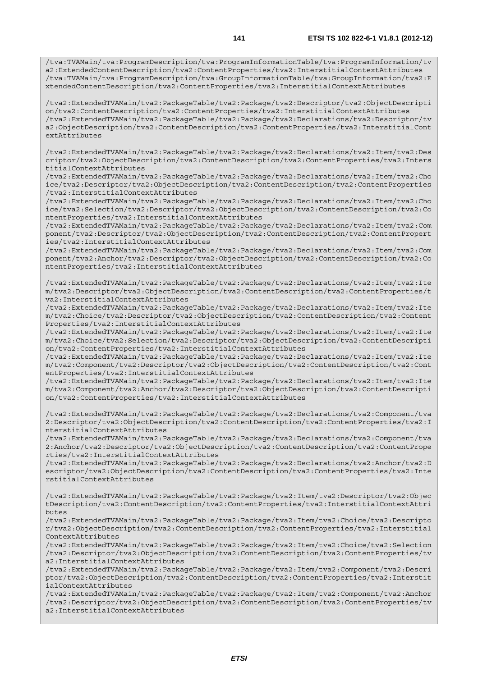/tva2:ExtendedTVAMain/tva2:PackageTable/tva2:Package/tva2:Descriptor/tva2:ObjectDescripti on/tva2:ContentDescription/tva2:ContentProperties/tva2:InterstitialContextAttributes /tva2:ExtendedTVAMain/tva2:PackageTable/tva2:Package/tva2:Declarations/tva2:Descriptor/tv a2:ObjectDescription/tva2:ContentDescription/tva2:ContentProperties/tva2:InterstitialCont extAttributes

/tva2:ExtendedTVAMain/tva2:PackageTable/tva2:Package/tva2:Declarations/tva2:Item/tva2:Des criptor/tva2:ObjectDescription/tva2:ContentDescription/tva2:ContentProperties/tva2:Inters titialContextAttributes

/tva2:ExtendedTVAMain/tva2:PackageTable/tva2:Package/tva2:Declarations/tva2:Item/tva2:Cho ice/tva2:Descriptor/tva2:ObjectDescription/tva2:ContentDescription/tva2:ContentProperties /tva2:InterstitialContextAttributes

/tva2:ExtendedTVAMain/tva2:PackageTable/tva2:Package/tva2:Declarations/tva2:Item/tva2:Cho ice/tva2:Selection/tva2:Descriptor/tva2:ObjectDescription/tva2:ContentDescription/tva2:Co ntentProperties/tva2:InterstitialContextAttributes

/tva2:ExtendedTVAMain/tva2:PackageTable/tva2:Package/tva2:Declarations/tva2:Item/tva2:Com ponent/tva2:Descriptor/tva2:ObjectDescription/tva2:ContentDescription/tva2:ContentPropert ies/tva2:InterstitialContextAttributes

/tva2:ExtendedTVAMain/tva2:PackageTable/tva2:Package/tva2:Declarations/tva2:Item/tva2:Com ponent/tva2:Anchor/tva2:Descriptor/tva2:ObjectDescription/tva2:ContentDescription/tva2:Co ntentProperties/tva2:InterstitialContextAttributes

/tva2:ExtendedTVAMain/tva2:PackageTable/tva2:Package/tva2:Declarations/tva2:Item/tva2:Ite m/tva2:Descriptor/tva2:ObjectDescription/tva2:ContentDescription/tva2:ContentProperties/t va2:InterstitialContextAttributes

/tva2:ExtendedTVAMain/tva2:PackageTable/tva2:Package/tva2:Declarations/tva2:Item/tva2:Ite m/tva2:Choice/tva2:Descriptor/tva2:ObjectDescription/tva2:ContentDescription/tva2:Content Properties/tva2:InterstitialContextAttributes

/tva2:ExtendedTVAMain/tva2:PackageTable/tva2:Package/tva2:Declarations/tva2:Item/tva2:Ite m/tva2:Choice/tva2:Selection/tva2:Descriptor/tva2:ObjectDescription/tva2:ContentDescripti on/tva2:ContentProperties/tva2:InterstitialContextAttributes

/tva2:ExtendedTVAMain/tva2:PackageTable/tva2:Package/tva2:Declarations/tva2:Item/tva2:Ite m/tva2:Component/tva2:Descriptor/tva2:ObjectDescription/tva2:ContentDescription/tva2:Cont entProperties/tva2:InterstitialContextAttributes

/tva2:ExtendedTVAMain/tva2:PackageTable/tva2:Package/tva2:Declarations/tva2:Item/tva2:Ite m/tva2:Component/tva2:Anchor/tva2:Descriptor/tva2:ObjectDescription/tva2:ContentDescripti on/tva2:ContentProperties/tva2:InterstitialContextAttributes

/tva2:ExtendedTVAMain/tva2:PackageTable/tva2:Package/tva2:Declarations/tva2:Component/tva 2:Descriptor/tva2:ObjectDescription/tva2:ContentDescription/tva2:ContentProperties/tva2:I nterstitialContextAttributes

/tva2:ExtendedTVAMain/tva2:PackageTable/tva2:Package/tva2:Declarations/tva2:Component/tva 2:Anchor/tva2:Descriptor/tva2:ObjectDescription/tva2:ContentDescription/tva2:ContentPrope rties/tva2:InterstitialContextAttributes

/tva2:ExtendedTVAMain/tva2:PackageTable/tva2:Package/tva2:Declarations/tva2:Anchor/tva2:D escriptor/tva2:ObjectDescription/tva2:ContentDescription/tva2:ContentProperties/tva2:Inte rstitialContextAttributes

/tva2:ExtendedTVAMain/tva2:PackageTable/tva2:Package/tva2:Item/tva2:Descriptor/tva2:Objec tDescription/tva2:ContentDescription/tva2:ContentProperties/tva2:InterstitialContextAttri butes

/tva2:ExtendedTVAMain/tva2:PackageTable/tva2:Package/tva2:Item/tva2:Choice/tva2:Descripto r/tva2:ObjectDescription/tva2:ContentDescription/tva2:ContentProperties/tva2:Interstitial ContextAttributes

/tva2:ExtendedTVAMain/tva2:PackageTable/tva2:Package/tva2:Item/tva2:Choice/tva2:Selection /tva2:Descriptor/tva2:ObjectDescription/tva2:ContentDescription/tva2:ContentProperties/tv a2:InterstitialContextAttributes

/tva2:ExtendedTVAMain/tva2:PackageTable/tva2:Package/tva2:Item/tva2:Component/tva2:Descri ptor/tva2:ObjectDescription/tva2:ContentDescription/tva2:ContentProperties/tva2:Interstit ialContextAttributes

/tva2:ExtendedTVAMain/tva2:PackageTable/tva2:Package/tva2:Item/tva2:Component/tva2:Anchor /tva2:Descriptor/tva2:ObjectDescription/tva2:ContentDescription/tva2:ContentProperties/tv a2:InterstitialContextAttributes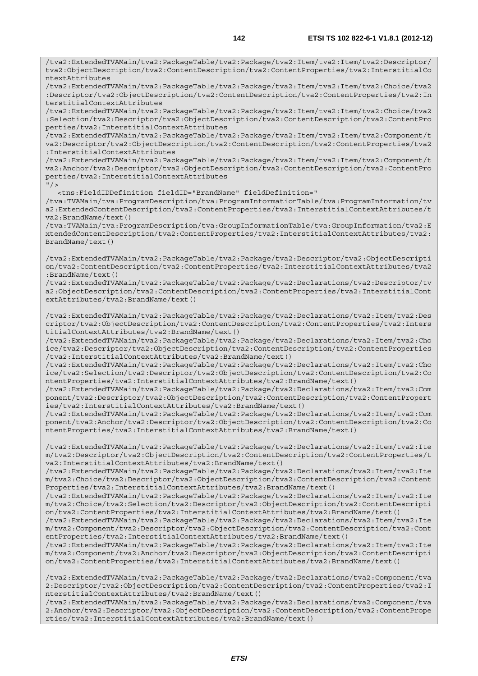/tva2:ExtendedTVAMain/tva2:PackageTable/tva2:Package/tva2:Item/tva2:Item/tva2:Descriptor/ tva2:ObjectDescription/tva2:ContentDescription/tva2:ContentProperties/tva2:InterstitialCo ntextAttributes /tva2:ExtendedTVAMain/tva2:PackageTable/tva2:Package/tva2:Item/tva2:Item/tva2:Choice/tva2 :Descriptor/tva2:ObjectDescription/tva2:ContentDescription/tva2:ContentProperties/tva2:In terstitialContextAttributes /tva2:ExtendedTVAMain/tva2:PackageTable/tva2:Package/tva2:Item/tva2:Item/tva2:Choice/tva2 :Selection/tva2:Descriptor/tva2:ObjectDescription/tva2:ContentDescription/tva2:ContentPro

perties/tva2:InterstitialContextAttributes /tva2:ExtendedTVAMain/tva2:PackageTable/tva2:Package/tva2:Item/tva2:Item/tva2:Component/t va2:Descriptor/tva2:ObjectDescription/tva2:ContentDescription/tva2:ContentProperties/tva2 :InterstitialContextAttributes

/tva2:ExtendedTVAMain/tva2:PackageTable/tva2:Package/tva2:Item/tva2:Item/tva2:Component/t va2:Anchor/tva2:Descriptor/tva2:ObjectDescription/tva2:ContentDescription/tva2:ContentPro perties/tva2:InterstitialContextAttributes  $"$  />

<tns:FieldIDDefinition fieldID="BrandName" fieldDefinition="

/tva:TVAMain/tva:ProgramDescription/tva:ProgramInformationTable/tva:ProgramInformation/tv a2:ExtendedContentDescription/tva2:ContentProperties/tva2:InterstitialContextAttributes/t va2:BrandName/text()

/tva:TVAMain/tva:ProgramDescription/tva:GroupInformationTable/tva:GroupInformation/tva2:E xtendedContentDescription/tva2:ContentProperties/tva2:InterstitialContextAttributes/tva2: BrandName/text()

/tva2:ExtendedTVAMain/tva2:PackageTable/tva2:Package/tva2:Descriptor/tva2:ObjectDescripti on/tva2:ContentDescription/tva2:ContentProperties/tva2:InterstitialContextAttributes/tva2 :BrandName/text()

/tva2:ExtendedTVAMain/tva2:PackageTable/tva2:Package/tva2:Declarations/tva2:Descriptor/tv a2:ObjectDescription/tva2:ContentDescription/tva2:ContentProperties/tva2:InterstitialCont extAttributes/tva2:BrandName/text()

/tva2:ExtendedTVAMain/tva2:PackageTable/tva2:Package/tva2:Declarations/tva2:Item/tva2:Des criptor/tva2:ObjectDescription/tva2:ContentDescription/tva2:ContentProperties/tva2:Inters titialContextAttributes/tva2:BrandName/text()

/tva2:ExtendedTVAMain/tva2:PackageTable/tva2:Package/tva2:Declarations/tva2:Item/tva2:Cho ice/tva2:Descriptor/tva2:ObjectDescription/tva2:ContentDescription/tva2:ContentProperties /tva2:InterstitialContextAttributes/tva2:BrandName/text()

/tva2:ExtendedTVAMain/tva2:PackageTable/tva2:Package/tva2:Declarations/tva2:Item/tva2:Cho ice/tva2:Selection/tva2:Descriptor/tva2:ObjectDescription/tva2:ContentDescription/tva2:Co ntentProperties/tva2:InterstitialContextAttributes/tva2:BrandName/text()

/tva2:ExtendedTVAMain/tva2:PackageTable/tva2:Package/tva2:Declarations/tva2:Item/tva2:Com ponent/tva2:Descriptor/tva2:ObjectDescription/tva2:ContentDescription/tva2:ContentPropert ies/tva2:InterstitialContextAttributes/tva2:BrandName/text()

/tva2:ExtendedTVAMain/tva2:PackageTable/tva2:Package/tva2:Declarations/tva2:Item/tva2:Com ponent/tva2:Anchor/tva2:Descriptor/tva2:ObjectDescription/tva2:ContentDescription/tva2:Co ntentProperties/tva2:InterstitialContextAttributes/tva2:BrandName/text()

/tva2:ExtendedTVAMain/tva2:PackageTable/tva2:Package/tva2:Declarations/tva2:Item/tva2:Ite m/tva2:Descriptor/tva2:ObjectDescription/tva2:ContentDescription/tva2:ContentProperties/t va2:InterstitialContextAttributes/tva2:BrandName/text()

/tva2:ExtendedTVAMain/tva2:PackageTable/tva2:Package/tva2:Declarations/tva2:Item/tva2:Ite m/tva2:Choice/tva2:Descriptor/tva2:ObjectDescription/tva2:ContentDescription/tva2:Content Properties/tva2:InterstitialContextAttributes/tva2:BrandName/text()

/tva2:ExtendedTVAMain/tva2:PackageTable/tva2:Package/tva2:Declarations/tva2:Item/tva2:Ite m/tva2:Choice/tva2:Selection/tva2:Descriptor/tva2:ObjectDescription/tva2:ContentDescripti on/tva2:ContentProperties/tva2:InterstitialContextAttributes/tva2:BrandName/text()

/tva2:ExtendedTVAMain/tva2:PackageTable/tva2:Package/tva2:Declarations/tva2:Item/tva2:Ite m/tva2:Component/tva2:Descriptor/tva2:ObjectDescription/tva2:ContentDescription/tva2:Cont entProperties/tva2:InterstitialContextAttributes/tva2:BrandName/text()

/tva2:ExtendedTVAMain/tva2:PackageTable/tva2:Package/tva2:Declarations/tva2:Item/tva2:Ite m/tva2:Component/tva2:Anchor/tva2:Descriptor/tva2:ObjectDescription/tva2:ContentDescripti on/tva2:ContentProperties/tva2:InterstitialContextAttributes/tva2:BrandName/text()

/tva2:ExtendedTVAMain/tva2:PackageTable/tva2:Package/tva2:Declarations/tva2:Component/tva 2:Descriptor/tva2:ObjectDescription/tva2:ContentDescription/tva2:ContentProperties/tva2:I nterstitialContextAttributes/tva2:BrandName/text()

/tva2:ExtendedTVAMain/tva2:PackageTable/tva2:Package/tva2:Declarations/tva2:Component/tva 2:Anchor/tva2:Descriptor/tva2:ObjectDescription/tva2:ContentDescription/tva2:ContentPrope rties/tva2:InterstitialContextAttributes/tva2:BrandName/text()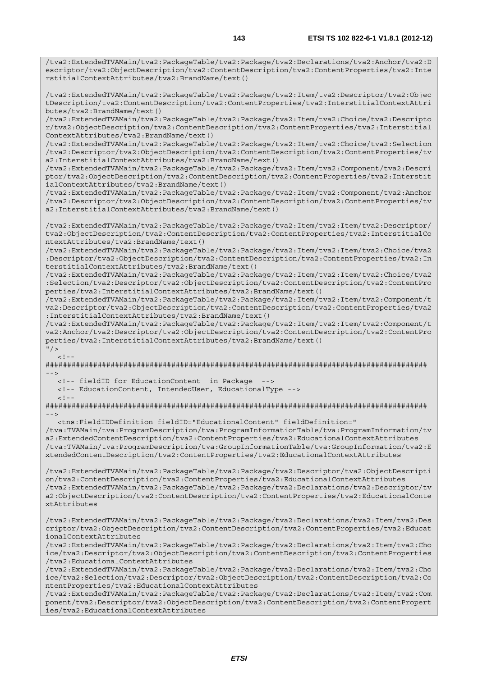/tva2:ExtendedTVAMain/tva2:PackageTable/tva2:Package/tva2:Declarations/tva2:Anchor/tva2:D escriptor/tva2:ObjectDescription/tva2:ContentDescription/tva2:ContentProperties/tva2:Inte rstitialContextAttributes/tva2:BrandName/text()

/tva2:ExtendedTVAMain/tva2:PackageTable/tva2:Package/tva2:Item/tva2:Descriptor/tva2:Objec tDescription/tva2:ContentDescription/tva2:ContentProperties/tva2:InterstitialContextAttri butes/tva2:BrandName/text()

/tva2:ExtendedTVAMain/tva2:PackageTable/tva2:Package/tva2:Item/tva2:Choice/tva2:Descripto r/tva2:ObjectDescription/tva2:ContentDescription/tva2:ContentProperties/tva2:Interstitial ContextAttributes/tva2:BrandName/text()

/tva2:ExtendedTVAMain/tva2:PackageTable/tva2:Package/tva2:Item/tva2:Choice/tva2:Selection /tva2:Descriptor/tva2:ObjectDescription/tva2:ContentDescription/tva2:ContentProperties/tv a2:InterstitialContextAttributes/tva2:BrandName/text()

/tva2:ExtendedTVAMain/tva2:PackageTable/tva2:Package/tva2:Item/tva2:Component/tva2:Descri ptor/tva2:ObjectDescription/tva2:ContentDescription/tva2:ContentProperties/tva2:Interstit ialContextAttributes/tva2:BrandName/text()

/tva2:ExtendedTVAMain/tva2:PackageTable/tva2:Package/tva2:Item/tva2:Component/tva2:Anchor /tva2:Descriptor/tva2:ObjectDescription/tva2:ContentDescription/tva2:ContentProperties/tv a2:InterstitialContextAttributes/tva2:BrandName/text()

/tva2:ExtendedTVAMain/tva2:PackageTable/tva2:Package/tva2:Item/tva2:Item/tva2:Descriptor/ tva2:ObjectDescription/tva2:ContentDescription/tva2:ContentProperties/tva2:InterstitialCo ntextAttributes/tva2:BrandName/text()

/tva2:ExtendedTVAMain/tva2:PackageTable/tva2:Package/tva2:Item/tva2:Item/tva2:Choice/tva2 :Descriptor/tva2:ObjectDescription/tva2:ContentDescription/tva2:ContentProperties/tva2:In terstitialContextAttributes/tva2:BrandName/text()

/tva2:ExtendedTVAMain/tva2:PackageTable/tva2:Package/tva2:Item/tva2:Item/tva2:Choice/tva2 :Selection/tva2:Descriptor/tva2:ObjectDescription/tva2:ContentDescription/tva2:ContentPro perties/tva2:InterstitialContextAttributes/tva2:BrandName/text()

/tva2:ExtendedTVAMain/tva2:PackageTable/tva2:Package/tva2:Item/tva2:Item/tva2:Component/t va2:Descriptor/tva2:ObjectDescription/tva2:ContentDescription/tva2:ContentProperties/tva2 :InterstitialContextAttributes/tva2:BrandName/text()

/tva2:ExtendedTVAMain/tva2:PackageTable/tva2:Package/tva2:Item/tva2:Item/tva2:Component/t va2:Anchor/tva2:Descriptor/tva2:ObjectDescription/tva2:ContentDescription/tva2:ContentPro perties/tva2:InterstitialContextAttributes/tva2:BrandName/text()

 $"$  / >  $<$ ! -

######################################################################################## -->

<!-- fieldID for EducationContent in Package -->

<!-- EducationContent, IntendedUser, EducationalType -->

 $\geq$   $\frac{1}{2}$   $\geq$   $\frac{1}{2}$ 

######################################################################################## -->

<tns:FieldIDDefinition fieldID="EducationalContent" fieldDefinition="

/tva:TVAMain/tva:ProgramDescription/tva:ProgramInformationTable/tva:ProgramInformation/tv a2:ExtendedContentDescription/tva2:ContentProperties/tva2:EducationalContextAttributes /tva:TVAMain/tva:ProgramDescription/tva:GroupInformationTable/tva:GroupInformation/tva2:E xtendedContentDescription/tva2:ContentProperties/tva2:EducationalContextAttributes

/tva2:ExtendedTVAMain/tva2:PackageTable/tva2:Package/tva2:Descriptor/tva2:ObjectDescripti on/tva2:ContentDescription/tva2:ContentProperties/tva2:EducationalContextAttributes /tva2:ExtendedTVAMain/tva2:PackageTable/tva2:Package/tva2:Declarations/tva2:Descriptor/tv a2:ObjectDescription/tva2:ContentDescription/tva2:ContentProperties/tva2:EducationalConte xtAttributes

/tva2:ExtendedTVAMain/tva2:PackageTable/tva2:Package/tva2:Declarations/tva2:Item/tva2:Des criptor/tva2:ObjectDescription/tva2:ContentDescription/tva2:ContentProperties/tva2:Educat ionalContextAttributes

/tva2:ExtendedTVAMain/tva2:PackageTable/tva2:Package/tva2:Declarations/tva2:Item/tva2:Cho ice/tva2:Descriptor/tva2:ObjectDescription/tva2:ContentDescription/tva2:ContentProperties /tva2:EducationalContextAttributes

/tva2:ExtendedTVAMain/tva2:PackageTable/tva2:Package/tva2:Declarations/tva2:Item/tva2:Cho ice/tva2:Selection/tva2:Descriptor/tva2:ObjectDescription/tva2:ContentDescription/tva2:Co ntentProperties/tva2:EducationalContextAttributes

/tva2:ExtendedTVAMain/tva2:PackageTable/tva2:Package/tva2:Declarations/tva2:Item/tva2:Com ponent/tva2:Descriptor/tva2:ObjectDescription/tva2:ContentDescription/tva2:ContentPropert ies/tva2:EducationalContextAttributes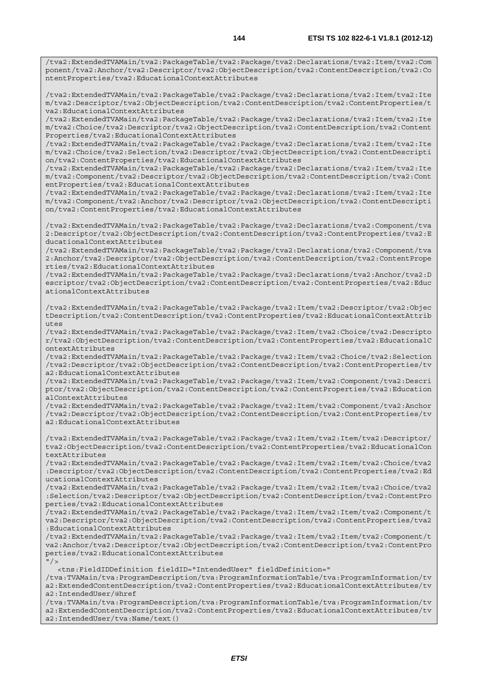/tva2:ExtendedTVAMain/tva2:PackageTable/tva2:Package/tva2:Declarations/tva2:Item/tva2:Ite m/tva2:Descriptor/tva2:ObjectDescription/tva2:ContentDescription/tva2:ContentProperties/t va2:EducationalContextAttributes

ntentProperties/tva2:EducationalContextAttributes

/tva2:ExtendedTVAMain/tva2:PackageTable/tva2:Package/tva2:Declarations/tva2:Item/tva2:Ite m/tva2:Choice/tva2:Descriptor/tva2:ObjectDescription/tva2:ContentDescription/tva2:Content Properties/tva2:EducationalContextAttributes

/tva2:ExtendedTVAMain/tva2:PackageTable/tva2:Package/tva2:Declarations/tva2:Item/tva2:Ite m/tva2:Choice/tva2:Selection/tva2:Descriptor/tva2:ObjectDescription/tva2:ContentDescripti on/tva2:ContentProperties/tva2:EducationalContextAttributes

/tva2:ExtendedTVAMain/tva2:PackageTable/tva2:Package/tva2:Declarations/tva2:Item/tva2:Ite m/tva2:Component/tva2:Descriptor/tva2:ObjectDescription/tva2:ContentDescription/tva2:Cont entProperties/tva2:EducationalContextAttributes

/tva2:ExtendedTVAMain/tva2:PackageTable/tva2:Package/tva2:Declarations/tva2:Item/tva2:Ite m/tva2:Component/tva2:Anchor/tva2:Descriptor/tva2:ObjectDescription/tva2:ContentDescripti on/tva2:ContentProperties/tva2:EducationalContextAttributes

/tva2:ExtendedTVAMain/tva2:PackageTable/tva2:Package/tva2:Declarations/tva2:Component/tva 2:Descriptor/tva2:ObjectDescription/tva2:ContentDescription/tva2:ContentProperties/tva2:E ducationalContextAttributes

/tva2:ExtendedTVAMain/tva2:PackageTable/tva2:Package/tva2:Declarations/tva2:Component/tva 2:Anchor/tva2:Descriptor/tva2:ObjectDescription/tva2:ContentDescription/tva2:ContentPrope rties/tva2:EducationalContextAttributes

/tva2:ExtendedTVAMain/tva2:PackageTable/tva2:Package/tva2:Declarations/tva2:Anchor/tva2:D escriptor/tva2:ObjectDescription/tva2:ContentDescription/tva2:ContentProperties/tva2:Educ ationalContextAttributes

/tva2:ExtendedTVAMain/tva2:PackageTable/tva2:Package/tva2:Item/tva2:Descriptor/tva2:Objec tDescription/tva2:ContentDescription/tva2:ContentProperties/tva2:EducationalContextAttrib utes

/tva2:ExtendedTVAMain/tva2:PackageTable/tva2:Package/tva2:Item/tva2:Choice/tva2:Descripto r/tva2:ObjectDescription/tva2:ContentDescription/tva2:ContentProperties/tva2:EducationalC ontextAttributes

/tva2:ExtendedTVAMain/tva2:PackageTable/tva2:Package/tva2:Item/tva2:Choice/tva2:Selection /tva2:Descriptor/tva2:ObjectDescription/tva2:ContentDescription/tva2:ContentProperties/tv a2:EducationalContextAttributes

/tva2:ExtendedTVAMain/tva2:PackageTable/tva2:Package/tva2:Item/tva2:Component/tva2:Descri ptor/tva2:ObjectDescription/tva2:ContentDescription/tva2:ContentProperties/tva2:Education alContextAttributes

/tva2:ExtendedTVAMain/tva2:PackageTable/tva2:Package/tva2:Item/tva2:Component/tva2:Anchor /tva2:Descriptor/tva2:ObjectDescription/tva2:ContentDescription/tva2:ContentProperties/tv a2:EducationalContextAttributes

/tva2:ExtendedTVAMain/tva2:PackageTable/tva2:Package/tva2:Item/tva2:Item/tva2:Descriptor/ tva2:ObjectDescription/tva2:ContentDescription/tva2:ContentProperties/tva2:EducationalCon textAttributes

/tva2:ExtendedTVAMain/tva2:PackageTable/tva2:Package/tva2:Item/tva2:Item/tva2:Choice/tva2 :Descriptor/tva2:ObjectDescription/tva2:ContentDescription/tva2:ContentProperties/tva2:Ed ucationalContextAttributes

/tva2:ExtendedTVAMain/tva2:PackageTable/tva2:Package/tva2:Item/tva2:Item/tva2:Choice/tva2 :Selection/tva2:Descriptor/tva2:ObjectDescription/tva2:ContentDescription/tva2:ContentPro perties/tva2:EducationalContextAttributes

/tva2:ExtendedTVAMain/tva2:PackageTable/tva2:Package/tva2:Item/tva2:Item/tva2:Component/t va2:Descriptor/tva2:ObjectDescription/tva2:ContentDescription/tva2:ContentProperties/tva2 :EducationalContextAttributes

/tva2:ExtendedTVAMain/tva2:PackageTable/tva2:Package/tva2:Item/tva2:Item/tva2:Component/t va2:Anchor/tva2:Descriptor/tva2:ObjectDescription/tva2:ContentDescription/tva2:ContentPro perties/tva2:EducationalContextAttributes  $''$  / >

<tns:FieldIDDefinition fieldID="IntendedUser" fieldDefinition="

/tva:TVAMain/tva:ProgramDescription/tva:ProgramInformationTable/tva:ProgramInformation/tv a2:ExtendedContentDescription/tva2:ContentProperties/tva2:EducationalContextAttributes/tv a2:IntendedUser/@href

/tva:TVAMain/tva:ProgramDescription/tva:ProgramInformationTable/tva:ProgramInformation/tv a2:ExtendedContentDescription/tva2:ContentProperties/tva2:EducationalContextAttributes/tv a2:IntendedUser/tva:Name/text()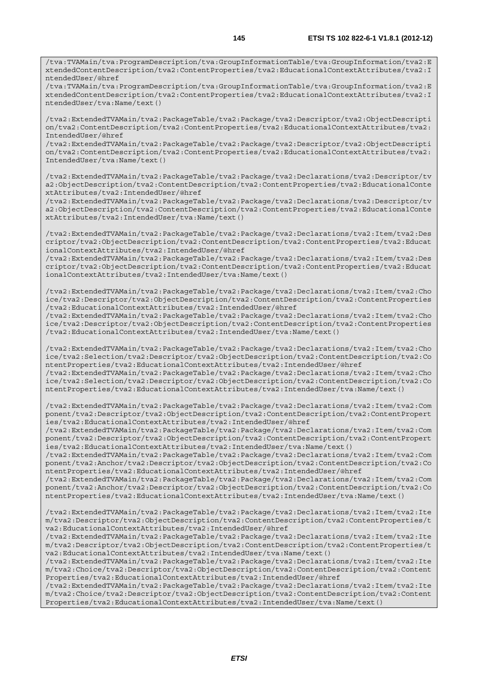/tva:TVAMain/tva:ProgramDescription/tva:GroupInformationTable/tva:GroupInformation/tva2:E xtendedContentDescription/tva2:ContentProperties/tva2:EducationalContextAttributes/tva2:I ntendedUser/@href

/tva:TVAMain/tva:ProgramDescription/tva:GroupInformationTable/tva:GroupInformation/tva2:E xtendedContentDescription/tva2:ContentProperties/tva2:EducationalContextAttributes/tva2:I ntendedUser/tva:Name/text()

/tva2:ExtendedTVAMain/tva2:PackageTable/tva2:Package/tva2:Descriptor/tva2:ObjectDescripti on/tva2:ContentDescription/tva2:ContentProperties/tva2:EducationalContextAttributes/tva2: IntendedUser/@href

/tva2:ExtendedTVAMain/tva2:PackageTable/tva2:Package/tva2:Descriptor/tva2:ObjectDescripti on/tva2:ContentDescription/tva2:ContentProperties/tva2:EducationalContextAttributes/tva2: IntendedUser/tva:Name/text()

/tva2:ExtendedTVAMain/tva2:PackageTable/tva2:Package/tva2:Declarations/tva2:Descriptor/tv a2:ObjectDescription/tva2:ContentDescription/tva2:ContentProperties/tva2:EducationalConte xtAttributes/tva2:IntendedUser/@href

/tva2:ExtendedTVAMain/tva2:PackageTable/tva2:Package/tva2:Declarations/tva2:Descriptor/tv a2:ObjectDescription/tva2:ContentDescription/tva2:ContentProperties/tva2:EducationalConte xtAttributes/tva2:IntendedUser/tva:Name/text()

/tva2:ExtendedTVAMain/tva2:PackageTable/tva2:Package/tva2:Declarations/tva2:Item/tva2:Des criptor/tva2:ObjectDescription/tva2:ContentDescription/tva2:ContentProperties/tva2:Educat ionalContextAttributes/tva2:IntendedUser/@href

/tva2:ExtendedTVAMain/tva2:PackageTable/tva2:Package/tva2:Declarations/tva2:Item/tva2:Des criptor/tva2:ObjectDescription/tva2:ContentDescription/tva2:ContentProperties/tva2:Educat ionalContextAttributes/tva2:IntendedUser/tva:Name/text()

/tva2:ExtendedTVAMain/tva2:PackageTable/tva2:Package/tva2:Declarations/tva2:Item/tva2:Cho ice/tva2:Descriptor/tva2:ObjectDescription/tva2:ContentDescription/tva2:ContentProperties /tva2:EducationalContextAttributes/tva2:IntendedUser/@href

/tva2:ExtendedTVAMain/tva2:PackageTable/tva2:Package/tva2:Declarations/tva2:Item/tva2:Cho ice/tva2:Descriptor/tva2:ObjectDescription/tva2:ContentDescription/tva2:ContentProperties /tva2:EducationalContextAttributes/tva2:IntendedUser/tva:Name/text()

/tva2:ExtendedTVAMain/tva2:PackageTable/tva2:Package/tva2:Declarations/tva2:Item/tva2:Cho ice/tva2:Selection/tva2:Descriptor/tva2:ObjectDescription/tva2:ContentDescription/tva2:Co ntentProperties/tva2:EducationalContextAttributes/tva2:IntendedUser/@href /tva2:ExtendedTVAMain/tva2:PackageTable/tva2:Package/tva2:Declarations/tva2:Item/tva2:Cho

ice/tva2:Selection/tva2:Descriptor/tva2:ObjectDescription/tva2:ContentDescription/tva2:Co ntentProperties/tva2:EducationalContextAttributes/tva2:IntendedUser/tva:Name/text()

/tva2:ExtendedTVAMain/tva2:PackageTable/tva2:Package/tva2:Declarations/tva2:Item/tva2:Com ponent/tva2:Descriptor/tva2:ObjectDescription/tva2:ContentDescription/tva2:ContentPropert ies/tva2:EducationalContextAttributes/tva2:IntendedUser/@href

/tva2:ExtendedTVAMain/tva2:PackageTable/tva2:Package/tva2:Declarations/tva2:Item/tva2:Com ponent/tva2:Descriptor/tva2:ObjectDescription/tva2:ContentDescription/tva2:ContentPropert ies/tva2:EducationalContextAttributes/tva2:IntendedUser/tva:Name/text()

/tva2:ExtendedTVAMain/tva2:PackageTable/tva2:Package/tva2:Declarations/tva2:Item/tva2:Com ponent/tva2:Anchor/tva2:Descriptor/tva2:ObjectDescription/tva2:ContentDescription/tva2:Co ntentProperties/tva2:EducationalContextAttributes/tva2:IntendedUser/@href

/tva2:ExtendedTVAMain/tva2:PackageTable/tva2:Package/tva2:Declarations/tva2:Item/tva2:Com ponent/tva2:Anchor/tva2:Descriptor/tva2:ObjectDescription/tva2:ContentDescription/tva2:Co ntentProperties/tva2:EducationalContextAttributes/tva2:IntendedUser/tva:Name/text()

/tva2:ExtendedTVAMain/tva2:PackageTable/tva2:Package/tva2:Declarations/tva2:Item/tva2:Ite m/tva2:Descriptor/tva2:ObjectDescription/tva2:ContentDescription/tva2:ContentProperties/t va2:EducationalContextAttributes/tva2:IntendedUser/@href

/tva2:ExtendedTVAMain/tva2:PackageTable/tva2:Package/tva2:Declarations/tva2:Item/tva2:Ite m/tva2:Descriptor/tva2:ObjectDescription/tva2:ContentDescription/tva2:ContentProperties/t va2:EducationalContextAttributes/tva2:IntendedUser/tva:Name/text()

/tva2:ExtendedTVAMain/tva2:PackageTable/tva2:Package/tva2:Declarations/tva2:Item/tva2:Ite m/tva2:Choice/tva2:Descriptor/tva2:ObjectDescription/tva2:ContentDescription/tva2:Content Properties/tva2:EducationalContextAttributes/tva2:IntendedUser/@href

/tva2:ExtendedTVAMain/tva2:PackageTable/tva2:Package/tva2:Declarations/tva2:Item/tva2:Ite m/tva2:Choice/tva2:Descriptor/tva2:ObjectDescription/tva2:ContentDescription/tva2:Content Properties/tva2:EducationalContextAttributes/tva2:IntendedUser/tva:Name/text()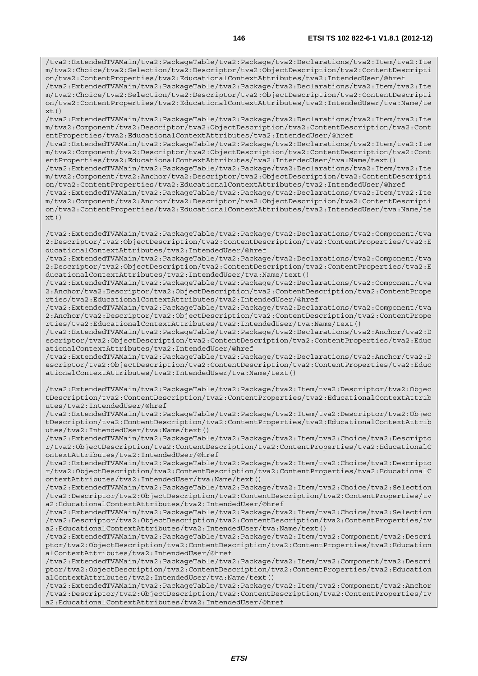/tva2:ExtendedTVAMain/tva2:PackageTable/tva2:Package/tva2:Declarations/tva2:Item/tva2:Ite m/tva2:Choice/tva2:Selection/tva2:Descriptor/tva2:ObjectDescription/tva2:ContentDescripti on/tva2:ContentProperties/tva2:EducationalContextAttributes/tva2:IntendedUser/@href /tva2:ExtendedTVAMain/tva2:PackageTable/tva2:Package/tva2:Declarations/tva2:Item/tva2:Ite m/tva2:Choice/tva2:Selection/tva2:Descriptor/tva2:ObjectDescription/tva2:ContentDescripti on/tva2:ContentProperties/tva2:EducationalContextAttributes/tva2:IntendedUser/tva:Name/te  $xt()$ 

/tva2:ExtendedTVAMain/tva2:PackageTable/tva2:Package/tva2:Declarations/tva2:Item/tva2:Ite m/tva2:Component/tva2:Descriptor/tva2:ObjectDescription/tva2:ContentDescription/tva2:Cont entProperties/tva2:EducationalContextAttributes/tva2:IntendedUser/@href

/tva2:ExtendedTVAMain/tva2:PackageTable/tva2:Package/tva2:Declarations/tva2:Item/tva2:Ite m/tva2:Component/tva2:Descriptor/tva2:ObjectDescription/tva2:ContentDescription/tva2:Cont entProperties/tva2:EducationalContextAttributes/tva2:IntendedUser/tva:Name/text()

/tva2:ExtendedTVAMain/tva2:PackageTable/tva2:Package/tva2:Declarations/tva2:Item/tva2:Ite m/tva2:Component/tva2:Anchor/tva2:Descriptor/tva2:ObjectDescription/tva2:ContentDescripti on/tva2:ContentProperties/tva2:EducationalContextAttributes/tva2:IntendedUser/@href

/tva2:ExtendedTVAMain/tva2:PackageTable/tva2:Package/tva2:Declarations/tva2:Item/tva2:Ite m/tva2:Component/tva2:Anchor/tva2:Descriptor/tva2:ObjectDescription/tva2:ContentDescripti on/tva2:ContentProperties/tva2:EducationalContextAttributes/tva2:IntendedUser/tva:Name/te xt()

/tva2:ExtendedTVAMain/tva2:PackageTable/tva2:Package/tva2:Declarations/tva2:Component/tva 2:Descriptor/tva2:ObjectDescription/tva2:ContentDescription/tva2:ContentProperties/tva2:E ducationalContextAttributes/tva2:IntendedUser/@href

/tva2:ExtendedTVAMain/tva2:PackageTable/tva2:Package/tva2:Declarations/tva2:Component/tva 2:Descriptor/tva2:ObjectDescription/tva2:ContentDescription/tva2:ContentProperties/tva2:E ducationalContextAttributes/tva2:IntendedUser/tva:Name/text()

/tva2:ExtendedTVAMain/tva2:PackageTable/tva2:Package/tva2:Declarations/tva2:Component/tva 2:Anchor/tva2:Descriptor/tva2:ObjectDescription/tva2:ContentDescription/tva2:ContentPrope rties/tva2:EducationalContextAttributes/tva2:IntendedUser/@href

/tva2:ExtendedTVAMain/tva2:PackageTable/tva2:Package/tva2:Declarations/tva2:Component/tva 2:Anchor/tva2:Descriptor/tva2:ObjectDescription/tva2:ContentDescription/tva2:ContentPrope rties/tva2:EducationalContextAttributes/tva2:IntendedUser/tva:Name/text()

/tva2:ExtendedTVAMain/tva2:PackageTable/tva2:Package/tva2:Declarations/tva2:Anchor/tva2:D escriptor/tva2:ObjectDescription/tva2:ContentDescription/tva2:ContentProperties/tva2:Educ ationalContextAttributes/tva2:IntendedUser/@href

/tva2:ExtendedTVAMain/tva2:PackageTable/tva2:Package/tva2:Declarations/tva2:Anchor/tva2:D escriptor/tva2:ObjectDescription/tva2:ContentDescription/tva2:ContentProperties/tva2:Educ ationalContextAttributes/tva2:IntendedUser/tva:Name/text()

/tva2:ExtendedTVAMain/tva2:PackageTable/tva2:Package/tva2:Item/tva2:Descriptor/tva2:Objec tDescription/tva2:ContentDescription/tva2:ContentProperties/tva2:EducationalContextAttrib utes/tva2:IntendedUser/@href

/tva2:ExtendedTVAMain/tva2:PackageTable/tva2:Package/tva2:Item/tva2:Descriptor/tva2:Objec tDescription/tva2:ContentDescription/tva2:ContentProperties/tva2:EducationalContextAttrib utes/tva2:IntendedUser/tva:Name/text()

/tva2:ExtendedTVAMain/tva2:PackageTable/tva2:Package/tva2:Item/tva2:Choice/tva2:Descripto r/tva2:ObjectDescription/tva2:ContentDescription/tva2:ContentProperties/tva2:EducationalC ontextAttributes/tva2:IntendedUser/@href

/tva2:ExtendedTVAMain/tva2:PackageTable/tva2:Package/tva2:Item/tva2:Choice/tva2:Descripto r/tva2:ObjectDescription/tva2:ContentDescription/tva2:ContentProperties/tva2:EducationalC ontextAttributes/tva2:IntendedUser/tva:Name/text()

/tva2:ExtendedTVAMain/tva2:PackageTable/tva2:Package/tva2:Item/tva2:Choice/tva2:Selection /tva2:Descriptor/tva2:ObjectDescription/tva2:ContentDescription/tva2:ContentProperties/tv a2:EducationalContextAttributes/tva2:IntendedUser/@href

/tva2:ExtendedTVAMain/tva2:PackageTable/tva2:Package/tva2:Item/tva2:Choice/tva2:Selection /tva2:Descriptor/tva2:ObjectDescription/tva2:ContentDescription/tva2:ContentProperties/tv a2:EducationalContextAttributes/tva2:IntendedUser/tva:Name/text()

/tva2:ExtendedTVAMain/tva2:PackageTable/tva2:Package/tva2:Item/tva2:Component/tva2:Descri ptor/tva2:ObjectDescription/tva2:ContentDescription/tva2:ContentProperties/tva2:Education alContextAttributes/tva2:IntendedUser/@href

/tva2:ExtendedTVAMain/tva2:PackageTable/tva2:Package/tva2:Item/tva2:Component/tva2:Descri ptor/tva2:ObjectDescription/tva2:ContentDescription/tva2:ContentProperties/tva2:Education alContextAttributes/tva2:IntendedUser/tva:Name/text()

/tva2:ExtendedTVAMain/tva2:PackageTable/tva2:Package/tva2:Item/tva2:Component/tva2:Anchor /tva2:Descriptor/tva2:ObjectDescription/tva2:ContentDescription/tva2:ContentProperties/tv a2:EducationalContextAttributes/tva2:IntendedUser/@href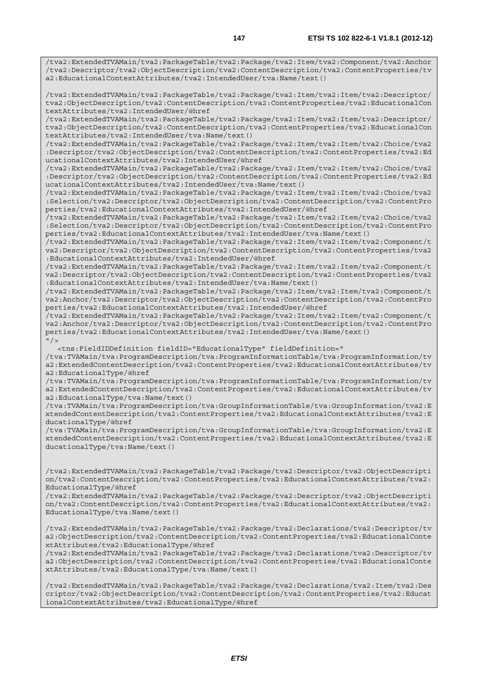/tva2:ExtendedTVAMain/tva2:PackageTable/tva2:Package/tva2:Item/tva2:Component/tva2:Anchor /tva2:Descriptor/tva2:ObjectDescription/tva2:ContentDescription/tva2:ContentProperties/tv a2:EducationalContextAttributes/tva2:IntendedUser/tva:Name/text()

/tva2:ExtendedTVAMain/tva2:PackageTable/tva2:Package/tva2:Item/tva2:Item/tva2:Descriptor/ tva2:ObjectDescription/tva2:ContentDescription/tva2:ContentProperties/tva2:EducationalCon textAttributes/tva2:IntendedUser/@href

/tva2:ExtendedTVAMain/tva2:PackageTable/tva2:Package/tva2:Item/tva2:Item/tva2:Descriptor/ tva2:ObjectDescription/tva2:ContentDescription/tva2:ContentProperties/tva2:EducationalCon textAttributes/tva2:IntendedUser/tva:Name/text()

/tva2:ExtendedTVAMain/tva2:PackageTable/tva2:Package/tva2:Item/tva2:Item/tva2:Choice/tva2 :Descriptor/tva2:ObjectDescription/tva2:ContentDescription/tva2:ContentProperties/tva2:Ed ucationalContextAttributes/tva2:IntendedUser/@href

/tva2:ExtendedTVAMain/tva2:PackageTable/tva2:Package/tva2:Item/tva2:Item/tva2:Choice/tva2 :Descriptor/tva2:ObjectDescription/tva2:ContentDescription/tva2:ContentProperties/tva2:Ed ucationalContextAttributes/tva2:IntendedUser/tva:Name/text()

/tva2:ExtendedTVAMain/tva2:PackageTable/tva2:Package/tva2:Item/tva2:Item/tva2:Choice/tva2 :Selection/tva2:Descriptor/tva2:ObjectDescription/tva2:ContentDescription/tva2:ContentPro perties/tva2:EducationalContextAttributes/tva2:IntendedUser/@href

/tva2:ExtendedTVAMain/tva2:PackageTable/tva2:Package/tva2:Item/tva2:Item/tva2:Choice/tva2 :Selection/tva2:Descriptor/tva2:ObjectDescription/tva2:ContentDescription/tva2:ContentPro perties/tva2:EducationalContextAttributes/tva2:IntendedUser/tva:Name/text()

/tva2:ExtendedTVAMain/tva2:PackageTable/tva2:Package/tva2:Item/tva2:Item/tva2:Component/t va2:Descriptor/tva2:ObjectDescription/tva2:ContentDescription/tva2:ContentProperties/tva2 :EducationalContextAttributes/tva2:IntendedUser/@href

/tva2:ExtendedTVAMain/tva2:PackageTable/tva2:Package/tva2:Item/tva2:Item/tva2:Component/t va2:Descriptor/tva2:ObjectDescription/tva2:ContentDescription/tva2:ContentProperties/tva2 :EducationalContextAttributes/tva2:IntendedUser/tva:Name/text()

/tva2:ExtendedTVAMain/tva2:PackageTable/tva2:Package/tva2:Item/tva2:Item/tva2:Component/t va2:Anchor/tva2:Descriptor/tva2:ObjectDescription/tva2:ContentDescription/tva2:ContentPro perties/tva2:EducationalContextAttributes/tva2:IntendedUser/@href

/tva2:ExtendedTVAMain/tva2:PackageTable/tva2:Package/tva2:Item/tva2:Item/tva2:Component/t va2:Anchor/tva2:Descriptor/tva2:ObjectDescription/tva2:ContentDescription/tva2:ContentPro perties/tva2:EducationalContextAttributes/tva2:IntendedUser/tva:Name/text()  $"$  / >

<tns:FieldIDDefinition fieldID="EducationalType" fieldDefinition="

/tva:TVAMain/tva:ProgramDescription/tva:ProgramInformationTable/tva:ProgramInformation/tv a2:ExtendedContentDescription/tva2:ContentProperties/tva2:EducationalContextAttributes/tv a2:EducationalType/@href

/tva:TVAMain/tva:ProgramDescription/tva:ProgramInformationTable/tva:ProgramInformation/tv a2:ExtendedContentDescription/tva2:ContentProperties/tva2:EducationalContextAttributes/tv a2:EducationalType/tva:Name/text()

/tva:TVAMain/tva:ProgramDescription/tva:GroupInformationTable/tva:GroupInformation/tva2:E xtendedContentDescription/tva2:ContentProperties/tva2:EducationalContextAttributes/tva2:E ducationalType/@href

/tva:TVAMain/tva:ProgramDescription/tva:GroupInformationTable/tva:GroupInformation/tva2:E xtendedContentDescription/tva2:ContentProperties/tva2:EducationalContextAttributes/tva2:E ducationalType/tva:Name/text()

/tva2:ExtendedTVAMain/tva2:PackageTable/tva2:Package/tva2:Descriptor/tva2:ObjectDescripti on/tva2:ContentDescription/tva2:ContentProperties/tva2:EducationalContextAttributes/tva2: EducationalType/@href

/tva2:ExtendedTVAMain/tva2:PackageTable/tva2:Package/tva2:Descriptor/tva2:ObjectDescripti on/tva2:ContentDescription/tva2:ContentProperties/tva2:EducationalContextAttributes/tva2: EducationalType/tva:Name/text()

/tva2:ExtendedTVAMain/tva2:PackageTable/tva2:Package/tva2:Declarations/tva2:Descriptor/tv a2:ObjectDescription/tva2:ContentDescription/tva2:ContentProperties/tva2:EducationalConte xtAttributes/tva2:EducationalType/@href

/tva2:ExtendedTVAMain/tva2:PackageTable/tva2:Package/tva2:Declarations/tva2:Descriptor/tv a2:ObjectDescription/tva2:ContentDescription/tva2:ContentProperties/tva2:EducationalConte xtAttributes/tva2:EducationalType/tva:Name/text()

/tva2:ExtendedTVAMain/tva2:PackageTable/tva2:Package/tva2:Declarations/tva2:Item/tva2:Des criptor/tva2:ObjectDescription/tva2:ContentDescription/tva2:ContentProperties/tva2:Educat ionalContextAttributes/tva2:EducationalType/@href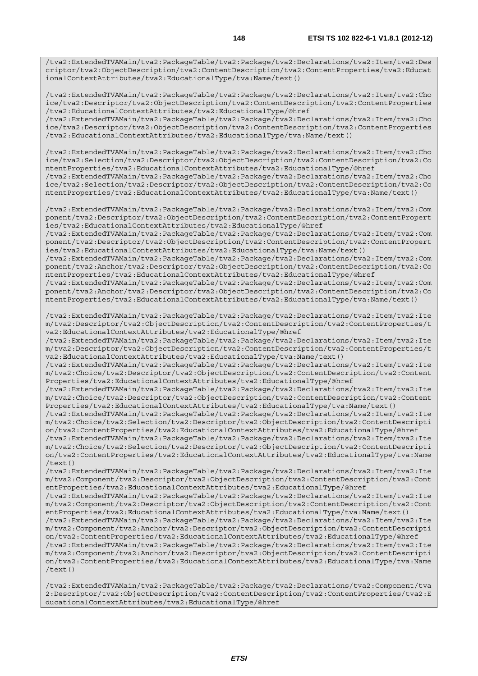/tva2:ExtendedTVAMain/tva2:PackageTable/tva2:Package/tva2:Declarations/tva2:Item/tva2:Des criptor/tva2:ObjectDescription/tva2:ContentDescription/tva2:ContentProperties/tva2:Educat ionalContextAttributes/tva2:EducationalType/tva:Name/text()

/tva2:ExtendedTVAMain/tva2:PackageTable/tva2:Package/tva2:Declarations/tva2:Item/tva2:Cho ice/tva2:Descriptor/tva2:ObjectDescription/tva2:ContentDescription/tva2:ContentProperties /tva2:EducationalContextAttributes/tva2:EducationalType/@href /tva2:ExtendedTVAMain/tva2:PackageTable/tva2:Package/tva2:Declarations/tva2:Item/tva2:Cho

ice/tva2:Descriptor/tva2:ObjectDescription/tva2:ContentDescription/tva2:ContentProperties /tva2:EducationalContextAttributes/tva2:EducationalType/tva:Name/text()

/tva2:ExtendedTVAMain/tva2:PackageTable/tva2:Package/tva2:Declarations/tva2:Item/tva2:Cho ice/tva2:Selection/tva2:Descriptor/tva2:ObjectDescription/tva2:ContentDescription/tva2:Co ntentProperties/tva2:EducationalContextAttributes/tva2:EducationalType/@href /tva2:ExtendedTVAMain/tva2:PackageTable/tva2:Package/tva2:Declarations/tva2:Item/tva2:Cho

ice/tva2:Selection/tva2:Descriptor/tva2:ObjectDescription/tva2:ContentDescription/tva2:Co ntentProperties/tva2:EducationalContextAttributes/tva2:EducationalType/tva:Name/text()

/tva2:ExtendedTVAMain/tva2:PackageTable/tva2:Package/tva2:Declarations/tva2:Item/tva2:Com ponent/tva2:Descriptor/tva2:ObjectDescription/tva2:ContentDescription/tva2:ContentPropert ies/tva2:EducationalContextAttributes/tva2:EducationalType/@href

/tva2:ExtendedTVAMain/tva2:PackageTable/tva2:Package/tva2:Declarations/tva2:Item/tva2:Com ponent/tva2:Descriptor/tva2:ObjectDescription/tva2:ContentDescription/tva2:ContentPropert ies/tva2:EducationalContextAttributes/tva2:EducationalType/tva:Name/text()

/tva2:ExtendedTVAMain/tva2:PackageTable/tva2:Package/tva2:Declarations/tva2:Item/tva2:Com ponent/tva2:Anchor/tva2:Descriptor/tva2:ObjectDescription/tva2:ContentDescription/tva2:Co ntentProperties/tva2:EducationalContextAttributes/tva2:EducationalType/@href

/tva2:ExtendedTVAMain/tva2:PackageTable/tva2:Package/tva2:Declarations/tva2:Item/tva2:Com ponent/tva2:Anchor/tva2:Descriptor/tva2:ObjectDescription/tva2:ContentDescription/tva2:Co ntentProperties/tva2:EducationalContextAttributes/tva2:EducationalType/tva:Name/text()

/tva2:ExtendedTVAMain/tva2:PackageTable/tva2:Package/tva2:Declarations/tva2:Item/tva2:Ite m/tva2:Descriptor/tva2:ObjectDescription/tva2:ContentDescription/tva2:ContentProperties/t va2:EducationalContextAttributes/tva2:EducationalType/@href

/tva2:ExtendedTVAMain/tva2:PackageTable/tva2:Package/tva2:Declarations/tva2:Item/tva2:Ite m/tva2:Descriptor/tva2:ObjectDescription/tva2:ContentDescription/tva2:ContentProperties/t va2:EducationalContextAttributes/tva2:EducationalType/tva:Name/text()

/tva2:ExtendedTVAMain/tva2:PackageTable/tva2:Package/tva2:Declarations/tva2:Item/tva2:Ite m/tva2:Choice/tva2:Descriptor/tva2:ObjectDescription/tva2:ContentDescription/tva2:Content Properties/tva2:EducationalContextAttributes/tva2:EducationalType/@href

/tva2:ExtendedTVAMain/tva2:PackageTable/tva2:Package/tva2:Declarations/tva2:Item/tva2:Ite m/tva2:Choice/tva2:Descriptor/tva2:ObjectDescription/tva2:ContentDescription/tva2:Content Properties/tva2:EducationalContextAttributes/tva2:EducationalType/tva:Name/text()

/tva2:ExtendedTVAMain/tva2:PackageTable/tva2:Package/tva2:Declarations/tva2:Item/tva2:Ite m/tva2:Choice/tva2:Selection/tva2:Descriptor/tva2:ObjectDescription/tva2:ContentDescripti on/tva2:ContentProperties/tva2:EducationalContextAttributes/tva2:EducationalType/@href

/tva2:ExtendedTVAMain/tva2:PackageTable/tva2:Package/tva2:Declarations/tva2:Item/tva2:Ite m/tva2:Choice/tva2:Selection/tva2:Descriptor/tva2:ObjectDescription/tva2:ContentDescripti on/tva2:ContentProperties/tva2:EducationalContextAttributes/tva2:EducationalType/tva:Name  $/$ text $()$ 

/tva2:ExtendedTVAMain/tva2:PackageTable/tva2:Package/tva2:Declarations/tva2:Item/tva2:Ite m/tva2:Component/tva2:Descriptor/tva2:ObjectDescription/tva2:ContentDescription/tva2:Cont entProperties/tva2:EducationalContextAttributes/tva2:EducationalType/@href

/tva2:ExtendedTVAMain/tva2:PackageTable/tva2:Package/tva2:Declarations/tva2:Item/tva2:Ite m/tva2:Component/tva2:Descriptor/tva2:ObjectDescription/tva2:ContentDescription/tva2:Cont entProperties/tva2:EducationalContextAttributes/tva2:EducationalType/tva:Name/text()

/tva2:ExtendedTVAMain/tva2:PackageTable/tva2:Package/tva2:Declarations/tva2:Item/tva2:Ite m/tva2:Component/tva2:Anchor/tva2:Descriptor/tva2:ObjectDescription/tva2:ContentDescripti on/tva2:ContentProperties/tva2:EducationalContextAttributes/tva2:EducationalType/@href

/tva2:ExtendedTVAMain/tva2:PackageTable/tva2:Package/tva2:Declarations/tva2:Item/tva2:Ite m/tva2:Component/tva2:Anchor/tva2:Descriptor/tva2:ObjectDescription/tva2:ContentDescripti on/tva2:ContentProperties/tva2:EducationalContextAttributes/tva2:EducationalType/tva:Name /text()

/tva2:ExtendedTVAMain/tva2:PackageTable/tva2:Package/tva2:Declarations/tva2:Component/tva 2:Descriptor/tva2:ObjectDescription/tva2:ContentDescription/tva2:ContentProperties/tva2:E ducationalContextAttributes/tva2:EducationalType/@href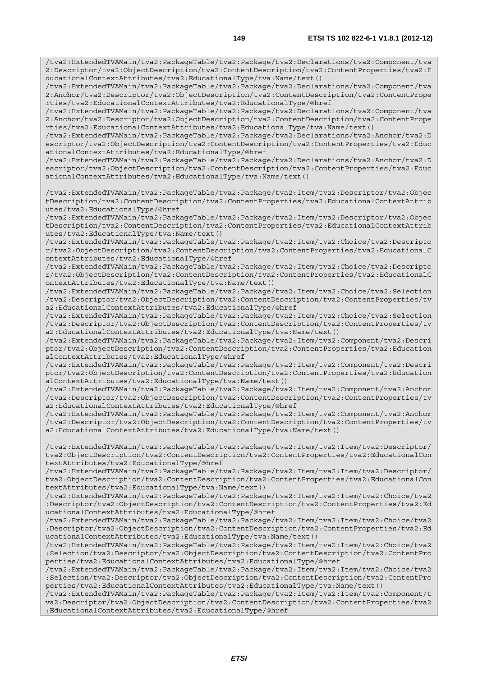**149 ETSI TS 102 822-6-1 V1.8.1 (2012-12)** /tva2:ExtendedTVAMain/tva2:PackageTable/tva2:Package/tva2:Declarations/tva2:Component/tva 2:Descriptor/tva2:ObjectDescription/tva2:ContentDescription/tva2:ContentProperties/tva2:E ducationalContextAttributes/tva2:EducationalType/tva:Name/text() /tva2:ExtendedTVAMain/tva2:PackageTable/tva2:Package/tva2:Declarations/tva2:Component/tva 2:Anchor/tva2:Descriptor/tva2:ObjectDescription/tva2:ContentDescription/tva2:ContentPrope rties/tva2:EducationalContextAttributes/tva2:EducationalType/@href /tva2:ExtendedTVAMain/tva2:PackageTable/tva2:Package/tva2:Declarations/tva2:Component/tva 2:Anchor/tva2:Descriptor/tva2:ObjectDescription/tva2:ContentDescription/tva2:ContentPrope rties/tva2:EducationalContextAttributes/tva2:EducationalType/tva:Name/text() /tva2:ExtendedTVAMain/tva2:PackageTable/tva2:Package/tva2:Declarations/tva2:Anchor/tva2:D escriptor/tva2:ObjectDescription/tva2:ContentDescription/tva2:ContentProperties/tva2:Educ ationalContextAttributes/tva2:EducationalType/@href /tva2:ExtendedTVAMain/tva2:PackageTable/tva2:Package/tva2:Declarations/tva2:Anchor/tva2:D escriptor/tva2:ObjectDescription/tva2:ContentDescription/tva2:ContentProperties/tva2:Educ ationalContextAttributes/tva2:EducationalType/tva:Name/text() /tva2:ExtendedTVAMain/tva2:PackageTable/tva2:Package/tva2:Item/tva2:Descriptor/tva2:Objec tDescription/tva2:ContentDescription/tva2:ContentProperties/tva2:EducationalContextAttrib utes/tva2:EducationalType/@href /tva2:ExtendedTVAMain/tva2:PackageTable/tva2:Package/tva2:Item/tva2:Descriptor/tva2:Objec tDescription/tva2:ContentDescription/tva2:ContentProperties/tva2:EducationalContextAttrib utes/tva2:EducationalType/tva:Name/text() /tva2:ExtendedTVAMain/tva2:PackageTable/tva2:Package/tva2:Item/tva2:Choice/tva2:Descripto r/tva2:ObjectDescription/tva2:ContentDescription/tva2:ContentProperties/tva2:EducationalC ontextAttributes/tva2:EducationalType/@href /tva2:ExtendedTVAMain/tva2:PackageTable/tva2:Package/tva2:Item/tva2:Choice/tva2:Descripto r/tva2:ObjectDescription/tva2:ContentDescription/tva2:ContentProperties/tva2:EducationalC ontextAttributes/tva2:EducationalType/tva:Name/text() /tva2:ExtendedTVAMain/tva2:PackageTable/tva2:Package/tva2:Item/tva2:Choice/tva2:Selection /tva2:Descriptor/tva2:ObjectDescription/tva2:ContentDescription/tva2:ContentProperties/tv a2:EducationalContextAttributes/tva2:EducationalType/@href /tva2:ExtendedTVAMain/tva2:PackageTable/tva2:Package/tva2:Item/tva2:Choice/tva2:Selection /tva2:Descriptor/tva2:ObjectDescription/tva2:ContentDescription/tva2:ContentProperties/tv a2:EducationalContextAttributes/tva2:EducationalType/tva:Name/text() /tva2:ExtendedTVAMain/tva2:PackageTable/tva2:Package/tva2:Item/tva2:Component/tva2:Descri ptor/tva2:ObjectDescription/tva2:ContentDescription/tva2:ContentProperties/tva2:Education alContextAttributes/tva2:EducationalType/@href /tva2:ExtendedTVAMain/tva2:PackageTable/tva2:Package/tva2:Item/tva2:Component/tva2:Descri ptor/tva2:ObjectDescription/tva2:ContentDescription/tva2:ContentProperties/tva2:Education alContextAttributes/tva2:EducationalType/tva:Name/text() /tva2:ExtendedTVAMain/tva2:PackageTable/tva2:Package/tva2:Item/tva2:Component/tva2:Anchor /tva2:Descriptor/tva2:ObjectDescription/tva2:ContentDescription/tva2:ContentProperties/tv

a2:EducationalContextAttributes/tva2:EducationalType/@href /tva2:ExtendedTVAMain/tva2:PackageTable/tva2:Package/tva2:Item/tva2:Component/tva2:Anchor /tva2:Descriptor/tva2:ObjectDescription/tva2:ContentDescription/tva2:ContentProperties/tv a2:EducationalContextAttributes/tva2:EducationalType/tva:Name/text()

/tva2:ExtendedTVAMain/tva2:PackageTable/tva2:Package/tva2:Item/tva2:Item/tva2:Descriptor/ tva2:ObjectDescription/tva2:ContentDescription/tva2:ContentProperties/tva2:EducationalCon textAttributes/tva2:EducationalType/@href

/tva2:ExtendedTVAMain/tva2:PackageTable/tva2:Package/tva2:Item/tva2:Item/tva2:Descriptor/ tva2:ObjectDescription/tva2:ContentDescription/tva2:ContentProperties/tva2:EducationalCon textAttributes/tva2:EducationalType/tva:Name/text()

/tva2:ExtendedTVAMain/tva2:PackageTable/tva2:Package/tva2:Item/tva2:Item/tva2:Choice/tva2 :Descriptor/tva2:ObjectDescription/tva2:ContentDescription/tva2:ContentProperties/tva2:Ed ucationalContextAttributes/tva2:EducationalType/@href

/tva2:ExtendedTVAMain/tva2:PackageTable/tva2:Package/tva2:Item/tva2:Item/tva2:Choice/tva2 :Descriptor/tva2:ObjectDescription/tva2:ContentDescription/tva2:ContentProperties/tva2:Ed ucationalContextAttributes/tva2:EducationalType/tva:Name/text()

/tva2:ExtendedTVAMain/tva2:PackageTable/tva2:Package/tva2:Item/tva2:Item/tva2:Choice/tva2 :Selection/tva2:Descriptor/tva2:ObjectDescription/tva2:ContentDescription/tva2:ContentPro perties/tva2:EducationalContextAttributes/tva2:EducationalType/@href

/tva2:ExtendedTVAMain/tva2:PackageTable/tva2:Package/tva2:Item/tva2:Item/tva2:Choice/tva2 :Selection/tva2:Descriptor/tva2:ObjectDescription/tva2:ContentDescription/tva2:ContentPro perties/tva2:EducationalContextAttributes/tva2:EducationalType/tva:Name/text()

/tva2:ExtendedTVAMain/tva2:PackageTable/tva2:Package/tva2:Item/tva2:Item/tva2:Component/t va2:Descriptor/tva2:ObjectDescription/tva2:ContentDescription/tva2:ContentProperties/tva2 :EducationalContextAttributes/tva2:EducationalType/@href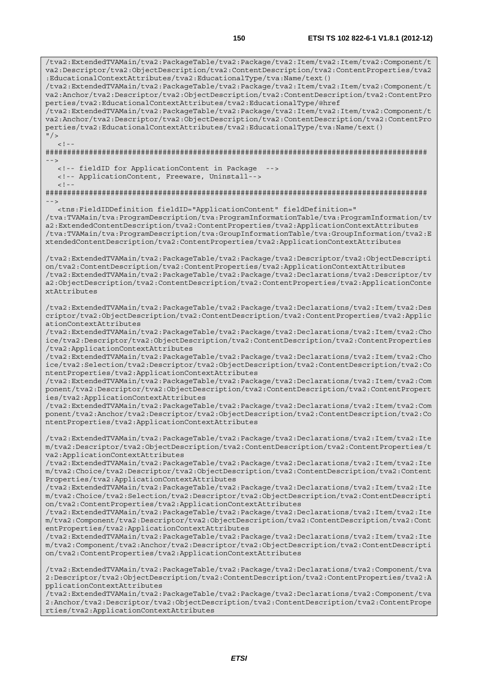/tva2:ExtendedTVAMain/tva2:PackageTable/tva2:Package/tva2:Item/tva2:Item/tva2:Component/t va2:Descriptor/tva2:ObjectDescription/tva2:ContentDescription/tva2:ContentProperties/tva2 :EducationalContextAttributes/tva2:EducationalType/tva:Name/text() /tva2:ExtendedTVAMain/tva2:PackageTable/tva2:Package/tva2:Item/tva2:Item/tva2:Component/t va2:Anchor/tva2:Descriptor/tva2:ObjectDescription/tva2:ContentDescription/tva2:ContentPro perties/tva2:EducationalContextAttributes/tva2:EducationalType/@href /tva2:ExtendedTVAMain/tva2:PackageTable/tva2:Package/tva2:Item/tva2:Item/tva2:Component/t va2:Anchor/tva2:Descriptor/tva2:ObjectDescription/tva2:ContentDescription/tva2:ContentPro perties/tva2:EducationalContextAttributes/tva2:EducationalType/tva:Name/text()  $''$  /  $>$  $\langle$  .  $|$  - -  $|$ ######################################################################################## --> <!-- fieldID for ApplicationContent in Package --> <!-- ApplicationContent, Freeware, Uninstall-->  $<$  !  $\cdot$ ######################################################################################## --> <tns:FieldIDDefinition fieldID="ApplicationContent" fieldDefinition=" /tva:TVAMain/tva:ProgramDescription/tva:ProgramInformationTable/tva:ProgramInformation/tv a2:ExtendedContentDescription/tva2:ContentProperties/tva2:ApplicationContextAttributes /tva:TVAMain/tva:ProgramDescription/tva:GroupInformationTable/tva:GroupInformation/tva2:E xtendedContentDescription/tva2:ContentProperties/tva2:ApplicationContextAttributes /tva2:ExtendedTVAMain/tva2:PackageTable/tva2:Package/tva2:Descriptor/tva2:ObjectDescripti on/tva2:ContentDescription/tva2:ContentProperties/tva2:ApplicationContextAttributes /tva2:ExtendedTVAMain/tva2:PackageTable/tva2:Package/tva2:Declarations/tva2:Descriptor/tv a2:ObjectDescription/tva2:ContentDescription/tva2:ContentProperties/tva2:ApplicationConte xtAttributes /tva2:ExtendedTVAMain/tva2:PackageTable/tva2:Package/tva2:Declarations/tva2:Item/tva2:Des criptor/tva2:ObjectDescription/tva2:ContentDescription/tva2:ContentProperties/tva2:Applic ationContextAttributes /tva2:ExtendedTVAMain/tva2:PackageTable/tva2:Package/tva2:Declarations/tva2:Item/tva2:Cho ice/tva2:Descriptor/tva2:ObjectDescription/tva2:ContentDescription/tva2:ContentProperties /tva2:ApplicationContextAttributes /tva2:ExtendedTVAMain/tva2:PackageTable/tva2:Package/tva2:Declarations/tva2:Item/tva2:Cho ice/tva2:Selection/tva2:Descriptor/tva2:ObjectDescription/tva2:ContentDescription/tva2:Co ntentProperties/tva2:ApplicationContextAttributes /tva2:ExtendedTVAMain/tva2:PackageTable/tva2:Package/tva2:Declarations/tva2:Item/tva2:Com ponent/tva2:Descriptor/tva2:ObjectDescription/tva2:ContentDescription/tva2:ContentPropert ies/tva2:ApplicationContextAttributes /tva2:ExtendedTVAMain/tva2:PackageTable/tva2:Package/tva2:Declarations/tva2:Item/tva2:Com ponent/tva2:Anchor/tva2:Descriptor/tva2:ObjectDescription/tva2:ContentDescription/tva2:Co ntentProperties/tva2:ApplicationContextAttributes /tva2:ExtendedTVAMain/tva2:PackageTable/tva2:Package/tva2:Declarations/tva2:Item/tva2:Ite m/tva2:Descriptor/tva2:ObjectDescription/tva2:ContentDescription/tva2:ContentProperties/t va2:ApplicationContextAttributes /tva2:ExtendedTVAMain/tva2:PackageTable/tva2:Package/tva2:Declarations/tva2:Item/tva2:Ite m/tva2:Choice/tva2:Descriptor/tva2:ObjectDescription/tva2:ContentDescription/tva2:Content Properties/tva2:ApplicationContextAttributes /tva2:ExtendedTVAMain/tva2:PackageTable/tva2:Package/tva2:Declarations/tva2:Item/tva2:Ite m/tva2:Choice/tva2:Selection/tva2:Descriptor/tva2:ObjectDescription/tva2:ContentDescripti on/tva2:ContentProperties/tva2:ApplicationContextAttributes /tva2:ExtendedTVAMain/tva2:PackageTable/tva2:Package/tva2:Declarations/tva2:Item/tva2:Ite m/tva2:Component/tva2:Descriptor/tva2:ObjectDescription/tva2:ContentDescription/tva2:Cont entProperties/tva2:ApplicationContextAttributes /tva2:ExtendedTVAMain/tva2:PackageTable/tva2:Package/tva2:Declarations/tva2:Item/tva2:Ite m/tva2:Component/tva2:Anchor/tva2:Descriptor/tva2:ObjectDescription/tva2:ContentDescripti on/tva2:ContentProperties/tva2:ApplicationContextAttributes /tva2:ExtendedTVAMain/tva2:PackageTable/tva2:Package/tva2:Declarations/tva2:Component/tva 2:Descriptor/tva2:ObjectDescription/tva2:ContentDescription/tva2:ContentProperties/tva2:A pplicationContextAttributes /tva2:ExtendedTVAMain/tva2:PackageTable/tva2:Package/tva2:Declarations/tva2:Component/tva 2:Anchor/tva2:Descriptor/tva2:ObjectDescription/tva2:ContentDescription/tva2:ContentPrope

rties/tva2:ApplicationContextAttributes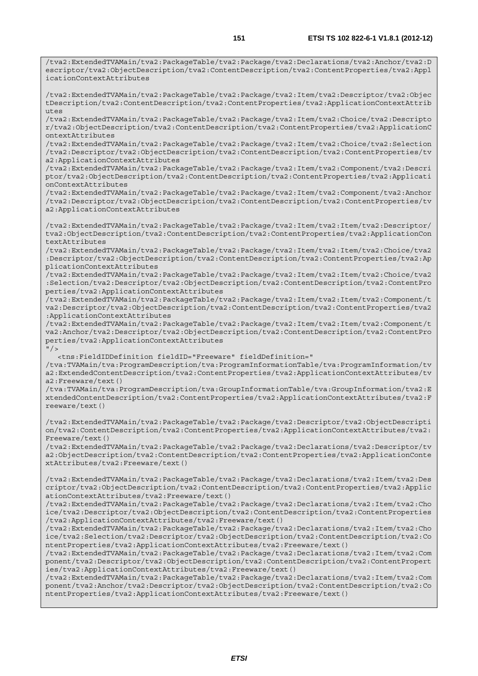/tva2:ExtendedTVAMain/tva2:PackageTable/tva2:Package/tva2:Declarations/tva2:Anchor/tva2:D

escriptor/tva2:ObjectDescription/tva2:ContentDescription/tva2:ContentProperties/tva2:Appl icationContextAttributes /tva2:ExtendedTVAMain/tva2:PackageTable/tva2:Package/tva2:Item/tva2:Descriptor/tva2:Objec tDescription/tva2:ContentDescription/tva2:ContentProperties/tva2:ApplicationContextAttrib utes /tva2:ExtendedTVAMain/tva2:PackageTable/tva2:Package/tva2:Item/tva2:Choice/tva2:Descripto r/tva2:ObjectDescription/tva2:ContentDescription/tva2:ContentProperties/tva2:ApplicationC ontextAttributes /tva2:ExtendedTVAMain/tva2:PackageTable/tva2:Package/tva2:Item/tva2:Choice/tva2:Selection /tva2:Descriptor/tva2:ObjectDescription/tva2:ContentDescription/tva2:ContentProperties/tv a2:ApplicationContextAttributes /tva2:ExtendedTVAMain/tva2:PackageTable/tva2:Package/tva2:Item/tva2:Component/tva2:Descri ptor/tva2:ObjectDescription/tva2:ContentDescription/tva2:ContentProperties/tva2:Applicati onContextAttributes /tva2:ExtendedTVAMain/tva2:PackageTable/tva2:Package/tva2:Item/tva2:Component/tva2:Anchor /tva2:Descriptor/tva2:ObjectDescription/tva2:ContentDescription/tva2:ContentProperties/tv a2:ApplicationContextAttributes /tva2:ExtendedTVAMain/tva2:PackageTable/tva2:Package/tva2:Item/tva2:Item/tva2:Descriptor/ tva2:ObjectDescription/tva2:ContentDescription/tva2:ContentProperties/tva2:ApplicationCon textAttributes /tva2:ExtendedTVAMain/tva2:PackageTable/tva2:Package/tva2:Item/tva2:Item/tva2:Choice/tva2 :Descriptor/tva2:ObjectDescription/tva2:ContentDescription/tva2:ContentProperties/tva2:Ap plicationContextAttributes /tva2:ExtendedTVAMain/tva2:PackageTable/tva2:Package/tva2:Item/tva2:Item/tva2:Choice/tva2 :Selection/tva2:Descriptor/tva2:ObjectDescription/tva2:ContentDescription/tva2:ContentPro perties/tva2:ApplicationContextAttributes /tva2:ExtendedTVAMain/tva2:PackageTable/tva2:Package/tva2:Item/tva2:Item/tva2:Component/t va2:Descriptor/tva2:ObjectDescription/tva2:ContentDescription/tva2:ContentProperties/tva2 :ApplicationContextAttributes /tva2:ExtendedTVAMain/tva2:PackageTable/tva2:Package/tva2:Item/tva2:Item/tva2:Component/t va2:Anchor/tva2:Descriptor/tva2:ObjectDescription/tva2:ContentDescription/tva2:ContentPro perties/tva2:ApplicationContextAttributes  $"$  / > <tns:FieldIDDefinition fieldID="Freeware" fieldDefinition=" /tva:TVAMain/tva:ProgramDescription/tva:ProgramInformationTable/tva:ProgramInformation/tv a2:ExtendedContentDescription/tva2:ContentProperties/tva2:ApplicationContextAttributes/tv a2:Freeware/text() /tva:TVAMain/tva:ProgramDescription/tva:GroupInformationTable/tva:GroupInformation/tva2:E xtendedContentDescription/tva2:ContentProperties/tva2:ApplicationContextAttributes/tva2:F reeware/text() /tva2:ExtendedTVAMain/tva2:PackageTable/tva2:Package/tva2:Descriptor/tva2:ObjectDescripti on/tva2:ContentDescription/tva2:ContentProperties/tva2:ApplicationContextAttributes/tva2: Freeware/text() /tva2:ExtendedTVAMain/tva2:PackageTable/tva2:Package/tva2:Declarations/tva2:Descriptor/tv a2:ObjectDescription/tva2:ContentDescription/tva2:ContentProperties/tva2:ApplicationConte xtAttributes/tva2:Freeware/text() /tva2:ExtendedTVAMain/tva2:PackageTable/tva2:Package/tva2:Declarations/tva2:Item/tva2:Des criptor/tva2:ObjectDescription/tva2:ContentDescription/tva2:ContentProperties/tva2:Applic ationContextAttributes/tva2:Freeware/text() /tva2:ExtendedTVAMain/tva2:PackageTable/tva2:Package/tva2:Declarations/tva2:Item/tva2:Cho ice/tva2:Descriptor/tva2:ObjectDescription/tva2:ContentDescription/tva2:ContentProperties /tva2:ApplicationContextAttributes/tva2:Freeware/text() /tva2:ExtendedTVAMain/tva2:PackageTable/tva2:Package/tva2:Declarations/tva2:Item/tva2:Cho ice/tva2:Selection/tva2:Descriptor/tva2:ObjectDescription/tva2:ContentDescription/tva2:Co ntentProperties/tva2:ApplicationContextAttributes/tva2:Freeware/text() /tva2:ExtendedTVAMain/tva2:PackageTable/tva2:Package/tva2:Declarations/tva2:Item/tva2:Com ponent/tva2:Descriptor/tva2:ObjectDescription/tva2:ContentDescription/tva2:ContentPropert ies/tva2:ApplicationContextAttributes/tva2:Freeware/text()

/tva2:ExtendedTVAMain/tva2:PackageTable/tva2:Package/tva2:Declarations/tva2:Item/tva2:Com ponent/tva2:Anchor/tva2:Descriptor/tva2:ObjectDescription/tva2:ContentDescription/tva2:Co ntentProperties/tva2:ApplicationContextAttributes/tva2:Freeware/text()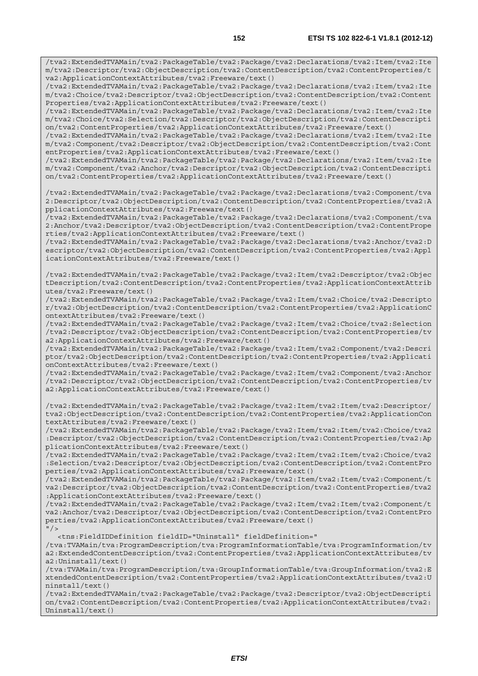/tva2:ExtendedTVAMain/tva2:PackageTable/tva2:Package/tva2:Declarations/tva2:Item/tva2:Ite m/tva2:Descriptor/tva2:ObjectDescription/tva2:ContentDescription/tva2:ContentProperties/t va2:ApplicationContextAttributes/tva2:Freeware/text() /tva2:ExtendedTVAMain/tva2:PackageTable/tva2:Package/tva2:Declarations/tva2:Item/tva2:Ite

m/tva2:Choice/tva2:Descriptor/tva2:ObjectDescription/tva2:ContentDescription/tva2:Content Properties/tva2:ApplicationContextAttributes/tva2:Freeware/text()

/tva2:ExtendedTVAMain/tva2:PackageTable/tva2:Package/tva2:Declarations/tva2:Item/tva2:Ite m/tva2:Choice/tva2:Selection/tva2:Descriptor/tva2:ObjectDescription/tva2:ContentDescripti on/tva2:ContentProperties/tva2:ApplicationContextAttributes/tva2:Freeware/text()

/tva2:ExtendedTVAMain/tva2:PackageTable/tva2:Package/tva2:Declarations/tva2:Item/tva2:Ite m/tva2:Component/tva2:Descriptor/tva2:ObjectDescription/tva2:ContentDescription/tva2:Cont entProperties/tva2:ApplicationContextAttributes/tva2:Freeware/text()

/tva2:ExtendedTVAMain/tva2:PackageTable/tva2:Package/tva2:Declarations/tva2:Item/tva2:Ite m/tva2:Component/tva2:Anchor/tva2:Descriptor/tva2:ObjectDescription/tva2:ContentDescripti on/tva2:ContentProperties/tva2:ApplicationContextAttributes/tva2:Freeware/text()

/tva2:ExtendedTVAMain/tva2:PackageTable/tva2:Package/tva2:Declarations/tva2:Component/tva 2:Descriptor/tva2:ObjectDescription/tva2:ContentDescription/tva2:ContentProperties/tva2:A pplicationContextAttributes/tva2:Freeware/text()

/tva2:ExtendedTVAMain/tva2:PackageTable/tva2:Package/tva2:Declarations/tva2:Component/tva 2:Anchor/tva2:Descriptor/tva2:ObjectDescription/tva2:ContentDescription/tva2:ContentPrope rties/tva2:ApplicationContextAttributes/tva2:Freeware/text()

/tva2:ExtendedTVAMain/tva2:PackageTable/tva2:Package/tva2:Declarations/tva2:Anchor/tva2:D escriptor/tva2:ObjectDescription/tva2:ContentDescription/tva2:ContentProperties/tva2:Appl icationContextAttributes/tva2:Freeware/text()

/tva2:ExtendedTVAMain/tva2:PackageTable/tva2:Package/tva2:Item/tva2:Descriptor/tva2:Objec tDescription/tva2:ContentDescription/tva2:ContentProperties/tva2:ApplicationContextAttrib utes/tva2:Freeware/text()

/tva2:ExtendedTVAMain/tva2:PackageTable/tva2:Package/tva2:Item/tva2:Choice/tva2:Descripto r/tva2:ObjectDescription/tva2:ContentDescription/tva2:ContentProperties/tva2:ApplicationC ontextAttributes/tva2:Freeware/text()

/tva2:ExtendedTVAMain/tva2:PackageTable/tva2:Package/tva2:Item/tva2:Choice/tva2:Selection /tva2:Descriptor/tva2:ObjectDescription/tva2:ContentDescription/tva2:ContentProperties/tv a2:ApplicationContextAttributes/tva2:Freeware/text()

/tva2:ExtendedTVAMain/tva2:PackageTable/tva2:Package/tva2:Item/tva2:Component/tva2:Descri ptor/tva2:ObjectDescription/tva2:ContentDescription/tva2:ContentProperties/tva2:Applicati onContextAttributes/tva2:Freeware/text()

/tva2:ExtendedTVAMain/tva2:PackageTable/tva2:Package/tva2:Item/tva2:Component/tva2:Anchor /tva2:Descriptor/tva2:ObjectDescription/tva2:ContentDescription/tva2:ContentProperties/tv a2:ApplicationContextAttributes/tva2:Freeware/text()

/tva2:ExtendedTVAMain/tva2:PackageTable/tva2:Package/tva2:Item/tva2:Item/tva2:Descriptor/ tva2:ObjectDescription/tva2:ContentDescription/tva2:ContentProperties/tva2:ApplicationCon textAttributes/tva2:Freeware/text()

/tva2:ExtendedTVAMain/tva2:PackageTable/tva2:Package/tva2:Item/tva2:Item/tva2:Choice/tva2 :Descriptor/tva2:ObjectDescription/tva2:ContentDescription/tva2:ContentProperties/tva2:Ap plicationContextAttributes/tva2:Freeware/text()

/tva2:ExtendedTVAMain/tva2:PackageTable/tva2:Package/tva2:Item/tva2:Item/tva2:Choice/tva2 :Selection/tva2:Descriptor/tva2:ObjectDescription/tva2:ContentDescription/tva2:ContentPro perties/tva2:ApplicationContextAttributes/tva2:Freeware/text()

/tva2:ExtendedTVAMain/tva2:PackageTable/tva2:Package/tva2:Item/tva2:Item/tva2:Component/t va2:Descriptor/tva2:ObjectDescription/tva2:ContentDescription/tva2:ContentProperties/tva2 :ApplicationContextAttributes/tva2:Freeware/text()

/tva2:ExtendedTVAMain/tva2:PackageTable/tva2:Package/tva2:Item/tva2:Item/tva2:Component/t va2:Anchor/tva2:Descriptor/tva2:ObjectDescription/tva2:ContentDescription/tva2:ContentPro perties/tva2:ApplicationContextAttributes/tva2:Freeware/text()  $"$  />

<tns:FieldIDDefinition fieldID="Uninstall" fieldDefinition="

/tva:TVAMain/tva:ProgramDescription/tva:ProgramInformationTable/tva:ProgramInformation/tv a2:ExtendedContentDescription/tva2:ContentProperties/tva2:ApplicationContextAttributes/tv a2:Uninstall/text()

/tva:TVAMain/tva:ProgramDescription/tva:GroupInformationTable/tva:GroupInformation/tva2:E xtendedContentDescription/tva2:ContentProperties/tva2:ApplicationContextAttributes/tva2:U ninstall/text()

/tva2:ExtendedTVAMain/tva2:PackageTable/tva2:Package/tva2:Descriptor/tva2:ObjectDescripti on/tva2:ContentDescription/tva2:ContentProperties/tva2:ApplicationContextAttributes/tva2: Uninstall/text()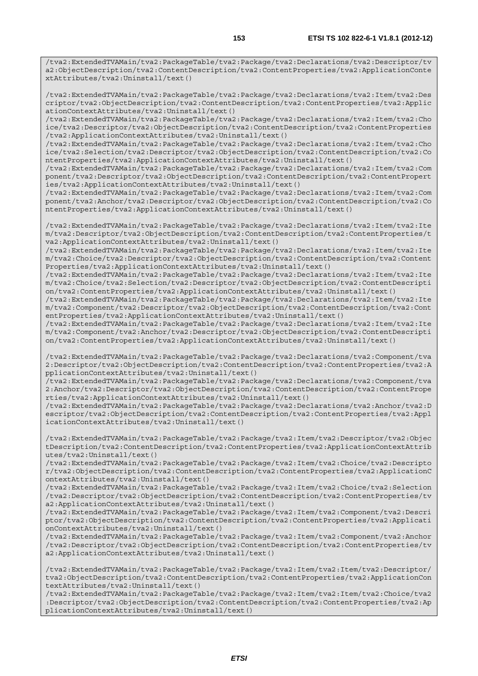/tva2:ExtendedTVAMain/tva2:PackageTable/tva2:Package/tva2:Declarations/tva2:Item/tva2:Des criptor/tva2:ObjectDescription/tva2:ContentDescription/tva2:ContentProperties/tva2:Applic ationContextAttributes/tva2:Uninstall/text()

/tva2:ExtendedTVAMain/tva2:PackageTable/tva2:Package/tva2:Declarations/tva2:Item/tva2:Cho ice/tva2:Descriptor/tva2:ObjectDescription/tva2:ContentDescription/tva2:ContentProperties /tva2:ApplicationContextAttributes/tva2:Uninstall/text()

/tva2:ExtendedTVAMain/tva2:PackageTable/tva2:Package/tva2:Declarations/tva2:Item/tva2:Cho ice/tva2:Selection/tva2:Descriptor/tva2:ObjectDescription/tva2:ContentDescription/tva2:Co ntentProperties/tva2:ApplicationContextAttributes/tva2:Uninstall/text()

/tva2:ExtendedTVAMain/tva2:PackageTable/tva2:Package/tva2:Declarations/tva2:Item/tva2:Com ponent/tva2:Descriptor/tva2:ObjectDescription/tva2:ContentDescription/tva2:ContentPropert ies/tva2:ApplicationContextAttributes/tva2:Uninstall/text()

/tva2:ExtendedTVAMain/tva2:PackageTable/tva2:Package/tva2:Declarations/tva2:Item/tva2:Com ponent/tva2:Anchor/tva2:Descriptor/tva2:ObjectDescription/tva2:ContentDescription/tva2:Co ntentProperties/tva2:ApplicationContextAttributes/tva2:Uninstall/text()

/tva2:ExtendedTVAMain/tva2:PackageTable/tva2:Package/tva2:Declarations/tva2:Item/tva2:Ite m/tva2:Descriptor/tva2:ObjectDescription/tva2:ContentDescription/tva2:ContentProperties/t va2:ApplicationContextAttributes/tva2:Uninstall/text()

/tva2:ExtendedTVAMain/tva2:PackageTable/tva2:Package/tva2:Declarations/tva2:Item/tva2:Ite m/tva2:Choice/tva2:Descriptor/tva2:ObjectDescription/tva2:ContentDescription/tva2:Content Properties/tva2:ApplicationContextAttributes/tva2:Uninstall/text()

/tva2:ExtendedTVAMain/tva2:PackageTable/tva2:Package/tva2:Declarations/tva2:Item/tva2:Ite m/tva2:Choice/tva2:Selection/tva2:Descriptor/tva2:ObjectDescription/tva2:ContentDescripti on/tva2:ContentProperties/tva2:ApplicationContextAttributes/tva2:Uninstall/text()

/tva2:ExtendedTVAMain/tva2:PackageTable/tva2:Package/tva2:Declarations/tva2:Item/tva2:Ite m/tva2:Component/tva2:Descriptor/tva2:ObjectDescription/tva2:ContentDescription/tva2:Cont entProperties/tva2:ApplicationContextAttributes/tva2:Uninstall/text()

/tva2:ExtendedTVAMain/tva2:PackageTable/tva2:Package/tva2:Declarations/tva2:Item/tva2:Ite m/tva2:Component/tva2:Anchor/tva2:Descriptor/tva2:ObjectDescription/tva2:ContentDescripti on/tva2:ContentProperties/tva2:ApplicationContextAttributes/tva2:Uninstall/text()

/tva2:ExtendedTVAMain/tva2:PackageTable/tva2:Package/tva2:Declarations/tva2:Component/tva 2:Descriptor/tva2:ObjectDescription/tva2:ContentDescription/tva2:ContentProperties/tva2:A pplicationContextAttributes/tva2:Uninstall/text()

/tva2:ExtendedTVAMain/tva2:PackageTable/tva2:Package/tva2:Declarations/tva2:Component/tva 2:Anchor/tva2:Descriptor/tva2:ObjectDescription/tva2:ContentDescription/tva2:ContentPrope rties/tva2:ApplicationContextAttributes/tva2:Uninstall/text()

/tva2:ExtendedTVAMain/tva2:PackageTable/tva2:Package/tva2:Declarations/tva2:Anchor/tva2:D escriptor/tva2:ObjectDescription/tva2:ContentDescription/tva2:ContentProperties/tva2:Appl icationContextAttributes/tva2:Uninstall/text()

/tva2:ExtendedTVAMain/tva2:PackageTable/tva2:Package/tva2:Item/tva2:Descriptor/tva2:Objec tDescription/tva2:ContentDescription/tva2:ContentProperties/tva2:ApplicationContextAttrib utes/tva2:Uninstall/text()

/tva2:ExtendedTVAMain/tva2:PackageTable/tva2:Package/tva2:Item/tva2:Choice/tva2:Descripto r/tva2:ObjectDescription/tva2:ContentDescription/tva2:ContentProperties/tva2:ApplicationC ontextAttributes/tva2:Uninstall/text()

/tva2:ExtendedTVAMain/tva2:PackageTable/tva2:Package/tva2:Item/tva2:Choice/tva2:Selection /tva2:Descriptor/tva2:ObjectDescription/tva2:ContentDescription/tva2:ContentProperties/tv a2:ApplicationContextAttributes/tva2:Uninstall/text()

/tva2:ExtendedTVAMain/tva2:PackageTable/tva2:Package/tva2:Item/tva2:Component/tva2:Descri ptor/tva2:ObjectDescription/tva2:ContentDescription/tva2:ContentProperties/tva2:Applicati onContextAttributes/tva2:Uninstall/text()

/tva2:ExtendedTVAMain/tva2:PackageTable/tva2:Package/tva2:Item/tva2:Component/tva2:Anchor /tva2:Descriptor/tva2:ObjectDescription/tva2:ContentDescription/tva2:ContentProperties/tv a2:ApplicationContextAttributes/tva2:Uninstall/text()

/tva2:ExtendedTVAMain/tva2:PackageTable/tva2:Package/tva2:Item/tva2:Item/tva2:Descriptor/ tva2:ObjectDescription/tva2:ContentDescription/tva2:ContentProperties/tva2:ApplicationCon textAttributes/tva2:Uninstall/text()

/tva2:ExtendedTVAMain/tva2:PackageTable/tva2:Package/tva2:Item/tva2:Item/tva2:Choice/tva2 :Descriptor/tva2:ObjectDescription/tva2:ContentDescription/tva2:ContentProperties/tva2:Ap plicationContextAttributes/tva2:Uninstall/text()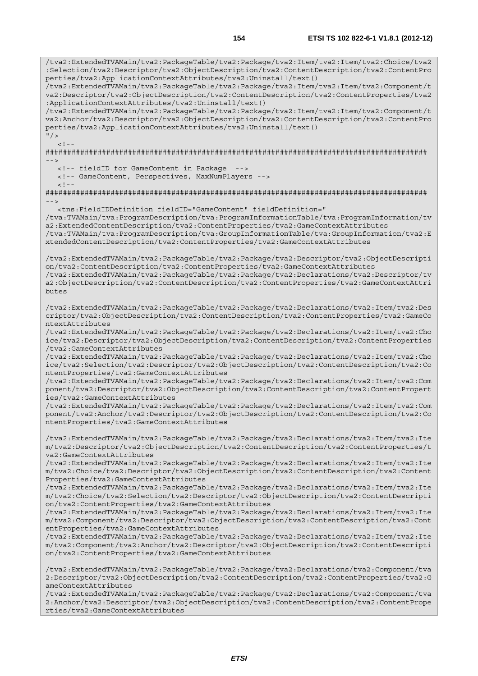/tva2:ExtendedTVAMain/tva2:PackageTable/tva2:Package/tva2:Item/tva2:Item/tva2:Choice/tva2 :Selection/tva2:Descriptor/tva2:ObjectDescription/tva2:ContentDescription/tva2:ContentPro perties/tva2:ApplicationContextAttributes/tva2:Uninstall/text() /tva2:ExtendedTVAMain/tva2:PackageTable/tva2:Package/tva2:Item/tva2:Item/tva2:Component/t va2:Descriptor/tva2:ObjectDescription/tva2:ContentDescription/tva2:ContentProperties/tva2 :ApplicationContextAttributes/tva2:Uninstall/text() /tva2:ExtendedTVAMain/tva2:PackageTable/tva2:Package/tva2:Item/tva2:Item/tva2:Component/t va2:Anchor/tva2:Descriptor/tva2:ObjectDescription/tva2:ContentDescription/tva2:ContentPro perties/tva2:ApplicationContextAttributes/tva2:Uninstall/text()  $''$  /  $>$  $\langle$  .  $|$  - -  $|$ ######################################################################################## --> <!-- fieldID for GameContent in Package --> <!-- GameContent, Perspectives, MaxNumPlayers -->  $\lt$  ! -######################################################################################## --> <tns:FieldIDDefinition fieldID="GameContent" fieldDefinition=" /tva:TVAMain/tva:ProgramDescription/tva:ProgramInformationTable/tva:ProgramInformation/tv a2:ExtendedContentDescription/tva2:ContentProperties/tva2:GameContextAttributes /tva:TVAMain/tva:ProgramDescription/tva:GroupInformationTable/tva:GroupInformation/tva2:E xtendedContentDescription/tva2:ContentProperties/tva2:GameContextAttributes /tva2:ExtendedTVAMain/tva2:PackageTable/tva2:Package/tva2:Descriptor/tva2:ObjectDescripti on/tva2:ContentDescription/tva2:ContentProperties/tva2:GameContextAttributes /tva2:ExtendedTVAMain/tva2:PackageTable/tva2:Package/tva2:Declarations/tva2:Descriptor/tv a2:ObjectDescription/tva2:ContentDescription/tva2:ContentProperties/tva2:GameContextAttri butes /tva2:ExtendedTVAMain/tva2:PackageTable/tva2:Package/tva2:Declarations/tva2:Item/tva2:Des criptor/tva2:ObjectDescription/tva2:ContentDescription/tva2:ContentProperties/tva2:GameCo ntextAttributes /tva2:ExtendedTVAMain/tva2:PackageTable/tva2:Package/tva2:Declarations/tva2:Item/tva2:Cho ice/tva2:Descriptor/tva2:ObjectDescription/tva2:ContentDescription/tva2:ContentProperties /tva2:GameContextAttributes /tva2:ExtendedTVAMain/tva2:PackageTable/tva2:Package/tva2:Declarations/tva2:Item/tva2:Cho ice/tva2:Selection/tva2:Descriptor/tva2:ObjectDescription/tva2:ContentDescription/tva2:Co ntentProperties/tva2:GameContextAttributes /tva2:ExtendedTVAMain/tva2:PackageTable/tva2:Package/tva2:Declarations/tva2:Item/tva2:Com ponent/tva2:Descriptor/tva2:ObjectDescription/tva2:ContentDescription/tva2:ContentPropert ies/tva2:GameContextAttributes /tva2:ExtendedTVAMain/tva2:PackageTable/tva2:Package/tva2:Declarations/tva2:Item/tva2:Com ponent/tva2:Anchor/tva2:Descriptor/tva2:ObjectDescription/tva2:ContentDescription/tva2:Co ntentProperties/tva2:GameContextAttributes /tva2:ExtendedTVAMain/tva2:PackageTable/tva2:Package/tva2:Declarations/tva2:Item/tva2:Ite m/tva2:Descriptor/tva2:ObjectDescription/tva2:ContentDescription/tva2:ContentProperties/t va2:GameContextAttributes /tva2:ExtendedTVAMain/tva2:PackageTable/tva2:Package/tva2:Declarations/tva2:Item/tva2:Ite m/tva2:Choice/tva2:Descriptor/tva2:ObjectDescription/tva2:ContentDescription/tva2:Content Properties/tva2:GameContextAttributes /tva2:ExtendedTVAMain/tva2:PackageTable/tva2:Package/tva2:Declarations/tva2:Item/tva2:Ite m/tva2:Choice/tva2:Selection/tva2:Descriptor/tva2:ObjectDescription/tva2:ContentDescripti on/tva2:ContentProperties/tva2:GameContextAttributes /tva2:ExtendedTVAMain/tva2:PackageTable/tva2:Package/tva2:Declarations/tva2:Item/tva2:Ite m/tva2:Component/tva2:Descriptor/tva2:ObjectDescription/tva2:ContentDescription/tva2:Cont entProperties/tva2:GameContextAttributes /tva2:ExtendedTVAMain/tva2:PackageTable/tva2:Package/tva2:Declarations/tva2:Item/tva2:Ite m/tva2:Component/tva2:Anchor/tva2:Descriptor/tva2:ObjectDescription/tva2:ContentDescripti on/tva2:ContentProperties/tva2:GameContextAttributes /tva2:ExtendedTVAMain/tva2:PackageTable/tva2:Package/tva2:Declarations/tva2:Component/tva 2:Descriptor/tva2:ObjectDescription/tva2:ContentDescription/tva2:ContentProperties/tva2:G ameContextAttributes /tva2:ExtendedTVAMain/tva2:PackageTable/tva2:Package/tva2:Declarations/tva2:Component/tva 2:Anchor/tva2:Descriptor/tva2:ObjectDescription/tva2:ContentDescription/tva2:ContentPrope rties/tva2:GameContextAttributes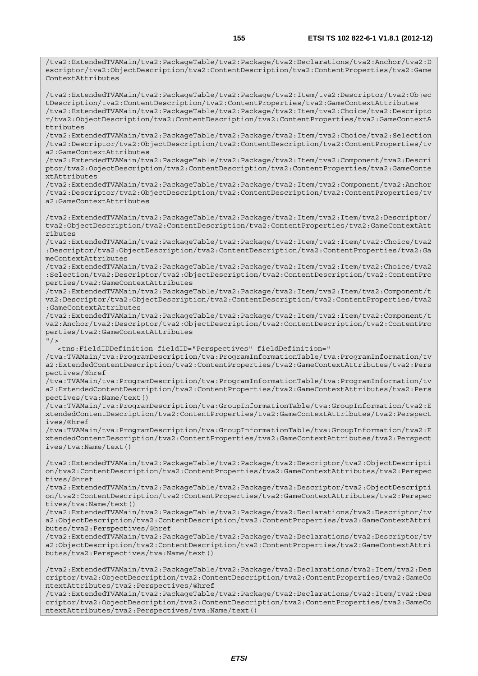/tva2:ExtendedTVAMain/tva2:PackageTable/tva2:Package/tva2:Declarations/tva2:Anchor/tva2:D escriptor/tva2:ObjectDescription/tva2:ContentDescription/tva2:ContentProperties/tva2:Game ContextAttributes

/tva2:ExtendedTVAMain/tva2:PackageTable/tva2:Package/tva2:Item/tva2:Descriptor/tva2:Objec tDescription/tva2:ContentDescription/tva2:ContentProperties/tva2:GameContextAttributes /tva2:ExtendedTVAMain/tva2:PackageTable/tva2:Package/tva2:Item/tva2:Choice/tva2:Descripto r/tva2:ObjectDescription/tva2:ContentDescription/tva2:ContentProperties/tva2:GameContextA ttributes

/tva2:ExtendedTVAMain/tva2:PackageTable/tva2:Package/tva2:Item/tva2:Choice/tva2:Selection /tva2:Descriptor/tva2:ObjectDescription/tva2:ContentDescription/tva2:ContentProperties/tv a2:GameContextAttributes

/tva2:ExtendedTVAMain/tva2:PackageTable/tva2:Package/tva2:Item/tva2:Component/tva2:Descri ptor/tva2:ObjectDescription/tva2:ContentDescription/tva2:ContentProperties/tva2:GameConte xtAttributes

/tva2:ExtendedTVAMain/tva2:PackageTable/tva2:Package/tva2:Item/tva2:Component/tva2:Anchor /tva2:Descriptor/tva2:ObjectDescription/tva2:ContentDescription/tva2:ContentProperties/tv a2:GameContextAttributes

/tva2:ExtendedTVAMain/tva2:PackageTable/tva2:Package/tva2:Item/tva2:Item/tva2:Descriptor/ tva2:ObjectDescription/tva2:ContentDescription/tva2:ContentProperties/tva2:GameContextAtt ributes

/tva2:ExtendedTVAMain/tva2:PackageTable/tva2:Package/tva2:Item/tva2:Item/tva2:Choice/tva2 :Descriptor/tva2:ObjectDescription/tva2:ContentDescription/tva2:ContentProperties/tva2:Ga meContextAttributes

/tva2:ExtendedTVAMain/tva2:PackageTable/tva2:Package/tva2:Item/tva2:Item/tva2:Choice/tva2 :Selection/tva2:Descriptor/tva2:ObjectDescription/tva2:ContentDescription/tva2:ContentPro perties/tva2:GameContextAttributes

/tva2:ExtendedTVAMain/tva2:PackageTable/tva2:Package/tva2:Item/tva2:Item/tva2:Component/t va2:Descriptor/tva2:ObjectDescription/tva2:ContentDescription/tva2:ContentProperties/tva2 :GameContextAttributes

/tva2:ExtendedTVAMain/tva2:PackageTable/tva2:Package/tva2:Item/tva2:Item/tva2:Component/t va2:Anchor/tva2:Descriptor/tva2:ObjectDescription/tva2:ContentDescription/tva2:ContentPro perties/tva2:GameContextAttributes

 $''$  / >

<tns:FieldIDDefinition fieldID="Perspectives" fieldDefinition="

/tva:TVAMain/tva:ProgramDescription/tva:ProgramInformationTable/tva:ProgramInformation/tv a2:ExtendedContentDescription/tva2:ContentProperties/tva2:GameContextAttributes/tva2:Pers pectives/@href

/tva:TVAMain/tva:ProgramDescription/tva:ProgramInformationTable/tva:ProgramInformation/tv a2:ExtendedContentDescription/tva2:ContentProperties/tva2:GameContextAttributes/tva2:Pers pectives/tva:Name/text()

/tva:TVAMain/tva:ProgramDescription/tva:GroupInformationTable/tva:GroupInformation/tva2:E xtendedContentDescription/tva2:ContentProperties/tva2:GameContextAttributes/tva2:Perspect ives/@href

/tva:TVAMain/tva:ProgramDescription/tva:GroupInformationTable/tva:GroupInformation/tva2:E xtendedContentDescription/tva2:ContentProperties/tva2:GameContextAttributes/tva2:Perspect ives/tva:Name/text()

/tva2:ExtendedTVAMain/tva2:PackageTable/tva2:Package/tva2:Descriptor/tva2:ObjectDescripti on/tva2:ContentDescription/tva2:ContentProperties/tva2:GameContextAttributes/tva2:Perspec tives/@href

/tva2:ExtendedTVAMain/tva2:PackageTable/tva2:Package/tva2:Descriptor/tva2:ObjectDescripti on/tva2:ContentDescription/tva2:ContentProperties/tva2:GameContextAttributes/tva2:Perspec tives/tva:Name/text()

/tva2:ExtendedTVAMain/tva2:PackageTable/tva2:Package/tva2:Declarations/tva2:Descriptor/tv a2:ObjectDescription/tva2:ContentDescription/tva2:ContentProperties/tva2:GameContextAttri butes/tva2:Perspectives/@href

/tva2:ExtendedTVAMain/tva2:PackageTable/tva2:Package/tva2:Declarations/tva2:Descriptor/tv a2:ObjectDescription/tva2:ContentDescription/tva2:ContentProperties/tva2:GameContextAttri butes/tva2:Perspectives/tva:Name/text()

/tva2:ExtendedTVAMain/tva2:PackageTable/tva2:Package/tva2:Declarations/tva2:Item/tva2:Des criptor/tva2:ObjectDescription/tva2:ContentDescription/tva2:ContentProperties/tva2:GameCo ntextAttributes/tva2:Perspectives/@href

/tva2:ExtendedTVAMain/tva2:PackageTable/tva2:Package/tva2:Declarations/tva2:Item/tva2:Des criptor/tva2:ObjectDescription/tva2:ContentDescription/tva2:ContentProperties/tva2:GameCo ntextAttributes/tva2:Perspectives/tva:Name/text()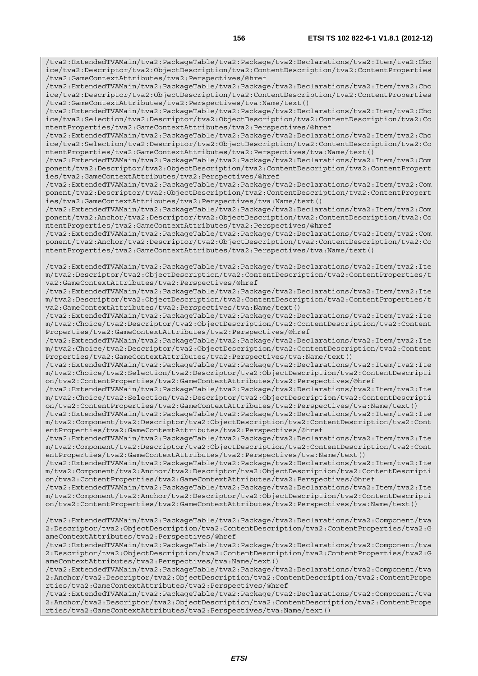/tva2:ExtendedTVAMain/tva2:PackageTable/tva2:Package/tva2:Declarations/tva2:Item/tva2:Cho ice/tva2:Descriptor/tva2:ObjectDescription/tva2:ContentDescription/tva2:ContentProperties /tva2:GameContextAttributes/tva2:Perspectives/@href /tva2:ExtendedTVAMain/tva2:PackageTable/tva2:Package/tva2:Declarations/tva2:Item/tva2:Cho ice/tva2:Descriptor/tva2:ObjectDescription/tva2:ContentDescription/tva2:ContentProperties /tva2:GameContextAttributes/tva2:Perspectives/tva:Name/text() /tva2:ExtendedTVAMain/tva2:PackageTable/tva2:Package/tva2:Declarations/tva2:Item/tva2:Cho ice/tva2:Selection/tva2:Descriptor/tva2:ObjectDescription/tva2:ContentDescription/tva2:Co ntentProperties/tva2:GameContextAttributes/tva2:Perspectives/@href /tva2:ExtendedTVAMain/tva2:PackageTable/tva2:Package/tva2:Declarations/tva2:Item/tva2:Cho ice/tva2:Selection/tva2:Descriptor/tva2:ObjectDescription/tva2:ContentDescription/tva2:Co ntentProperties/tva2:GameContextAttributes/tva2:Perspectives/tva:Name/text() /tva2:ExtendedTVAMain/tva2:PackageTable/tva2:Package/tva2:Declarations/tva2:Item/tva2:Com ponent/tva2:Descriptor/tva2:ObjectDescription/tva2:ContentDescription/tva2:ContentPropert ies/tva2:GameContextAttributes/tva2:Perspectives/@href /tva2:ExtendedTVAMain/tva2:PackageTable/tva2:Package/tva2:Declarations/tva2:Item/tva2:Com ponent/tva2:Descriptor/tva2:ObjectDescription/tva2:ContentDescription/tva2:ContentPropert ies/tva2:GameContextAttributes/tva2:Perspectives/tva:Name/text() /tva2:ExtendedTVAMain/tva2:PackageTable/tva2:Package/tva2:Declarations/tva2:Item/tva2:Com ponent/tva2:Anchor/tva2:Descriptor/tva2:ObjectDescription/tva2:ContentDescription/tva2:Co ntentProperties/tva2:GameContextAttributes/tva2:Perspectives/@href /tva2:ExtendedTVAMain/tva2:PackageTable/tva2:Package/tva2:Declarations/tva2:Item/tva2:Com ponent/tva2:Anchor/tva2:Descriptor/tva2:ObjectDescription/tva2:ContentDescription/tva2:Co ntentProperties/tva2:GameContextAttributes/tva2:Perspectives/tva:Name/text() /tva2:ExtendedTVAMain/tva2:PackageTable/tva2:Package/tva2:Declarations/tva2:Item/tva2:Ite m/tva2:Descriptor/tva2:ObjectDescription/tva2:ContentDescription/tva2:ContentProperties/t va2:GameContextAttributes/tva2:Perspectives/@href /tva2:ExtendedTVAMain/tva2:PackageTable/tva2:Package/tva2:Declarations/tva2:Item/tva2:Ite m/tva2:Descriptor/tva2:ObjectDescription/tva2:ContentDescription/tva2:ContentProperties/t va2:GameContextAttributes/tva2:Perspectives/tva:Name/text() /tva2:ExtendedTVAMain/tva2:PackageTable/tva2:Package/tva2:Declarations/tva2:Item/tva2:Ite m/tva2:Choice/tva2:Descriptor/tva2:ObjectDescription/tva2:ContentDescription/tva2:Content Properties/tva2:GameContextAttributes/tva2:Perspectives/@href /tva2:ExtendedTVAMain/tva2:PackageTable/tva2:Package/tva2:Declarations/tva2:Item/tva2:Ite m/tva2:Choice/tva2:Descriptor/tva2:ObjectDescription/tva2:ContentDescription/tva2:Content Properties/tva2:GameContextAttributes/tva2:Perspectives/tva:Name/text() /tva2:ExtendedTVAMain/tva2:PackageTable/tva2:Package/tva2:Declarations/tva2:Item/tva2:Ite m/tva2:Choice/tva2:Selection/tva2:Descriptor/tva2:ObjectDescription/tva2:ContentDescripti on/tva2:ContentProperties/tva2:GameContextAttributes/tva2:Perspectives/@href /tva2:ExtendedTVAMain/tva2:PackageTable/tva2:Package/tva2:Declarations/tva2:Item/tva2:Ite m/tva2:Choice/tva2:Selection/tva2:Descriptor/tva2:ObjectDescription/tva2:ContentDescripti on/tva2:ContentProperties/tva2:GameContextAttributes/tva2:Perspectives/tva:Name/text() /tva2:ExtendedTVAMain/tva2:PackageTable/tva2:Package/tva2:Declarations/tva2:Item/tva2:Ite m/tva2:Component/tva2:Descriptor/tva2:ObjectDescription/tva2:ContentDescription/tva2:Cont entProperties/tva2:GameContextAttributes/tva2:Perspectives/@href /tva2:ExtendedTVAMain/tva2:PackageTable/tva2:Package/tva2:Declarations/tva2:Item/tva2:Ite m/tva2:Component/tva2:Descriptor/tva2:ObjectDescription/tva2:ContentDescription/tva2:Cont entProperties/tva2:GameContextAttributes/tva2:Perspectives/tva:Name/text() /tva2:ExtendedTVAMain/tva2:PackageTable/tva2:Package/tva2:Declarations/tva2:Item/tva2:Ite m/tva2:Component/tva2:Anchor/tva2:Descriptor/tva2:ObjectDescription/tva2:ContentDescripti on/tva2:ContentProperties/tva2:GameContextAttributes/tva2:Perspectives/@href /tva2:ExtendedTVAMain/tva2:PackageTable/tva2:Package/tva2:Declarations/tva2:Item/tva2:Ite m/tva2:Component/tva2:Anchor/tva2:Descriptor/tva2:ObjectDescription/tva2:ContentDescripti on/tva2:ContentProperties/tva2:GameContextAttributes/tva2:Perspectives/tva:Name/text() /tva2:ExtendedTVAMain/tva2:PackageTable/tva2:Package/tva2:Declarations/tva2:Component/tva 2:Descriptor/tva2:ObjectDescription/tva2:ContentDescription/tva2:ContentProperties/tva2:G ameContextAttributes/tva2:Perspectives/@href /tva2:ExtendedTVAMain/tva2:PackageTable/tva2:Package/tva2:Declarations/tva2:Component/tva 2:Descriptor/tva2:ObjectDescription/tva2:ContentDescription/tva2:ContentProperties/tva2:G ameContextAttributes/tva2:Perspectives/tva:Name/text() /tva2:ExtendedTVAMain/tva2:PackageTable/tva2:Package/tva2:Declarations/tva2:Component/tva 2:Anchor/tva2:Descriptor/tva2:ObjectDescription/tva2:ContentDescription/tva2:ContentPrope rties/tva2:GameContextAttributes/tva2:Perspectives/@href /tva2:ExtendedTVAMain/tva2:PackageTable/tva2:Package/tva2:Declarations/tva2:Component/tva 2:Anchor/tva2:Descriptor/tva2:ObjectDescription/tva2:ContentDescription/tva2:ContentPrope rties/tva2:GameContextAttributes/tva2:Perspectives/tva:Name/text()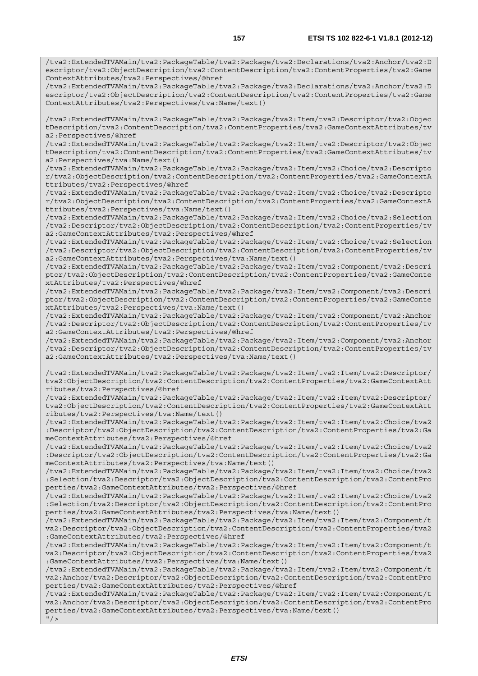/tva2:ExtendedTVAMain/tva2:PackageTable/tva2:Package/tva2:Declarations/tva2:Anchor/tva2:D escriptor/tva2:ObjectDescription/tva2:ContentDescription/tva2:ContentProperties/tva2:Game ContextAttributes/tva2:Perspectives/@href

/tva2:ExtendedTVAMain/tva2:PackageTable/tva2:Package/tva2:Declarations/tva2:Anchor/tva2:D escriptor/tva2:ObjectDescription/tva2:ContentDescription/tva2:ContentProperties/tva2:Game ContextAttributes/tva2:Perspectives/tva:Name/text()

/tva2:ExtendedTVAMain/tva2:PackageTable/tva2:Package/tva2:Item/tva2:Descriptor/tva2:Objec tDescription/tva2:ContentDescription/tva2:ContentProperties/tva2:GameContextAttributes/tv a2:Perspectives/@href

/tva2:ExtendedTVAMain/tva2:PackageTable/tva2:Package/tva2:Item/tva2:Descriptor/tva2:Objec tDescription/tva2:ContentDescription/tva2:ContentProperties/tva2:GameContextAttributes/tv a2:Perspectives/tva:Name/text()

/tva2:ExtendedTVAMain/tva2:PackageTable/tva2:Package/tva2:Item/tva2:Choice/tva2:Descripto r/tva2:ObjectDescription/tva2:ContentDescription/tva2:ContentProperties/tva2:GameContextA ttributes/tva2:Perspectives/@href

/tva2:ExtendedTVAMain/tva2:PackageTable/tva2:Package/tva2:Item/tva2:Choice/tva2:Descripto r/tva2:ObjectDescription/tva2:ContentDescription/tva2:ContentProperties/tva2:GameContextA ttributes/tva2:Perspectives/tva:Name/text()

/tva2:ExtendedTVAMain/tva2:PackageTable/tva2:Package/tva2:Item/tva2:Choice/tva2:Selection /tva2:Descriptor/tva2:ObjectDescription/tva2:ContentDescription/tva2:ContentProperties/tv a2:GameContextAttributes/tva2:Perspectives/@href

/tva2:ExtendedTVAMain/tva2:PackageTable/tva2:Package/tva2:Item/tva2:Choice/tva2:Selection /tva2:Descriptor/tva2:ObjectDescription/tva2:ContentDescription/tva2:ContentProperties/tv a2:GameContextAttributes/tva2:Perspectives/tva:Name/text()

/tva2:ExtendedTVAMain/tva2:PackageTable/tva2:Package/tva2:Item/tva2:Component/tva2:Descri ptor/tva2:ObjectDescription/tva2:ContentDescription/tva2:ContentProperties/tva2:GameConte xtAttributes/tva2:Perspectives/@href

/tva2:ExtendedTVAMain/tva2:PackageTable/tva2:Package/tva2:Item/tva2:Component/tva2:Descri ptor/tva2:ObjectDescription/tva2:ContentDescription/tva2:ContentProperties/tva2:GameConte xtAttributes/tva2:Perspectives/tva:Name/text()

/tva2:ExtendedTVAMain/tva2:PackageTable/tva2:Package/tva2:Item/tva2:Component/tva2:Anchor /tva2:Descriptor/tva2:ObjectDescription/tva2:ContentDescription/tva2:ContentProperties/tv a2:GameContextAttributes/tva2:Perspectives/@href

/tva2:ExtendedTVAMain/tva2:PackageTable/tva2:Package/tva2:Item/tva2:Component/tva2:Anchor /tva2:Descriptor/tva2:ObjectDescription/tva2:ContentDescription/tva2:ContentProperties/tv a2:GameContextAttributes/tva2:Perspectives/tva:Name/text()

/tva2:ExtendedTVAMain/tva2:PackageTable/tva2:Package/tva2:Item/tva2:Item/tva2:Descriptor/ tva2:ObjectDescription/tva2:ContentDescription/tva2:ContentProperties/tva2:GameContextAtt ributes/tva2:Perspectives/@href

/tva2:ExtendedTVAMain/tva2:PackageTable/tva2:Package/tva2:Item/tva2:Item/tva2:Descriptor/ tva2:ObjectDescription/tva2:ContentDescription/tva2:ContentProperties/tva2:GameContextAtt ributes/tva2:Perspectives/tva:Name/text()

/tva2:ExtendedTVAMain/tva2:PackageTable/tva2:Package/tva2:Item/tva2:Item/tva2:Choice/tva2 :Descriptor/tva2:ObjectDescription/tva2:ContentDescription/tva2:ContentProperties/tva2:Ga meContextAttributes/tva2:Perspectives/@href

/tva2:ExtendedTVAMain/tva2:PackageTable/tva2:Package/tva2:Item/tva2:Item/tva2:Choice/tva2 :Descriptor/tva2:ObjectDescription/tva2:ContentDescription/tva2:ContentProperties/tva2:Ga meContextAttributes/tva2:Perspectives/tva:Name/text()

/tva2:ExtendedTVAMain/tva2:PackageTable/tva2:Package/tva2:Item/tva2:Item/tva2:Choice/tva2 :Selection/tva2:Descriptor/tva2:ObjectDescription/tva2:ContentDescription/tva2:ContentPro perties/tva2:GameContextAttributes/tva2:Perspectives/@href

/tva2:ExtendedTVAMain/tva2:PackageTable/tva2:Package/tva2:Item/tva2:Item/tva2:Choice/tva2 :Selection/tva2:Descriptor/tva2:ObjectDescription/tva2:ContentDescription/tva2:ContentPro perties/tva2:GameContextAttributes/tva2:Perspectives/tva:Name/text()

/tva2:ExtendedTVAMain/tva2:PackageTable/tva2:Package/tva2:Item/tva2:Item/tva2:Component/t va2:Descriptor/tva2:ObjectDescription/tva2:ContentDescription/tva2:ContentProperties/tva2 :GameContextAttributes/tva2:Perspectives/@href

/tva2:ExtendedTVAMain/tva2:PackageTable/tva2:Package/tva2:Item/tva2:Item/tva2:Component/t va2:Descriptor/tva2:ObjectDescription/tva2:ContentDescription/tva2:ContentProperties/tva2 :GameContextAttributes/tva2:Perspectives/tva:Name/text()

/tva2:ExtendedTVAMain/tva2:PackageTable/tva2:Package/tva2:Item/tva2:Item/tva2:Component/t va2:Anchor/tva2:Descriptor/tva2:ObjectDescription/tva2:ContentDescription/tva2:ContentPro perties/tva2:GameContextAttributes/tva2:Perspectives/@href

/tva2:ExtendedTVAMain/tva2:PackageTable/tva2:Package/tva2:Item/tva2:Item/tva2:Component/t va2:Anchor/tva2:Descriptor/tva2:ObjectDescription/tva2:ContentDescription/tva2:ContentPro perties/tva2:GameContextAttributes/tva2:Perspectives/tva:Name/text()  $''$  / >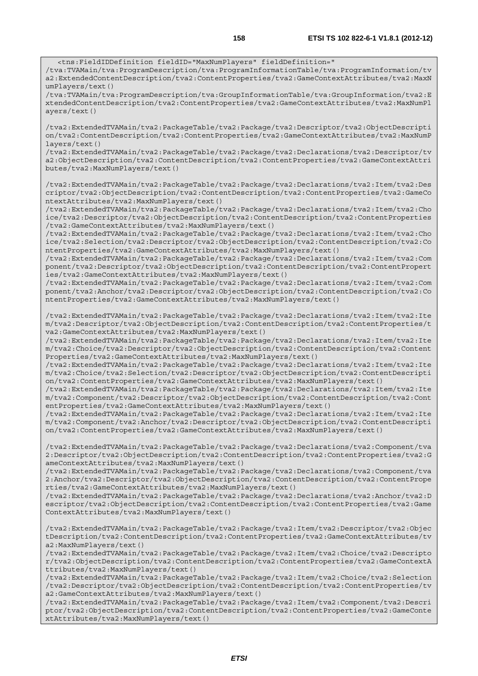<tns:FieldIDDefinition fieldID="MaxNumPlayers" fieldDefinition=" /tva:TVAMain/tva:ProgramDescription/tva:ProgramInformationTable/tva:ProgramInformation/tv a2:ExtendedContentDescription/tva2:ContentProperties/tva2:GameContextAttributes/tva2:MaxN umPlayers/text() /tva:TVAMain/tva:ProgramDescription/tva:GroupInformationTable/tva:GroupInformation/tva2:E

xtendedContentDescription/tva2:ContentProperties/tva2:GameContextAttributes/tva2:MaxNumPl ayers/text()

/tva2:ExtendedTVAMain/tva2:PackageTable/tva2:Package/tva2:Descriptor/tva2:ObjectDescripti on/tva2:ContentDescription/tva2:ContentProperties/tva2:GameContextAttributes/tva2:MaxNumP layers/text()

/tva2:ExtendedTVAMain/tva2:PackageTable/tva2:Package/tva2:Declarations/tva2:Descriptor/tv a2:ObjectDescription/tva2:ContentDescription/tva2:ContentProperties/tva2:GameContextAttri butes/tva2:MaxNumPlayers/text()

/tva2:ExtendedTVAMain/tva2:PackageTable/tva2:Package/tva2:Declarations/tva2:Item/tva2:Des criptor/tva2:ObjectDescription/tva2:ContentDescription/tva2:ContentProperties/tva2:GameCo ntextAttributes/tva2:MaxNumPlayers/text()

/tva2:ExtendedTVAMain/tva2:PackageTable/tva2:Package/tva2:Declarations/tva2:Item/tva2:Cho ice/tva2:Descriptor/tva2:ObjectDescription/tva2:ContentDescription/tva2:ContentProperties /tva2:GameContextAttributes/tva2:MaxNumPlayers/text()

/tva2:ExtendedTVAMain/tva2:PackageTable/tva2:Package/tva2:Declarations/tva2:Item/tva2:Cho ice/tva2:Selection/tva2:Descriptor/tva2:ObjectDescription/tva2:ContentDescription/tva2:Co ntentProperties/tva2:GameContextAttributes/tva2:MaxNumPlayers/text()

/tva2:ExtendedTVAMain/tva2:PackageTable/tva2:Package/tva2:Declarations/tva2:Item/tva2:Com ponent/tva2:Descriptor/tva2:ObjectDescription/tva2:ContentDescription/tva2:ContentPropert ies/tva2:GameContextAttributes/tva2:MaxNumPlayers/text()

/tva2:ExtendedTVAMain/tva2:PackageTable/tva2:Package/tva2:Declarations/tva2:Item/tva2:Com ponent/tva2:Anchor/tva2:Descriptor/tva2:ObjectDescription/tva2:ContentDescription/tva2:Co ntentProperties/tva2:GameContextAttributes/tva2:MaxNumPlayers/text()

/tva2:ExtendedTVAMain/tva2:PackageTable/tva2:Package/tva2:Declarations/tva2:Item/tva2:Ite m/tva2:Descriptor/tva2:ObjectDescription/tva2:ContentDescription/tva2:ContentProperties/t va2:GameContextAttributes/tva2:MaxNumPlayers/text()

/tva2:ExtendedTVAMain/tva2:PackageTable/tva2:Package/tva2:Declarations/tva2:Item/tva2:Ite m/tva2:Choice/tva2:Descriptor/tva2:ObjectDescription/tva2:ContentDescription/tva2:Content Properties/tva2:GameContextAttributes/tva2:MaxNumPlayers/text()

/tva2:ExtendedTVAMain/tva2:PackageTable/tva2:Package/tva2:Declarations/tva2:Item/tva2:Ite m/tva2:Choice/tva2:Selection/tva2:Descriptor/tva2:ObjectDescription/tva2:ContentDescripti on/tva2:ContentProperties/tva2:GameContextAttributes/tva2:MaxNumPlayers/text()

/tva2:ExtendedTVAMain/tva2:PackageTable/tva2:Package/tva2:Declarations/tva2:Item/tva2:Ite m/tva2:Component/tva2:Descriptor/tva2:ObjectDescription/tva2:ContentDescription/tva2:Cont entProperties/tva2:GameContextAttributes/tva2:MaxNumPlayers/text()

/tva2:ExtendedTVAMain/tva2:PackageTable/tva2:Package/tva2:Declarations/tva2:Item/tva2:Ite m/tva2:Component/tva2:Anchor/tva2:Descriptor/tva2:ObjectDescription/tva2:ContentDescripti on/tva2:ContentProperties/tva2:GameContextAttributes/tva2:MaxNumPlayers/text()

/tva2:ExtendedTVAMain/tva2:PackageTable/tva2:Package/tva2:Declarations/tva2:Component/tva 2:Descriptor/tva2:ObjectDescription/tva2:ContentDescription/tva2:ContentProperties/tva2:G ameContextAttributes/tva2:MaxNumPlayers/text()

/tva2:ExtendedTVAMain/tva2:PackageTable/tva2:Package/tva2:Declarations/tva2:Component/tva 2:Anchor/tva2:Descriptor/tva2:ObjectDescription/tva2:ContentDescription/tva2:ContentPrope rties/tva2:GameContextAttributes/tva2:MaxNumPlayers/text()

/tva2:ExtendedTVAMain/tva2:PackageTable/tva2:Package/tva2:Declarations/tva2:Anchor/tva2:D escriptor/tva2:ObjectDescription/tva2:ContentDescription/tva2:ContentProperties/tva2:Game ContextAttributes/tva2:MaxNumPlayers/text()

/tva2:ExtendedTVAMain/tva2:PackageTable/tva2:Package/tva2:Item/tva2:Descriptor/tva2:Objec tDescription/tva2:ContentDescription/tva2:ContentProperties/tva2:GameContextAttributes/tv a2:MaxNumPlayers/text()

/tva2:ExtendedTVAMain/tva2:PackageTable/tva2:Package/tva2:Item/tva2:Choice/tva2:Descripto r/tva2:ObjectDescription/tva2:ContentDescription/tva2:ContentProperties/tva2:GameContextA ttributes/tva2:MaxNumPlayers/text()

/tva2:ExtendedTVAMain/tva2:PackageTable/tva2:Package/tva2:Item/tva2:Choice/tva2:Selection /tva2:Descriptor/tva2:ObjectDescription/tva2:ContentDescription/tva2:ContentProperties/tv a2:GameContextAttributes/tva2:MaxNumPlayers/text()

/tva2:ExtendedTVAMain/tva2:PackageTable/tva2:Package/tva2:Item/tva2:Component/tva2:Descri ptor/tva2:ObjectDescription/tva2:ContentDescription/tva2:ContentProperties/tva2:GameConte xtAttributes/tva2:MaxNumPlayers/text()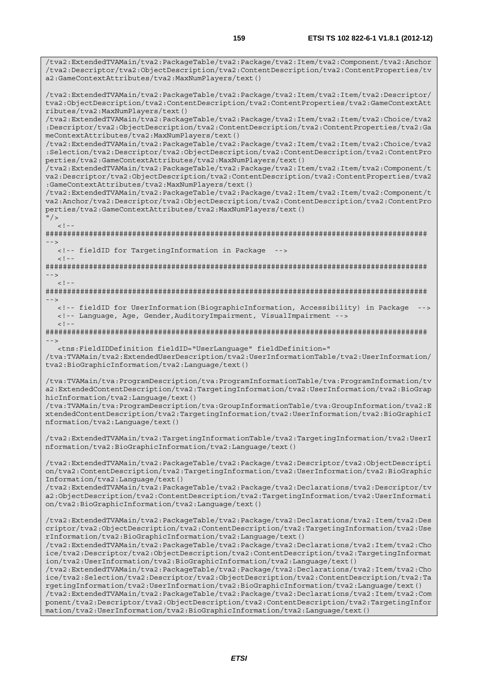/tva2:ExtendedTVAMain/tva2:PackageTable/tva2:Package/tva2:Item/tva2:Component/tva2:Anchor /tva2:Descriptor/tva2:ObjectDescription/tva2:ContentDescription/tva2:ContentProperties/tv a2:GameContextAttributes/tva2:MaxNumPlayers/text() /tva2:ExtendedTVAMain/tva2:PackageTable/tva2:Package/tva2:Item/tva2:Item/tva2:Descriptor/ tva2:ObjectDescription/tva2:ContentDescription/tva2:ContentProperties/tva2:GameContextAtt ributes/tva2:MaxNumPlayers/text() /tva2:ExtendedTVAMain/tva2:PackageTable/tva2:Package/tva2:Item/tva2:Item/tva2:Choice/tva2 :Descriptor/tva2:ObjectDescription/tva2:ContentDescription/tva2:ContentProperties/tva2:Ga meContextAttributes/tva2:MaxNumPlayers/text() /tva2:ExtendedTVAMain/tva2:PackageTable/tva2:Package/tva2:Item/tva2:Item/tva2:Choice/tva2 :Selection/tva2:Descriptor/tva2:ObjectDescription/tva2:ContentDescription/tva2:ContentPro perties/tva2:GameContextAttributes/tva2:MaxNumPlayers/text() /tva2:ExtendedTVAMain/tva2:PackageTable/tva2:Package/tva2:Item/tva2:Item/tva2:Component/t va2:Descriptor/tva2:ObjectDescription/tva2:ContentDescription/tva2:ContentProperties/tva2 :GameContextAttributes/tva2:MaxNumPlayers/text() /tva2:ExtendedTVAMain/tva2:PackageTable/tva2:Package/tva2:Item/tva2:Item/tva2:Component/t va2:Anchor/tva2:Descriptor/tva2:ObjectDescription/tva2:ContentDescription/tva2:ContentPro perties/tva2:GameContextAttributes/tva2:MaxNumPlayers/text()  $"$  />  $\lt$  ! -######################################################################################## --> <!-- fieldID for TargetingInformation in Package -->  $\lt$  ! - -######################################################################################## -->  $<$ ! --######################################################################################## --> <!-- fieldID for UserInformation(BiographicInformation, Accessibility) in Package --> <!-- Language, Age, Gender,AuditoryImpairment, VisualImpairment -->  $<$ ! - -######################################################################################## --> <tns:FieldIDDefinition fieldID="UserLanguage" fieldDefinition=" /tva:TVAMain/tva2:ExtendedUserDescription/tva2:UserInformationTable/tva2:UserInformation/ tva2:BioGraphicInformation/tva2:Language/text() /tva:TVAMain/tva:ProgramDescription/tva:ProgramInformationTable/tva:ProgramInformation/tv a2:ExtendedContentDescription/tva2:TargetingInformation/tva2:UserInformation/tva2:BioGrap hicInformation/tva2:Language/text() /tva:TVAMain/tva:ProgramDescription/tva:GroupInformationTable/tva:GroupInformation/tva2:E xtendedContentDescription/tva2:TargetingInformation/tva2:UserInformation/tva2:BioGraphicI nformation/tva2:Language/text() /tva2:ExtendedTVAMain/tva2:TargetingInformationTable/tva2:TargetingInformation/tva2:UserI nformation/tva2:BioGraphicInformation/tva2:Language/text() /tva2:ExtendedTVAMain/tva2:PackageTable/tva2:Package/tva2:Descriptor/tva2:ObjectDescripti on/tva2:ContentDescription/tva2:TargetingInformation/tva2:UserInformation/tva2:BioGraphic Information/tva2:Language/text() /tva2:ExtendedTVAMain/tva2:PackageTable/tva2:Package/tva2:Declarations/tva2:Descriptor/tv a2:ObjectDescription/tva2:ContentDescription/tva2:TargetingInformation/tva2:UserInformati on/tva2:BioGraphicInformation/tva2:Language/text() /tva2:ExtendedTVAMain/tva2:PackageTable/tva2:Package/tva2:Declarations/tva2:Item/tva2:Des criptor/tva2:ObjectDescription/tva2:ContentDescription/tva2:TargetingInformation/tva2:Use rInformation/tva2:BioGraphicInformation/tva2:Language/text() /tva2:ExtendedTVAMain/tva2:PackageTable/tva2:Package/tva2:Declarations/tva2:Item/tva2:Cho ice/tva2:Descriptor/tva2:ObjectDescription/tva2:ContentDescription/tva2:TargetingInformat ion/tva2:UserInformation/tva2:BioGraphicInformation/tva2:Language/text() /tva2:ExtendedTVAMain/tva2:PackageTable/tva2:Package/tva2:Declarations/tva2:Item/tva2:Cho ice/tva2:Selection/tva2:Descriptor/tva2:ObjectDescription/tva2:ContentDescription/tva2:Ta rgetingInformation/tva2:UserInformation/tva2:BioGraphicInformation/tva2:Language/text() /tva2:ExtendedTVAMain/tva2:PackageTable/tva2:Package/tva2:Declarations/tva2:Item/tva2:Com ponent/tva2:Descriptor/tva2:ObjectDescription/tva2:ContentDescription/tva2:TargetingInfor mation/tva2:UserInformation/tva2:BioGraphicInformation/tva2:Language/text()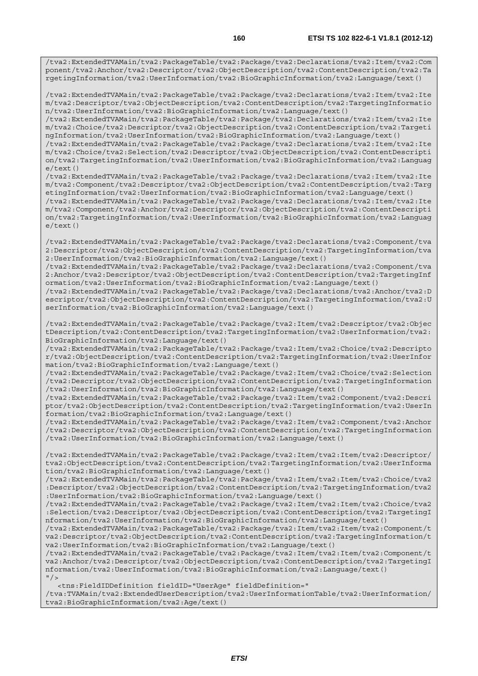/tva2:ExtendedTVAMain/tva2:PackageTable/tva2:Package/tva2:Declarations/tva2:Item/tva2:Com ponent/tva2:Anchor/tva2:Descriptor/tva2:ObjectDescription/tva2:ContentDescription/tva2:Ta rgetingInformation/tva2:UserInformation/tva2:BioGraphicInformation/tva2:Language/text()

/tva2:ExtendedTVAMain/tva2:PackageTable/tva2:Package/tva2:Declarations/tva2:Item/tva2:Ite m/tva2:Descriptor/tva2:ObjectDescription/tva2:ContentDescription/tva2:TargetingInformatio n/tva2:UserInformation/tva2:BioGraphicInformation/tva2:Language/text()

/tva2:ExtendedTVAMain/tva2:PackageTable/tva2:Package/tva2:Declarations/tva2:Item/tva2:Ite m/tva2:Choice/tva2:Descriptor/tva2:ObjectDescription/tva2:ContentDescription/tva2:Targeti ngInformation/tva2:UserInformation/tva2:BioGraphicInformation/tva2:Language/text()

/tva2:ExtendedTVAMain/tva2:PackageTable/tva2:Package/tva2:Declarations/tva2:Item/tva2:Ite m/tva2:Choice/tva2:Selection/tva2:Descriptor/tva2:ObjectDescription/tva2:ContentDescripti on/tva2:TargetingInformation/tva2:UserInformation/tva2:BioGraphicInformation/tva2:Languag e/text()

/tva2:ExtendedTVAMain/tva2:PackageTable/tva2:Package/tva2:Declarations/tva2:Item/tva2:Ite m/tva2:Component/tva2:Descriptor/tva2:ObjectDescription/tva2:ContentDescription/tva2:Targ etingInformation/tva2:UserInformation/tva2:BioGraphicInformation/tva2:Language/text()

/tva2:ExtendedTVAMain/tva2:PackageTable/tva2:Package/tva2:Declarations/tva2:Item/tva2:Ite m/tva2:Component/tva2:Anchor/tva2:Descriptor/tva2:ObjectDescription/tva2:ContentDescripti on/tva2:TargetingInformation/tva2:UserInformation/tva2:BioGraphicInformation/tva2:Languag e/text()

/tva2:ExtendedTVAMain/tva2:PackageTable/tva2:Package/tva2:Declarations/tva2:Component/tva 2:Descriptor/tva2:ObjectDescription/tva2:ContentDescription/tva2:TargetingInformation/tva 2:UserInformation/tva2:BioGraphicInformation/tva2:Language/text()

/tva2:ExtendedTVAMain/tva2:PackageTable/tva2:Package/tva2:Declarations/tva2:Component/tva 2:Anchor/tva2:Descriptor/tva2:ObjectDescription/tva2:ContentDescription/tva2:TargetingInf ormation/tva2:UserInformation/tva2:BioGraphicInformation/tva2:Language/text()

/tva2:ExtendedTVAMain/tva2:PackageTable/tva2:Package/tva2:Declarations/tva2:Anchor/tva2:D escriptor/tva2:ObjectDescription/tva2:ContentDescription/tva2:TargetingInformation/tva2:U serInformation/tva2:BioGraphicInformation/tva2:Language/text()

/tva2:ExtendedTVAMain/tva2:PackageTable/tva2:Package/tva2:Item/tva2:Descriptor/tva2:Objec tDescription/tva2:ContentDescription/tva2:TargetingInformation/tva2:UserInformation/tva2: BioGraphicInformation/tva2:Language/text()

/tva2:ExtendedTVAMain/tva2:PackageTable/tva2:Package/tva2:Item/tva2:Choice/tva2:Descripto r/tva2:ObjectDescription/tva2:ContentDescription/tva2:TargetingInformation/tva2:UserInfor mation/tva2:BioGraphicInformation/tva2:Language/text()

/tva2:ExtendedTVAMain/tva2:PackageTable/tva2:Package/tva2:Item/tva2:Choice/tva2:Selection /tva2:Descriptor/tva2:ObjectDescription/tva2:ContentDescription/tva2:TargetingInformation /tva2:UserInformation/tva2:BioGraphicInformation/tva2:Language/text()

/tva2:ExtendedTVAMain/tva2:PackageTable/tva2:Package/tva2:Item/tva2:Component/tva2:Descri ptor/tva2:ObjectDescription/tva2:ContentDescription/tva2:TargetingInformation/tva2:UserIn formation/tva2:BioGraphicInformation/tva2:Language/text()

/tva2:ExtendedTVAMain/tva2:PackageTable/tva2:Package/tva2:Item/tva2:Component/tva2:Anchor /tva2:Descriptor/tva2:ObjectDescription/tva2:ContentDescription/tva2:TargetingInformation /tva2:UserInformation/tva2:BioGraphicInformation/tva2:Language/text()

/tva2:ExtendedTVAMain/tva2:PackageTable/tva2:Package/tva2:Item/tva2:Item/tva2:Descriptor/ tva2:ObjectDescription/tva2:ContentDescription/tva2:TargetingInformation/tva2:UserInforma tion/tva2:BioGraphicInformation/tva2:Language/text()

/tva2:ExtendedTVAMain/tva2:PackageTable/tva2:Package/tva2:Item/tva2:Item/tva2:Choice/tva2 :Descriptor/tva2:ObjectDescription/tva2:ContentDescription/tva2:TargetingInformation/tva2 :UserInformation/tva2:BioGraphicInformation/tva2:Language/text()

/tva2:ExtendedTVAMain/tva2:PackageTable/tva2:Package/tva2:Item/tva2:Item/tva2:Choice/tva2 :Selection/tva2:Descriptor/tva2:ObjectDescription/tva2:ContentDescription/tva2:TargetingI nformation/tva2:UserInformation/tva2:BioGraphicInformation/tva2:Language/text()

/tva2:ExtendedTVAMain/tva2:PackageTable/tva2:Package/tva2:Item/tva2:Item/tva2:Component/t va2:Descriptor/tva2:ObjectDescription/tva2:ContentDescription/tva2:TargetingInformation/t va2:UserInformation/tva2:BioGraphicInformation/tva2:Language/text()

/tva2:ExtendedTVAMain/tva2:PackageTable/tva2:Package/tva2:Item/tva2:Item/tva2:Component/t va2:Anchor/tva2:Descriptor/tva2:ObjectDescription/tva2:ContentDescription/tva2:TargetingI nformation/tva2:UserInformation/tva2:BioGraphicInformation/tva2:Language/text()  $''/$ 

<tns:FieldIDDefinition fieldID="UserAge" fieldDefinition="

/tva:TVAMain/tva2:ExtendedUserDescription/tva2:UserInformationTable/tva2:UserInformation/ tva2:BioGraphicInformation/tva2:Age/text()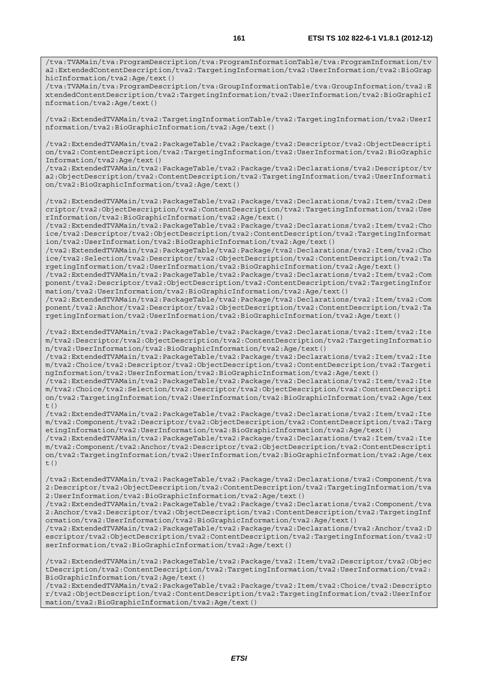/tva:TVAMain/tva:ProgramDescription/tva:ProgramInformationTable/tva:ProgramInformation/tv a2:ExtendedContentDescription/tva2:TargetingInformation/tva2:UserInformation/tva2:BioGrap hicInformation/tva2:Age/text()

/tva:TVAMain/tva:ProgramDescription/tva:GroupInformationTable/tva:GroupInformation/tva2:E xtendedContentDescription/tva2:TargetingInformation/tva2:UserInformation/tva2:BioGraphicI nformation/tva2:Age/text()

/tva2:ExtendedTVAMain/tva2:TargetingInformationTable/tva2:TargetingInformation/tva2:UserI nformation/tva2:BioGraphicInformation/tva2:Age/text()

/tva2:ExtendedTVAMain/tva2:PackageTable/tva2:Package/tva2:Descriptor/tva2:ObjectDescripti on/tva2:ContentDescription/tva2:TargetingInformation/tva2:UserInformation/tva2:BioGraphic Information/tva2:Age/text()

/tva2:ExtendedTVAMain/tva2:PackageTable/tva2:Package/tva2:Declarations/tva2:Descriptor/tv a2:ObjectDescription/tva2:ContentDescription/tva2:TargetingInformation/tva2:UserInformati on/tva2:BioGraphicInformation/tva2:Age/text()

/tva2:ExtendedTVAMain/tva2:PackageTable/tva2:Package/tva2:Declarations/tva2:Item/tva2:Des criptor/tva2:ObjectDescription/tva2:ContentDescription/tva2:TargetingInformation/tva2:Use rInformation/tva2:BioGraphicInformation/tva2:Age/text()

/tva2:ExtendedTVAMain/tva2:PackageTable/tva2:Package/tva2:Declarations/tva2:Item/tva2:Cho ice/tva2:Descriptor/tva2:ObjectDescription/tva2:ContentDescription/tva2:TargetingInformat ion/tva2:UserInformation/tva2:BioGraphicInformation/tva2:Age/text()

/tva2:ExtendedTVAMain/tva2:PackageTable/tva2:Package/tva2:Declarations/tva2:Item/tva2:Cho ice/tva2:Selection/tva2:Descriptor/tva2:ObjectDescription/tva2:ContentDescription/tva2:Ta rgetingInformation/tva2:UserInformation/tva2:BioGraphicInformation/tva2:Age/text()

/tva2:ExtendedTVAMain/tva2:PackageTable/tva2:Package/tva2:Declarations/tva2:Item/tva2:Com ponent/tva2:Descriptor/tva2:ObjectDescription/tva2:ContentDescription/tva2:TargetingInfor mation/tva2:UserInformation/tva2:BioGraphicInformation/tva2:Age/text()

/tva2:ExtendedTVAMain/tva2:PackageTable/tva2:Package/tva2:Declarations/tva2:Item/tva2:Com ponent/tva2:Anchor/tva2:Descriptor/tva2:ObjectDescription/tva2:ContentDescription/tva2:Ta rgetingInformation/tva2:UserInformation/tva2:BioGraphicInformation/tva2:Age/text()

/tva2:ExtendedTVAMain/tva2:PackageTable/tva2:Package/tva2:Declarations/tva2:Item/tva2:Ite m/tva2:Descriptor/tva2:ObjectDescription/tva2:ContentDescription/tva2:TargetingInformatio n/tva2:UserInformation/tva2:BioGraphicInformation/tva2:Age/text()

/tva2:ExtendedTVAMain/tva2:PackageTable/tva2:Package/tva2:Declarations/tva2:Item/tva2:Ite m/tva2:Choice/tva2:Descriptor/tva2:ObjectDescription/tva2:ContentDescription/tva2:Targeti ngInformation/tva2:UserInformation/tva2:BioGraphicInformation/tva2:Age/text()

/tva2:ExtendedTVAMain/tva2:PackageTable/tva2:Package/tva2:Declarations/tva2:Item/tva2:Ite m/tva2:Choice/tva2:Selection/tva2:Descriptor/tva2:ObjectDescription/tva2:ContentDescripti on/tva2:TargetingInformation/tva2:UserInformation/tva2:BioGraphicInformation/tva2:Age/tex t()

/tva2:ExtendedTVAMain/tva2:PackageTable/tva2:Package/tva2:Declarations/tva2:Item/tva2:Ite m/tva2:Component/tva2:Descriptor/tva2:ObjectDescription/tva2:ContentDescription/tva2:Targ etingInformation/tva2:UserInformation/tva2:BioGraphicInformation/tva2:Age/text()

/tva2:ExtendedTVAMain/tva2:PackageTable/tva2:Package/tva2:Declarations/tva2:Item/tva2:Ite m/tva2:Component/tva2:Anchor/tva2:Descriptor/tva2:ObjectDescription/tva2:ContentDescripti on/tva2:TargetingInformation/tva2:UserInformation/tva2:BioGraphicInformation/tva2:Age/tex  $t($ )

/tva2:ExtendedTVAMain/tva2:PackageTable/tva2:Package/tva2:Declarations/tva2:Component/tva 2:Descriptor/tva2:ObjectDescription/tva2:ContentDescription/tva2:TargetingInformation/tva 2:UserInformation/tva2:BioGraphicInformation/tva2:Age/text()

/tva2:ExtendedTVAMain/tva2:PackageTable/tva2:Package/tva2:Declarations/tva2:Component/tva 2:Anchor/tva2:Descriptor/tva2:ObjectDescription/tva2:ContentDescription/tva2:TargetingInf ormation/tva2:UserInformation/tva2:BioGraphicInformation/tva2:Age/text()

/tva2:ExtendedTVAMain/tva2:PackageTable/tva2:Package/tva2:Declarations/tva2:Anchor/tva2:D escriptor/tva2:ObjectDescription/tva2:ContentDescription/tva2:TargetingInformation/tva2:U serInformation/tva2:BioGraphicInformation/tva2:Age/text()

/tva2:ExtendedTVAMain/tva2:PackageTable/tva2:Package/tva2:Item/tva2:Descriptor/tva2:Objec tDescription/tva2:ContentDescription/tva2:TargetingInformation/tva2:UserInformation/tva2: BioGraphicInformation/tva2:Age/text()

/tva2:ExtendedTVAMain/tva2:PackageTable/tva2:Package/tva2:Item/tva2:Choice/tva2:Descripto r/tva2:ObjectDescription/tva2:ContentDescription/tva2:TargetingInformation/tva2:UserInfor mation/tva2:BioGraphicInformation/tva2:Age/text()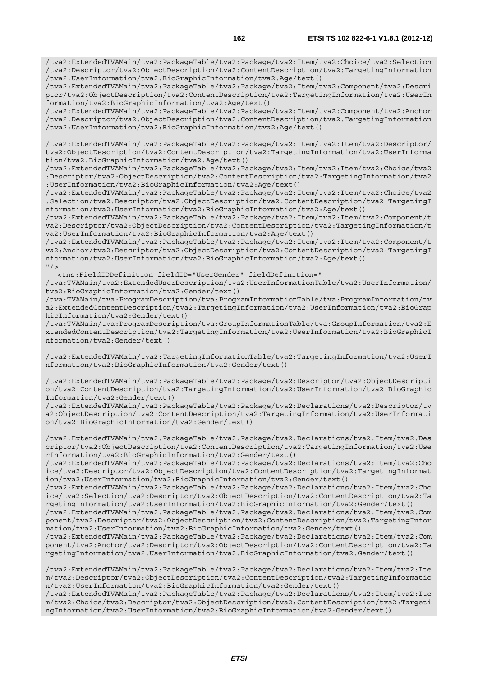/tva2:ExtendedTVAMain/tva2:PackageTable/tva2:Package/tva2:Item/tva2:Choice/tva2:Selection /tva2:Descriptor/tva2:ObjectDescription/tva2:ContentDescription/tva2:TargetingInformation /tva2:UserInformation/tva2:BioGraphicInformation/tva2:Age/text()

/tva2:ExtendedTVAMain/tva2:PackageTable/tva2:Package/tva2:Item/tva2:Component/tva2:Descri ptor/tva2:ObjectDescription/tva2:ContentDescription/tva2:TargetingInformation/tva2:UserIn formation/tva2:BioGraphicInformation/tva2:Age/text()

/tva2:ExtendedTVAMain/tva2:PackageTable/tva2:Package/tva2:Item/tva2:Component/tva2:Anchor /tva2:Descriptor/tva2:ObjectDescription/tva2:ContentDescription/tva2:TargetingInformation /tva2:UserInformation/tva2:BioGraphicInformation/tva2:Age/text()

/tva2:ExtendedTVAMain/tva2:PackageTable/tva2:Package/tva2:Item/tva2:Item/tva2:Descriptor/ tva2:ObjectDescription/tva2:ContentDescription/tva2:TargetingInformation/tva2:UserInforma tion/tva2:BioGraphicInformation/tva2:Age/text()

/tva2:ExtendedTVAMain/tva2:PackageTable/tva2:Package/tva2:Item/tva2:Item/tva2:Choice/tva2 :Descriptor/tva2:ObjectDescription/tva2:ContentDescription/tva2:TargetingInformation/tva2 :UserInformation/tva2:BioGraphicInformation/tva2:Age/text()

/tva2:ExtendedTVAMain/tva2:PackageTable/tva2:Package/tva2:Item/tva2:Item/tva2:Choice/tva2 :Selection/tva2:Descriptor/tva2:ObjectDescription/tva2:ContentDescription/tva2:TargetingI nformation/tva2:UserInformation/tva2:BioGraphicInformation/tva2:Age/text()

/tva2:ExtendedTVAMain/tva2:PackageTable/tva2:Package/tva2:Item/tva2:Item/tva2:Component/t va2:Descriptor/tva2:ObjectDescription/tva2:ContentDescription/tva2:TargetingInformation/t va2:UserInformation/tva2:BioGraphicInformation/tva2:Age/text()

/tva2:ExtendedTVAMain/tva2:PackageTable/tva2:Package/tva2:Item/tva2:Item/tva2:Component/t va2:Anchor/tva2:Descriptor/tva2:ObjectDescription/tva2:ContentDescription/tva2:TargetingI nformation/tva2:UserInformation/tva2:BioGraphicInformation/tva2:Age/text()  $''$  />

<tns:FieldIDDefinition fieldID="UserGender" fieldDefinition="

/tva:TVAMain/tva2:ExtendedUserDescription/tva2:UserInformationTable/tva2:UserInformation/ tva2:BioGraphicInformation/tva2:Gender/text()

/tva:TVAMain/tva:ProgramDescription/tva:ProgramInformationTable/tva:ProgramInformation/tv a2:ExtendedContentDescription/tva2:TargetingInformation/tva2:UserInformation/tva2:BioGrap hicInformation/tva2:Gender/text()

/tva:TVAMain/tva:ProgramDescription/tva:GroupInformationTable/tva:GroupInformation/tva2:E xtendedContentDescription/tva2:TargetingInformation/tva2:UserInformation/tva2:BioGraphicI nformation/tva2:Gender/text()

/tva2:ExtendedTVAMain/tva2:TargetingInformationTable/tva2:TargetingInformation/tva2:UserI nformation/tva2:BioGraphicInformation/tva2:Gender/text()

/tva2:ExtendedTVAMain/tva2:PackageTable/tva2:Package/tva2:Descriptor/tva2:ObjectDescripti on/tva2:ContentDescription/tva2:TargetingInformation/tva2:UserInformation/tva2:BioGraphic Information/tva2:Gender/text()

/tva2:ExtendedTVAMain/tva2:PackageTable/tva2:Package/tva2:Declarations/tva2:Descriptor/tv a2:ObjectDescription/tva2:ContentDescription/tva2:TargetingInformation/tva2:UserInformati on/tva2:BioGraphicInformation/tva2:Gender/text()

/tva2:ExtendedTVAMain/tva2:PackageTable/tva2:Package/tva2:Declarations/tva2:Item/tva2:Des criptor/tva2:ObjectDescription/tva2:ContentDescription/tva2:TargetingInformation/tva2:Use rInformation/tva2:BioGraphicInformation/tva2:Gender/text()

/tva2:ExtendedTVAMain/tva2:PackageTable/tva2:Package/tva2:Declarations/tva2:Item/tva2:Cho ice/tva2:Descriptor/tva2:ObjectDescription/tva2:ContentDescription/tva2:TargetingInformat ion/tva2:UserInformation/tva2:BioGraphicInformation/tva2:Gender/text()

/tva2:ExtendedTVAMain/tva2:PackageTable/tva2:Package/tva2:Declarations/tva2:Item/tva2:Cho ice/tva2:Selection/tva2:Descriptor/tva2:ObjectDescription/tva2:ContentDescription/tva2:Ta rgetingInformation/tva2:UserInformation/tva2:BioGraphicInformation/tva2:Gender/text()

/tva2:ExtendedTVAMain/tva2:PackageTable/tva2:Package/tva2:Declarations/tva2:Item/tva2:Com ponent/tva2:Descriptor/tva2:ObjectDescription/tva2:ContentDescription/tva2:TargetingInfor mation/tva2:UserInformation/tva2:BioGraphicInformation/tva2:Gender/text()

/tva2:ExtendedTVAMain/tva2:PackageTable/tva2:Package/tva2:Declarations/tva2:Item/tva2:Com ponent/tva2:Anchor/tva2:Descriptor/tva2:ObjectDescription/tva2:ContentDescription/tva2:Ta rgetingInformation/tva2:UserInformation/tva2:BioGraphicInformation/tva2:Gender/text()

/tva2:ExtendedTVAMain/tva2:PackageTable/tva2:Package/tva2:Declarations/tva2:Item/tva2:Ite m/tva2:Descriptor/tva2:ObjectDescription/tva2:ContentDescription/tva2:TargetingInformatio n/tva2:UserInformation/tva2:BioGraphicInformation/tva2:Gender/text() /tva2:ExtendedTVAMain/tva2:PackageTable/tva2:Package/tva2:Declarations/tva2:Item/tva2:Ite

m/tva2:Choice/tva2:Descriptor/tva2:ObjectDescription/tva2:ContentDescription/tva2:Targeti ngInformation/tva2:UserInformation/tva2:BioGraphicInformation/tva2:Gender/text()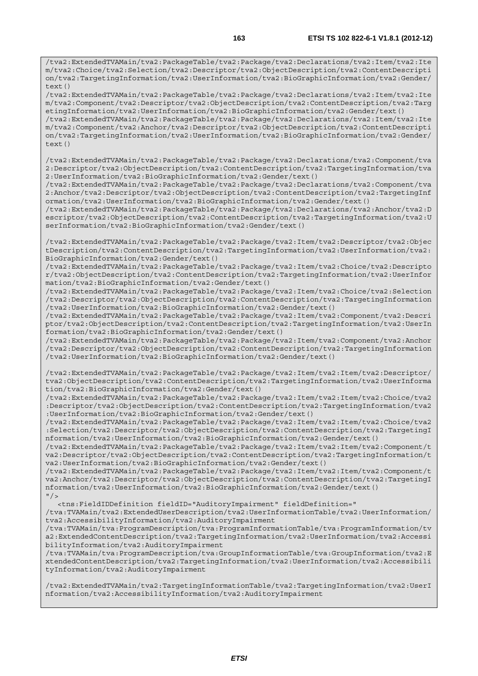/tva2:ExtendedTVAMain/tva2:PackageTable/tva2:Package/tva2:Declarations/tva2:Item/tva2:Ite m/tva2:Component/tva2:Descriptor/tva2:ObjectDescription/tva2:ContentDescription/tva2:Targ etingInformation/tva2:UserInformation/tva2:BioGraphicInformation/tva2:Gender/text()

 $t \in x + (x)$ 

/tva2:ExtendedTVAMain/tva2:PackageTable/tva2:Package/tva2:Declarations/tva2:Item/tva2:Ite m/tva2:Component/tva2:Anchor/tva2:Descriptor/tva2:ObjectDescription/tva2:ContentDescripti on/tva2:TargetingInformation/tva2:UserInformation/tva2:BioGraphicInformation/tva2:Gender/ text()

/tva2:ExtendedTVAMain/tva2:PackageTable/tva2:Package/tva2:Declarations/tva2:Component/tva 2:Descriptor/tva2:ObjectDescription/tva2:ContentDescription/tva2:TargetingInformation/tva 2:UserInformation/tva2:BioGraphicInformation/tva2:Gender/text()

/tva2:ExtendedTVAMain/tva2:PackageTable/tva2:Package/tva2:Declarations/tva2:Component/tva 2:Anchor/tva2:Descriptor/tva2:ObjectDescription/tva2:ContentDescription/tva2:TargetingInf ormation/tva2:UserInformation/tva2:BioGraphicInformation/tva2:Gender/text()

/tva2:ExtendedTVAMain/tva2:PackageTable/tva2:Package/tva2:Declarations/tva2:Anchor/tva2:D escriptor/tva2:ObjectDescription/tva2:ContentDescription/tva2:TargetingInformation/tva2:U serInformation/tva2:BioGraphicInformation/tva2:Gender/text()

/tva2:ExtendedTVAMain/tva2:PackageTable/tva2:Package/tva2:Item/tva2:Descriptor/tva2:Objec tDescription/tva2:ContentDescription/tva2:TargetingInformation/tva2:UserInformation/tva2: BioGraphicInformation/tva2:Gender/text()

/tva2:ExtendedTVAMain/tva2:PackageTable/tva2:Package/tva2:Item/tva2:Choice/tva2:Descripto r/tva2:ObjectDescription/tva2:ContentDescription/tva2:TargetingInformation/tva2:UserInfor mation/tva2:BioGraphicInformation/tva2:Gender/text()

/tva2:ExtendedTVAMain/tva2:PackageTable/tva2:Package/tva2:Item/tva2:Choice/tva2:Selection /tva2:Descriptor/tva2:ObjectDescription/tva2:ContentDescription/tva2:TargetingInformation /tva2:UserInformation/tva2:BioGraphicInformation/tva2:Gender/text()

/tva2:ExtendedTVAMain/tva2:PackageTable/tva2:Package/tva2:Item/tva2:Component/tva2:Descri ptor/tva2:ObjectDescription/tva2:ContentDescription/tva2:TargetingInformation/tva2:UserIn formation/tva2:BioGraphicInformation/tva2:Gender/text()

/tva2:ExtendedTVAMain/tva2:PackageTable/tva2:Package/tva2:Item/tva2:Component/tva2:Anchor /tva2:Descriptor/tva2:ObjectDescription/tva2:ContentDescription/tva2:TargetingInformation /tva2:UserInformation/tva2:BioGraphicInformation/tva2:Gender/text()

/tva2:ExtendedTVAMain/tva2:PackageTable/tva2:Package/tva2:Item/tva2:Item/tva2:Descriptor/ tva2:ObjectDescription/tva2:ContentDescription/tva2:TargetingInformation/tva2:UserInforma tion/tva2:BioGraphicInformation/tva2:Gender/text()

/tva2:ExtendedTVAMain/tva2:PackageTable/tva2:Package/tva2:Item/tva2:Item/tva2:Choice/tva2 :Descriptor/tva2:ObjectDescription/tva2:ContentDescription/tva2:TargetingInformation/tva2 :UserInformation/tva2:BioGraphicInformation/tva2:Gender/text()

/tva2:ExtendedTVAMain/tva2:PackageTable/tva2:Package/tva2:Item/tva2:Item/tva2:Choice/tva2 :Selection/tva2:Descriptor/tva2:ObjectDescription/tva2:ContentDescription/tva2:TargetingI nformation/tva2:UserInformation/tva2:BioGraphicInformation/tva2:Gender/text()

/tva2:ExtendedTVAMain/tva2:PackageTable/tva2:Package/tva2:Item/tva2:Item/tva2:Component/t va2:Descriptor/tva2:ObjectDescription/tva2:ContentDescription/tva2:TargetingInformation/t va2:UserInformation/tva2:BioGraphicInformation/tva2:Gender/text()

/tva2:ExtendedTVAMain/tva2:PackageTable/tva2:Package/tva2:Item/tva2:Item/tva2:Component/t va2:Anchor/tva2:Descriptor/tva2:ObjectDescription/tva2:ContentDescription/tva2:TargetingI nformation/tva2:UserInformation/tva2:BioGraphicInformation/tva2:Gender/text()  $''/$ 

<tns:FieldIDDefinition fieldID="AuditoryImpairment" fieldDefinition="

/tva:TVAMain/tva2:ExtendedUserDescription/tva2:UserInformationTable/tva2:UserInformation/ tva2:AccessibilityInformation/tva2:AuditoryImpairment

/tva:TVAMain/tva:ProgramDescription/tva:ProgramInformationTable/tva:ProgramInformation/tv a2:ExtendedContentDescription/tva2:TargetingInformation/tva2:UserInformation/tva2:Accessi bilityInformation/tva2:AuditoryImpairment

/tva:TVAMain/tva:ProgramDescription/tva:GroupInformationTable/tva:GroupInformation/tva2:E xtendedContentDescription/tva2:TargetingInformation/tva2:UserInformation/tva2:Accessibili tyInformation/tva2:AuditoryImpairment

/tva2:ExtendedTVAMain/tva2:TargetingInformationTable/tva2:TargetingInformation/tva2:UserI nformation/tva2:AccessibilityInformation/tva2:AuditoryImpairment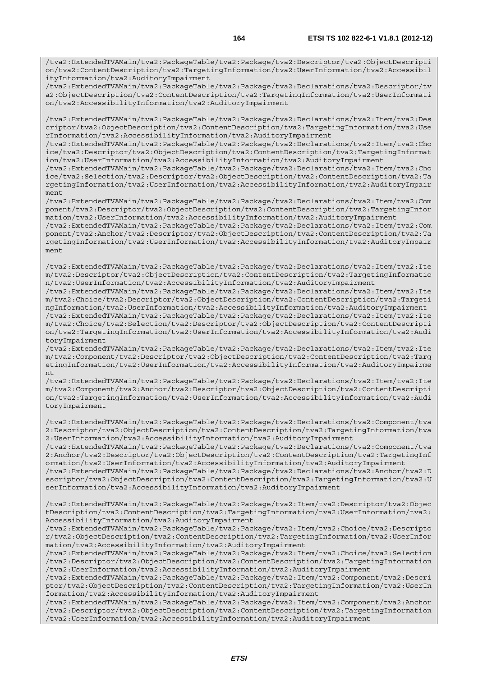/tva2:ExtendedTVAMain/tva2:PackageTable/tva2:Package/tva2:Declarations/tva2:Descriptor/tv a2:ObjectDescription/tva2:ContentDescription/tva2:TargetingInformation/tva2:UserInformati on/tva2:AccessibilityInformation/tva2:AuditoryImpairment

/tva2:ExtendedTVAMain/tva2:PackageTable/tva2:Package/tva2:Declarations/tva2:Item/tva2:Des criptor/tva2:ObjectDescription/tva2:ContentDescription/tva2:TargetingInformation/tva2:Use rInformation/tva2:AccessibilityInformation/tva2:AuditoryImpairment

/tva2:ExtendedTVAMain/tva2:PackageTable/tva2:Package/tva2:Declarations/tva2:Item/tva2:Cho ice/tva2:Descriptor/tva2:ObjectDescription/tva2:ContentDescription/tva2:TargetingInformat ion/tva2:UserInformation/tva2:AccessibilityInformation/tva2:AuditoryImpairment

/tva2:ExtendedTVAMain/tva2:PackageTable/tva2:Package/tva2:Declarations/tva2:Item/tva2:Cho ice/tva2:Selection/tva2:Descriptor/tva2:ObjectDescription/tva2:ContentDescription/tva2:Ta rgetingInformation/tva2:UserInformation/tva2:AccessibilityInformation/tva2:AuditoryImpair ment

/tva2:ExtendedTVAMain/tva2:PackageTable/tva2:Package/tva2:Declarations/tva2:Item/tva2:Com ponent/tva2:Descriptor/tva2:ObjectDescription/tva2:ContentDescription/tva2:TargetingInfor mation/tva2:UserInformation/tva2:AccessibilityInformation/tva2:AuditoryImpairment

/tva2:ExtendedTVAMain/tva2:PackageTable/tva2:Package/tva2:Declarations/tva2:Item/tva2:Com ponent/tva2:Anchor/tva2:Descriptor/tva2:ObjectDescription/tva2:ContentDescription/tva2:Ta rgetingInformation/tva2:UserInformation/tva2:AccessibilityInformation/tva2:AuditoryImpair ment

/tva2:ExtendedTVAMain/tva2:PackageTable/tva2:Package/tva2:Declarations/tva2:Item/tva2:Ite m/tva2:Descriptor/tva2:ObjectDescription/tva2:ContentDescription/tva2:TargetingInformatio n/tva2:UserInformation/tva2:AccessibilityInformation/tva2:AuditoryImpairment

/tva2:ExtendedTVAMain/tva2:PackageTable/tva2:Package/tva2:Declarations/tva2:Item/tva2:Ite m/tva2:Choice/tva2:Descriptor/tva2:ObjectDescription/tva2:ContentDescription/tva2:Targeti ngInformation/tva2:UserInformation/tva2:AccessibilityInformation/tva2:AuditoryImpairment /tva2:ExtendedTVAMain/tva2:PackageTable/tva2:Package/tva2:Declarations/tva2:Item/tva2:Ite m/tva2:Choice/tva2:Selection/tva2:Descriptor/tva2:ObjectDescription/tva2:ContentDescripti on/tva2:TargetingInformation/tva2:UserInformation/tva2:AccessibilityInformation/tva2:Audi toryImpairment

/tva2:ExtendedTVAMain/tva2:PackageTable/tva2:Package/tva2:Declarations/tva2:Item/tva2:Ite m/tva2:Component/tva2:Descriptor/tva2:ObjectDescription/tva2:ContentDescription/tva2:Targ etingInformation/tva2:UserInformation/tva2:AccessibilityInformation/tva2:AuditoryImpairme nt

/tva2:ExtendedTVAMain/tva2:PackageTable/tva2:Package/tva2:Declarations/tva2:Item/tva2:Ite m/tva2:Component/tva2:Anchor/tva2:Descriptor/tva2:ObjectDescription/tva2:ContentDescripti on/tva2:TargetingInformation/tva2:UserInformation/tva2:AccessibilityInformation/tva2:Audi toryImpairment

/tva2:ExtendedTVAMain/tva2:PackageTable/tva2:Package/tva2:Declarations/tva2:Component/tva 2:Descriptor/tva2:ObjectDescription/tva2:ContentDescription/tva2:TargetingInformation/tva 2:UserInformation/tva2:AccessibilityInformation/tva2:AuditoryImpairment

/tva2:ExtendedTVAMain/tva2:PackageTable/tva2:Package/tva2:Declarations/tva2:Component/tva 2:Anchor/tva2:Descriptor/tva2:ObjectDescription/tva2:ContentDescription/tva2:TargetingInf ormation/tva2:UserInformation/tva2:AccessibilityInformation/tva2:AuditoryImpairment

/tva2:ExtendedTVAMain/tva2:PackageTable/tva2:Package/tva2:Declarations/tva2:Anchor/tva2:D escriptor/tva2:ObjectDescription/tva2:ContentDescription/tva2:TargetingInformation/tva2:U serInformation/tva2:AccessibilityInformation/tva2:AuditoryImpairment

/tva2:ExtendedTVAMain/tva2:PackageTable/tva2:Package/tva2:Item/tva2:Descriptor/tva2:Objec tDescription/tva2:ContentDescription/tva2:TargetingInformation/tva2:UserInformation/tva2: AccessibilityInformation/tva2:AuditoryImpairment

/tva2:ExtendedTVAMain/tva2:PackageTable/tva2:Package/tva2:Item/tva2:Choice/tva2:Descripto r/tva2:ObjectDescription/tva2:ContentDescription/tva2:TargetingInformation/tva2:UserInfor mation/tva2:AccessibilityInformation/tva2:AuditoryImpairment

/tva2:ExtendedTVAMain/tva2:PackageTable/tva2:Package/tva2:Item/tva2:Choice/tva2:Selection /tva2:Descriptor/tva2:ObjectDescription/tva2:ContentDescription/tva2:TargetingInformation /tva2:UserInformation/tva2:AccessibilityInformation/tva2:AuditoryImpairment

/tva2:ExtendedTVAMain/tva2:PackageTable/tva2:Package/tva2:Item/tva2:Component/tva2:Descri ptor/tva2:ObjectDescription/tva2:ContentDescription/tva2:TargetingInformation/tva2:UserIn formation/tva2:AccessibilityInformation/tva2:AuditoryImpairment

/tva2:ExtendedTVAMain/tva2:PackageTable/tva2:Package/tva2:Item/tva2:Component/tva2:Anchor /tva2:Descriptor/tva2:ObjectDescription/tva2:ContentDescription/tva2:TargetingInformation /tva2:UserInformation/tva2:AccessibilityInformation/tva2:AuditoryImpairment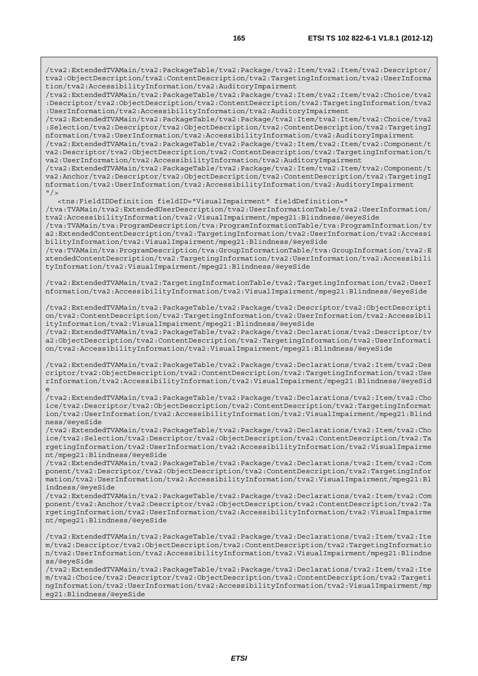/tva2:ExtendedTVAMain/tva2:PackageTable/tva2:Package/tva2:Item/tva2:Item/tva2:Descriptor/ tva2:ObjectDescription/tva2:ContentDescription/tva2:TargetingInformation/tva2:UserInforma tion/tva2:AccessibilityInformation/tva2:AuditoryImpairment

/tva2:ExtendedTVAMain/tva2:PackageTable/tva2:Package/tva2:Item/tva2:Item/tva2:Choice/tva2 :Descriptor/tva2:ObjectDescription/tva2:ContentDescription/tva2:TargetingInformation/tva2 :UserInformation/tva2:AccessibilityInformation/tva2:AuditoryImpairment

/tva2:ExtendedTVAMain/tva2:PackageTable/tva2:Package/tva2:Item/tva2:Item/tva2:Choice/tva2 :Selection/tva2:Descriptor/tva2:ObjectDescription/tva2:ContentDescription/tva2:TargetingI nformation/tva2:UserInformation/tva2:AccessibilityInformation/tva2:AuditoryImpairment

/tva2:ExtendedTVAMain/tva2:PackageTable/tva2:Package/tva2:Item/tva2:Item/tva2:Component/t va2:Descriptor/tva2:ObjectDescription/tva2:ContentDescription/tva2:TargetingInformation/t va2:UserInformation/tva2:AccessibilityInformation/tva2:AuditoryImpairment

/tva2:ExtendedTVAMain/tva2:PackageTable/tva2:Package/tva2:Item/tva2:Item/tva2:Component/t va2:Anchor/tva2:Descriptor/tva2:ObjectDescription/tva2:ContentDescription/tva2:TargetingI nformation/tva2:UserInformation/tva2:AccessibilityInformation/tva2:AuditoryImpairment  $"$  / >

<tns:FieldIDDefinition fieldID="VisualImpairment" fieldDefinition="

/tva:TVAMain/tva2:ExtendedUserDescription/tva2:UserInformationTable/tva2:UserInformation/ tva2:AccessibilityInformation/tva2:VisualImpairment/mpeg21:Blindness/@eyeSide

/tva:TVAMain/tva:ProgramDescription/tva:ProgramInformationTable/tva:ProgramInformation/tv a2:ExtendedContentDescription/tva2:TargetingInformation/tva2:UserInformation/tva2:Accessi bilityInformation/tva2:VisualImpairment/mpeg21:Blindness/@eyeSide

/tva:TVAMain/tva:ProgramDescription/tva:GroupInformationTable/tva:GroupInformation/tva2:E xtendedContentDescription/tva2:TargetingInformation/tva2:UserInformation/tva2:Accessibili tyInformation/tva2:VisualImpairment/mpeg21:Blindness/@eyeSide

/tva2:ExtendedTVAMain/tva2:TargetingInformationTable/tva2:TargetingInformation/tva2:UserI nformation/tva2:AccessibilityInformation/tva2:VisualImpairment/mpeg21:Blindness/@eyeSide

/tva2:ExtendedTVAMain/tva2:PackageTable/tva2:Package/tva2:Descriptor/tva2:ObjectDescripti on/tva2:ContentDescription/tva2:TargetingInformation/tva2:UserInformation/tva2:Accessibil ityInformation/tva2:VisualImpairment/mpeg21:Blindness/@eyeSide

/tva2:ExtendedTVAMain/tva2:PackageTable/tva2:Package/tva2:Declarations/tva2:Descriptor/tv a2:ObjectDescription/tva2:ContentDescription/tva2:TargetingInformation/tva2:UserInformati on/tva2:AccessibilityInformation/tva2:VisualImpairment/mpeg21:Blindness/@eyeSide

/tva2:ExtendedTVAMain/tva2:PackageTable/tva2:Package/tva2:Declarations/tva2:Item/tva2:Des criptor/tva2:ObjectDescription/tva2:ContentDescription/tva2:TargetingInformation/tva2:Use rInformation/tva2:AccessibilityInformation/tva2:VisualImpairment/mpeg21:Blindness/@eyeSid e

/tva2:ExtendedTVAMain/tva2:PackageTable/tva2:Package/tva2:Declarations/tva2:Item/tva2:Cho ice/tva2:Descriptor/tva2:ObjectDescription/tva2:ContentDescription/tva2:TargetingInformat ion/tva2:UserInformation/tva2:AccessibilityInformation/tva2:VisualImpairment/mpeg21:Blind ness/@eyeSide

/tva2:ExtendedTVAMain/tva2:PackageTable/tva2:Package/tva2:Declarations/tva2:Item/tva2:Cho ice/tva2:Selection/tva2:Descriptor/tva2:ObjectDescription/tva2:ContentDescription/tva2:Ta rgetingInformation/tva2:UserInformation/tva2:AccessibilityInformation/tva2:VisualImpairme nt/mpeg21:Blindness/@eyeSide

/tva2:ExtendedTVAMain/tva2:PackageTable/tva2:Package/tva2:Declarations/tva2:Item/tva2:Com ponent/tva2:Descriptor/tva2:ObjectDescription/tva2:ContentDescription/tva2:TargetingInfor mation/tva2:UserInformation/tva2:AccessibilityInformation/tva2:VisualImpairment/mpeg21:Bl indness/@eyeSide

/tva2:ExtendedTVAMain/tva2:PackageTable/tva2:Package/tva2:Declarations/tva2:Item/tva2:Com ponent/tva2:Anchor/tva2:Descriptor/tva2:ObjectDescription/tva2:ContentDescription/tva2:Ta rgetingInformation/tva2:UserInformation/tva2:AccessibilityInformation/tva2:VisualImpairme nt/mpeg21:Blindness/@eyeSide

/tva2:ExtendedTVAMain/tva2:PackageTable/tva2:Package/tva2:Declarations/tva2:Item/tva2:Ite m/tva2:Descriptor/tva2:ObjectDescription/tva2:ContentDescription/tva2:TargetingInformatio n/tva2:UserInformation/tva2:AccessibilityInformation/tva2:VisualImpairment/mpeg21:Blindne ss/@eyeSide

/tva2:ExtendedTVAMain/tva2:PackageTable/tva2:Package/tva2:Declarations/tva2:Item/tva2:Ite m/tva2:Choice/tva2:Descriptor/tva2:ObjectDescription/tva2:ContentDescription/tva2:Targeti ngInformation/tva2:UserInformation/tva2:AccessibilityInformation/tva2:VisualImpairment/mp eg21:Blindness/@eyeSide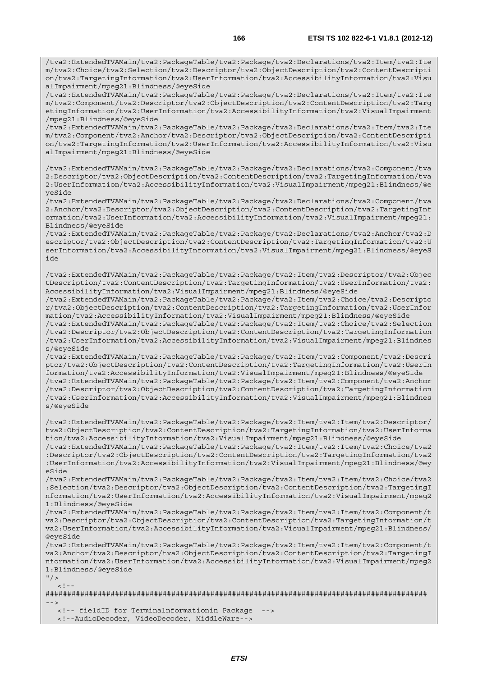/tva2:ExtendedTVAMain/tva2:PackageTable/tva2:Package/tva2:Declarations/tva2:Item/tva2:Ite m/tva2:Component/tva2:Descriptor/tva2:ObjectDescription/tva2:ContentDescription/tva2:Targ etingInformation/tva2:UserInformation/tva2:AccessibilityInformation/tva2:VisualImpairment /mpeg21:Blindness/@eyeSide

/tva2:ExtendedTVAMain/tva2:PackageTable/tva2:Package/tva2:Declarations/tva2:Item/tva2:Ite m/tva2:Component/tva2:Anchor/tva2:Descriptor/tva2:ObjectDescription/tva2:ContentDescripti on/tva2:TargetingInformation/tva2:UserInformation/tva2:AccessibilityInformation/tva2:Visu alImpairment/mpeg21:Blindness/@eyeSide

/tva2:ExtendedTVAMain/tva2:PackageTable/tva2:Package/tva2:Declarations/tva2:Component/tva 2:Descriptor/tva2:ObjectDescription/tva2:ContentDescription/tva2:TargetingInformation/tva 2:UserInformation/tva2:AccessibilityInformation/tva2:VisualImpairment/mpeg21:Blindness/@e yeSide

/tva2:ExtendedTVAMain/tva2:PackageTable/tva2:Package/tva2:Declarations/tva2:Component/tva 2:Anchor/tva2:Descriptor/tva2:ObjectDescription/tva2:ContentDescription/tva2:TargetingInf ormation/tva2:UserInformation/tva2:AccessibilityInformation/tva2:VisualImpairment/mpeg21: Blindness/@eyeSide

/tva2:ExtendedTVAMain/tva2:PackageTable/tva2:Package/tva2:Declarations/tva2:Anchor/tva2:D escriptor/tva2:ObjectDescription/tva2:ContentDescription/tva2:TargetingInformation/tva2:U serInformation/tva2:AccessibilityInformation/tva2:VisualImpairment/mpeg21:Blindness/@eyeS ide

/tva2:ExtendedTVAMain/tva2:PackageTable/tva2:Package/tva2:Item/tva2:Descriptor/tva2:Objec tDescription/tva2:ContentDescription/tva2:TargetingInformation/tva2:UserInformation/tva2: AccessibilityInformation/tva2:VisualImpairment/mpeg21:Blindness/@eyeSide

/tva2:ExtendedTVAMain/tva2:PackageTable/tva2:Package/tva2:Item/tva2:Choice/tva2:Descripto r/tva2:ObjectDescription/tva2:ContentDescription/tva2:TargetingInformation/tva2:UserInfor mation/tva2:AccessibilityInformation/tva2:VisualImpairment/mpeg21:Blindness/@eyeSide

/tva2:ExtendedTVAMain/tva2:PackageTable/tva2:Package/tva2:Item/tva2:Choice/tva2:Selection /tva2:Descriptor/tva2:ObjectDescription/tva2:ContentDescription/tva2:TargetingInformation /tva2:UserInformation/tva2:AccessibilityInformation/tva2:VisualImpairment/mpeg21:Blindnes s/@eyeSide

/tva2:ExtendedTVAMain/tva2:PackageTable/tva2:Package/tva2:Item/tva2:Component/tva2:Descri ptor/tva2:ObjectDescription/tva2:ContentDescription/tva2:TargetingInformation/tva2:UserIn formation/tva2:AccessibilityInformation/tva2:VisualImpairment/mpeg21:Blindness/@eyeSide /tva2:ExtendedTVAMain/tva2:PackageTable/tva2:Package/tva2:Item/tva2:Component/tva2:Anchor /tva2:Descriptor/tva2:ObjectDescription/tva2:ContentDescription/tva2:TargetingInformation /tva2:UserInformation/tva2:AccessibilityInformation/tva2:VisualImpairment/mpeg21:Blindnes s/@eyeSide

/tva2:ExtendedTVAMain/tva2:PackageTable/tva2:Package/tva2:Item/tva2:Item/tva2:Descriptor/ tva2:ObjectDescription/tva2:ContentDescription/tva2:TargetingInformation/tva2:UserInforma tion/tva2:AccessibilityInformation/tva2:VisualImpairment/mpeg21:Blindness/@eyeSide /tva2:ExtendedTVAMain/tva2:PackageTable/tva2:Package/tva2:Item/tva2:Item/tva2:Choice/tva2 :Descriptor/tva2:ObjectDescription/tva2:ContentDescription/tva2:TargetingInformation/tva2

:UserInformation/tva2:AccessibilityInformation/tva2:VisualImpairment/mpeg21:Blindness/@ey eSide /tva2:ExtendedTVAMain/tva2:PackageTable/tva2:Package/tva2:Item/tva2:Item/tva2:Choice/tva2

:Selection/tva2:Descriptor/tva2:ObjectDescription/tva2:ContentDescription/tva2:TargetingI nformation/tva2:UserInformation/tva2:AccessibilityInformation/tva2:VisualImpairment/mpeg2 1:Blindness/@eyeSide

/tva2:ExtendedTVAMain/tva2:PackageTable/tva2:Package/tva2:Item/tva2:Item/tva2:Component/t va2:Descriptor/tva2:ObjectDescription/tva2:ContentDescription/tva2:TargetingInformation/t va2:UserInformation/tva2:AccessibilityInformation/tva2:VisualImpairment/mpeg21:Blindness/ @eyeSide

/tva2:ExtendedTVAMain/tva2:PackageTable/tva2:Package/tva2:Item/tva2:Item/tva2:Component/t va2:Anchor/tva2:Descriptor/tva2:ObjectDescription/tva2:ContentDescription/tva2:TargetingI nformation/tva2:UserInformation/tva2:AccessibilityInformation/tva2:VisualImpairment/mpeg2 1:Blindness/@eyeSide

 $"$  />  $\lt$ !

######################################################################################## -->

<!-- fieldID for Terminalnformationin Package <!--AudioDecoder, VideoDecoder, MiddleWare-->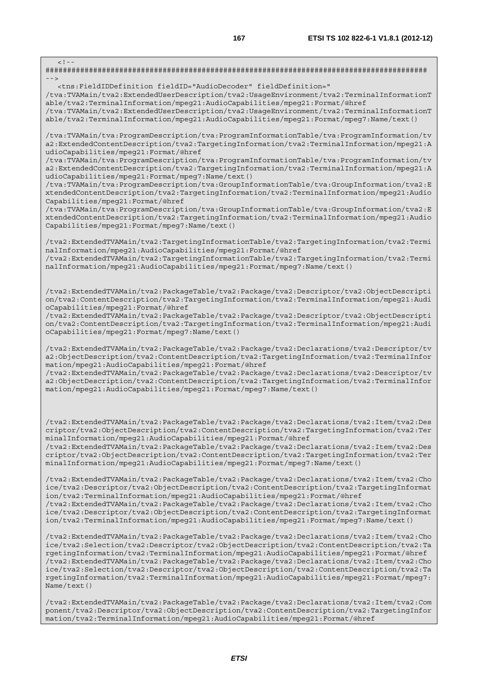######################################################################################## -->

<tns:FieldIDDefinition fieldID="AudioDecoder" fieldDefinition="

 $\lt$  ! -

/tva:TVAMain/tva2:ExtendedUserDescription/tva2:UsageEnvironment/tva2:TerminalInformationT able/tva2:TerminalInformation/mpeg21:AudioCapabilities/mpeg21:Format/@href

/tva:TVAMain/tva2:ExtendedUserDescription/tva2:UsageEnvironment/tva2:TerminalInformationT able/tva2:TerminalInformation/mpeg21:AudioCapabilities/mpeg21:Format/mpeg7:Name/text()

/tva:TVAMain/tva:ProgramDescription/tva:ProgramInformationTable/tva:ProgramInformation/tv a2:ExtendedContentDescription/tva2:TargetingInformation/tva2:TerminalInformation/mpeg21:A udioCapabilities/mpeg21:Format/@href

/tva:TVAMain/tva:ProgramDescription/tva:ProgramInformationTable/tva:ProgramInformation/tv a2:ExtendedContentDescription/tva2:TargetingInformation/tva2:TerminalInformation/mpeg21:A udioCapabilities/mpeg21:Format/mpeg7:Name/text()

/tva:TVAMain/tva:ProgramDescription/tva:GroupInformationTable/tva:GroupInformation/tva2:E xtendedContentDescription/tva2:TargetingInformation/tva2:TerminalInformation/mpeg21:Audio Capabilities/mpeg21:Format/@href

/tva:TVAMain/tva:ProgramDescription/tva:GroupInformationTable/tva:GroupInformation/tva2:E xtendedContentDescription/tva2:TargetingInformation/tva2:TerminalInformation/mpeg21:Audio Capabilities/mpeg21:Format/mpeg7:Name/text()

/tva2:ExtendedTVAMain/tva2:TargetingInformationTable/tva2:TargetingInformation/tva2:Termi nalInformation/mpeg21:AudioCapabilities/mpeg21:Format/@href /tva2:ExtendedTVAMain/tva2:TargetingInformationTable/tva2:TargetingInformation/tva2:Termi nalInformation/mpeg21:AudioCapabilities/mpeg21:Format/mpeg7:Name/text()

/tva2:ExtendedTVAMain/tva2:PackageTable/tva2:Package/tva2:Descriptor/tva2:ObjectDescripti on/tva2:ContentDescription/tva2:TargetingInformation/tva2:TerminalInformation/mpeg21:Audi oCapabilities/mpeg21:Format/@href

/tva2:ExtendedTVAMain/tva2:PackageTable/tva2:Package/tva2:Descriptor/tva2:ObjectDescripti on/tva2:ContentDescription/tva2:TargetingInformation/tva2:TerminalInformation/mpeg21:Audi oCapabilities/mpeg21:Format/mpeg7:Name/text()

/tva2:ExtendedTVAMain/tva2:PackageTable/tva2:Package/tva2:Declarations/tva2:Descriptor/tv a2:ObjectDescription/tva2:ContentDescription/tva2:TargetingInformation/tva2:TerminalInfor mation/mpeg21:AudioCapabilities/mpeg21:Format/@href

/tva2:ExtendedTVAMain/tva2:PackageTable/tva2:Package/tva2:Declarations/tva2:Descriptor/tv a2:ObjectDescription/tva2:ContentDescription/tva2:TargetingInformation/tva2:TerminalInfor mation/mpeg21:AudioCapabilities/mpeg21:Format/mpeg7:Name/text()

/tva2:ExtendedTVAMain/tva2:PackageTable/tva2:Package/tva2:Declarations/tva2:Item/tva2:Des criptor/tva2:ObjectDescription/tva2:ContentDescription/tva2:TargetingInformation/tva2:Ter minalInformation/mpeg21:AudioCapabilities/mpeg21:Format/@href

/tva2:ExtendedTVAMain/tva2:PackageTable/tva2:Package/tva2:Declarations/tva2:Item/tva2:Des criptor/tva2:ObjectDescription/tva2:ContentDescription/tva2:TargetingInformation/tva2:Ter minalInformation/mpeg21:AudioCapabilities/mpeg21:Format/mpeg7:Name/text()

/tva2:ExtendedTVAMain/tva2:PackageTable/tva2:Package/tva2:Declarations/tva2:Item/tva2:Cho ice/tva2:Descriptor/tva2:ObjectDescription/tva2:ContentDescription/tva2:TargetingInformat ion/tva2:TerminalInformation/mpeg21:AudioCapabilities/mpeg21:Format/@href /tva2:ExtendedTVAMain/tva2:PackageTable/tva2:Package/tva2:Declarations/tva2:Item/tva2:Cho ice/tva2:Descriptor/tva2:ObjectDescription/tva2:ContentDescription/tva2:TargetingInformat ion/tva2:TerminalInformation/mpeg21:AudioCapabilities/mpeg21:Format/mpeg7:Name/text()

/tva2:ExtendedTVAMain/tva2:PackageTable/tva2:Package/tva2:Declarations/tva2:Item/tva2:Cho ice/tva2:Selection/tva2:Descriptor/tva2:ObjectDescription/tva2:ContentDescription/tva2:Ta rgetingInformation/tva2:TerminalInformation/mpeg21:AudioCapabilities/mpeg21:Format/@href /tva2:ExtendedTVAMain/tva2:PackageTable/tva2:Package/tva2:Declarations/tva2:Item/tva2:Cho ice/tva2:Selection/tva2:Descriptor/tva2:ObjectDescription/tva2:ContentDescription/tva2:Ta rgetingInformation/tva2:TerminalInformation/mpeg21:AudioCapabilities/mpeg21:Format/mpeg7: Name/text()

/tva2:ExtendedTVAMain/tva2:PackageTable/tva2:Package/tva2:Declarations/tva2:Item/tva2:Com ponent/tva2:Descriptor/tva2:ObjectDescription/tva2:ContentDescription/tva2:TargetingInfor mation/tva2:TerminalInformation/mpeg21:AudioCapabilities/mpeg21:Format/@href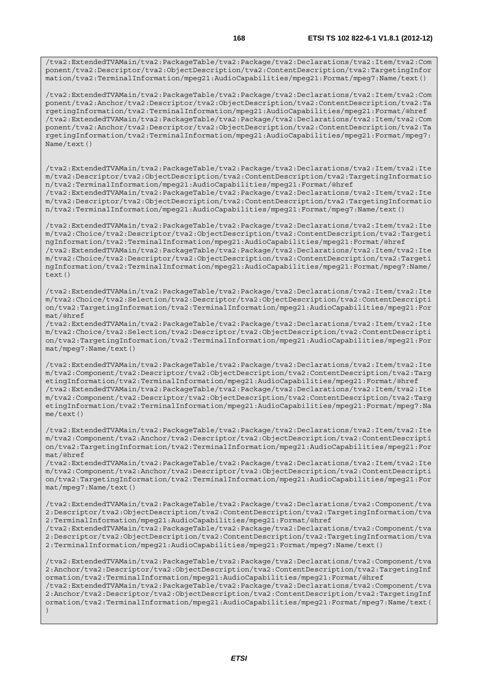/tva2:ExtendedTVAMain/tva2:PackageTable/tva2:Package/tva2:Declarations/tva2:Item/tva2:Com ponent/tva2:Descriptor/tva2:ObjectDescription/tva2:ContentDescription/tva2:TargetingInfor mation/tva2:TerminalInformation/mpeg21:AudioCapabilities/mpeg21:Format/mpeg7:Name/text()

/tva2:ExtendedTVAMain/tva2:PackageTable/tva2:Package/tva2:Declarations/tva2:Item/tva2:Com ponent/tva2:Anchor/tva2:Descriptor/tva2:ObjectDescription/tva2:ContentDescription/tva2:Ta rgetingInformation/tva2:TerminalInformation/mpeg21:AudioCapabilities/mpeg21:Format/@href /tva2:ExtendedTVAMain/tva2:PackageTable/tva2:Package/tva2:Declarations/tva2:Item/tva2:Com ponent/tva2:Anchor/tva2:Descriptor/tva2:ObjectDescription/tva2:ContentDescription/tva2:Ta rgetingInformation/tva2:TerminalInformation/mpeg21:AudioCapabilities/mpeg21:Format/mpeg7: Name/text()

/tva2:ExtendedTVAMain/tva2:PackageTable/tva2:Package/tva2:Declarations/tva2:Item/tva2:Ite m/tva2:Descriptor/tva2:ObjectDescription/tva2:ContentDescription/tva2:TargetingInformatio n/tva2:TerminalInformation/mpeg21:AudioCapabilities/mpeg21:Format/@href /tva2:ExtendedTVAMain/tva2:PackageTable/tva2:Package/tva2:Declarations/tva2:Item/tva2:Ite m/tva2:Descriptor/tva2:ObjectDescription/tva2:ContentDescription/tva2:TargetingInformatio

n/tva2:TerminalInformation/mpeg21:AudioCapabilities/mpeg21:Format/mpeg7:Name/text()

/tva2:ExtendedTVAMain/tva2:PackageTable/tva2:Package/tva2:Declarations/tva2:Item/tva2:Ite m/tva2:Choice/tva2:Descriptor/tva2:ObjectDescription/tva2:ContentDescription/tva2:Targeti ngInformation/tva2:TerminalInformation/mpeg21:AudioCapabilities/mpeg21:Format/@href /tva2:ExtendedTVAMain/tva2:PackageTable/tva2:Package/tva2:Declarations/tva2:Item/tva2:Ite m/tva2:Choice/tva2:Descriptor/tva2:ObjectDescription/tva2:ContentDescription/tva2:Targeti ngInformation/tva2:TerminalInformation/mpeg21:AudioCapabilities/mpeg21:Format/mpeg7:Name/ text()

/tva2:ExtendedTVAMain/tva2:PackageTable/tva2:Package/tva2:Declarations/tva2:Item/tva2:Ite m/tva2:Choice/tva2:Selection/tva2:Descriptor/tva2:ObjectDescription/tva2:ContentDescripti on/tva2:TargetingInformation/tva2:TerminalInformation/mpeg21:AudioCapabilities/mpeg21:For mat/@href

/tva2:ExtendedTVAMain/tva2:PackageTable/tva2:Package/tva2:Declarations/tva2:Item/tva2:Ite m/tva2:Choice/tva2:Selection/tva2:Descriptor/tva2:ObjectDescription/tva2:ContentDescripti on/tva2:TargetingInformation/tva2:TerminalInformation/mpeg21:AudioCapabilities/mpeg21:For mat/mpeg7:Name/text()

/tva2:ExtendedTVAMain/tva2:PackageTable/tva2:Package/tva2:Declarations/tva2:Item/tva2:Ite m/tva2:Component/tva2:Descriptor/tva2:ObjectDescription/tva2:ContentDescription/tva2:Targ etingInformation/tva2:TerminalInformation/mpeg21:AudioCapabilities/mpeg21:Format/@href /tva2:ExtendedTVAMain/tva2:PackageTable/tva2:Package/tva2:Declarations/tva2:Item/tva2:Ite m/tva2:Component/tva2:Descriptor/tva2:ObjectDescription/tva2:ContentDescription/tva2:Targ etingInformation/tva2:TerminalInformation/mpeg21:AudioCapabilities/mpeg21:Format/mpeg7:Na me/text()

/tva2:ExtendedTVAMain/tva2:PackageTable/tva2:Package/tva2:Declarations/tva2:Item/tva2:Ite m/tva2:Component/tva2:Anchor/tva2:Descriptor/tva2:ObjectDescription/tva2:ContentDescripti on/tva2:TargetingInformation/tva2:TerminalInformation/mpeg21:AudioCapabilities/mpeg21:For mat/@href

/tva2:ExtendedTVAMain/tva2:PackageTable/tva2:Package/tva2:Declarations/tva2:Item/tva2:Ite m/tva2:Component/tva2:Anchor/tva2:Descriptor/tva2:ObjectDescription/tva2:ContentDescripti on/tva2:TargetingInformation/tva2:TerminalInformation/mpeg21:AudioCapabilities/mpeg21:For mat/mpeg7:Name/text()

/tva2:ExtendedTVAMain/tva2:PackageTable/tva2:Package/tva2:Declarations/tva2:Component/tva 2:Descriptor/tva2:ObjectDescription/tva2:ContentDescription/tva2:TargetingInformation/tva 2:TerminalInformation/mpeg21:AudioCapabilities/mpeg21:Format/@href

/tva2:ExtendedTVAMain/tva2:PackageTable/tva2:Package/tva2:Declarations/tva2:Component/tva 2:Descriptor/tva2:ObjectDescription/tva2:ContentDescription/tva2:TargetingInformation/tva 2:TerminalInformation/mpeg21:AudioCapabilities/mpeg21:Format/mpeg7:Name/text()

/tva2:ExtendedTVAMain/tva2:PackageTable/tva2:Package/tva2:Declarations/tva2:Component/tva 2:Anchor/tva2:Descriptor/tva2:ObjectDescription/tva2:ContentDescription/tva2:TargetingInf ormation/tva2:TerminalInformation/mpeg21:AudioCapabilities/mpeg21:Format/@href /tva2:ExtendedTVAMain/tva2:PackageTable/tva2:Package/tva2:Declarations/tva2:Component/tva 2:Anchor/tva2:Descriptor/tva2:ObjectDescription/tva2:ContentDescription/tva2:TargetingInf ormation/tva2:TerminalInformation/mpeg21:AudioCapabilities/mpeg21:Format/mpeg7:Name/text(  $)$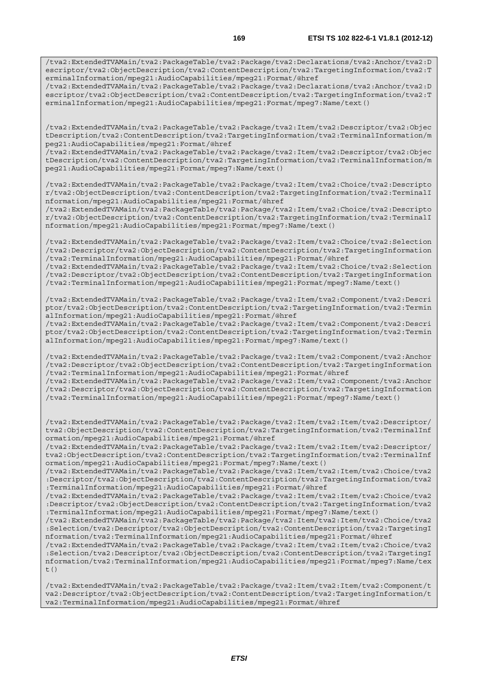/tva2:ExtendedTVAMain/tva2:PackageTable/tva2:Package/tva2:Declarations/tva2:Anchor/tva2:D escriptor/tva2:ObjectDescription/tva2:ContentDescription/tva2:TargetingInformation/tva2:T erminalInformation/mpeg21:AudioCapabilities/mpeg21:Format/@href

/tva2:ExtendedTVAMain/tva2:PackageTable/tva2:Package/tva2:Declarations/tva2:Anchor/tva2:D escriptor/tva2:ObjectDescription/tva2:ContentDescription/tva2:TargetingInformation/tva2:T erminalInformation/mpeg21:AudioCapabilities/mpeg21:Format/mpeg7:Name/text()

/tva2:ExtendedTVAMain/tva2:PackageTable/tva2:Package/tva2:Item/tva2:Descriptor/tva2:Objec tDescription/tva2:ContentDescription/tva2:TargetingInformation/tva2:TerminalInformation/m peg21:AudioCapabilities/mpeg21:Format/@href

/tva2:ExtendedTVAMain/tva2:PackageTable/tva2:Package/tva2:Item/tva2:Descriptor/tva2:Objec tDescription/tva2:ContentDescription/tva2:TargetingInformation/tva2:TerminalInformation/m peg21:AudioCapabilities/mpeg21:Format/mpeg7:Name/text()

/tva2:ExtendedTVAMain/tva2:PackageTable/tva2:Package/tva2:Item/tva2:Choice/tva2:Descripto r/tva2:ObjectDescription/tva2:ContentDescription/tva2:TargetingInformation/tva2:TerminalI nformation/mpeg21:AudioCapabilities/mpeg21:Format/@href

/tva2:ExtendedTVAMain/tva2:PackageTable/tva2:Package/tva2:Item/tva2:Choice/tva2:Descripto r/tva2:ObjectDescription/tva2:ContentDescription/tva2:TargetingInformation/tva2:TerminalI nformation/mpeg21:AudioCapabilities/mpeg21:Format/mpeg7:Name/text()

/tva2:ExtendedTVAMain/tva2:PackageTable/tva2:Package/tva2:Item/tva2:Choice/tva2:Selection /tva2:Descriptor/tva2:ObjectDescription/tva2:ContentDescription/tva2:TargetingInformation /tva2:TerminalInformation/mpeg21:AudioCapabilities/mpeg21:Format/@href

/tva2:ExtendedTVAMain/tva2:PackageTable/tva2:Package/tva2:Item/tva2:Choice/tva2:Selection /tva2:Descriptor/tva2:ObjectDescription/tva2:ContentDescription/tva2:TargetingInformation /tva2:TerminalInformation/mpeg21:AudioCapabilities/mpeg21:Format/mpeg7:Name/text()

/tva2:ExtendedTVAMain/tva2:PackageTable/tva2:Package/tva2:Item/tva2:Component/tva2:Descri ptor/tva2:ObjectDescription/tva2:ContentDescription/tva2:TargetingInformation/tva2:Termin alInformation/mpeg21:AudioCapabilities/mpeg21:Format/@href

/tva2:ExtendedTVAMain/tva2:PackageTable/tva2:Package/tva2:Item/tva2:Component/tva2:Descri ptor/tva2:ObjectDescription/tva2:ContentDescription/tva2:TargetingInformation/tva2:Termin alInformation/mpeg21:AudioCapabilities/mpeg21:Format/mpeg7:Name/text()

/tva2:ExtendedTVAMain/tva2:PackageTable/tva2:Package/tva2:Item/tva2:Component/tva2:Anchor /tva2:Descriptor/tva2:ObjectDescription/tva2:ContentDescription/tva2:TargetingInformation /tva2:TerminalInformation/mpeg21:AudioCapabilities/mpeg21:Format/@href /tva2:ExtendedTVAMain/tva2:PackageTable/tva2:Package/tva2:Item/tva2:Component/tva2:Anchor

/tva2:Descriptor/tva2:ObjectDescription/tva2:ContentDescription/tva2:TargetingInformation /tva2:TerminalInformation/mpeg21:AudioCapabilities/mpeg21:Format/mpeg7:Name/text()

/tva2:ExtendedTVAMain/tva2:PackageTable/tva2:Package/tva2:Item/tva2:Item/tva2:Descriptor/ tva2:ObjectDescription/tva2:ContentDescription/tva2:TargetingInformation/tva2:TerminalInf ormation/mpeg21:AudioCapabilities/mpeg21:Format/@href

/tva2:ExtendedTVAMain/tva2:PackageTable/tva2:Package/tva2:Item/tva2:Item/tva2:Descriptor/ tva2:ObjectDescription/tva2:ContentDescription/tva2:TargetingInformation/tva2:TerminalInf ormation/mpeg21:AudioCapabilities/mpeg21:Format/mpeg7:Name/text()

/tva2:ExtendedTVAMain/tva2:PackageTable/tva2:Package/tva2:Item/tva2:Item/tva2:Choice/tva2 :Descriptor/tva2:ObjectDescription/tva2:ContentDescription/tva2:TargetingInformation/tva2 :TerminalInformation/mpeg21:AudioCapabilities/mpeg21:Format/@href

/tva2:ExtendedTVAMain/tva2:PackageTable/tva2:Package/tva2:Item/tva2:Item/tva2:Choice/tva2 :Descriptor/tva2:ObjectDescription/tva2:ContentDescription/tva2:TargetingInformation/tva2 :TerminalInformation/mpeg21:AudioCapabilities/mpeg21:Format/mpeg7:Name/text()

/tva2:ExtendedTVAMain/tva2:PackageTable/tva2:Package/tva2:Item/tva2:Item/tva2:Choice/tva2 :Selection/tva2:Descriptor/tva2:ObjectDescription/tva2:ContentDescription/tva2:TargetingI nformation/tva2:TerminalInformation/mpeg21:AudioCapabilities/mpeg21:Format/@href

/tva2:ExtendedTVAMain/tva2:PackageTable/tva2:Package/tva2:Item/tva2:Item/tva2:Choice/tva2 :Selection/tva2:Descriptor/tva2:ObjectDescription/tva2:ContentDescription/tva2:TargetingI nformation/tva2:TerminalInformation/mpeg21:AudioCapabilities/mpeg21:Format/mpeg7:Name/tex t()

/tva2:ExtendedTVAMain/tva2:PackageTable/tva2:Package/tva2:Item/tva2:Item/tva2:Component/t va2:Descriptor/tva2:ObjectDescription/tva2:ContentDescription/tva2:TargetingInformation/t va2:TerminalInformation/mpeg21:AudioCapabilities/mpeg21:Format/@href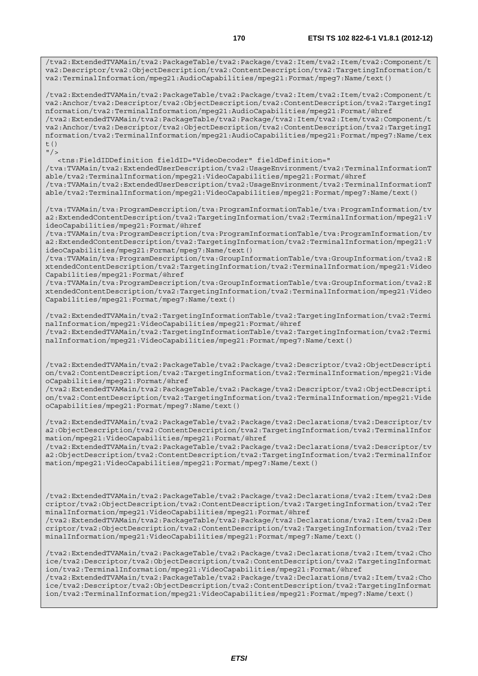/tva2:ExtendedTVAMain/tva2:PackageTable/tva2:Package/tva2:Item/tva2:Item/tva2:Component/t va2:Descriptor/tva2:ObjectDescription/tva2:ContentDescription/tva2:TargetingInformation/t va2:TerminalInformation/mpeg21:AudioCapabilities/mpeg21:Format/mpeg7:Name/text()

/tva2:ExtendedTVAMain/tva2:PackageTable/tva2:Package/tva2:Item/tva2:Item/tva2:Component/t va2:Anchor/tva2:Descriptor/tva2:ObjectDescription/tva2:ContentDescription/tva2:TargetingI nformation/tva2:TerminalInformation/mpeg21:AudioCapabilities/mpeg21:Format/@href /tva2:ExtendedTVAMain/tva2:PackageTable/tva2:Package/tva2:Item/tva2:Item/tva2:Component/t va2:Anchor/tva2:Descriptor/tva2:ObjectDescription/tva2:ContentDescription/tva2:TargetingI nformation/tva2:TerminalInformation/mpeg21:AudioCapabilities/mpeg21:Format/mpeg7:Name/tex t()  $''$ />

 <tns:FieldIDDefinition fieldID="VideoDecoder" fieldDefinition=" /tva:TVAMain/tva2:ExtendedUserDescription/tva2:UsageEnvironment/tva2:TerminalInformationT able/tva2:TerminalInformation/mpeg21:VideoCapabilities/mpeg21:Format/@href /tva:TVAMain/tva2:ExtendedUserDescription/tva2:UsageEnvironment/tva2:TerminalInformationT able/tva2:TerminalInformation/mpeg21:VideoCapabilities/mpeg21:Format/mpeg7:Name/text()

/tva:TVAMain/tva:ProgramDescription/tva:ProgramInformationTable/tva:ProgramInformation/tv a2:ExtendedContentDescription/tva2:TargetingInformation/tva2:TerminalInformation/mpeg21:V ideoCapabilities/mpeg21:Format/@href

/tva:TVAMain/tva:ProgramDescription/tva:ProgramInformationTable/tva:ProgramInformation/tv a2:ExtendedContentDescription/tva2:TargetingInformation/tva2:TerminalInformation/mpeg21:V ideoCapabilities/mpeg21:Format/mpeg7:Name/text()

/tva:TVAMain/tva:ProgramDescription/tva:GroupInformationTable/tva:GroupInformation/tva2:E xtendedContentDescription/tva2:TargetingInformation/tva2:TerminalInformation/mpeg21:Video Capabilities/mpeg21:Format/@href

/tva:TVAMain/tva:ProgramDescription/tva:GroupInformationTable/tva:GroupInformation/tva2:E xtendedContentDescription/tva2:TargetingInformation/tva2:TerminalInformation/mpeg21:Video Capabilities/mpeg21:Format/mpeg7:Name/text()

/tva2:ExtendedTVAMain/tva2:TargetingInformationTable/tva2:TargetingInformation/tva2:Termi nalInformation/mpeg21:VideoCapabilities/mpeg21:Format/@href /tva2:ExtendedTVAMain/tva2:TargetingInformationTable/tva2:TargetingInformation/tva2:Termi nalInformation/mpeg21:VideoCapabilities/mpeg21:Format/mpeg7:Name/text()

/tva2:ExtendedTVAMain/tva2:PackageTable/tva2:Package/tva2:Descriptor/tva2:ObjectDescripti on/tva2:ContentDescription/tva2:TargetingInformation/tva2:TerminalInformation/mpeg21:Vide oCapabilities/mpeg21:Format/@href

/tva2:ExtendedTVAMain/tva2:PackageTable/tva2:Package/tva2:Descriptor/tva2:ObjectDescripti on/tva2:ContentDescription/tva2:TargetingInformation/tva2:TerminalInformation/mpeg21:Vide oCapabilities/mpeg21:Format/mpeg7:Name/text()

/tva2:ExtendedTVAMain/tva2:PackageTable/tva2:Package/tva2:Declarations/tva2:Descriptor/tv a2:ObjectDescription/tva2:ContentDescription/tva2:TargetingInformation/tva2:TerminalInfor mation/mpeg21:VideoCapabilities/mpeg21:Format/@href

/tva2:ExtendedTVAMain/tva2:PackageTable/tva2:Package/tva2:Declarations/tva2:Descriptor/tv a2:ObjectDescription/tva2:ContentDescription/tva2:TargetingInformation/tva2:TerminalInfor mation/mpeg21:VideoCapabilities/mpeg21:Format/mpeg7:Name/text()

/tva2:ExtendedTVAMain/tva2:PackageTable/tva2:Package/tva2:Declarations/tva2:Item/tva2:Des criptor/tva2:ObjectDescription/tva2:ContentDescription/tva2:TargetingInformation/tva2:Ter minalInformation/mpeg21:VideoCapabilities/mpeg21:Format/@href

/tva2:ExtendedTVAMain/tva2:PackageTable/tva2:Package/tva2:Declarations/tva2:Item/tva2:Des criptor/tva2:ObjectDescription/tva2:ContentDescription/tva2:TargetingInformation/tva2:Ter minalInformation/mpeg21:VideoCapabilities/mpeg21:Format/mpeg7:Name/text()

/tva2:ExtendedTVAMain/tva2:PackageTable/tva2:Package/tva2:Declarations/tva2:Item/tva2:Cho ice/tva2:Descriptor/tva2:ObjectDescription/tva2:ContentDescription/tva2:TargetingInformat ion/tva2:TerminalInformation/mpeg21:VideoCapabilities/mpeg21:Format/@href /tva2:ExtendedTVAMain/tva2:PackageTable/tva2:Package/tva2:Declarations/tva2:Item/tva2:Cho ice/tva2:Descriptor/tva2:ObjectDescription/tva2:ContentDescription/tva2:TargetingInformat ion/tva2:TerminalInformation/mpeg21:VideoCapabilities/mpeg21:Format/mpeg7:Name/text()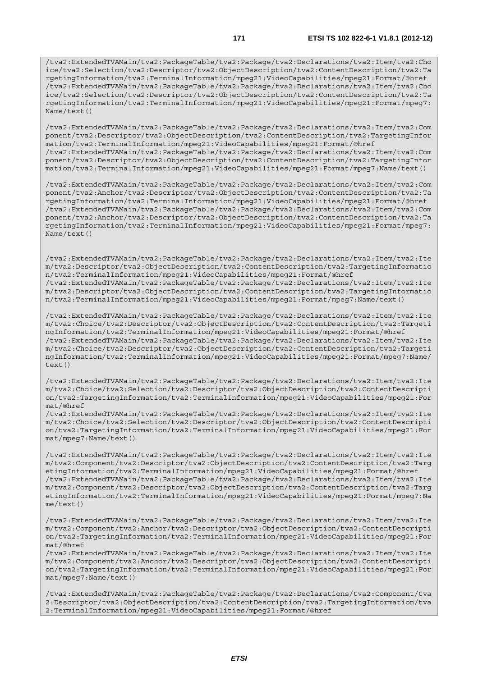/tva2:ExtendedTVAMain/tva2:PackageTable/tva2:Package/tva2:Declarations/tva2:Item/tva2:Cho ice/tva2:Selection/tva2:Descriptor/tva2:ObjectDescription/tva2:ContentDescription/tva2:Ta rgetingInformation/tva2:TerminalInformation/mpeg21:VideoCapabilities/mpeg21:Format/@href /tva2:ExtendedTVAMain/tva2:PackageTable/tva2:Package/tva2:Declarations/tva2:Item/tva2:Cho ice/tva2:Selection/tva2:Descriptor/tva2:ObjectDescription/tva2:ContentDescription/tva2:Ta rgetingInformation/tva2:TerminalInformation/mpeg21:VideoCapabilities/mpeg21:Format/mpeg7: Name/text()

/tva2:ExtendedTVAMain/tva2:PackageTable/tva2:Package/tva2:Declarations/tva2:Item/tva2:Com ponent/tva2:Descriptor/tva2:ObjectDescription/tva2:ContentDescription/tva2:TargetingInfor mation/tva2:TerminalInformation/mpeg21:VideoCapabilities/mpeg21:Format/@href /tva2:ExtendedTVAMain/tva2:PackageTable/tva2:Package/tva2:Declarations/tva2:Item/tva2:Com ponent/tva2:Descriptor/tva2:ObjectDescription/tva2:ContentDescription/tva2:TargetingInfor mation/tva2:TerminalInformation/mpeg21:VideoCapabilities/mpeg21:Format/mpeg7:Name/text()

/tva2:ExtendedTVAMain/tva2:PackageTable/tva2:Package/tva2:Declarations/tva2:Item/tva2:Com ponent/tva2:Anchor/tva2:Descriptor/tva2:ObjectDescription/tva2:ContentDescription/tva2:Ta rgetingInformation/tva2:TerminalInformation/mpeg21:VideoCapabilities/mpeg21:Format/@href /tva2:ExtendedTVAMain/tva2:PackageTable/tva2:Package/tva2:Declarations/tva2:Item/tva2:Com ponent/tva2:Anchor/tva2:Descriptor/tva2:ObjectDescription/tva2:ContentDescription/tva2:Ta rgetingInformation/tva2:TerminalInformation/mpeg21:VideoCapabilities/mpeg21:Format/mpeg7: Name/text()

/tva2:ExtendedTVAMain/tva2:PackageTable/tva2:Package/tva2:Declarations/tva2:Item/tva2:Ite m/tva2:Descriptor/tva2:ObjectDescription/tva2:ContentDescription/tva2:TargetingInformatio n/tva2:TerminalInformation/mpeg21:VideoCapabilities/mpeg21:Format/@href /tva2:ExtendedTVAMain/tva2:PackageTable/tva2:Package/tva2:Declarations/tva2:Item/tva2:Ite m/tva2:Descriptor/tva2:ObjectDescription/tva2:ContentDescription/tva2:TargetingInformatio n/tva2:TerminalInformation/mpeg21:VideoCapabilities/mpeg21:Format/mpeg7:Name/text()

/tva2:ExtendedTVAMain/tva2:PackageTable/tva2:Package/tva2:Declarations/tva2:Item/tva2:Ite m/tva2:Choice/tva2:Descriptor/tva2:ObjectDescription/tva2:ContentDescription/tva2:Targeti ngInformation/tva2:TerminalInformation/mpeg21:VideoCapabilities/mpeg21:Format/@href /tva2:ExtendedTVAMain/tva2:PackageTable/tva2:Package/tva2:Declarations/tva2:Item/tva2:Ite m/tva2:Choice/tva2:Descriptor/tva2:ObjectDescription/tva2:ContentDescription/tva2:Targeti ngInformation/tva2:TerminalInformation/mpeg21:VideoCapabilities/mpeg21:Format/mpeg7:Name/ text()

/tva2:ExtendedTVAMain/tva2:PackageTable/tva2:Package/tva2:Declarations/tva2:Item/tva2:Ite m/tva2:Choice/tva2:Selection/tva2:Descriptor/tva2:ObjectDescription/tva2:ContentDescripti on/tva2:TargetingInformation/tva2:TerminalInformation/mpeg21:VideoCapabilities/mpeg21:For mat/@href

/tva2:ExtendedTVAMain/tva2:PackageTable/tva2:Package/tva2:Declarations/tva2:Item/tva2:Ite m/tva2:Choice/tva2:Selection/tva2:Descriptor/tva2:ObjectDescription/tva2:ContentDescripti on/tva2:TargetingInformation/tva2:TerminalInformation/mpeg21:VideoCapabilities/mpeg21:For mat/mpeg7:Name/text()

/tva2:ExtendedTVAMain/tva2:PackageTable/tva2:Package/tva2:Declarations/tva2:Item/tva2:Ite m/tva2:Component/tva2:Descriptor/tva2:ObjectDescription/tva2:ContentDescription/tva2:Targ etingInformation/tva2:TerminalInformation/mpeg21:VideoCapabilities/mpeg21:Format/@href /tva2:ExtendedTVAMain/tva2:PackageTable/tva2:Package/tva2:Declarations/tva2:Item/tva2:Ite m/tva2:Component/tva2:Descriptor/tva2:ObjectDescription/tva2:ContentDescription/tva2:Targ etingInformation/tva2:TerminalInformation/mpeg21:VideoCapabilities/mpeg21:Format/mpeg7:Na me/text()

/tva2:ExtendedTVAMain/tva2:PackageTable/tva2:Package/tva2:Declarations/tva2:Item/tva2:Ite m/tva2:Component/tva2:Anchor/tva2:Descriptor/tva2:ObjectDescription/tva2:ContentDescripti on/tva2:TargetingInformation/tva2:TerminalInformation/mpeg21:VideoCapabilities/mpeg21:For mat/@href

/tva2:ExtendedTVAMain/tva2:PackageTable/tva2:Package/tva2:Declarations/tva2:Item/tva2:Ite m/tva2:Component/tva2:Anchor/tva2:Descriptor/tva2:ObjectDescription/tva2:ContentDescripti on/tva2:TargetingInformation/tva2:TerminalInformation/mpeg21:VideoCapabilities/mpeg21:For mat/mpeg7:Name/text()

/tva2:ExtendedTVAMain/tva2:PackageTable/tva2:Package/tva2:Declarations/tva2:Component/tva 2:Descriptor/tva2:ObjectDescription/tva2:ContentDescription/tva2:TargetingInformation/tva 2:TerminalInformation/mpeg21:VideoCapabilities/mpeg21:Format/@href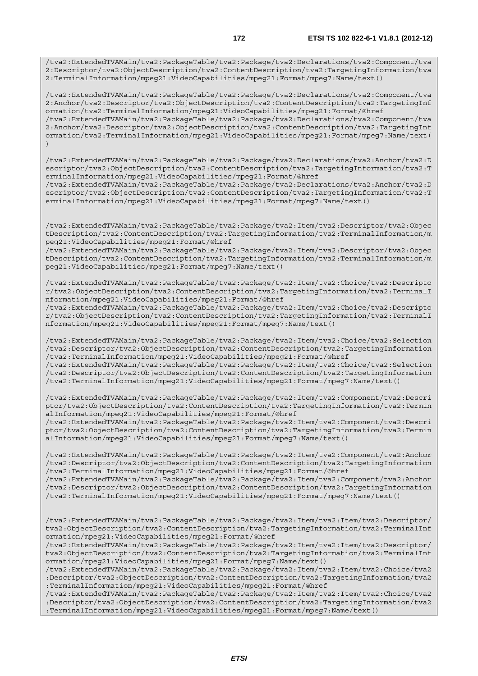/tva2:ExtendedTVAMain/tva2:PackageTable/tva2:Package/tva2:Declarations/tva2:Component/tva 2:Descriptor/tva2:ObjectDescription/tva2:ContentDescription/tva2:TargetingInformation/tva 2:TerminalInformation/mpeg21:VideoCapabilities/mpeg21:Format/mpeg7:Name/text()

/tva2:ExtendedTVAMain/tva2:PackageTable/tva2:Package/tva2:Declarations/tva2:Component/tva 2:Anchor/tva2:Descriptor/tva2:ObjectDescription/tva2:ContentDescription/tva2:TargetingInf ormation/tva2:TerminalInformation/mpeg21:VideoCapabilities/mpeg21:Format/@href /tva2:ExtendedTVAMain/tva2:PackageTable/tva2:Package/tva2:Declarations/tva2:Component/tva 2:Anchor/tva2:Descriptor/tva2:ObjectDescription/tva2:ContentDescription/tva2:TargetingInf ormation/tva2:TerminalInformation/mpeg21:VideoCapabilities/mpeg21:Format/mpeg7:Name/text(  $)$ 

/tva2:ExtendedTVAMain/tva2:PackageTable/tva2:Package/tva2:Declarations/tva2:Anchor/tva2:D escriptor/tva2:ObjectDescription/tva2:ContentDescription/tva2:TargetingInformation/tva2:T erminalInformation/mpeg21:VideoCapabilities/mpeg21:Format/@href

/tva2:ExtendedTVAMain/tva2:PackageTable/tva2:Package/tva2:Declarations/tva2:Anchor/tva2:D escriptor/tva2:ObjectDescription/tva2:ContentDescription/tva2:TargetingInformation/tva2:T erminalInformation/mpeg21:VideoCapabilities/mpeg21:Format/mpeg7:Name/text()

/tva2:ExtendedTVAMain/tva2:PackageTable/tva2:Package/tva2:Item/tva2:Descriptor/tva2:Objec tDescription/tva2:ContentDescription/tva2:TargetingInformation/tva2:TerminalInformation/m peg21:VideoCapabilities/mpeg21:Format/@href

/tva2:ExtendedTVAMain/tva2:PackageTable/tva2:Package/tva2:Item/tva2:Descriptor/tva2:Objec tDescription/tva2:ContentDescription/tva2:TargetingInformation/tva2:TerminalInformation/m peg21:VideoCapabilities/mpeg21:Format/mpeg7:Name/text()

/tva2:ExtendedTVAMain/tva2:PackageTable/tva2:Package/tva2:Item/tva2:Choice/tva2:Descripto r/tva2:ObjectDescription/tva2:ContentDescription/tva2:TargetingInformation/tva2:TerminalI nformation/mpeg21:VideoCapabilities/mpeg21:Format/@href

/tva2:ExtendedTVAMain/tva2:PackageTable/tva2:Package/tva2:Item/tva2:Choice/tva2:Descripto r/tva2:ObjectDescription/tva2:ContentDescription/tva2:TargetingInformation/tva2:TerminalI nformation/mpeg21:VideoCapabilities/mpeg21:Format/mpeg7:Name/text()

/tva2:ExtendedTVAMain/tva2:PackageTable/tva2:Package/tva2:Item/tva2:Choice/tva2:Selection /tva2:Descriptor/tva2:ObjectDescription/tva2:ContentDescription/tva2:TargetingInformation /tva2:TerminalInformation/mpeg21:VideoCapabilities/mpeg21:Format/@href /tva2:ExtendedTVAMain/tva2:PackageTable/tva2:Package/tva2:Item/tva2:Choice/tva2:Selection /tva2:Descriptor/tva2:ObjectDescription/tva2:ContentDescription/tva2:TargetingInformation /tva2:TerminalInformation/mpeg21:VideoCapabilities/mpeg21:Format/mpeg7:Name/text()

/tva2:ExtendedTVAMain/tva2:PackageTable/tva2:Package/tva2:Item/tva2:Component/tva2:Descri ptor/tva2:ObjectDescription/tva2:ContentDescription/tva2:TargetingInformation/tva2:Termin alInformation/mpeg21:VideoCapabilities/mpeg21:Format/@href /tva2:ExtendedTVAMain/tva2:PackageTable/tva2:Package/tva2:Item/tva2:Component/tva2:Descri

ptor/tva2:ObjectDescription/tva2:ContentDescription/tva2:TargetingInformation/tva2:Termin alInformation/mpeg21:VideoCapabilities/mpeg21:Format/mpeg7:Name/text()

/tva2:ExtendedTVAMain/tva2:PackageTable/tva2:Package/tva2:Item/tva2:Component/tva2:Anchor /tva2:Descriptor/tva2:ObjectDescription/tva2:ContentDescription/tva2:TargetingInformation /tva2:TerminalInformation/mpeg21:VideoCapabilities/mpeg21:Format/@href

/tva2:ExtendedTVAMain/tva2:PackageTable/tva2:Package/tva2:Item/tva2:Component/tva2:Anchor /tva2:Descriptor/tva2:ObjectDescription/tva2:ContentDescription/tva2:TargetingInformation /tva2:TerminalInformation/mpeg21:VideoCapabilities/mpeg21:Format/mpeg7:Name/text()

/tva2:ExtendedTVAMain/tva2:PackageTable/tva2:Package/tva2:Item/tva2:Item/tva2:Descriptor/ tva2:ObjectDescription/tva2:ContentDescription/tva2:TargetingInformation/tva2:TerminalInf ormation/mpeg21:VideoCapabilities/mpeg21:Format/@href

/tva2:ExtendedTVAMain/tva2:PackageTable/tva2:Package/tva2:Item/tva2:Item/tva2:Descriptor/ tva2:ObjectDescription/tva2:ContentDescription/tva2:TargetingInformation/tva2:TerminalInf ormation/mpeg21:VideoCapabilities/mpeg21:Format/mpeg7:Name/text()

/tva2:ExtendedTVAMain/tva2:PackageTable/tva2:Package/tva2:Item/tva2:Item/tva2:Choice/tva2 :Descriptor/tva2:ObjectDescription/tva2:ContentDescription/tva2:TargetingInformation/tva2 :TerminalInformation/mpeg21:VideoCapabilities/mpeg21:Format/@href

/tva2:ExtendedTVAMain/tva2:PackageTable/tva2:Package/tva2:Item/tva2:Item/tva2:Choice/tva2 :Descriptor/tva2:ObjectDescription/tva2:ContentDescription/tva2:TargetingInformation/tva2 :TerminalInformation/mpeg21:VideoCapabilities/mpeg21:Format/mpeg7:Name/text()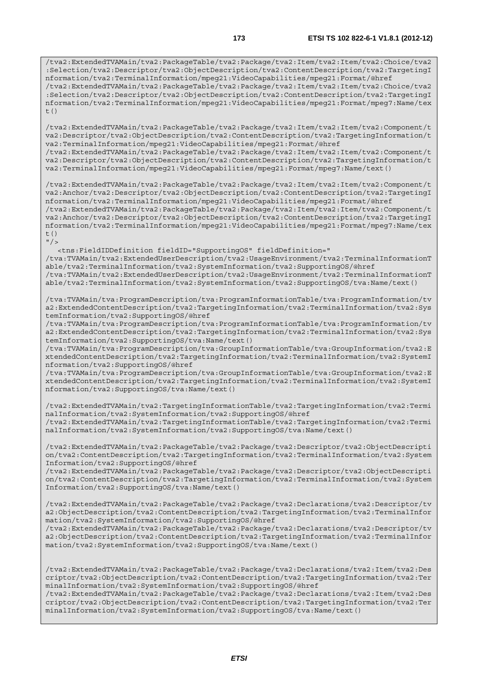/tva2:ExtendedTVAMain/tva2:PackageTable/tva2:Package/tva2:Item/tva2:Item/tva2:Choice/tva2 :Selection/tva2:Descriptor/tva2:ObjectDescription/tva2:ContentDescription/tva2:TargetingI nformation/tva2:TerminalInformation/mpeg21:VideoCapabilities/mpeg21:Format/@href /tva2:ExtendedTVAMain/tva2:PackageTable/tva2:Package/tva2:Item/tva2:Item/tva2:Choice/tva2 :Selection/tva2:Descriptor/tva2:ObjectDescription/tva2:ContentDescription/tva2:TargetingI nformation/tva2:TerminalInformation/mpeg21:VideoCapabilities/mpeg21:Format/mpeg7:Name/tex  $t($ )

/tva2:ExtendedTVAMain/tva2:PackageTable/tva2:Package/tva2:Item/tva2:Item/tva2:Component/t va2:Descriptor/tva2:ObjectDescription/tva2:ContentDescription/tva2:TargetingInformation/t va2:TerminalInformation/mpeg21:VideoCapabilities/mpeg21:Format/@href /tva2:ExtendedTVAMain/tva2:PackageTable/tva2:Package/tva2:Item/tva2:Item/tva2:Component/t

va2:Descriptor/tva2:ObjectDescription/tva2:ContentDescription/tva2:TargetingInformation/t va2:TerminalInformation/mpeg21:VideoCapabilities/mpeg21:Format/mpeg7:Name/text()

/tva2:ExtendedTVAMain/tva2:PackageTable/tva2:Package/tva2:Item/tva2:Item/tva2:Component/t va2:Anchor/tva2:Descriptor/tva2:ObjectDescription/tva2:ContentDescription/tva2:TargetingI nformation/tva2:TerminalInformation/mpeg21:VideoCapabilities/mpeg21:Format/@href /tva2:ExtendedTVAMain/tva2:PackageTable/tva2:Package/tva2:Item/tva2:Item/tva2:Component/t va2:Anchor/tva2:Descriptor/tva2:ObjectDescription/tva2:ContentDescription/tva2:TargetingI nformation/tva2:TerminalInformation/mpeg21:VideoCapabilities/mpeg21:Format/mpeg7:Name/tex t()

 $"$  />

<tns:FieldIDDefinition fieldID="SupportingOS" fieldDefinition="

/tva:TVAMain/tva2:ExtendedUserDescription/tva2:UsageEnvironment/tva2:TerminalInformationT able/tva2:TerminalInformation/tva2:SystemInformation/tva2:SupportingOS/@href

/tva:TVAMain/tva2:ExtendedUserDescription/tva2:UsageEnvironment/tva2:TerminalInformationT able/tva2:TerminalInformation/tva2:SystemInformation/tva2:SupportingOS/tva:Name/text()

/tva:TVAMain/tva:ProgramDescription/tva:ProgramInformationTable/tva:ProgramInformation/tv a2:ExtendedContentDescription/tva2:TargetingInformation/tva2:TerminalInformation/tva2:Sys temInformation/tva2:SupportingOS/@href

/tva:TVAMain/tva:ProgramDescription/tva:ProgramInformationTable/tva:ProgramInformation/tv a2:ExtendedContentDescription/tva2:TargetingInformation/tva2:TerminalInformation/tva2:Sys temInformation/tva2:SupportingOS/tva:Name/text()

/tva:TVAMain/tva:ProgramDescription/tva:GroupInformationTable/tva:GroupInformation/tva2:E xtendedContentDescription/tva2:TargetingInformation/tva2:TerminalInformation/tva2:SystemI nformation/tva2:SupportingOS/@href

/tva:TVAMain/tva:ProgramDescription/tva:GroupInformationTable/tva:GroupInformation/tva2:E xtendedContentDescription/tva2:TargetingInformation/tva2:TerminalInformation/tva2:SystemI nformation/tva2:SupportingOS/tva:Name/text()

/tva2:ExtendedTVAMain/tva2:TargetingInformationTable/tva2:TargetingInformation/tva2:Termi nalInformation/tva2:SystemInformation/tva2:SupportingOS/@href /tva2:ExtendedTVAMain/tva2:TargetingInformationTable/tva2:TargetingInformation/tva2:Termi nalInformation/tva2:SystemInformation/tva2:SupportingOS/tva:Name/text()

/tva2:ExtendedTVAMain/tva2:PackageTable/tva2:Package/tva2:Descriptor/tva2:ObjectDescripti on/tva2:ContentDescription/tva2:TargetingInformation/tva2:TerminalInformation/tva2:System Information/tva2:SupportingOS/@href

/tva2:ExtendedTVAMain/tva2:PackageTable/tva2:Package/tva2:Descriptor/tva2:ObjectDescripti on/tva2:ContentDescription/tva2:TargetingInformation/tva2:TerminalInformation/tva2:System Information/tva2:SupportingOS/tva:Name/text()

/tva2:ExtendedTVAMain/tva2:PackageTable/tva2:Package/tva2:Declarations/tva2:Descriptor/tv a2:ObjectDescription/tva2:ContentDescription/tva2:TargetingInformation/tva2:TerminalInfor mation/tva2:SystemInformation/tva2:SupportingOS/@href

/tva2:ExtendedTVAMain/tva2:PackageTable/tva2:Package/tva2:Declarations/tva2:Descriptor/tv a2:ObjectDescription/tva2:ContentDescription/tva2:TargetingInformation/tva2:TerminalInfor mation/tva2:SystemInformation/tva2:SupportingOS/tva:Name/text()

/tva2:ExtendedTVAMain/tva2:PackageTable/tva2:Package/tva2:Declarations/tva2:Item/tva2:Des criptor/tva2:ObjectDescription/tva2:ContentDescription/tva2:TargetingInformation/tva2:Ter minalInformation/tva2:SystemInformation/tva2:SupportingOS/@href /tva2:ExtendedTVAMain/tva2:PackageTable/tva2:Package/tva2:Declarations/tva2:Item/tva2:Des criptor/tva2:ObjectDescription/tva2:ContentDescription/tva2:TargetingInformation/tva2:Ter

minalInformation/tva2:SystemInformation/tva2:SupportingOS/tva:Name/text()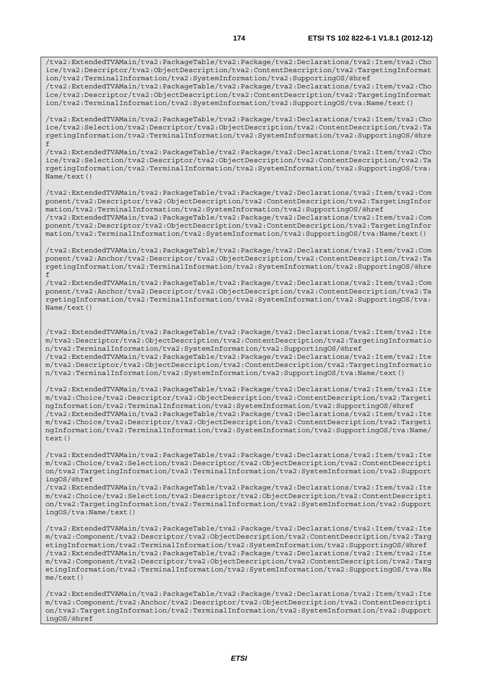/tva2:ExtendedTVAMain/tva2:PackageTable/tva2:Package/tva2:Declarations/tva2:Item/tva2:Cho ice/tva2:Descriptor/tva2:ObjectDescription/tva2:ContentDescription/tva2:TargetingInformat ion/tva2:TerminalInformation/tva2:SystemInformation/tva2:SupportingOS/@href /tva2:ExtendedTVAMain/tva2:PackageTable/tva2:Package/tva2:Declarations/tva2:Item/tva2:Cho

ice/tva2:Descriptor/tva2:ObjectDescription/tva2:ContentDescription/tva2:TargetingInformat ion/tva2:TerminalInformation/tva2:SystemInformation/tva2:SupportingOS/tva:Name/text()

/tva2:ExtendedTVAMain/tva2:PackageTable/tva2:Package/tva2:Declarations/tva2:Item/tva2:Cho ice/tva2:Selection/tva2:Descriptor/tva2:ObjectDescription/tva2:ContentDescription/tva2:Ta rgetingInformation/tva2:TerminalInformation/tva2:SystemInformation/tva2:SupportingOS/@hre f

/tva2:ExtendedTVAMain/tva2:PackageTable/tva2:Package/tva2:Declarations/tva2:Item/tva2:Cho ice/tva2:Selection/tva2:Descriptor/tva2:ObjectDescription/tva2:ContentDescription/tva2:Ta rgetingInformation/tva2:TerminalInformation/tva2:SystemInformation/tva2:SupportingOS/tva: Name/text()

/tva2:ExtendedTVAMain/tva2:PackageTable/tva2:Package/tva2:Declarations/tva2:Item/tva2:Com ponent/tva2:Descriptor/tva2:ObjectDescription/tva2:ContentDescription/tva2:TargetingInfor mation/tva2:TerminalInformation/tva2:SystemInformation/tva2:SupportingOS/@href /tva2:ExtendedTVAMain/tva2:PackageTable/tva2:Package/tva2:Declarations/tva2:Item/tva2:Com ponent/tva2:Descriptor/tva2:ObjectDescription/tva2:ContentDescription/tva2:TargetingInfor mation/tva2:TerminalInformation/tva2:SystemInformation/tva2:SupportingOS/tva:Name/text()

/tva2:ExtendedTVAMain/tva2:PackageTable/tva2:Package/tva2:Declarations/tva2:Item/tva2:Com ponent/tva2:Anchor/tva2:Descriptor/tva2:ObjectDescription/tva2:ContentDescription/tva2:Ta rgetingInformation/tva2:TerminalInformation/tva2:SystemInformation/tva2:SupportingOS/@hre f

/tva2:ExtendedTVAMain/tva2:PackageTable/tva2:Package/tva2:Declarations/tva2:Item/tva2:Com ponent/tva2:Anchor/tva2:Descriptor/tva2:ObjectDescription/tva2:ContentDescription/tva2:Ta rgetingInformation/tva2:TerminalInformation/tva2:SystemInformation/tva2:SupportingOS/tva: Name/text()

/tva2:ExtendedTVAMain/tva2:PackageTable/tva2:Package/tva2:Declarations/tva2:Item/tva2:Ite m/tva2:Descriptor/tva2:ObjectDescription/tva2:ContentDescription/tva2:TargetingInformatio n/tva2:TerminalInformation/tva2:SystemInformation/tva2:SupportingOS/@href /tva2:ExtendedTVAMain/tva2:PackageTable/tva2:Package/tva2:Declarations/tva2:Item/tva2:Ite m/tva2:Descriptor/tva2:ObjectDescription/tva2:ContentDescription/tva2:TargetingInformatio n/tva2:TerminalInformation/tva2:SystemInformation/tva2:SupportingOS/tva:Name/text()

/tva2:ExtendedTVAMain/tva2:PackageTable/tva2:Package/tva2:Declarations/tva2:Item/tva2:Ite m/tva2:Choice/tva2:Descriptor/tva2:ObjectDescription/tva2:ContentDescription/tva2:Targeti ngInformation/tva2:TerminalInformation/tva2:SystemInformation/tva2:SupportingOS/@href /tva2:ExtendedTVAMain/tva2:PackageTable/tva2:Package/tva2:Declarations/tva2:Item/tva2:Ite m/tva2:Choice/tva2:Descriptor/tva2:ObjectDescription/tva2:ContentDescription/tva2:Targeti ngInformation/tva2:TerminalInformation/tva2:SystemInformation/tva2:SupportingOS/tva:Name/ text()

/tva2:ExtendedTVAMain/tva2:PackageTable/tva2:Package/tva2:Declarations/tva2:Item/tva2:Ite m/tva2:Choice/tva2:Selection/tva2:Descriptor/tva2:ObjectDescription/tva2:ContentDescripti on/tva2:TargetingInformation/tva2:TerminalInformation/tva2:SystemInformation/tva2:Support ingOS/@href

/tva2:ExtendedTVAMain/tva2:PackageTable/tva2:Package/tva2:Declarations/tva2:Item/tva2:Ite m/tva2:Choice/tva2:Selection/tva2:Descriptor/tva2:ObjectDescription/tva2:ContentDescripti on/tva2:TargetingInformation/tva2:TerminalInformation/tva2:SystemInformation/tva2:Support ingOS/tva:Name/text()

/tva2:ExtendedTVAMain/tva2:PackageTable/tva2:Package/tva2:Declarations/tva2:Item/tva2:Ite m/tva2:Component/tva2:Descriptor/tva2:ObjectDescription/tva2:ContentDescription/tva2:Targ etingInformation/tva2:TerminalInformation/tva2:SystemInformation/tva2:SupportingOS/@href /tva2:ExtendedTVAMain/tva2:PackageTable/tva2:Package/tva2:Declarations/tva2:Item/tva2:Ite m/tva2:Component/tva2:Descriptor/tva2:ObjectDescription/tva2:ContentDescription/tva2:Targ etingInformation/tva2:TerminalInformation/tva2:SystemInformation/tva2:SupportingOS/tva:Na me/text()

/tva2:ExtendedTVAMain/tva2:PackageTable/tva2:Package/tva2:Declarations/tva2:Item/tva2:Ite m/tva2:Component/tva2:Anchor/tva2:Descriptor/tva2:ObjectDescription/tva2:ContentDescripti on/tva2:TargetingInformation/tva2:TerminalInformation/tva2:SystemInformation/tva2:Support ingOS/@href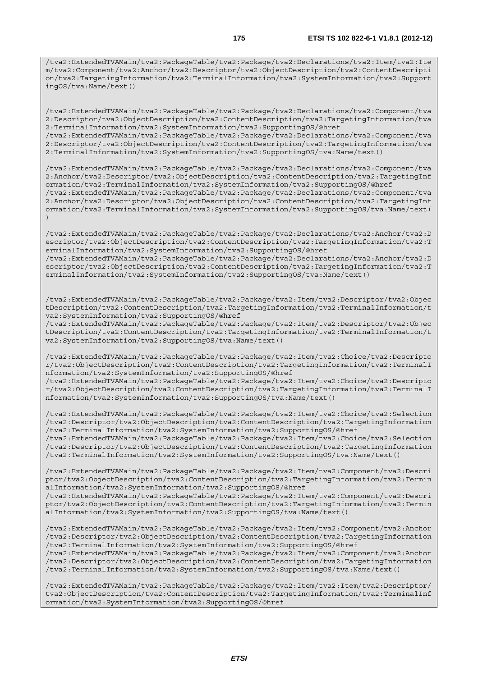/tva2:ExtendedTVAMain/tva2:PackageTable/tva2:Package/tva2:Declarations/tva2:Item/tva2:Ite m/tva2:Component/tva2:Anchor/tva2:Descriptor/tva2:ObjectDescription/tva2:ContentDescripti on/tva2:TargetingInformation/tva2:TerminalInformation/tva2:SystemInformation/tva2:Support ingOS/tva:Name/text()

/tva2:ExtendedTVAMain/tva2:PackageTable/tva2:Package/tva2:Declarations/tva2:Component/tva 2:Descriptor/tva2:ObjectDescription/tva2:ContentDescription/tva2:TargetingInformation/tva 2:TerminalInformation/tva2:SystemInformation/tva2:SupportingOS/@href /tva2:ExtendedTVAMain/tva2:PackageTable/tva2:Package/tva2:Declarations/tva2:Component/tva

2:Descriptor/tva2:ObjectDescription/tva2:ContentDescription/tva2:TargetingInformation/tva 2:TerminalInformation/tva2:SystemInformation/tva2:SupportingOS/tva:Name/text()

/tva2:ExtendedTVAMain/tva2:PackageTable/tva2:Package/tva2:Declarations/tva2:Component/tva 2:Anchor/tva2:Descriptor/tva2:ObjectDescription/tva2:ContentDescription/tva2:TargetingInf ormation/tva2:TerminalInformation/tva2:SystemInformation/tva2:SupportingOS/@href /tva2:ExtendedTVAMain/tva2:PackageTable/tva2:Package/tva2:Declarations/tva2:Component/tva

2:Anchor/tva2:Descriptor/tva2:ObjectDescription/tva2:ContentDescription/tva2:TargetingInf ormation/tva2:TerminalInformation/tva2:SystemInformation/tva2:SupportingOS/tva:Name/text( )

/tva2:ExtendedTVAMain/tva2:PackageTable/tva2:Package/tva2:Declarations/tva2:Anchor/tva2:D escriptor/tva2:ObjectDescription/tva2:ContentDescription/tva2:TargetingInformation/tva2:T erminalInformation/tva2:SystemInformation/tva2:SupportingOS/@href

/tva2:ExtendedTVAMain/tva2:PackageTable/tva2:Package/tva2:Declarations/tva2:Anchor/tva2:D escriptor/tva2:ObjectDescription/tva2:ContentDescription/tva2:TargetingInformation/tva2:T erminalInformation/tva2:SystemInformation/tva2:SupportingOS/tva:Name/text()

/tva2:ExtendedTVAMain/tva2:PackageTable/tva2:Package/tva2:Item/tva2:Descriptor/tva2:Objec tDescription/tva2:ContentDescription/tva2:TargetingInformation/tva2:TerminalInformation/t va2:SystemInformation/tva2:SupportingOS/@href

/tva2:ExtendedTVAMain/tva2:PackageTable/tva2:Package/tva2:Item/tva2:Descriptor/tva2:Objec tDescription/tva2:ContentDescription/tva2:TargetingInformation/tva2:TerminalInformation/t va2:SystemInformation/tva2:SupportingOS/tva:Name/text()

/tva2:ExtendedTVAMain/tva2:PackageTable/tva2:Package/tva2:Item/tva2:Choice/tva2:Descripto r/tva2:ObjectDescription/tva2:ContentDescription/tva2:TargetingInformation/tva2:TerminalI nformation/tva2:SystemInformation/tva2:SupportingOS/@href /tva2:ExtendedTVAMain/tva2:PackageTable/tva2:Package/tva2:Item/tva2:Choice/tva2:Descripto r/tva2:ObjectDescription/tva2:ContentDescription/tva2:TargetingInformation/tva2:TerminalI

nformation/tva2:SystemInformation/tva2:SupportingOS/tva:Name/text()

/tva2:ExtendedTVAMain/tva2:PackageTable/tva2:Package/tva2:Item/tva2:Choice/tva2:Selection /tva2:Descriptor/tva2:ObjectDescription/tva2:ContentDescription/tva2:TargetingInformation /tva2:TerminalInformation/tva2:SystemInformation/tva2:SupportingOS/@href /tva2:ExtendedTVAMain/tva2:PackageTable/tva2:Package/tva2:Item/tva2:Choice/tva2:Selection

/tva2:Descriptor/tva2:ObjectDescription/tva2:ContentDescription/tva2:TargetingInformation /tva2:TerminalInformation/tva2:SystemInformation/tva2:SupportingOS/tva:Name/text()

/tva2:ExtendedTVAMain/tva2:PackageTable/tva2:Package/tva2:Item/tva2:Component/tva2:Descri ptor/tva2:ObjectDescription/tva2:ContentDescription/tva2:TargetingInformation/tva2:Termin alInformation/tva2:SystemInformation/tva2:SupportingOS/@href /tva2:ExtendedTVAMain/tva2:PackageTable/tva2:Package/tva2:Item/tva2:Component/tva2:Descri

ptor/tva2:ObjectDescription/tva2:ContentDescription/tva2:TargetingInformation/tva2:Termin alInformation/tva2:SystemInformation/tva2:SupportingOS/tva:Name/text()

/tva2:ExtendedTVAMain/tva2:PackageTable/tva2:Package/tva2:Item/tva2:Component/tva2:Anchor /tva2:Descriptor/tva2:ObjectDescription/tva2:ContentDescription/tva2:TargetingInformation /tva2:TerminalInformation/tva2:SystemInformation/tva2:SupportingOS/@href

/tva2:ExtendedTVAMain/tva2:PackageTable/tva2:Package/tva2:Item/tva2:Component/tva2:Anchor /tva2:Descriptor/tva2:ObjectDescription/tva2:ContentDescription/tva2:TargetingInformation /tva2:TerminalInformation/tva2:SystemInformation/tva2:SupportingOS/tva:Name/text()

/tva2:ExtendedTVAMain/tva2:PackageTable/tva2:Package/tva2:Item/tva2:Item/tva2:Descriptor/ tva2:ObjectDescription/tva2:ContentDescription/tva2:TargetingInformation/tva2:TerminalInf ormation/tva2:SystemInformation/tva2:SupportingOS/@href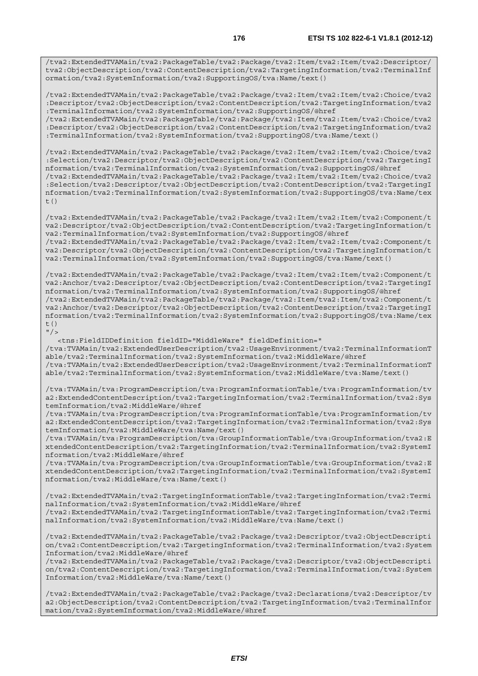/tva2:ExtendedTVAMain/tva2:PackageTable/tva2:Package/tva2:Item/tva2:Item/tva2:Descriptor/ tva2:ObjectDescription/tva2:ContentDescription/tva2:TargetingInformation/tva2:TerminalInf ormation/tva2:SystemInformation/tva2:SupportingOS/tva:Name/text()

/tva2:ExtendedTVAMain/tva2:PackageTable/tva2:Package/tva2:Item/tva2:Item/tva2:Choice/tva2 :Descriptor/tva2:ObjectDescription/tva2:ContentDescription/tva2:TargetingInformation/tva2 :TerminalInformation/tva2:SystemInformation/tva2:SupportingOS/@href /tva2:ExtendedTVAMain/tva2:PackageTable/tva2:Package/tva2:Item/tva2:Item/tva2:Choice/tva2

:Descriptor/tva2:ObjectDescription/tva2:ContentDescription/tva2:TargetingInformation/tva2 :TerminalInformation/tva2:SystemInformation/tva2:SupportingOS/tva:Name/text()

/tva2:ExtendedTVAMain/tva2:PackageTable/tva2:Package/tva2:Item/tva2:Item/tva2:Choice/tva2 :Selection/tva2:Descriptor/tva2:ObjectDescription/tva2:ContentDescription/tva2:TargetingI nformation/tva2:TerminalInformation/tva2:SystemInformation/tva2:SupportingOS/@href /tva2:ExtendedTVAMain/tva2:PackageTable/tva2:Package/tva2:Item/tva2:Item/tva2:Choice/tva2 :Selection/tva2:Descriptor/tva2:ObjectDescription/tva2:ContentDescription/tva2:TargetingI nformation/tva2:TerminalInformation/tva2:SystemInformation/tva2:SupportingOS/tva:Name/tex  $t($ )

/tva2:ExtendedTVAMain/tva2:PackageTable/tva2:Package/tva2:Item/tva2:Item/tva2:Component/t va2:Descriptor/tva2:ObjectDescription/tva2:ContentDescription/tva2:TargetingInformation/t va2:TerminalInformation/tva2:SystemInformation/tva2:SupportingOS/@href /tva2:ExtendedTVAMain/tva2:PackageTable/tva2:Package/tva2:Item/tva2:Item/tva2:Component/t va2:Descriptor/tva2:ObjectDescription/tva2:ContentDescription/tva2:TargetingInformation/t va2:TerminalInformation/tva2:SystemInformation/tva2:SupportingOS/tva:Name/text()

/tva2:ExtendedTVAMain/tva2:PackageTable/tva2:Package/tva2:Item/tva2:Item/tva2:Component/t va2:Anchor/tva2:Descriptor/tva2:ObjectDescription/tva2:ContentDescription/tva2:TargetingI nformation/tva2:TerminalInformation/tva2:SystemInformation/tva2:SupportingOS/@href /tva2:ExtendedTVAMain/tva2:PackageTable/tva2:Package/tva2:Item/tva2:Item/tva2:Component/t va2:Anchor/tva2:Descriptor/tva2:ObjectDescription/tva2:ContentDescription/tva2:TargetingI nformation/tva2:TerminalInformation/tva2:SystemInformation/tva2:SupportingOS/tva:Name/tex  $t()$ 

 $''$  / >

 <tns:FieldIDDefinition fieldID="MiddleWare" fieldDefinition=" /tva:TVAMain/tva2:ExtendedUserDescription/tva2:UsageEnvironment/tva2:TerminalInformationT able/tva2:TerminalInformation/tva2:SystemInformation/tva2:MiddleWare/@href /tva:TVAMain/tva2:ExtendedUserDescription/tva2:UsageEnvironment/tva2:TerminalInformationT able/tva2:TerminalInformation/tva2:SystemInformation/tva2:MiddleWare/tva:Name/text()

/tva:TVAMain/tva:ProgramDescription/tva:ProgramInformationTable/tva:ProgramInformation/tv a2:ExtendedContentDescription/tva2:TargetingInformation/tva2:TerminalInformation/tva2:Sys temInformation/tva2:MiddleWare/@href

/tva:TVAMain/tva:ProgramDescription/tva:ProgramInformationTable/tva:ProgramInformation/tv a2:ExtendedContentDescription/tva2:TargetingInformation/tva2:TerminalInformation/tva2:Sys temInformation/tva2:MiddleWare/tva:Name/text()

/tva:TVAMain/tva:ProgramDescription/tva:GroupInformationTable/tva:GroupInformation/tva2:E xtendedContentDescription/tva2:TargetingInformation/tva2:TerminalInformation/tva2:SystemI nformation/tva2:MiddleWare/@href

/tva:TVAMain/tva:ProgramDescription/tva:GroupInformationTable/tva:GroupInformation/tva2:E xtendedContentDescription/tva2:TargetingInformation/tva2:TerminalInformation/tva2:SystemI nformation/tva2:MiddleWare/tva:Name/text()

/tva2:ExtendedTVAMain/tva2:TargetingInformationTable/tva2:TargetingInformation/tva2:Termi nalInformation/tva2:SystemInformation/tva2:MiddleWare/@href /tva2:ExtendedTVAMain/tva2:TargetingInformationTable/tva2:TargetingInformation/tva2:Termi nalInformation/tva2:SystemInformation/tva2:MiddleWare/tva:Name/text()

/tva2:ExtendedTVAMain/tva2:PackageTable/tva2:Package/tva2:Descriptor/tva2:ObjectDescripti on/tva2:ContentDescription/tva2:TargetingInformation/tva2:TerminalInformation/tva2:System Information/tva2:MiddleWare/@href

/tva2:ExtendedTVAMain/tva2:PackageTable/tva2:Package/tva2:Descriptor/tva2:ObjectDescripti on/tva2:ContentDescription/tva2:TargetingInformation/tva2:TerminalInformation/tva2:System Information/tva2:MiddleWare/tva:Name/text()

/tva2:ExtendedTVAMain/tva2:PackageTable/tva2:Package/tva2:Declarations/tva2:Descriptor/tv a2:ObjectDescription/tva2:ContentDescription/tva2:TargetingInformation/tva2:TerminalInfor mation/tva2:SystemInformation/tva2:MiddleWare/@href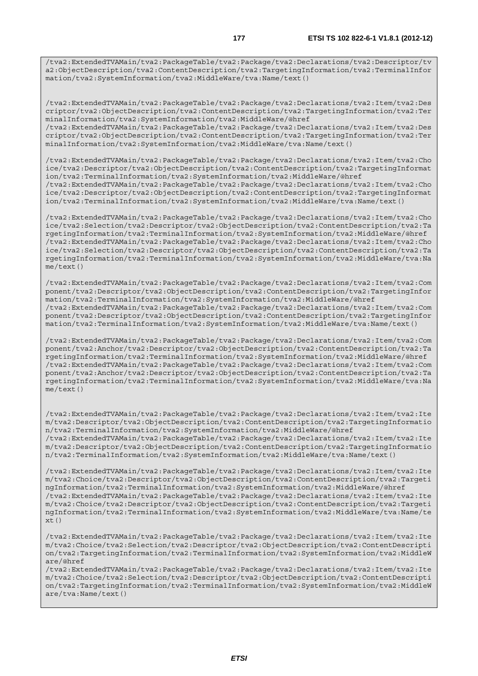/tva2:ExtendedTVAMain/tva2:PackageTable/tva2:Package/tva2:Declarations/tva2:Descriptor/tv a2:ObjectDescription/tva2:ContentDescription/tva2:TargetingInformation/tva2:TerminalInfor mation/tva2:SystemInformation/tva2:MiddleWare/tva:Name/text()

/tva2:ExtendedTVAMain/tva2:PackageTable/tva2:Package/tva2:Declarations/tva2:Item/tva2:Des criptor/tva2:ObjectDescription/tva2:ContentDescription/tva2:TargetingInformation/tva2:Ter minalInformation/tva2:SystemInformation/tva2:MiddleWare/@href /tva2:ExtendedTVAMain/tva2:PackageTable/tva2:Package/tva2:Declarations/tva2:Item/tva2:Des criptor/tva2:ObjectDescription/tva2:ContentDescription/tva2:TargetingInformation/tva2:Ter minalInformation/tva2:SystemInformation/tva2:MiddleWare/tva:Name/text()

/tva2:ExtendedTVAMain/tva2:PackageTable/tva2:Package/tva2:Declarations/tva2:Item/tva2:Cho ice/tva2:Descriptor/tva2:ObjectDescription/tva2:ContentDescription/tva2:TargetingInformat ion/tva2:TerminalInformation/tva2:SystemInformation/tva2:MiddleWare/@href /tva2:ExtendedTVAMain/tva2:PackageTable/tva2:Package/tva2:Declarations/tva2:Item/tva2:Cho ice/tva2:Descriptor/tva2:ObjectDescription/tva2:ContentDescription/tva2:TargetingInformat ion/tva2:TerminalInformation/tva2:SystemInformation/tva2:MiddleWare/tva:Name/text()

/tva2:ExtendedTVAMain/tva2:PackageTable/tva2:Package/tva2:Declarations/tva2:Item/tva2:Cho ice/tva2:Selection/tva2:Descriptor/tva2:ObjectDescription/tva2:ContentDescription/tva2:Ta rgetingInformation/tva2:TerminalInformation/tva2:SystemInformation/tva2:MiddleWare/@href /tva2:ExtendedTVAMain/tva2:PackageTable/tva2:Package/tva2:Declarations/tva2:Item/tva2:Cho ice/tva2:Selection/tva2:Descriptor/tva2:ObjectDescription/tva2:ContentDescription/tva2:Ta rgetingInformation/tva2:TerminalInformation/tva2:SystemInformation/tva2:MiddleWare/tva:Na me/text()

/tva2:ExtendedTVAMain/tva2:PackageTable/tva2:Package/tva2:Declarations/tva2:Item/tva2:Com ponent/tva2:Descriptor/tva2:ObjectDescription/tva2:ContentDescription/tva2:TargetingInfor mation/tva2:TerminalInformation/tva2:SystemInformation/tva2:MiddleWare/@href /tva2:ExtendedTVAMain/tva2:PackageTable/tva2:Package/tva2:Declarations/tva2:Item/tva2:Com ponent/tva2:Descriptor/tva2:ObjectDescription/tva2:ContentDescription/tva2:TargetingInfor mation/tva2:TerminalInformation/tva2:SystemInformation/tva2:MiddleWare/tva:Name/text()

/tva2:ExtendedTVAMain/tva2:PackageTable/tva2:Package/tva2:Declarations/tva2:Item/tva2:Com ponent/tva2:Anchor/tva2:Descriptor/tva2:ObjectDescription/tva2:ContentDescription/tva2:Ta rgetingInformation/tva2:TerminalInformation/tva2:SystemInformation/tva2:MiddleWare/@href /tva2:ExtendedTVAMain/tva2:PackageTable/tva2:Package/tva2:Declarations/tva2:Item/tva2:Com ponent/tva2:Anchor/tva2:Descriptor/tva2:ObjectDescription/tva2:ContentDescription/tva2:Ta rgetingInformation/tva2:TerminalInformation/tva2:SystemInformation/tva2:MiddleWare/tva:Na me/text()

/tva2:ExtendedTVAMain/tva2:PackageTable/tva2:Package/tva2:Declarations/tva2:Item/tva2:Ite m/tva2:Descriptor/tva2:ObjectDescription/tva2:ContentDescription/tva2:TargetingInformatio n/tva2:TerminalInformation/tva2:SystemInformation/tva2:MiddleWare/@href /tva2:ExtendedTVAMain/tva2:PackageTable/tva2:Package/tva2:Declarations/tva2:Item/tva2:Ite m/tva2:Descriptor/tva2:ObjectDescription/tva2:ContentDescription/tva2:TargetingInformatio n/tva2:TerminalInformation/tva2:SystemInformation/tva2:MiddleWare/tva:Name/text()

/tva2:ExtendedTVAMain/tva2:PackageTable/tva2:Package/tva2:Declarations/tva2:Item/tva2:Ite m/tva2:Choice/tva2:Descriptor/tva2:ObjectDescription/tva2:ContentDescription/tva2:Targeti ngInformation/tva2:TerminalInformation/tva2:SystemInformation/tva2:MiddleWare/@href /tva2:ExtendedTVAMain/tva2:PackageTable/tva2:Package/tva2:Declarations/tva2:Item/tva2:Ite m/tva2:Choice/tva2:Descriptor/tva2:ObjectDescription/tva2:ContentDescription/tva2:Targeti ngInformation/tva2:TerminalInformation/tva2:SystemInformation/tva2:MiddleWare/tva:Name/te  $xt()$ 

/tva2:ExtendedTVAMain/tva2:PackageTable/tva2:Package/tva2:Declarations/tva2:Item/tva2:Ite m/tva2:Choice/tva2:Selection/tva2:Descriptor/tva2:ObjectDescription/tva2:ContentDescripti on/tva2:TargetingInformation/tva2:TerminalInformation/tva2:SystemInformation/tva2:MiddleW are/@href

/tva2:ExtendedTVAMain/tva2:PackageTable/tva2:Package/tva2:Declarations/tva2:Item/tva2:Ite m/tva2:Choice/tva2:Selection/tva2:Descriptor/tva2:ObjectDescription/tva2:ContentDescripti on/tva2:TargetingInformation/tva2:TerminalInformation/tva2:SystemInformation/tva2:MiddleW are/tva:Name/text()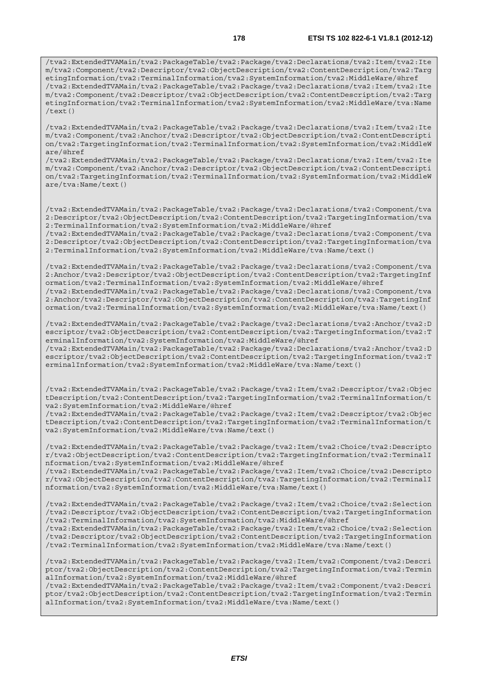/tva2:ExtendedTVAMain/tva2:PackageTable/tva2:Package/tva2:Declarations/tva2:Item/tva2:Ite m/tva2:Component/tva2:Descriptor/tva2:ObjectDescription/tva2:ContentDescription/tva2:Targ etingInformation/tva2:TerminalInformation/tva2:SystemInformation/tva2:MiddleWare/@href /tva2:ExtendedTVAMain/tva2:PackageTable/tva2:Package/tva2:Declarations/tva2:Item/tva2:Ite m/tva2:Component/tva2:Descriptor/tva2:ObjectDescription/tva2:ContentDescription/tva2:Targ etingInformation/tva2:TerminalInformation/tva2:SystemInformation/tva2:MiddleWare/tva:Name  $/text()$ 

/tva2:ExtendedTVAMain/tva2:PackageTable/tva2:Package/tva2:Declarations/tva2:Item/tva2:Ite m/tva2:Component/tva2:Anchor/tva2:Descriptor/tva2:ObjectDescription/tva2:ContentDescripti on/tva2:TargetingInformation/tva2:TerminalInformation/tva2:SystemInformation/tva2:MiddleW are/@href

/tva2:ExtendedTVAMain/tva2:PackageTable/tva2:Package/tva2:Declarations/tva2:Item/tva2:Ite m/tva2:Component/tva2:Anchor/tva2:Descriptor/tva2:ObjectDescription/tva2:ContentDescripti on/tva2:TargetingInformation/tva2:TerminalInformation/tva2:SystemInformation/tva2:MiddleW are/tva:Name/text()

/tva2:ExtendedTVAMain/tva2:PackageTable/tva2:Package/tva2:Declarations/tva2:Component/tva 2:Descriptor/tva2:ObjectDescription/tva2:ContentDescription/tva2:TargetingInformation/tva 2:TerminalInformation/tva2:SystemInformation/tva2:MiddleWare/@href

/tva2:ExtendedTVAMain/tva2:PackageTable/tva2:Package/tva2:Declarations/tva2:Component/tva 2:Descriptor/tva2:ObjectDescription/tva2:ContentDescription/tva2:TargetingInformation/tva 2:TerminalInformation/tva2:SystemInformation/tva2:MiddleWare/tva:Name/text()

/tva2:ExtendedTVAMain/tva2:PackageTable/tva2:Package/tva2:Declarations/tva2:Component/tva 2:Anchor/tva2:Descriptor/tva2:ObjectDescription/tva2:ContentDescription/tva2:TargetingInf ormation/tva2:TerminalInformation/tva2:SystemInformation/tva2:MiddleWare/@href /tva2:ExtendedTVAMain/tva2:PackageTable/tva2:Package/tva2:Declarations/tva2:Component/tva 2:Anchor/tva2:Descriptor/tva2:ObjectDescription/tva2:ContentDescription/tva2:TargetingInf ormation/tva2:TerminalInformation/tva2:SystemInformation/tva2:MiddleWare/tva:Name/text()

/tva2:ExtendedTVAMain/tva2:PackageTable/tva2:Package/tva2:Declarations/tva2:Anchor/tva2:D escriptor/tva2:ObjectDescription/tva2:ContentDescription/tva2:TargetingInformation/tva2:T erminalInformation/tva2:SystemInformation/tva2:MiddleWare/@href /tva2:ExtendedTVAMain/tva2:PackageTable/tva2:Package/tva2:Declarations/tva2:Anchor/tva2:D

escriptor/tva2:ObjectDescription/tva2:ContentDescription/tva2:TargetingInformation/tva2:T erminalInformation/tva2:SystemInformation/tva2:MiddleWare/tva:Name/text()

/tva2:ExtendedTVAMain/tva2:PackageTable/tva2:Package/tva2:Item/tva2:Descriptor/tva2:Objec tDescription/tva2:ContentDescription/tva2:TargetingInformation/tva2:TerminalInformation/t va2:SystemInformation/tva2:MiddleWare/@href

/tva2:ExtendedTVAMain/tva2:PackageTable/tva2:Package/tva2:Item/tva2:Descriptor/tva2:Objec tDescription/tva2:ContentDescription/tva2:TargetingInformation/tva2:TerminalInformation/t va2:SystemInformation/tva2:MiddleWare/tva:Name/text()

/tva2:ExtendedTVAMain/tva2:PackageTable/tva2:Package/tva2:Item/tva2:Choice/tva2:Descripto r/tva2:ObjectDescription/tva2:ContentDescription/tva2:TargetingInformation/tva2:TerminalI nformation/tva2:SystemInformation/tva2:MiddleWare/@href

/tva2:ExtendedTVAMain/tva2:PackageTable/tva2:Package/tva2:Item/tva2:Choice/tva2:Descripto r/tva2:ObjectDescription/tva2:ContentDescription/tva2:TargetingInformation/tva2:TerminalI nformation/tva2:SystemInformation/tva2:MiddleWare/tva:Name/text()

/tva2:ExtendedTVAMain/tva2:PackageTable/tva2:Package/tva2:Item/tva2:Choice/tva2:Selection /tva2:Descriptor/tva2:ObjectDescription/tva2:ContentDescription/tva2:TargetingInformation /tva2:TerminalInformation/tva2:SystemInformation/tva2:MiddleWare/@href

/tva2:ExtendedTVAMain/tva2:PackageTable/tva2:Package/tva2:Item/tva2:Choice/tva2:Selection /tva2:Descriptor/tva2:ObjectDescription/tva2:ContentDescription/tva2:TargetingInformation /tva2:TerminalInformation/tva2:SystemInformation/tva2:MiddleWare/tva:Name/text()

/tva2:ExtendedTVAMain/tva2:PackageTable/tva2:Package/tva2:Item/tva2:Component/tva2:Descri ptor/tva2:ObjectDescription/tva2:ContentDescription/tva2:TargetingInformation/tva2:Termin alInformation/tva2:SystemInformation/tva2:MiddleWare/@href

/tva2:ExtendedTVAMain/tva2:PackageTable/tva2:Package/tva2:Item/tva2:Component/tva2:Descri ptor/tva2:ObjectDescription/tva2:ContentDescription/tva2:TargetingInformation/tva2:Termin alInformation/tva2:SystemInformation/tva2:MiddleWare/tva:Name/text()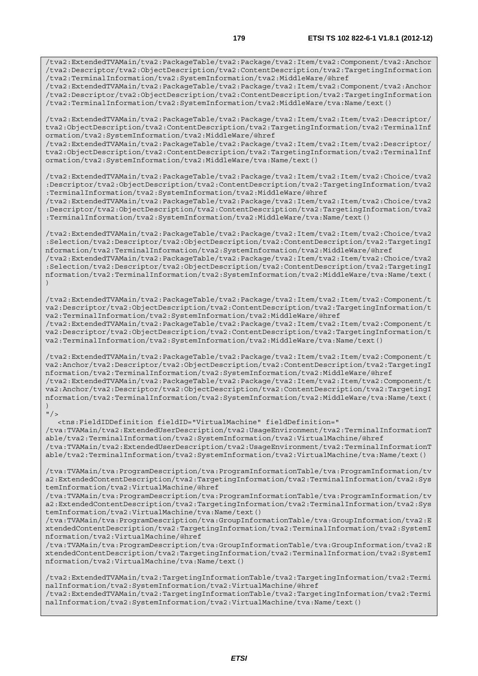/tva2:ExtendedTVAMain/tva2:PackageTable/tva2:Package/tva2:Item/tva2:Component/tva2:Anchor /tva2:Descriptor/tva2:ObjectDescription/tva2:ContentDescription/tva2:TargetingInformation /tva2:TerminalInformation/tva2:SystemInformation/tva2:MiddleWare/@href

/tva2:ExtendedTVAMain/tva2:PackageTable/tva2:Package/tva2:Item/tva2:Component/tva2:Anchor /tva2:Descriptor/tva2:ObjectDescription/tva2:ContentDescription/tva2:TargetingInformation /tva2:TerminalInformation/tva2:SystemInformation/tva2:MiddleWare/tva:Name/text()

/tva2:ExtendedTVAMain/tva2:PackageTable/tva2:Package/tva2:Item/tva2:Item/tva2:Descriptor/ tva2:ObjectDescription/tva2:ContentDescription/tva2:TargetingInformation/tva2:TerminalInf ormation/tva2:SystemInformation/tva2:MiddleWare/@href

/tva2:ExtendedTVAMain/tva2:PackageTable/tva2:Package/tva2:Item/tva2:Item/tva2:Descriptor/ tva2:ObjectDescription/tva2:ContentDescription/tva2:TargetingInformation/tva2:TerminalInf ormation/tva2:SystemInformation/tva2:MiddleWare/tva:Name/text()

/tva2:ExtendedTVAMain/tva2:PackageTable/tva2:Package/tva2:Item/tva2:Item/tva2:Choice/tva2 :Descriptor/tva2:ObjectDescription/tva2:ContentDescription/tva2:TargetingInformation/tva2 :TerminalInformation/tva2:SystemInformation/tva2:MiddleWare/@href

/tva2:ExtendedTVAMain/tva2:PackageTable/tva2:Package/tva2:Item/tva2:Item/tva2:Choice/tva2 :Descriptor/tva2:ObjectDescription/tva2:ContentDescription/tva2:TargetingInformation/tva2 :TerminalInformation/tva2:SystemInformation/tva2:MiddleWare/tva:Name/text()

/tva2:ExtendedTVAMain/tva2:PackageTable/tva2:Package/tva2:Item/tva2:Item/tva2:Choice/tva2 :Selection/tva2:Descriptor/tva2:ObjectDescription/tva2:ContentDescription/tva2:TargetingI nformation/tva2:TerminalInformation/tva2:SystemInformation/tva2:MiddleWare/@href /tva2:ExtendedTVAMain/tva2:PackageTable/tva2:Package/tva2:Item/tva2:Item/tva2:Choice/tva2

:Selection/tva2:Descriptor/tva2:ObjectDescription/tva2:ContentDescription/tva2:TargetingI nformation/tva2:TerminalInformation/tva2:SystemInformation/tva2:MiddleWare/tva:Name/text( )

/tva2:ExtendedTVAMain/tva2:PackageTable/tva2:Package/tva2:Item/tva2:Item/tva2:Component/t va2:Descriptor/tva2:ObjectDescription/tva2:ContentDescription/tva2:TargetingInformation/t va2:TerminalInformation/tva2:SystemInformation/tva2:MiddleWare/@href /tva2:ExtendedTVAMain/tva2:PackageTable/tva2:Package/tva2:Item/tva2:Item/tva2:Component/t va2:Descriptor/tva2:ObjectDescription/tva2:ContentDescription/tva2:TargetingInformation/t va2:TerminalInformation/tva2:SystemInformation/tva2:MiddleWare/tva:Name/text()

/tva2:ExtendedTVAMain/tva2:PackageTable/tva2:Package/tva2:Item/tva2:Item/tva2:Component/t va2:Anchor/tva2:Descriptor/tva2:ObjectDescription/tva2:ContentDescription/tva2:TargetingI nformation/tva2:TerminalInformation/tva2:SystemInformation/tva2:MiddleWare/@href /tva2:ExtendedTVAMain/tva2:PackageTable/tva2:Package/tva2:Item/tva2:Item/tva2:Component/t va2:Anchor/tva2:Descriptor/tva2:ObjectDescription/tva2:ContentDescription/tva2:TargetingI nformation/tva2:TerminalInformation/tva2:SystemInformation/tva2:MiddleWare/tva:Name/text(  $)$ 

 $"$ />

 <tns:FieldIDDefinition fieldID="VirtualMachine" fieldDefinition=" /tva:TVAMain/tva2:ExtendedUserDescription/tva2:UsageEnvironment/tva2:TerminalInformationT able/tva2:TerminalInformation/tva2:SystemInformation/tva2:VirtualMachine/@href /tva:TVAMain/tva2:ExtendedUserDescription/tva2:UsageEnvironment/tva2:TerminalInformationT able/tva2:TerminalInformation/tva2:SystemInformation/tva2:VirtualMachine/tva:Name/text()

/tva:TVAMain/tva:ProgramDescription/tva:ProgramInformationTable/tva:ProgramInformation/tv a2:ExtendedContentDescription/tva2:TargetingInformation/tva2:TerminalInformation/tva2:Sys temInformation/tva2:VirtualMachine/@href

/tva:TVAMain/tva:ProgramDescription/tva:ProgramInformationTable/tva:ProgramInformation/tv a2:ExtendedContentDescription/tva2:TargetingInformation/tva2:TerminalInformation/tva2:Sys temInformation/tva2:VirtualMachine/tva:Name/text()

/tva:TVAMain/tva:ProgramDescription/tva:GroupInformationTable/tva:GroupInformation/tva2:E xtendedContentDescription/tva2:TargetingInformation/tva2:TerminalInformation/tva2:SystemI nformation/tva2:VirtualMachine/@href

/tva:TVAMain/tva:ProgramDescription/tva:GroupInformationTable/tva:GroupInformation/tva2:E xtendedContentDescription/tva2:TargetingInformation/tva2:TerminalInformation/tva2:SystemI nformation/tva2:VirtualMachine/tva:Name/text()

/tva2:ExtendedTVAMain/tva2:TargetingInformationTable/tva2:TargetingInformation/tva2:Termi nalInformation/tva2:SystemInformation/tva2:VirtualMachine/@href /tva2:ExtendedTVAMain/tva2:TargetingInformationTable/tva2:TargetingInformation/tva2:Termi nalInformation/tva2:SystemInformation/tva2:VirtualMachine/tva:Name/text()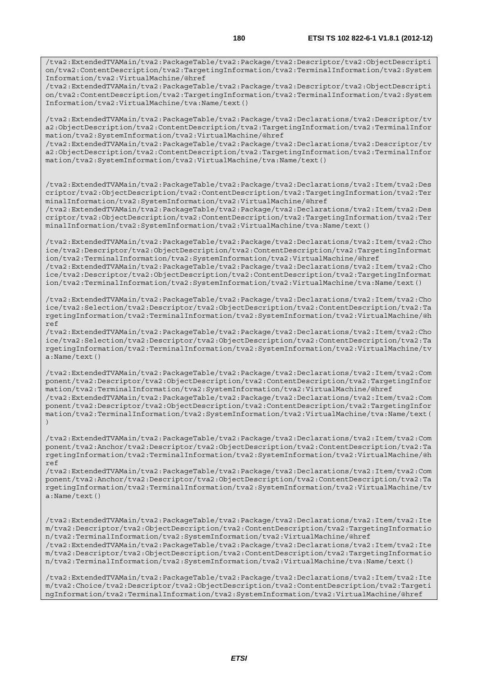/tva2:ExtendedTVAMain/tva2:PackageTable/tva2:Package/tva2:Descriptor/tva2:ObjectDescripti on/tva2:ContentDescription/tva2:TargetingInformation/tva2:TerminalInformation/tva2:System Information/tva2:VirtualMachine/@href

/tva2:ExtendedTVAMain/tva2:PackageTable/tva2:Package/tva2:Descriptor/tva2:ObjectDescripti on/tva2:ContentDescription/tva2:TargetingInformation/tva2:TerminalInformation/tva2:System Information/tva2:VirtualMachine/tva:Name/text()

/tva2:ExtendedTVAMain/tva2:PackageTable/tva2:Package/tva2:Declarations/tva2:Descriptor/tv a2:ObjectDescription/tva2:ContentDescription/tva2:TargetingInformation/tva2:TerminalInfor mation/tva2:SystemInformation/tva2:VirtualMachine/@href

/tva2:ExtendedTVAMain/tva2:PackageTable/tva2:Package/tva2:Declarations/tva2:Descriptor/tv a2:ObjectDescription/tva2:ContentDescription/tva2:TargetingInformation/tva2:TerminalInfor mation/tva2:SystemInformation/tva2:VirtualMachine/tva:Name/text()

/tva2:ExtendedTVAMain/tva2:PackageTable/tva2:Package/tva2:Declarations/tva2:Item/tva2:Des criptor/tva2:ObjectDescription/tva2:ContentDescription/tva2:TargetingInformation/tva2:Ter minalInformation/tva2:SystemInformation/tva2:VirtualMachine/@href

/tva2:ExtendedTVAMain/tva2:PackageTable/tva2:Package/tva2:Declarations/tva2:Item/tva2:Des criptor/tva2:ObjectDescription/tva2:ContentDescription/tva2:TargetingInformation/tva2:Ter minalInformation/tva2:SystemInformation/tva2:VirtualMachine/tva:Name/text()

/tva2:ExtendedTVAMain/tva2:PackageTable/tva2:Package/tva2:Declarations/tva2:Item/tva2:Cho ice/tva2:Descriptor/tva2:ObjectDescription/tva2:ContentDescription/tva2:TargetingInformat ion/tva2:TerminalInformation/tva2:SystemInformation/tva2:VirtualMachine/@href /tva2:ExtendedTVAMain/tva2:PackageTable/tva2:Package/tva2:Declarations/tva2:Item/tva2:Cho ice/tva2:Descriptor/tva2:ObjectDescription/tva2:ContentDescription/tva2:TargetingInformat ion/tva2:TerminalInformation/tva2:SystemInformation/tva2:VirtualMachine/tva:Name/text()

/tva2:ExtendedTVAMain/tva2:PackageTable/tva2:Package/tva2:Declarations/tva2:Item/tva2:Cho ice/tva2:Selection/tva2:Descriptor/tva2:ObjectDescription/tva2:ContentDescription/tva2:Ta rgetingInformation/tva2:TerminalInformation/tva2:SystemInformation/tva2:VirtualMachine/@h ref

/tva2:ExtendedTVAMain/tva2:PackageTable/tva2:Package/tva2:Declarations/tva2:Item/tva2:Cho ice/tva2:Selection/tva2:Descriptor/tva2:ObjectDescription/tva2:ContentDescription/tva2:Ta rgetingInformation/tva2:TerminalInformation/tva2:SystemInformation/tva2:VirtualMachine/tv a:Name/text()

/tva2:ExtendedTVAMain/tva2:PackageTable/tva2:Package/tva2:Declarations/tva2:Item/tva2:Com ponent/tva2:Descriptor/tva2:ObjectDescription/tva2:ContentDescription/tva2:TargetingInfor mation/tva2:TerminalInformation/tva2:SystemInformation/tva2:VirtualMachine/@href /tva2:ExtendedTVAMain/tva2:PackageTable/tva2:Package/tva2:Declarations/tva2:Item/tva2:Com ponent/tva2:Descriptor/tva2:ObjectDescription/tva2:ContentDescription/tva2:TargetingInfor mation/tva2:TerminalInformation/tva2:SystemInformation/tva2:VirtualMachine/tva:Name/text( )

/tva2:ExtendedTVAMain/tva2:PackageTable/tva2:Package/tva2:Declarations/tva2:Item/tva2:Com ponent/tva2:Anchor/tva2:Descriptor/tva2:ObjectDescription/tva2:ContentDescription/tva2:Ta rgetingInformation/tva2:TerminalInformation/tva2:SystemInformation/tva2:VirtualMachine/@h ref

/tva2:ExtendedTVAMain/tva2:PackageTable/tva2:Package/tva2:Declarations/tva2:Item/tva2:Com ponent/tva2:Anchor/tva2:Descriptor/tva2:ObjectDescription/tva2:ContentDescription/tva2:Ta rgetingInformation/tva2:TerminalInformation/tva2:SystemInformation/tva2:VirtualMachine/tv a:Name/text()

/tva2:ExtendedTVAMain/tva2:PackageTable/tva2:Package/tva2:Declarations/tva2:Item/tva2:Ite m/tva2:Descriptor/tva2:ObjectDescription/tva2:ContentDescription/tva2:TargetingInformatio n/tva2:TerminalInformation/tva2:SystemInformation/tva2:VirtualMachine/@href /tva2:ExtendedTVAMain/tva2:PackageTable/tva2:Package/tva2:Declarations/tva2:Item/tva2:Ite m/tva2:Descriptor/tva2:ObjectDescription/tva2:ContentDescription/tva2:TargetingInformatio n/tva2:TerminalInformation/tva2:SystemInformation/tva2:VirtualMachine/tva:Name/text()

/tva2:ExtendedTVAMain/tva2:PackageTable/tva2:Package/tva2:Declarations/tva2:Item/tva2:Ite m/tva2:Choice/tva2:Descriptor/tva2:ObjectDescription/tva2:ContentDescription/tva2:Targeti ngInformation/tva2:TerminalInformation/tva2:SystemInformation/tva2:VirtualMachine/@href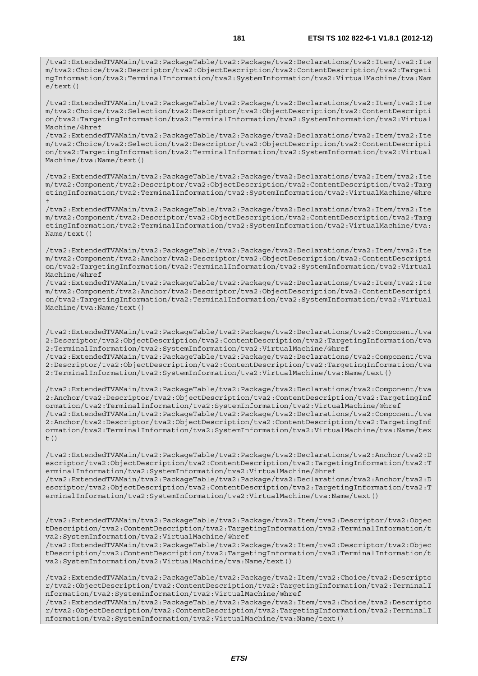/tva2:ExtendedTVAMain/tva2:PackageTable/tva2:Package/tva2:Declarations/tva2:Item/tva2:Ite m/tva2:Choice/tva2:Descriptor/tva2:ObjectDescription/tva2:ContentDescription/tva2:Targeti ngInformation/tva2:TerminalInformation/tva2:SystemInformation/tva2:VirtualMachine/tva:Nam  $e$ /text()

/tva2:ExtendedTVAMain/tva2:PackageTable/tva2:Package/tva2:Declarations/tva2:Item/tva2:Ite m/tva2:Choice/tva2:Selection/tva2:Descriptor/tva2:ObjectDescription/tva2:ContentDescripti on/tva2:TargetingInformation/tva2:TerminalInformation/tva2:SystemInformation/tva2:Virtual Machine/@href

/tva2:ExtendedTVAMain/tva2:PackageTable/tva2:Package/tva2:Declarations/tva2:Item/tva2:Ite m/tva2:Choice/tva2:Selection/tva2:Descriptor/tva2:ObjectDescription/tva2:ContentDescripti on/tva2:TargetingInformation/tva2:TerminalInformation/tva2:SystemInformation/tva2:Virtual Machine/tva:Name/text()

/tva2:ExtendedTVAMain/tva2:PackageTable/tva2:Package/tva2:Declarations/tva2:Item/tva2:Ite m/tva2:Component/tva2:Descriptor/tva2:ObjectDescription/tva2:ContentDescription/tva2:Targ etingInformation/tva2:TerminalInformation/tva2:SystemInformation/tva2:VirtualMachine/@hre f

/tva2:ExtendedTVAMain/tva2:PackageTable/tva2:Package/tva2:Declarations/tva2:Item/tva2:Ite m/tva2:Component/tva2:Descriptor/tva2:ObjectDescription/tva2:ContentDescription/tva2:Targ etingInformation/tva2:TerminalInformation/tva2:SystemInformation/tva2:VirtualMachine/tva: Name/text()

/tva2:ExtendedTVAMain/tva2:PackageTable/tva2:Package/tva2:Declarations/tva2:Item/tva2:Ite m/tva2:Component/tva2:Anchor/tva2:Descriptor/tva2:ObjectDescription/tva2:ContentDescripti on/tva2:TargetingInformation/tva2:TerminalInformation/tva2:SystemInformation/tva2:Virtual Machine/@href

/tva2:ExtendedTVAMain/tva2:PackageTable/tva2:Package/tva2:Declarations/tva2:Item/tva2:Ite m/tva2:Component/tva2:Anchor/tva2:Descriptor/tva2:ObjectDescription/tva2:ContentDescripti on/tva2:TargetingInformation/tva2:TerminalInformation/tva2:SystemInformation/tva2:Virtual Machine/tva:Name/text()

/tva2:ExtendedTVAMain/tva2:PackageTable/tva2:Package/tva2:Declarations/tva2:Component/tva 2:Descriptor/tva2:ObjectDescription/tva2:ContentDescription/tva2:TargetingInformation/tva 2:TerminalInformation/tva2:SystemInformation/tva2:VirtualMachine/@href /tva2:ExtendedTVAMain/tva2:PackageTable/tva2:Package/tva2:Declarations/tva2:Component/tva

2:Descriptor/tva2:ObjectDescription/tva2:ContentDescription/tva2:TargetingInformation/tva 2:TerminalInformation/tva2:SystemInformation/tva2:VirtualMachine/tva:Name/text()

/tva2:ExtendedTVAMain/tva2:PackageTable/tva2:Package/tva2:Declarations/tva2:Component/tva 2:Anchor/tva2:Descriptor/tva2:ObjectDescription/tva2:ContentDescription/tva2:TargetingInf ormation/tva2:TerminalInformation/tva2:SystemInformation/tva2:VirtualMachine/@href /tva2:ExtendedTVAMain/tva2:PackageTable/tva2:Package/tva2:Declarations/tva2:Component/tva 2:Anchor/tva2:Descriptor/tva2:ObjectDescription/tva2:ContentDescription/tva2:TargetingInf ormation/tva2:TerminalInformation/tva2:SystemInformation/tva2:VirtualMachine/tva:Name/tex  $t()$ 

/tva2:ExtendedTVAMain/tva2:PackageTable/tva2:Package/tva2:Declarations/tva2:Anchor/tva2:D escriptor/tva2:ObjectDescription/tva2:ContentDescription/tva2:TargetingInformation/tva2:T erminalInformation/tva2:SystemInformation/tva2:VirtualMachine/@href /tva2:ExtendedTVAMain/tva2:PackageTable/tva2:Package/tva2:Declarations/tva2:Anchor/tva2:D escriptor/tva2:ObjectDescription/tva2:ContentDescription/tva2:TargetingInformation/tva2:T erminalInformation/tva2:SystemInformation/tva2:VirtualMachine/tva:Name/text()

/tva2:ExtendedTVAMain/tva2:PackageTable/tva2:Package/tva2:Item/tva2:Descriptor/tva2:Objec tDescription/tva2:ContentDescription/tva2:TargetingInformation/tva2:TerminalInformation/t va2:SystemInformation/tva2:VirtualMachine/@href

/tva2:ExtendedTVAMain/tva2:PackageTable/tva2:Package/tva2:Item/tva2:Descriptor/tva2:Objec tDescription/tva2:ContentDescription/tva2:TargetingInformation/tva2:TerminalInformation/t va2:SystemInformation/tva2:VirtualMachine/tva:Name/text()

/tva2:ExtendedTVAMain/tva2:PackageTable/tva2:Package/tva2:Item/tva2:Choice/tva2:Descripto r/tva2:ObjectDescription/tva2:ContentDescription/tva2:TargetingInformation/tva2:TerminalI nformation/tva2:SystemInformation/tva2:VirtualMachine/@href

/tva2:ExtendedTVAMain/tva2:PackageTable/tva2:Package/tva2:Item/tva2:Choice/tva2:Descripto r/tva2:ObjectDescription/tva2:ContentDescription/tva2:TargetingInformation/tva2:TerminalI nformation/tva2:SystemInformation/tva2:VirtualMachine/tva:Name/text()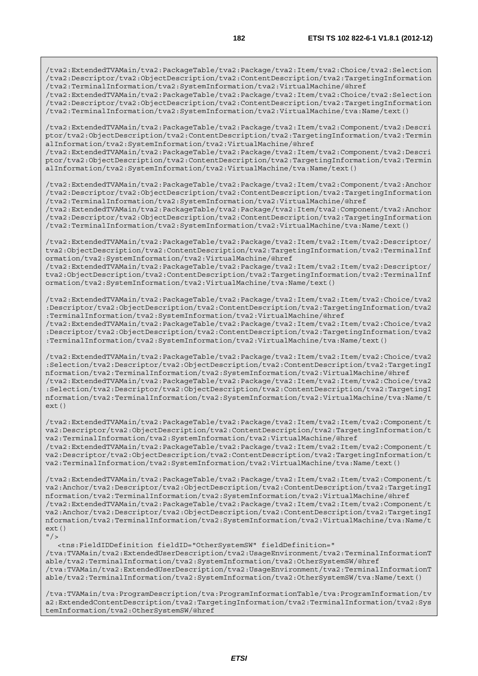/tva2:ExtendedTVAMain/tva2:PackageTable/tva2:Package/tva2:Item/tva2:Choice/tva2:Selection /tva2:Descriptor/tva2:ObjectDescription/tva2:ContentDescription/tva2:TargetingInformation /tva2:TerminalInformation/tva2:SystemInformation/tva2:VirtualMachine/@href

/tva2:ExtendedTVAMain/tva2:PackageTable/tva2:Package/tva2:Item/tva2:Choice/tva2:Selection /tva2:Descriptor/tva2:ObjectDescription/tva2:ContentDescription/tva2:TargetingInformation /tva2:TerminalInformation/tva2:SystemInformation/tva2:VirtualMachine/tva:Name/text()

/tva2:ExtendedTVAMain/tva2:PackageTable/tva2:Package/tva2:Item/tva2:Component/tva2:Descri ptor/tva2:ObjectDescription/tva2:ContentDescription/tva2:TargetingInformation/tva2:Termin alInformation/tva2:SystemInformation/tva2:VirtualMachine/@href

/tva2:ExtendedTVAMain/tva2:PackageTable/tva2:Package/tva2:Item/tva2:Component/tva2:Descri ptor/tva2:ObjectDescription/tva2:ContentDescription/tva2:TargetingInformation/tva2:Termin alInformation/tva2:SystemInformation/tva2:VirtualMachine/tva:Name/text()

/tva2:ExtendedTVAMain/tva2:PackageTable/tva2:Package/tva2:Item/tva2:Component/tva2:Anchor /tva2:Descriptor/tva2:ObjectDescription/tva2:ContentDescription/tva2:TargetingInformation /tva2:TerminalInformation/tva2:SystemInformation/tva2:VirtualMachine/@href /tva2:ExtendedTVAMain/tva2:PackageTable/tva2:Package/tva2:Item/tva2:Component/tva2:Anchor

/tva2:Descriptor/tva2:ObjectDescription/tva2:ContentDescription/tva2:TargetingInformation /tva2:TerminalInformation/tva2:SystemInformation/tva2:VirtualMachine/tva:Name/text()

/tva2:ExtendedTVAMain/tva2:PackageTable/tva2:Package/tva2:Item/tva2:Item/tva2:Descriptor/ tva2:ObjectDescription/tva2:ContentDescription/tva2:TargetingInformation/tva2:TerminalInf ormation/tva2:SystemInformation/tva2:VirtualMachine/@href /tva2:ExtendedTVAMain/tva2:PackageTable/tva2:Package/tva2:Item/tva2:Item/tva2:Descriptor/

tva2:ObjectDescription/tva2:ContentDescription/tva2:TargetingInformation/tva2:TerminalInf ormation/tva2:SystemInformation/tva2:VirtualMachine/tva:Name/text()

/tva2:ExtendedTVAMain/tva2:PackageTable/tva2:Package/tva2:Item/tva2:Item/tva2:Choice/tva2 :Descriptor/tva2:ObjectDescription/tva2:ContentDescription/tva2:TargetingInformation/tva2 :TerminalInformation/tva2:SystemInformation/tva2:VirtualMachine/@href /tva2:ExtendedTVAMain/tva2:PackageTable/tva2:Package/tva2:Item/tva2:Item/tva2:Choice/tva2 :Descriptor/tva2:ObjectDescription/tva2:ContentDescription/tva2:TargetingInformation/tva2 :TerminalInformation/tva2:SystemInformation/tva2:VirtualMachine/tva:Name/text()

/tva2:ExtendedTVAMain/tva2:PackageTable/tva2:Package/tva2:Item/tva2:Item/tva2:Choice/tva2 :Selection/tva2:Descriptor/tva2:ObjectDescription/tva2:ContentDescription/tva2:TargetingI nformation/tva2:TerminalInformation/tva2:SystemInformation/tva2:VirtualMachine/@href /tva2:ExtendedTVAMain/tva2:PackageTable/tva2:Package/tva2:Item/tva2:Item/tva2:Choice/tva2 :Selection/tva2:Descriptor/tva2:ObjectDescription/tva2:ContentDescription/tva2:TargetingI nformation/tva2:TerminalInformation/tva2:SystemInformation/tva2:VirtualMachine/tva:Name/t  $ext()$ 

/tva2:ExtendedTVAMain/tva2:PackageTable/tva2:Package/tva2:Item/tva2:Item/tva2:Component/t va2:Descriptor/tva2:ObjectDescription/tva2:ContentDescription/tva2:TargetingInformation/t va2:TerminalInformation/tva2:SystemInformation/tva2:VirtualMachine/@href /tva2:ExtendedTVAMain/tva2:PackageTable/tva2:Package/tva2:Item/tva2:Item/tva2:Component/t va2:Descriptor/tva2:ObjectDescription/tva2:ContentDescription/tva2:TargetingInformation/t va2:TerminalInformation/tva2:SystemInformation/tva2:VirtualMachine/tva:Name/text()

/tva2:ExtendedTVAMain/tva2:PackageTable/tva2:Package/tva2:Item/tva2:Item/tva2:Component/t va2:Anchor/tva2:Descriptor/tva2:ObjectDescription/tva2:ContentDescription/tva2:TargetingI nformation/tva2:TerminalInformation/tva2:SystemInformation/tva2:VirtualMachine/@href /tva2:ExtendedTVAMain/tva2:PackageTable/tva2:Package/tva2:Item/tva2:Item/tva2:Component/t va2:Anchor/tva2:Descriptor/tva2:ObjectDescription/tva2:ContentDescription/tva2:TargetingI nformation/tva2:TerminalInformation/tva2:SystemInformation/tva2:VirtualMachine/tva:Name/t ext()  $"$ />

 <tns:FieldIDDefinition fieldID="OtherSystemSW" fieldDefinition=" /tva:TVAMain/tva2:ExtendedUserDescription/tva2:UsageEnvironment/tva2:TerminalInformationT able/tva2:TerminalInformation/tva2:SystemInformation/tva2:OtherSystemSW/@href /tva:TVAMain/tva2:ExtendedUserDescription/tva2:UsageEnvironment/tva2:TerminalInformationT able/tva2:TerminalInformation/tva2:SystemInformation/tva2:OtherSystemSW/tva:Name/text()

/tva:TVAMain/tva:ProgramDescription/tva:ProgramInformationTable/tva:ProgramInformation/tv a2:ExtendedContentDescription/tva2:TargetingInformation/tva2:TerminalInformation/tva2:Sys temInformation/tva2:OtherSystemSW/@href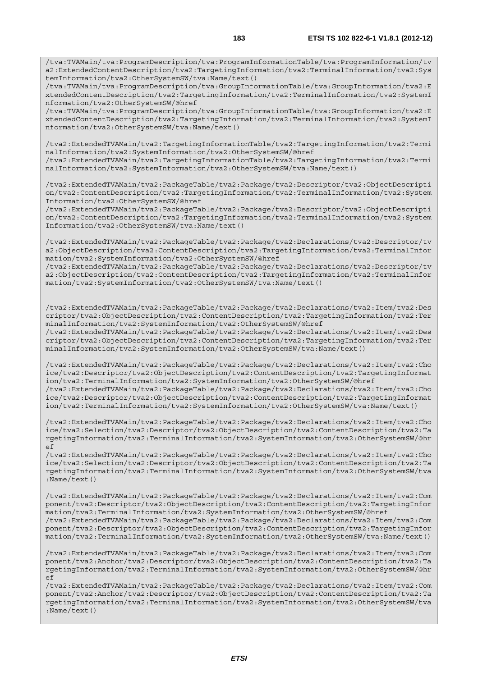/tva:TVAMain/tva:ProgramDescription/tva:ProgramInformationTable/tva:ProgramInformation/tv a2:ExtendedContentDescription/tva2:TargetingInformation/tva2:TerminalInformation/tva2:Sys temInformation/tva2:OtherSystemSW/tva:Name/text()

/tva:TVAMain/tva:ProgramDescription/tva:GroupInformationTable/tva:GroupInformation/tva2:E xtendedContentDescription/tva2:TargetingInformation/tva2:TerminalInformation/tva2:SystemI nformation/tva2:OtherSystemSW/@href

/tva:TVAMain/tva:ProgramDescription/tva:GroupInformationTable/tva:GroupInformation/tva2:E xtendedContentDescription/tva2:TargetingInformation/tva2:TerminalInformation/tva2:SystemI nformation/tva2:OtherSystemSW/tva:Name/text()

/tva2:ExtendedTVAMain/tva2:TargetingInformationTable/tva2:TargetingInformation/tva2:Termi nalInformation/tva2:SystemInformation/tva2:OtherSystemSW/@href /tva2:ExtendedTVAMain/tva2:TargetingInformationTable/tva2:TargetingInformation/tva2:Termi

nalInformation/tva2:SystemInformation/tva2:OtherSystemSW/tva:Name/text()

/tva2:ExtendedTVAMain/tva2:PackageTable/tva2:Package/tva2:Descriptor/tva2:ObjectDescripti on/tva2:ContentDescription/tva2:TargetingInformation/tva2:TerminalInformation/tva2:System Information/tva2:OtherSystemSW/@href

/tva2:ExtendedTVAMain/tva2:PackageTable/tva2:Package/tva2:Descriptor/tva2:ObjectDescripti on/tva2:ContentDescription/tva2:TargetingInformation/tva2:TerminalInformation/tva2:System Information/tva2:OtherSystemSW/tva:Name/text()

/tva2:ExtendedTVAMain/tva2:PackageTable/tva2:Package/tva2:Declarations/tva2:Descriptor/tv a2:ObjectDescription/tva2:ContentDescription/tva2:TargetingInformation/tva2:TerminalInfor mation/tva2:SystemInformation/tva2:OtherSystemSW/@href

/tva2:ExtendedTVAMain/tva2:PackageTable/tva2:Package/tva2:Declarations/tva2:Descriptor/tv a2:ObjectDescription/tva2:ContentDescription/tva2:TargetingInformation/tva2:TerminalInfor mation/tva2:SystemInformation/tva2:OtherSystemSW/tva:Name/text()

/tva2:ExtendedTVAMain/tva2:PackageTable/tva2:Package/tva2:Declarations/tva2:Item/tva2:Des criptor/tva2:ObjectDescription/tva2:ContentDescription/tva2:TargetingInformation/tva2:Ter minalInformation/tva2:SystemInformation/tva2:OtherSystemSW/@href /tva2:ExtendedTVAMain/tva2:PackageTable/tva2:Package/tva2:Declarations/tva2:Item/tva2:Des

criptor/tva2:ObjectDescription/tva2:ContentDescription/tva2:TargetingInformation/tva2:Ter minalInformation/tva2:SystemInformation/tva2:OtherSystemSW/tva:Name/text()

/tva2:ExtendedTVAMain/tva2:PackageTable/tva2:Package/tva2:Declarations/tva2:Item/tva2:Cho ice/tva2:Descriptor/tva2:ObjectDescription/tva2:ContentDescription/tva2:TargetingInformat ion/tva2:TerminalInformation/tva2:SystemInformation/tva2:OtherSystemSW/@href /tva2:ExtendedTVAMain/tva2:PackageTable/tva2:Package/tva2:Declarations/tva2:Item/tva2:Cho ice/tva2:Descriptor/tva2:ObjectDescription/tva2:ContentDescription/tva2:TargetingInformat ion/tva2:TerminalInformation/tva2:SystemInformation/tva2:OtherSystemSW/tva:Name/text()

/tva2:ExtendedTVAMain/tva2:PackageTable/tva2:Package/tva2:Declarations/tva2:Item/tva2:Cho ice/tva2:Selection/tva2:Descriptor/tva2:ObjectDescription/tva2:ContentDescription/tva2:Ta rgetingInformation/tva2:TerminalInformation/tva2:SystemInformation/tva2:OtherSystemSW/@hr ef

/tva2:ExtendedTVAMain/tva2:PackageTable/tva2:Package/tva2:Declarations/tva2:Item/tva2:Cho ice/tva2:Selection/tva2:Descriptor/tva2:ObjectDescription/tva2:ContentDescription/tva2:Ta rgetingInformation/tva2:TerminalInformation/tva2:SystemInformation/tva2:OtherSystemSW/tva :Name/text()

/tva2:ExtendedTVAMain/tva2:PackageTable/tva2:Package/tva2:Declarations/tva2:Item/tva2:Com ponent/tva2:Descriptor/tva2:ObjectDescription/tva2:ContentDescription/tva2:TargetingInfor mation/tva2:TerminalInformation/tva2:SystemInformation/tva2:OtherSystemSW/@href /tva2:ExtendedTVAMain/tva2:PackageTable/tva2:Package/tva2:Declarations/tva2:Item/tva2:Com ponent/tva2:Descriptor/tva2:ObjectDescription/tva2:ContentDescription/tva2:TargetingInfor mation/tva2:TerminalInformation/tva2:SystemInformation/tva2:OtherSystemSW/tva:Name/text()

/tva2:ExtendedTVAMain/tva2:PackageTable/tva2:Package/tva2:Declarations/tva2:Item/tva2:Com ponent/tva2:Anchor/tva2:Descriptor/tva2:ObjectDescription/tva2:ContentDescription/tva2:Ta rgetingInformation/tva2:TerminalInformation/tva2:SystemInformation/tva2:OtherSystemSW/@hr  $\in$ f

/tva2:ExtendedTVAMain/tva2:PackageTable/tva2:Package/tva2:Declarations/tva2:Item/tva2:Com ponent/tva2:Anchor/tva2:Descriptor/tva2:ObjectDescription/tva2:ContentDescription/tva2:Ta rgetingInformation/tva2:TerminalInformation/tva2:SystemInformation/tva2:OtherSystemSW/tva :Name/text()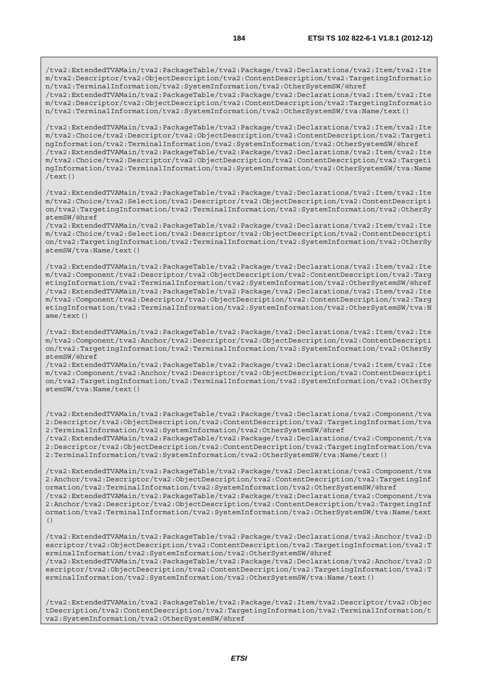/tva2:ExtendedTVAMain/tva2:PackageTable/tva2:Package/tva2:Declarations/tva2:Item/tva2:Ite m/tva2:Descriptor/tva2:ObjectDescription/tva2:ContentDescription/tva2:TargetingInformatio n/tva2:TerminalInformation/tva2:SystemInformation/tva2:OtherSystemSW/@href /tva2:ExtendedTVAMain/tva2:PackageTable/tva2:Package/tva2:Declarations/tva2:Item/tva2:Ite

m/tva2:Descriptor/tva2:ObjectDescription/tva2:ContentDescription/tva2:TargetingInformatio n/tva2:TerminalInformation/tva2:SystemInformation/tva2:OtherSystemSW/tva:Name/text()

/tva2:ExtendedTVAMain/tva2:PackageTable/tva2:Package/tva2:Declarations/tva2:Item/tva2:Ite m/tva2:Choice/tva2:Descriptor/tva2:ObjectDescription/tva2:ContentDescription/tva2:Targeti ngInformation/tva2:TerminalInformation/tva2:SystemInformation/tva2:OtherSystemSW/@href /tva2:ExtendedTVAMain/tva2:PackageTable/tva2:Package/tva2:Declarations/tva2:Item/tva2:Ite m/tva2:Choice/tva2:Descriptor/tva2:ObjectDescription/tva2:ContentDescription/tva2:Targeti ngInformation/tva2:TerminalInformation/tva2:SystemInformation/tva2:OtherSystemSW/tva:Name /text()

/tva2:ExtendedTVAMain/tva2:PackageTable/tva2:Package/tva2:Declarations/tva2:Item/tva2:Ite m/tva2:Choice/tva2:Selection/tva2:Descriptor/tva2:ObjectDescription/tva2:ContentDescripti on/tva2:TargetingInformation/tva2:TerminalInformation/tva2:SystemInformation/tva2:OtherSy stemSW/@href

/tva2:ExtendedTVAMain/tva2:PackageTable/tva2:Package/tva2:Declarations/tva2:Item/tva2:Ite m/tva2:Choice/tva2:Selection/tva2:Descriptor/tva2:ObjectDescription/tva2:ContentDescripti on/tva2:TargetingInformation/tva2:TerminalInformation/tva2:SystemInformation/tva2:OtherSy stemSW/tva:Name/text()

/tva2:ExtendedTVAMain/tva2:PackageTable/tva2:Package/tva2:Declarations/tva2:Item/tva2:Ite m/tva2:Component/tva2:Descriptor/tva2:ObjectDescription/tva2:ContentDescription/tva2:Targ etingInformation/tva2:TerminalInformation/tva2:SystemInformation/tva2:OtherSystemSW/@href /tva2:ExtendedTVAMain/tva2:PackageTable/tva2:Package/tva2:Declarations/tva2:Item/tva2:Ite m/tva2:Component/tva2:Descriptor/tva2:ObjectDescription/tva2:ContentDescription/tva2:Targ etingInformation/tva2:TerminalInformation/tva2:SystemInformation/tva2:OtherSystemSW/tva:N ame/text()

/tva2:ExtendedTVAMain/tva2:PackageTable/tva2:Package/tva2:Declarations/tva2:Item/tva2:Ite m/tva2:Component/tva2:Anchor/tva2:Descriptor/tva2:ObjectDescription/tva2:ContentDescripti on/tva2:TargetingInformation/tva2:TerminalInformation/tva2:SystemInformation/tva2:OtherSy stemSW/@href

/tva2:ExtendedTVAMain/tva2:PackageTable/tva2:Package/tva2:Declarations/tva2:Item/tva2:Ite m/tva2:Component/tva2:Anchor/tva2:Descriptor/tva2:ObjectDescription/tva2:ContentDescripti on/tva2:TargetingInformation/tva2:TerminalInformation/tva2:SystemInformation/tva2:OtherSy stemSW/tva:Name/text()

/tva2:ExtendedTVAMain/tva2:PackageTable/tva2:Package/tva2:Declarations/tva2:Component/tva 2:Descriptor/tva2:ObjectDescription/tva2:ContentDescription/tva2:TargetingInformation/tva 2:TerminalInformation/tva2:SystemInformation/tva2:OtherSystemSW/@href /tva2:ExtendedTVAMain/tva2:PackageTable/tva2:Package/tva2:Declarations/tva2:Component/tva 2:Descriptor/tva2:ObjectDescription/tva2:ContentDescription/tva2:TargetingInformation/tva

2:TerminalInformation/tva2:SystemInformation/tva2:OtherSystemSW/tva:Name/text()

/tva2:ExtendedTVAMain/tva2:PackageTable/tva2:Package/tva2:Declarations/tva2:Component/tva 2:Anchor/tva2:Descriptor/tva2:ObjectDescription/tva2:ContentDescription/tva2:TargetingInf ormation/tva2:TerminalInformation/tva2:SystemInformation/tva2:OtherSystemSW/@href /tva2:ExtendedTVAMain/tva2:PackageTable/tva2:Package/tva2:Declarations/tva2:Component/tva 2:Anchor/tva2:Descriptor/tva2:ObjectDescription/tva2:ContentDescription/tva2:TargetingInf ormation/tva2:TerminalInformation/tva2:SystemInformation/tva2:OtherSystemSW/tva:Name/text ()

/tva2:ExtendedTVAMain/tva2:PackageTable/tva2:Package/tva2:Declarations/tva2:Anchor/tva2:D escriptor/tva2:ObjectDescription/tva2:ContentDescription/tva2:TargetingInformation/tva2:T erminalInformation/tva2:SystemInformation/tva2:OtherSystemSW/@href /tva2:ExtendedTVAMain/tva2:PackageTable/tva2:Package/tva2:Declarations/tva2:Anchor/tva2:D escriptor/tva2:ObjectDescription/tva2:ContentDescription/tva2:TargetingInformation/tva2:T erminalInformation/tva2:SystemInformation/tva2:OtherSystemSW/tva:Name/text()

/tva2:ExtendedTVAMain/tva2:PackageTable/tva2:Package/tva2:Item/tva2:Descriptor/tva2:Objec tDescription/tva2:ContentDescription/tva2:TargetingInformation/tva2:TerminalInformation/t va2:SystemInformation/tva2:OtherSystemSW/@href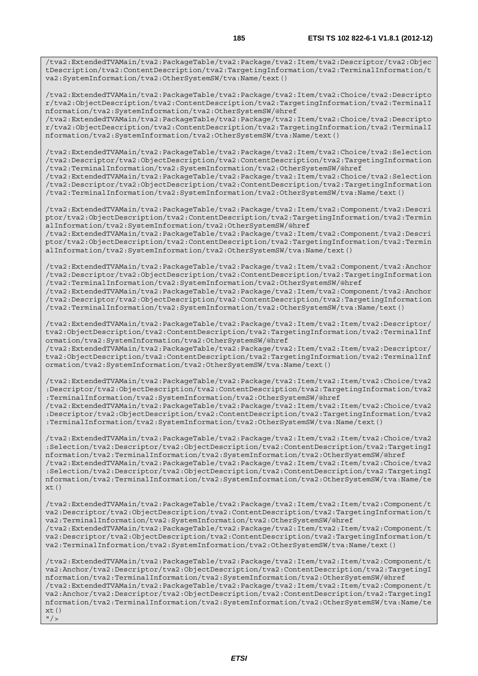/tva2:ExtendedTVAMain/tva2:PackageTable/tva2:Package/tva2:Item/tva2:Descriptor/tva2:Objec tDescription/tva2:ContentDescription/tva2:TargetingInformation/tva2:TerminalInformation/t va2:SystemInformation/tva2:OtherSystemSW/tva:Name/text()

/tva2:ExtendedTVAMain/tva2:PackageTable/tva2:Package/tva2:Item/tva2:Choice/tva2:Descripto r/tva2:ObjectDescription/tva2:ContentDescription/tva2:TargetingInformation/tva2:TerminalI nformation/tva2:SystemInformation/tva2:OtherSystemSW/@href

/tva2:ExtendedTVAMain/tva2:PackageTable/tva2:Package/tva2:Item/tva2:Choice/tva2:Descripto r/tva2:ObjectDescription/tva2:ContentDescription/tva2:TargetingInformation/tva2:TerminalI nformation/tva2:SystemInformation/tva2:OtherSystemSW/tva:Name/text()

/tva2:ExtendedTVAMain/tva2:PackageTable/tva2:Package/tva2:Item/tva2:Choice/tva2:Selection /tva2:Descriptor/tva2:ObjectDescription/tva2:ContentDescription/tva2:TargetingInformation /tva2:TerminalInformation/tva2:SystemInformation/tva2:OtherSystemSW/@href

/tva2:ExtendedTVAMain/tva2:PackageTable/tva2:Package/tva2:Item/tva2:Choice/tva2:Selection /tva2:Descriptor/tva2:ObjectDescription/tva2:ContentDescription/tva2:TargetingInformation /tva2:TerminalInformation/tva2:SystemInformation/tva2:OtherSystemSW/tva:Name/text()

/tva2:ExtendedTVAMain/tva2:PackageTable/tva2:Package/tva2:Item/tva2:Component/tva2:Descri ptor/tva2:ObjectDescription/tva2:ContentDescription/tva2:TargetingInformation/tva2:Termin alInformation/tva2:SystemInformation/tva2:OtherSystemSW/@href

/tva2:ExtendedTVAMain/tva2:PackageTable/tva2:Package/tva2:Item/tva2:Component/tva2:Descri ptor/tva2:ObjectDescription/tva2:ContentDescription/tva2:TargetingInformation/tva2:Termin alInformation/tva2:SystemInformation/tva2:OtherSystemSW/tva:Name/text()

/tva2:ExtendedTVAMain/tva2:PackageTable/tva2:Package/tva2:Item/tva2:Component/tva2:Anchor /tva2:Descriptor/tva2:ObjectDescription/tva2:ContentDescription/tva2:TargetingInformation /tva2:TerminalInformation/tva2:SystemInformation/tva2:OtherSystemSW/@href

/tva2:ExtendedTVAMain/tva2:PackageTable/tva2:Package/tva2:Item/tva2:Component/tva2:Anchor /tva2:Descriptor/tva2:ObjectDescription/tva2:ContentDescription/tva2:TargetingInformation /tva2:TerminalInformation/tva2:SystemInformation/tva2:OtherSystemSW/tva:Name/text()

/tva2:ExtendedTVAMain/tva2:PackageTable/tva2:Package/tva2:Item/tva2:Item/tva2:Descriptor/ tva2:ObjectDescription/tva2:ContentDescription/tva2:TargetingInformation/tva2:TerminalInf ormation/tva2:SystemInformation/tva2:OtherSystemSW/@href

/tva2:ExtendedTVAMain/tva2:PackageTable/tva2:Package/tva2:Item/tva2:Item/tva2:Descriptor/ tva2:ObjectDescription/tva2:ContentDescription/tva2:TargetingInformation/tva2:TerminalInf ormation/tva2:SystemInformation/tva2:OtherSystemSW/tva:Name/text()

/tva2:ExtendedTVAMain/tva2:PackageTable/tva2:Package/tva2:Item/tva2:Item/tva2:Choice/tva2 :Descriptor/tva2:ObjectDescription/tva2:ContentDescription/tva2:TargetingInformation/tva2 :TerminalInformation/tva2:SystemInformation/tva2:OtherSystemSW/@href

/tva2:ExtendedTVAMain/tva2:PackageTable/tva2:Package/tva2:Item/tva2:Item/tva2:Choice/tva2 :Descriptor/tva2:ObjectDescription/tva2:ContentDescription/tva2:TargetingInformation/tva2 :TerminalInformation/tva2:SystemInformation/tva2:OtherSystemSW/tva:Name/text()

/tva2:ExtendedTVAMain/tva2:PackageTable/tva2:Package/tva2:Item/tva2:Item/tva2:Choice/tva2 :Selection/tva2:Descriptor/tva2:ObjectDescription/tva2:ContentDescription/tva2:TargetingI nformation/tva2:TerminalInformation/tva2:SystemInformation/tva2:OtherSystemSW/@href /tva2:ExtendedTVAMain/tva2:PackageTable/tva2:Package/tva2:Item/tva2:Item/tva2:Choice/tva2 :Selection/tva2:Descriptor/tva2:ObjectDescription/tva2:ContentDescription/tva2:TargetingI nformation/tva2:TerminalInformation/tva2:SystemInformation/tva2:OtherSystemSW/tva:Name/te xt()

/tva2:ExtendedTVAMain/tva2:PackageTable/tva2:Package/tva2:Item/tva2:Item/tva2:Component/t va2:Descriptor/tva2:ObjectDescription/tva2:ContentDescription/tva2:TargetingInformation/t va2:TerminalInformation/tva2:SystemInformation/tva2:OtherSystemSW/@href /tva2:ExtendedTVAMain/tva2:PackageTable/tva2:Package/tva2:Item/tva2:Item/tva2:Component/t va2:Descriptor/tva2:ObjectDescription/tva2:ContentDescription/tva2:TargetingInformation/t va2:TerminalInformation/tva2:SystemInformation/tva2:OtherSystemSW/tva:Name/text()

/tva2:ExtendedTVAMain/tva2:PackageTable/tva2:Package/tva2:Item/tva2:Item/tva2:Component/t va2:Anchor/tva2:Descriptor/tva2:ObjectDescription/tva2:ContentDescription/tva2:TargetingI nformation/tva2:TerminalInformation/tva2:SystemInformation/tva2:OtherSystemSW/@href /tva2:ExtendedTVAMain/tva2:PackageTable/tva2:Package/tva2:Item/tva2:Item/tva2:Component/t va2:Anchor/tva2:Descriptor/tva2:ObjectDescription/tva2:ContentDescription/tva2:TargetingI nformation/tva2:TerminalInformation/tva2:SystemInformation/tva2:OtherSystemSW/tva:Name/te xt()  $"$ />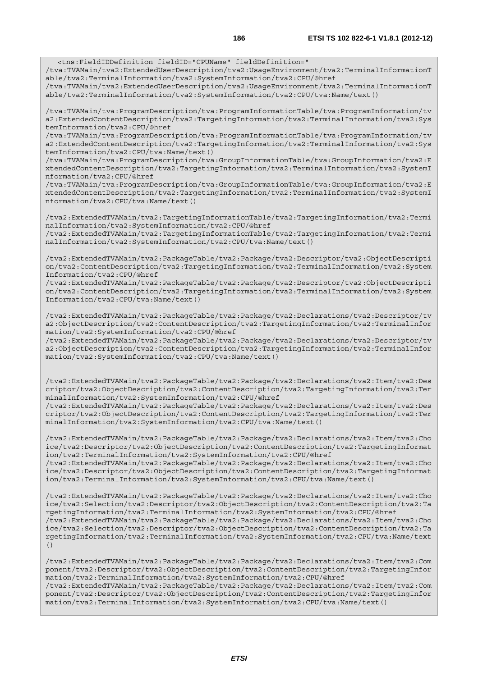<tns:FieldIDDefinition fieldID="CPUName" fieldDefinition=" /tva:TVAMain/tva2:ExtendedUserDescription/tva2:UsageEnvironment/tva2:TerminalInformationT able/tva2:TerminalInformation/tva2:SystemInformation/tva2:CPU/@href

/tva:TVAMain/tva2:ExtendedUserDescription/tva2:UsageEnvironment/tva2:TerminalInformationT able/tva2:TerminalInformation/tva2:SystemInformation/tva2:CPU/tva:Name/text()

/tva:TVAMain/tva:ProgramDescription/tva:ProgramInformationTable/tva:ProgramInformation/tv a2:ExtendedContentDescription/tva2:TargetingInformation/tva2:TerminalInformation/tva2:Sys temInformation/tva2:CPU/@href

/tva:TVAMain/tva:ProgramDescription/tva:ProgramInformationTable/tva:ProgramInformation/tv a2:ExtendedContentDescription/tva2:TargetingInformation/tva2:TerminalInformation/tva2:Sys temInformation/tva2:CPU/tva:Name/text()

/tva:TVAMain/tva:ProgramDescription/tva:GroupInformationTable/tva:GroupInformation/tva2:E xtendedContentDescription/tva2:TargetingInformation/tva2:TerminalInformation/tva2:SystemI nformation/tva2:CPU/@href

/tva:TVAMain/tva:ProgramDescription/tva:GroupInformationTable/tva:GroupInformation/tva2:E xtendedContentDescription/tva2:TargetingInformation/tva2:TerminalInformation/tva2:SystemI nformation/tva2:CPU/tva:Name/text()

/tva2:ExtendedTVAMain/tva2:TargetingInformationTable/tva2:TargetingInformation/tva2:Termi nalInformation/tva2:SystemInformation/tva2:CPU/@href

/tva2:ExtendedTVAMain/tva2:TargetingInformationTable/tva2:TargetingInformation/tva2:Termi nalInformation/tva2:SystemInformation/tva2:CPU/tva:Name/text()

/tva2:ExtendedTVAMain/tva2:PackageTable/tva2:Package/tva2:Descriptor/tva2:ObjectDescripti on/tva2:ContentDescription/tva2:TargetingInformation/tva2:TerminalInformation/tva2:System Information/tva2:CPU/@href

/tva2:ExtendedTVAMain/tva2:PackageTable/tva2:Package/tva2:Descriptor/tva2:ObjectDescripti on/tva2:ContentDescription/tva2:TargetingInformation/tva2:TerminalInformation/tva2:System Information/tva2:CPU/tva:Name/text()

/tva2:ExtendedTVAMain/tva2:PackageTable/tva2:Package/tva2:Declarations/tva2:Descriptor/tv a2:ObjectDescription/tva2:ContentDescription/tva2:TargetingInformation/tva2:TerminalInfor mation/tva2:SystemInformation/tva2:CPU/@href

/tva2:ExtendedTVAMain/tva2:PackageTable/tva2:Package/tva2:Declarations/tva2:Descriptor/tv a2:ObjectDescription/tva2:ContentDescription/tva2:TargetingInformation/tva2:TerminalInfor mation/tva2:SystemInformation/tva2:CPU/tva:Name/text()

/tva2:ExtendedTVAMain/tva2:PackageTable/tva2:Package/tva2:Declarations/tva2:Item/tva2:Des criptor/tva2:ObjectDescription/tva2:ContentDescription/tva2:TargetingInformation/tva2:Ter minalInformation/tva2:SystemInformation/tva2:CPU/@href

/tva2:ExtendedTVAMain/tva2:PackageTable/tva2:Package/tva2:Declarations/tva2:Item/tva2:Des criptor/tva2:ObjectDescription/tva2:ContentDescription/tva2:TargetingInformation/tva2:Ter minalInformation/tva2:SystemInformation/tva2:CPU/tva:Name/text()

/tva2:ExtendedTVAMain/tva2:PackageTable/tva2:Package/tva2:Declarations/tva2:Item/tva2:Cho ice/tva2:Descriptor/tva2:ObjectDescription/tva2:ContentDescription/tva2:TargetingInformat ion/tva2:TerminalInformation/tva2:SystemInformation/tva2:CPU/@href /tva2:ExtendedTVAMain/tva2:PackageTable/tva2:Package/tva2:Declarations/tva2:Item/tva2:Cho

ice/tva2:Descriptor/tva2:ObjectDescription/tva2:ContentDescription/tva2:TargetingInformat ion/tva2:TerminalInformation/tva2:SystemInformation/tva2:CPU/tva:Name/text()

/tva2:ExtendedTVAMain/tva2:PackageTable/tva2:Package/tva2:Declarations/tva2:Item/tva2:Cho ice/tva2:Selection/tva2:Descriptor/tva2:ObjectDescription/tva2:ContentDescription/tva2:Ta rgetingInformation/tva2:TerminalInformation/tva2:SystemInformation/tva2:CPU/@href /tva2:ExtendedTVAMain/tva2:PackageTable/tva2:Package/tva2:Declarations/tva2:Item/tva2:Cho ice/tva2:Selection/tva2:Descriptor/tva2:ObjectDescription/tva2:ContentDescription/tva2:Ta rgetingInformation/tva2:TerminalInformation/tva2:SystemInformation/tva2:CPU/tva:Name/text ()

/tva2:ExtendedTVAMain/tva2:PackageTable/tva2:Package/tva2:Declarations/tva2:Item/tva2:Com ponent/tva2:Descriptor/tva2:ObjectDescription/tva2:ContentDescription/tva2:TargetingInfor mation/tva2:TerminalInformation/tva2:SystemInformation/tva2:CPU/@href /tva2:ExtendedTVAMain/tva2:PackageTable/tva2:Package/tva2:Declarations/tva2:Item/tva2:Com ponent/tva2:Descriptor/tva2:ObjectDescription/tva2:ContentDescription/tva2:TargetingInfor mation/tva2:TerminalInformation/tva2:SystemInformation/tva2:CPU/tva:Name/text()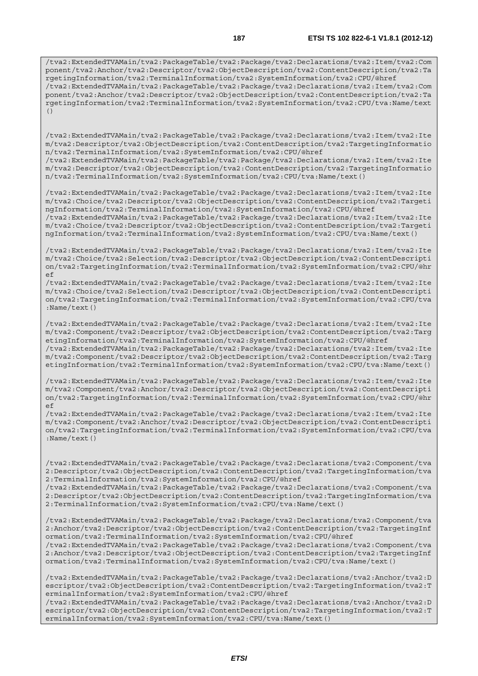/tva2:ExtendedTVAMain/tva2:PackageTable/tva2:Package/tva2:Declarations/tva2:Item/tva2:Com ponent/tva2:Anchor/tva2:Descriptor/tva2:ObjectDescription/tva2:ContentDescription/tva2:Ta rgetingInformation/tva2:TerminalInformation/tva2:SystemInformation/tva2:CPU/@href /tva2:ExtendedTVAMain/tva2:PackageTable/tva2:Package/tva2:Declarations/tva2:Item/tva2:Com ponent/tva2:Anchor/tva2:Descriptor/tva2:ObjectDescription/tva2:ContentDescription/tva2:Ta rgetingInformation/tva2:TerminalInformation/tva2:SystemInformation/tva2:CPU/tva:Name/text ()

/tva2:ExtendedTVAMain/tva2:PackageTable/tva2:Package/tva2:Declarations/tva2:Item/tva2:Ite m/tva2:Descriptor/tva2:ObjectDescription/tva2:ContentDescription/tva2:TargetingInformatio n/tva2:TerminalInformation/tva2:SystemInformation/tva2:CPU/@href

/tva2:ExtendedTVAMain/tva2:PackageTable/tva2:Package/tva2:Declarations/tva2:Item/tva2:Ite m/tva2:Descriptor/tva2:ObjectDescription/tva2:ContentDescription/tva2:TargetingInformatio n/tva2:TerminalInformation/tva2:SystemInformation/tva2:CPU/tva:Name/text()

/tva2:ExtendedTVAMain/tva2:PackageTable/tva2:Package/tva2:Declarations/tva2:Item/tva2:Ite m/tva2:Choice/tva2:Descriptor/tva2:ObjectDescription/tva2:ContentDescription/tva2:Targeti ngInformation/tva2:TerminalInformation/tva2:SystemInformation/tva2:CPU/@href /tva2:ExtendedTVAMain/tva2:PackageTable/tva2:Package/tva2:Declarations/tva2:Item/tva2:Ite m/tva2:Choice/tva2:Descriptor/tva2:ObjectDescription/tva2:ContentDescription/tva2:Targeti

/tva2:ExtendedTVAMain/tva2:PackageTable/tva2:Package/tva2:Declarations/tva2:Item/tva2:Ite m/tva2:Choice/tva2:Selection/tva2:Descriptor/tva2:ObjectDescription/tva2:ContentDescripti on/tva2:TargetingInformation/tva2:TerminalInformation/tva2:SystemInformation/tva2:CPU/@hr ef

ngInformation/tva2:TerminalInformation/tva2:SystemInformation/tva2:CPU/tva:Name/text()

/tva2:ExtendedTVAMain/tva2:PackageTable/tva2:Package/tva2:Declarations/tva2:Item/tva2:Ite m/tva2:Choice/tva2:Selection/tva2:Descriptor/tva2:ObjectDescription/tva2:ContentDescripti on/tva2:TargetingInformation/tva2:TerminalInformation/tva2:SystemInformation/tva2:CPU/tva :Name/text()

/tva2:ExtendedTVAMain/tva2:PackageTable/tva2:Package/tva2:Declarations/tva2:Item/tva2:Ite m/tva2:Component/tva2:Descriptor/tva2:ObjectDescription/tva2:ContentDescription/tva2:Targ etingInformation/tva2:TerminalInformation/tva2:SystemInformation/tva2:CPU/@href /tva2:ExtendedTVAMain/tva2:PackageTable/tva2:Package/tva2:Declarations/tva2:Item/tva2:Ite

m/tva2:Component/tva2:Descriptor/tva2:ObjectDescription/tva2:ContentDescription/tva2:Targ etingInformation/tva2:TerminalInformation/tva2:SystemInformation/tva2:CPU/tva:Name/text()

/tva2:ExtendedTVAMain/tva2:PackageTable/tva2:Package/tva2:Declarations/tva2:Item/tva2:Ite m/tva2:Component/tva2:Anchor/tva2:Descriptor/tva2:ObjectDescription/tva2:ContentDescripti on/tva2:TargetingInformation/tva2:TerminalInformation/tva2:SystemInformation/tva2:CPU/@hr ef

/tva2:ExtendedTVAMain/tva2:PackageTable/tva2:Package/tva2:Declarations/tva2:Item/tva2:Ite m/tva2:Component/tva2:Anchor/tva2:Descriptor/tva2:ObjectDescription/tva2:ContentDescripti on/tva2:TargetingInformation/tva2:TerminalInformation/tva2:SystemInformation/tva2:CPU/tva :Name/text()

/tva2:ExtendedTVAMain/tva2:PackageTable/tva2:Package/tva2:Declarations/tva2:Component/tva 2:Descriptor/tva2:ObjectDescription/tva2:ContentDescription/tva2:TargetingInformation/tva 2:TerminalInformation/tva2:SystemInformation/tva2:CPU/@href

/tva2:ExtendedTVAMain/tva2:PackageTable/tva2:Package/tva2:Declarations/tva2:Component/tva 2:Descriptor/tva2:ObjectDescription/tva2:ContentDescription/tva2:TargetingInformation/tva 2:TerminalInformation/tva2:SystemInformation/tva2:CPU/tva:Name/text()

/tva2:ExtendedTVAMain/tva2:PackageTable/tva2:Package/tva2:Declarations/tva2:Component/tva 2:Anchor/tva2:Descriptor/tva2:ObjectDescription/tva2:ContentDescription/tva2:TargetingInf ormation/tva2:TerminalInformation/tva2:SystemInformation/tva2:CPU/@href /tva2:ExtendedTVAMain/tva2:PackageTable/tva2:Package/tva2:Declarations/tva2:Component/tva 2:Anchor/tva2:Descriptor/tva2:ObjectDescription/tva2:ContentDescription/tva2:TargetingInf

ormation/tva2:TerminalInformation/tva2:SystemInformation/tva2:CPU/tva:Name/text()

/tva2:ExtendedTVAMain/tva2:PackageTable/tva2:Package/tva2:Declarations/tva2:Anchor/tva2:D escriptor/tva2:ObjectDescription/tva2:ContentDescription/tva2:TargetingInformation/tva2:T erminalInformation/tva2:SystemInformation/tva2:CPU/@href

/tva2:ExtendedTVAMain/tva2:PackageTable/tva2:Package/tva2:Declarations/tva2:Anchor/tva2:D escriptor/tva2:ObjectDescription/tva2:ContentDescription/tva2:TargetingInformation/tva2:T erminalInformation/tva2:SystemInformation/tva2:CPU/tva:Name/text()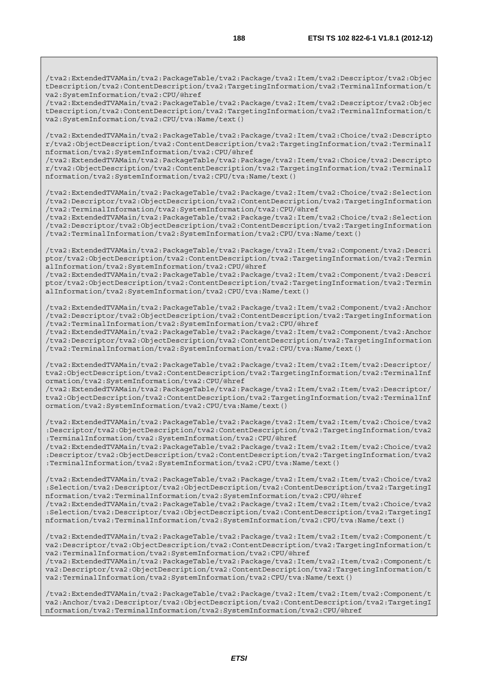/tva2:ExtendedTVAMain/tva2:PackageTable/tva2:Package/tva2:Item/tva2:Descriptor/tva2:Objec tDescription/tva2:ContentDescription/tva2:TargetingInformation/tva2:TerminalInformation/t va2:SystemInformation/tva2:CPU/@href

/tva2:ExtendedTVAMain/tva2:PackageTable/tva2:Package/tva2:Item/tva2:Descriptor/tva2:Objec tDescription/tva2:ContentDescription/tva2:TargetingInformation/tva2:TerminalInformation/t va2:SystemInformation/tva2:CPU/tva:Name/text()

/tva2:ExtendedTVAMain/tva2:PackageTable/tva2:Package/tva2:Item/tva2:Choice/tva2:Descripto r/tva2:ObjectDescription/tva2:ContentDescription/tva2:TargetingInformation/tva2:TerminalI nformation/tva2:SystemInformation/tva2:CPU/@href

/tva2:ExtendedTVAMain/tva2:PackageTable/tva2:Package/tva2:Item/tva2:Choice/tva2:Descripto r/tva2:ObjectDescription/tva2:ContentDescription/tva2:TargetingInformation/tva2:TerminalI nformation/tva2:SystemInformation/tva2:CPU/tva:Name/text()

/tva2:ExtendedTVAMain/tva2:PackageTable/tva2:Package/tva2:Item/tva2:Choice/tva2:Selection /tva2:Descriptor/tva2:ObjectDescription/tva2:ContentDescription/tva2:TargetingInformation /tva2:TerminalInformation/tva2:SystemInformation/tva2:CPU/@href

/tva2:ExtendedTVAMain/tva2:PackageTable/tva2:Package/tva2:Item/tva2:Choice/tva2:Selection /tva2:Descriptor/tva2:ObjectDescription/tva2:ContentDescription/tva2:TargetingInformation /tva2:TerminalInformation/tva2:SystemInformation/tva2:CPU/tva:Name/text()

/tva2:ExtendedTVAMain/tva2:PackageTable/tva2:Package/tva2:Item/tva2:Component/tva2:Descri ptor/tva2:ObjectDescription/tva2:ContentDescription/tva2:TargetingInformation/tva2:Termin alInformation/tva2:SystemInformation/tva2:CPU/@href

/tva2:ExtendedTVAMain/tva2:PackageTable/tva2:Package/tva2:Item/tva2:Component/tva2:Descri ptor/tva2:ObjectDescription/tva2:ContentDescription/tva2:TargetingInformation/tva2:Termin alInformation/tva2:SystemInformation/tva2:CPU/tva:Name/text()

/tva2:ExtendedTVAMain/tva2:PackageTable/tva2:Package/tva2:Item/tva2:Component/tva2:Anchor /tva2:Descriptor/tva2:ObjectDescription/tva2:ContentDescription/tva2:TargetingInformation /tva2:TerminalInformation/tva2:SystemInformation/tva2:CPU/@href

/tva2:ExtendedTVAMain/tva2:PackageTable/tva2:Package/tva2:Item/tva2:Component/tva2:Anchor /tva2:Descriptor/tva2:ObjectDescription/tva2:ContentDescription/tva2:TargetingInformation /tva2:TerminalInformation/tva2:SystemInformation/tva2:CPU/tva:Name/text()

/tva2:ExtendedTVAMain/tva2:PackageTable/tva2:Package/tva2:Item/tva2:Item/tva2:Descriptor/ tva2:ObjectDescription/tva2:ContentDescription/tva2:TargetingInformation/tva2:TerminalInf ormation/tva2:SystemInformation/tva2:CPU/@href

/tva2:ExtendedTVAMain/tva2:PackageTable/tva2:Package/tva2:Item/tva2:Item/tva2:Descriptor/ tva2:ObjectDescription/tva2:ContentDescription/tva2:TargetingInformation/tva2:TerminalInf ormation/tva2:SystemInformation/tva2:CPU/tva:Name/text()

/tva2:ExtendedTVAMain/tva2:PackageTable/tva2:Package/tva2:Item/tva2:Item/tva2:Choice/tva2 :Descriptor/tva2:ObjectDescription/tva2:ContentDescription/tva2:TargetingInformation/tva2 :TerminalInformation/tva2:SystemInformation/tva2:CPU/@href

/tva2:ExtendedTVAMain/tva2:PackageTable/tva2:Package/tva2:Item/tva2:Item/tva2:Choice/tva2 :Descriptor/tva2:ObjectDescription/tva2:ContentDescription/tva2:TargetingInformation/tva2 :TerminalInformation/tva2:SystemInformation/tva2:CPU/tva:Name/text()

/tva2:ExtendedTVAMain/tva2:PackageTable/tva2:Package/tva2:Item/tva2:Item/tva2:Choice/tva2 :Selection/tva2:Descriptor/tva2:ObjectDescription/tva2:ContentDescription/tva2:TargetingI nformation/tva2:TerminalInformation/tva2:SystemInformation/tva2:CPU/@href

/tva2:ExtendedTVAMain/tva2:PackageTable/tva2:Package/tva2:Item/tva2:Item/tva2:Choice/tva2 :Selection/tva2:Descriptor/tva2:ObjectDescription/tva2:ContentDescription/tva2:TargetingI nformation/tva2:TerminalInformation/tva2:SystemInformation/tva2:CPU/tva:Name/text()

/tva2:ExtendedTVAMain/tva2:PackageTable/tva2:Package/tva2:Item/tva2:Item/tva2:Component/t va2:Descriptor/tva2:ObjectDescription/tva2:ContentDescription/tva2:TargetingInformation/t va2:TerminalInformation/tva2:SystemInformation/tva2:CPU/@href

/tva2:ExtendedTVAMain/tva2:PackageTable/tva2:Package/tva2:Item/tva2:Item/tva2:Component/t va2:Descriptor/tva2:ObjectDescription/tva2:ContentDescription/tva2:TargetingInformation/t va2:TerminalInformation/tva2:SystemInformation/tva2:CPU/tva:Name/text()

/tva2:ExtendedTVAMain/tva2:PackageTable/tva2:Package/tva2:Item/tva2:Item/tva2:Component/t va2:Anchor/tva2:Descriptor/tva2:ObjectDescription/tva2:ContentDescription/tva2:TargetingI nformation/tva2:TerminalInformation/tva2:SystemInformation/tva2:CPU/@href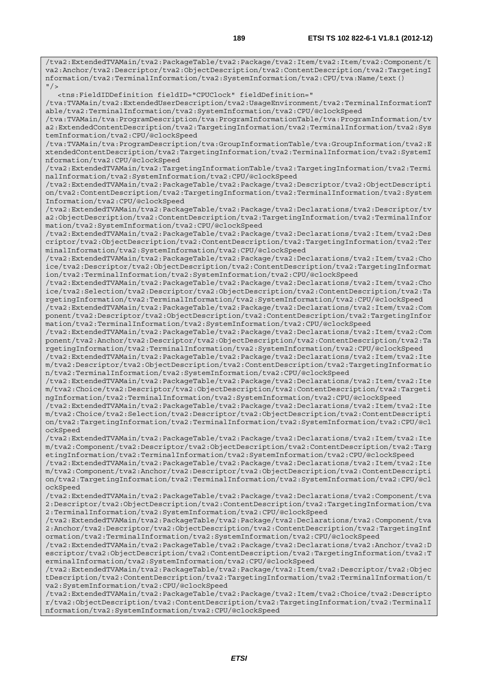/tva2:ExtendedTVAMain/tva2:PackageTable/tva2:Package/tva2:Item/tva2:Item/tva2:Component/t va2:Anchor/tva2:Descriptor/tva2:ObjectDescription/tva2:ContentDescription/tva2:TargetingI nformation/tva2:TerminalInformation/tva2:SystemInformation/tva2:CPU/tva:Name/text()  $''$  /  $>$  <tns:FieldIDDefinition fieldID="CPUClock" fieldDefinition=" /tva:TVAMain/tva2:ExtendedUserDescription/tva2:UsageEnvironment/tva2:TerminalInformationT able/tva2:TerminalInformation/tva2:SystemInformation/tva2:CPU/@clockSpeed /tva:TVAMain/tva:ProgramDescription/tva:ProgramInformationTable/tva:ProgramInformation/tv a2:ExtendedContentDescription/tva2:TargetingInformation/tva2:TerminalInformation/tva2:Sys temInformation/tva2:CPU/@clockSpeed /tva:TVAMain/tva:ProgramDescription/tva:GroupInformationTable/tva:GroupInformation/tva2:E xtendedContentDescription/tva2:TargetingInformation/tva2:TerminalInformation/tva2:SystemI nformation/tva2:CPU/@clockSpeed /tva2:ExtendedTVAMain/tva2:TargetingInformationTable/tva2:TargetingInformation/tva2:Termi nalInformation/tva2:SystemInformation/tva2:CPU/@clockSpeed /tva2:ExtendedTVAMain/tva2:PackageTable/tva2:Package/tva2:Descriptor/tva2:ObjectDescripti on/tva2:ContentDescription/tva2:TargetingInformation/tva2:TerminalInformation/tva2:System Information/tva2:CPU/@clockSpeed /tva2:ExtendedTVAMain/tva2:PackageTable/tva2:Package/tva2:Declarations/tva2:Descriptor/tv a2:ObjectDescription/tva2:ContentDescription/tva2:TargetingInformation/tva2:TerminalInfor mation/tva2:SystemInformation/tva2:CPU/@clockSpeed /tva2:ExtendedTVAMain/tva2:PackageTable/tva2:Package/tva2:Declarations/tva2:Item/tva2:Des criptor/tva2:ObjectDescription/tva2:ContentDescription/tva2:TargetingInformation/tva2:Ter minalInformation/tva2:SystemInformation/tva2:CPU/@clockSpeed /tva2:ExtendedTVAMain/tva2:PackageTable/tva2:Package/tva2:Declarations/tva2:Item/tva2:Cho ice/tva2:Descriptor/tva2:ObjectDescription/tva2:ContentDescription/tva2:TargetingInformat ion/tva2:TerminalInformation/tva2:SystemInformation/tva2:CPU/@clockSpeed /tva2:ExtendedTVAMain/tva2:PackageTable/tva2:Package/tva2:Declarations/tva2:Item/tva2:Cho ice/tva2:Selection/tva2:Descriptor/tva2:ObjectDescription/tva2:ContentDescription/tva2:Ta rgetingInformation/tva2:TerminalInformation/tva2:SystemInformation/tva2:CPU/@clockSpeed /tva2:ExtendedTVAMain/tva2:PackageTable/tva2:Package/tva2:Declarations/tva2:Item/tva2:Com ponent/tva2:Descriptor/tva2:ObjectDescription/tva2:ContentDescription/tva2:TargetingInfor mation/tva2:TerminalInformation/tva2:SystemInformation/tva2:CPU/@clockSpeed /tva2:ExtendedTVAMain/tva2:PackageTable/tva2:Package/tva2:Declarations/tva2:Item/tva2:Com ponent/tva2:Anchor/tva2:Descriptor/tva2:ObjectDescription/tva2:ContentDescription/tva2:Ta rgetingInformation/tva2:TerminalInformation/tva2:SystemInformation/tva2:CPU/@clockSpeed /tva2:ExtendedTVAMain/tva2:PackageTable/tva2:Package/tva2:Declarations/tva2:Item/tva2:Ite m/tva2:Descriptor/tva2:ObjectDescription/tva2:ContentDescription/tva2:TargetingInformatio n/tva2:TerminalInformation/tva2:SystemInformation/tva2:CPU/@clockSpeed /tva2:ExtendedTVAMain/tva2:PackageTable/tva2:Package/tva2:Declarations/tva2:Item/tva2:Ite m/tva2:Choice/tva2:Descriptor/tva2:ObjectDescription/tva2:ContentDescription/tva2:Targeti ngInformation/tva2:TerminalInformation/tva2:SystemInformation/tva2:CPU/@clockSpeed /tva2:ExtendedTVAMain/tva2:PackageTable/tva2:Package/tva2:Declarations/tva2:Item/tva2:Ite m/tva2:Choice/tva2:Selection/tva2:Descriptor/tva2:ObjectDescription/tva2:ContentDescripti on/tva2:TargetingInformation/tva2:TerminalInformation/tva2:SystemInformation/tva2:CPU/@cl ockSpeed /tva2:ExtendedTVAMain/tva2:PackageTable/tva2:Package/tva2:Declarations/tva2:Item/tva2:Ite m/tva2:Component/tva2:Descriptor/tva2:ObjectDescription/tva2:ContentDescription/tva2:Targ etingInformation/tva2:TerminalInformation/tva2:SystemInformation/tva2:CPU/@clockSpeed /tva2:ExtendedTVAMain/tva2:PackageTable/tva2:Package/tva2:Declarations/tva2:Item/tva2:Ite m/tva2:Component/tva2:Anchor/tva2:Descriptor/tva2:ObjectDescription/tva2:ContentDescripti on/tva2:TargetingInformation/tva2:TerminalInformation/tva2:SystemInformation/tva2:CPU/@cl ockSpeed /tva2:ExtendedTVAMain/tva2:PackageTable/tva2:Package/tva2:Declarations/tva2:Component/tva 2:Descriptor/tva2:ObjectDescription/tva2:ContentDescription/tva2:TargetingInformation/tva 2:TerminalInformation/tva2:SystemInformation/tva2:CPU/@clockSpeed /tva2:ExtendedTVAMain/tva2:PackageTable/tva2:Package/tva2:Declarations/tva2:Component/tva 2:Anchor/tva2:Descriptor/tva2:ObjectDescription/tva2:ContentDescription/tva2:TargetingInf ormation/tva2:TerminalInformation/tva2:SystemInformation/tva2:CPU/@clockSpeed /tva2:ExtendedTVAMain/tva2:PackageTable/tva2:Package/tva2:Declarations/tva2:Anchor/tva2:D escriptor/tva2:ObjectDescription/tva2:ContentDescription/tva2:TargetingInformation/tva2:T erminalInformation/tva2:SystemInformation/tva2:CPU/@clockSpeed /tva2:ExtendedTVAMain/tva2:PackageTable/tva2:Package/tva2:Item/tva2:Descriptor/tva2:Objec tDescription/tva2:ContentDescription/tva2:TargetingInformation/tva2:TerminalInformation/t va2:SystemInformation/tva2:CPU/@clockSpeed /tva2:ExtendedTVAMain/tva2:PackageTable/tva2:Package/tva2:Item/tva2:Choice/tva2:Descripto r/tva2:ObjectDescription/tva2:ContentDescription/tva2:TargetingInformation/tva2:TerminalI nformation/tva2:SystemInformation/tva2:CPU/@clockSpeed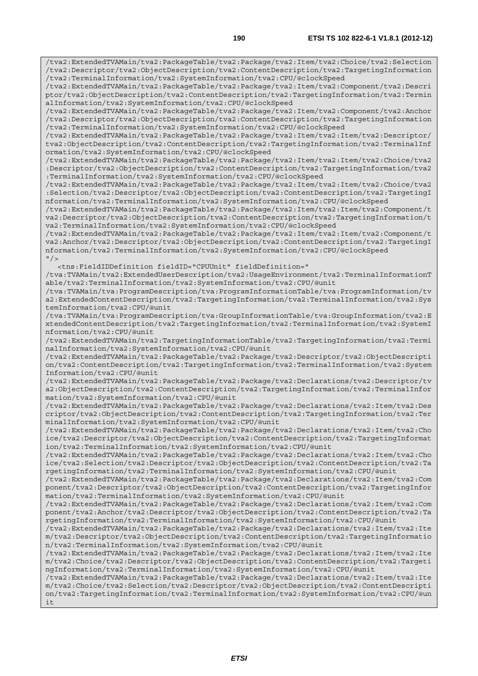/tva2:ExtendedTVAMain/tva2:PackageTable/tva2:Package/tva2:Item/tva2:Choice/tva2:Selection /tva2:Descriptor/tva2:ObjectDescription/tva2:ContentDescription/tva2:TargetingInformation /tva2:TerminalInformation/tva2:SystemInformation/tva2:CPU/@clockSpeed /tva2:ExtendedTVAMain/tva2:PackageTable/tva2:Package/tva2:Item/tva2:Component/tva2:Descri ptor/tva2:ObjectDescription/tva2:ContentDescription/tva2:TargetingInformation/tva2:Termin alInformation/tva2:SystemInformation/tva2:CPU/@clockSpeed /tva2:ExtendedTVAMain/tva2:PackageTable/tva2:Package/tva2:Item/tva2:Component/tva2:Anchor /tva2:Descriptor/tva2:ObjectDescription/tva2:ContentDescription/tva2:TargetingInformation /tva2:TerminalInformation/tva2:SystemInformation/tva2:CPU/@clockSpeed /tva2:ExtendedTVAMain/tva2:PackageTable/tva2:Package/tva2:Item/tva2:Item/tva2:Descriptor/ tva2:ObjectDescription/tva2:ContentDescription/tva2:TargetingInformation/tva2:TerminalInf ormation/tva2:SystemInformation/tva2:CPU/@clockSpeed /tva2:ExtendedTVAMain/tva2:PackageTable/tva2:Package/tva2:Item/tva2:Item/tva2:Choice/tva2 :Descriptor/tva2:ObjectDescription/tva2:ContentDescription/tva2:TargetingInformation/tva2 :TerminalInformation/tva2:SystemInformation/tva2:CPU/@clockSpeed /tva2:ExtendedTVAMain/tva2:PackageTable/tva2:Package/tva2:Item/tva2:Item/tva2:Choice/tva2 :Selection/tva2:Descriptor/tva2:ObjectDescription/tva2:ContentDescription/tva2:TargetingI nformation/tva2:TerminalInformation/tva2:SystemInformation/tva2:CPU/@clockSpeed /tva2:ExtendedTVAMain/tva2:PackageTable/tva2:Package/tva2:Item/tva2:Item/tva2:Component/t va2:Descriptor/tva2:ObjectDescription/tva2:ContentDescription/tva2:TargetingInformation/t va2:TerminalInformation/tva2:SystemInformation/tva2:CPU/@clockSpeed /tva2:ExtendedTVAMain/tva2:PackageTable/tva2:Package/tva2:Item/tva2:Item/tva2:Component/t va2:Anchor/tva2:Descriptor/tva2:ObjectDescription/tva2:ContentDescription/tva2:TargetingI nformation/tva2:TerminalInformation/tva2:SystemInformation/tva2:CPU/@clockSpeed  $''$  /> <tns:FieldIDDefinition fieldID="CPUUnit" fieldDefinition=" /tva:TVAMain/tva2:ExtendedUserDescription/tva2:UsageEnvironment/tva2:TerminalInformationT able/tva2:TerminalInformation/tva2:SystemInformation/tva2:CPU/@unit /tva:TVAMain/tva:ProgramDescription/tva:ProgramInformationTable/tva:ProgramInformation/tv a2:ExtendedContentDescription/tva2:TargetingInformation/tva2:TerminalInformation/tva2:Sys temInformation/tva2:CPU/@unit /tva:TVAMain/tva:ProgramDescription/tva:GroupInformationTable/tva:GroupInformation/tva2:E xtendedContentDescription/tva2:TargetingInformation/tva2:TerminalInformation/tva2:SystemI nformation/tva2:CPU/@unit /tva2:ExtendedTVAMain/tva2:TargetingInformationTable/tva2:TargetingInformation/tva2:Termi nalInformation/tva2:SystemInformation/tva2:CPU/@unit /tva2:ExtendedTVAMain/tva2:PackageTable/tva2:Package/tva2:Descriptor/tva2:ObjectDescripti on/tva2:ContentDescription/tva2:TargetingInformation/tva2:TerminalInformation/tva2:System Information/tva2:CPU/@unit /tva2:ExtendedTVAMain/tva2:PackageTable/tva2:Package/tva2:Declarations/tva2:Descriptor/tv a2:ObjectDescription/tva2:ContentDescription/tva2:TargetingInformation/tva2:TerminalInfor mation/tva2:SystemInformation/tva2:CPU/@unit /tva2:ExtendedTVAMain/tva2:PackageTable/tva2:Package/tva2:Declarations/tva2:Item/tva2:Des criptor/tva2:ObjectDescription/tva2:ContentDescription/tva2:TargetingInformation/tva2:Ter minalInformation/tva2:SystemInformation/tva2:CPU/@unit /tva2:ExtendedTVAMain/tva2:PackageTable/tva2:Package/tva2:Declarations/tva2:Item/tva2:Cho ice/tva2:Descriptor/tva2:ObjectDescription/tva2:ContentDescription/tva2:TargetingInformat ion/tva2:TerminalInformation/tva2:SystemInformation/tva2:CPU/@unit /tva2:ExtendedTVAMain/tva2:PackageTable/tva2:Package/tva2:Declarations/tva2:Item/tva2:Cho ice/tva2:Selection/tva2:Descriptor/tva2:ObjectDescription/tva2:ContentDescription/tva2:Ta rgetingInformation/tva2:TerminalInformation/tva2:SystemInformation/tva2:CPU/@unit /tva2:ExtendedTVAMain/tva2:PackageTable/tva2:Package/tva2:Declarations/tva2:Item/tva2:Com ponent/tva2:Descriptor/tva2:ObjectDescription/tva2:ContentDescription/tva2:TargetingInfor mation/tva2:TerminalInformation/tva2:SystemInformation/tva2:CPU/@unit /tva2:ExtendedTVAMain/tva2:PackageTable/tva2:Package/tva2:Declarations/tva2:Item/tva2:Com ponent/tva2:Anchor/tva2:Descriptor/tva2:ObjectDescription/tva2:ContentDescription/tva2:Ta rgetingInformation/tva2:TerminalInformation/tva2:SystemInformation/tva2:CPU/@unit /tva2:ExtendedTVAMain/tva2:PackageTable/tva2:Package/tva2:Declarations/tva2:Item/tva2:Ite m/tva2:Descriptor/tva2:ObjectDescription/tva2:ContentDescription/tva2:TargetingInformatio n/tva2:TerminalInformation/tva2:SystemInformation/tva2:CPU/@unit /tva2:ExtendedTVAMain/tva2:PackageTable/tva2:Package/tva2:Declarations/tva2:Item/tva2:Ite m/tva2:Choice/tva2:Descriptor/tva2:ObjectDescription/tva2:ContentDescription/tva2:Targeti

ngInformation/tva2:TerminalInformation/tva2:SystemInformation/tva2:CPU/@unit /tva2:ExtendedTVAMain/tva2:PackageTable/tva2:Package/tva2:Declarations/tva2:Item/tva2:Ite m/tva2:Choice/tva2:Selection/tva2:Descriptor/tva2:ObjectDescription/tva2:ContentDescripti

on/tva2:TargetingInformation/tva2:TerminalInformation/tva2:SystemInformation/tva2:CPU/@un it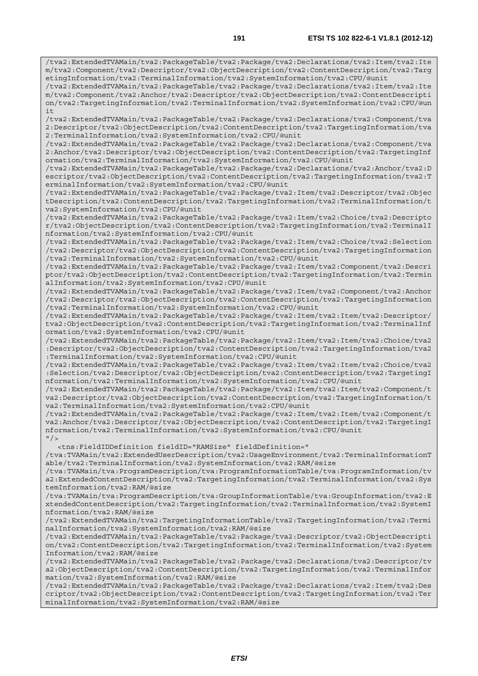/tva2:ExtendedTVAMain/tva2:PackageTable/tva2:Package/tva2:Declarations/tva2:Item/tva2:Ite m/tva2:Component/tva2:Descriptor/tva2:ObjectDescription/tva2:ContentDescription/tva2:Targ etingInformation/tva2:TerminalInformation/tva2:SystemInformation/tva2:CPU/@unit

/tva2:ExtendedTVAMain/tva2:PackageTable/tva2:Package/tva2:Declarations/tva2:Item/tva2:Ite m/tva2:Component/tva2:Anchor/tva2:Descriptor/tva2:ObjectDescription/tva2:ContentDescripti on/tva2:TargetingInformation/tva2:TerminalInformation/tva2:SystemInformation/tva2:CPU/@un i t

/tva2:ExtendedTVAMain/tva2:PackageTable/tva2:Package/tva2:Declarations/tva2:Component/tva 2:Descriptor/tva2:ObjectDescription/tva2:ContentDescription/tva2:TargetingInformation/tva 2:TerminalInformation/tva2:SystemInformation/tva2:CPU/@unit

/tva2:ExtendedTVAMain/tva2:PackageTable/tva2:Package/tva2:Declarations/tva2:Component/tva 2:Anchor/tva2:Descriptor/tva2:ObjectDescription/tva2:ContentDescription/tva2:TargetingInf ormation/tva2:TerminalInformation/tva2:SystemInformation/tva2:CPU/@unit

/tva2:ExtendedTVAMain/tva2:PackageTable/tva2:Package/tva2:Declarations/tva2:Anchor/tva2:D escriptor/tva2:ObjectDescription/tva2:ContentDescription/tva2:TargetingInformation/tva2:T erminalInformation/tva2:SystemInformation/tva2:CPU/@unit

/tva2:ExtendedTVAMain/tva2:PackageTable/tva2:Package/tva2:Item/tva2:Descriptor/tva2:Objec tDescription/tva2:ContentDescription/tva2:TargetingInformation/tva2:TerminalInformation/t va2:SystemInformation/tva2:CPU/@unit

/tva2:ExtendedTVAMain/tva2:PackageTable/tva2:Package/tva2:Item/tva2:Choice/tva2:Descripto r/tva2:ObjectDescription/tva2:ContentDescription/tva2:TargetingInformation/tva2:TerminalI nformation/tva2:SystemInformation/tva2:CPU/@unit

/tva2:ExtendedTVAMain/tva2:PackageTable/tva2:Package/tva2:Item/tva2:Choice/tva2:Selection /tva2:Descriptor/tva2:ObjectDescription/tva2:ContentDescription/tva2:TargetingInformation /tva2:TerminalInformation/tva2:SystemInformation/tva2:CPU/@unit

/tva2:ExtendedTVAMain/tva2:PackageTable/tva2:Package/tva2:Item/tva2:Component/tva2:Descri ptor/tva2:ObjectDescription/tva2:ContentDescription/tva2:TargetingInformation/tva2:Termin alInformation/tva2:SystemInformation/tva2:CPU/@unit

/tva2:ExtendedTVAMain/tva2:PackageTable/tva2:Package/tva2:Item/tva2:Component/tva2:Anchor /tva2:Descriptor/tva2:ObjectDescription/tva2:ContentDescription/tva2:TargetingInformation /tva2:TerminalInformation/tva2:SystemInformation/tva2:CPU/@unit

/tva2:ExtendedTVAMain/tva2:PackageTable/tva2:Package/tva2:Item/tva2:Item/tva2:Descriptor/ tva2:ObjectDescription/tva2:ContentDescription/tva2:TargetingInformation/tva2:TerminalInf ormation/tva2:SystemInformation/tva2:CPU/@unit

/tva2:ExtendedTVAMain/tva2:PackageTable/tva2:Package/tva2:Item/tva2:Item/tva2:Choice/tva2 :Descriptor/tva2:ObjectDescription/tva2:ContentDescription/tva2:TargetingInformation/tva2 :TerminalInformation/tva2:SystemInformation/tva2:CPU/@unit

/tva2:ExtendedTVAMain/tva2:PackageTable/tva2:Package/tva2:Item/tva2:Item/tva2:Choice/tva2 :Selection/tva2:Descriptor/tva2:ObjectDescription/tva2:ContentDescription/tva2:TargetingI nformation/tva2:TerminalInformation/tva2:SystemInformation/tva2:CPU/@unit

/tva2:ExtendedTVAMain/tva2:PackageTable/tva2:Package/tva2:Item/tva2:Item/tva2:Component/t va2:Descriptor/tva2:ObjectDescription/tva2:ContentDescription/tva2:TargetingInformation/t va2:TerminalInformation/tva2:SystemInformation/tva2:CPU/@unit

/tva2:ExtendedTVAMain/tva2:PackageTable/tva2:Package/tva2:Item/tva2:Item/tva2:Component/t va2:Anchor/tva2:Descriptor/tva2:ObjectDescription/tva2:ContentDescription/tva2:TargetingI nformation/tva2:TerminalInformation/tva2:SystemInformation/tva2:CPU/@unit  $"$  />

<tns:FieldIDDefinition fieldID="RAMSize" fieldDefinition="

/tva:TVAMain/tva2:ExtendedUserDescription/tva2:UsageEnvironment/tva2:TerminalInformationT able/tva2:TerminalInformation/tva2:SystemInformation/tva2:RAM/@size

/tva:TVAMain/tva:ProgramDescription/tva:ProgramInformationTable/tva:ProgramInformation/tv a2:ExtendedContentDescription/tva2:TargetingInformation/tva2:TerminalInformation/tva2:Sys temInformation/tva2:RAM/@size

/tva:TVAMain/tva:ProgramDescription/tva:GroupInformationTable/tva:GroupInformation/tva2:E xtendedContentDescription/tva2:TargetingInformation/tva2:TerminalInformation/tva2:SystemI nformation/tva2:RAM/@size

/tva2:ExtendedTVAMain/tva2:TargetingInformationTable/tva2:TargetingInformation/tva2:Termi nalInformation/tva2:SystemInformation/tva2:RAM/@size

/tva2:ExtendedTVAMain/tva2:PackageTable/tva2:Package/tva2:Descriptor/tva2:ObjectDescripti on/tva2:ContentDescription/tva2:TargetingInformation/tva2:TerminalInformation/tva2:System Information/tva2:RAM/@size

/tva2:ExtendedTVAMain/tva2:PackageTable/tva2:Package/tva2:Declarations/tva2:Descriptor/tv a2:ObjectDescription/tva2:ContentDescription/tva2:TargetingInformation/tva2:TerminalInfor mation/tva2:SystemInformation/tva2:RAM/@size

/tva2:ExtendedTVAMain/tva2:PackageTable/tva2:Package/tva2:Declarations/tva2:Item/tva2:Des criptor/tva2:ObjectDescription/tva2:ContentDescription/tva2:TargetingInformation/tva2:Ter minalInformation/tva2:SystemInformation/tva2:RAM/@size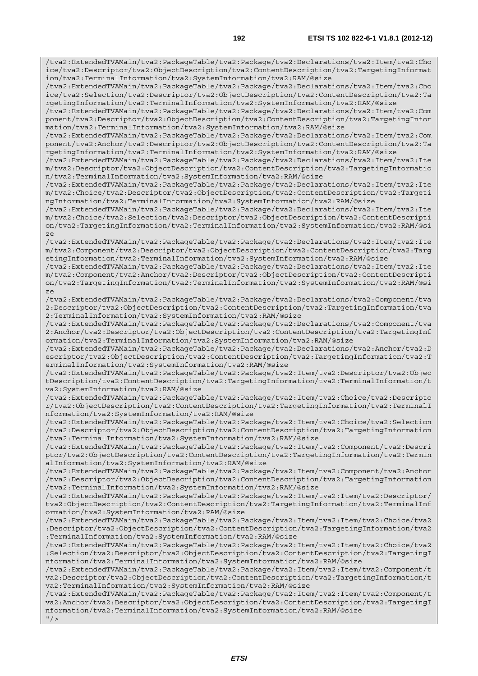/tva2:ExtendedTVAMain/tva2:PackageTable/tva2:Package/tva2:Declarations/tva2:Item/tva2:Cho ice/tva2:Descriptor/tva2:ObjectDescription/tva2:ContentDescription/tva2:TargetingInformat ion/tva2:TerminalInformation/tva2:SystemInformation/tva2:RAM/@size /tva2:ExtendedTVAMain/tva2:PackageTable/tva2:Package/tva2:Declarations/tva2:Item/tva2:Cho ice/tva2:Selection/tva2:Descriptor/tva2:ObjectDescription/tva2:ContentDescription/tva2:Ta rgetingInformation/tva2:TerminalInformation/tva2:SystemInformation/tva2:RAM/@size /tva2:ExtendedTVAMain/tva2:PackageTable/tva2:Package/tva2:Declarations/tva2:Item/tva2:Com ponent/tva2:Descriptor/tva2:ObjectDescription/tva2:ContentDescription/tva2:TargetingInfor mation/tva2:TerminalInformation/tva2:SystemInformation/tva2:RAM/@size /tva2:ExtendedTVAMain/tva2:PackageTable/tva2:Package/tva2:Declarations/tva2:Item/tva2:Com ponent/tva2:Anchor/tva2:Descriptor/tva2:ObjectDescription/tva2:ContentDescription/tva2:Ta rgetingInformation/tva2:TerminalInformation/tva2:SystemInformation/tva2:RAM/@size /tva2:ExtendedTVAMain/tva2:PackageTable/tva2:Package/tva2:Declarations/tva2:Item/tva2:Ite m/tva2:Descriptor/tva2:ObjectDescription/tva2:ContentDescription/tva2:TargetingInformatio n/tva2:TerminalInformation/tva2:SystemInformation/tva2:RAM/@size /tva2:ExtendedTVAMain/tva2:PackageTable/tva2:Package/tva2:Declarations/tva2:Item/tva2:Ite m/tva2:Choice/tva2:Descriptor/tva2:ObjectDescription/tva2:ContentDescription/tva2:Targeti ngInformation/tva2:TerminalInformation/tva2:SystemInformation/tva2:RAM/@size /tva2:ExtendedTVAMain/tva2:PackageTable/tva2:Package/tva2:Declarations/tva2:Item/tva2:Ite m/tva2:Choice/tva2:Selection/tva2:Descriptor/tva2:ObjectDescription/tva2:ContentDescripti on/tva2:TargetingInformation/tva2:TerminalInformation/tva2:SystemInformation/tva2:RAM/@si ze /tva2:ExtendedTVAMain/tva2:PackageTable/tva2:Package/tva2:Declarations/tva2:Item/tva2:Ite m/tva2:Component/tva2:Descriptor/tva2:ObjectDescription/tva2:ContentDescription/tva2:Targ etingInformation/tva2:TerminalInformation/tva2:SystemInformation/tva2:RAM/@size /tva2:ExtendedTVAMain/tva2:PackageTable/tva2:Package/tva2:Declarations/tva2:Item/tva2:Ite m/tva2:Component/tva2:Anchor/tva2:Descriptor/tva2:ObjectDescription/tva2:ContentDescripti on/tva2:TargetingInformation/tva2:TerminalInformation/tva2:SystemInformation/tva2:RAM/@si ze /tva2:ExtendedTVAMain/tva2:PackageTable/tva2:Package/tva2:Declarations/tva2:Component/tva 2:Descriptor/tva2:ObjectDescription/tva2:ContentDescription/tva2:TargetingInformation/tva 2:TerminalInformation/tva2:SystemInformation/tva2:RAM/@size /tva2:ExtendedTVAMain/tva2:PackageTable/tva2:Package/tva2:Declarations/tva2:Component/tva 2:Anchor/tva2:Descriptor/tva2:ObjectDescription/tva2:ContentDescription/tva2:TargetingInf ormation/tva2:TerminalInformation/tva2:SystemInformation/tva2:RAM/@size /tva2:ExtendedTVAMain/tva2:PackageTable/tva2:Package/tva2:Declarations/tva2:Anchor/tva2:D escriptor/tva2:ObjectDescription/tva2:ContentDescription/tva2:TargetingInformation/tva2:T erminalInformation/tva2:SystemInformation/tva2:RAM/@size /tva2:ExtendedTVAMain/tva2:PackageTable/tva2:Package/tva2:Item/tva2:Descriptor/tva2:Objec tDescription/tva2:ContentDescription/tva2:TargetingInformation/tva2:TerminalInformation/t va2:SystemInformation/tva2:RAM/@size /tva2:ExtendedTVAMain/tva2:PackageTable/tva2:Package/tva2:Item/tva2:Choice/tva2:Descripto r/tva2:ObjectDescription/tva2:ContentDescription/tva2:TargetingInformation/tva2:TerminalI nformation/tva2:SystemInformation/tva2:RAM/@size /tva2:ExtendedTVAMain/tva2:PackageTable/tva2:Package/tva2:Item/tva2:Choice/tva2:Selection /tva2:Descriptor/tva2:ObjectDescription/tva2:ContentDescription/tva2:TargetingInformation /tva2:TerminalInformation/tva2:SystemInformation/tva2:RAM/@size /tva2:ExtendedTVAMain/tva2:PackageTable/tva2:Package/tva2:Item/tva2:Component/tva2:Descri ptor/tva2:ObjectDescription/tva2:ContentDescription/tva2:TargetingInformation/tva2:Termin alInformation/tva2:SystemInformation/tva2:RAM/@size /tva2:ExtendedTVAMain/tva2:PackageTable/tva2:Package/tva2:Item/tva2:Component/tva2:Anchor /tva2:Descriptor/tva2:ObjectDescription/tva2:ContentDescription/tva2:TargetingInformation /tva2:TerminalInformation/tva2:SystemInformation/tva2:RAM/@size /tva2:ExtendedTVAMain/tva2:PackageTable/tva2:Package/tva2:Item/tva2:Item/tva2:Descriptor/ tva2:ObjectDescription/tva2:ContentDescription/tva2:TargetingInformation/tva2:TerminalInf ormation/tva2:SystemInformation/tva2:RAM/@size /tva2:ExtendedTVAMain/tva2:PackageTable/tva2:Package/tva2:Item/tva2:Item/tva2:Choice/tva2 :Descriptor/tva2:ObjectDescription/tva2:ContentDescription/tva2:TargetingInformation/tva2 :TerminalInformation/tva2:SystemInformation/tva2:RAM/@size /tva2:ExtendedTVAMain/tva2:PackageTable/tva2:Package/tva2:Item/tva2:Item/tva2:Choice/tva2 :Selection/tva2:Descriptor/tva2:ObjectDescription/tva2:ContentDescription/tva2:TargetingI nformation/tva2:TerminalInformation/tva2:SystemInformation/tva2:RAM/@size /tva2:ExtendedTVAMain/tva2:PackageTable/tva2:Package/tva2:Item/tva2:Item/tva2:Component/t va2:Descriptor/tva2:ObjectDescription/tva2:ContentDescription/tva2:TargetingInformation/t va2:TerminalInformation/tva2:SystemInformation/tva2:RAM/@size /tva2:ExtendedTVAMain/tva2:PackageTable/tva2:Package/tva2:Item/tva2:Item/tva2:Component/t va2:Anchor/tva2:Descriptor/tva2:ObjectDescription/tva2:ContentDescription/tva2:TargetingI nformation/tva2:TerminalInformation/tva2:SystemInformation/tva2:RAM/@size  $"$  />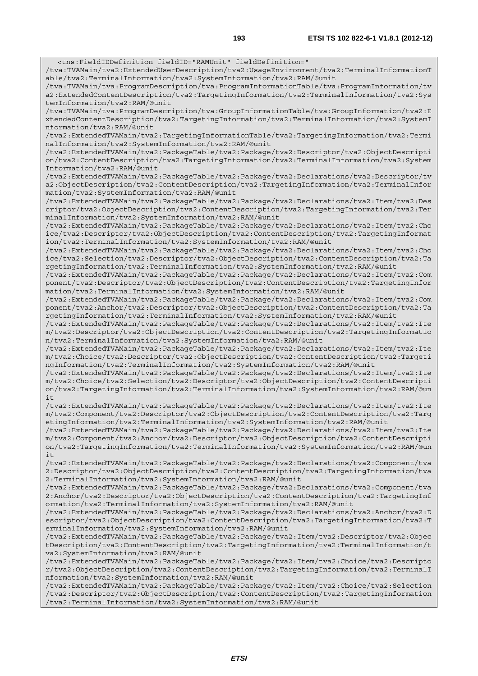<tns:FieldIDDefinition fieldID="RAMUnit" fieldDefinition=" /tva:TVAMain/tva2:ExtendedUserDescription/tva2:UsageEnvironment/tva2:TerminalInformationT able/tva2:TerminalInformation/tva2:SystemInformation/tva2:RAM/@unit /tva:TVAMain/tva:ProgramDescription/tva:ProgramInformationTable/tva:ProgramInformation/tv a2:ExtendedContentDescription/tva2:TargetingInformation/tva2:TerminalInformation/tva2:Sys temInformation/tva2:RAM/@unit /tva:TVAMain/tva:ProgramDescription/tva:GroupInformationTable/tva:GroupInformation/tva2:E xtendedContentDescription/tva2:TargetingInformation/tva2:TerminalInformation/tva2:SystemI nformation/tva2:RAM/@unit /tva2:ExtendedTVAMain/tva2:TargetingInformationTable/tva2:TargetingInformation/tva2:Termi nalInformation/tva2:SystemInformation/tva2:RAM/@unit /tva2:ExtendedTVAMain/tva2:PackageTable/tva2:Package/tva2:Descriptor/tva2:ObjectDescripti on/tva2:ContentDescription/tva2:TargetingInformation/tva2:TerminalInformation/tva2:System Information/tva2:RAM/@unit /tva2:ExtendedTVAMain/tva2:PackageTable/tva2:Package/tva2:Declarations/tva2:Descriptor/tv a2:ObjectDescription/tva2:ContentDescription/tva2:TargetingInformation/tva2:TerminalInfor mation/tva2:SystemInformation/tva2:RAM/@unit /tva2:ExtendedTVAMain/tva2:PackageTable/tva2:Package/tva2:Declarations/tva2:Item/tva2:Des criptor/tva2:ObjectDescription/tva2:ContentDescription/tva2:TargetingInformation/tva2:Ter minalInformation/tva2:SystemInformation/tva2:RAM/@unit /tva2:ExtendedTVAMain/tva2:PackageTable/tva2:Package/tva2:Declarations/tva2:Item/tva2:Cho ice/tva2:Descriptor/tva2:ObjectDescription/tva2:ContentDescription/tva2:TargetingInformat ion/tva2:TerminalInformation/tva2:SystemInformation/tva2:RAM/@unit /tva2:ExtendedTVAMain/tva2:PackageTable/tva2:Package/tva2:Declarations/tva2:Item/tva2:Cho ice/tva2:Selection/tva2:Descriptor/tva2:ObjectDescription/tva2:ContentDescription/tva2:Ta rgetingInformation/tva2:TerminalInformation/tva2:SystemInformation/tva2:RAM/@unit /tva2:ExtendedTVAMain/tva2:PackageTable/tva2:Package/tva2:Declarations/tva2:Item/tva2:Com ponent/tva2:Descriptor/tva2:ObjectDescription/tva2:ContentDescription/tva2:TargetingInfor mation/tva2:TerminalInformation/tva2:SystemInformation/tva2:RAM/@unit /tva2:ExtendedTVAMain/tva2:PackageTable/tva2:Package/tva2:Declarations/tva2:Item/tva2:Com ponent/tva2:Anchor/tva2:Descriptor/tva2:ObjectDescription/tva2:ContentDescription/tva2:Ta rgetingInformation/tva2:TerminalInformation/tva2:SystemInformation/tva2:RAM/@unit /tva2:ExtendedTVAMain/tva2:PackageTable/tva2:Package/tva2:Declarations/tva2:Item/tva2:Ite m/tva2:Descriptor/tva2:ObjectDescription/tva2:ContentDescription/tva2:TargetingInformatio n/tva2:TerminalInformation/tva2:SystemInformation/tva2:RAM/@unit /tva2:ExtendedTVAMain/tva2:PackageTable/tva2:Package/tva2:Declarations/tva2:Item/tva2:Ite m/tva2:Choice/tva2:Descriptor/tva2:ObjectDescription/tva2:ContentDescription/tva2:Targeti ngInformation/tva2:TerminalInformation/tva2:SystemInformation/tva2:RAM/@unit /tva2:ExtendedTVAMain/tva2:PackageTable/tva2:Package/tva2:Declarations/tva2:Item/tva2:Ite m/tva2:Choice/tva2:Selection/tva2:Descriptor/tva2:ObjectDescription/tva2:ContentDescripti on/tva2:TargetingInformation/tva2:TerminalInformation/tva2:SystemInformation/tva2:RAM/@un it /tva2:ExtendedTVAMain/tva2:PackageTable/tva2:Package/tva2:Declarations/tva2:Item/tva2:Ite m/tva2:Component/tva2:Descriptor/tva2:ObjectDescription/tva2:ContentDescription/tva2:Targ etingInformation/tva2:TerminalInformation/tva2:SystemInformation/tva2:RAM/@unit /tva2:ExtendedTVAMain/tva2:PackageTable/tva2:Package/tva2:Declarations/tva2:Item/tva2:Ite m/tva2:Component/tva2:Anchor/tva2:Descriptor/tva2:ObjectDescription/tva2:ContentDescripti on/tva2:TargetingInformation/tva2:TerminalInformation/tva2:SystemInformation/tva2:RAM/@un  $i +$ /tva2:ExtendedTVAMain/tva2:PackageTable/tva2:Package/tva2:Declarations/tva2:Component/tva 2:Descriptor/tva2:ObjectDescription/tva2:ContentDescription/tva2:TargetingInformation/tva 2:TerminalInformation/tva2:SystemInformation/tva2:RAM/@unit /tva2:ExtendedTVAMain/tva2:PackageTable/tva2:Package/tva2:Declarations/tva2:Component/tva 2:Anchor/tva2:Descriptor/tva2:ObjectDescription/tva2:ContentDescription/tva2:TargetingInf ormation/tva2:TerminalInformation/tva2:SystemInformation/tva2:RAM/@unit /tva2:ExtendedTVAMain/tva2:PackageTable/tva2:Package/tva2:Declarations/tva2:Anchor/tva2:D escriptor/tva2:ObjectDescription/tva2:ContentDescription/tva2:TargetingInformation/tva2:T erminalInformation/tva2:SystemInformation/tva2:RAM/@unit /tva2:ExtendedTVAMain/tva2:PackageTable/tva2:Package/tva2:Item/tva2:Descriptor/tva2:Objec tDescription/tva2:ContentDescription/tva2:TargetingInformation/tva2:TerminalInformation/t va2:SystemInformation/tva2:RAM/@unit /tva2:ExtendedTVAMain/tva2:PackageTable/tva2:Package/tva2:Item/tva2:Choice/tva2:Descripto r/tva2:ObjectDescription/tva2:ContentDescription/tva2:TargetingInformation/tva2:TerminalI nformation/tva2:SystemInformation/tva2:RAM/@unit /tva2:ExtendedTVAMain/tva2:PackageTable/tva2:Package/tva2:Item/tva2:Choice/tva2:Selection /tva2:Descriptor/tva2:ObjectDescription/tva2:ContentDescription/tva2:TargetingInformation

/tva2:TerminalInformation/tva2:SystemInformation/tva2:RAM/@unit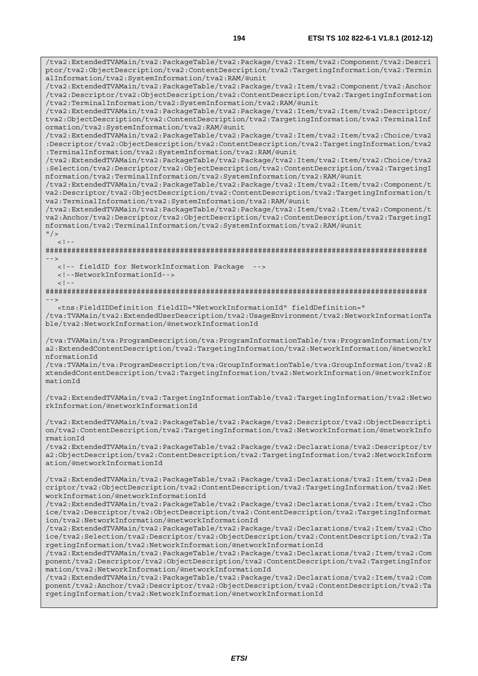/tva2:ExtendedTVAMain/tva2:PackageTable/tva2:Package/tva2:Item/tva2:Component/tva2:Descri ptor/tva2:ObjectDescription/tva2:ContentDescription/tva2:TargetingInformation/tva2:Termin alInformation/tva2:SystemInformation/tva2:RAM/@unit /tva2:ExtendedTVAMain/tva2:PackageTable/tva2:Package/tva2:Item/tva2:Component/tva2:Anchor /tva2:Descriptor/tva2:ObjectDescription/tva2:ContentDescription/tva2:TargetingInformation /tva2:TerminalInformation/tva2:SystemInformation/tva2:RAM/@unit /tva2:ExtendedTVAMain/tva2:PackageTable/tva2:Package/tva2:Item/tva2:Item/tva2:Descriptor/ tva2:ObjectDescription/tva2:ContentDescription/tva2:TargetingInformation/tva2:TerminalInf ormation/tva2:SystemInformation/tva2:RAM/@unit /tva2:ExtendedTVAMain/tva2:PackageTable/tva2:Package/tva2:Item/tva2:Item/tva2:Choice/tva2 :Descriptor/tva2:ObjectDescription/tva2:ContentDescription/tva2:TargetingInformation/tva2 :TerminalInformation/tva2:SystemInformation/tva2:RAM/@unit /tva2:ExtendedTVAMain/tva2:PackageTable/tva2:Package/tva2:Item/tva2:Item/tva2:Choice/tva2 :Selection/tva2:Descriptor/tva2:ObjectDescription/tva2:ContentDescription/tva2:TargetingI nformation/tva2:TerminalInformation/tva2:SystemInformation/tva2:RAM/@unit /tva2:ExtendedTVAMain/tva2:PackageTable/tva2:Package/tva2:Item/tva2:Item/tva2:Component/t va2:Descriptor/tva2:ObjectDescription/tva2:ContentDescription/tva2:TargetingInformation/t va2:TerminalInformation/tva2:SystemInformation/tva2:RAM/@unit /tva2:ExtendedTVAMain/tva2:PackageTable/tva2:Package/tva2:Item/tva2:Item/tva2:Component/t va2:Anchor/tva2:Descriptor/tva2:ObjectDescription/tva2:ContentDescription/tva2:TargetingI nformation/tva2:TerminalInformation/tva2:SystemInformation/tva2:RAM/@unit  $"$  />  $\leq$   $\perp$ ######################################################################################## --> <!-- fieldID for NetworkInformation Package --> <!--NetworkInformationId-->  $<$ ! --######################################################################################## --> <tns:FieldIDDefinition fieldID="NetworkInformationId" fieldDefinition=" /tva:TVAMain/tva2:ExtendedUserDescription/tva2:UsageEnvironment/tva2:NetworkInformationTa ble/tva2:NetworkInformation/@networkInformationId /tva:TVAMain/tva:ProgramDescription/tva:ProgramInformationTable/tva:ProgramInformation/tv a2:ExtendedContentDescription/tva2:TargetingInformation/tva2:NetworkInformation/@networkI nformationId /tva:TVAMain/tva:ProgramDescription/tva:GroupInformationTable/tva:GroupInformation/tva2:E xtendedContentDescription/tva2:TargetingInformation/tva2:NetworkInformation/@networkInfor mationId /tva2:ExtendedTVAMain/tva2:TargetingInformationTable/tva2:TargetingInformation/tva2:Netwo rkInformation/@networkInformationId /tva2:ExtendedTVAMain/tva2:PackageTable/tva2:Package/tva2:Descriptor/tva2:ObjectDescripti on/tva2:ContentDescription/tva2:TargetingInformation/tva2:NetworkInformation/@networkInfo rmationId /tva2:ExtendedTVAMain/tva2:PackageTable/tva2:Package/tva2:Declarations/tva2:Descriptor/tv a2:ObjectDescription/tva2:ContentDescription/tva2:TargetingInformation/tva2:NetworkInform ation/@networkInformationId /tva2:ExtendedTVAMain/tva2:PackageTable/tva2:Package/tva2:Declarations/tva2:Item/tva2:Des criptor/tva2:ObjectDescription/tva2:ContentDescription/tva2:TargetingInformation/tva2:Net workInformation/@networkInformationId /tva2:ExtendedTVAMain/tva2:PackageTable/tva2:Package/tva2:Declarations/tva2:Item/tva2:Cho ice/tva2:Descriptor/tva2:ObjectDescription/tva2:ContentDescription/tva2:TargetingInformat ion/tva2:NetworkInformation/@networkInformationId /tva2:ExtendedTVAMain/tva2:PackageTable/tva2:Package/tva2:Declarations/tva2:Item/tva2:Cho ice/tva2:Selection/tva2:Descriptor/tva2:ObjectDescription/tva2:ContentDescription/tva2:Ta rgetingInformation/tva2:NetworkInformation/@networkInformationId /tva2:ExtendedTVAMain/tva2:PackageTable/tva2:Package/tva2:Declarations/tva2:Item/tva2:Com ponent/tva2:Descriptor/tva2:ObjectDescription/tva2:ContentDescription/tva2:TargetingInfor mation/tva2:NetworkInformation/@networkInformationId /tva2:ExtendedTVAMain/tva2:PackageTable/tva2:Package/tva2:Declarations/tva2:Item/tva2:Com ponent/tva2:Anchor/tva2:Descriptor/tva2:ObjectDescription/tva2:ContentDescription/tva2:Ta rgetingInformation/tva2:NetworkInformation/@networkInformationId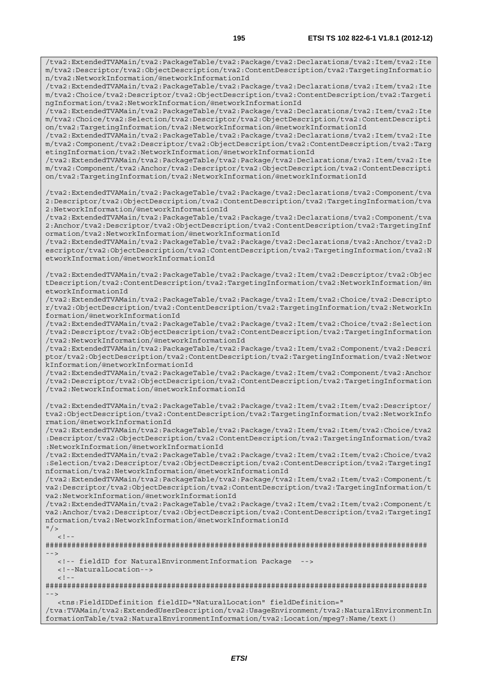/tva2:ExtendedTVAMain/tva2:PackageTable/tva2:Package/tva2:Declarations/tva2:Item/tva2:Ite

m/tva2:Descriptor/tva2:ObjectDescription/tva2:ContentDescription/tva2:TargetingInformatio n/tva2:NetworkInformation/@networkInformationId /tva2:ExtendedTVAMain/tva2:PackageTable/tva2:Package/tva2:Declarations/tva2:Item/tva2:Ite m/tva2:Choice/tva2:Descriptor/tva2:ObjectDescription/tva2:ContentDescription/tva2:Targeti ngInformation/tva2:NetworkInformation/@networkInformationId /tva2:ExtendedTVAMain/tva2:PackageTable/tva2:Package/tva2:Declarations/tva2:Item/tva2:Ite m/tva2:Choice/tva2:Selection/tva2:Descriptor/tva2:ObjectDescription/tva2:ContentDescripti on/tva2:TargetingInformation/tva2:NetworkInformation/@networkInformationId /tva2:ExtendedTVAMain/tva2:PackageTable/tva2:Package/tva2:Declarations/tva2:Item/tva2:Ite m/tva2:Component/tva2:Descriptor/tva2:ObjectDescription/tva2:ContentDescription/tva2:Targ etingInformation/tva2:NetworkInformation/@networkInformationId /tva2:ExtendedTVAMain/tva2:PackageTable/tva2:Package/tva2:Declarations/tva2:Item/tva2:Ite m/tva2:Component/tva2:Anchor/tva2:Descriptor/tva2:ObjectDescription/tva2:ContentDescripti on/tva2:TargetingInformation/tva2:NetworkInformation/@networkInformationId /tva2:ExtendedTVAMain/tva2:PackageTable/tva2:Package/tva2:Declarations/tva2:Component/tva 2:Descriptor/tva2:ObjectDescription/tva2:ContentDescription/tva2:TargetingInformation/tva 2:NetworkInformation/@networkInformationId /tva2:ExtendedTVAMain/tva2:PackageTable/tva2:Package/tva2:Declarations/tva2:Component/tva 2:Anchor/tva2:Descriptor/tva2:ObjectDescription/tva2:ContentDescription/tva2:TargetingInf ormation/tva2:NetworkInformation/@networkInformationId /tva2:ExtendedTVAMain/tva2:PackageTable/tva2:Package/tva2:Declarations/tva2:Anchor/tva2:D escriptor/tva2:ObjectDescription/tva2:ContentDescription/tva2:TargetingInformation/tva2:N etworkInformation/@networkInformationId /tva2:ExtendedTVAMain/tva2:PackageTable/tva2:Package/tva2:Item/tva2:Descriptor/tva2:Objec tDescription/tva2:ContentDescription/tva2:TargetingInformation/tva2:NetworkInformation/@n etworkInformationId /tva2:ExtendedTVAMain/tva2:PackageTable/tva2:Package/tva2:Item/tva2:Choice/tva2:Descripto r/tva2:ObjectDescription/tva2:ContentDescription/tva2:TargetingInformation/tva2:NetworkIn formation/@networkInformationId /tva2:ExtendedTVAMain/tva2:PackageTable/tva2:Package/tva2:Item/tva2:Choice/tva2:Selection /tva2:Descriptor/tva2:ObjectDescription/tva2:ContentDescription/tva2:TargetingInformation /tva2:NetworkInformation/@networkInformationId /tva2:ExtendedTVAMain/tva2:PackageTable/tva2:Package/tva2:Item/tva2:Component/tva2:Descri ptor/tva2:ObjectDescription/tva2:ContentDescription/tva2:TargetingInformation/tva2:Networ kInformation/@networkInformationId /tva2:ExtendedTVAMain/tva2:PackageTable/tva2:Package/tva2:Item/tva2:Component/tva2:Anchor /tva2:Descriptor/tva2:ObjectDescription/tva2:ContentDescription/tva2:TargetingInformation /tva2:NetworkInformation/@networkInformationId /tva2:ExtendedTVAMain/tva2:PackageTable/tva2:Package/tva2:Item/tva2:Item/tva2:Descriptor/ tva2:ObjectDescription/tva2:ContentDescription/tva2:TargetingInformation/tva2:NetworkInfo rmation/@networkInformationId /tva2:ExtendedTVAMain/tva2:PackageTable/tva2:Package/tva2:Item/tva2:Item/tva2:Choice/tva2 :Descriptor/tva2:ObjectDescription/tva2:ContentDescription/tva2:TargetingInformation/tva2 :NetworkInformation/@networkInformationId /tva2:ExtendedTVAMain/tva2:PackageTable/tva2:Package/tva2:Item/tva2:Item/tva2:Choice/tva2 :Selection/tva2:Descriptor/tva2:ObjectDescription/tva2:ContentDescription/tva2:TargetingI nformation/tva2:NetworkInformation/@networkInformationId /tva2:ExtendedTVAMain/tva2:PackageTable/tva2:Package/tva2:Item/tva2:Item/tva2:Component/t va2:Descriptor/tva2:ObjectDescription/tva2:ContentDescription/tva2:TargetingInformation/t va2:NetworkInformation/@networkInformationId /tva2:ExtendedTVAMain/tva2:PackageTable/tva2:Package/tva2:Item/tva2:Item/tva2:Component/t va2:Anchor/tva2:Descriptor/tva2:ObjectDescription/tva2:ContentDescription/tva2:TargetingI nformation/tva2:NetworkInformation/@networkInformationId  $"$  />  $\geq$   $\geq$ ######################################################################################## --> <!-- fieldID for NaturalEnvironmentInformation Package --> <!--NaturalLocation-->  $2 - 1 - 1$ ########################################################################################

-->

<tns:FieldIDDefinition fieldID="NaturalLocation" fieldDefinition="

/tva:TVAMain/tva2:ExtendedUserDescription/tva2:UsageEnvironment/tva2:NaturalEnvironmentIn formationTable/tva2:NaturalEnvironmentInformation/tva2:Location/mpeg7:Name/text()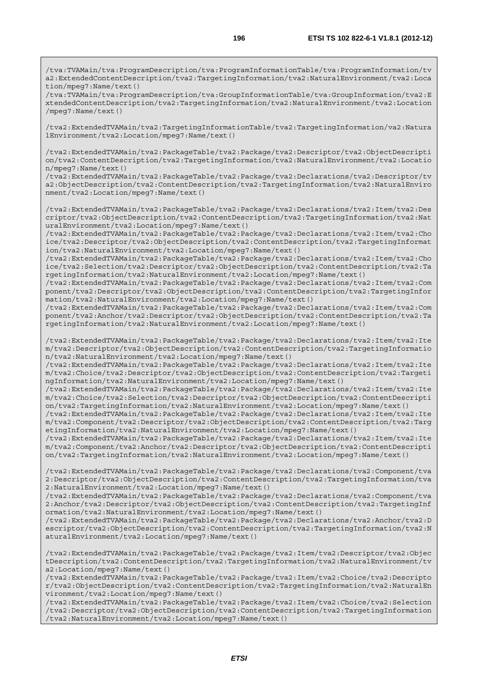/tva:TVAMain/tva:ProgramDescription/tva:ProgramInformationTable/tva:ProgramInformation/tv a2:ExtendedContentDescription/tva2:TargetingInformation/tva2:NaturalEnvironment/tva2:Loca tion/mpeg7:Name/text()

/tva:TVAMain/tva:ProgramDescription/tva:GroupInformationTable/tva:GroupInformation/tva2:E xtendedContentDescription/tva2:TargetingInformation/tva2:NaturalEnvironment/tva2:Location /mpeg7:Name/text()

/tva2:ExtendedTVAMain/tva2:TargetingInformationTable/tva2:TargetingInformation/va2:Natura lEnvironment/tva2:Location/mpeg7:Name/text()

/tva2:ExtendedTVAMain/tva2:PackageTable/tva2:Package/tva2:Descriptor/tva2:ObjectDescripti on/tva2:ContentDescription/tva2:TargetingInformation/tva2:NaturalEnvironment/tva2:Locatio n/mpeg7:Name/text()

/tva2:ExtendedTVAMain/tva2:PackageTable/tva2:Package/tva2:Declarations/tva2:Descriptor/tv a2:ObjectDescription/tva2:ContentDescription/tva2:TargetingInformation/tva2:NaturalEnviro nment/tva2:Location/mpeg7:Name/text()

/tva2:ExtendedTVAMain/tva2:PackageTable/tva2:Package/tva2:Declarations/tva2:Item/tva2:Des criptor/tva2:ObjectDescription/tva2:ContentDescription/tva2:TargetingInformation/tva2:Nat uralEnvironment/tva2:Location/mpeg7:Name/text()

/tva2:ExtendedTVAMain/tva2:PackageTable/tva2:Package/tva2:Declarations/tva2:Item/tva2:Cho ice/tva2:Descriptor/tva2:ObjectDescription/tva2:ContentDescription/tva2:TargetingInformat ion/tva2:NaturalEnvironment/tva2:Location/mpeg7:Name/text()

/tva2:ExtendedTVAMain/tva2:PackageTable/tva2:Package/tva2:Declarations/tva2:Item/tva2:Cho ice/tva2:Selection/tva2:Descriptor/tva2:ObjectDescription/tva2:ContentDescription/tva2:Ta rgetingInformation/tva2:NaturalEnvironment/tva2:Location/mpeg7:Name/text()

/tva2:ExtendedTVAMain/tva2:PackageTable/tva2:Package/tva2:Declarations/tva2:Item/tva2:Com ponent/tva2:Descriptor/tva2:ObjectDescription/tva2:ContentDescription/tva2:TargetingInfor mation/tva2:NaturalEnvironment/tva2:Location/mpeg7:Name/text()

/tva2:ExtendedTVAMain/tva2:PackageTable/tva2:Package/tva2:Declarations/tva2:Item/tva2:Com ponent/tva2:Anchor/tva2:Descriptor/tva2:ObjectDescription/tva2:ContentDescription/tva2:Ta rgetingInformation/tva2:NaturalEnvironment/tva2:Location/mpeg7:Name/text()

/tva2:ExtendedTVAMain/tva2:PackageTable/tva2:Package/tva2:Declarations/tva2:Item/tva2:Ite m/tva2:Descriptor/tva2:ObjectDescription/tva2:ContentDescription/tva2:TargetingInformatio n/tva2:NaturalEnvironment/tva2:Location/mpeg7:Name/text()

/tva2:ExtendedTVAMain/tva2:PackageTable/tva2:Package/tva2:Declarations/tva2:Item/tva2:Ite m/tva2:Choice/tva2:Descriptor/tva2:ObjectDescription/tva2:ContentDescription/tva2:Targeti ngInformation/tva2:NaturalEnvironment/tva2:Location/mpeg7:Name/text()

/tva2:ExtendedTVAMain/tva2:PackageTable/tva2:Package/tva2:Declarations/tva2:Item/tva2:Ite m/tva2:Choice/tva2:Selection/tva2:Descriptor/tva2:ObjectDescription/tva2:ContentDescripti on/tva2:TargetingInformation/tva2:NaturalEnvironment/tva2:Location/mpeg7:Name/text()

/tva2:ExtendedTVAMain/tva2:PackageTable/tva2:Package/tva2:Declarations/tva2:Item/tva2:Ite m/tva2:Component/tva2:Descriptor/tva2:ObjectDescription/tva2:ContentDescription/tva2:Targ etingInformation/tva2:NaturalEnvironment/tva2:Location/mpeg7:Name/text()

/tva2:ExtendedTVAMain/tva2:PackageTable/tva2:Package/tva2:Declarations/tva2:Item/tva2:Ite m/tva2:Component/tva2:Anchor/tva2:Descriptor/tva2:ObjectDescription/tva2:ContentDescripti on/tva2:TargetingInformation/tva2:NaturalEnvironment/tva2:Location/mpeg7:Name/text()

/tva2:ExtendedTVAMain/tva2:PackageTable/tva2:Package/tva2:Declarations/tva2:Component/tva 2:Descriptor/tva2:ObjectDescription/tva2:ContentDescription/tva2:TargetingInformation/tva 2:NaturalEnvironment/tva2:Location/mpeg7:Name/text()

/tva2:ExtendedTVAMain/tva2:PackageTable/tva2:Package/tva2:Declarations/tva2:Component/tva 2:Anchor/tva2:Descriptor/tva2:ObjectDescription/tva2:ContentDescription/tva2:TargetingInf ormation/tva2:NaturalEnvironment/tva2:Location/mpeg7:Name/text()

/tva2:ExtendedTVAMain/tva2:PackageTable/tva2:Package/tva2:Declarations/tva2:Anchor/tva2:D escriptor/tva2:ObjectDescription/tva2:ContentDescription/tva2:TargetingInformation/tva2:N aturalEnvironment/tva2:Location/mpeg7:Name/text()

/tva2:ExtendedTVAMain/tva2:PackageTable/tva2:Package/tva2:Item/tva2:Descriptor/tva2:Objec tDescription/tva2:ContentDescription/tva2:TargetingInformation/tva2:NaturalEnvironment/tv a2:Location/mpeg7:Name/text()

/tva2:ExtendedTVAMain/tva2:PackageTable/tva2:Package/tva2:Item/tva2:Choice/tva2:Descripto r/tva2:ObjectDescription/tva2:ContentDescription/tva2:TargetingInformation/tva2:NaturalEn vironment/tva2:Location/mpeg7:Name/text()

/tva2:ExtendedTVAMain/tva2:PackageTable/tva2:Package/tva2:Item/tva2:Choice/tva2:Selection /tva2:Descriptor/tva2:ObjectDescription/tva2:ContentDescription/tva2:TargetingInformation /tva2:NaturalEnvironment/tva2:Location/mpeg7:Name/text()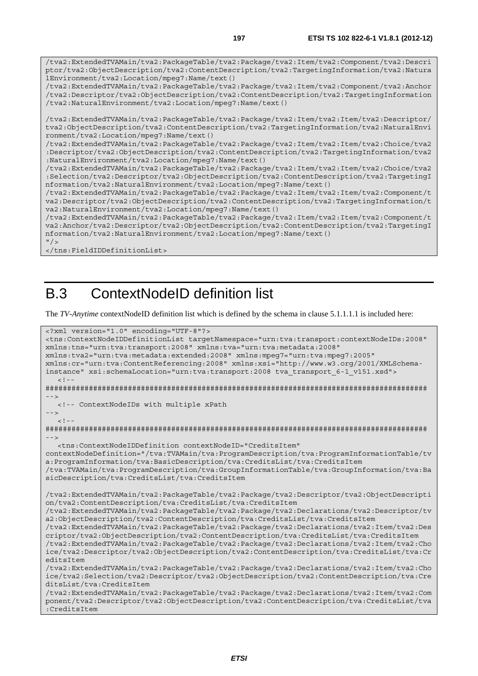/tva2:ExtendedTVAMain/tva2:PackageTable/tva2:Package/tva2:Item/tva2:Component/tva2:Descri ptor/tva2:ObjectDescription/tva2:ContentDescription/tva2:TargetingInformation/tva2:Natura lEnvironment/tva2:Location/mpeg7:Name/text() /tva2:ExtendedTVAMain/tva2:PackageTable/tva2:Package/tva2:Item/tva2:Component/tva2:Anchor /tva2:Descriptor/tva2:ObjectDescription/tva2:ContentDescription/tva2:TargetingInformation /tva2:NaturalEnvironment/tva2:Location/mpeg7:Name/text() /tva2:ExtendedTVAMain/tva2:PackageTable/tva2:Package/tva2:Item/tva2:Item/tva2:Descriptor/ tva2:ObjectDescription/tva2:ContentDescription/tva2:TargetingInformation/tva2:NaturalEnvi ronment/tva2:Location/mpeg7:Name/text() /tva2:ExtendedTVAMain/tva2:PackageTable/tva2:Package/tva2:Item/tva2:Item/tva2:Choice/tva2 :Descriptor/tva2:ObjectDescription/tva2:ContentDescription/tva2:TargetingInformation/tva2 :NaturalEnvironment/tva2:Location/mpeg7:Name/text() /tva2:ExtendedTVAMain/tva2:PackageTable/tva2:Package/tva2:Item/tva2:Item/tva2:Choice/tva2 :Selection/tva2:Descriptor/tva2:ObjectDescription/tva2:ContentDescription/tva2:TargetingI nformation/tva2:NaturalEnvironment/tva2:Location/mpeg7:Name/text() /tva2:ExtendedTVAMain/tva2:PackageTable/tva2:Package/tva2:Item/tva2:Item/tva2:Component/t va2:Descriptor/tva2:ObjectDescription/tva2:ContentDescription/tva2:TargetingInformation/t va2:NaturalEnvironment/tva2:Location/mpeg7:Name/text() /tva2:ExtendedTVAMain/tva2:PackageTable/tva2:Package/tva2:Item/tva2:Item/tva2:Component/t

```
va2:Anchor/tva2:Descriptor/tva2:ObjectDescription/tva2:ContentDescription/tva2:TargetingI
nformation/tva2:NaturalEnvironment/tva2:Location/mpeg7:Name/text() 
'' / >
```

```
</tns:FieldIDDefinitionList>
```
## B.3 ContextNodeID definition list

The *TV-Anytime* contextNodeID definition list which is defined by the schema in clause 5.1.1.1.1 is included here:

```
<?xml version="1.0" encoding="UTF-8"?> 
<tns:ContextNodeIDDefinitionList targetNamespace="urn:tva:transport:contextNodeIDs:2008" 
xmlns:tns="urn:tva:transport:2008" xmlns:tva="urn:tva:metadata:2008" 
xmlns:tva2="urn:tva:metadata:extended:2008" xmlns:mpeg7="urn:tva:mpeg7:2005" 
xmlns:cr="urn:tva:ContentReferencing:2008" xmlns:xsi="http://www.w3.org/2001/XMLSchema-
instance" xsi:schemaLocation="urn:tva:transport:2008 tva_transport_6-1_v151.xsd"> 
  \lt ! -
######################################################################################## 
 --> 
   <!-- ContextNodeIDs with multiple xPath 
--> 
  <! --
######################################################################################## 
--> 
   <tns:ContextNodeIDDefinition contextNodeID="CreditsItem" 
contextNodeDefinition="/tva:TVAMain/tva:ProgramDescription/tva:ProgramInformationTable/tv
a:ProgramInformation/tva:BasicDescription/tva:CreditsList/tva:CreditsItem 
/tva:TVAMain/tva:ProgramDescription/tva:GroupInformationTable/tva:GroupInformation/tva:Ba
sicDescription/tva:CreditsList/tva:CreditsItem 
/tva2:ExtendedTVAMain/tva2:PackageTable/tva2:Package/tva2:Descriptor/tva2:ObjectDescripti
on/tva2:ContentDescription/tva:CreditsList/tva:CreditsItem 
/tva2:ExtendedTVAMain/tva2:PackageTable/tva2:Package/tva2:Declarations/tva2:Descriptor/tv
a2:ObjectDescription/tva2:ContentDescription/tva:CreditsList/tva:CreditsItem 
/tva2:ExtendedTVAMain/tva2:PackageTable/tva2:Package/tva2:Declarations/tva2:Item/tva2:Des
criptor/tva2:ObjectDescription/tva2:ContentDescription/tva:CreditsList/tva:CreditsItem 
/tva2:ExtendedTVAMain/tva2:PackageTable/tva2:Package/tva2:Declarations/tva2:Item/tva2:Cho
ice/tva2:Descriptor/tva2:ObjectDescription/tva2:ContentDescription/tva:CreditsList/tva:Cr
editsItem 
/tva2:ExtendedTVAMain/tva2:PackageTable/tva2:Package/tva2:Declarations/tva2:Item/tva2:Cho
ice/tva2:Selection/tva2:Descriptor/tva2:ObjectDescription/tva2:ContentDescription/tva:Cre
ditsList/tva:CreditsItem 
/tva2:ExtendedTVAMain/tva2:PackageTable/tva2:Package/tva2:Declarations/tva2:Item/tva2:Com
ponent/tva2:Descriptor/tva2:ObjectDescription/tva2:ContentDescription/tva:CreditsList/tva
:CreditsItem
```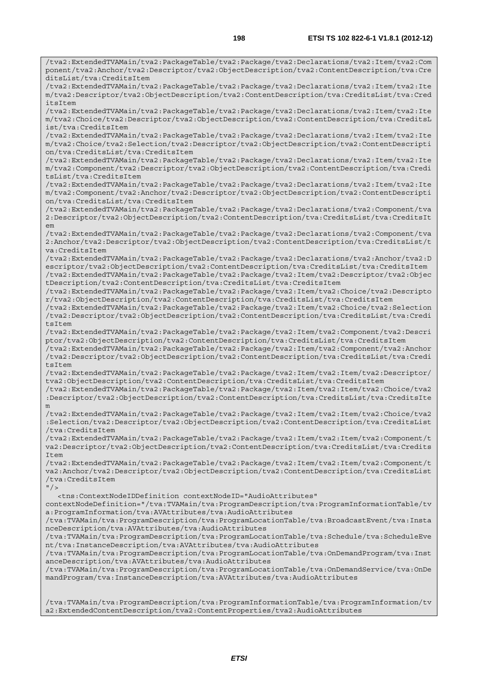/tva2:ExtendedTVAMain/tva2:PackageTable/tva2:Package/tva2:Declarations/tva2:Item/tva2:Com ponent/tva2:Anchor/tva2:Descriptor/tva2:ObjectDescription/tva2:ContentDescription/tva:Cre

/tva2:ExtendedTVAMain/tva2:PackageTable/tva2:Package/tva2:Declarations/tva2:Item/tva2:Ite

ditsList/tva:CreditsItem

m/tva2:Descriptor/tva2:ObjectDescription/tva2:ContentDescription/tva:CreditsList/tva:Cred itsItem /tva2:ExtendedTVAMain/tva2:PackageTable/tva2:Package/tva2:Declarations/tva2:Item/tva2:Ite m/tva2:Choice/tva2:Descriptor/tva2:ObjectDescription/tva2:ContentDescription/tva:CreditsL ist/tva:CreditsItem /tva2:ExtendedTVAMain/tva2:PackageTable/tva2:Package/tva2:Declarations/tva2:Item/tva2:Ite m/tva2:Choice/tva2:Selection/tva2:Descriptor/tva2:ObjectDescription/tva2:ContentDescripti on/tva:CreditsList/tva:CreditsItem /tva2:ExtendedTVAMain/tva2:PackageTable/tva2:Package/tva2:Declarations/tva2:Item/tva2:Ite m/tva2:Component/tva2:Descriptor/tva2:ObjectDescription/tva2:ContentDescription/tva:Credi tsList/tva:CreditsItem /tva2:ExtendedTVAMain/tva2:PackageTable/tva2:Package/tva2:Declarations/tva2:Item/tva2:Ite m/tva2:Component/tva2:Anchor/tva2:Descriptor/tva2:ObjectDescription/tva2:ContentDescripti on/tva:CreditsList/tva:CreditsItem /tva2:ExtendedTVAMain/tva2:PackageTable/tva2:Package/tva2:Declarations/tva2:Component/tva 2:Descriptor/tva2:ObjectDescription/tva2:ContentDescription/tva:CreditsList/tva:CreditsIt em /tva2:ExtendedTVAMain/tva2:PackageTable/tva2:Package/tva2:Declarations/tva2:Component/tva 2:Anchor/tva2:Descriptor/tva2:ObjectDescription/tva2:ContentDescription/tva:CreditsList/t va:CreditsItem /tva2:ExtendedTVAMain/tva2:PackageTable/tva2:Package/tva2:Declarations/tva2:Anchor/tva2:D escriptor/tva2:ObjectDescription/tva2:ContentDescription/tva:CreditsList/tva:CreditsItem /tva2:ExtendedTVAMain/tva2:PackageTable/tva2:Package/tva2:Item/tva2:Descriptor/tva2:Objec tDescription/tva2:ContentDescription/tva:CreditsList/tva:CreditsItem /tva2:ExtendedTVAMain/tva2:PackageTable/tva2:Package/tva2:Item/tva2:Choice/tva2:Descripto r/tva2:ObjectDescription/tva2:ContentDescription/tva:CreditsList/tva:CreditsItem /tva2:ExtendedTVAMain/tva2:PackageTable/tva2:Package/tva2:Item/tva2:Choice/tva2:Selection /tva2:Descriptor/tva2:ObjectDescription/tva2:ContentDescription/tva:CreditsList/tva:Credi tsItem /tva2:ExtendedTVAMain/tva2:PackageTable/tva2:Package/tva2:Item/tva2:Component/tva2:Descri ptor/tva2:ObjectDescription/tva2:ContentDescription/tva:CreditsList/tva:CreditsItem /tva2:ExtendedTVAMain/tva2:PackageTable/tva2:Package/tva2:Item/tva2:Component/tva2:Anchor /tva2:Descriptor/tva2:ObjectDescription/tva2:ContentDescription/tva:CreditsList/tva:Credi tsItem /tva2:ExtendedTVAMain/tva2:PackageTable/tva2:Package/tva2:Item/tva2:Item/tva2:Descriptor/ tva2:ObjectDescription/tva2:ContentDescription/tva:CreditsList/tva:CreditsItem /tva2:ExtendedTVAMain/tva2:PackageTable/tva2:Package/tva2:Item/tva2:Item/tva2:Choice/tva2 :Descriptor/tva2:ObjectDescription/tva2:ContentDescription/tva:CreditsList/tva:CreditsIte m /tva2:ExtendedTVAMain/tva2:PackageTable/tva2:Package/tva2:Item/tva2:Item/tva2:Choice/tva2 :Selection/tva2:Descriptor/tva2:ObjectDescription/tva2:ContentDescription/tva:CreditsList /tva:CreditsItem /tva2:ExtendedTVAMain/tva2:PackageTable/tva2:Package/tva2:Item/tva2:Item/tva2:Component/t va2:Descriptor/tva2:ObjectDescription/tva2:ContentDescription/tva:CreditsList/tva:Credits Item /tva2:ExtendedTVAMain/tva2:PackageTable/tva2:Package/tva2:Item/tva2:Item/tva2:Component/t va2:Anchor/tva2:Descriptor/tva2:ObjectDescription/tva2:ContentDescription/tva:CreditsList /tva:CreditsItem  $"$  /> <tns:ContextNodeIDDefinition contextNodeID="AudioAttributes" contextNodeDefinition="/tva:TVAMain/tva:ProgramDescription/tva:ProgramInformationTable/tv a:ProgramInformation/tva:AVAttributes/tva:AudioAttributes /tva:TVAMain/tva:ProgramDescription/tva:ProgramLocationTable/tva:BroadcastEvent/tva:Insta nceDescription/tva:AVAttributes/tva:AudioAttributes /tva:TVAMain/tva:ProgramDescription/tva:ProgramLocationTable/tva:Schedule/tva:ScheduleEve nt/tva:InstanceDescription/tva:AVAttributes/tva:AudioAttributes /tva:TVAMain/tva:ProgramDescription/tva:ProgramLocationTable/tva:OnDemandProgram/tva:Inst anceDescription/tva:AVAttributes/tva:AudioAttributes /tva:TVAMain/tva:ProgramDescription/tva:ProgramLocationTable/tva:OnDemandService/tva:OnDe mandProgram/tva:InstanceDescription/tva:AVAttributes/tva:AudioAttributes /tva:TVAMain/tva:ProgramDescription/tva:ProgramInformationTable/tva:ProgramInformation/tv a2:ExtendedContentDescription/tva2:ContentProperties/tva2:AudioAttributes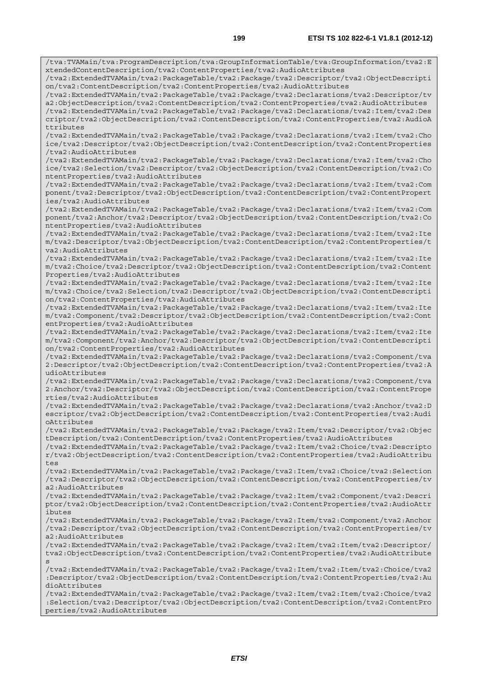/tva:TVAMain/tva:ProgramDescription/tva:GroupInformationTable/tva:GroupInformation/tva2:E xtendedContentDescription/tva2:ContentProperties/tva2:AudioAttributes /tva2:ExtendedTVAMain/tva2:PackageTable/tva2:Package/tva2:Descriptor/tva2:ObjectDescripti on/tva2:ContentDescription/tva2:ContentProperties/tva2:AudioAttributes /tva2:ExtendedTVAMain/tva2:PackageTable/tva2:Package/tva2:Declarations/tva2:Descriptor/tv a2:ObjectDescription/tva2:ContentDescription/tva2:ContentProperties/tva2:AudioAttributes /tva2:ExtendedTVAMain/tva2:PackageTable/tva2:Package/tva2:Declarations/tva2:Item/tva2:Des criptor/tva2:ObjectDescription/tva2:ContentDescription/tva2:ContentProperties/tva2:AudioA ttributes /tva2:ExtendedTVAMain/tva2:PackageTable/tva2:Package/tva2:Declarations/tva2:Item/tva2:Cho ice/tva2:Descriptor/tva2:ObjectDescription/tva2:ContentDescription/tva2:ContentProperties /tva2:AudioAttributes /tva2:ExtendedTVAMain/tva2:PackageTable/tva2:Package/tva2:Declarations/tva2:Item/tva2:Cho ice/tva2:Selection/tva2:Descriptor/tva2:ObjectDescription/tva2:ContentDescription/tva2:Co ntentProperties/tva2:AudioAttributes /tva2:ExtendedTVAMain/tva2:PackageTable/tva2:Package/tva2:Declarations/tva2:Item/tva2:Com ponent/tva2:Descriptor/tva2:ObjectDescription/tva2:ContentDescription/tva2:ContentPropert ies/tva2:AudioAttributes /tva2:ExtendedTVAMain/tva2:PackageTable/tva2:Package/tva2:Declarations/tva2:Item/tva2:Com ponent/tva2:Anchor/tva2:Descriptor/tva2:ObjectDescription/tva2:ContentDescription/tva2:Co ntentProperties/tva2:AudioAttributes /tva2:ExtendedTVAMain/tva2:PackageTable/tva2:Package/tva2:Declarations/tva2:Item/tva2:Ite m/tva2:Descriptor/tva2:ObjectDescription/tva2:ContentDescription/tva2:ContentProperties/t va2:AudioAttributes /tva2:ExtendedTVAMain/tva2:PackageTable/tva2:Package/tva2:Declarations/tva2:Item/tva2:Ite m/tva2:Choice/tva2:Descriptor/tva2:ObjectDescription/tva2:ContentDescription/tva2:Content Properties/tva2:AudioAttributes /tva2:ExtendedTVAMain/tva2:PackageTable/tva2:Package/tva2:Declarations/tva2:Item/tva2:Ite m/tva2:Choice/tva2:Selection/tva2:Descriptor/tva2:ObjectDescription/tva2:ContentDescripti on/tva2:ContentProperties/tva2:AudioAttributes /tva2:ExtendedTVAMain/tva2:PackageTable/tva2:Package/tva2:Declarations/tva2:Item/tva2:Ite m/tva2:Component/tva2:Descriptor/tva2:ObjectDescription/tva2:ContentDescription/tva2:Cont entProperties/tva2:AudioAttributes /tva2:ExtendedTVAMain/tva2:PackageTable/tva2:Package/tva2:Declarations/tva2:Item/tva2:Ite m/tva2:Component/tva2:Anchor/tva2:Descriptor/tva2:ObjectDescription/tva2:ContentDescripti on/tva2:ContentProperties/tva2:AudioAttributes /tva2:ExtendedTVAMain/tva2:PackageTable/tva2:Package/tva2:Declarations/tva2:Component/tva 2:Descriptor/tva2:ObjectDescription/tva2:ContentDescription/tva2:ContentProperties/tva2:A udioAttributes /tva2:ExtendedTVAMain/tva2:PackageTable/tva2:Package/tva2:Declarations/tva2:Component/tva 2:Anchor/tva2:Descriptor/tva2:ObjectDescription/tva2:ContentDescription/tva2:ContentPrope rties/tva2:AudioAttributes /tva2:ExtendedTVAMain/tva2:PackageTable/tva2:Package/tva2:Declarations/tva2:Anchor/tva2:D escriptor/tva2:ObjectDescription/tva2:ContentDescription/tva2:ContentProperties/tva2:Audi oAttributes /tva2:ExtendedTVAMain/tva2:PackageTable/tva2:Package/tva2:Item/tva2:Descriptor/tva2:Objec tDescription/tva2:ContentDescription/tva2:ContentProperties/tva2:AudioAttributes /tva2:ExtendedTVAMain/tva2:PackageTable/tva2:Package/tva2:Item/tva2:Choice/tva2:Descripto r/tva2:ObjectDescription/tva2:ContentDescription/tva2:ContentProperties/tva2:AudioAttribu tes /tva2:ExtendedTVAMain/tva2:PackageTable/tva2:Package/tva2:Item/tva2:Choice/tva2:Selection /tva2:Descriptor/tva2:ObjectDescription/tva2:ContentDescription/tva2:ContentProperties/tv a2:AudioAttributes /tva2:ExtendedTVAMain/tva2:PackageTable/tva2:Package/tva2:Item/tva2:Component/tva2:Descri ptor/tva2:ObjectDescription/tva2:ContentDescription/tva2:ContentProperties/tva2:AudioAttr ibutes /tva2:ExtendedTVAMain/tva2:PackageTable/tva2:Package/tva2:Item/tva2:Component/tva2:Anchor /tva2:Descriptor/tva2:ObjectDescription/tva2:ContentDescription/tva2:ContentProperties/tv a2:AudioAttributes /tva2:ExtendedTVAMain/tva2:PackageTable/tva2:Package/tva2:Item/tva2:Item/tva2:Descriptor/ tva2:ObjectDescription/tva2:ContentDescription/tva2:ContentProperties/tva2:AudioAttribute s /tva2:ExtendedTVAMain/tva2:PackageTable/tva2:Package/tva2:Item/tva2:Item/tva2:Choice/tva2 :Descriptor/tva2:ObjectDescription/tva2:ContentDescription/tva2:ContentProperties/tva2:Au dioAttributes /tva2:ExtendedTVAMain/tva2:PackageTable/tva2:Package/tva2:Item/tva2:Item/tva2:Choice/tva2 :Selection/tva2:Descriptor/tva2:ObjectDescription/tva2:ContentDescription/tva2:ContentPro perties/tva2:AudioAttributes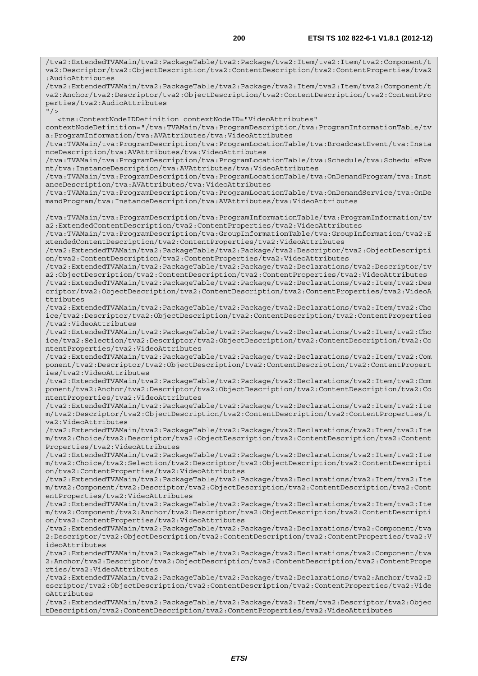/tva2:ExtendedTVAMain/tva2:PackageTable/tva2:Package/tva2:Item/tva2:Item/tva2:Component/t va2:Descriptor/tva2:ObjectDescription/tva2:ContentDescription/tva2:ContentProperties/tva2 :AudioAttributes /tva2:ExtendedTVAMain/tva2:PackageTable/tva2:Package/tva2:Item/tva2:Item/tva2:Component/t va2:Anchor/tva2:Descriptor/tva2:ObjectDescription/tva2:ContentDescription/tva2:ContentPro perties/tva2:AudioAttributes  $^{\prime\prime}$  /  $\rightarrow$  <tns:ContextNodeIDDefinition contextNodeID="VideoAttributes" contextNodeDefinition="/tva:TVAMain/tva:ProgramDescription/tva:ProgramInformationTable/tv a:ProgramInformation/tva:AVAttributes/tva:VideoAttributes /tva:TVAMain/tva:ProgramDescription/tva:ProgramLocationTable/tva:BroadcastEvent/tva:Insta nceDescription/tva:AVAttributes/tva:VideoAttributes /tva:TVAMain/tva:ProgramDescription/tva:ProgramLocationTable/tva:Schedule/tva:ScheduleEve nt/tva:InstanceDescription/tva:AVAttributes/tva:VideoAttributes /tva:TVAMain/tva:ProgramDescription/tva:ProgramLocationTable/tva:OnDemandProgram/tva:Inst anceDescription/tva:AVAttributes/tva:VideoAttributes /tva:TVAMain/tva:ProgramDescription/tva:ProgramLocationTable/tva:OnDemandService/tva:OnDe mandProgram/tva:InstanceDescription/tva:AVAttributes/tva:VideoAttributes /tva:TVAMain/tva:ProgramDescription/tva:ProgramInformationTable/tva:ProgramInformation/tv a2:ExtendedContentDescription/tva2:ContentProperties/tva2:VideoAttributes /tva:TVAMain/tva:ProgramDescription/tva:GroupInformationTable/tva:GroupInformation/tva2:E xtendedContentDescription/tva2:ContentProperties/tva2:VideoAttributes /tva2:ExtendedTVAMain/tva2:PackageTable/tva2:Package/tva2:Descriptor/tva2:ObjectDescripti on/tva2:ContentDescription/tva2:ContentProperties/tva2:VideoAttributes /tva2:ExtendedTVAMain/tva2:PackageTable/tva2:Package/tva2:Declarations/tva2:Descriptor/tv a2:ObjectDescription/tva2:ContentDescription/tva2:ContentProperties/tva2:VideoAttributes /tva2:ExtendedTVAMain/tva2:PackageTable/tva2:Package/tva2:Declarations/tva2:Item/tva2:Des criptor/tva2:ObjectDescription/tva2:ContentDescription/tva2:ContentProperties/tva2:VideoA ttributes /tva2:ExtendedTVAMain/tva2:PackageTable/tva2:Package/tva2:Declarations/tva2:Item/tva2:Cho ice/tva2:Descriptor/tva2:ObjectDescription/tva2:ContentDescription/tva2:ContentProperties /tva2:VideoAttributes /tva2:ExtendedTVAMain/tva2:PackageTable/tva2:Package/tva2:Declarations/tva2:Item/tva2:Cho ice/tva2:Selection/tva2:Descriptor/tva2:ObjectDescription/tva2:ContentDescription/tva2:Co ntentProperties/tva2:VideoAttributes /tva2:ExtendedTVAMain/tva2:PackageTable/tva2:Package/tva2:Declarations/tva2:Item/tva2:Com ponent/tva2:Descriptor/tva2:ObjectDescription/tva2:ContentDescription/tva2:ContentPropert ies/tva2:VideoAttributes /tva2:ExtendedTVAMain/tva2:PackageTable/tva2:Package/tva2:Declarations/tva2:Item/tva2:Com ponent/tva2:Anchor/tva2:Descriptor/tva2:ObjectDescription/tva2:ContentDescription/tva2:Co ntentProperties/tva2:VideoAttributes /tva2:ExtendedTVAMain/tva2:PackageTable/tva2:Package/tva2:Declarations/tva2:Item/tva2:Ite m/tva2:Descriptor/tva2:ObjectDescription/tva2:ContentDescription/tva2:ContentProperties/t va2:VideoAttributes /tva2:ExtendedTVAMain/tva2:PackageTable/tva2:Package/tva2:Declarations/tva2:Item/tva2:Ite m/tva2:Choice/tva2:Descriptor/tva2:ObjectDescription/tva2:ContentDescription/tva2:Content Properties/tva2:VideoAttributes /tva2:ExtendedTVAMain/tva2:PackageTable/tva2:Package/tva2:Declarations/tva2:Item/tva2:Ite m/tva2:Choice/tva2:Selection/tva2:Descriptor/tva2:ObjectDescription/tva2:ContentDescripti on/tva2:ContentProperties/tva2:VideoAttributes /tva2:ExtendedTVAMain/tva2:PackageTable/tva2:Package/tva2:Declarations/tva2:Item/tva2:Ite m/tva2:Component/tva2:Descriptor/tva2:ObjectDescription/tva2:ContentDescription/tva2:Cont entProperties/tva2:VideoAttributes /tva2:ExtendedTVAMain/tva2:PackageTable/tva2:Package/tva2:Declarations/tva2:Item/tva2:Ite m/tva2:Component/tva2:Anchor/tva2:Descriptor/tva2:ObjectDescription/tva2:ContentDescripti on/tva2:ContentProperties/tva2:VideoAttributes /tva2:ExtendedTVAMain/tva2:PackageTable/tva2:Package/tva2:Declarations/tva2:Component/tva 2:Descriptor/tva2:ObjectDescription/tva2:ContentDescription/tva2:ContentProperties/tva2:V ideoAttributes /tva2:ExtendedTVAMain/tva2:PackageTable/tva2:Package/tva2:Declarations/tva2:Component/tva 2:Anchor/tva2:Descriptor/tva2:ObjectDescription/tva2:ContentDescription/tva2:ContentPrope rties/tva2:VideoAttributes /tva2:ExtendedTVAMain/tva2:PackageTable/tva2:Package/tva2:Declarations/tva2:Anchor/tva2:D escriptor/tva2:ObjectDescription/tva2:ContentDescription/tva2:ContentProperties/tva2:Vide

/tva2:ExtendedTVAMain/tva2:PackageTable/tva2:Package/tva2:Item/tva2:Descriptor/tva2:Objec tDescription/tva2:ContentDescription/tva2:ContentProperties/tva2:VideoAttributes

oAttributes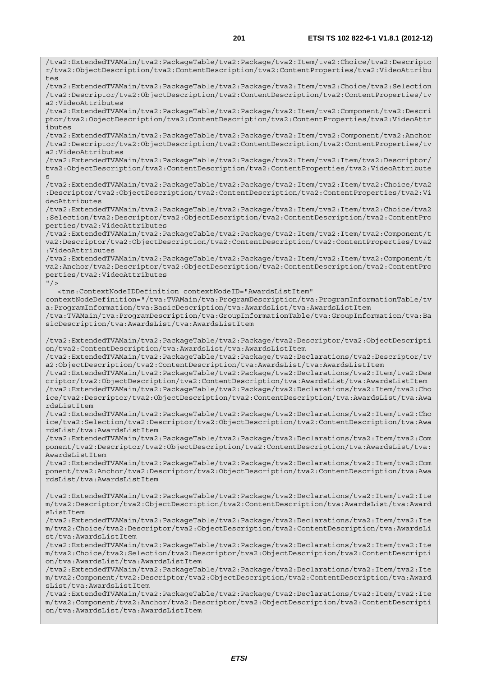/tva2:ExtendedTVAMain/tva2:PackageTable/tva2:Package/tva2:Item/tva2:Choice/tva2:Descripto r/tva2:ObjectDescription/tva2:ContentDescription/tva2:ContentProperties/tva2:VideoAttribu tes /tva2:ExtendedTVAMain/tva2:PackageTable/tva2:Package/tva2:Item/tva2:Choice/tva2:Selection /tva2:Descriptor/tva2:ObjectDescription/tva2:ContentDescription/tva2:ContentProperties/tv a2:VideoAttributes /tva2:ExtendedTVAMain/tva2:PackageTable/tva2:Package/tva2:Item/tva2:Component/tva2:Descri ptor/tva2:ObjectDescription/tva2:ContentDescription/tva2:ContentProperties/tva2:VideoAttr ibutes /tva2:ExtendedTVAMain/tva2:PackageTable/tva2:Package/tva2:Item/tva2:Component/tva2:Anchor /tva2:Descriptor/tva2:ObjectDescription/tva2:ContentDescription/tva2:ContentProperties/tv a2:VideoAttributes /tva2:ExtendedTVAMain/tva2:PackageTable/tva2:Package/tva2:Item/tva2:Item/tva2:Descriptor/ tva2:ObjectDescription/tva2:ContentDescription/tva2:ContentProperties/tva2:VideoAttribute s /tva2:ExtendedTVAMain/tva2:PackageTable/tva2:Package/tva2:Item/tva2:Item/tva2:Choice/tva2 :Descriptor/tva2:ObjectDescription/tva2:ContentDescription/tva2:ContentProperties/tva2:Vi deoAttributes /tva2:ExtendedTVAMain/tva2:PackageTable/tva2:Package/tva2:Item/tva2:Item/tva2:Choice/tva2 :Selection/tva2:Descriptor/tva2:ObjectDescription/tva2:ContentDescription/tva2:ContentPro perties/tva2:VideoAttributes /tva2:ExtendedTVAMain/tva2:PackageTable/tva2:Package/tva2:Item/tva2:Item/tva2:Component/t va2:Descriptor/tva2:ObjectDescription/tva2:ContentDescription/tva2:ContentProperties/tva2 :VideoAttributes /tva2:ExtendedTVAMain/tva2:PackageTable/tva2:Package/tva2:Item/tva2:Item/tva2:Component/t va2:Anchor/tva2:Descriptor/tva2:ObjectDescription/tva2:ContentDescription/tva2:ContentPro perties/tva2:VideoAttributes  $"$  /> <tns:ContextNodeIDDefinition contextNodeID="AwardsListItem" contextNodeDefinition="/tva:TVAMain/tva:ProgramDescription/tva:ProgramInformationTable/tv a:ProgramInformation/tva:BasicDescription/tva:AwardsList/tva:AwardsListItem /tva:TVAMain/tva:ProgramDescription/tva:GroupInformationTable/tva:GroupInformation/tva:Ba sicDescription/tva:AwardsList/tva:AwardsListItem /tva2:ExtendedTVAMain/tva2:PackageTable/tva2:Package/tva2:Descriptor/tva2:ObjectDescripti on/tva2:ContentDescription/tva:AwardsList/tva:AwardsListItem /tva2:ExtendedTVAMain/tva2:PackageTable/tva2:Package/tva2:Declarations/tva2:Descriptor/tv a2:ObjectDescription/tva2:ContentDescription/tva:AwardsList/tva:AwardsListItem /tva2:ExtendedTVAMain/tva2:PackageTable/tva2:Package/tva2:Declarations/tva2:Item/tva2:Des criptor/tva2:ObjectDescription/tva2:ContentDescription/tva:AwardsList/tva:AwardsListItem /tva2:ExtendedTVAMain/tva2:PackageTable/tva2:Package/tva2:Declarations/tva2:Item/tva2:Cho ice/tva2:Descriptor/tva2:ObjectDescription/tva2:ContentDescription/tva:AwardsList/tva:Awa rdsListItem /tva2:ExtendedTVAMain/tva2:PackageTable/tva2:Package/tva2:Declarations/tva2:Item/tva2:Cho ice/tva2:Selection/tva2:Descriptor/tva2:ObjectDescription/tva2:ContentDescription/tva:Awa rdsList/tva:AwardsListItem /tva2:ExtendedTVAMain/tva2:PackageTable/tva2:Package/tva2:Declarations/tva2:Item/tva2:Com ponent/tva2:Descriptor/tva2:ObjectDescription/tva2:ContentDescription/tva:AwardsList/tva: AwardsListItem /tva2:ExtendedTVAMain/tva2:PackageTable/tva2:Package/tva2:Declarations/tva2:Item/tva2:Com ponent/tva2:Anchor/tva2:Descriptor/tva2:ObjectDescription/tva2:ContentDescription/tva:Awa rdsList/tva:AwardsListItem /tva2:ExtendedTVAMain/tva2:PackageTable/tva2:Package/tva2:Declarations/tva2:Item/tva2:Ite m/tva2:Descriptor/tva2:ObjectDescription/tva2:ContentDescription/tva:AwardsList/tva:Award sListItem /tva2:ExtendedTVAMain/tva2:PackageTable/tva2:Package/tva2:Declarations/tva2:Item/tva2:Ite m/tva2:Choice/tva2:Descriptor/tva2:ObjectDescription/tva2:ContentDescription/tva:AwardsLi st/tva:AwardsListItem /tva2:ExtendedTVAMain/tva2:PackageTable/tva2:Package/tva2:Declarations/tva2:Item/tva2:Ite m/tva2:Choice/tva2:Selection/tva2:Descriptor/tva2:ObjectDescription/tva2:ContentDescripti on/tva:AwardsList/tva:AwardsListItem /tva2:ExtendedTVAMain/tva2:PackageTable/tva2:Package/tva2:Declarations/tva2:Item/tva2:Ite m/tva2:Component/tva2:Descriptor/tva2:ObjectDescription/tva2:ContentDescription/tva:Award sList/tva:AwardsListItem /tva2:ExtendedTVAMain/tva2:PackageTable/tva2:Package/tva2:Declarations/tva2:Item/tva2:Ite m/tva2:Component/tva2:Anchor/tva2:Descriptor/tva2:ObjectDescription/tva2:ContentDescripti on/tva:AwardsList/tva:AwardsListItem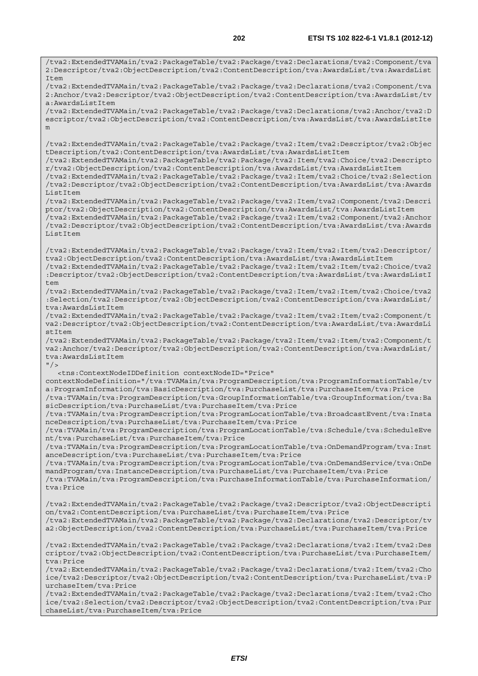/tva2:ExtendedTVAMain/tva2:PackageTable/tva2:Package/tva2:Declarations/tva2:Component/tva 2:Descriptor/tva2:ObjectDescription/tva2:ContentDescription/tva:AwardsList/tva:AwardsList Item /tva2:ExtendedTVAMain/tva2:PackageTable/tva2:Package/tva2:Declarations/tva2:Component/tva 2:Anchor/tva2:Descriptor/tva2:ObjectDescription/tva2:ContentDescription/tva:AwardsList/tv a:AwardsListItem /tva2:ExtendedTVAMain/tva2:PackageTable/tva2:Package/tva2:Declarations/tva2:Anchor/tva2:D escriptor/tva2:ObjectDescription/tva2:ContentDescription/tva:AwardsList/tva:AwardsListIte m /tva2:ExtendedTVAMain/tva2:PackageTable/tva2:Package/tva2:Item/tva2:Descriptor/tva2:Objec tDescription/tva2:ContentDescription/tva:AwardsList/tva:AwardsListItem /tva2:ExtendedTVAMain/tva2:PackageTable/tva2:Package/tva2:Item/tva2:Choice/tva2:Descripto r/tva2:ObjectDescription/tva2:ContentDescription/tva:AwardsList/tva:AwardsListItem /tva2:ExtendedTVAMain/tva2:PackageTable/tva2:Package/tva2:Item/tva2:Choice/tva2:Selection /tva2:Descriptor/tva2:ObjectDescription/tva2:ContentDescription/tva:AwardsList/tva:Awards ListItem /tva2:ExtendedTVAMain/tva2:PackageTable/tva2:Package/tva2:Item/tva2:Component/tva2:Descri ptor/tva2:ObjectDescription/tva2:ContentDescription/tva:AwardsList/tva:AwardsListItem /tva2:ExtendedTVAMain/tva2:PackageTable/tva2:Package/tva2:Item/tva2:Component/tva2:Anchor /tva2:Descriptor/tva2:ObjectDescription/tva2:ContentDescription/tva:AwardsList/tva:Awards ListItem /tva2:ExtendedTVAMain/tva2:PackageTable/tva2:Package/tva2:Item/tva2:Item/tva2:Descriptor/ tva2:ObjectDescription/tva2:ContentDescription/tva:AwardsList/tva:AwardsListItem /tva2:ExtendedTVAMain/tva2:PackageTable/tva2:Package/tva2:Item/tva2:Item/tva2:Choice/tva2 :Descriptor/tva2:ObjectDescription/tva2:ContentDescription/tva:AwardsList/tva:AwardsListI tem /tva2:ExtendedTVAMain/tva2:PackageTable/tva2:Package/tva2:Item/tva2:Item/tva2:Choice/tva2 :Selection/tva2:Descriptor/tva2:ObjectDescription/tva2:ContentDescription/tva:AwardsList/ tva:AwardsListItem /tva2:ExtendedTVAMain/tva2:PackageTable/tva2:Package/tva2:Item/tva2:Item/tva2:Component/t va2:Descriptor/tva2:ObjectDescription/tva2:ContentDescription/tva:AwardsList/tva:AwardsLi  $st$ /tva2:ExtendedTVAMain/tva2:PackageTable/tva2:Package/tva2:Item/tva2:Item/tva2:Component/t va2:Anchor/tva2:Descriptor/tva2:ObjectDescription/tva2:ContentDescription/tva:AwardsList/ tva:AwardsListItem  $"$  / > <tns:ContextNodeIDDefinition contextNodeID="Price" contextNodeDefinition="/tva:TVAMain/tva:ProgramDescription/tva:ProgramInformationTable/tv a:ProgramInformation/tva:BasicDescription/tva:PurchaseList/tva:PurchaseItem/tva:Price /tva:TVAMain/tva:ProgramDescription/tva:GroupInformationTable/tva:GroupInformation/tva:Ba sicDescription/tva:PurchaseList/tva:PurchaseItem/tva:Price /tva:TVAMain/tva:ProgramDescription/tva:ProgramLocationTable/tva:BroadcastEvent/tva:Insta nceDescription/tva:PurchaseList/tva:PurchaseItem/tva:Price /tva:TVAMain/tva:ProgramDescription/tva:ProgramLocationTable/tva:Schedule/tva:ScheduleEve nt/tva:PurchaseList/tva:PurchaseItem/tva:Price /tva:TVAMain/tva:ProgramDescription/tva:ProgramLocationTable/tva:OnDemandProgram/tva:Inst anceDescription/tva:PurchaseList/tva:PurchaseItem/tva:Price /tva:TVAMain/tva:ProgramDescription/tva:ProgramLocationTable/tva:OnDemandService/tva:OnDe mandProgram/tva:InstanceDescription/tva:PurchaseList/tva:PurchaseItem/tva:Price /tva:TVAMain/tva:ProgramDescription/tva:PurchaseInformationTable/tva:PurchaseInformation/ tva:Price /tva2:ExtendedTVAMain/tva2:PackageTable/tva2:Package/tva2:Descriptor/tva2:ObjectDescripti on/tva2:ContentDescription/tva:PurchaseList/tva:PurchaseItem/tva:Price /tva2:ExtendedTVAMain/tva2:PackageTable/tva2:Package/tva2:Declarations/tva2:Descriptor/tv a2:ObjectDescription/tva2:ContentDescription/tva:PurchaseList/tva:PurchaseItem/tva:Price /tva2:ExtendedTVAMain/tva2:PackageTable/tva2:Package/tva2:Declarations/tva2:Item/tva2:Des criptor/tva2:ObjectDescription/tva2:ContentDescription/tva:PurchaseList/tva:PurchaseItem/ tva:Price /tva2:ExtendedTVAMain/tva2:PackageTable/tva2:Package/tva2:Declarations/tva2:Item/tva2:Cho ice/tva2:Descriptor/tva2:ObjectDescription/tva2:ContentDescription/tva:PurchaseList/tva:P urchaseItem/tva:Price /tva2:ExtendedTVAMain/tva2:PackageTable/tva2:Package/tva2:Declarations/tva2:Item/tva2:Cho ice/tva2:Selection/tva2:Descriptor/tva2:ObjectDescription/tva2:ContentDescription/tva:Pur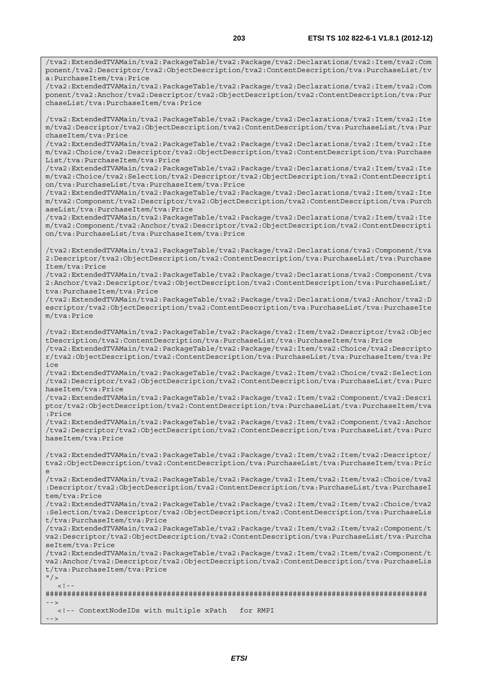/tva2:ExtendedTVAMain/tva2:PackageTable/tva2:Package/tva2:Declarations/tva2:Item/tva2:Com ponent/tva2:Descriptor/tva2:ObjectDescription/tva2:ContentDescription/tva:PurchaseList/tv a:PurchaseItem/tva:Price

/tva2:ExtendedTVAMain/tva2:PackageTable/tva2:Package/tva2:Declarations/tva2:Item/tva2:Com ponent/tva2:Anchor/tva2:Descriptor/tva2:ObjectDescription/tva2:ContentDescription/tva:Pur chaseList/tva:PurchaseItem/tva:Price

/tva2:ExtendedTVAMain/tva2:PackageTable/tva2:Package/tva2:Declarations/tva2:Item/tva2:Ite m/tva2:Descriptor/tva2:ObjectDescription/tva2:ContentDescription/tva:PurchaseList/tva:Pur chaseItem/tva:Price

/tva2:ExtendedTVAMain/tva2:PackageTable/tva2:Package/tva2:Declarations/tva2:Item/tva2:Ite m/tva2:Choice/tva2:Descriptor/tva2:ObjectDescription/tva2:ContentDescription/tva:Purchase List/tva:PurchaseItem/tva:Price

/tva2:ExtendedTVAMain/tva2:PackageTable/tva2:Package/tva2:Declarations/tva2:Item/tva2:Ite m/tva2:Choice/tva2:Selection/tva2:Descriptor/tva2:ObjectDescription/tva2:ContentDescripti on/tva:PurchaseList/tva:PurchaseItem/tva:Price

/tva2:ExtendedTVAMain/tva2:PackageTable/tva2:Package/tva2:Declarations/tva2:Item/tva2:Ite m/tva2:Component/tva2:Descriptor/tva2:ObjectDescription/tva2:ContentDescription/tva:Purch aseList/tva:PurchaseItem/tva:Price

/tva2:ExtendedTVAMain/tva2:PackageTable/tva2:Package/tva2:Declarations/tva2:Item/tva2:Ite m/tva2:Component/tva2:Anchor/tva2:Descriptor/tva2:ObjectDescription/tva2:ContentDescripti on/tva:PurchaseList/tva:PurchaseItem/tva:Price

/tva2:ExtendedTVAMain/tva2:PackageTable/tva2:Package/tva2:Declarations/tva2:Component/tva 2:Descriptor/tva2:ObjectDescription/tva2:ContentDescription/tva:PurchaseList/tva:Purchase Item/tva:Price

/tva2:ExtendedTVAMain/tva2:PackageTable/tva2:Package/tva2:Declarations/tva2:Component/tva 2:Anchor/tva2:Descriptor/tva2:ObjectDescription/tva2:ContentDescription/tva:PurchaseList/ tva:PurchaseItem/tva:Price

/tva2:ExtendedTVAMain/tva2:PackageTable/tva2:Package/tva2:Declarations/tva2:Anchor/tva2:D escriptor/tva2:ObjectDescription/tva2:ContentDescription/tva:PurchaseList/tva:PurchaseIte m/tva:Price

/tva2:ExtendedTVAMain/tva2:PackageTable/tva2:Package/tva2:Item/tva2:Descriptor/tva2:Objec tDescription/tva2:ContentDescription/tva:PurchaseList/tva:PurchaseItem/tva:Price

/tva2:ExtendedTVAMain/tva2:PackageTable/tva2:Package/tva2:Item/tva2:Choice/tva2:Descripto r/tva2:ObjectDescription/tva2:ContentDescription/tva:PurchaseList/tva:PurchaseItem/tva:Pr ice

/tva2:ExtendedTVAMain/tva2:PackageTable/tva2:Package/tva2:Item/tva2:Choice/tva2:Selection /tva2:Descriptor/tva2:ObjectDescription/tva2:ContentDescription/tva:PurchaseList/tva:Purc haseItem/tva:Price

/tva2:ExtendedTVAMain/tva2:PackageTable/tva2:Package/tva2:Item/tva2:Component/tva2:Descri ptor/tva2:ObjectDescription/tva2:ContentDescription/tva:PurchaseList/tva:PurchaseItem/tva :Price

/tva2:ExtendedTVAMain/tva2:PackageTable/tva2:Package/tva2:Item/tva2:Component/tva2:Anchor /tva2:Descriptor/tva2:ObjectDescription/tva2:ContentDescription/tva:PurchaseList/tva:Purc haseItem/tva:Price

/tva2:ExtendedTVAMain/tva2:PackageTable/tva2:Package/tva2:Item/tva2:Item/tva2:Descriptor/ tva2:ObjectDescription/tva2:ContentDescription/tva:PurchaseList/tva:PurchaseItem/tva:Pric e

/tva2:ExtendedTVAMain/tva2:PackageTable/tva2:Package/tva2:Item/tva2:Item/tva2:Choice/tva2 :Descriptor/tva2:ObjectDescription/tva2:ContentDescription/tva:PurchaseList/tva:PurchaseI tem/tva:Price

/tva2:ExtendedTVAMain/tva2:PackageTable/tva2:Package/tva2:Item/tva2:Item/tva2:Choice/tva2 :Selection/tva2:Descriptor/tva2:ObjectDescription/tva2:ContentDescription/tva:PurchaseLis t/tva:PurchaseItem/tva:Price

/tva2:ExtendedTVAMain/tva2:PackageTable/tva2:Package/tva2:Item/tva2:Item/tva2:Component/t va2:Descriptor/tva2:ObjectDescription/tva2:ContentDescription/tva:PurchaseList/tva:Purcha seItem/tva:Price

/tva2:ExtendedTVAMain/tva2:PackageTable/tva2:Package/tva2:Item/tva2:Item/tva2:Component/t va2:Anchor/tva2:Descriptor/tva2:ObjectDescription/tva2:ContentDescription/tva:PurchaseLis t/tva:PurchaseItem/tva:Price

 $"$  />  $\lt$ !

######################################################################################## -->

<!-- ContextNodeIDs with multiple xPath for RMPI

-->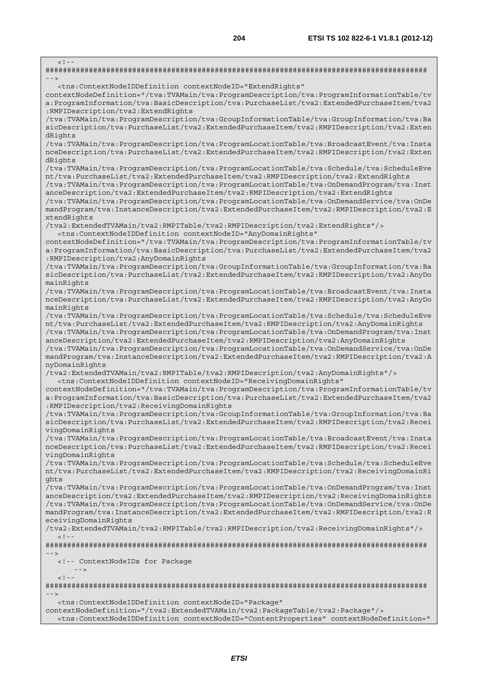$\leq$   $\frac{1}{2}$ ######################################################################################## --> <tns:ContextNodeIDDefinition contextNodeID="ExtendRights" contextNodeDefinition="/tva:TVAMain/tva:ProgramDescription/tva:ProgramInformationTable/tv a:ProgramInformation/tva:BasicDescription/tva:PurchaseList/tva2:ExtendedPurchaseItem/tva2 :RMPIDescription/tva2:ExtendRights /tva:TVAMain/tva:ProgramDescription/tva:GroupInformationTable/tva:GroupInformation/tva:Ba sicDescription/tva:PurchaseList/tva2:ExtendedPurchaseItem/tva2:RMPIDescription/tva2:Exten dRights /tva:TVAMain/tva:ProgramDescription/tva:ProgramLocationTable/tva:BroadcastEvent/tva:Insta nceDescription/tva:PurchaseList/tva2:ExtendedPurchaseItem/tva2:RMPIDescription/tva2:Exten dRights /tva:TVAMain/tva:ProgramDescription/tva:ProgramLocationTable/tva:Schedule/tva:ScheduleEve nt/tva:PurchaseList/tva2:ExtendedPurchaseItem/tva2:RMPIDescription/tva2:ExtendRights /tva:TVAMain/tva:ProgramDescription/tva:ProgramLocationTable/tva:OnDemandProgram/tva:Inst anceDescription/tva2:ExtendedPurchaseItem/tva2:RMPIDescription/tva2:ExtendRights /tva:TVAMain/tva:ProgramDescription/tva:ProgramLocationTable/tva:OnDemandService/tva:OnDe mandProgram/tva:InstanceDescription/tva2:ExtendedPurchaseItem/tva2:RMPIDescription/tva2:E xtendRights /tva2:ExtendedTVAMain/tva2:RMPITable/tva2:RMPIDescription/tva2:ExtendRights"/> <tns:ContextNodeIDDefinition contextNodeID="AnyDomainRights" contextNodeDefinition="/tva:TVAMain/tva:ProgramDescription/tva:ProgramInformationTable/tv a:ProgramInformation/tva:BasicDescription/tva:PurchaseList/tva2:ExtendedPurchaseItem/tva2 :RMPIDescription/tva2:AnyDomainRights /tva:TVAMain/tva:ProgramDescription/tva:GroupInformationTable/tva:GroupInformation/tva:Ba sicDescription/tva:PurchaseList/tva2:ExtendedPurchaseItem/tva2:RMPIDescription/tva2:AnyDo mainRights /tva:TVAMain/tva:ProgramDescription/tva:ProgramLocationTable/tva:BroadcastEvent/tva:Insta nceDescription/tva:PurchaseList/tva2:ExtendedPurchaseItem/tva2:RMPIDescription/tva2:AnyDo mainRights /tva:TVAMain/tva:ProgramDescription/tva:ProgramLocationTable/tva:Schedule/tva:ScheduleEve nt/tva:PurchaseList/tva2:ExtendedPurchaseItem/tva2:RMPIDescription/tva2:AnyDomainRights /tva:TVAMain/tva:ProgramDescription/tva:ProgramLocationTable/tva:OnDemandProgram/tva:Inst anceDescription/tva2:ExtendedPurchaseItem/tva2:RMPIDescription/tva2:AnyDomainRights /tva:TVAMain/tva:ProgramDescription/tva:ProgramLocationTable/tva:OnDemandService/tva:OnDe mandProgram/tva:InstanceDescription/tva2:ExtendedPurchaseItem/tva2:RMPIDescription/tva2:A nyDomainRights /tva2:ExtendedTVAMain/tva2:RMPITable/tva2:RMPIDescription/tva2:AnyDomainRights"/> <tns:ContextNodeIDDefinition contextNodeID="ReceivingDomainRights" contextNodeDefinition="/tva:TVAMain/tva:ProgramDescription/tva:ProgramInformationTable/tv a:ProgramInformation/tva:BasicDescription/tva:PurchaseList/tva2:ExtendedPurchaseItem/tva2 :RMPIDescription/tva2:ReceivingDomainRights /tva:TVAMain/tva:ProgramDescription/tva:GroupInformationTable/tva:GroupInformation/tva:Ba sicDescription/tva:PurchaseList/tva2:ExtendedPurchaseItem/tva2:RMPIDescription/tva2:Recei vingDomainRights /tva:TVAMain/tva:ProgramDescription/tva:ProgramLocationTable/tva:BroadcastEvent/tva:Insta nceDescription/tva:PurchaseList/tva2:ExtendedPurchaseItem/tva2:RMPIDescription/tva2:Recei vingDomainRights /tva:TVAMain/tva:ProgramDescription/tva:ProgramLocationTable/tva:Schedule/tva:ScheduleEve nt/tva:PurchaseList/tva2:ExtendedPurchaseItem/tva2:RMPIDescription/tva2:ReceivingDomainRi ghts /tva:TVAMain/tva:ProgramDescription/tva:ProgramLocationTable/tva:OnDemandProgram/tva:Inst anceDescription/tva2:ExtendedPurchaseItem/tva2:RMPIDescription/tva2:ReceivingDomainRights /tva:TVAMain/tva:ProgramDescription/tva:ProgramLocationTable/tva:OnDemandService/tva:OnDe mandProgram/tva:InstanceDescription/tva2:ExtendedPurchaseItem/tva2:RMPIDescription/tva2:R eceivingDomainRights /tva2:ExtendedTVAMain/tva2:RMPITable/tva2:RMPIDescription/tva2:ReceivingDomainRights"/>  $\leq$  !  $-$ ######################################################################################## --> <!-- ContextNodeIDs for Package  $-$  --- $-$  -->  $< ! - -$ ######################################################################################## --> <tns:ContextNodeIDDefinition contextNodeID="Package" contextNodeDefinition="/tva2:ExtendedTVAMain/tva2:PackageTable/tva2:Package"/>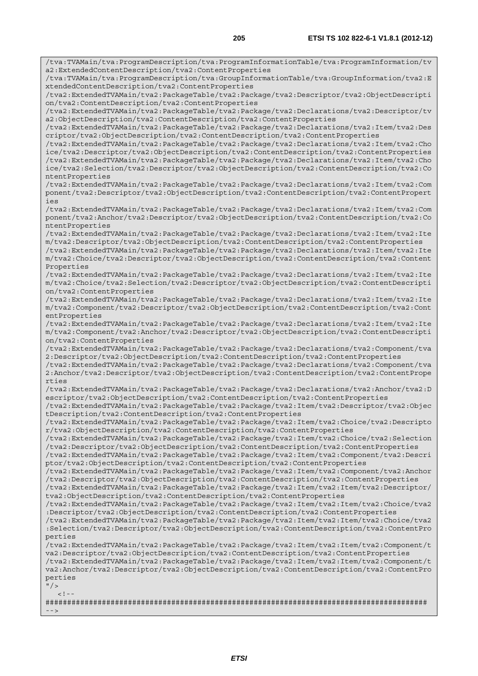/tva:TVAMain/tva:ProgramDescription/tva:ProgramInformationTable/tva:ProgramInformation/tv a2:ExtendedContentDescription/tva2:ContentProperties /tva:TVAMain/tva:ProgramDescription/tva:GroupInformationTable/tva:GroupInformation/tva2:E xtendedContentDescription/tva2:ContentProperties /tva2:ExtendedTVAMain/tva2:PackageTable/tva2:Package/tva2:Descriptor/tva2:ObjectDescripti on/tva2:ContentDescription/tva2:ContentProperties /tva2:ExtendedTVAMain/tva2:PackageTable/tva2:Package/tva2:Declarations/tva2:Descriptor/tv a2:ObjectDescription/tva2:ContentDescription/tva2:ContentProperties /tva2:ExtendedTVAMain/tva2:PackageTable/tva2:Package/tva2:Declarations/tva2:Item/tva2:Des criptor/tva2:ObjectDescription/tva2:ContentDescription/tva2:ContentProperties /tva2:ExtendedTVAMain/tva2:PackageTable/tva2:Package/tva2:Declarations/tva2:Item/tva2:Cho ice/tva2:Descriptor/tva2:ObjectDescription/tva2:ContentDescription/tva2:ContentProperties /tva2:ExtendedTVAMain/tva2:PackageTable/tva2:Package/tva2:Declarations/tva2:Item/tva2:Cho ice/tva2:Selection/tva2:Descriptor/tva2:ObjectDescription/tva2:ContentDescription/tva2:Co ntentProperties /tva2:ExtendedTVAMain/tva2:PackageTable/tva2:Package/tva2:Declarations/tva2:Item/tva2:Com ponent/tva2:Descriptor/tva2:ObjectDescription/tva2:ContentDescription/tva2:ContentPropert ies /tva2:ExtendedTVAMain/tva2:PackageTable/tva2:Package/tva2:Declarations/tva2:Item/tva2:Com ponent/tva2:Anchor/tva2:Descriptor/tva2:ObjectDescription/tva2:ContentDescription/tva2:Co ntentProperties /tva2:ExtendedTVAMain/tva2:PackageTable/tva2:Package/tva2:Declarations/tva2:Item/tva2:Ite m/tva2:Descriptor/tva2:ObjectDescription/tva2:ContentDescription/tva2:ContentProperties /tva2:ExtendedTVAMain/tva2:PackageTable/tva2:Package/tva2:Declarations/tva2:Item/tva2:Ite m/tva2:Choice/tva2:Descriptor/tva2:ObjectDescription/tva2:ContentDescription/tva2:Content Properties /tva2:ExtendedTVAMain/tva2:PackageTable/tva2:Package/tva2:Declarations/tva2:Item/tva2:Ite m/tva2:Choice/tva2:Selection/tva2:Descriptor/tva2:ObjectDescription/tva2:ContentDescripti on/tva2:ContentProperties /tva2:ExtendedTVAMain/tva2:PackageTable/tva2:Package/tva2:Declarations/tva2:Item/tva2:Ite m/tva2:Component/tva2:Descriptor/tva2:ObjectDescription/tva2:ContentDescription/tva2:Cont entProperties /tva2:ExtendedTVAMain/tva2:PackageTable/tva2:Package/tva2:Declarations/tva2:Item/tva2:Ite m/tva2:Component/tva2:Anchor/tva2:Descriptor/tva2:ObjectDescription/tva2:ContentDescripti on/tva2:ContentProperties /tva2:ExtendedTVAMain/tva2:PackageTable/tva2:Package/tva2:Declarations/tva2:Component/tva 2:Descriptor/tva2:ObjectDescription/tva2:ContentDescription/tva2:ContentProperties /tva2:ExtendedTVAMain/tva2:PackageTable/tva2:Package/tva2:Declarations/tva2:Component/tva 2:Anchor/tva2:Descriptor/tva2:ObjectDescription/tva2:ContentDescription/tva2:ContentPrope rties /tva2:ExtendedTVAMain/tva2:PackageTable/tva2:Package/tva2:Declarations/tva2:Anchor/tva2:D escriptor/tva2:ObjectDescription/tva2:ContentDescription/tva2:ContentProperties /tva2:ExtendedTVAMain/tva2:PackageTable/tva2:Package/tva2:Item/tva2:Descriptor/tva2:Objec tDescription/tva2:ContentDescription/tva2:ContentProperties /tva2:ExtendedTVAMain/tva2:PackageTable/tva2:Package/tva2:Item/tva2:Choice/tva2:Descripto r/tva2:ObjectDescription/tva2:ContentDescription/tva2:ContentProperties /tva2:ExtendedTVAMain/tva2:PackageTable/tva2:Package/tva2:Item/tva2:Choice/tva2:Selection /tva2:Descriptor/tva2:ObjectDescription/tva2:ContentDescription/tva2:ContentProperties /tva2:ExtendedTVAMain/tva2:PackageTable/tva2:Package/tva2:Item/tva2:Component/tva2:Descri ptor/tva2:ObjectDescription/tva2:ContentDescription/tva2:ContentProperties /tva2:ExtendedTVAMain/tva2:PackageTable/tva2:Package/tva2:Item/tva2:Component/tva2:Anchor /tva2:Descriptor/tva2:ObjectDescription/tva2:ContentDescription/tva2:ContentProperties /tva2:ExtendedTVAMain/tva2:PackageTable/tva2:Package/tva2:Item/tva2:Item/tva2:Descriptor/ tva2:ObjectDescription/tva2:ContentDescription/tva2:ContentProperties /tva2:ExtendedTVAMain/tva2:PackageTable/tva2:Package/tva2:Item/tva2:Item/tva2:Choice/tva2 :Descriptor/tva2:ObjectDescription/tva2:ContentDescription/tva2:ContentProperties /tva2:ExtendedTVAMain/tva2:PackageTable/tva2:Package/tva2:Item/tva2:Item/tva2:Choice/tva2 :Selection/tva2:Descriptor/tva2:ObjectDescription/tva2:ContentDescription/tva2:ContentPro perties /tva2:ExtendedTVAMain/tva2:PackageTable/tva2:Package/tva2:Item/tva2:Item/tva2:Component/t va2:Descriptor/tva2:ObjectDescription/tva2:ContentDescription/tva2:ContentProperties /tva2:ExtendedTVAMain/tva2:PackageTable/tva2:Package/tva2:Item/tva2:Item/tva2:Component/t va2:Anchor/tva2:Descriptor/tva2:ObjectDescription/tva2:ContentDescription/tva2:ContentPro perties  $''$  / >  $\geq$   $\mid$ ######################################################################################## -->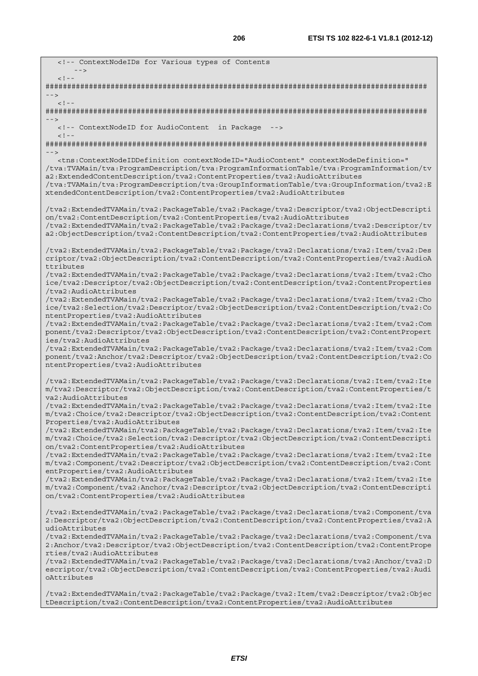<!-- ContextNodeIDs for Various types of Contents  $-$  --- $-$  -->  $\lt$  ! - -######################################################################################## -->  $<$ ! --######################################################################################## --> <!-- ContextNodeID for AudioContent in Package -->  $<$ ! --######################################################################################## --> <tns:ContextNodeIDDefinition contextNodeID="AudioContent" contextNodeDefinition=" /tva:TVAMain/tva:ProgramDescription/tva:ProgramInformationTable/tva:ProgramInformation/tv a2:ExtendedContentDescription/tva2:ContentProperties/tva2:AudioAttributes /tva:TVAMain/tva:ProgramDescription/tva:GroupInformationTable/tva:GroupInformation/tva2:E xtendedContentDescription/tva2:ContentProperties/tva2:AudioAttributes /tva2:ExtendedTVAMain/tva2:PackageTable/tva2:Package/tva2:Descriptor/tva2:ObjectDescripti on/tva2:ContentDescription/tva2:ContentProperties/tva2:AudioAttributes /tva2:ExtendedTVAMain/tva2:PackageTable/tva2:Package/tva2:Declarations/tva2:Descriptor/tv a2:ObjectDescription/tva2:ContentDescription/tva2:ContentProperties/tva2:AudioAttributes /tva2:ExtendedTVAMain/tva2:PackageTable/tva2:Package/tva2:Declarations/tva2:Item/tva2:Des criptor/tva2:ObjectDescription/tva2:ContentDescription/tva2:ContentProperties/tva2:AudioA ttributes /tva2:ExtendedTVAMain/tva2:PackageTable/tva2:Package/tva2:Declarations/tva2:Item/tva2:Cho ice/tva2:Descriptor/tva2:ObjectDescription/tva2:ContentDescription/tva2:ContentProperties /tva2:AudioAttributes /tva2:ExtendedTVAMain/tva2:PackageTable/tva2:Package/tva2:Declarations/tva2:Item/tva2:Cho ice/tva2:Selection/tva2:Descriptor/tva2:ObjectDescription/tva2:ContentDescription/tva2:Co ntentProperties/tva2:AudioAttributes /tva2:ExtendedTVAMain/tva2:PackageTable/tva2:Package/tva2:Declarations/tva2:Item/tva2:Com ponent/tva2:Descriptor/tva2:ObjectDescription/tva2:ContentDescription/tva2:ContentPropert ies/tva2:AudioAttributes /tva2:ExtendedTVAMain/tva2:PackageTable/tva2:Package/tva2:Declarations/tva2:Item/tva2:Com ponent/tva2:Anchor/tva2:Descriptor/tva2:ObjectDescription/tva2:ContentDescription/tva2:Co ntentProperties/tva2:AudioAttributes /tva2:ExtendedTVAMain/tva2:PackageTable/tva2:Package/tva2:Declarations/tva2:Item/tva2:Ite m/tva2:Descriptor/tva2:ObjectDescription/tva2:ContentDescription/tva2:ContentProperties/t va2:AudioAttributes /tva2:ExtendedTVAMain/tva2:PackageTable/tva2:Package/tva2:Declarations/tva2:Item/tva2:Ite m/tva2:Choice/tva2:Descriptor/tva2:ObjectDescription/tva2:ContentDescription/tva2:Content Properties/tva2:AudioAttributes /tva2:ExtendedTVAMain/tva2:PackageTable/tva2:Package/tva2:Declarations/tva2:Item/tva2:Ite m/tva2:Choice/tva2:Selection/tva2:Descriptor/tva2:ObjectDescription/tva2:ContentDescripti on/tva2:ContentProperties/tva2:AudioAttributes /tva2:ExtendedTVAMain/tva2:PackageTable/tva2:Package/tva2:Declarations/tva2:Item/tva2:Ite m/tva2:Component/tva2:Descriptor/tva2:ObjectDescription/tva2:ContentDescription/tva2:Cont entProperties/tva2:AudioAttributes /tva2:ExtendedTVAMain/tva2:PackageTable/tva2:Package/tva2:Declarations/tva2:Item/tva2:Ite m/tva2:Component/tva2:Anchor/tva2:Descriptor/tva2:ObjectDescription/tva2:ContentDescripti on/tva2:ContentProperties/tva2:AudioAttributes /tva2:ExtendedTVAMain/tva2:PackageTable/tva2:Package/tva2:Declarations/tva2:Component/tva 2:Descriptor/tva2:ObjectDescription/tva2:ContentDescription/tva2:ContentProperties/tva2:A udioAttributes /tva2:ExtendedTVAMain/tva2:PackageTable/tva2:Package/tva2:Declarations/tva2:Component/tva 2:Anchor/tva2:Descriptor/tva2:ObjectDescription/tva2:ContentDescription/tva2:ContentPrope rties/tva2:AudioAttributes /tva2:ExtendedTVAMain/tva2:PackageTable/tva2:Package/tva2:Declarations/tva2:Anchor/tva2:D escriptor/tva2:ObjectDescription/tva2:ContentDescription/tva2:ContentProperties/tva2:Audi oAttributes /tva2:ExtendedTVAMain/tva2:PackageTable/tva2:Package/tva2:Item/tva2:Descriptor/tva2:Objec tDescription/tva2:ContentDescription/tva2:ContentProperties/tva2:AudioAttributes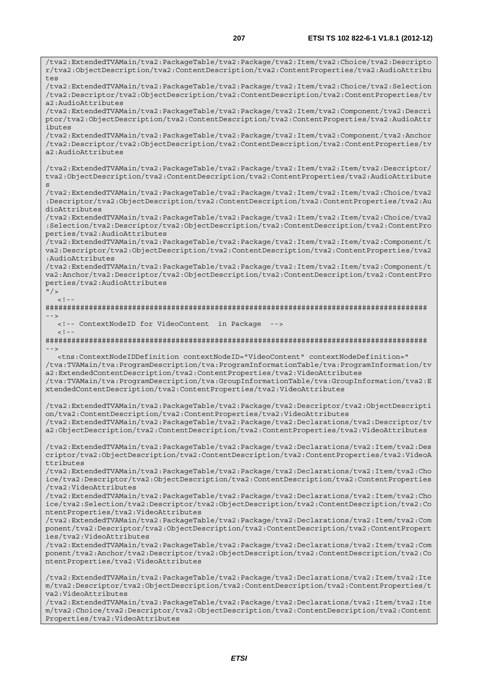/tva2:ExtendedTVAMain/tva2:PackageTable/tva2:Package/tva2:Item/tva2:Choice/tva2:Descripto r/tva2:ObjectDescription/tva2:ContentDescription/tva2:ContentProperties/tva2:AudioAttribu tes /tva2:ExtendedTVAMain/tva2:PackageTable/tva2:Package/tva2:Item/tva2:Choice/tva2:Selection /tva2:Descriptor/tva2:ObjectDescription/tva2:ContentDescription/tva2:ContentProperties/tv a2:AudioAttributes /tva2:ExtendedTVAMain/tva2:PackageTable/tva2:Package/tva2:Item/tva2:Component/tva2:Descri ptor/tva2:ObjectDescription/tva2:ContentDescription/tva2:ContentProperties/tva2:AudioAttr ibutes /tva2:ExtendedTVAMain/tva2:PackageTable/tva2:Package/tva2:Item/tva2:Component/tva2:Anchor /tva2:Descriptor/tva2:ObjectDescription/tva2:ContentDescription/tva2:ContentProperties/tv a2:AudioAttributes /tva2:ExtendedTVAMain/tva2:PackageTable/tva2:Package/tva2:Item/tva2:Item/tva2:Descriptor/ tva2:ObjectDescription/tva2:ContentDescription/tva2:ContentProperties/tva2:AudioAttribute s /tva2:ExtendedTVAMain/tva2:PackageTable/tva2:Package/tva2:Item/tva2:Item/tva2:Choice/tva2 :Descriptor/tva2:ObjectDescription/tva2:ContentDescription/tva2:ContentProperties/tva2:Au dioAttributes /tva2:ExtendedTVAMain/tva2:PackageTable/tva2:Package/tva2:Item/tva2:Item/tva2:Choice/tva2 :Selection/tva2:Descriptor/tva2:ObjectDescription/tva2:ContentDescription/tva2:ContentPro perties/tva2:AudioAttributes /tva2:ExtendedTVAMain/tva2:PackageTable/tva2:Package/tva2:Item/tva2:Item/tva2:Component/t va2:Descriptor/tva2:ObjectDescription/tva2:ContentDescription/tva2:ContentProperties/tva2 :AudioAttributes /tva2:ExtendedTVAMain/tva2:PackageTable/tva2:Package/tva2:Item/tva2:Item/tva2:Component/t va2:Anchor/tva2:Descriptor/tva2:ObjectDescription/tva2:ContentDescription/tva2:ContentPro perties/tva2:AudioAttributes  $''$  /  $>$  $\lt$  ! - -######################################################################################## --> <!-- ContextNodeID for VideoContent in Package -->  $\geq 1 - 1$ ######################################################################################## --> <tns:ContextNodeIDDefinition contextNodeID="VideoContent" contextNodeDefinition=" /tva:TVAMain/tva:ProgramDescription/tva:ProgramInformationTable/tva:ProgramInformation/tv a2:ExtendedContentDescription/tva2:ContentProperties/tva2:VideoAttributes /tva:TVAMain/tva:ProgramDescription/tva:GroupInformationTable/tva:GroupInformation/tva2:E xtendedContentDescription/tva2:ContentProperties/tva2:VideoAttributes /tva2:ExtendedTVAMain/tva2:PackageTable/tva2:Package/tva2:Descriptor/tva2:ObjectDescripti on/tva2:ContentDescription/tva2:ContentProperties/tva2:VideoAttributes /tva2:ExtendedTVAMain/tva2:PackageTable/tva2:Package/tva2:Declarations/tva2:Descriptor/tv a2:ObjectDescription/tva2:ContentDescription/tva2:ContentProperties/tva2:VideoAttributes /tva2:ExtendedTVAMain/tva2:PackageTable/tva2:Package/tva2:Declarations/tva2:Item/tva2:Des criptor/tva2:ObjectDescription/tva2:ContentDescription/tva2:ContentProperties/tva2:VideoA ttributes /tva2:ExtendedTVAMain/tva2:PackageTable/tva2:Package/tva2:Declarations/tva2:Item/tva2:Cho ice/tva2:Descriptor/tva2:ObjectDescription/tva2:ContentDescription/tva2:ContentProperties /tva2:VideoAttributes /tva2:ExtendedTVAMain/tva2:PackageTable/tva2:Package/tva2:Declarations/tva2:Item/tva2:Cho ice/tva2:Selection/tva2:Descriptor/tva2:ObjectDescription/tva2:ContentDescription/tva2:Co ntentProperties/tva2:VideoAttributes /tva2:ExtendedTVAMain/tva2:PackageTable/tva2:Package/tva2:Declarations/tva2:Item/tva2:Com ponent/tva2:Descriptor/tva2:ObjectDescription/tva2:ContentDescription/tva2:ContentPropert ies/tva2:VideoAttributes /tva2:ExtendedTVAMain/tva2:PackageTable/tva2:Package/tva2:Declarations/tva2:Item/tva2:Com ponent/tva2:Anchor/tva2:Descriptor/tva2:ObjectDescription/tva2:ContentDescription/tva2:Co ntentProperties/tva2:VideoAttributes /tva2:ExtendedTVAMain/tva2:PackageTable/tva2:Package/tva2:Declarations/tva2:Item/tva2:Ite m/tva2:Descriptor/tva2:ObjectDescription/tva2:ContentDescription/tva2:ContentProperties/t va2:VideoAttributes

/tva2:ExtendedTVAMain/tva2:PackageTable/tva2:Package/tva2:Declarations/tva2:Item/tva2:Ite m/tva2:Choice/tva2:Descriptor/tva2:ObjectDescription/tva2:ContentDescription/tva2:Content Properties/tva2:VideoAttributes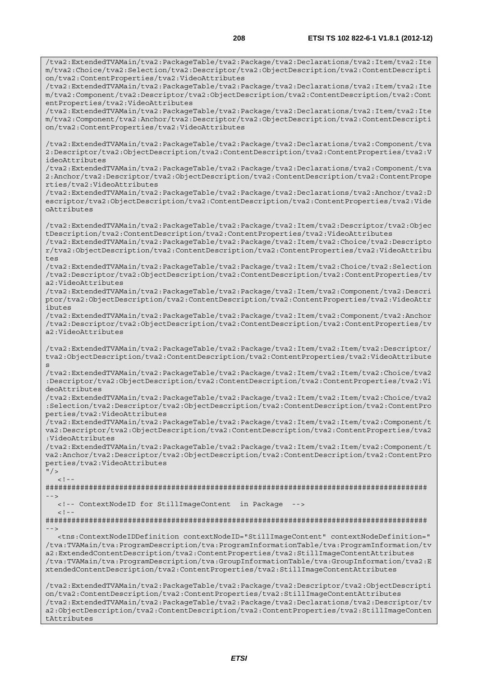/tva2:ExtendedTVAMain/tva2:PackageTable/tva2:Package/tva2:Declarations/tva2:Item/tva2:Ite

m/tva2:Choice/tva2:Selection/tva2:Descriptor/tva2:ObjectDescription/tva2:ContentDescripti on/tva2:ContentProperties/tva2:VideoAttributes /tva2:ExtendedTVAMain/tva2:PackageTable/tva2:Package/tva2:Declarations/tva2:Item/tva2:Ite m/tva2:Component/tva2:Descriptor/tva2:ObjectDescription/tva2:ContentDescription/tva2:Cont entProperties/tva2:VideoAttributes /tva2:ExtendedTVAMain/tva2:PackageTable/tva2:Package/tva2:Declarations/tva2:Item/tva2:Ite m/tva2:Component/tva2:Anchor/tva2:Descriptor/tva2:ObjectDescription/tva2:ContentDescripti on/tva2:ContentProperties/tva2:VideoAttributes /tva2:ExtendedTVAMain/tva2:PackageTable/tva2:Package/tva2:Declarations/tva2:Component/tva 2:Descriptor/tva2:ObjectDescription/tva2:ContentDescription/tva2:ContentProperties/tva2:V ideoAttributes /tva2:ExtendedTVAMain/tva2:PackageTable/tva2:Package/tva2:Declarations/tva2:Component/tva 2:Anchor/tva2:Descriptor/tva2:ObjectDescription/tva2:ContentDescription/tva2:ContentPrope rties/tva2:VideoAttributes /tva2:ExtendedTVAMain/tva2:PackageTable/tva2:Package/tva2:Declarations/tva2:Anchor/tva2:D escriptor/tva2:ObjectDescription/tva2:ContentDescription/tva2:ContentProperties/tva2:Vide oAttributes /tva2:ExtendedTVAMain/tva2:PackageTable/tva2:Package/tva2:Item/tva2:Descriptor/tva2:Objec tDescription/tva2:ContentDescription/tva2:ContentProperties/tva2:VideoAttributes /tva2:ExtendedTVAMain/tva2:PackageTable/tva2:Package/tva2:Item/tva2:Choice/tva2:Descripto r/tva2:ObjectDescription/tva2:ContentDescription/tva2:ContentProperties/tva2:VideoAttribu tes /tva2:ExtendedTVAMain/tva2:PackageTable/tva2:Package/tva2:Item/tva2:Choice/tva2:Selection /tva2:Descriptor/tva2:ObjectDescription/tva2:ContentDescription/tva2:ContentProperties/tv a2:VideoAttributes /tva2:ExtendedTVAMain/tva2:PackageTable/tva2:Package/tva2:Item/tva2:Component/tva2:Descri ptor/tva2:ObjectDescription/tva2:ContentDescription/tva2:ContentProperties/tva2:VideoAttr ibutes /tva2:ExtendedTVAMain/tva2:PackageTable/tva2:Package/tva2:Item/tva2:Component/tva2:Anchor /tva2:Descriptor/tva2:ObjectDescription/tva2:ContentDescription/tva2:ContentProperties/tv a2:VideoAttributes /tva2:ExtendedTVAMain/tva2:PackageTable/tva2:Package/tva2:Item/tva2:Item/tva2:Descriptor/ tva2:ObjectDescription/tva2:ContentDescription/tva2:ContentProperties/tva2:VideoAttribute s /tva2:ExtendedTVAMain/tva2:PackageTable/tva2:Package/tva2:Item/tva2:Item/tva2:Choice/tva2 :Descriptor/tva2:ObjectDescription/tva2:ContentDescription/tva2:ContentProperties/tva2:Vi deoAttributes /tva2:ExtendedTVAMain/tva2:PackageTable/tva2:Package/tva2:Item/tva2:Item/tva2:Choice/tva2 :Selection/tva2:Descriptor/tva2:ObjectDescription/tva2:ContentDescription/tva2:ContentPro perties/tva2:VideoAttributes .<br>/tva2:ExtendedTVAMain/tva2:PackageTable/tva2:Package/tva2:Item/tva2:Item/tva2:Component/t va2:Descriptor/tva2:ObjectDescription/tva2:ContentDescription/tva2:ContentProperties/tva2 :VideoAttributes /tva2:ExtendedTVAMain/tva2:PackageTable/tva2:Package/tva2:Item/tva2:Item/tva2:Component/t va2:Anchor/tva2:Descriptor/tva2:ObjectDescription/tva2:ContentDescription/tva2:ContentPro perties/tva2:VideoAttributes  $"$  / >  $\langle$ ! --######################################################################################## --> <!-- ContextNodeID for StillImageContent in Package -->  $\lt$  !  $-$ ######################################################################################## --> <tns:ContextNodeIDDefinition contextNodeID="StillImageContent" contextNodeDefinition=" /tva:TVAMain/tva:ProgramDescription/tva:ProgramInformationTable/tva:ProgramInformation/tv a2:ExtendedContentDescription/tva2:ContentProperties/tva2:StillImageContentAttributes /tva:TVAMain/tva:ProgramDescription/tva:GroupInformationTable/tva:GroupInformation/tva2:E xtendedContentDescription/tva2:ContentProperties/tva2:StillImageContentAttributes /tva2:ExtendedTVAMain/tva2:PackageTable/tva2:Package/tva2:Descriptor/tva2:ObjectDescripti on/tva2:ContentDescription/tva2:ContentProperties/tva2:StillImageContentAttributes /tva2:ExtendedTVAMain/tva2:PackageTable/tva2:Package/tva2:Declarations/tva2:Descriptor/tv a2:ObjectDescription/tva2:ContentDescription/tva2:ContentProperties/tva2:StillImageConten

tAttributes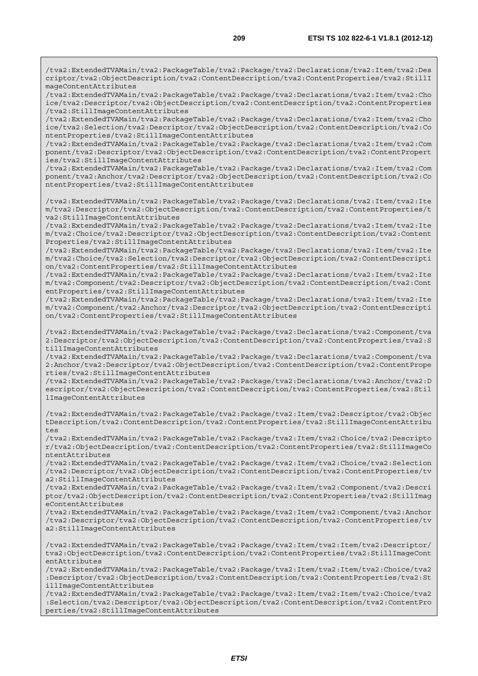/tva2:ExtendedTVAMain/tva2:PackageTable/tva2:Package/tva2:Declarations/tva2:Item/tva2:Cho ice/tva2:Descriptor/tva2:ObjectDescription/tva2:ContentDescription/tva2:ContentProperties /tva2:StillImageContentAttributes

/tva2:ExtendedTVAMain/tva2:PackageTable/tva2:Package/tva2:Declarations/tva2:Item/tva2:Cho ice/tva2:Selection/tva2:Descriptor/tva2:ObjectDescription/tva2:ContentDescription/tva2:Co ntentProperties/tva2:StillImageContentAttributes

/tva2:ExtendedTVAMain/tva2:PackageTable/tva2:Package/tva2:Declarations/tva2:Item/tva2:Com ponent/tva2:Descriptor/tva2:ObjectDescription/tva2:ContentDescription/tva2:ContentPropert ies/tva2:StillImageContentAttributes

/tva2:ExtendedTVAMain/tva2:PackageTable/tva2:Package/tva2:Declarations/tva2:Item/tva2:Com ponent/tva2:Anchor/tva2:Descriptor/tva2:ObjectDescription/tva2:ContentDescription/tva2:Co ntentProperties/tva2:StillImageContentAttributes

/tva2:ExtendedTVAMain/tva2:PackageTable/tva2:Package/tva2:Declarations/tva2:Item/tva2:Ite m/tva2:Descriptor/tva2:ObjectDescription/tva2:ContentDescription/tva2:ContentProperties/t va2:StillImageContentAttributes

/tva2:ExtendedTVAMain/tva2:PackageTable/tva2:Package/tva2:Declarations/tva2:Item/tva2:Ite m/tva2:Choice/tva2:Descriptor/tva2:ObjectDescription/tva2:ContentDescription/tva2:Content Properties/tva2:StillImageContentAttributes

/tva2:ExtendedTVAMain/tva2:PackageTable/tva2:Package/tva2:Declarations/tva2:Item/tva2:Ite m/tva2:Choice/tva2:Selection/tva2:Descriptor/tva2:ObjectDescription/tva2:ContentDescripti on/tva2:ContentProperties/tva2:StillImageContentAttributes

/tva2:ExtendedTVAMain/tva2:PackageTable/tva2:Package/tva2:Declarations/tva2:Item/tva2:Ite m/tva2:Component/tva2:Descriptor/tva2:ObjectDescription/tva2:ContentDescription/tva2:Cont entProperties/tva2:StillImageContentAttributes

/tva2:ExtendedTVAMain/tva2:PackageTable/tva2:Package/tva2:Declarations/tva2:Item/tva2:Ite m/tva2:Component/tva2:Anchor/tva2:Descriptor/tva2:ObjectDescription/tva2:ContentDescripti on/tva2:ContentProperties/tva2:StillImageContentAttributes

/tva2:ExtendedTVAMain/tva2:PackageTable/tva2:Package/tva2:Declarations/tva2:Component/tva 2:Descriptor/tva2:ObjectDescription/tva2:ContentDescription/tva2:ContentProperties/tva2:S tillImageContentAttributes

/tva2:ExtendedTVAMain/tva2:PackageTable/tva2:Package/tva2:Declarations/tva2:Component/tva 2:Anchor/tva2:Descriptor/tva2:ObjectDescription/tva2:ContentDescription/tva2:ContentPrope rties/tva2:StillImageContentAttributes

/tva2:ExtendedTVAMain/tva2:PackageTable/tva2:Package/tva2:Declarations/tva2:Anchor/tva2:D escriptor/tva2:ObjectDescription/tva2:ContentDescription/tva2:ContentProperties/tva2:Stil lImageContentAttributes

/tva2:ExtendedTVAMain/tva2:PackageTable/tva2:Package/tva2:Item/tva2:Descriptor/tva2:Objec tDescription/tva2:ContentDescription/tva2:ContentProperties/tva2:StillImageContentAttribu tes

/tva2:ExtendedTVAMain/tva2:PackageTable/tva2:Package/tva2:Item/tva2:Choice/tva2:Descripto r/tva2:ObjectDescription/tva2:ContentDescription/tva2:ContentProperties/tva2:StillImageCo ntentAttributes

/tva2:ExtendedTVAMain/tva2:PackageTable/tva2:Package/tva2:Item/tva2:Choice/tva2:Selection /tva2:Descriptor/tva2:ObjectDescription/tva2:ContentDescription/tva2:ContentProperties/tv a2:StillImageContentAttributes

/tva2:ExtendedTVAMain/tva2:PackageTable/tva2:Package/tva2:Item/tva2:Component/tva2:Descri ptor/tva2:ObjectDescription/tva2:ContentDescription/tva2:ContentProperties/tva2:StillImag eContentAttributes

/tva2:ExtendedTVAMain/tva2:PackageTable/tva2:Package/tva2:Item/tva2:Component/tva2:Anchor /tva2:Descriptor/tva2:ObjectDescription/tva2:ContentDescription/tva2:ContentProperties/tv a2:StillImageContentAttributes

/tva2:ExtendedTVAMain/tva2:PackageTable/tva2:Package/tva2:Item/tva2:Item/tva2:Descriptor/ tva2:ObjectDescription/tva2:ContentDescription/tva2:ContentProperties/tva2:StillImageCont entAttributes

/tva2:ExtendedTVAMain/tva2:PackageTable/tva2:Package/tva2:Item/tva2:Item/tva2:Choice/tva2 :Descriptor/tva2:ObjectDescription/tva2:ContentDescription/tva2:ContentProperties/tva2:St illImageContentAttributes

/tva2:ExtendedTVAMain/tva2:PackageTable/tva2:Package/tva2:Item/tva2:Item/tva2:Choice/tva2 :Selection/tva2:Descriptor/tva2:ObjectDescription/tva2:ContentDescription/tva2:ContentPro perties/tva2:StillImageContentAttributes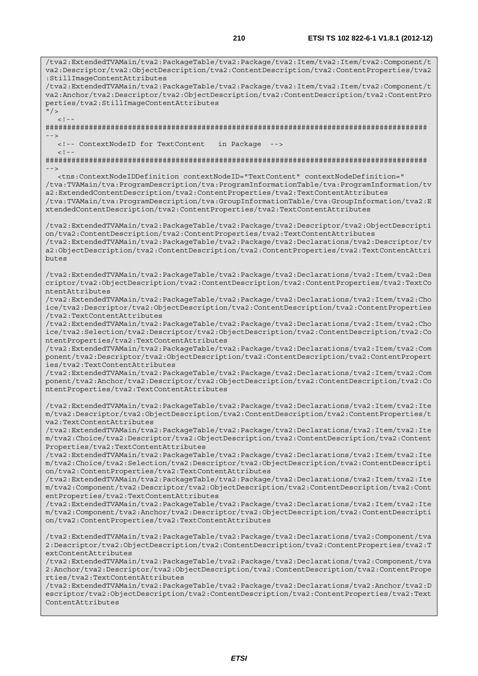/tva2:ExtendedTVAMain/tva2:PackageTable/tva2:Package/tva2:Item/tva2:Item/tva2:Component/t va2:Descriptor/tva2:ObjectDescription/tva2:ContentDescription/tva2:ContentProperties/tva2 :StillImageContentAttributes /tva2:ExtendedTVAMain/tva2:PackageTable/tva2:Package/tva2:Item/tva2:Item/tva2:Component/t va2:Anchor/tva2:Descriptor/tva2:ObjectDescription/tva2:ContentDescription/tva2:ContentPro perties/tva2:StillImageContentAttributes  $''$  /  $>$  $\lt$  ! -######################################################################################## --> <!-- ContextNodeID for TextContent in Package -->  $< ! - -$ ######################################################################################## --> <tns:ContextNodeIDDefinition contextNodeID="TextContent" contextNodeDefinition=" /tva:TVAMain/tva:ProgramDescription/tva:ProgramInformationTable/tva:ProgramInformation/tv a2:ExtendedContentDescription/tva2:ContentProperties/tva2:TextContentAttributes /tva:TVAMain/tva:ProgramDescription/tva:GroupInformationTable/tva:GroupInformation/tva2:E xtendedContentDescription/tva2:ContentProperties/tva2:TextContentAttributes /tva2:ExtendedTVAMain/tva2:PackageTable/tva2:Package/tva2:Descriptor/tva2:ObjectDescripti on/tva2:ContentDescription/tva2:ContentProperties/tva2:TextContentAttributes /tva2:ExtendedTVAMain/tva2:PackageTable/tva2:Package/tva2:Declarations/tva2:Descriptor/tv a2:ObjectDescription/tva2:ContentDescription/tva2:ContentProperties/tva2:TextContentAttri butes /tva2:ExtendedTVAMain/tva2:PackageTable/tva2:Package/tva2:Declarations/tva2:Item/tva2:Des criptor/tva2:ObjectDescription/tva2:ContentDescription/tva2:ContentProperties/tva2:TextCo ntentAttributes /tva2:ExtendedTVAMain/tva2:PackageTable/tva2:Package/tva2:Declarations/tva2:Item/tva2:Cho ice/tva2:Descriptor/tva2:ObjectDescription/tva2:ContentDescription/tva2:ContentProperties /tva2:TextContentAttributes /tva2:ExtendedTVAMain/tva2:PackageTable/tva2:Package/tva2:Declarations/tva2:Item/tva2:Cho ice/tva2:Selection/tva2:Descriptor/tva2:ObjectDescription/tva2:ContentDescription/tva2:Co ntentProperties/tva2:TextContentAttributes /tva2:ExtendedTVAMain/tva2:PackageTable/tva2:Package/tva2:Declarations/tva2:Item/tva2:Com ponent/tva2:Descriptor/tva2:ObjectDescription/tva2:ContentDescription/tva2:ContentPropert ies/tva2:TextContentAttributes /tva2:ExtendedTVAMain/tva2:PackageTable/tva2:Package/tva2:Declarations/tva2:Item/tva2:Com ponent/tva2:Anchor/tva2:Descriptor/tva2:ObjectDescription/tva2:ContentDescription/tva2:Co ntentProperties/tva2:TextContentAttributes /tva2:ExtendedTVAMain/tva2:PackageTable/tva2:Package/tva2:Declarations/tva2:Item/tva2:Ite m/tva2:Descriptor/tva2:ObjectDescription/tva2:ContentDescription/tva2:ContentProperties/t va2:TextContentAttributes /tva2:ExtendedTVAMain/tva2:PackageTable/tva2:Package/tva2:Declarations/tva2:Item/tva2:Ite m/tva2:Choice/tva2:Descriptor/tva2:ObjectDescription/tva2:ContentDescription/tva2:Content Properties/tva2:TextContentAttributes /tva2:ExtendedTVAMain/tva2:PackageTable/tva2:Package/tva2:Declarations/tva2:Item/tva2:Ite m/tva2:Choice/tva2:Selection/tva2:Descriptor/tva2:ObjectDescription/tva2:ContentDescripti on/tva2:ContentProperties/tva2:TextContentAttributes /tva2:ExtendedTVAMain/tva2:PackageTable/tva2:Package/tva2:Declarations/tva2:Item/tva2:Ite m/tva2:Component/tva2:Descriptor/tva2:ObjectDescription/tva2:ContentDescription/tva2:Cont entProperties/tva2:TextContentAttributes /tva2:ExtendedTVAMain/tva2:PackageTable/tva2:Package/tva2:Declarations/tva2:Item/tva2:Ite m/tva2:Component/tva2:Anchor/tva2:Descriptor/tva2:ObjectDescription/tva2:ContentDescripti on/tva2:ContentProperties/tva2:TextContentAttributes /tva2:ExtendedTVAMain/tva2:PackageTable/tva2:Package/tva2:Declarations/tva2:Component/tva 2:Descriptor/tva2:ObjectDescription/tva2:ContentDescription/tva2:ContentProperties/tva2:T extContentAttributes /tva2:ExtendedTVAMain/tva2:PackageTable/tva2:Package/tva2:Declarations/tva2:Component/tva 2:Anchor/tva2:Descriptor/tva2:ObjectDescription/tva2:ContentDescription/tva2:ContentPrope rties/tva2:TextContentAttributes /tva2:ExtendedTVAMain/tva2:PackageTable/tva2:Package/tva2:Declarations/tva2:Anchor/tva2:D escriptor/tva2:ObjectDescription/tva2:ContentDescription/tva2:ContentProperties/tva2:Text ContentAttributes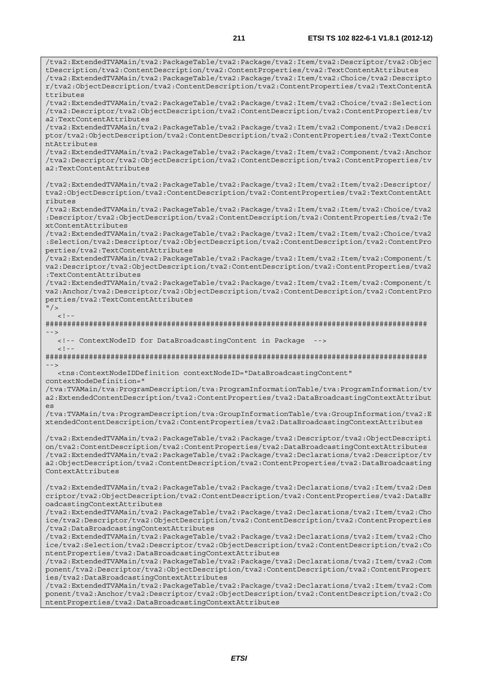/tva2:ExtendedTVAMain/tva2:PackageTable/tva2:Package/tva2:Item/tva2:Descriptor/tva2:Objec tDescription/tva2:ContentDescription/tva2:ContentProperties/tva2:TextContentAttributes /tva2:ExtendedTVAMain/tva2:PackageTable/tva2:Package/tva2:Item/tva2:Choice/tva2:Descripto r/tva2:ObjectDescription/tva2:ContentDescription/tva2:ContentProperties/tva2:TextContentA ttributes /tva2:ExtendedTVAMain/tva2:PackageTable/tva2:Package/tva2:Item/tva2:Choice/tva2:Selection /tva2:Descriptor/tva2:ObjectDescription/tva2:ContentDescription/tva2:ContentProperties/tv a2:TextContentAttributes /tva2:ExtendedTVAMain/tva2:PackageTable/tva2:Package/tva2:Item/tva2:Component/tva2:Descri ptor/tva2:ObjectDescription/tva2:ContentDescription/tva2:ContentProperties/tva2:TextConte ntAttributes /tva2:ExtendedTVAMain/tva2:PackageTable/tva2:Package/tva2:Item/tva2:Component/tva2:Anchor /tva2:Descriptor/tva2:ObjectDescription/tva2:ContentDescription/tva2:ContentProperties/tv a2:TextContentAttributes /tva2:ExtendedTVAMain/tva2:PackageTable/tva2:Package/tva2:Item/tva2:Item/tva2:Descriptor/ tva2:ObjectDescription/tva2:ContentDescription/tva2:ContentProperties/tva2:TextContentAtt ributes /tva2:ExtendedTVAMain/tva2:PackageTable/tva2:Package/tva2:Item/tva2:Item/tva2:Choice/tva2 :Descriptor/tva2:ObjectDescription/tva2:ContentDescription/tva2:ContentProperties/tva2:Te xtContentAttributes /tva2:ExtendedTVAMain/tva2:PackageTable/tva2:Package/tva2:Item/tva2:Item/tva2:Choice/tva2 :Selection/tva2:Descriptor/tva2:ObjectDescription/tva2:ContentDescription/tva2:ContentPro perties/tva2:TextContentAttributes /tva2:ExtendedTVAMain/tva2:PackageTable/tva2:Package/tva2:Item/tva2:Item/tva2:Component/t va2:Descriptor/tva2:ObjectDescription/tva2:ContentDescription/tva2:ContentProperties/tva2 :TextContentAttributes /tva2:ExtendedTVAMain/tva2:PackageTable/tva2:Package/tva2:Item/tva2:Item/tva2:Component/t va2:Anchor/tva2:Descriptor/tva2:ObjectDescription/tva2:ContentDescription/tva2:ContentPro perties/tva2:TextContentAttributes  $"$  / >  $\leq$  1 ######################################################################################## --> <!-- ContextNodeID for DataBroadcastingContent in Package -->  $<$  !  $-$ ######################################################################################## --> <tns:ContextNodeIDDefinition contextNodeID="DataBroadcastingContent" contextNodeDefinition=" /tva:TVAMain/tva:ProgramDescription/tva:ProgramInformationTable/tva:ProgramInformation/tv a2:ExtendedContentDescription/tva2:ContentProperties/tva2:DataBroadcastingContextAttribut es /tva:TVAMain/tva:ProgramDescription/tva:GroupInformationTable/tva:GroupInformation/tva2:E xtendedContentDescription/tva2:ContentProperties/tva2:DataBroadcastingContextAttributes /tva2:ExtendedTVAMain/tva2:PackageTable/tva2:Package/tva2:Descriptor/tva2:ObjectDescripti on/tva2:ContentDescription/tva2:ContentProperties/tva2:DataBroadcastingContextAttributes /tva2:ExtendedTVAMain/tva2:PackageTable/tva2:Package/tva2:Declarations/tva2:Descriptor/tv a2:ObjectDescription/tva2:ContentDescription/tva2:ContentProperties/tva2:DataBroadcasting ContextAttributes /tva2:ExtendedTVAMain/tva2:PackageTable/tva2:Package/tva2:Declarations/tva2:Item/tva2:Des criptor/tva2:ObjectDescription/tva2:ContentDescription/tva2:ContentProperties/tva2:DataBr oadcastingContextAttributes /tva2:ExtendedTVAMain/tva2:PackageTable/tva2:Package/tva2:Declarations/tva2:Item/tva2:Cho ice/tva2:Descriptor/tva2:ObjectDescription/tva2:ContentDescription/tva2:ContentProperties /tva2:DataBroadcastingContextAttributes /tva2:ExtendedTVAMain/tva2:PackageTable/tva2:Package/tva2:Declarations/tva2:Item/tva2:Cho ice/tva2:Selection/tva2:Descriptor/tva2:ObjectDescription/tva2:ContentDescription/tva2:Co ntentProperties/tva2:DataBroadcastingContextAttributes /tva2:ExtendedTVAMain/tva2:PackageTable/tva2:Package/tva2:Declarations/tva2:Item/tva2:Com ponent/tva2:Descriptor/tva2:ObjectDescription/tva2:ContentDescription/tva2:ContentPropert ies/tva2:DataBroadcastingContextAttributes /tva2:ExtendedTVAMain/tva2:PackageTable/tva2:Package/tva2:Declarations/tva2:Item/tva2:Com ponent/tva2:Anchor/tva2:Descriptor/tva2:ObjectDescription/tva2:ContentDescription/tva2:Co ntentProperties/tva2:DataBroadcastingContextAttributes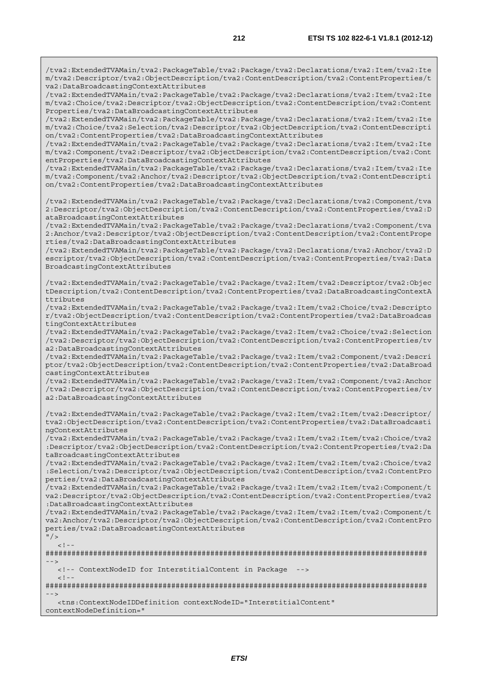/tva2:ExtendedTVAMain/tva2:PackageTable/tva2:Package/tva2:Declarations/tva2:Item/tva2:Ite m/tva2:Descriptor/tva2:ObjectDescription/tva2:ContentDescription/tva2:ContentProperties/t va2:DataBroadcastingContextAttributes

/tva2:ExtendedTVAMain/tva2:PackageTable/tva2:Package/tva2:Declarations/tva2:Item/tva2:Ite m/tva2:Choice/tva2:Descriptor/tva2:ObjectDescription/tva2:ContentDescription/tva2:Content Properties/tva2:DataBroadcastingContextAttributes

/tva2:ExtendedTVAMain/tva2:PackageTable/tva2:Package/tva2:Declarations/tva2:Item/tva2:Ite m/tva2:Choice/tva2:Selection/tva2:Descriptor/tva2:ObjectDescription/tva2:ContentDescripti on/tva2:ContentProperties/tva2:DataBroadcastingContextAttributes

/tva2:ExtendedTVAMain/tva2:PackageTable/tva2:Package/tva2:Declarations/tva2:Item/tva2:Ite m/tva2:Component/tva2:Descriptor/tva2:ObjectDescription/tva2:ContentDescription/tva2:Cont entProperties/tva2:DataBroadcastingContextAttributes

/tva2:ExtendedTVAMain/tva2:PackageTable/tva2:Package/tva2:Declarations/tva2:Item/tva2:Ite m/tva2:Component/tva2:Anchor/tva2:Descriptor/tva2:ObjectDescription/tva2:ContentDescripti on/tva2:ContentProperties/tva2:DataBroadcastingContextAttributes

/tva2:ExtendedTVAMain/tva2:PackageTable/tva2:Package/tva2:Declarations/tva2:Component/tva 2:Descriptor/tva2:ObjectDescription/tva2:ContentDescription/tva2:ContentProperties/tva2:D ataBroadcastingContextAttributes

/tva2:ExtendedTVAMain/tva2:PackageTable/tva2:Package/tva2:Declarations/tva2:Component/tva 2:Anchor/tva2:Descriptor/tva2:ObjectDescription/tva2:ContentDescription/tva2:ContentPrope rties/tva2:DataBroadcastingContextAttributes

/tva2:ExtendedTVAMain/tva2:PackageTable/tva2:Package/tva2:Declarations/tva2:Anchor/tva2:D escriptor/tva2:ObjectDescription/tva2:ContentDescription/tva2:ContentProperties/tva2:Data BroadcastingContextAttributes

/tva2:ExtendedTVAMain/tva2:PackageTable/tva2:Package/tva2:Item/tva2:Descriptor/tva2:Objec tDescription/tva2:ContentDescription/tva2:ContentProperties/tva2:DataBroadcastingContextA ttributes

/tva2:ExtendedTVAMain/tva2:PackageTable/tva2:Package/tva2:Item/tva2:Choice/tva2:Descripto r/tva2:ObjectDescription/tva2:ContentDescription/tva2:ContentProperties/tva2:DataBroadcas tingContextAttributes

/tva2:ExtendedTVAMain/tva2:PackageTable/tva2:Package/tva2:Item/tva2:Choice/tva2:Selection /tva2:Descriptor/tva2:ObjectDescription/tva2:ContentDescription/tva2:ContentProperties/tv a2:DataBroadcastingContextAttributes

/tva2:ExtendedTVAMain/tva2:PackageTable/tva2:Package/tva2:Item/tva2:Component/tva2:Descri ptor/tva2:ObjectDescription/tva2:ContentDescription/tva2:ContentProperties/tva2:DataBroad castingContextAttributes

/tva2:ExtendedTVAMain/tva2:PackageTable/tva2:Package/tva2:Item/tva2:Component/tva2:Anchor /tva2:Descriptor/tva2:ObjectDescription/tva2:ContentDescription/tva2:ContentProperties/tv a2:DataBroadcastingContextAttributes

/tva2:ExtendedTVAMain/tva2:PackageTable/tva2:Package/tva2:Item/tva2:Item/tva2:Descriptor/ tva2:ObjectDescription/tva2:ContentDescription/tva2:ContentProperties/tva2:DataBroadcasti ngContextAttributes

/tva2:ExtendedTVAMain/tva2:PackageTable/tva2:Package/tva2:Item/tva2:Item/tva2:Choice/tva2 :Descriptor/tva2:ObjectDescription/tva2:ContentDescription/tva2:ContentProperties/tva2:Da taBroadcastingContextAttributes

/tva2:ExtendedTVAMain/tva2:PackageTable/tva2:Package/tva2:Item/tva2:Item/tva2:Choice/tva2 :Selection/tva2:Descriptor/tva2:ObjectDescription/tva2:ContentDescription/tva2:ContentPro perties/tva2:DataBroadcastingContextAttributes

/tva2:ExtendedTVAMain/tva2:PackageTable/tva2:Package/tva2:Item/tva2:Item/tva2:Component/t va2:Descriptor/tva2:ObjectDescription/tva2:ContentDescription/tva2:ContentProperties/tva2 :DataBroadcastingContextAttributes

/tva2:ExtendedTVAMain/tva2:PackageTable/tva2:Package/tva2:Item/tva2:Item/tva2:Component/t va2:Anchor/tva2:Descriptor/tva2:ObjectDescription/tva2:ContentDescription/tva2:ContentPro perties/tva2:DataBroadcastingContextAttributes  $^{\prime\prime}$  / >

 $<$ ! --

######################################################################################## -->

 <!-- ContextNodeID for InterstitialContent in Package -->  $\geq$   $\frac{1}{2}$   $\geq$   $\frac{1}{2}$ 

######################################################################################## -->

 <tns:ContextNodeIDDefinition contextNodeID="InterstitialContent" contextNodeDefinition="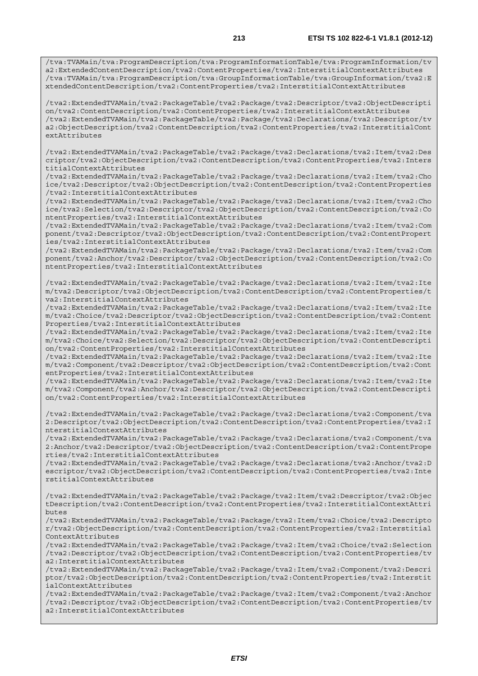/tva2:ExtendedTVAMain/tva2:PackageTable/tva2:Package/tva2:Descriptor/tva2:ObjectDescripti on/tva2:ContentDescription/tva2:ContentProperties/tva2:InterstitialContextAttributes /tva2:ExtendedTVAMain/tva2:PackageTable/tva2:Package/tva2:Declarations/tva2:Descriptor/tv a2:ObjectDescription/tva2:ContentDescription/tva2:ContentProperties/tva2:InterstitialCont extAttributes

/tva2:ExtendedTVAMain/tva2:PackageTable/tva2:Package/tva2:Declarations/tva2:Item/tva2:Des criptor/tva2:ObjectDescription/tva2:ContentDescription/tva2:ContentProperties/tva2:Inters titialContextAttributes

/tva2:ExtendedTVAMain/tva2:PackageTable/tva2:Package/tva2:Declarations/tva2:Item/tva2:Cho ice/tva2:Descriptor/tva2:ObjectDescription/tva2:ContentDescription/tva2:ContentProperties /tva2:InterstitialContextAttributes

/tva2:ExtendedTVAMain/tva2:PackageTable/tva2:Package/tva2:Declarations/tva2:Item/tva2:Cho ice/tva2:Selection/tva2:Descriptor/tva2:ObjectDescription/tva2:ContentDescription/tva2:Co ntentProperties/tva2:InterstitialContextAttributes

/tva2:ExtendedTVAMain/tva2:PackageTable/tva2:Package/tva2:Declarations/tva2:Item/tva2:Com ponent/tva2:Descriptor/tva2:ObjectDescription/tva2:ContentDescription/tva2:ContentPropert ies/tva2:InterstitialContextAttributes

/tva2:ExtendedTVAMain/tva2:PackageTable/tva2:Package/tva2:Declarations/tva2:Item/tva2:Com ponent/tva2:Anchor/tva2:Descriptor/tva2:ObjectDescription/tva2:ContentDescription/tva2:Co ntentProperties/tva2:InterstitialContextAttributes

/tva2:ExtendedTVAMain/tva2:PackageTable/tva2:Package/tva2:Declarations/tva2:Item/tva2:Ite m/tva2:Descriptor/tva2:ObjectDescription/tva2:ContentDescription/tva2:ContentProperties/t va2:InterstitialContextAttributes

/tva2:ExtendedTVAMain/tva2:PackageTable/tva2:Package/tva2:Declarations/tva2:Item/tva2:Ite m/tva2:Choice/tva2:Descriptor/tva2:ObjectDescription/tva2:ContentDescription/tva2:Content Properties/tva2:InterstitialContextAttributes

/tva2:ExtendedTVAMain/tva2:PackageTable/tva2:Package/tva2:Declarations/tva2:Item/tva2:Ite m/tva2:Choice/tva2:Selection/tva2:Descriptor/tva2:ObjectDescription/tva2:ContentDescripti on/tva2:ContentProperties/tva2:InterstitialContextAttributes

/tva2:ExtendedTVAMain/tva2:PackageTable/tva2:Package/tva2:Declarations/tva2:Item/tva2:Ite m/tva2:Component/tva2:Descriptor/tva2:ObjectDescription/tva2:ContentDescription/tva2:Cont entProperties/tva2:InterstitialContextAttributes

/tva2:ExtendedTVAMain/tva2:PackageTable/tva2:Package/tva2:Declarations/tva2:Item/tva2:Ite m/tva2:Component/tva2:Anchor/tva2:Descriptor/tva2:ObjectDescription/tva2:ContentDescripti on/tva2:ContentProperties/tva2:InterstitialContextAttributes

/tva2:ExtendedTVAMain/tva2:PackageTable/tva2:Package/tva2:Declarations/tva2:Component/tva 2:Descriptor/tva2:ObjectDescription/tva2:ContentDescription/tva2:ContentProperties/tva2:I nterstitialContextAttributes

/tva2:ExtendedTVAMain/tva2:PackageTable/tva2:Package/tva2:Declarations/tva2:Component/tva 2:Anchor/tva2:Descriptor/tva2:ObjectDescription/tva2:ContentDescription/tva2:ContentPrope rties/tva2:InterstitialContextAttributes

/tva2:ExtendedTVAMain/tva2:PackageTable/tva2:Package/tva2:Declarations/tva2:Anchor/tva2:D escriptor/tva2:ObjectDescription/tva2:ContentDescription/tva2:ContentProperties/tva2:Inte rstitialContextAttributes

/tva2:ExtendedTVAMain/tva2:PackageTable/tva2:Package/tva2:Item/tva2:Descriptor/tva2:Objec tDescription/tva2:ContentDescription/tva2:ContentProperties/tva2:InterstitialContextAttri butes

/tva2:ExtendedTVAMain/tva2:PackageTable/tva2:Package/tva2:Item/tva2:Choice/tva2:Descripto r/tva2:ObjectDescription/tva2:ContentDescription/tva2:ContentProperties/tva2:Interstitial ContextAttributes

/tva2:ExtendedTVAMain/tva2:PackageTable/tva2:Package/tva2:Item/tva2:Choice/tva2:Selection /tva2:Descriptor/tva2:ObjectDescription/tva2:ContentDescription/tva2:ContentProperties/tv a2:InterstitialContextAttributes

/tva2:ExtendedTVAMain/tva2:PackageTable/tva2:Package/tva2:Item/tva2:Component/tva2:Descri ptor/tva2:ObjectDescription/tva2:ContentDescription/tva2:ContentProperties/tva2:Interstit ialContextAttributes

/tva2:ExtendedTVAMain/tva2:PackageTable/tva2:Package/tva2:Item/tva2:Component/tva2:Anchor /tva2:Descriptor/tva2:ObjectDescription/tva2:ContentDescription/tva2:ContentProperties/tv a2:InterstitialContextAttributes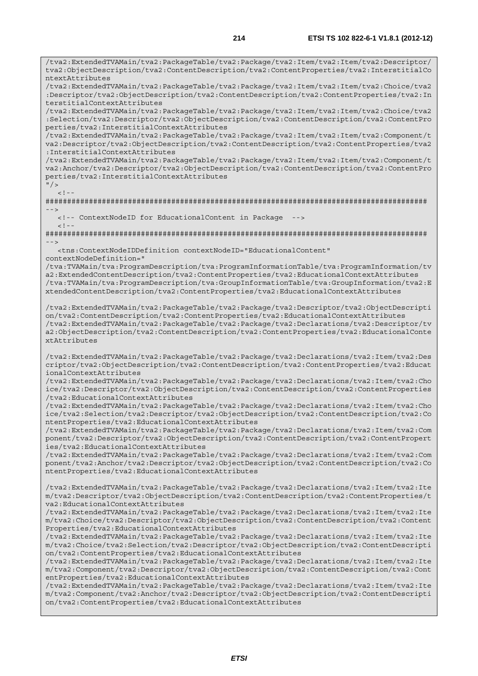/tva2:ExtendedTVAMain/tva2:PackageTable/tva2:Package/tva2:Item/tva2:Item/tva2:Descriptor/ tva2:ObjectDescription/tva2:ContentDescription/tva2:ContentProperties/tva2:InterstitialCo ntextAttributes

/tva2:ExtendedTVAMain/tva2:PackageTable/tva2:Package/tva2:Item/tva2:Item/tva2:Choice/tva2 :Descriptor/tva2:ObjectDescription/tva2:ContentDescription/tva2:ContentProperties/tva2:In terstitialContextAttributes

/tva2:ExtendedTVAMain/tva2:PackageTable/tva2:Package/tva2:Item/tva2:Item/tva2:Choice/tva2 :Selection/tva2:Descriptor/tva2:ObjectDescription/tva2:ContentDescription/tva2:ContentPro perties/tva2:InterstitialContextAttributes

/tva2:ExtendedTVAMain/tva2:PackageTable/tva2:Package/tva2:Item/tva2:Item/tva2:Component/t va2:Descriptor/tva2:ObjectDescription/tva2:ContentDescription/tva2:ContentProperties/tva2 :InterstitialContextAttributes

/tva2:ExtendedTVAMain/tva2:PackageTable/tva2:Package/tva2:Item/tva2:Item/tva2:Component/t va2:Anchor/tva2:Descriptor/tva2:ObjectDescription/tva2:ContentDescription/tva2:ContentPro perties/tva2:InterstitialContextAttributes

 $"$  / >  $\geq$   $\frac{1}{2}$   $\geq$   $\frac{1}{2}$ 

######################################################################################## -->

 <!-- ContextNodeID for EducationalContent in Package -->  $<$ ! --

######################################################################################## -->

 <tns:ContextNodeIDDefinition contextNodeID="EducationalContent" contextNodeDefinition="

/tva:TVAMain/tva:ProgramDescription/tva:ProgramInformationTable/tva:ProgramInformation/tv a2:ExtendedContentDescription/tva2:ContentProperties/tva2:EducationalContextAttributes /tva:TVAMain/tva:ProgramDescription/tva:GroupInformationTable/tva:GroupInformation/tva2:E xtendedContentDescription/tva2:ContentProperties/tva2:EducationalContextAttributes

/tva2:ExtendedTVAMain/tva2:PackageTable/tva2:Package/tva2:Descriptor/tva2:ObjectDescripti on/tva2:ContentDescription/tva2:ContentProperties/tva2:EducationalContextAttributes /tva2:ExtendedTVAMain/tva2:PackageTable/tva2:Package/tva2:Declarations/tva2:Descriptor/tv a2:ObjectDescription/tva2:ContentDescription/tva2:ContentProperties/tva2:EducationalConte xtAttributes

/tva2:ExtendedTVAMain/tva2:PackageTable/tva2:Package/tva2:Declarations/tva2:Item/tva2:Des criptor/tva2:ObjectDescription/tva2:ContentDescription/tva2:ContentProperties/tva2:Educat ionalContextAttributes

/tva2:ExtendedTVAMain/tva2:PackageTable/tva2:Package/tva2:Declarations/tva2:Item/tva2:Cho ice/tva2:Descriptor/tva2:ObjectDescription/tva2:ContentDescription/tva2:ContentProperties /tva2:EducationalContextAttributes

/tva2:ExtendedTVAMain/tva2:PackageTable/tva2:Package/tva2:Declarations/tva2:Item/tva2:Cho ice/tva2:Selection/tva2:Descriptor/tva2:ObjectDescription/tva2:ContentDescription/tva2:Co ntentProperties/tva2:EducationalContextAttributes

/tva2:ExtendedTVAMain/tva2:PackageTable/tva2:Package/tva2:Declarations/tva2:Item/tva2:Com ponent/tva2:Descriptor/tva2:ObjectDescription/tva2:ContentDescription/tva2:ContentPropert ies/tva2:EducationalContextAttributes

/tva2:ExtendedTVAMain/tva2:PackageTable/tva2:Package/tva2:Declarations/tva2:Item/tva2:Com ponent/tva2:Anchor/tva2:Descriptor/tva2:ObjectDescription/tva2:ContentDescription/tva2:Co ntentProperties/tva2:EducationalContextAttributes

/tva2:ExtendedTVAMain/tva2:PackageTable/tva2:Package/tva2:Declarations/tva2:Item/tva2:Ite m/tva2:Descriptor/tva2:ObjectDescription/tva2:ContentDescription/tva2:ContentProperties/t va2:EducationalContextAttributes

/tva2:ExtendedTVAMain/tva2:PackageTable/tva2:Package/tva2:Declarations/tva2:Item/tva2:Ite m/tva2:Choice/tva2:Descriptor/tva2:ObjectDescription/tva2:ContentDescription/tva2:Content Properties/tva2:EducationalContextAttributes

/tva2:ExtendedTVAMain/tva2:PackageTable/tva2:Package/tva2:Declarations/tva2:Item/tva2:Ite m/tva2:Choice/tva2:Selection/tva2:Descriptor/tva2:ObjectDescription/tva2:ContentDescripti on/tva2:ContentProperties/tva2:EducationalContextAttributes

/tva2:ExtendedTVAMain/tva2:PackageTable/tva2:Package/tva2:Declarations/tva2:Item/tva2:Ite m/tva2:Component/tva2:Descriptor/tva2:ObjectDescription/tva2:ContentDescription/tva2:Cont entProperties/tva2:EducationalContextAttributes

/tva2:ExtendedTVAMain/tva2:PackageTable/tva2:Package/tva2:Declarations/tva2:Item/tva2:Ite m/tva2:Component/tva2:Anchor/tva2:Descriptor/tva2:ObjectDescription/tva2:ContentDescripti on/tva2:ContentProperties/tva2:EducationalContextAttributes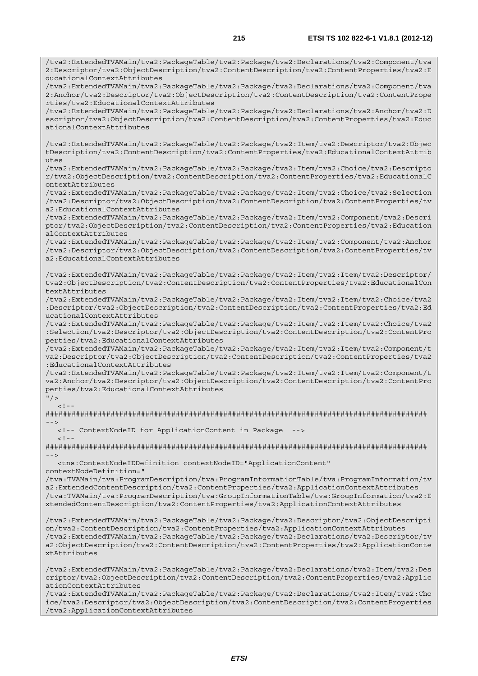/tva2:ExtendedTVAMain/tva2:PackageTable/tva2:Package/tva2:Declarations/tva2:Component/tva 2:Descriptor/tva2:ObjectDescription/tva2:ContentDescription/tva2:ContentProperties/tva2:E ducationalContextAttributes

/tva2:ExtendedTVAMain/tva2:PackageTable/tva2:Package/tva2:Declarations/tva2:Component/tva 2:Anchor/tva2:Descriptor/tva2:ObjectDescription/tva2:ContentDescription/tva2:ContentPrope rties/tva2:EducationalContextAttributes

/tva2:ExtendedTVAMain/tva2:PackageTable/tva2:Package/tva2:Declarations/tva2:Anchor/tva2:D escriptor/tva2:ObjectDescription/tva2:ContentDescription/tva2:ContentProperties/tva2:Educ ationalContextAttributes

/tva2:ExtendedTVAMain/tva2:PackageTable/tva2:Package/tva2:Item/tva2:Descriptor/tva2:Objec tDescription/tva2:ContentDescription/tva2:ContentProperties/tva2:EducationalContextAttrib utes

/tva2:ExtendedTVAMain/tva2:PackageTable/tva2:Package/tva2:Item/tva2:Choice/tva2:Descripto r/tva2:ObjectDescription/tva2:ContentDescription/tva2:ContentProperties/tva2:EducationalC ontextAttributes

/tva2:ExtendedTVAMain/tva2:PackageTable/tva2:Package/tva2:Item/tva2:Choice/tva2:Selection /tva2:Descriptor/tva2:ObjectDescription/tva2:ContentDescription/tva2:ContentProperties/tv a2:EducationalContextAttributes

/tva2:ExtendedTVAMain/tva2:PackageTable/tva2:Package/tva2:Item/tva2:Component/tva2:Descri ptor/tva2:ObjectDescription/tva2:ContentDescription/tva2:ContentProperties/tva2:Education alContextAttributes

/tva2:ExtendedTVAMain/tva2:PackageTable/tva2:Package/tva2:Item/tva2:Component/tva2:Anchor /tva2:Descriptor/tva2:ObjectDescription/tva2:ContentDescription/tva2:ContentProperties/tv a2:EducationalContextAttributes

/tva2:ExtendedTVAMain/tva2:PackageTable/tva2:Package/tva2:Item/tva2:Item/tva2:Descriptor/ tva2:ObjectDescription/tva2:ContentDescription/tva2:ContentProperties/tva2:EducationalCon textAttributes

/tva2:ExtendedTVAMain/tva2:PackageTable/tva2:Package/tva2:Item/tva2:Item/tva2:Choice/tva2 :Descriptor/tva2:ObjectDescription/tva2:ContentDescription/tva2:ContentProperties/tva2:Ed ucationalContextAttributes

/tva2:ExtendedTVAMain/tva2:PackageTable/tva2:Package/tva2:Item/tva2:Item/tva2:Choice/tva2 :Selection/tva2:Descriptor/tva2:ObjectDescription/tva2:ContentDescription/tva2:ContentPro perties/tva2:EducationalContextAttributes

/tva2:ExtendedTVAMain/tva2:PackageTable/tva2:Package/tva2:Item/tva2:Item/tva2:Component/t va2:Descriptor/tva2:ObjectDescription/tva2:ContentDescription/tva2:ContentProperties/tva2 :EducationalContextAttributes

/tva2:ExtendedTVAMain/tva2:PackageTable/tva2:Package/tva2:Item/tva2:Item/tva2:Component/t va2:Anchor/tva2:Descriptor/tva2:ObjectDescription/tva2:ContentDescription/tva2:ContentPro perties/tva2:EducationalContextAttributes

 $"$  />  $\lt$  ! -

######################################################################################## -->

 <!-- ContextNodeID for ApplicationContent in Package -->  $<$ ! --

######################################################################################## -->

 <tns:ContextNodeIDDefinition contextNodeID="ApplicationContent" contextNodeDefinition="

/tva:TVAMain/tva:ProgramDescription/tva:ProgramInformationTable/tva:ProgramInformation/tv a2:ExtendedContentDescription/tva2:ContentProperties/tva2:ApplicationContextAttributes /tva:TVAMain/tva:ProgramDescription/tva:GroupInformationTable/tva:GroupInformation/tva2:E xtendedContentDescription/tva2:ContentProperties/tva2:ApplicationContextAttributes

/tva2:ExtendedTVAMain/tva2:PackageTable/tva2:Package/tva2:Descriptor/tva2:ObjectDescripti on/tva2:ContentDescription/tva2:ContentProperties/tva2:ApplicationContextAttributes /tva2:ExtendedTVAMain/tva2:PackageTable/tva2:Package/tva2:Declarations/tva2:Descriptor/tv a2:ObjectDescription/tva2:ContentDescription/tva2:ContentProperties/tva2:ApplicationConte xtAttributes

/tva2:ExtendedTVAMain/tva2:PackageTable/tva2:Package/tva2:Declarations/tva2:Item/tva2:Des criptor/tva2:ObjectDescription/tva2:ContentDescription/tva2:ContentProperties/tva2:Applic ationContextAttributes

/tva2:ExtendedTVAMain/tva2:PackageTable/tva2:Package/tva2:Declarations/tva2:Item/tva2:Cho ice/tva2:Descriptor/tva2:ObjectDescription/tva2:ContentDescription/tva2:ContentProperties /tva2:ApplicationContextAttributes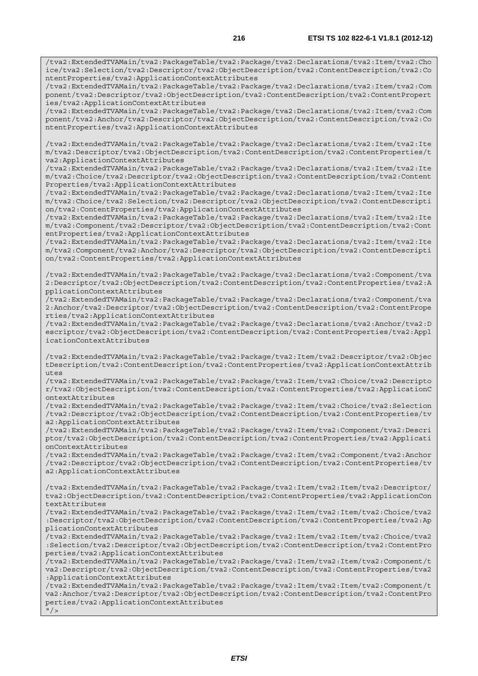/tva2:ExtendedTVAMain/tva2:PackageTable/tva2:Package/tva2:Declarations/tva2:Item/tva2:Cho ice/tva2:Selection/tva2:Descriptor/tva2:ObjectDescription/tva2:ContentDescription/tva2:Co ntentProperties/tva2:ApplicationContextAttributes

/tva2:ExtendedTVAMain/tva2:PackageTable/tva2:Package/tva2:Declarations/tva2:Item/tva2:Com ponent/tva2:Descriptor/tva2:ObjectDescription/tva2:ContentDescription/tva2:ContentPropert ies/tva2:ApplicationContextAttributes

/tva2:ExtendedTVAMain/tva2:PackageTable/tva2:Package/tva2:Declarations/tva2:Item/tva2:Com ponent/tva2:Anchor/tva2:Descriptor/tva2:ObjectDescription/tva2:ContentDescription/tva2:Co ntentProperties/tva2:ApplicationContextAttributes

/tva2:ExtendedTVAMain/tva2:PackageTable/tva2:Package/tva2:Declarations/tva2:Item/tva2:Ite m/tva2:Descriptor/tva2:ObjectDescription/tva2:ContentDescription/tva2:ContentProperties/t va2:ApplicationContextAttributes

/tva2:ExtendedTVAMain/tva2:PackageTable/tva2:Package/tva2:Declarations/tva2:Item/tva2:Ite m/tva2:Choice/tva2:Descriptor/tva2:ObjectDescription/tva2:ContentDescription/tva2:Content Properties/tva2:ApplicationContextAttributes

/tva2:ExtendedTVAMain/tva2:PackageTable/tva2:Package/tva2:Declarations/tva2:Item/tva2:Ite m/tva2:Choice/tva2:Selection/tva2:Descriptor/tva2:ObjectDescription/tva2:ContentDescripti on/tva2:ContentProperties/tva2:ApplicationContextAttributes

/tva2:ExtendedTVAMain/tva2:PackageTable/tva2:Package/tva2:Declarations/tva2:Item/tva2:Ite m/tva2:Component/tva2:Descriptor/tva2:ObjectDescription/tva2:ContentDescription/tva2:Cont entProperties/tva2:ApplicationContextAttributes

/tva2:ExtendedTVAMain/tva2:PackageTable/tva2:Package/tva2:Declarations/tva2:Item/tva2:Ite m/tva2:Component/tva2:Anchor/tva2:Descriptor/tva2:ObjectDescription/tva2:ContentDescripti on/tva2:ContentProperties/tva2:ApplicationContextAttributes

/tva2:ExtendedTVAMain/tva2:PackageTable/tva2:Package/tva2:Declarations/tva2:Component/tva 2:Descriptor/tva2:ObjectDescription/tva2:ContentDescription/tva2:ContentProperties/tva2:A pplicationContextAttributes

/tva2:ExtendedTVAMain/tva2:PackageTable/tva2:Package/tva2:Declarations/tva2:Component/tva 2:Anchor/tva2:Descriptor/tva2:ObjectDescription/tva2:ContentDescription/tva2:ContentPrope rties/tva2:ApplicationContextAttributes

/tva2:ExtendedTVAMain/tva2:PackageTable/tva2:Package/tva2:Declarations/tva2:Anchor/tva2:D escriptor/tva2:ObjectDescription/tva2:ContentDescription/tva2:ContentProperties/tva2:Appl icationContextAttributes

/tva2:ExtendedTVAMain/tva2:PackageTable/tva2:Package/tva2:Item/tva2:Descriptor/tva2:Objec tDescription/tva2:ContentDescription/tva2:ContentProperties/tva2:ApplicationContextAttrib utes

/tva2:ExtendedTVAMain/tva2:PackageTable/tva2:Package/tva2:Item/tva2:Choice/tva2:Descripto r/tva2:ObjectDescription/tva2:ContentDescription/tva2:ContentProperties/tva2:ApplicationC ontextAttributes

/tva2:ExtendedTVAMain/tva2:PackageTable/tva2:Package/tva2:Item/tva2:Choice/tva2:Selection /tva2:Descriptor/tva2:ObjectDescription/tva2:ContentDescription/tva2:ContentProperties/tv a2:ApplicationContextAttributes

/tva2:ExtendedTVAMain/tva2:PackageTable/tva2:Package/tva2:Item/tva2:Component/tva2:Descri ptor/tva2:ObjectDescription/tva2:ContentDescription/tva2:ContentProperties/tva2:Applicati onContextAttributes

/tva2:ExtendedTVAMain/tva2:PackageTable/tva2:Package/tva2:Item/tva2:Component/tva2:Anchor /tva2:Descriptor/tva2:ObjectDescription/tva2:ContentDescription/tva2:ContentProperties/tv a2:ApplicationContextAttributes

/tva2:ExtendedTVAMain/tva2:PackageTable/tva2:Package/tva2:Item/tva2:Item/tva2:Descriptor/ tva2:ObjectDescription/tva2:ContentDescription/tva2:ContentProperties/tva2:ApplicationCon textAttributes

/tva2:ExtendedTVAMain/tva2:PackageTable/tva2:Package/tva2:Item/tva2:Item/tva2:Choice/tva2 :Descriptor/tva2:ObjectDescription/tva2:ContentDescription/tva2:ContentProperties/tva2:Ap plicationContextAttributes

/tva2:ExtendedTVAMain/tva2:PackageTable/tva2:Package/tva2:Item/tva2:Item/tva2:Choice/tva2 :Selection/tva2:Descriptor/tva2:ObjectDescription/tva2:ContentDescription/tva2:ContentPro perties/tva2:ApplicationContextAttributes

/tva2:ExtendedTVAMain/tva2:PackageTable/tva2:Package/tva2:Item/tva2:Item/tva2:Component/t va2:Descriptor/tva2:ObjectDescription/tva2:ContentDescription/tva2:ContentProperties/tva2 :ApplicationContextAttributes

/tva2:ExtendedTVAMain/tva2:PackageTable/tva2:Package/tva2:Item/tva2:Item/tva2:Component/t va2:Anchor/tva2:Descriptor/tva2:ObjectDescription/tva2:ContentDescription/tva2:ContentPro perties/tva2:ApplicationContextAttributes

 $''$  / >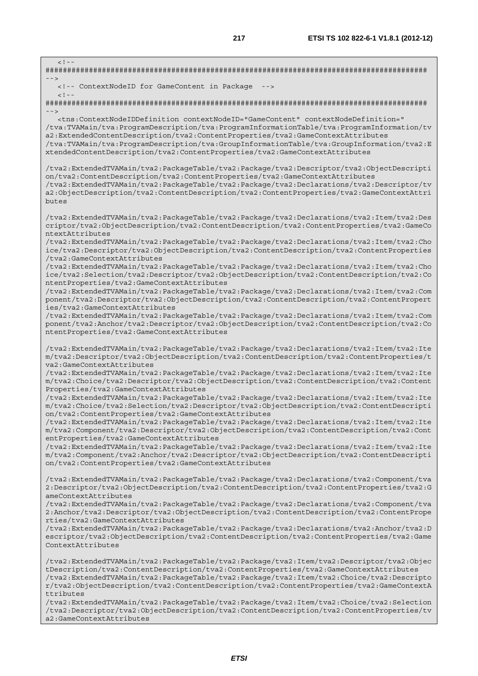$\lt$  !  $-$ ######################################################################################## --> <!-- ContextNodeID for GameContent in Package -->  $\geq$  1  $-$ ######################################################################################## --> <tns:ContextNodeIDDefinition contextNodeID="GameContent" contextNodeDefinition=" /tva:TVAMain/tva:ProgramDescription/tva:ProgramInformationTable/tva:ProgramInformation/tv a2:ExtendedContentDescription/tva2:ContentProperties/tva2:GameContextAttributes /tva:TVAMain/tva:ProgramDescription/tva:GroupInformationTable/tva:GroupInformation/tva2:E xtendedContentDescription/tva2:ContentProperties/tva2:GameContextAttributes /tva2:ExtendedTVAMain/tva2:PackageTable/tva2:Package/tva2:Descriptor/tva2:ObjectDescripti on/tva2:ContentDescription/tva2:ContentProperties/tva2:GameContextAttributes /tva2:ExtendedTVAMain/tva2:PackageTable/tva2:Package/tva2:Declarations/tva2:Descriptor/tv a2:ObjectDescription/tva2:ContentDescription/tva2:ContentProperties/tva2:GameContextAttri butes /tva2:ExtendedTVAMain/tva2:PackageTable/tva2:Package/tva2:Declarations/tva2:Item/tva2:Des criptor/tva2:ObjectDescription/tva2:ContentDescription/tva2:ContentProperties/tva2:GameCo ntextAttributes /tva2:ExtendedTVAMain/tva2:PackageTable/tva2:Package/tva2:Declarations/tva2:Item/tva2:Cho ice/tva2:Descriptor/tva2:ObjectDescription/tva2:ContentDescription/tva2:ContentProperties /tva2:GameContextAttributes /tva2:ExtendedTVAMain/tva2:PackageTable/tva2:Package/tva2:Declarations/tva2:Item/tva2:Cho ice/tva2:Selection/tva2:Descriptor/tva2:ObjectDescription/tva2:ContentDescription/tva2:Co ntentProperties/tva2:GameContextAttributes /tva2:ExtendedTVAMain/tva2:PackageTable/tva2:Package/tva2:Declarations/tva2:Item/tva2:Com ponent/tva2:Descriptor/tva2:ObjectDescription/tva2:ContentDescription/tva2:ContentPropert ies/tva2:GameContextAttributes /tva2:ExtendedTVAMain/tva2:PackageTable/tva2:Package/tva2:Declarations/tva2:Item/tva2:Com ponent/tva2:Anchor/tva2:Descriptor/tva2:ObjectDescription/tva2:ContentDescription/tva2:Co ntentProperties/tva2:GameContextAttributes /tva2:ExtendedTVAMain/tva2:PackageTable/tva2:Package/tva2:Declarations/tva2:Item/tva2:Ite m/tva2:Descriptor/tva2:ObjectDescription/tva2:ContentDescription/tva2:ContentProperties/t va2:GameContextAttributes /tva2:ExtendedTVAMain/tva2:PackageTable/tva2:Package/tva2:Declarations/tva2:Item/tva2:Ite m/tva2:Choice/tva2:Descriptor/tva2:ObjectDescription/tva2:ContentDescription/tva2:Content Properties/tva2:GameContextAttributes /tva2:ExtendedTVAMain/tva2:PackageTable/tva2:Package/tva2:Declarations/tva2:Item/tva2:Ite m/tva2:Choice/tva2:Selection/tva2:Descriptor/tva2:ObjectDescription/tva2:ContentDescripti on/tva2:ContentProperties/tva2:GameContextAttributes /tva2:ExtendedTVAMain/tva2:PackageTable/tva2:Package/tva2:Declarations/tva2:Item/tva2:Ite m/tva2:Component/tva2:Descriptor/tva2:ObjectDescription/tva2:ContentDescription/tva2:Cont entProperties/tva2:GameContextAttributes /tva2:ExtendedTVAMain/tva2:PackageTable/tva2:Package/tva2:Declarations/tva2:Item/tva2:Ite m/tva2:Component/tva2:Anchor/tva2:Descriptor/tva2:ObjectDescription/tva2:ContentDescripti on/tva2:ContentProperties/tva2:GameContextAttributes /tva2:ExtendedTVAMain/tva2:PackageTable/tva2:Package/tva2:Declarations/tva2:Component/tva 2:Descriptor/tva2:ObjectDescription/tva2:ContentDescription/tva2:ContentProperties/tva2:G ameContextAttributes /tva2:ExtendedTVAMain/tva2:PackageTable/tva2:Package/tva2:Declarations/tva2:Component/tva 2:Anchor/tva2:Descriptor/tva2:ObjectDescription/tva2:ContentDescription/tva2:ContentPrope rties/tva2:GameContextAttributes /tva2:ExtendedTVAMain/tva2:PackageTable/tva2:Package/tva2:Declarations/tva2:Anchor/tva2:D escriptor/tva2:ObjectDescription/tva2:ContentDescription/tva2:ContentProperties/tva2:Game ContextAttributes /tva2:ExtendedTVAMain/tva2:PackageTable/tva2:Package/tva2:Item/tva2:Descriptor/tva2:Objec tDescription/tva2:ContentDescription/tva2:ContentProperties/tva2:GameContextAttributes /tva2:ExtendedTVAMain/tva2:PackageTable/tva2:Package/tva2:Item/tva2:Choice/tva2:Descripto r/tva2:ObjectDescription/tva2:ContentDescription/tva2:ContentProperties/tva2:GameContextA ttributes /tva2:ExtendedTVAMain/tva2:PackageTable/tva2:Package/tva2:Item/tva2:Choice/tva2:Selection

/tva2:Descriptor/tva2:ObjectDescription/tva2:ContentDescription/tva2:ContentProperties/tv a2:GameContextAttributes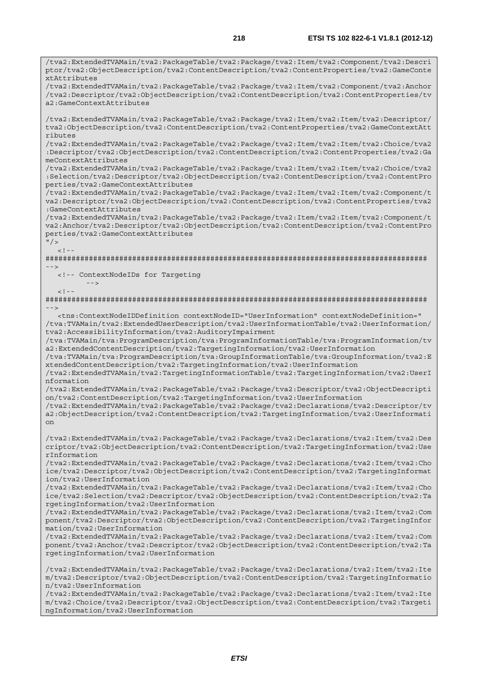/tva2:ExtendedTVAMain/tva2:PackageTable/tva2:Package/tva2:Item/tva2:Component/tva2:Descri ptor/tva2:ObjectDescription/tva2:ContentDescription/tva2:ContentProperties/tva2:GameConte

/tva2:ExtendedTVAMain/tva2:PackageTable/tva2:Package/tva2:Item/tva2:Component/tva2:Anchor

xtAttributes

/tva2:Descriptor/tva2:ObjectDescription/tva2:ContentDescription/tva2:ContentProperties/tv a2:GameContextAttributes /tva2:ExtendedTVAMain/tva2:PackageTable/tva2:Package/tva2:Item/tva2:Item/tva2:Descriptor/ tva2:ObjectDescription/tva2:ContentDescription/tva2:ContentProperties/tva2:GameContextAtt ributes /tva2:ExtendedTVAMain/tva2:PackageTable/tva2:Package/tva2:Item/tva2:Item/tva2:Choice/tva2 :Descriptor/tva2:ObjectDescription/tva2:ContentDescription/tva2:ContentProperties/tva2:Ga meContextAttributes /tva2:ExtendedTVAMain/tva2:PackageTable/tva2:Package/tva2:Item/tva2:Item/tva2:Choice/tva2 :Selection/tva2:Descriptor/tva2:ObjectDescription/tva2:ContentDescription/tva2:ContentPro perties/tva2:GameContextAttributes /tva2:ExtendedTVAMain/tva2:PackageTable/tva2:Package/tva2:Item/tva2:Item/tva2:Component/t va2:Descriptor/tva2:ObjectDescription/tva2:ContentDescription/tva2:ContentProperties/tva2 :GameContextAttributes /tva2:ExtendedTVAMain/tva2:PackageTable/tva2:Package/tva2:Item/tva2:Item/tva2:Component/t va2:Anchor/tva2:Descriptor/tva2:ObjectDescription/tva2:ContentDescription/tva2:ContentPro perties/tva2:GameContextAttributes  $"$  / >  $\langle$ !--######################################################################################## --> <!-- ContextNodeIDs for Targeting -->  $\leq 1$ ######################################################################################## --> <tns:ContextNodeIDDefinition contextNodeID="UserInformation" contextNodeDefinition=" /tva:TVAMain/tva2:ExtendedUserDescription/tva2:UserInformationTable/tva2:UserInformation/ tva2:AccessibilityInformation/tva2:AuditoryImpairment /tva:TVAMain/tva:ProgramDescription/tva:ProgramInformationTable/tva:ProgramInformation/tv a2:ExtendedContentDescription/tva2:TargetingInformation/tva2:UserInformation /tva:TVAMain/tva:ProgramDescription/tva:GroupInformationTable/tva:GroupInformation/tva2:E xtendedContentDescription/tva2:TargetingInformation/tva2:UserInformation /tva2:ExtendedTVAMain/tva2:TargetingInformationTable/tva2:TargetingInformation/tva2:UserI nformation /tva2:ExtendedTVAMain/tva2:PackageTable/tva2:Package/tva2:Descriptor/tva2:ObjectDescripti on/tva2:ContentDescription/tva2:TargetingInformation/tva2:UserInformation /tva2:ExtendedTVAMain/tva2:PackageTable/tva2:Package/tva2:Declarations/tva2:Descriptor/tv a2:ObjectDescription/tva2:ContentDescription/tva2:TargetingInformation/tva2:UserInformati on /tva2:ExtendedTVAMain/tva2:PackageTable/tva2:Package/tva2:Declarations/tva2:Item/tva2:Des criptor/tva2:ObjectDescription/tva2:ContentDescription/tva2:TargetingInformation/tva2:Use rInformation /tva2:ExtendedTVAMain/tva2:PackageTable/tva2:Package/tva2:Declarations/tva2:Item/tva2:Cho ice/tva2:Descriptor/tva2:ObjectDescription/tva2:ContentDescription/tva2:TargetingInformat ion/tva2:UserInformation /tva2:ExtendedTVAMain/tva2:PackageTable/tva2:Package/tva2:Declarations/tva2:Item/tva2:Cho ice/tva2:Selection/tva2:Descriptor/tva2:ObjectDescription/tva2:ContentDescription/tva2:Ta rgetingInformation/tva2:UserInformation /tva2:ExtendedTVAMain/tva2:PackageTable/tva2:Package/tva2:Declarations/tva2:Item/tva2:Com ponent/tva2:Descriptor/tva2:ObjectDescription/tva2:ContentDescription/tva2:TargetingInfor mation/tva2:UserInformation /tva2:ExtendedTVAMain/tva2:PackageTable/tva2:Package/tva2:Declarations/tva2:Item/tva2:Com ponent/tva2:Anchor/tva2:Descriptor/tva2:ObjectDescription/tva2:ContentDescription/tva2:Ta rgetingInformation/tva2:UserInformation /tva2:ExtendedTVAMain/tva2:PackageTable/tva2:Package/tva2:Declarations/tva2:Item/tva2:Ite m/tva2:Descriptor/tva2:ObjectDescription/tva2:ContentDescription/tva2:TargetingInformatio n/tva2:UserInformation /tva2:ExtendedTVAMain/tva2:PackageTable/tva2:Package/tva2:Declarations/tva2:Item/tva2:Ite m/tva2:Choice/tva2:Descriptor/tva2:ObjectDescription/tva2:ContentDescription/tva2:Targeti ngInformation/tva2:UserInformation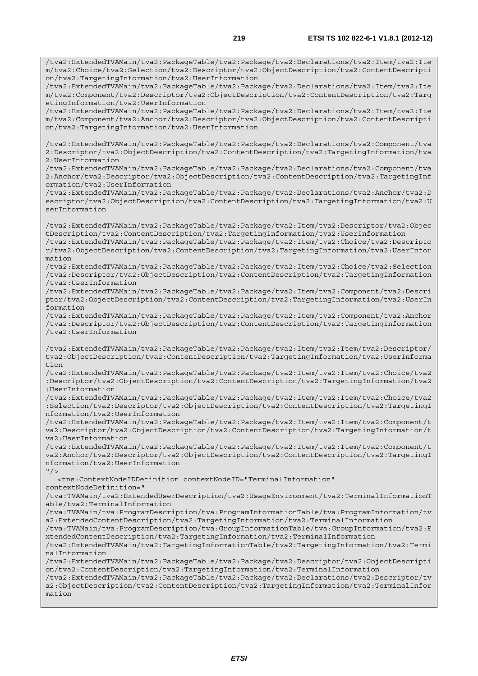/tva2:ExtendedTVAMain/tva2:PackageTable/tva2:Package/tva2:Declarations/tva2:Item/tva2:Ite m/tva2:Choice/tva2:Selection/tva2:Descriptor/tva2:ObjectDescription/tva2:ContentDescripti on/tva2:TargetingInformation/tva2:UserInformation /tva2:ExtendedTVAMain/tva2:PackageTable/tva2:Package/tva2:Declarations/tva2:Item/tva2:Ite m/tva2:Component/tva2:Descriptor/tva2:ObjectDescription/tva2:ContentDescription/tva2:Targ etingInformation/tva2:UserInformation /tva2:ExtendedTVAMain/tva2:PackageTable/tva2:Package/tva2:Declarations/tva2:Item/tva2:Ite m/tva2:Component/tva2:Anchor/tva2:Descriptor/tva2:ObjectDescription/tva2:ContentDescripti on/tva2:TargetingInformation/tva2:UserInformation /tva2:ExtendedTVAMain/tva2:PackageTable/tva2:Package/tva2:Declarations/tva2:Component/tva 2:Descriptor/tva2:ObjectDescription/tva2:ContentDescription/tva2:TargetingInformation/tva 2:UserInformation /tva2:ExtendedTVAMain/tva2:PackageTable/tva2:Package/tva2:Declarations/tva2:Component/tva 2:Anchor/tva2:Descriptor/tva2:ObjectDescription/tva2:ContentDescription/tva2:TargetingInf ormation/tva2:UserInformation /tva2:ExtendedTVAMain/tva2:PackageTable/tva2:Package/tva2:Declarations/tva2:Anchor/tva2:D escriptor/tva2:ObjectDescription/tva2:ContentDescription/tva2:TargetingInformation/tva2:U serInformation /tva2:ExtendedTVAMain/tva2:PackageTable/tva2:Package/tva2:Item/tva2:Descriptor/tva2:Objec tDescription/tva2:ContentDescription/tva2:TargetingInformation/tva2:UserInformation /tva2:ExtendedTVAMain/tva2:PackageTable/tva2:Package/tva2:Item/tva2:Choice/tva2:Descripto r/tva2:ObjectDescription/tva2:ContentDescription/tva2:TargetingInformation/tva2:UserInfor mation /tva2:ExtendedTVAMain/tva2:PackageTable/tva2:Package/tva2:Item/tva2:Choice/tva2:Selection /tva2:Descriptor/tva2:ObjectDescription/tva2:ContentDescription/tva2:TargetingInformation /tva2:UserInformation /tva2:ExtendedTVAMain/tva2:PackageTable/tva2:Package/tva2:Item/tva2:Component/tva2:Descri ptor/tva2:ObjectDescription/tva2:ContentDescription/tva2:TargetingInformation/tva2:UserIn formation /tva2:ExtendedTVAMain/tva2:PackageTable/tva2:Package/tva2:Item/tva2:Component/tva2:Anchor /tva2:Descriptor/tva2:ObjectDescription/tva2:ContentDescription/tva2:TargetingInformation /tva2:UserInformation /tva2:ExtendedTVAMain/tva2:PackageTable/tva2:Package/tva2:Item/tva2:Item/tva2:Descriptor/ tva2:ObjectDescription/tva2:ContentDescription/tva2:TargetingInformation/tva2:UserInforma tion /tva2:ExtendedTVAMain/tva2:PackageTable/tva2:Package/tva2:Item/tva2:Item/tva2:Choice/tva2 :Descriptor/tva2:ObjectDescription/tva2:ContentDescription/tva2:TargetingInformation/tva2 :UserInformation /tva2:ExtendedTVAMain/tva2:PackageTable/tva2:Package/tva2:Item/tva2:Item/tva2:Choice/tva2 :Selection/tva2:Descriptor/tva2:ObjectDescription/tva2:ContentDescription/tva2:TargetingI nformation/tva2:UserInformation /tva2:ExtendedTVAMain/tva2:PackageTable/tva2:Package/tva2:Item/tva2:Item/tva2:Component/t va2:Descriptor/tva2:ObjectDescription/tva2:ContentDescription/tva2:TargetingInformation/t va2:UserInformation /tva2:ExtendedTVAMain/tva2:PackageTable/tva2:Package/tva2:Item/tva2:Item/tva2:Component/t va2:Anchor/tva2:Descriptor/tva2:ObjectDescription/tva2:ContentDescription/tva2:TargetingI nformation/tva2:UserInformation  $''$  / > <tns:ContextNodeIDDefinition contextNodeID="TerminalInformation" contextNodeDefinition=" /tva:TVAMain/tva2:ExtendedUserDescription/tva2:UsageEnvironment/tva2:TerminalInformationT able/tva2:TerminalInformation /tva:TVAMain/tva:ProgramDescription/tva:ProgramInformationTable/tva:ProgramInformation/tv a2:ExtendedContentDescription/tva2:TargetingInformation/tva2:TerminalInformation /tva:TVAMain/tva:ProgramDescription/tva:GroupInformationTable/tva:GroupInformation/tva2:E xtendedContentDescription/tva2:TargetingInformation/tva2:TerminalInformation /tva2:ExtendedTVAMain/tva2:TargetingInformationTable/tva2:TargetingInformation/tva2:Termi nalInformation /tva2:ExtendedTVAMain/tva2:PackageTable/tva2:Package/tva2:Descriptor/tva2:ObjectDescripti on/tva2:ContentDescription/tva2:TargetingInformation/tva2:TerminalInformation /tva2:ExtendedTVAMain/tva2:PackageTable/tva2:Package/tva2:Declarations/tva2:Descriptor/tv a2:ObjectDescription/tva2:ContentDescription/tva2:TargetingInformation/tva2:TerminalInfor mation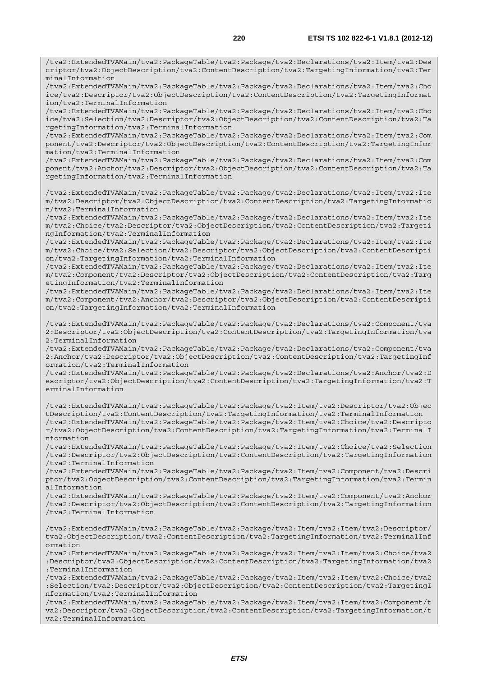/tva2:ExtendedTVAMain/tva2:PackageTable/tva2:Package/tva2:Declarations/tva2:Item/tva2:Des criptor/tva2:ObjectDescription/tva2:ContentDescription/tva2:TargetingInformation/tva2:Ter minalInformation

/tva2:ExtendedTVAMain/tva2:PackageTable/tva2:Package/tva2:Declarations/tva2:Item/tva2:Cho ice/tva2:Descriptor/tva2:ObjectDescription/tva2:ContentDescription/tva2:TargetingInformat ion/tva2:TerminalInformation

/tva2:ExtendedTVAMain/tva2:PackageTable/tva2:Package/tva2:Declarations/tva2:Item/tva2:Cho ice/tva2:Selection/tva2:Descriptor/tva2:ObjectDescription/tva2:ContentDescription/tva2:Ta rgetingInformation/tva2:TerminalInformation

/tva2:ExtendedTVAMain/tva2:PackageTable/tva2:Package/tva2:Declarations/tva2:Item/tva2:Com ponent/tva2:Descriptor/tva2:ObjectDescription/tva2:ContentDescription/tva2:TargetingInfor mation/tva2:TerminalInformation

/tva2:ExtendedTVAMain/tva2:PackageTable/tva2:Package/tva2:Declarations/tva2:Item/tva2:Com ponent/tva2:Anchor/tva2:Descriptor/tva2:ObjectDescription/tva2:ContentDescription/tva2:Ta rgetingInformation/tva2:TerminalInformation

/tva2:ExtendedTVAMain/tva2:PackageTable/tva2:Package/tva2:Declarations/tva2:Item/tva2:Ite m/tva2:Descriptor/tva2:ObjectDescription/tva2:ContentDescription/tva2:TargetingInformatio n/tva2:TerminalInformation

/tva2:ExtendedTVAMain/tva2:PackageTable/tva2:Package/tva2:Declarations/tva2:Item/tva2:Ite m/tva2:Choice/tva2:Descriptor/tva2:ObjectDescription/tva2:ContentDescription/tva2:Targeti ngInformation/tva2:TerminalInformation

/tva2:ExtendedTVAMain/tva2:PackageTable/tva2:Package/tva2:Declarations/tva2:Item/tva2:Ite m/tva2:Choice/tva2:Selection/tva2:Descriptor/tva2:ObjectDescription/tva2:ContentDescripti on/tva2:TargetingInformation/tva2:TerminalInformation

/tva2:ExtendedTVAMain/tva2:PackageTable/tva2:Package/tva2:Declarations/tva2:Item/tva2:Ite m/tva2:Component/tva2:Descriptor/tva2:ObjectDescription/tva2:ContentDescription/tva2:Targ etingInformation/tva2:TerminalInformation

/tva2:ExtendedTVAMain/tva2:PackageTable/tva2:Package/tva2:Declarations/tva2:Item/tva2:Ite m/tva2:Component/tva2:Anchor/tva2:Descriptor/tva2:ObjectDescription/tva2:ContentDescripti on/tva2:TargetingInformation/tva2:TerminalInformation

/tva2:ExtendedTVAMain/tva2:PackageTable/tva2:Package/tva2:Declarations/tva2:Component/tva 2:Descriptor/tva2:ObjectDescription/tva2:ContentDescription/tva2:TargetingInformation/tva 2:TerminalInformation

/tva2:ExtendedTVAMain/tva2:PackageTable/tva2:Package/tva2:Declarations/tva2:Component/tva 2:Anchor/tva2:Descriptor/tva2:ObjectDescription/tva2:ContentDescription/tva2:TargetingInf ormation/tva2:TerminalInformation

/tva2:ExtendedTVAMain/tva2:PackageTable/tva2:Package/tva2:Declarations/tva2:Anchor/tva2:D escriptor/tva2:ObjectDescription/tva2:ContentDescription/tva2:TargetingInformation/tva2:T erminalInformation

/tva2:ExtendedTVAMain/tva2:PackageTable/tva2:Package/tva2:Item/tva2:Descriptor/tva2:Objec tDescription/tva2:ContentDescription/tva2:TargetingInformation/tva2:TerminalInformation /tva2:ExtendedTVAMain/tva2:PackageTable/tva2:Package/tva2:Item/tva2:Choice/tva2:Descripto r/tva2:ObjectDescription/tva2:ContentDescription/tva2:TargetingInformation/tva2:TerminalI nformation

/tva2:ExtendedTVAMain/tva2:PackageTable/tva2:Package/tva2:Item/tva2:Choice/tva2:Selection /tva2:Descriptor/tva2:ObjectDescription/tva2:ContentDescription/tva2:TargetingInformation /tva2:TerminalInformation

/tva2:ExtendedTVAMain/tva2:PackageTable/tva2:Package/tva2:Item/tva2:Component/tva2:Descri ptor/tva2:ObjectDescription/tva2:ContentDescription/tva2:TargetingInformation/tva2:Termin alInformation

/tva2:ExtendedTVAMain/tva2:PackageTable/tva2:Package/tva2:Item/tva2:Component/tva2:Anchor /tva2:Descriptor/tva2:ObjectDescription/tva2:ContentDescription/tva2:TargetingInformation /tva2:TerminalInformation

/tva2:ExtendedTVAMain/tva2:PackageTable/tva2:Package/tva2:Item/tva2:Item/tva2:Descriptor/ tva2:ObjectDescription/tva2:ContentDescription/tva2:TargetingInformation/tva2:TerminalInf ormation

/tva2:ExtendedTVAMain/tva2:PackageTable/tva2:Package/tva2:Item/tva2:Item/tva2:Choice/tva2 :Descriptor/tva2:ObjectDescription/tva2:ContentDescription/tva2:TargetingInformation/tva2 :TerminalInformation

/tva2:ExtendedTVAMain/tva2:PackageTable/tva2:Package/tva2:Item/tva2:Item/tva2:Choice/tva2 :Selection/tva2:Descriptor/tva2:ObjectDescription/tva2:ContentDescription/tva2:TargetingI nformation/tva2:TerminalInformation

/tva2:ExtendedTVAMain/tva2:PackageTable/tva2:Package/tva2:Item/tva2:Item/tva2:Component/t va2:Descriptor/tva2:ObjectDescription/tva2:ContentDescription/tva2:TargetingInformation/t va2:TerminalInformation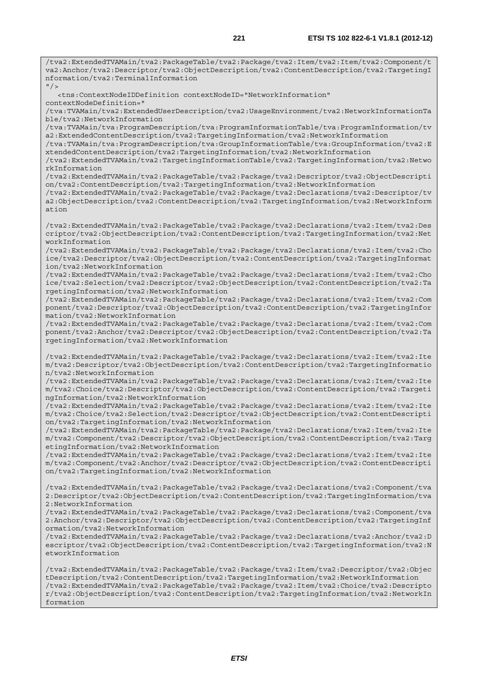/tva2:ExtendedTVAMain/tva2:PackageTable/tva2:Package/tva2:Item/tva2:Item/tva2:Component/t va2:Anchor/tva2:Descriptor/tva2:ObjectDescription/tva2:ContentDescription/tva2:TargetingI nformation/tva2:TerminalInformation  $''$  / > <tns:ContextNodeIDDefinition contextNodeID="NetworkInformation" contextNodeDefinition=" /tva:TVAMain/tva2:ExtendedUserDescription/tva2:UsageEnvironment/tva2:NetworkInformationTa ble/tva2:NetworkInformation /tva:TVAMain/tva:ProgramDescription/tva:ProgramInformationTable/tva:ProgramInformation/tv a2:ExtendedContentDescription/tva2:TargetingInformation/tva2:NetworkInformation /tva:TVAMain/tva:ProgramDescription/tva:GroupInformationTable/tva:GroupInformation/tva2:E xtendedContentDescription/tva2:TargetingInformation/tva2:NetworkInformation /tva2:ExtendedTVAMain/tva2:TargetingInformationTable/tva2:TargetingInformation/tva2:Netwo rkInformation /tva2:ExtendedTVAMain/tva2:PackageTable/tva2:Package/tva2:Descriptor/tva2:ObjectDescripti on/tva2:ContentDescription/tva2:TargetingInformation/tva2:NetworkInformation /tva2:ExtendedTVAMain/tva2:PackageTable/tva2:Package/tva2:Declarations/tva2:Descriptor/tv a2:ObjectDescription/tva2:ContentDescription/tva2:TargetingInformation/tva2:NetworkInform ation /tva2:ExtendedTVAMain/tva2:PackageTable/tva2:Package/tva2:Declarations/tva2:Item/tva2:Des criptor/tva2:ObjectDescription/tva2:ContentDescription/tva2:TargetingInformation/tva2:Net workInformation /tva2:ExtendedTVAMain/tva2:PackageTable/tva2:Package/tva2:Declarations/tva2:Item/tva2:Cho ice/tva2:Descriptor/tva2:ObjectDescription/tva2:ContentDescription/tva2:TargetingInformat ion/tva2:NetworkInformation /tva2:ExtendedTVAMain/tva2:PackageTable/tva2:Package/tva2:Declarations/tva2:Item/tva2:Cho ice/tva2:Selection/tva2:Descriptor/tva2:ObjectDescription/tva2:ContentDescription/tva2:Ta rgetingInformation/tva2:NetworkInformation /tva2:ExtendedTVAMain/tva2:PackageTable/tva2:Package/tva2:Declarations/tva2:Item/tva2:Com ponent/tva2:Descriptor/tva2:ObjectDescription/tva2:ContentDescription/tva2:TargetingInfor mation/tva2:NetworkInformation /tva2:ExtendedTVAMain/tva2:PackageTable/tva2:Package/tva2:Declarations/tva2:Item/tva2:Com ponent/tva2:Anchor/tva2:Descriptor/tva2:ObjectDescription/tva2:ContentDescription/tva2:Ta rgetingInformation/tva2:NetworkInformation /tva2:ExtendedTVAMain/tva2:PackageTable/tva2:Package/tva2:Declarations/tva2:Item/tva2:Ite m/tva2:Descriptor/tva2:ObjectDescription/tva2:ContentDescription/tva2:TargetingInformatio n/tva2:NetworkInformation /tva2:ExtendedTVAMain/tva2:PackageTable/tva2:Package/tva2:Declarations/tva2:Item/tva2:Ite m/tva2:Choice/tva2:Descriptor/tva2:ObjectDescription/tva2:ContentDescription/tva2:Targeti ngInformation/tva2:NetworkInformation /tva2:ExtendedTVAMain/tva2:PackageTable/tva2:Package/tva2:Declarations/tva2:Item/tva2:Ite m/tva2:Choice/tva2:Selection/tva2:Descriptor/tva2:ObjectDescription/tva2:ContentDescripti on/tva2:TargetingInformation/tva2:NetworkInformation /tva2:ExtendedTVAMain/tva2:PackageTable/tva2:Package/tva2:Declarations/tva2:Item/tva2:Ite m/tva2:Component/tva2:Descriptor/tva2:ObjectDescription/tva2:ContentDescription/tva2:Targ etingInformation/tva2:NetworkInformation /tva2:ExtendedTVAMain/tva2:PackageTable/tva2:Package/tva2:Declarations/tva2:Item/tva2:Ite m/tva2:Component/tva2:Anchor/tva2:Descriptor/tva2:ObjectDescription/tva2:ContentDescripti on/tva2:TargetingInformation/tva2:NetworkInformation /tva2:ExtendedTVAMain/tva2:PackageTable/tva2:Package/tva2:Declarations/tva2:Component/tva 2:Descriptor/tva2:ObjectDescription/tva2:ContentDescription/tva2:TargetingInformation/tva 2:NetworkInformation /tva2:ExtendedTVAMain/tva2:PackageTable/tva2:Package/tva2:Declarations/tva2:Component/tva 2:Anchor/tva2:Descriptor/tva2:ObjectDescription/tva2:ContentDescription/tva2:TargetingInf ormation/tva2:NetworkInformation /tva2:ExtendedTVAMain/tva2:PackageTable/tva2:Package/tva2:Declarations/tva2:Anchor/tva2:D escriptor/tva2:ObjectDescription/tva2:ContentDescription/tva2:TargetingInformation/tva2:N

/tva2:ExtendedTVAMain/tva2:PackageTable/tva2:Package/tva2:Item/tva2:Descriptor/tva2:Objec tDescription/tva2:ContentDescription/tva2:TargetingInformation/tva2:NetworkInformation /tva2:ExtendedTVAMain/tva2:PackageTable/tva2:Package/tva2:Item/tva2:Choice/tva2:Descripto r/tva2:ObjectDescription/tva2:ContentDescription/tva2:TargetingInformation/tva2:NetworkIn formation

etworkInformation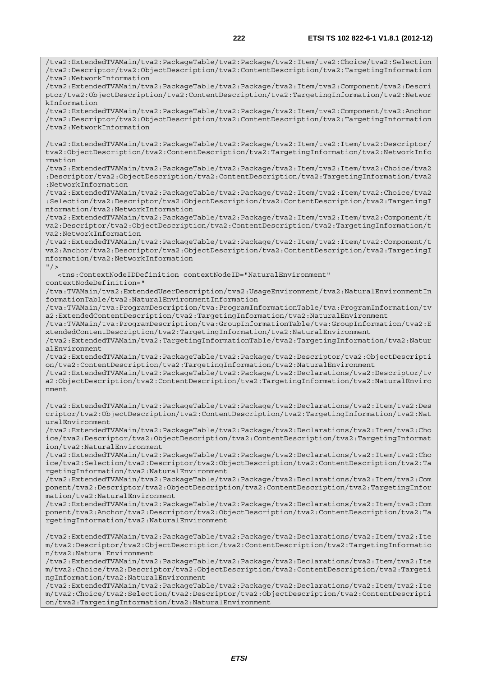/tva2:ExtendedTVAMain/tva2:PackageTable/tva2:Package/tva2:Item/tva2:Choice/tva2:Selection /tva2:Descriptor/tva2:ObjectDescription/tva2:ContentDescription/tva2:TargetingInformation /tva2:NetworkInformation /tva2:ExtendedTVAMain/tva2:PackageTable/tva2:Package/tva2:Item/tva2:Component/tva2:Descri ptor/tva2:ObjectDescription/tva2:ContentDescription/tva2:TargetingInformation/tva2:Networ kInformation /tva2:ExtendedTVAMain/tva2:PackageTable/tva2:Package/tva2:Item/tva2:Component/tva2:Anchor /tva2:Descriptor/tva2:ObjectDescription/tva2:ContentDescription/tva2:TargetingInformation /tva2:NetworkInformation /tva2:ExtendedTVAMain/tva2:PackageTable/tva2:Package/tva2:Item/tva2:Item/tva2:Descriptor/ tva2:ObjectDescription/tva2:ContentDescription/tva2:TargetingInformation/tva2:NetworkInfo rmation /tva2:ExtendedTVAMain/tva2:PackageTable/tva2:Package/tva2:Item/tva2:Item/tva2:Choice/tva2 :Descriptor/tva2:ObjectDescription/tva2:ContentDescription/tva2:TargetingInformation/tva2 :NetworkInformation /tva2:ExtendedTVAMain/tva2:PackageTable/tva2:Package/tva2:Item/tva2:Item/tva2:Choice/tva2 :Selection/tva2:Descriptor/tva2:ObjectDescription/tva2:ContentDescription/tva2:TargetingI nformation/tva2:NetworkInformation /tva2:ExtendedTVAMain/tva2:PackageTable/tva2:Package/tva2:Item/tva2:Item/tva2:Component/t va2:Descriptor/tva2:ObjectDescription/tva2:ContentDescription/tva2:TargetingInformation/t va2:NetworkInformation /tva2:ExtendedTVAMain/tva2:PackageTable/tva2:Package/tva2:Item/tva2:Item/tva2:Component/t va2:Anchor/tva2:Descriptor/tva2:ObjectDescription/tva2:ContentDescription/tva2:TargetingI nformation/tva2:NetworkInformation  $''$  /> <tns:ContextNodeIDDefinition contextNodeID="NaturalEnvironment" contextNodeDefinition=" /tva:TVAMain/tva2:ExtendedUserDescription/tva2:UsageEnvironment/tva2:NaturalEnvironmentIn formationTable/tva2:NaturalEnvironmentInformation /tva:TVAMain/tva:ProgramDescription/tva:ProgramInformationTable/tva:ProgramInformation/tv a2:ExtendedContentDescription/tva2:TargetingInformation/tva2:NaturalEnvironment /tva:TVAMain/tva:ProgramDescription/tva:GroupInformationTable/tva:GroupInformation/tva2:E xtendedContentDescription/tva2:TargetingInformation/tva2:NaturalEnvironment /tva2:ExtendedTVAMain/tva2:TargetingInformationTable/tva2:TargetingInformation/tva2:Natur alEnvironment /tva2:ExtendedTVAMain/tva2:PackageTable/tva2:Package/tva2:Descriptor/tva2:ObjectDescripti on/tva2:ContentDescription/tva2:TargetingInformation/tva2:NaturalEnvironment /tva2:ExtendedTVAMain/tva2:PackageTable/tva2:Package/tva2:Declarations/tva2:Descriptor/tv a2:ObjectDescription/tva2:ContentDescription/tva2:TargetingInformation/tva2:NaturalEnviro nment /tva2:ExtendedTVAMain/tva2:PackageTable/tva2:Package/tva2:Declarations/tva2:Item/tva2:Des criptor/tva2:ObjectDescription/tva2:ContentDescription/tva2:TargetingInformation/tva2:Nat uralEnvironment /tva2:ExtendedTVAMain/tva2:PackageTable/tva2:Package/tva2:Declarations/tva2:Item/tva2:Cho ice/tva2:Descriptor/tva2:ObjectDescription/tva2:ContentDescription/tva2:TargetingInformat ion/tva2:NaturalEnvironment /tva2:ExtendedTVAMain/tva2:PackageTable/tva2:Package/tva2:Declarations/tva2:Item/tva2:Cho ice/tva2:Selection/tva2:Descriptor/tva2:ObjectDescription/tva2:ContentDescription/tva2:Ta rgetingInformation/tva2:NaturalEnvironment /tva2:ExtendedTVAMain/tva2:PackageTable/tva2:Package/tva2:Declarations/tva2:Item/tva2:Com ponent/tva2:Descriptor/tva2:ObjectDescription/tva2:ContentDescription/tva2:TargetingInfor mation/tva2:NaturalEnvironment /tva2:ExtendedTVAMain/tva2:PackageTable/tva2:Package/tva2:Declarations/tva2:Item/tva2:Com ponent/tva2:Anchor/tva2:Descriptor/tva2:ObjectDescription/tva2:ContentDescription/tva2:Ta rgetingInformation/tva2:NaturalEnvironment /tva2:ExtendedTVAMain/tva2:PackageTable/tva2:Package/tva2:Declarations/tva2:Item/tva2:Ite m/tva2:Descriptor/tva2:ObjectDescription/tva2:ContentDescription/tva2:TargetingInformatio n/tva2:NaturalEnvironment /tva2:ExtendedTVAMain/tva2:PackageTable/tva2:Package/tva2:Declarations/tva2:Item/tva2:Ite m/tva2:Choice/tva2:Descriptor/tva2:ObjectDescription/tva2:ContentDescription/tva2:Targeti ngInformation/tva2:NaturalEnvironment /tva2:ExtendedTVAMain/tva2:PackageTable/tva2:Package/tva2:Declarations/tva2:Item/tva2:Ite

m/tva2:Choice/tva2:Selection/tva2:Descriptor/tva2:ObjectDescription/tva2:ContentDescripti on/tva2:TargetingInformation/tva2:NaturalEnvironment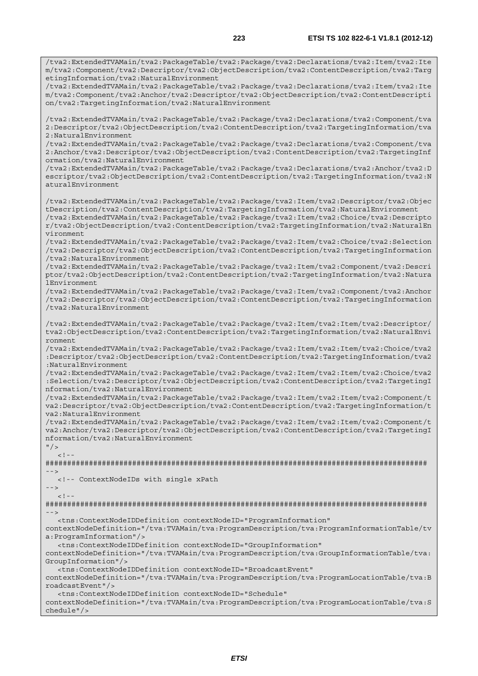/tva2:ExtendedTVAMain/tva2:PackageTable/tva2:Package/tva2:Declarations/tva2:Item/tva2:Ite m/tva2:Component/tva2:Descriptor/tva2:ObjectDescription/tva2:ContentDescription/tva2:Targ etingInformation/tva2:NaturalEnvironment /tva2:ExtendedTVAMain/tva2:PackageTable/tva2:Package/tva2:Declarations/tva2:Item/tva2:Ite m/tva2:Component/tva2:Anchor/tva2:Descriptor/tva2:ObjectDescription/tva2:ContentDescripti on/tva2:TargetingInformation/tva2:NaturalEnvironment /tva2:ExtendedTVAMain/tva2:PackageTable/tva2:Package/tva2:Declarations/tva2:Component/tva 2:Descriptor/tva2:ObjectDescription/tva2:ContentDescription/tva2:TargetingInformation/tva 2:NaturalEnvironment /tva2:ExtendedTVAMain/tva2:PackageTable/tva2:Package/tva2:Declarations/tva2:Component/tva 2:Anchor/tva2:Descriptor/tva2:ObjectDescription/tva2:ContentDescription/tva2:TargetingInf ormation/tva2:NaturalEnvironment /tva2:ExtendedTVAMain/tva2:PackageTable/tva2:Package/tva2:Declarations/tva2:Anchor/tva2:D escriptor/tva2:ObjectDescription/tva2:ContentDescription/tva2:TargetingInformation/tva2:N aturalEnvironment /tva2:ExtendedTVAMain/tva2:PackageTable/tva2:Package/tva2:Item/tva2:Descriptor/tva2:Objec tDescription/tva2:ContentDescription/tva2:TargetingInformation/tva2:NaturalEnvironment /tva2:ExtendedTVAMain/tva2:PackageTable/tva2:Package/tva2:Item/tva2:Choice/tva2:Descripto r/tva2:ObjectDescription/tva2:ContentDescription/tva2:TargetingInformation/tva2:NaturalEn vironment /tva2:ExtendedTVAMain/tva2:PackageTable/tva2:Package/tva2:Item/tva2:Choice/tva2:Selection /tva2:Descriptor/tva2:ObjectDescription/tva2:ContentDescription/tva2:TargetingInformation /tva2:NaturalEnvironment /tva2:ExtendedTVAMain/tva2:PackageTable/tva2:Package/tva2:Item/tva2:Component/tva2:Descri ptor/tva2:ObjectDescription/tva2:ContentDescription/tva2:TargetingInformation/tva2:Natura lEnvironment /tva2:ExtendedTVAMain/tva2:PackageTable/tva2:Package/tva2:Item/tva2:Component/tva2:Anchor /tva2:Descriptor/tva2:ObjectDescription/tva2:ContentDescription/tva2:TargetingInformation /tva2:NaturalEnvironment /tva2:ExtendedTVAMain/tva2:PackageTable/tva2:Package/tva2:Item/tva2:Item/tva2:Descriptor/ tva2:ObjectDescription/tva2:ContentDescription/tva2:TargetingInformation/tva2:NaturalEnvi ronment /tva2:ExtendedTVAMain/tva2:PackageTable/tva2:Package/tva2:Item/tva2:Item/tva2:Choice/tva2 :Descriptor/tva2:ObjectDescription/tva2:ContentDescription/tva2:TargetingInformation/tva2 :NaturalEnvironment /tva2:ExtendedTVAMain/tva2:PackageTable/tva2:Package/tva2:Item/tva2:Item/tva2:Choice/tva2 :Selection/tva2:Descriptor/tva2:ObjectDescription/tva2:ContentDescription/tva2:TargetingI nformation/tva2:NaturalEnvironment /tva2:ExtendedTVAMain/tva2:PackageTable/tva2:Package/tva2:Item/tva2:Item/tva2:Component/t va2:Descriptor/tva2:ObjectDescription/tva2:ContentDescription/tva2:TargetingInformation/t va2:NaturalEnvironment /tva2:ExtendedTVAMain/tva2:PackageTable/tva2:Package/tva2:Item/tva2:Item/tva2:Component/t va2:Anchor/tva2:Descriptor/tva2:ObjectDescription/tva2:ContentDescription/tva2:TargetingI nformation/tva2:NaturalEnvironment  $''$  / >  $\geq 1$  =  $-$ ######################################################################################## --> <!-- ContextNodeIDs with single xPath -->  $\leq$  !  $-$ ######################################################################################## --> <tns:ContextNodeIDDefinition contextNodeID="ProgramInformation" contextNodeDefinition="/tva:TVAMain/tva:ProgramDescription/tva:ProgramInformationTable/tv a:ProgramInformation"/> <tns:ContextNodeIDDefinition contextNodeID="GroupInformation" contextNodeDefinition="/tva:TVAMain/tva:ProgramDescription/tva:GroupInformationTable/tva: GroupInformation"/> <tns:ContextNodeIDDefinition contextNodeID="BroadcastEvent" contextNodeDefinition="/tva:TVAMain/tva:ProgramDescription/tva:ProgramLocationTable/tva:B roadcastEvent"/> <tns:ContextNodeIDDefinition contextNodeID="Schedule" contextNodeDefinition="/tva:TVAMain/tva:ProgramDescription/tva:ProgramLocationTable/tva:S

chedule"/>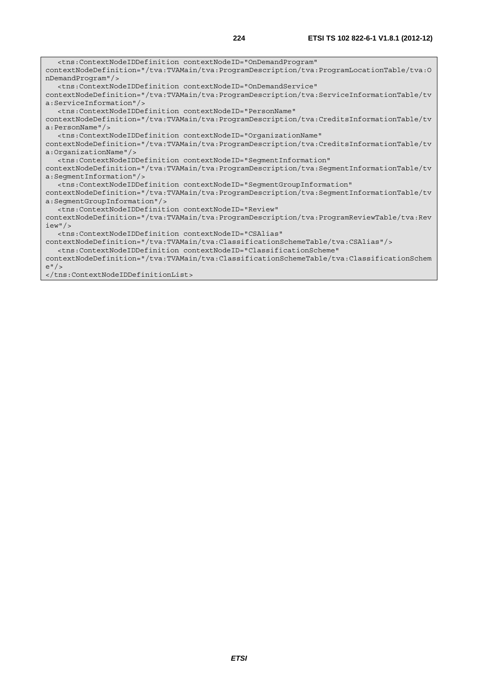<tns:ContextNodeIDDefinition contextNodeID="OnDemandProgram" contextNodeDefinition="/tva:TVAMain/tva:ProgramDescription/tva:ProgramLocationTable/tva:O nDemandProgram"/> <tns:ContextNodeIDDefinition contextNodeID="OnDemandService" contextNodeDefinition="/tva:TVAMain/tva:ProgramDescription/tva:ServiceInformationTable/tv a:ServiceInformation"/> <tns:ContextNodeIDDefinition contextNodeID="PersonName" contextNodeDefinition="/tva:TVAMain/tva:ProgramDescription/tva:CreditsInformationTable/tv a:PersonName"/> <tns:ContextNodeIDDefinition contextNodeID="OrganizationName" contextNodeDefinition="/tva:TVAMain/tva:ProgramDescription/tva:CreditsInformationTable/tv a:OrganizationName"/> <tns:ContextNodeIDDefinition contextNodeID="SegmentInformation" contextNodeDefinition="/tva:TVAMain/tva:ProgramDescription/tva:SegmentInformationTable/tv a:SegmentInformation"/> <tns:ContextNodeIDDefinition contextNodeID="SegmentGroupInformation" contextNodeDefinition="/tva:TVAMain/tva:ProgramDescription/tva:SegmentInformationTable/tv a:SegmentGroupInformation"/> <tns:ContextNodeIDDefinition contextNodeID="Review" contextNodeDefinition="/tva:TVAMain/tva:ProgramDescription/tva:ProgramReviewTable/tva:Rev iew"/> <tns:ContextNodeIDDefinition contextNodeID="CSAlias" contextNodeDefinition="/tva:TVAMain/tva:ClassificationSchemeTable/tva:CSAlias"/> <tns:ContextNodeIDDefinition contextNodeID="ClassificationScheme"

contextNodeDefinition="/tva:TVAMain/tva:ClassificationSchemeTable/tva:ClassificationSchem e"/>

</tns:ContextNodeIDDefinitionList>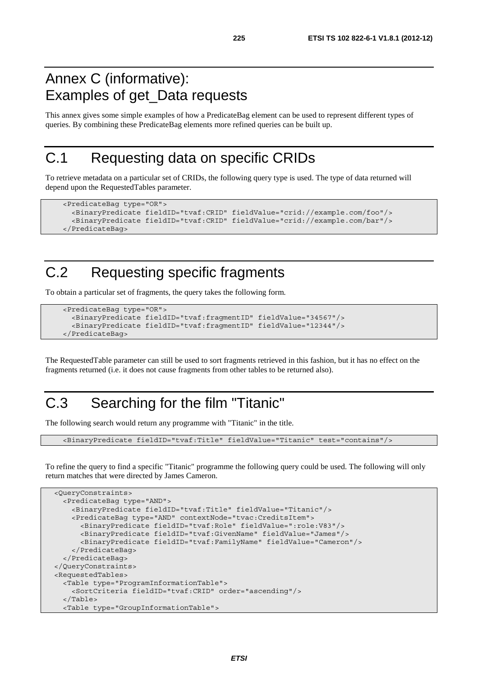#### Annex C (informative): Examples of get\_Data requests

This annex gives some simple examples of how a PredicateBag element can be used to represent different types of queries. By combining these PredicateBag elements more refined queries can be built up.

#### C.1 Requesting data on specific CRIDs

To retrieve metadata on a particular set of CRIDs, the following query type is used. The type of data returned will depend upon the RequestedTables parameter.

```
 <PredicateBag type="OR"> 
   <BinaryPredicate fieldID="tvaf:CRID" fieldValue="crid://example.com/foo"/> 
   <BinaryPredicate fieldID="tvaf:CRID" fieldValue="crid://example.com/bar"/> 
 </PredicateBag>
```
### C.2 Requesting specific fragments

To obtain a particular set of fragments, the query takes the following form.

```
 <PredicateBag type="OR"> 
   <BinaryPredicate fieldID="tvaf:fragmentID" fieldValue="34567"/> 
   <BinaryPredicate fieldID="tvaf:fragmentID" fieldValue="12344"/> 
 </PredicateBag>
```
The RequestedTable parameter can still be used to sort fragments retrieved in this fashion, but it has no effect on the fragments returned (i.e. it does not cause fragments from other tables to be returned also).

### C.3 Searching for the film "Titanic"

The following search would return any programme with "Titanic" in the title.

<BinaryPredicate fieldID="tvaf:Title" fieldValue="Titanic" test="contains"/>

To refine the query to find a specific "Titanic" programme the following query could be used. The following will only return matches that were directed by James Cameron.

```
 <QueryConstraints> 
   <PredicateBag type="AND"> 
     <BinaryPredicate fieldID="tvaf:Title" fieldValue="Titanic"/> 
     <PredicateBag type="AND" contextNode="tvac:CreditsItem"> 
       <BinaryPredicate fieldID="tvaf:Role" fieldValue=":role:V83"/> 
       <BinaryPredicate fieldID="tvaf:GivenName" fieldValue="James"/> 
       <BinaryPredicate fieldID="tvaf:FamilyName" fieldValue="Cameron"/> 
     </PredicateBag> 
   </PredicateBag> 
 </QueryConstraints> 
 <RequestedTables> 
   <Table type="ProgramInformationTable"> 
     <SortCriteria fieldID="tvaf:CRID" order="ascending"/> 
   </Table> 
   <Table type="GroupInformationTable">
```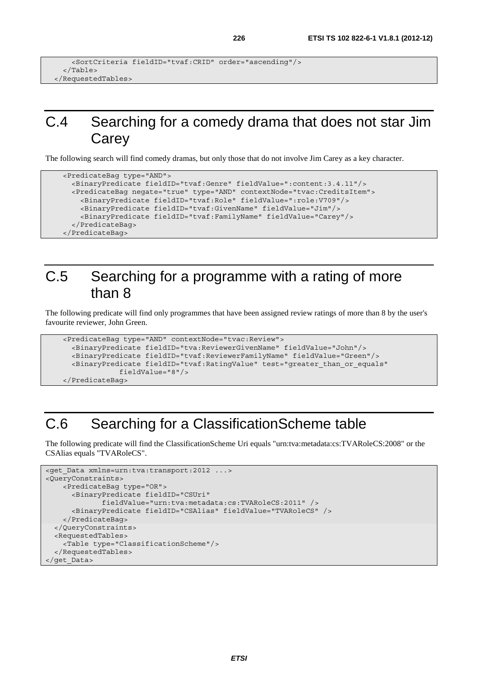```
 <SortCriteria fieldID="tvaf:CRID" order="ascending"/> 
  \epsilon/Tables
 </RequestedTables>
```
#### C.4 Searching for a comedy drama that does not star Jim Carey

The following search will find comedy dramas, but only those that do not involve Jim Carey as a key character.

```
 <PredicateBag type="AND"> 
   <BinaryPredicate fieldID="tvaf:Genre" fieldValue=":content:3.4.11"/> 
   <PredicateBag negate="true" type="AND" contextNode="tvac:CreditsItem"> 
     <BinaryPredicate fieldID="tvaf:Role" fieldValue=":role:V709"/> 
     <BinaryPredicate fieldID="tvaf:GivenName" fieldValue="Jim"/> 
     <BinaryPredicate fieldID="tvaf:FamilyName" fieldValue="Carey"/> 
   </PredicateBag> 
 </PredicateBag>
```
#### C.5 Searching for a programme with a rating of more than 8

The following predicate will find only programmes that have been assigned review ratings of more than 8 by the user's favourite reviewer, John Green.

```
 <PredicateBag type="AND" contextNode="tvac:Review"> 
   <BinaryPredicate fieldID="tva:ReviewerGivenName" fieldValue="John"/> 
   <BinaryPredicate fieldID="tvaf:ReviewerFamilyName" fieldValue="Green"/> 
   <BinaryPredicate fieldID="tvaf:RatingValue" test="greater_than_or_equals" 
              fieldValue="8"/> 
 </PredicateBag>
```
### C.6 Searching for a ClassificationScheme table

The following predicate will find the ClassificationScheme Uri equals "urn:tva:metadata:cs:TVARoleCS:2008" or the CSAlias equals "TVARoleCS".

```
<get Data xmlns=urn:tva:transport:2012 ...>
<QueryConstraints> 
     <PredicateBag type="OR"> 
       <BinaryPredicate fieldID="CSUri" 
              fieldValue="urn:tva:metadata:cs:TVARoleCS:2011" /> 
       <BinaryPredicate fieldID="CSAlias" fieldValue="TVARoleCS" /> 
     </PredicateBag> 
   </QueryConstraints> 
   <RequestedTables> 
     <Table type="ClassificationScheme"/> 
   </RequestedTables> 
</get_Data>
```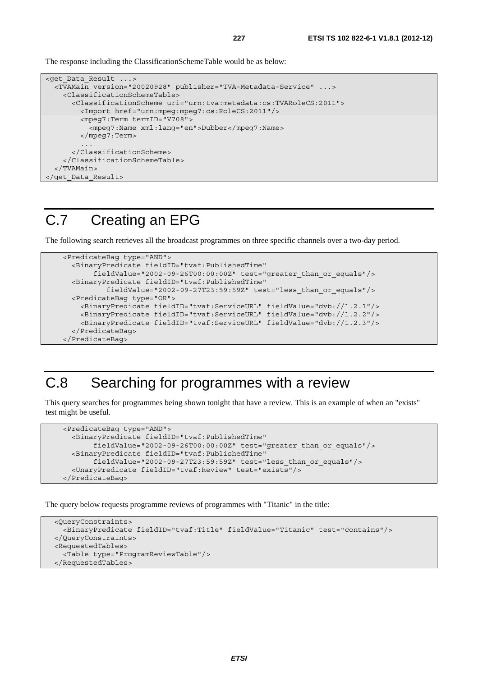The response including the ClassificationSchemeTable would be as below:

```
<get_Data_Result ...> 
   <TVAMain version="20020928" publisher="TVA-Metadata-Service" ...> 
     <ClassificationSchemeTable> 
       <ClassificationScheme uri="urn:tva:metadata:cs:TVARoleCS:2011"> 
         <Import href="urn:mpeg:mpeg7:cs:RoleCS:2011"/> 
         <mpeg7:Term termID="V708"> 
           <mpeg7:Name xml:lang="en">Dubber</mpeg7:Name> 
         </mpeg7:Term> 
 ... 
       </ClassificationScheme> 
     </ClassificationSchemeTable> 
   </TVAMain> 
</get_Data_Result>
```
#### C.7 Creating an EPG

The following search retrieves all the broadcast programmes on three specific channels over a two-day period.

```
 <PredicateBag type="AND"> 
   <BinaryPredicate fieldID="tvaf:PublishedTime" 
        fieldValue="2002-09-26T00:00:00Z" test="greater_than_or_equals"/> 
   <BinaryPredicate fieldID="tvaf:PublishedTime" 
           fieldValue="2002-09-27T23:59:59Z" test="less_than_or_equals"/> 
   <PredicateBag type="OR"> 
     <BinaryPredicate fieldID="tvaf:ServiceURL" fieldValue="dvb://1.2.1"/> 
     <BinaryPredicate fieldID="tvaf:ServiceURL" fieldValue="dvb://1.2.2"/> 
     <BinaryPredicate fieldID="tvaf:ServiceURL" fieldValue="dvb://1.2.3"/> 
   </PredicateBag> 
 </PredicateBag>
```
#### C.8 Searching for programmes with a review

This query searches for programmes being shown tonight that have a review. This is an example of when an "exists" test might be useful.

```
 <PredicateBag type="AND"> 
   <BinaryPredicate fieldID="tvaf:PublishedTime" 
        fieldValue="2002-09-26T00:00:00Z" test="greater_than_or_equals"/> 
   <BinaryPredicate fieldID="tvaf:PublishedTime" 
        fieldValue="2002-09-27T23:59:59Z" test="less_than_or_equals"/> 
   <UnaryPredicate fieldID="tvaf:Review" test="exists"/> 
 </PredicateBag>
```
The query below requests programme reviews of programmes with "Titanic" in the title:

```
 <QueryConstraints> 
   <BinaryPredicate fieldID="tvaf:Title" fieldValue="Titanic" test="contains"/> 
 </QueryConstraints> 
 <RequestedTables> 
   <Table type="ProgramReviewTable"/> 
 </RequestedTables>
```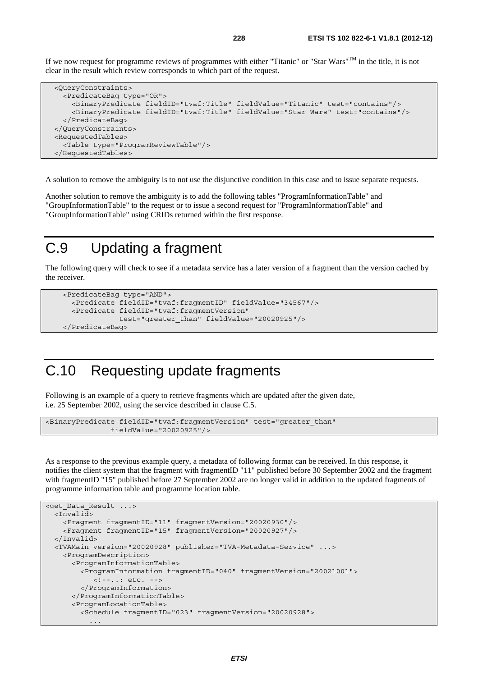If we now request for programme reviews of programmes with either "Titanic" or "Star Wars"TM in the title, it is not clear in the result which review corresponds to which part of the request.

```
 <QueryConstraints> 
   <PredicateBag type="OR"> 
     <BinaryPredicate fieldID="tvaf:Title" fieldValue="Titanic" test="contains"/> 
     <BinaryPredicate fieldID="tvaf:Title" fieldValue="Star Wars" test="contains"/> 
   </PredicateBag> 
 </QueryConstraints> 
 <RequestedTables> 
   <Table type="ProgramReviewTable"/> 
 </RequestedTables>
```
A solution to remove the ambiguity is to not use the disjunctive condition in this case and to issue separate requests.

Another solution to remove the ambiguity is to add the following tables "ProgramInformationTable" and "GroupInformationTable" to the request or to issue a second request for "ProgramInformationTable" and "GroupInformationTable" using CRIDs returned within the first response.

#### C.9 Updating a fragment

The following query will check to see if a metadata service has a later version of a fragment than the version cached by the receiver.

```
 <PredicateBag type="AND"> 
   <Predicate fieldID="tvaf:fragmentID" fieldValue="34567"/> 
   <Predicate fieldID="tvaf:fragmentVersion" 
               test="greater_than" fieldValue="20020925"/> 
 </PredicateBag>
```
#### C.10 Requesting update fragments

Following is an example of a query to retrieve fragments which are updated after the given date, i.e. 25 September 2002, using the service described in clause C.5.

```
<BinaryPredicate fieldID="tvaf:fragmentVersion" test="greater_than" 
                fieldValue="20020925"/>
```
As a response to the previous example query, a metadata of following format can be received. In this response, it notifies the client system that the fragment with fragmentID "11" published before 30 September 2002 and the fragment with fragmentID "15" published before 27 September 2002 are no longer valid in addition to the updated fragments of programme information table and programme location table.

```
<get_Data_Result ...> 
 \overline{1}ivalid\overline{d} <Fragment fragmentID="11" fragmentVersion="20020930"/> 
     <Fragment fragmentID="15" fragmentVersion="20020927"/> 
   </Invalid> 
   <TVAMain version="20020928" publisher="TVA-Metadata-Service" ...> 
     <ProgramDescription> 
       <ProgramInformationTable> 
         <ProgramInformation fragmentID="040" fragmentVersion="20021001"> 
            <!--..: etc. --> 
         </ProgramInformation> 
       </ProgramInformationTable> 
       <ProgramLocationTable> 
         <Schedule fragmentID="023" fragmentVersion="20020928"> 
 ...
```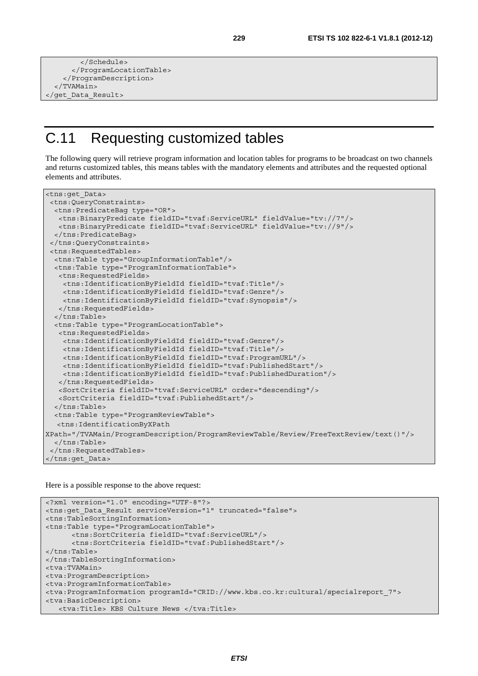```
 </Schedule> 
       </ProgramLocationTable> 
     </ProgramDescription> 
   </TVAMain> 
</get_Data_Result>
```
### C.11 Requesting customized tables

The following query will retrieve program information and location tables for programs to be broadcast on two channels and returns customized tables, this means tables with the mandatory elements and attributes and the requested optional elements and attributes.

```
<tns:get_Data> 
  <tns:QueryConstraints> 
   <tns:PredicateBag type="OR"> 
   <tns:BinaryPredicate fieldID="tvaf:ServiceURL" fieldValue="tv://7"/> 
   <tns:BinaryPredicate fieldID="tvaf:ServiceURL" fieldValue="tv://9"/> 
   </tns:PredicateBag> 
  </tns:QueryConstraints> 
  <tns:RequestedTables> 
  <tns:Table type="GroupInformationTable"/> 
   <tns:Table type="ProgramInformationTable"> 
    <tns:RequestedFields> 
     <tns:IdentificationByFieldId fieldID="tvaf:Title"/> 
     <tns:IdentificationByFieldId fieldID="tvaf:Genre"/> 
     <tns:IdentificationByFieldId fieldID="tvaf:Synopsis"/> 
    </tns:RequestedFields> 
   </tns:Table> 
   <tns:Table type="ProgramLocationTable"> 
    <tns:RequestedFields> 
     <tns:IdentificationByFieldId fieldID="tvaf:Genre"/> 
     <tns:IdentificationByFieldId fieldID="tvaf:Title"/> 
     <tns:IdentificationByFieldId fieldID="tvaf:ProgramURL"/> 
     <tns:IdentificationByFieldId fieldID="tvaf:PublishedStart"/> 
     <tns:IdentificationByFieldId fieldID="tvaf:PublishedDuration"/> 
    </tns:RequestedFields> 
    <SortCriteria fieldID="tvaf:ServiceURL" order="descending"/> 
   <SortCriteria fieldID="tvaf:PublishedStart"/> 
   </tns:Table> 
   <tns:Table type="ProgramReviewTable"> 
   <tns:IdentificationByXPath 
XPath="/TVAMain/ProgramDescription/ProgramReviewTable/Review/FreeTextReview/text()"/> 
  </tns:Table> 
  </tns:RequestedTables> 
</tns:get_Data>
```
Here is a possible response to the above request:

```
<?xml version="1.0" encoding="UTF-8"?> 
<tns:get_Data_Result serviceVersion="1" truncated="false"> 
<tns:TableSortingInformation> 
<tns:Table type="ProgramLocationTable"> 
       <tns:SortCriteria fieldID="tvaf:ServiceURL"/> 
       <tns:SortCriteria fieldID="tvaf:PublishedStart"/> 
</tns:Table> 
</tns:TableSortingInformation> 
<tva:TVAMain> 
<tva:ProgramDescription> 
<tva:ProgramInformationTable> 
<tva:ProgramInformation programId="CRID://www.kbs.co.kr:cultural/specialreport_7"> 
<tva:BasicDescription> 
    <tva:Title> KBS Culture News </tva:Title>
```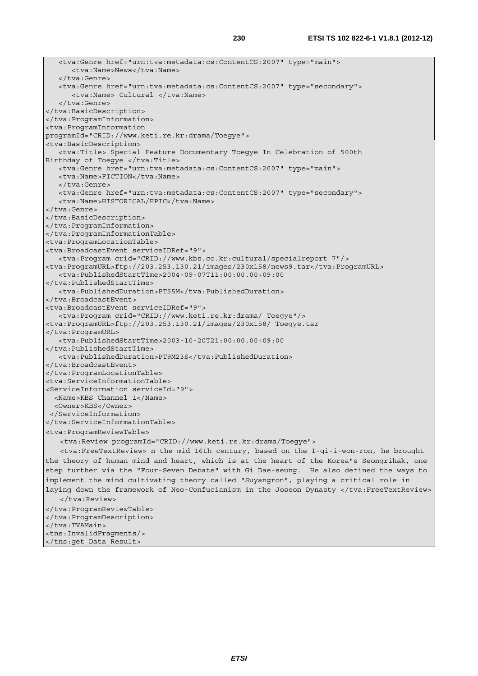```
 <tva:Genre href="urn:tva:metadata:cs:ContentCS:2007" type="main"> 
       <tva:Name>News</tva:Name> 
    </tva:Genre> 
    <tva:Genre href="urn:tva:metadata:cs:ContentCS:2007" type="secondary"> 
       <tva:Name> Cultural </tva:Name> 
    </tva:Genre> 
</tva:BasicDescription> 
</tva:ProgramInformation> 
<tva:ProgramInformation 
programId="CRID://www.keti.re.kr:drama/Toegye"> 
<tva:BasicDescription> 
   <tva:Title> Special Feature Documentary Toegye In Celebration of 500th 
Birthday of Toegye </tva:Title>
   <tva:Genre href="urn:tva:metadata:cs:ContentCS:2007" type="main"> 
   <tva:Name>FICTION</tva:Name>
    </tva:Genre> 
    <tva:Genre href="urn:tva:metadata:cs:ContentCS:2007" type="secondary"> 
   <tva:Name>HISTORICAL/EPIC</tva:Name>
</tva:Genre> 
</tva:BasicDescription> 
</tva:ProgramInformation> 
</tva:ProgramInformationTable> 
<tva:ProgramLocationTable> 
<tva:BroadcastEvent serviceIDRef="9"> 
   <tva:Program crid="CRID://www.kbs.co.kr:cultural/specialreport_7"/> 
<tva:ProgramURL>ftp://203.253.130.21/images/230x158/news9.tar</tva:ProgramURL> 
    <tva:PublishedStartTime>2004-09-07T11:00:00.00+09:00 
</tva:PublishedStartTime> 
    <tva:PublishedDuration>PT55M</tva:PublishedDuration> 
</tva:BroadcastEvent> 
<tva:BroadcastEvent serviceIDRef="9"> 
   <tva:Program crid="CRID://www.keti.re.kr:drama/ Toegye"/> 
<tva:ProgramURL>ftp://203.253.130.21/images/230x158/ Toegye.tar 
</tva:ProgramURL> 
    <tva:PublishedStartTime>2003-10-20T21:00:00.00+09:00 
</tva:PublishedStartTime> 
    <tva:PublishedDuration>PT9M23S</tva:PublishedDuration> 
</tva:BroadcastEvent> 
</tva:ProgramLocationTable> 
<tva:ServiceInformationTable> 
<ServiceInformation serviceId="9"> 
   <Name>KBS Channel 1</Name> 
   <Owner>KBS</Owner> 
  </ServiceInformation> 
</tva:ServiceInformationTable> 
<tva:ProgramReviewTable> 
   <tva:Review programId="CRID://www.keti.re.kr:drama/Toegye"> 
   <tva:FreeTextReview> n the mid 16th century, based on the I-gi-i-won-ron, he brought 
the theory of human mind and heart, which is at the heart of the Korea"s Seongrihak, one 
step further via the "Four-Seven Debate" with Gi Dae-seung. He also defined the ways to 
implement the mind cultivating theory called "Suyangron", playing a critical role in 
laying down the framework of Neo-Confucianism in the Joseon Dynasty </tva:FreeTextReview> 
   </tva:Review> 
</tva:ProgramReviewTable> 
</tva:ProgramDescription> 
</tva:TVAMain> 
<tns:InvalidFragments/> 
</tns:get_Data_Result>
```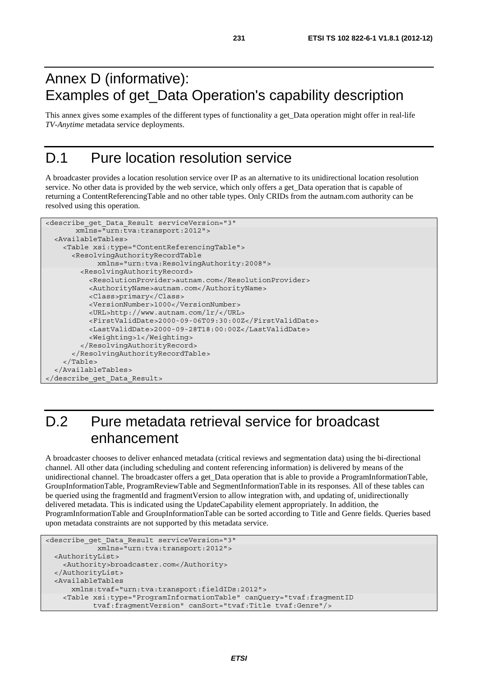#### Annex D (informative): Examples of get\_Data Operation's capability description

This annex gives some examples of the different types of functionality a get\_Data operation might offer in real-life *TV-Anytime* metadata service deployments.

#### D.1 Pure location resolution service

A broadcaster provides a location resolution service over IP as an alternative to its unidirectional location resolution service. No other data is provided by the web service, which only offers a get Data operation that is capable of returning a ContentReferencingTable and no other table types. Only CRIDs from the autnam.com authority can be resolved using this operation.

```
<describe_get_Data_Result serviceVersion="3" 
        xmlns="urn:tva:transport:2012"> 
   <AvailableTables> 
     <Table xsi:type="ContentReferencingTable"> 
       <ResolvingAuthorityRecordTable 
             xmlns="urn:tva:ResolvingAuthority:2008"> 
         <ResolvingAuthorityRecord> 
           <ResolutionProvider>autnam.com</ResolutionProvider> 
           <AuthorityName>autnam.com</AuthorityName> 
           <Class>primary</Class> 
           <VersionNumber>1000</VersionNumber> 
           <URL>http://www.autnam.com/lr/</URL> 
           <FirstValidDate>2000-09-06T09:30:00Z</FirstValidDate> 
           <LastValidDate>2000-09-28T18:00:00Z</LastValidDate> 
           <Weighting>1</Weighting> 
         </ResolvingAuthorityRecord> 
       </ResolvingAuthorityRecordTable> 
     </Table> 
   </AvailableTables> 
</describe_get_Data_Result>
```
### D.2 Pure metadata retrieval service for broadcast enhancement

A broadcaster chooses to deliver enhanced metadata (critical reviews and segmentation data) using the bi-directional channel. All other data (including scheduling and content referencing information) is delivered by means of the unidirectional channel. The broadcaster offers a get\_Data operation that is able to provide a ProgramInformationTable, GroupInformationTable, ProgramReviewTable and SegmentInformationTable in its responses. All of these tables can be queried using the fragmentId and fragmentVersion to allow integration with, and updating of, unidirectionally delivered metadata. This is indicated using the UpdateCapability element appropriately. In addition, the ProgramInformationTable and GroupInformationTable can be sorted according to Title and Genre fields. Queries based upon metadata constraints are not supported by this metadata service.

```
<describe_get_Data_Result serviceVersion="3" 
             xmlns="urn:tva:transport:2012"> 
  <AuthorityList> 
     <Authority>broadcaster.com</Authority> 
  </AuthorityList> 
  <AvailableTables 
      xmlns:tvaf="urn:tva:transport:fieldIDs:2012"> 
     <Table xsi:type="ProgramInformationTable" canQuery="tvaf:fragmentID 
            tvaf:fragmentVersion" canSort="tvaf:Title tvaf:Genre"/>
```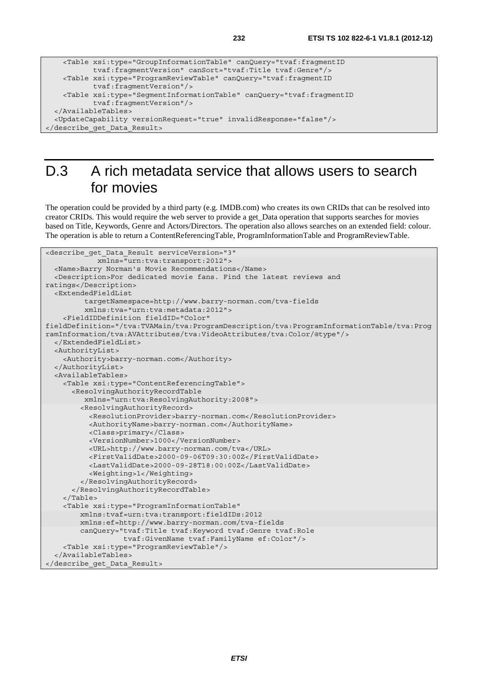```
 <Table xsi:type="GroupInformationTable" canQuery="tvaf:fragmentID 
            tvaf:fragmentVersion" canSort="tvaf:Title tvaf:Genre"/> 
    <Table xsi:type="ProgramReviewTable" canQuery="tvaf:fragmentID 
            tvaf:fragmentVersion"/> 
    <Table xsi:type="SegmentInformationTable" canQuery="tvaf:fragmentID 
            tvaf:fragmentVersion"/> 
  </AvailableTables> 
  <UpdateCapability versionRequest="true" invalidResponse="false"/> 
</describe_get_Data_Result>
```
### D.3 A rich metadata service that allows users to search for movies

The operation could be provided by a third party (e.g. IMDB.com) who creates its own CRIDs that can be resolved into creator CRIDs. This would require the web server to provide a get\_Data operation that supports searches for movies based on Title, Keywords, Genre and Actors/Directors. The operation also allows searches on an extended field: colour. The operation is able to return a ContentReferencingTable, ProgramInformationTable and ProgramReviewTable.

```
<describe_get_Data_Result serviceVersion="3" 
             xmlns="urn:tva:transport:2012"> 
   <Name>Barry Norman's Movie Recommendations</Name> 
   <Description>For dedicated movie fans. Find the latest reviews and 
ratings</Description> 
   <ExtendedFieldList 
          targetNamespace=http://www.barry-norman.com/tva-fields 
          xmlns:tva="urn:tva:metadata:2012"> 
     <FieldIDDefinition fieldID="Color" 
fieldDefinition="/tva:TVAMain/tva:ProgramDescription/tva:ProgramInformationTable/tva:Prog
ramInformation/tva:AVAttributes/tva:VideoAttributes/tva:Color/@type"/> 
   </ExtendedFieldList> 
   <AuthorityList> 
     <Authority>barry-norman.com</Authority> 
   </AuthorityList> 
   <AvailableTables> 
     <Table xsi:type="ContentReferencingTable"> 
       <ResolvingAuthorityRecordTable 
          xmlns="urn:tva:ResolvingAuthority:2008"> 
         <ResolvingAuthorityRecord> 
           <ResolutionProvider>barry-norman.com</ResolutionProvider> 
           <AuthorityName>barry-norman.com</AuthorityName> 
           <Class>primary</Class> 
           <VersionNumber>1000</VersionNumber> 
           <URL>http://www.barry-norman.com/tva</URL> 
           <FirstValidDate>2000-09-06T09:30:00Z</FirstValidDate> 
           <LastValidDate>2000-09-28T18:00:00Z</LastValidDate> 
           <Weighting>1</Weighting> 
         </ResolvingAuthorityRecord> 
       </ResolvingAuthorityRecordTable> 
     </Table> 
     <Table xsi:type="ProgramInformationTable" 
         xmlns:tvaf=urn:tva:transport:fieldIDs:2012 
         xmlns:ef=http://www.barry-norman.com/tva-fields 
         canQuery="tvaf:Title tvaf:Keyword tvaf:Genre tvaf:Role 
                    tvaf:GivenName tvaf:FamilyName ef:Color"/> 
     <Table xsi:type="ProgramReviewTable"/> 
   </AvailableTables> 
</describe_get_Data_Result>
```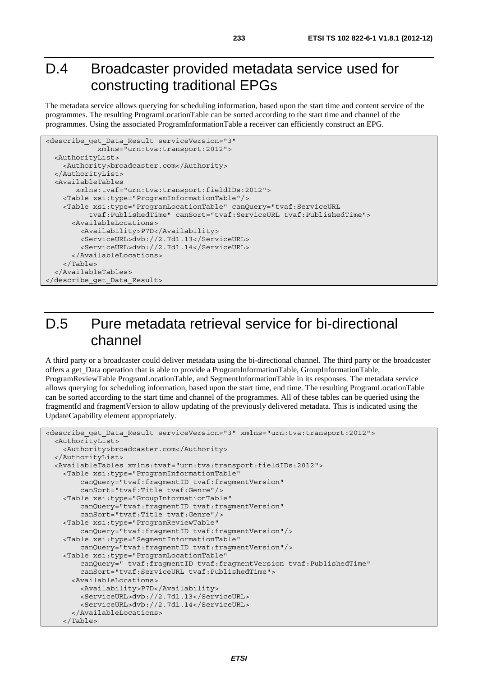#### D.4 Broadcaster provided metadata service used for constructing traditional EPGs

The metadata service allows querying for scheduling information, based upon the start time and content service of the programmes. The resulting ProgramLocationTable can be sorted according to the start time and channel of the programmes. Using the associated ProgramInformationTable a receiver can efficiently construct an EPG.

```
<describe_get_Data_Result serviceVersion="3" 
             xmlns="urn:tva:transport:2012"> 
   <AuthorityList> 
     <Authority>broadcaster.com</Authority> 
   </AuthorityList> 
   <AvailableTables 
        xmlns:tvaf="urn:tva:transport:fieldIDs:2012"> 
     <Table xsi:type="ProgramInformationTable"/> 
     <Table xsi:type="ProgramLocationTable" canQuery="tvaf:ServiceURL 
           tvaf:PublishedTime" canSort="tvaf:ServiceURL tvaf:PublishedTime"> 
       <AvailableLocations> 
         <Availability>P7D</Availability> 
         <ServiceURL>dvb://2.7d1.13</ServiceURL> 
         <ServiceURL>dvb://2.7d1.14</ServiceURL> 
       </AvailableLocations> 
     </Table> 
   </AvailableTables> 
</describe_get_Data_Result>
```
#### D.5 Pure metadata retrieval service for bi-directional channel

A third party or a broadcaster could deliver metadata using the bi-directional channel. The third party or the broadcaster offers a get\_Data operation that is able to provide a ProgramInformationTable, GroupInformationTable, ProgramReviewTable ProgramLocationTable, and SegmentInformationTable in its responses. The metadata service allows querying for scheduling information, based upon the start time, end time. The resulting ProgramLocationTable can be sorted according to the start time and channel of the programmes. All of these tables can be queried using the fragmentId and fragmentVersion to allow updating of the previously delivered metadata. This is indicated using the UpdateCapability element appropriately.

```
<describe get Data Result serviceVersion="3" xmlns="urn:tva:transport:2012">
   <AuthorityList> 
     <Authority>broadcaster.com</Authority> 
   </AuthorityList> 
   <AvailableTables xmlns:tvaf="urn:tva:transport:fieldIDs:2012"> 
     <Table xsi:type="ProgramInformationTable" 
         canQuery="tvaf:fragmentID tvaf:fragmentVersion" 
         canSort="tvaf:Title tvaf:Genre"/> 
     <Table xsi:type="GroupInformationTable" 
         canQuery="tvaf:fragmentID tvaf:fragmentVersion" 
         canSort="tvaf:Title tvaf:Genre"/> 
     <Table xsi:type="ProgramReviewTable" 
         canQuery="tvaf:fragmentID tvaf:fragmentVersion"/> 
     <Table xsi:type="SegmentInformationTable" 
         canQuery="tvaf:fragmentID tvaf:fragmentVersion"/> 
     <Table xsi:type="ProgramLocationTable" 
         canQuery=" tvaf:fragmentID tvaf:fragmentVersion tvaf:PublishedTime" 
         canSort="tvaf:ServiceURL tvaf:PublishedTime"> 
       <AvailableLocations> 
         <Availability>P7D</Availability> 
         <ServiceURL>dvb://2.7d1.13</ServiceURL> 
         <ServiceURL>dvb://2.7d1.14</ServiceURL> 
       </AvailableLocations> 
     </Table>
```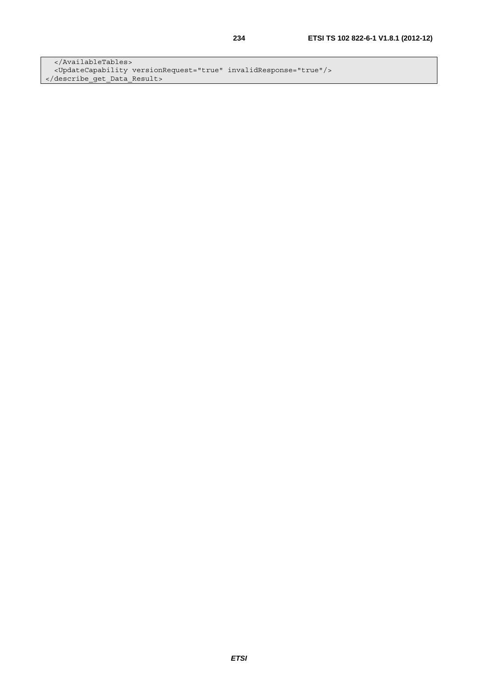</AvailableTables> <UpdateCapability versionRequest="true" invalidResponse="true"/> </describe\_get\_Data\_Result>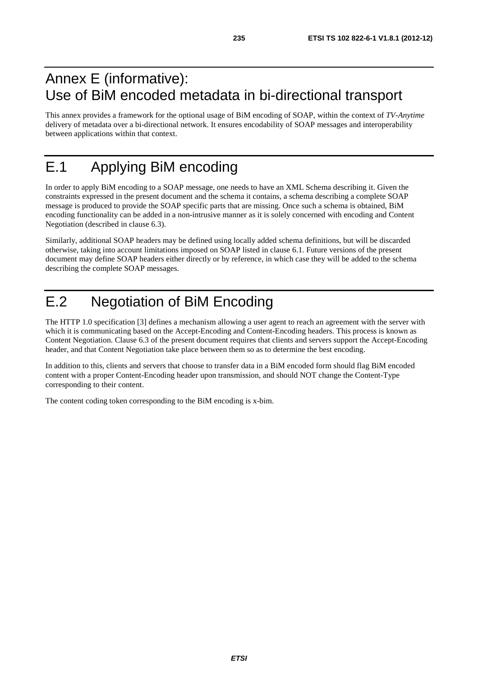#### Annex E (informative): Use of BiM encoded metadata in bi-directional transport

This annex provides a framework for the optional usage of BiM encoding of SOAP, within the context of *TV-Anytime* delivery of metadata over a bi-directional network. It ensures encodability of SOAP messages and interoperability between applications within that context.

### E.1 Applying BiM encoding

In order to apply BiM encoding to a SOAP message, one needs to have an XML Schema describing it. Given the constraints expressed in the present document and the schema it contains, a schema describing a complete SOAP message is produced to provide the SOAP specific parts that are missing. Once such a schema is obtained, BiM encoding functionality can be added in a non-intrusive manner as it is solely concerned with encoding and Content Negotiation (described in clause 6.3).

Similarly, additional SOAP headers may be defined using locally added schema definitions, but will be discarded otherwise, taking into account limitations imposed on SOAP listed in clause 6.1. Future versions of the present document may define SOAP headers either directly or by reference, in which case they will be added to the schema describing the complete SOAP messages.

### E.2 Negotiation of BiM Encoding

The HTTP 1.0 specification [3] defines a mechanism allowing a user agent to reach an agreement with the server with which it is communicating based on the Accept-Encoding and Content-Encoding headers. This process is known as Content Negotiation. Clause 6.3 of the present document requires that clients and servers support the Accept-Encoding header, and that Content Negotiation take place between them so as to determine the best encoding.

In addition to this, clients and servers that choose to transfer data in a BiM encoded form should flag BiM encoded content with a proper Content-Encoding header upon transmission, and should NOT change the Content-Type corresponding to their content.

The content coding token corresponding to the BiM encoding is x-bim.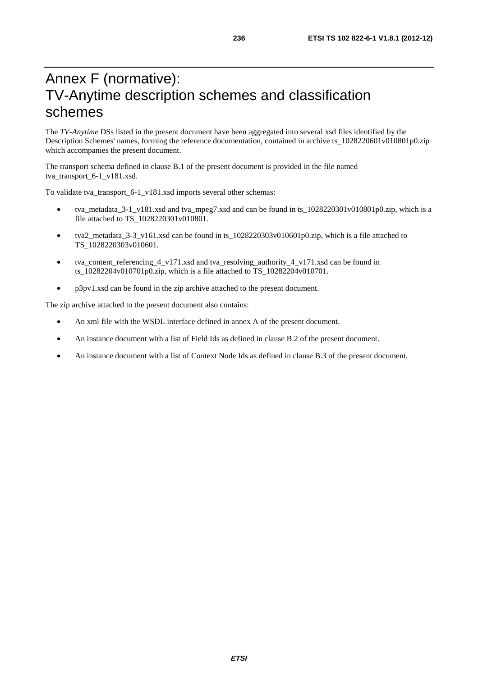### Annex F (normative): TV-Anytime description schemes and classification schemes

The *TV-Anytime* DSs listed in the present document have been aggregated into several xsd files identified by the Description Schemes' names, forming the reference documentation, contained in archive ts\_1028220601v010801p0.zip which accompanies the present document.

The transport schema defined in clause B.1 of the present document is provided in the file named tva\_transport\_6-1\_v181.xsd.

To validate tva\_transport\_6-1\_v181.xsd imports several other schemas:

- tva\_metadata\_3-1\_v181.xsd and tva\_mpeg7.xsd and can be found in ts\_1028220301v010801p0.zip, which is a file attached to TS\_1028220301v010801.
- tva2\_metadata\_3-3\_v161.xsd can be found in ts\_1028220303v010601p0.zip, which is a file attached to TS\_1028220303v010601.
- tva\_content\_referencing\_4\_v171.xsd and tva\_resolving\_authority\_4\_v171.xsd can be found in ts\_10282204v010701p0.zip, which is a file attached to TS\_10282204v010701.
- p3pv1.xsd can be found in the zip archive attached to the present document.

The zip archive attached to the present document also contains:

- An xml file with the WSDL interface defined in annex A of the present document.
- An instance document with a list of Field Ids as defined in clause B.2 of the present document.
- An instance document with a list of Context Node Ids as defined in clause B.3 of the present document.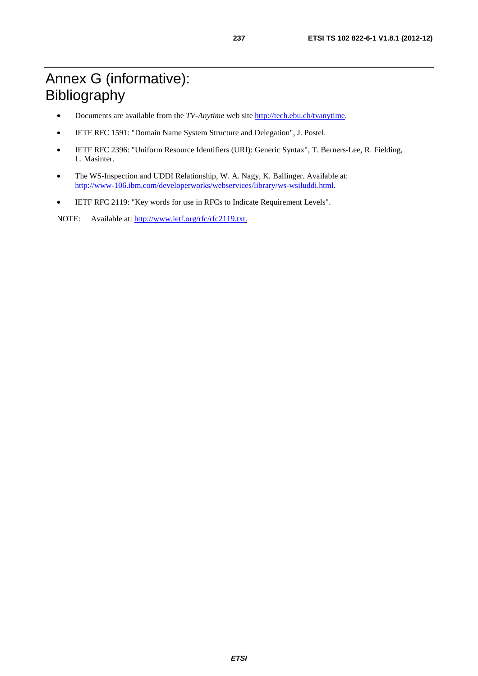### Annex G (informative): Bibliography

- Documents are available from the *TV-Anytime* web site http://tech.ebu.ch/tvanytime.
- IETF RFC 1591: "Domain Name System Structure and Delegation", J. Postel.
- IETF RFC 2396: "Uniform Resource Identifiers (URI): Generic Syntax", T. Berners-Lee, R. Fielding, L. Masinter.
- The WS-Inspection and UDDI Relationship, W. A. Nagy, K. Ballinger. Available at: [http://www-106.ibm.com/developerworks/webservices/library/ws-wsiluddi.html.](http://www-106.ibm.com/developerworks/webservices/library/ws-wsiluddi.html)
- IETF RFC 2119: "Key words for use in RFCs to Indicate Requirement Levels".

NOTE: Available at: [http://www.ietf.org/rfc/rfc2119.txt.](http://www.ietf.org/rfc/rfc2119.txt)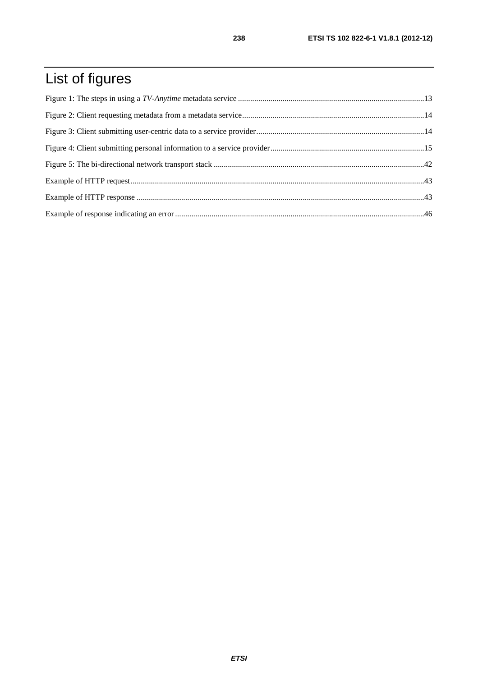# List of figures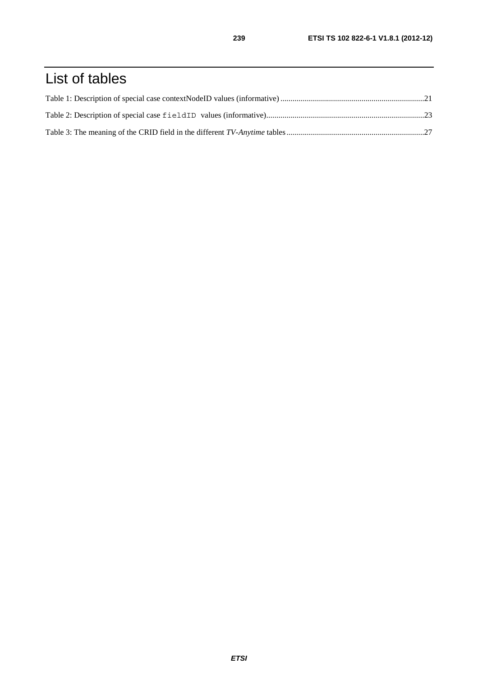### List of tables